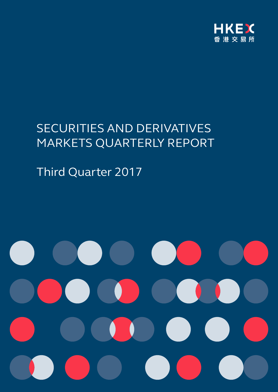

# SECURITIES AND DERIVATIVES MARKETS QUARTERLY REPORT

Third Quarter 2017

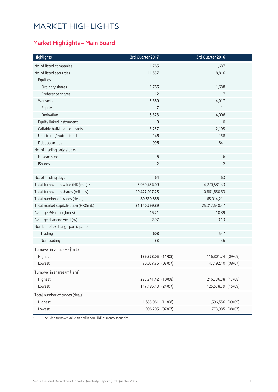## MARKET HIGHLIGHTS

### **Market Highlights – Main Board**

| No. of listed companies<br>1,765<br>1,687<br>No. of listed securities<br>11,557<br>8,816<br>Equities<br>Ordinary shares<br>1,766<br>1,688<br>Preference shares<br>12<br>7<br>5,380<br>4,017<br>Warrants<br>11<br>Equity<br>7<br>4,006<br>Derivative<br>5,373<br>Equity linked instrument<br>0<br>0<br>Callable bull/bear contracts<br>3,257<br>2,105<br>Unit trusts/mutual funds<br>146<br>158<br>Debt securities<br>996<br>841<br>No. of trading only stocks<br>6<br>6<br>Nasdaq stocks<br>$\overline{2}$<br>iShares<br>$\overline{2}$<br>No. of trading days<br>64<br>63<br>Total turnover in value (HK\$mil.) *<br>5,930,454.09<br>4,270,581.33<br>Total turnover in shares (mil. shs)<br>10,427,017.25<br>10,861,850.63<br>Total number of trades (deals)<br>80,630,868<br>65,014,211<br>31,140,799.89<br>25,317,548.47<br>Total market capitalisation (HK\$mil.)<br>10.89<br>Average P/E ratio (times)<br>15.21<br>Average dividend yield (%)<br>2.97<br>3.13<br>Number of exchange participants<br>- Trading<br>608<br>547<br>33<br>36<br>- Non-trading<br>Turnover in value (HK\$mil.)<br>Highest<br>139,373.05 (11/08)<br>116,801.74 (09/09)<br>70,037.75 (07/07)<br>47,192.40 (08/07)<br>Lowest<br>Turnover in shares (mil. shs)<br>Highest<br>225,241.42 (10/08)<br>216,736.38 (17/08)<br>Lowest<br>117, 185. 13 (24/07)<br>125,578.79 (15/09)<br>Total number of trades (deals)<br>Highest<br>1,655,961 (11/08)<br>1,596,556 (09/09)<br>Lowest<br>996,205 (07/07)<br>773,985 (08/07) | <b>Highlights</b> | 3rd Quarter 2017 | 3rd Quarter 2016 |  |
|-------------------------------------------------------------------------------------------------------------------------------------------------------------------------------------------------------------------------------------------------------------------------------------------------------------------------------------------------------------------------------------------------------------------------------------------------------------------------------------------------------------------------------------------------------------------------------------------------------------------------------------------------------------------------------------------------------------------------------------------------------------------------------------------------------------------------------------------------------------------------------------------------------------------------------------------------------------------------------------------------------------------------------------------------------------------------------------------------------------------------------------------------------------------------------------------------------------------------------------------------------------------------------------------------------------------------------------------------------------------------------------------------------------------------------------------------------------------------------------------------|-------------------|------------------|------------------|--|
|                                                                                                                                                                                                                                                                                                                                                                                                                                                                                                                                                                                                                                                                                                                                                                                                                                                                                                                                                                                                                                                                                                                                                                                                                                                                                                                                                                                                                                                                                                 |                   |                  |                  |  |
|                                                                                                                                                                                                                                                                                                                                                                                                                                                                                                                                                                                                                                                                                                                                                                                                                                                                                                                                                                                                                                                                                                                                                                                                                                                                                                                                                                                                                                                                                                 |                   |                  |                  |  |
|                                                                                                                                                                                                                                                                                                                                                                                                                                                                                                                                                                                                                                                                                                                                                                                                                                                                                                                                                                                                                                                                                                                                                                                                                                                                                                                                                                                                                                                                                                 |                   |                  |                  |  |
|                                                                                                                                                                                                                                                                                                                                                                                                                                                                                                                                                                                                                                                                                                                                                                                                                                                                                                                                                                                                                                                                                                                                                                                                                                                                                                                                                                                                                                                                                                 |                   |                  |                  |  |
|                                                                                                                                                                                                                                                                                                                                                                                                                                                                                                                                                                                                                                                                                                                                                                                                                                                                                                                                                                                                                                                                                                                                                                                                                                                                                                                                                                                                                                                                                                 |                   |                  |                  |  |
|                                                                                                                                                                                                                                                                                                                                                                                                                                                                                                                                                                                                                                                                                                                                                                                                                                                                                                                                                                                                                                                                                                                                                                                                                                                                                                                                                                                                                                                                                                 |                   |                  |                  |  |
|                                                                                                                                                                                                                                                                                                                                                                                                                                                                                                                                                                                                                                                                                                                                                                                                                                                                                                                                                                                                                                                                                                                                                                                                                                                                                                                                                                                                                                                                                                 |                   |                  |                  |  |
|                                                                                                                                                                                                                                                                                                                                                                                                                                                                                                                                                                                                                                                                                                                                                                                                                                                                                                                                                                                                                                                                                                                                                                                                                                                                                                                                                                                                                                                                                                 |                   |                  |                  |  |
|                                                                                                                                                                                                                                                                                                                                                                                                                                                                                                                                                                                                                                                                                                                                                                                                                                                                                                                                                                                                                                                                                                                                                                                                                                                                                                                                                                                                                                                                                                 |                   |                  |                  |  |
|                                                                                                                                                                                                                                                                                                                                                                                                                                                                                                                                                                                                                                                                                                                                                                                                                                                                                                                                                                                                                                                                                                                                                                                                                                                                                                                                                                                                                                                                                                 |                   |                  |                  |  |
|                                                                                                                                                                                                                                                                                                                                                                                                                                                                                                                                                                                                                                                                                                                                                                                                                                                                                                                                                                                                                                                                                                                                                                                                                                                                                                                                                                                                                                                                                                 |                   |                  |                  |  |
|                                                                                                                                                                                                                                                                                                                                                                                                                                                                                                                                                                                                                                                                                                                                                                                                                                                                                                                                                                                                                                                                                                                                                                                                                                                                                                                                                                                                                                                                                                 |                   |                  |                  |  |
|                                                                                                                                                                                                                                                                                                                                                                                                                                                                                                                                                                                                                                                                                                                                                                                                                                                                                                                                                                                                                                                                                                                                                                                                                                                                                                                                                                                                                                                                                                 |                   |                  |                  |  |
|                                                                                                                                                                                                                                                                                                                                                                                                                                                                                                                                                                                                                                                                                                                                                                                                                                                                                                                                                                                                                                                                                                                                                                                                                                                                                                                                                                                                                                                                                                 |                   |                  |                  |  |
|                                                                                                                                                                                                                                                                                                                                                                                                                                                                                                                                                                                                                                                                                                                                                                                                                                                                                                                                                                                                                                                                                                                                                                                                                                                                                                                                                                                                                                                                                                 |                   |                  |                  |  |
|                                                                                                                                                                                                                                                                                                                                                                                                                                                                                                                                                                                                                                                                                                                                                                                                                                                                                                                                                                                                                                                                                                                                                                                                                                                                                                                                                                                                                                                                                                 |                   |                  |                  |  |
|                                                                                                                                                                                                                                                                                                                                                                                                                                                                                                                                                                                                                                                                                                                                                                                                                                                                                                                                                                                                                                                                                                                                                                                                                                                                                                                                                                                                                                                                                                 |                   |                  |                  |  |
|                                                                                                                                                                                                                                                                                                                                                                                                                                                                                                                                                                                                                                                                                                                                                                                                                                                                                                                                                                                                                                                                                                                                                                                                                                                                                                                                                                                                                                                                                                 |                   |                  |                  |  |
|                                                                                                                                                                                                                                                                                                                                                                                                                                                                                                                                                                                                                                                                                                                                                                                                                                                                                                                                                                                                                                                                                                                                                                                                                                                                                                                                                                                                                                                                                                 |                   |                  |                  |  |
|                                                                                                                                                                                                                                                                                                                                                                                                                                                                                                                                                                                                                                                                                                                                                                                                                                                                                                                                                                                                                                                                                                                                                                                                                                                                                                                                                                                                                                                                                                 |                   |                  |                  |  |
|                                                                                                                                                                                                                                                                                                                                                                                                                                                                                                                                                                                                                                                                                                                                                                                                                                                                                                                                                                                                                                                                                                                                                                                                                                                                                                                                                                                                                                                                                                 |                   |                  |                  |  |
|                                                                                                                                                                                                                                                                                                                                                                                                                                                                                                                                                                                                                                                                                                                                                                                                                                                                                                                                                                                                                                                                                                                                                                                                                                                                                                                                                                                                                                                                                                 |                   |                  |                  |  |
|                                                                                                                                                                                                                                                                                                                                                                                                                                                                                                                                                                                                                                                                                                                                                                                                                                                                                                                                                                                                                                                                                                                                                                                                                                                                                                                                                                                                                                                                                                 |                   |                  |                  |  |
|                                                                                                                                                                                                                                                                                                                                                                                                                                                                                                                                                                                                                                                                                                                                                                                                                                                                                                                                                                                                                                                                                                                                                                                                                                                                                                                                                                                                                                                                                                 |                   |                  |                  |  |
|                                                                                                                                                                                                                                                                                                                                                                                                                                                                                                                                                                                                                                                                                                                                                                                                                                                                                                                                                                                                                                                                                                                                                                                                                                                                                                                                                                                                                                                                                                 |                   |                  |                  |  |
|                                                                                                                                                                                                                                                                                                                                                                                                                                                                                                                                                                                                                                                                                                                                                                                                                                                                                                                                                                                                                                                                                                                                                                                                                                                                                                                                                                                                                                                                                                 |                   |                  |                  |  |
|                                                                                                                                                                                                                                                                                                                                                                                                                                                                                                                                                                                                                                                                                                                                                                                                                                                                                                                                                                                                                                                                                                                                                                                                                                                                                                                                                                                                                                                                                                 |                   |                  |                  |  |
|                                                                                                                                                                                                                                                                                                                                                                                                                                                                                                                                                                                                                                                                                                                                                                                                                                                                                                                                                                                                                                                                                                                                                                                                                                                                                                                                                                                                                                                                                                 |                   |                  |                  |  |
|                                                                                                                                                                                                                                                                                                                                                                                                                                                                                                                                                                                                                                                                                                                                                                                                                                                                                                                                                                                                                                                                                                                                                                                                                                                                                                                                                                                                                                                                                                 |                   |                  |                  |  |
|                                                                                                                                                                                                                                                                                                                                                                                                                                                                                                                                                                                                                                                                                                                                                                                                                                                                                                                                                                                                                                                                                                                                                                                                                                                                                                                                                                                                                                                                                                 |                   |                  |                  |  |
|                                                                                                                                                                                                                                                                                                                                                                                                                                                                                                                                                                                                                                                                                                                                                                                                                                                                                                                                                                                                                                                                                                                                                                                                                                                                                                                                                                                                                                                                                                 |                   |                  |                  |  |
|                                                                                                                                                                                                                                                                                                                                                                                                                                                                                                                                                                                                                                                                                                                                                                                                                                                                                                                                                                                                                                                                                                                                                                                                                                                                                                                                                                                                                                                                                                 |                   |                  |                  |  |
|                                                                                                                                                                                                                                                                                                                                                                                                                                                                                                                                                                                                                                                                                                                                                                                                                                                                                                                                                                                                                                                                                                                                                                                                                                                                                                                                                                                                                                                                                                 |                   |                  |                  |  |
|                                                                                                                                                                                                                                                                                                                                                                                                                                                                                                                                                                                                                                                                                                                                                                                                                                                                                                                                                                                                                                                                                                                                                                                                                                                                                                                                                                                                                                                                                                 |                   |                  |                  |  |
|                                                                                                                                                                                                                                                                                                                                                                                                                                                                                                                                                                                                                                                                                                                                                                                                                                                                                                                                                                                                                                                                                                                                                                                                                                                                                                                                                                                                                                                                                                 |                   |                  |                  |  |

\* Included turnover value traded in non-HKD currency securities.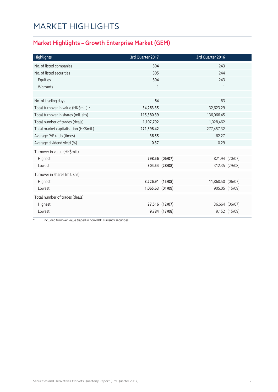## MARKET HIGHLIGHTS

### **Market Highlights – Growth Enterprise Market (GEM)**

| <b>Highlights</b>                      | 3rd Quarter 2017 |                | 3rd Quarter 2016  |                |
|----------------------------------------|------------------|----------------|-------------------|----------------|
| No. of listed companies                | 304              |                | 243               |                |
| No. of listed securities               | 305              |                | 244               |                |
| Equities                               | 304              |                | 243               |                |
| Warrants                               | $\mathbf{1}$     |                | 1                 |                |
|                                        |                  |                |                   |                |
| No. of trading days                    | 64               |                | 63                |                |
| Total turnover in value (HK\$mil.) *   | 34,263.35        |                | 32,623.29         |                |
| Total turnover in shares (mil. shs)    | 115,380.39       |                | 136,066.45        |                |
| Total number of trades (deals)         | 1,107,792        |                | 1,028,462         |                |
| Total market capitalisation (HK\$mil.) | 271,598.42       |                | 277,457.32        |                |
| Average P/E ratio (times)              | 36.55            |                | 62.27             |                |
| Average dividend yield (%)             | 0.37             |                | 0.29              |                |
| Turnover in value (HK\$mil.)           |                  |                |                   |                |
| Highest                                |                  | 798.56 (06/07) |                   | 821.94 (20/07) |
| Lowest                                 |                  | 304.54 (28/08) |                   | 312.35 (29/08) |
| Turnover in shares (mil. shs)          |                  |                |                   |                |
| Highest                                | 3,226.91 (15/08) |                | 11,868.50 (06/07) |                |
| Lowest                                 | 1,065.63 (01/09) |                |                   | 905.05 (15/09) |
| Total number of trades (deals)         |                  |                |                   |                |
| Highest                                |                  | 27,516 (12/07) |                   | 36,664 (06/07) |
| Lowest                                 |                  | 9,784 (17/08)  |                   | 9,152 (15/09)  |

Included turnover value traded in non-HKD currency securities.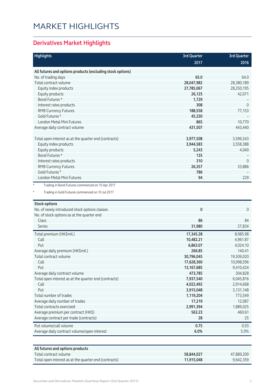## MARKET HIGHLIGHTS

### **Derivatives Market Highlights**

| <b>Highlights</b>                                                     | <b>3rd Quarter</b> | <b>3rd Quarter</b> |
|-----------------------------------------------------------------------|--------------------|--------------------|
|                                                                       | 2017               | 2016               |
| All futures and options products (excluding stock options)            |                    |                    |
| No. of trading days                                                   | 65.0               | 64.0               |
| Total contract volume                                                 | 28,047,982         | 28,380,189         |
| Equity index products                                                 | 27,785,067         | 28,250,195         |
| Equity products                                                       | 26,125             | 42,071             |
| Bond Futures *                                                        | 1,729              |                    |
| Interest rates products                                               | 308                | $\overline{0}$     |
| <b>RMB Currency Futures</b>                                           | 188,558            | 77,153             |
| Gold Futures <sup>#</sup>                                             | 45,330             |                    |
| London Metal Mini Futures                                             | 865                | 10,770             |
| Average daily contract volume                                         | 431,507            | 443,440            |
|                                                                       |                    |                    |
| Total open interest as at the quarter end (contracts)                 | 3,977,508          | 3,596,543          |
| Equity index products                                                 | 3,944,583          | 3,558,388          |
| Equity products                                                       | 5,243              | 4,040              |
| Bond Futures *                                                        | 135                |                    |
| Interest rates products                                               | 310                | $\overline{0}$     |
| <b>RMB Currency Futures</b>                                           | 26,357             | 33,886             |
| Gold Futures <sup>#</sup>                                             | 786                |                    |
| London Metal Mini Futures                                             | 94                 | 229                |
| Trading in Gold Futures commenced on 10 Jul 2017                      |                    |                    |
|                                                                       |                    |                    |
| <b>Stock options</b><br>No. of newly introduced stock options classes | 0                  | $\mathbf{0}$       |
| No. of stock options as at the quarter end                            |                    |                    |
| Class                                                                 | 86                 | 84                 |
| <b>Series</b>                                                         | 31,980             | 27,834             |
| Total premium (HK\$mil.)                                              | 17,345.28          | 8,985.98           |
| Call                                                                  | 10,482.21          | 4,961.87           |
| Put                                                                   | 6,863.07           | 4,024.10           |
| Average daily premium (HK\$mil.)                                      | 266.85             | 140.41             |
| Total contract volume                                                 | 30,796,045         | 19,509,020         |
| Call                                                                  | 17,628,360         | 10,098,596         |
| Put                                                                   | 13, 167, 685       | 9,410,424          |
| Average daily contract volume                                         | 473,785            | 304,828            |
| Total open interest as at the quarter end (contracts)                 | 7,937,540          | 6,045,816          |
| Call                                                                  | 4,022,492          | 2,914,668          |
| Put                                                                   | 3,915,048          | 3,131,148          |
| Total number of trades                                                | 1,119,204          | 773,549            |
| Average daily number of trades                                        | 17,219             | 12,087             |
| Total contracts exercised                                             | 2,991,394          | 1,889,025          |
| Average premium per contract (HK\$)                                   | 563.23             | 460.61             |
| Average contract per trade (contracts)                                | 28                 | 25                 |
| Put volume/call volume                                                | 0.75               | 0.93               |
| Average daily contract volume/open interest                           | 6.0%               | 5.0%               |

| All futures and options products                      |            |            |
|-------------------------------------------------------|------------|------------|
| Total contract volume                                 | 58.844.027 | 47,889,209 |
| Total open interest as at the quarter end (contracts) | 11.915.048 | 9,642,359  |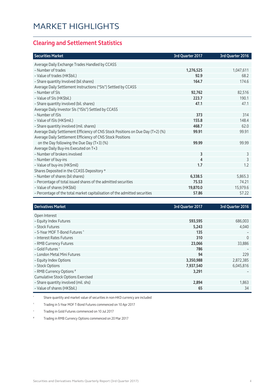#### **Clearing and Settlement Statistics**

| <b>Securities Market</b>                                                        | 3rd Quarter 2017 | 3rd Quarter 2016 |
|---------------------------------------------------------------------------------|------------------|------------------|
| Average Daily Exchange Trades Handled by CCASS                                  |                  |                  |
| - Number of trades                                                              | 1,276,525        | 1,047,611        |
| - Value of trades (HK\$bil.)                                                    | 92.9             | 68.2             |
| - Share quantity Involved (bil shares)                                          | 164.7            | 174.6            |
| Average Daily Settlement Instructions ("SIs") Settled by CCASS                  |                  |                  |
| - Number of SIs                                                                 | 92,762           | 82,516           |
| - Value of SIs (HK\$bil.)                                                       | 223.7            | 190.1            |
| - Share quantity involved (bil. shares)                                         | 47.1             | 47.1             |
| Average Daily Investor SIs ("ISIs") Settled by CCASS                            |                  |                  |
| - Number of ISIs                                                                | 373              | 314              |
| - Value of ISIs (HK\$mil.)                                                      | 155.8            | 148.4            |
| - Share quantity involved (mil. shares)                                         | 468.7            | 62.0             |
| Average Daily Settlement Efficiency of CNS Stock Positions on Due Day (T+2) (%) | 99.91            | 99.91            |
| Average Daily Settlement Efficiency of CNS Stock Positions                      |                  |                  |
| on the Day following the Due Day (T+3) (%)                                      | 99.99            | 99.99            |
| Average Daily Buy-ins Executed on T+3                                           |                  |                  |
| - Number of brokers involved                                                    | 3                | 3                |
| - Number of buy-ins                                                             | 4                | 3                |
| - Value of buy-ins (HK\$mil)                                                    | 1.7              | 1.2              |
| Shares Deposited in the CCASS Depository *                                      |                  |                  |
| - Number of shares (bil shares)                                                 | 6,338.5          | 5,865.3          |
| - Percentage of total issued shares of the admitted securities                  | 75.53            | 74.21            |
| - Value of shares (HK\$bil)                                                     | 19,870.0         | 15,979.6         |
| - Percentage of the total market capitalisation of the admitted securities      | 57.86            | 57.22            |

| <b>Derivatives Market</b>                 | 3rd Quarter 2017 | 3rd Quarter 2016 |
|-------------------------------------------|------------------|------------------|
|                                           |                  |                  |
| Open Interest                             |                  |                  |
| - Equity Index Futures                    | 593,595          | 686,003          |
| - Stock Futures                           | 5,243            | 4,040            |
| - 5-Year MOF T-Bond Futures ^             | 135              |                  |
| - Interest Rates Futures                  | 310              | $\Omega$         |
| - RMB Currency Futures                    | 23,066           | 33,886           |
| - Gold Futures +                          | 786              |                  |
| - London Metal Mini Futures               | 94               | 229              |
| - Equity Index Options                    | 3,350,988        | 2,872,385        |
| - Stock Options                           | 7,937,540        | 6,045,816        |
| - RMB Currency Options #                  | 3,291            |                  |
| <b>Cumulative Stock Options Exercised</b> |                  |                  |
| - Share quantity involved (mil. shs)      | 2,894            | 1,863            |
| - Value of shares (HK\$bil.)              | 65               | 34               |

\* Share quantity and market value of securities in non-HKD currency are included

^ Trading in 5-Year MOF T-Bond Futures commenced on 10 Apr 2017

+ Trading in Gold Futures commenced on 10 Jul 2017

# Trading in RMB Currency Options commenced on 20 Mar 2017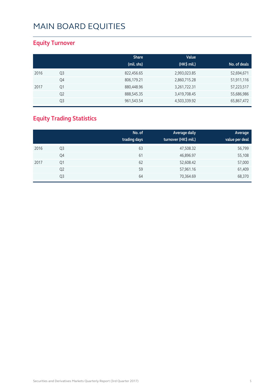### **Equity Turnover**

|      |                | <b>Share</b><br>(mil. shs) | Value<br>(HK\$ mil.) | No. of deals |
|------|----------------|----------------------------|----------------------|--------------|
| 2016 | Q <sub>3</sub> | 822,456.65                 | 2,993,023.85         | 52,694,671   |
|      | Q4             | 806,179.21                 | 2,860,715.28         | 51,911,116   |
| 2017 | Q1             | 880,448.96                 | 3,261,722.31         | 57,223,517   |
|      | Q <sub>2</sub> | 888,545.35                 | 3,419,708.45         | 55,686,986   |
|      | Q3             | 961,543.54                 | 4,503,339.92         | 65,867,472   |

### **Equity Trading Statistics**

|      |                | No. of<br>trading days | Average daily<br>turnover (HK\$ mil.) | Average<br>value per deal |
|------|----------------|------------------------|---------------------------------------|---------------------------|
| 2016 | Q3             | 63                     | 47,508.32                             | 56,799                    |
|      | Q4             | 61                     | 46,896.97                             | 55,108                    |
| 2017 | Q1             | 62                     | 52,608.42                             | 57,000                    |
|      | Q <sub>2</sub> | 59                     | 57,961.16                             | 61,409                    |
|      | Q3             | 64                     | 70,364.69                             | 68,370                    |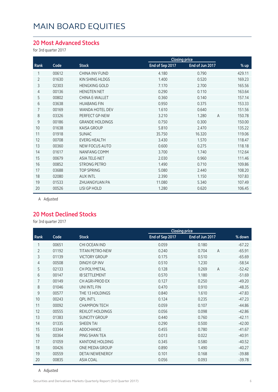#### **20 Most Advanced Stocks**

for 3rd quarter 2017

|                |       |                        | <b>Closing price</b> |                 |                          |
|----------------|-------|------------------------|----------------------|-----------------|--------------------------|
| Rank           | Code  | <b>Stock</b>           | End of Sep 2017      | End of Jun 2017 | % up                     |
| 1              | 00612 | <b>CHINA INV FUND</b>  | 4.180                | 0.790           | 429.11                   |
| $\overline{2}$ | 01630 | KIN SHING HLDGS        | 1.400                | 0.520           | 169.23                   |
| 3              | 02303 | <b>HENGXING GOLD</b>   | 7.170                | 2.700           | 165.56                   |
| $\overline{4}$ | 00136 | <b>HENGTEN NET</b>     | 0.290                | 0.110           | 163.64                   |
| 5              | 00802 | CHINA E-WALLET         | 0.360                | 0.140           | 157.14                   |
| 6              | 03638 | <b>HUABANG FIN</b>     | 0.950                | 0.375           | 153.33                   |
| 7              | 00169 | <b>WANDA HOTEL DEV</b> | 1.610                | 0.640           | 151.56                   |
| 8              | 03326 | PERFECT GP-NEW         | 3.210                | 1.280           | 150.78<br>$\overline{A}$ |
| 9              | 00186 | <b>GRANDE HOLDINGS</b> | 0.750                | 0.300           | 150.00                   |
| 10             | 01638 | <b>KAISA GROUP</b>     | 5.810                | 2.470           | 135.22                   |
| 11             | 01918 | <b>SUNAC</b>           | 35.750               | 16.320          | 119.06                   |
| 12             | 00708 | <b>EVERG HEALTH</b>    | 3.430                | 1.570           | 118.47                   |
| 13             | 00360 | <b>NEW FOCUS AUTO</b>  | 0.600                | 0.275           | 118.18                   |
| 14             | 01617 | <b>NANFANG COMM</b>    | 3.700                | 1.740           | 112.64                   |
| 15             | 00679 | <b>ASIA TELE-NET</b>   | 2.030                | 0.960           | 111.46                   |
| 16             | 00852 | <b>STRONG PETRO</b>    | 1.490                | 0.710           | 109.86                   |
| 17             | 03688 | <b>TOP SPRING</b>      | 5.080                | 2.440           | 108.20                   |
| 18             | 02080 | <b>AUX INTL</b>        | 2.390                | 1.150           | 107.83                   |
| 19             | 01533 | ZHUANGYUAN PA          | 11.080               | 5.340           | 107.49                   |
| 20             | 00526 | <b>LISI GP HOLD</b>    | 1.280                | 0.620           | 106.45                   |
|                |       |                        |                      |                 |                          |

A Adjusted

#### **20 Most Declined Stocks**

for 3rd quarter 2017

|                |       |                        | <b>Closing price</b> |                         |          |
|----------------|-------|------------------------|----------------------|-------------------------|----------|
| Rank           | Code  | <b>Stock</b>           | End of Sep 2017      | End of Jun 2017         | % down   |
| 1              | 00651 | CHI OCEAN IND          | 0.059                | 0.180                   | $-67.22$ |
| $\overline{2}$ | 01192 | <b>TITAN PETRO-NEW</b> | 0.240                | 0.704<br>$\overline{A}$ | $-65.91$ |
| 3              | 01139 | <b>VICTORY GROUP</b>   | 0.175                | 0.510                   | $-65.69$ |
| $\overline{4}$ | 00508 | <b>DINGYI GP INV</b>   | 0.510                | 1.230                   | $-58.54$ |
| 5              | 02133 | CH POLYMETAL           | 0.128                | 0.269<br>$\overline{A}$ | $-52.42$ |
| 6              | 00147 | <b>IB SETTLEMENT</b>   | 0.570                | 1.180                   | $-51.69$ |
| 7              | 00149 | CH AGRI-PROD EX        | 0.127                | 0.250                   | $-49.20$ |
| 8              | 01046 | UNI INTL FIN           | 0.470                | 0.910                   | $-48.35$ |
| 9              | 00577 | THE 13 HOLDINGS        | 0.840                | 1.610                   | $-47.83$ |
| 10             | 00243 | <b>QPL INT'L</b>       | 0.124                | 0.235                   | $-47.23$ |
| 11             | 00092 | <b>CHAMPION TECH</b>   | 0.059                | 0.107                   | $-44.86$ |
| 12             | 00555 | <b>REXLOT HOLDINGS</b> | 0.056                | 0.098                   | $-42.86$ |
| 13             | 01383 | <b>SUNCITY GROUP</b>   | 0.440                | 0.760                   | $-42.11$ |
| 14             | 01335 | <b>SHEEN TAI</b>       | 0.290                | 0.500                   | $-42.00$ |
| 15             | 03344 | ADDCHANCE              | 0.455                | 0.780                   | $-41.67$ |
| 16             | 00364 | PING SHAN TEA          | 0.013                | 0.022                   | $-40.91$ |
| 17             | 01059 | <b>KANTONE HOLDING</b> | 0.345                | 0.580                   | $-40.52$ |
| 18             | 00426 | ONE MEDIA GROUP        | 0.890                | 1.490                   | $-40.27$ |
| 19             | 00559 | <b>DETAI NEWENERGY</b> | 0.101                | 0.168                   | $-39.88$ |
| 20             | 00835 | <b>ASIA COAL</b>       | 0.056                | 0.093                   | $-39.78$ |

A Adjusted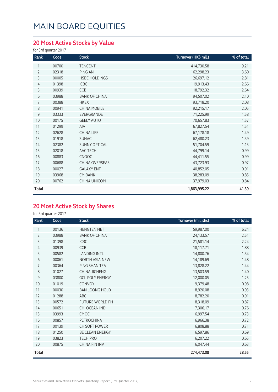### **20 Most Active Stocks by Value**

for 3rd quarter 2017

| Rank           | Code  | <b>Stock</b>         | Turnover (HK\$ mil.) | % of total |
|----------------|-------|----------------------|----------------------|------------|
| 1              | 00700 | <b>TENCENT</b>       | 414,730.58           | 9.21       |
| $\overline{2}$ | 02318 | PING AN              | 162,298.23           | 3.60       |
| 3              | 00005 | <b>HSBC HOLDINGS</b> | 126,697.12           | 2.81       |
| 4              | 01398 | <b>ICBC</b>          | 119,913.43           | 2.66       |
| 5              | 00939 | CCB                  | 118,792.32           | 2.64       |
| 6              | 03988 | <b>BANK OF CHINA</b> | 94,507.02            | 2.10       |
| 7              | 00388 | <b>HKEX</b>          | 93,718.20            | 2.08       |
| 8              | 00941 | <b>CHINA MOBILE</b>  | 92,215.17            | 2.05       |
| 9              | 03333 | EVERGRANDE           | 71,225.99            | 1.58       |
| 10             | 00175 | <b>GEELY AUTO</b>    | 70,657.83            | 1.57       |
| 11             | 01299 | <b>AIA</b>           | 67,827.54            | 1.51       |
| 12             | 02628 | CHINA LIFE           | 67,178.18            | 1.49       |
| 13             | 01918 | <b>SUNAC</b>         | 62,480.23            | 1.39       |
| 14             | 02382 | <b>SUNNY OPTICAL</b> | 51,704.59            | 1.15       |
| 15             | 02018 | AAC TECH             | 44,799.14            | 0.99       |
| 16             | 00883 | <b>CNOOC</b>         | 44,411.55            | 0.99       |
| 17             | 00688 | CHINA OVERSEAS       | 43,723.93            | 0.97       |
| 18             | 00027 | <b>GALAXY ENT</b>    | 40,852.05            | 0.91       |
| 19             | 03968 | <b>CM BANK</b>       | 38,283.09            | 0.85       |
| 20             | 00762 | CHINA UNICOM         | 37,979.03            | 0.84       |
| Total          |       |                      | 1,863,995.22         | 41.39      |

### **20 Most Active Stock by Shares**

for 3rd quarter 2017

| Rank           | Code  | <b>Stock</b>           | Turnover (mil. shs) | % of total |
|----------------|-------|------------------------|---------------------|------------|
| 1              | 00136 | <b>HENGTEN NET</b>     | 59,987.00           | 6.24       |
| $\overline{2}$ | 03988 | <b>BANK OF CHINA</b>   | 24,133.57           | 2.51       |
| 3              | 01398 | <b>ICBC</b>            | 21,581.14           | 2.24       |
| 4              | 00939 | CCB                    | 18,117.71           | 1.88       |
| 5              | 00582 | <b>LANDING INTL</b>    | 14,800.76           | 1.54       |
| 6              | 00061 | NORTH ASIA-NEW         | 14,189.69           | 1.48       |
| $\overline{7}$ | 00364 | PING SHAN TEA          | 13,828.22           | 1.44       |
| 8              | 01027 | CHINA JICHENG          | 13,503.59           | 1.40       |
| 9              | 03800 | <b>GCL-POLY ENERGY</b> | 12,000.05           | 1.25       |
| 10             | 01019 | CONVOY                 | 9,379.48            | 0.98       |
| 11             | 00030 | <b>BAN LOONG HOLD</b>  | 8,920.08            | 0.93       |
| 12             | 01288 | ABC                    | 8,782.20            | 0.91       |
| 13             | 00572 | FUTURE WORLD FH        | 8,318.09            | 0.87       |
| 14             | 00651 | CHI OCEAN IND          | 7,306.17            | 0.76       |
| 15             | 03993 | <b>CMOC</b>            | 6,997.54            | 0.73       |
| 16             | 00857 | PETROCHINA             | 6,966.38            | 0.72       |
| 17             | 00139 | CH SOFT POWER          | 6,808.88            | 0.71       |
| 18             | 01250 | BE CLEAN ENERGY        | 6,597.86            | 0.69       |
| 19             | 03823 | <b>TECH PRO</b>        | 6,207.22            | 0.65       |
| 20             | 00875 | CHINA FIN INV          | 6,047.44            | 0.63       |
| Total          |       |                        | 274,473.08          | 28.55      |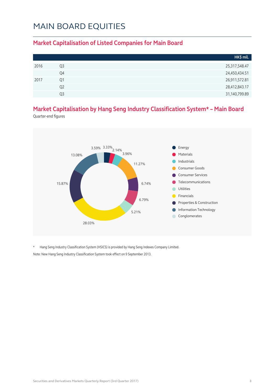#### **Market Capitalisation of Listed Companies for Main Board**

|      |                | HK\$ mil.     |
|------|----------------|---------------|
| 2016 | Q3             | 25,317,548.47 |
|      | Q4             | 24,450,434.51 |
| 2017 | Q1             | 26,911,572.81 |
|      | Q <sub>2</sub> | 28,412,843.17 |
|      | Q3             | 31,140,799.89 |

### **Market Capitalisation by Hang Seng Industry Classification System\* – Main Board**

Quarter-end figures



\* Hang Seng Industry Classification System (HSICS) is provided by Hang Seng Indexes Company Limited. Note: New Hang Seng Industry Classification System took effect on 9 September 2013.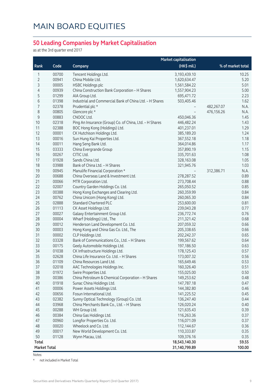#### **50 Leading Companies by Market Capitalisation**

as at the 3rd quarter end 2017

|              |       |                                                         | <b>Market capitalisation</b> |                    |
|--------------|-------|---------------------------------------------------------|------------------------------|--------------------|
| Rank         | Code  | Company                                                 | (HK\$ mil.)                  | % of market total  |
| 1            | 00700 | Tencent Holdings Ltd.                                   | 3,193,439.10                 | 10.25              |
| 2            | 00941 | China Mobile Ltd.                                       | 1,620,634.47                 | 5.20               |
| 3            | 00005 | <b>HSBC Holdings plc</b>                                | 1,561,584.22                 | 5.01               |
| 4            | 00939 | China Construction Bank Corporation - H Shares          | 1,557,904.23                 | 5.00               |
| 5            | 01299 | AIA Group Ltd.                                          | 695,471.72                   | 2.23               |
| 6            | 01398 | Industrial and Commercial Bank of China Ltd. - H Shares | 503,405.46                   | 1.62               |
| 7            | 02378 | Prudential plc *                                        |                              | 482,267.07<br>N.A. |
| 8            | 00805 | Glencore plc *                                          | $\overline{\phantom{a}}$     | 476,156.26<br>N.A. |
| $\mathsf 9$  | 00883 | CNOOC Ltd.                                              | 450,046.36                   | 1.45               |
| 10           | 02318 | Ping An Insurance (Group) Co. of China, Ltd. - H Shares | 446,482.24                   | 1.43               |
| 11           | 02388 | BOC Hong Kong (Holdings) Ltd.                           | 401,237.01                   | 1.29               |
| 12           | 00001 | CK Hutchison Holdings Ltd.                              | 385,189.20                   | 1.24               |
| 13           | 00016 | Sun Hung Kai Properties Ltd.                            | 367,552.18                   | 1.18               |
| 14           | 00011 | Hang Seng Bank Ltd.                                     | 364,014.86                   | 1.17               |
| 15           | 03333 | China Evergrande Group                                  | 357,890.19                   | 1.15               |
| 16           | 00267 | CITIC Ltd.                                              | 335,701.63                   | 1.08               |
| 17           | 01928 | Sands China Ltd.                                        | 328,163.08                   | 1.05               |
| 18           | 03988 | Bank of China Ltd. - H Shares                           | 321,945.76                   | 1.03               |
| 19           | 00945 | Manulife Financial Corporation *                        |                              | 312,386.71<br>N.A. |
| 20           | 00688 | China Overseas Land & Investment Ltd.                   | 278,287.52                   | 0.89               |
| 21           | 00066 | MTR Corporation Ltd.                                    | 273,708.44                   | 0.88               |
| 22           | 02007 | Country Garden Holdings Co. Ltd.                        | 265,050.52                   | 0.85               |
| 23           | 00388 | Hong Kong Exchanges and Clearing Ltd.                   | 260,359.99                   | 0.84               |
| 24           | 00762 | China Unicom (Hong Kong) Ltd.                           | 260,065.30                   | 0.84               |
| 25           | 02888 | <b>Standard Chartered PLC</b>                           | 253,600.00                   | 0.81               |
| 26           | 01113 | CK Asset Holdings Ltd.                                  | 239,043.28                   | 0.77               |
| 27           | 00027 | Galaxy Entertainment Group Ltd.                         | 236,772.74                   | 0.76               |
| 28           | 00004 | Wharf (Holdings) Ltd., The                              | 211,321.42                   | 0.68               |
| 29           | 00012 | Henderson Land Development Co. Ltd.                     | 207,059.32                   | 0.66               |
| 30           | 00003 | Hong Kong and China Gas Co. Ltd., The                   | 205,338.65                   | 0.66               |
| 31           | 00002 | CLP Holdings Ltd.                                       | 202,242.37                   | 0.65               |
| 32           | 03328 | Bank of Communications Co., Ltd. - H Shares             | 199,567.62                   | 0.64               |
| 33           | 00175 | Geely Automobile Holdings Ltd.                          | 197,186.50                   | 0.63               |
| 34           | 01038 | CK Infrastructure Holdings Ltd.                         | 178,125.43                   | 0.57               |
| 35           | 02628 | China Life Insurance Co. Ltd. - H Shares                | 173,007.32                   | 0.56               |
| 36           | 01109 | China Resources Land Ltd.                               | 165,649.46                   | 0.53               |
| 37           | 02018 | AAC Technologies Holdings Inc.                          | 160,326.40                   | 0.51               |
| 38           | 01972 | Swire Properties Ltd.                                   | 155,025.00                   | 0.50               |
| 39           | 00386 | China Petroleum & Chemical Corporation - H Shares       | 149,253.62                   | 0.48               |
| 40           | 01918 | Sunac China Holdings Ltd.                               | 147,787.18                   | 0.47               |
| 41           | 00006 | Power Assets Holdings Ltd.                              | 144,382.80                   | 0.46               |
| 42           | 00656 | Fosun International Ltd.                                | 141,225.52                   | 0.45               |
| 43           | 02382 | Sunny Optical Technology (Group) Co. Ltd.               | 136,247.40                   | 0.44               |
| 44           | 03968 | China Merchants Bank Co., Ltd. - H Shares               | 126,020.24                   | 0.40               |
| 45           | 00288 | WH Group Ltd.                                           | 121,635.43                   | 0.39               |
| 46           | 00384 | China Gas Holdings Ltd.                                 | 116,263.36                   | 0.37               |
| 47           | 00960 | Longfor Properties Co. Ltd.                             | 116,071.09                   | 0.37               |
| 48           | 00020 | Wheelock and Co. Ltd.                                   | 112,144.67                   | 0.36               |
| 49           | 00017 | New World Development Co. Ltd.                          | 110,333.87                   | 0.35               |
| 50           | 01128 | Wynn Macau, Ltd.                                        | 109,376.16                   | 0.35               |
| <b>Total</b> |       |                                                         | 18,543,140.30                | 59.55              |
| Market Total |       |                                                         | 31,140,799.89                | 100.00             |

Notes:

\* not included in Market Total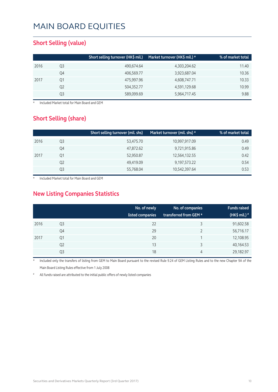#### **Short Selling (value)**

|    | Short selling turnover (HK\$ mil.) | Market turnover (HK\$ mil.) * | % of market total |
|----|------------------------------------|-------------------------------|-------------------|
| Q3 | 490,674.64                         | 4,303,204.62                  | 11.40             |
| Q4 | 406,569.77                         | 3,923,687.04                  | 10.36             |
| Q1 | 475,997.96                         | 4,608,747.71                  | 10.33             |
| Q2 | 504,352.77                         | 4,591,129.68                  | 10.99             |
| Q3 | 589,099.69                         | 5,964,717.45                  | 9.88              |
|    |                                    |                               |                   |

**Included Market total for Main Board and GEM** 

#### **Short Selling (share)**

|      |    | Short selling turnover (mil. shs) | Market turnover (mil. shs) $\star$ | % of market total |
|------|----|-----------------------------------|------------------------------------|-------------------|
| 2016 | Q3 | 53,475.70                         | 10,997,917.09                      | 0.49              |
|      | Q4 | 47,872.62                         | 9,721,915.86                       | 0.49              |
| 2017 | Q1 | 52,950.87                         | 12,564,132.55                      | 0.42              |
|      | Q2 | 49,419.09                         | 9,197,573.22                       | 0.54              |
|      | Q3 | 55,768.04                         | 10,542,397.64                      | 0.53              |

Included Market total for Main Board and GEM

### **New Listing Companies Statistics**

|      |                | No. of newly<br>listed companies | No. of companies<br>transferred from GEM * | <b>Funds raised</b><br>(HK\$ mil.) # |
|------|----------------|----------------------------------|--------------------------------------------|--------------------------------------|
| 2016 | Q3             | 22                               | 3                                          | 91,602.58                            |
|      | Q4             | 29                               |                                            | 56,716.17                            |
| 2017 | Q1             | 20                               |                                            | 12,108.95                            |
|      | Q <sub>2</sub> | 13                               | 3                                          | 40,164.53                            |
|      | Q3             | 18                               | 4                                          | 29,182.97                            |

Included only the transfers of listing from GEM to Main Board pursuant to the revised Rule 9.24 of GEM Listing Rules and to the new Chapter 9A of the Main Board Listing Rules effective from 1 July 2008

All funds raised are attributed to the initial public offers of newly listed companies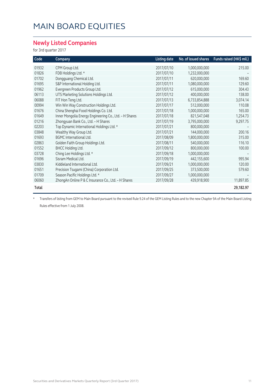#### **Newly Listed Companies**

for 3rd quarter 2017

| Code  | Company                                                | <b>Listing date</b> | No. of issued shares | Funds raised (HK\$ mil.) |
|-------|--------------------------------------------------------|---------------------|----------------------|--------------------------|
| 01932 | CPM Group Ltd.                                         | 2017/07/10          | 1,000,000,000        | 215.00                   |
| 01826 | FDB Holdings Ltd. *                                    | 2017/07/10          | 1,232,000,000        |                          |
| 01702 | Dongguang Chemical Ltd.                                | 2017/07/11          | 620,000,000          | 169.60                   |
| 01695 | S&P International Holding Ltd.                         | 2017/07/11          | 1,080,000,000        | 129.60                   |
| 01962 | Evergreen Products Group Ltd.                          | 2017/07/12          | 615,000,000          | 304.43                   |
| 06113 | UTS Marketing Solutions Holdings Ltd.                  | 2017/07/12          | 400,000,000          | 138.00                   |
| 06088 | FIT Hon Teng Ltd.                                      | 2017/07/13          | 6,733,854,888        | 3,074.14                 |
| 00994 | Win Win Way Construction Holdings Ltd.                 | 2017/07/17          | 512,000,000          | 110.08                   |
| 01676 | China Shenghai Food Holdings Co. Ltd.                  | 2017/07/18          | 1,000,000,000        | 165.00                   |
| 01649 | Inner Mongolia Energy Engineering Co., Ltd. - H Shares | 2017/07/18          | 821,547,048          | 1,254.73                 |
| 01216 | Zhongyuan Bank Co., Ltd. - H Shares                    | 2017/07/19          | 3,795,000,000        | 9,297.75                 |
| 02203 | Top Dynamic International Holdings Ltd. *              | 2017/07/21          | 800,000,000          |                          |
| 03848 | Wealthy Way Group Ltd.                                 | 2017/07/21          | 144,000,000          | 200.16                   |
| 01693 | <b>BGMC</b> International Ltd.                         | 2017/08/09          | 1,800,000,000        | 315.00                   |
| 02863 | Golden Faith Group Holdings Ltd.                       | 2017/08/11          | 540,000,000          | 116.10                   |
| 01552 | <b>BHCC Holding Ltd.</b>                               | 2017/09/12          | 800,000,000          | 100.00                   |
| 03728 | Ching Lee Holdings Ltd. *                              | 2017/09/18          | 1,000,000,000        |                          |
| 01696 | Sisram Medical Ltd.                                    | 2017/09/19          | 442,155,600          | 995.94                   |
| 03830 | Kiddieland International Ltd.                          | 2017/09/21          | 1,000,000,000        | 120.00                   |
| 01651 | Precision Tsugami (China) Corporation Ltd.             | 2017/09/25          | 373,500,000          | 579.60                   |
| 01709 | Season Pacific Holdings Ltd. *                         | 2017/09/27          | 1,000,000,000        |                          |
| 06060 | ZhongAn Online P & C Insurance Co., Ltd. - H Shares    | 2017/09/28          | 439,918,900          | 11,897.85                |
| Total |                                                        |                     |                      | 29,182.97                |

\* Transfers of listing from GEM to Main Board pursuant to the revised Rule 9.24 of the GEM Listing Rules and to the new Chapter 9A of the Main Board Listing Rules effective from 1 July 2008.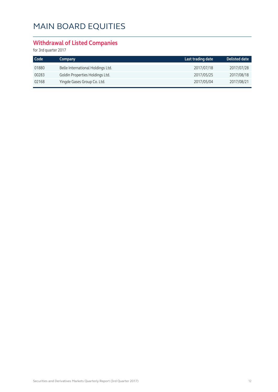### **Withdrawal of Listed Companies**

for 3rd quarter 2017

| Code <sup>1</sup> | Company                           | Last trading date | Delisted date |
|-------------------|-----------------------------------|-------------------|---------------|
| 01880             | Belle International Holdings Ltd. | 2017/07/18        | 2017/07/28    |
| 00283             | Goldin Properties Holdings Ltd.   | 2017/05/25        | 2017/08/18    |
| 02168             | Yingde Gases Group Co. Ltd.       | 2017/05/04        | 2017/08/21    |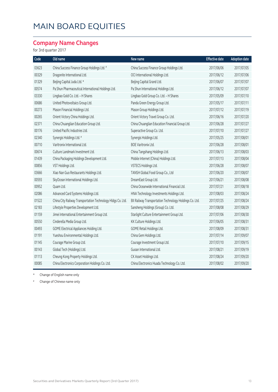#### **Company Name Changes**

for 3rd quarter 2017

| Code  | Old name                                                    | New name                                                | <b>Effective date</b> | <b>Adoption date</b> |
|-------|-------------------------------------------------------------|---------------------------------------------------------|-----------------------|----------------------|
| 03623 | China Success Finance Group Holdings Ltd. #                 | China Success Finance Group Holdings Ltd.               | 2017/06/06            | 2017/07/05           |
| 00329 | Dragonite International Ltd.                                | OCI International Holdings Ltd.                         | 2017/06/12            | 2017/07/06           |
| 01329 | Beijing Capital Juda Ltd. *                                 | Beijing Capital Grand Ltd.                              | 2017/06/07            | 2017/07/07           |
| 00574 | Pa Shun Pharmaceutical International Holdings Ltd.          | Pa Shun International Holdings Ltd.                     | 2017/06/12            | 2017/07/07           |
| 03330 | Lingbao Gold Co. Ltd. - H Shares                            | Lingbao Gold Group Co. Ltd. - H Shares                  | 2017/05/09            | 2017/07/10           |
| 00686 | United Photovoltaics Group Ltd.                             | Panda Green Energy Group Ltd.                           | 2017/05/17            | 2017/07/11           |
| 00273 | Mason Financial Holdings Ltd.                               | Mason Group Holdings Ltd.                               | 2017/07/12            | 2017/07/19           |
| 00265 | Orient Victory China Holdings Ltd.                          | Orient Victory Travel Group Co. Ltd.                    | 2017/06/16            | 2017/07/20           |
| 02371 | China Chuanglian Education Group Ltd.                       | China Chuanglian Education Financial Group Ltd.         | 2017/06/28            | 2017/07/27           |
| 00176 | United Pacific Industries Ltd.                              | Superactive Group Co. Ltd.                              | 2017/07/10            | 2017/07/27           |
| 02340 | Synergis Holdings Ltd. #                                    | Synergis Holdings Ltd.                                  | 2017/05/25            | 2017/08/01           |
| 00710 | Varitronix International Ltd.                               | <b>BOE Varitronix Ltd.</b>                              | 2017/06/28            | 2017/08/01           |
| 00674 | Culture Landmark Investment Ltd.                            | China Tangshang Holdings Ltd.                           | 2017/06/13            | 2017/08/03           |
| 01439 | China Packaging Holdings Development Ltd.                   | Mobile Internet (China) Holdings Ltd.                   | 2017/07/13            | 2017/08/04           |
| 00856 | VST Holdings Ltd.                                           | VSTECS Holdings Ltd.                                    | 2017/06/28            | 2017/08/07           |
| 03666 | Xiao Nan Guo Restaurants Holdings Ltd.                      | TANSH Global Food Group Co., Ltd                        | 2017/06/20            | 2017/08/07           |
| 00593 | SkyOcean International Holdings Ltd.                        | DreamEast Group Ltd.                                    | 2017/06/21            | 2017/08/08           |
| 00952 | Quam Ltd.                                                   | China Oceanwide International Financial Ltd.            | 2017/07/21            | 2017/08/18           |
| 02086 | Advanced Card Systems Holdings Ltd.                         | HNA Technology Investments Holdings Ltd.                | 2017/08/03            | 2017/08/24           |
| 01522 | China City Railway Transportation Technology Hldgs Co. Ltd. | BII Railway Transportation Technology Holdings Co. Ltd. | 2017/07/25            | 2017/08/24           |
| 02183 | Lifestyle Properties Development Ltd.                       | Sansheng Holdings (Group) Co. Ltd.                      | 2017/08/08            | 2017/08/29           |
| 01159 | Jimei International Entertainment Group Ltd.                | Starlight Culture Entertainment Group Ltd.              | 2017/07/06            | 2017/08/30           |
| 00550 | Cinderella Media Group Ltd.                                 | KK Culture Holdings Ltd.                                | 2017/06/05            | 2017/08/31           |
| 00493 | GOME Electrical Appliances Holding Ltd.                     | GOME Retail Holdings Ltd.                               | 2017/08/09            | 2017/08/31           |
| 01191 | Yueshou Environmental Holdings Ltd.                         | China Gem Holdings Ltd.                                 | 2017/07/14            | 2017/09/07           |
| 01145 | Courage Marine Group Ltd.                                   | Courage Investment Group Ltd.                           | 2017/07/10            | 2017/09/15           |
| 00143 | Global Tech (Holdings) Ltd.                                 | Guoan International Ltd.                                | 2017/08/21            | 2017/09/19           |
| 01113 | Cheung Kong Property Holdings Ltd.                          | CK Asset Holdings Ltd.                                  | 2017/08/24            | 2017/09/20           |
| 00085 | China Electronics Corporation Holdings Co. Ltd.             | China Electronics Huada Technology Co. Ltd.             | 2017/08/02            | 2017/09/20           |

\* Change of English name only

Change of Chinese name only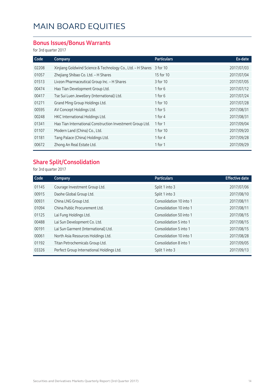#### **Bonus Issues/Bonus Warrants**

for 3rd quarter 2017

| Code  | Company                                                     | <b>Particulars</b> | Ex-date    |
|-------|-------------------------------------------------------------|--------------------|------------|
| 02208 | Xinjiang Goldwind Science & Technology Co., Ltd. - H Shares | 3 for 10           | 2017/07/03 |
| 01057 | Zhejiang Shibao Co. Ltd. - H Shares                         | 15 for 10          | 2017/07/04 |
| 01513 | Livzon Pharmaceutical Group Inc. - H Shares                 | 3 for 10           | 2017/07/05 |
| 00474 | Hao Tian Development Group Ltd.                             | 1 for 6            | 2017/07/12 |
| 00417 | Tse Sui Luen Jewellery (International) Ltd.                 | $1$ for $6$        | 2017/07/24 |
| 01271 | Grand Ming Group Holdings Ltd.                              | 1 for 10           | 2017/07/28 |
| 00595 | AV Concept Holdings Ltd.                                    | 1 for $5$          | 2017/08/31 |
| 00248 | HKC International Holdings Ltd.                             | 1 for 4            | 2017/08/31 |
| 01341 | Hao Tian International Construction Investment Group Ltd.   | 1 for $1$          | 2017/09/04 |
| 01107 | Modern Land (China) Co., Ltd.                               | 1 for 10           | 2017/09/20 |
| 01181 | Tang Palace (China) Holdings Ltd.                           | 1 for 4            | 2017/09/28 |
| 00672 | Zhong An Real Estate Ltd.                                   | 1 for 1            | 2017/09/29 |

### **Share Split/Consolidation**

for 3rd quarter 2017

| Company                                   | <b>Particulars</b>      | <b>Effective date</b> |
|-------------------------------------------|-------------------------|-----------------------|
| Courage Investment Group Ltd.             | Split 1 into 3          | 2017/07/06            |
| Daohe Global Group Ltd.                   | Split 1 into 3          | 2017/08/10            |
| China LNG Group Ltd.                      | Consolidation 10 into 1 | 2017/08/11            |
| China Public Procurement Ltd.             | Consolidation 10 into 1 | 2017/08/11            |
| Lai Fung Holdings Ltd.                    | Consolidation 50 into 1 | 2017/08/15            |
| Lai Sun Development Co. Ltd.              | Consolidation 5 into 1  | 2017/08/15            |
| Lai Sun Garment (International) Ltd.      | Consolidation 5 into 1  | 2017/08/15            |
| North Asia Resources Holdings Ltd.        | Consolidation 10 into 1 | 2017/08/28            |
| Titan Petrochemicals Group Ltd.           | Consolidation 8 into 1  | 2017/09/05            |
| Perfect Group International Holdings Ltd. | Split 1 into 3          | 2017/09/13            |
|                                           |                         |                       |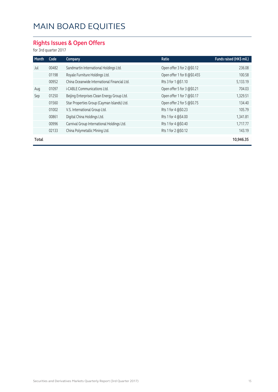### **Rights Issues & Open Offers**

for 3rd quarter 2017

| Month | Code  | Company                                      | <b>Ratio</b>                | Funds raised (HK\$ mil.) |
|-------|-------|----------------------------------------------|-----------------------------|--------------------------|
| Jul   | 00482 | Sandmartin International Holdings Ltd.       | Open offer 3 for 2 @\$0.12  | 236.08                   |
|       | 01198 | Royale Furniture Holdings Ltd.               | Open offer 1 for 8 @\$0.455 | 100.58                   |
|       | 00952 | China Oceanwide International Financial Ltd. | Rts 3 for 1 @\$1.10         | 5,133.19                 |
| Aug   | 01097 | i-CABLE Communications Ltd.                  | Open offer 5 for 3 @\$0.21  | 704.03                   |
| Sep   | 01250 | Beijing Enterprises Clean Energy Group Ltd.  | Open offer 1 for 7 @\$0.17  | 1,329.51                 |
|       | 01560 | Star Properties Group (Cayman Islands) Ltd.  | Open offer 2 for 5 @\$0.75  | 134.40                   |
|       | 01002 | V.S. International Group Ltd.                | Rts 1 for 4 @\$0.23         | 105.79                   |
|       | 00861 | Digital China Holdings Ltd.                  | Rts 1 for 4 @\$4.00         | 1,341.81                 |
|       | 00996 | Carnival Group International Holdings Ltd.   | Rts 1 for 4 @\$0.40         | 1,717.77                 |
|       | 02133 | China Polymetallic Mining Ltd.               | Rts 1 for 2 @\$0.12         | 143.19                   |
| Total |       |                                              |                             | 10,946.35                |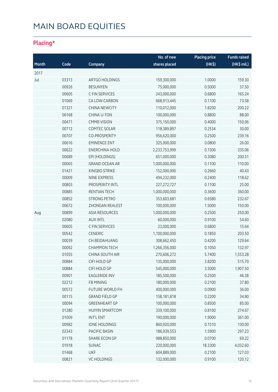### **Placing\***

|       |       |                        | No. of new    | <b>Placing price</b> | <b>Funds raised</b> |
|-------|-------|------------------------|---------------|----------------------|---------------------|
| Month | Code  | Company                | shares placed | $(HK$ \$)            | (HK\$ mil.)         |
| 2017  |       |                        |               |                      |                     |
| Jul   | 03313 | ARTGO HOLDINGS         | 159,300,000   | 1.0000               | 159.30              |
|       | 00926 | <b>BESUNYEN</b>        | 75,000,000    | 0.5000               | 37.50               |
|       | 00605 | C FIN SERVICES         | 243,000,000   | 0.6800               | 165.24              |
|       | 01069 | CA LOW-CARBON          | 668,913,445   | 0.1100               | 73.58               |
|       | 01321 | <b>CHINA NEWCITY</b>   | 110,012,000   | 1.8200               | 200.22              |
|       | 06168 | CHINA U-TON            | 100,000,000   | 0.8800               | 88.00               |
|       | 00471 | <b>CMMB VISION</b>     | 375,150,000   | 0.4000               | 150.06              |
|       | 00712 | COMTEC SOLAR           | 118,389,897   | 0.2534               | 30.00               |
|       | 00707 | <b>CO-PROSPERITY</b>   | 956,620,000   | 0.2500               | 239.16              |
|       | 00616 | <b>EMINENCE ENT</b>    | 325,000,000   | 0.0800               | 26.00               |
|       | 00622 | <b>ENERCHINA HOLD</b>  | 2,233,753,999 | 0.1500               | 335.06              |
|       | 00689 | EPI (HOLDINGS)         | 651,000,000   | 0.3080               | 200.51              |
|       | 00065 | <b>GRAND OCEAN AR</b>  | 1,000,000,000 | 0.1100               | 110.00              |
|       | 01421 | <b>KINGBO STRIKE</b>   | 152,000,000   | 0.2660               | 40.43               |
|       | 00009 | <b>NINE EXPRESS</b>    | 494,232,000   | 0.2400               | 118.62              |
|       | 00803 | PROSPERITY INTL        | 227, 272, 727 | 0.1100               | 25.00               |
|       | 00885 | RENTIAN TECH           | 1,000,000,000 | 0.3600               | 360.00              |
|       | 00852 | <b>STRONG PETRO</b>    | 353,603,681   | 0.6580               | 232.67              |
|       | 00672 | ZHONGAN REALEST        | 100,000,000   | 1.5000               | 150.00              |
| Aug   | 00899 | <b>ASIA RESOURCES</b>  | 1,000,000,000 | 0.2500               | 250.00              |
|       | 02080 | <b>AUX INTL</b>        | 60,000,000    | 0.9100               | 54.60               |
|       | 00605 | C FIN SERVICES         | 23,000,000    | 0.6800               | 15.64               |
|       | 00542 | <b>CENERIC</b>         | 1,100,000,000 | 0.1850               | 203.50              |
|       | 00039 | <b>CH BEIDAHUANG</b>   | 308,662,450   | 0.4200               | 129.64              |
|       | 00092 | <b>CHAMPION TECH</b>   | 1,266,356,000 | 0.1050               | 132.97              |
|       | 01055 | CHINA SOUTH AIR        | 270,606,272   | 5.7400               | 1,553.28            |
|       | 00884 | CIFI HOLD GP           | 135,000,000   | 3.8200               | 515.70              |
|       | 00884 | CIFI HOLD GP           | 545,000,000   | 3.5000               | 1,907.50            |
|       | 00901 | <b>EAGLERIDE INV</b>   | 185,500,000   | 0.2500               | 46.38               |
|       | 02212 | FB MINING              | 180,000,000   | 0.2100               | 37.80               |
|       | 00572 | FUTURE WORLD FH        | 400,000,000   | 0.0900               | 36.00               |
|       | 00115 | <b>GRAND FIELD GP</b>  | 158,181,818   | 0.2200               | 34.80               |
|       | 00094 | <b>GREENHEART GP</b>   | 100,000,000   | 0.8500               | 85.00               |
|       | 01280 | <b>HUIYIN SMARTCOM</b> | 339,100,000   | 0.8100               | 274.67              |
|       | 01009 | INT'L ENT              | 190,000,000   | 1.9000               | 361.00              |
|       | 00982 | <b>IONE HOLDINGS</b>   | 860,920,000   | 0.1510               | 130.00              |
|       | 02343 | PACIFIC BASIN          | 186,939,553   | 1.5900               | 297.23              |
|       | 01178 | SHARE ECON GP          | 988,850,000   | 0.0700               | 69.22               |
|       | 01918 | <b>SUNAC</b>           | 220,000,000   | 18.3300              | 4,032.60            |
|       | 01468 | <b>UKF</b>             | 604,889,000   | 0.2100               | 127.03              |
|       | 00821 | <b>VC HOLDINGS</b>     | 132,000,000   | 0.9100               | 120.12              |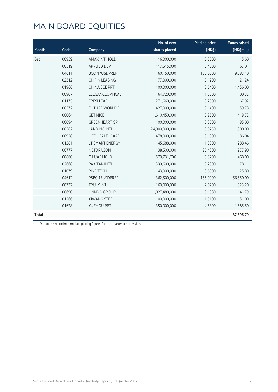|              |       |                        | No. of new     | <b>Placing price</b> | <b>Funds raised</b> |
|--------------|-------|------------------------|----------------|----------------------|---------------------|
| Month        | Code  | Company                | shares placed  | $(HK$ \$)            | (HK\$mil.)          |
| Sep          | 00959 | <b>AMAX INT HOLD</b>   | 16,000,000     | 0.3500               | 5.60                |
|              | 00519 | <b>APPLIED DEV</b>     | 417,515,000    | 0.4000               | 167.01              |
|              | 04611 | <b>BQD 17USDPREF</b>   | 60,150,000     | 156.0000             | 9,383.40            |
|              | 02312 | CH FIN LEASING         | 177,000,000    | 0.1200               | 21.24               |
|              | 01966 | <b>CHINA SCE PPT</b>   | 400,000,000    | 3.6400               | 1,456.00            |
|              | 00907 | ELEGANCEOPTICAL        | 64,720,000     | 1.5500               | 100.32              |
|              | 01175 | <b>FRESH EXP</b>       | 271,660,000    | 0.2500               | 67.92               |
|              | 00572 | <b>FUTURE WORLD FH</b> | 427,000,000    | 0.1400               | 59.78               |
|              | 00064 | <b>GET NICE</b>        | 1,610,450,000  | 0.2600               | 418.72              |
|              | 00094 | <b>GREENHEART GP</b>   | 100,000,000    | 0.8500               | 85.00               |
|              | 00582 | <b>LANDING INTL</b>    | 24,000,000,000 | 0.0750               | 1,800.00            |
|              | 00928 | LIFE HEALTHCARE        | 478,000,000    | 0.1800               | 86.04               |
|              | 01281 | LT SMART ENERGY        | 145,688,000    | 1.9800               | 288.46              |
|              | 00777 | <b>NETDRAGON</b>       | 38,500,000     | 25.4000              | 977.90              |
|              | 00860 | O LUXE HOLD            | 570,731,706    | 0.8200               | 468.00              |
|              | 02668 | PAK TAK INT'L          | 339,600,000    | 0.2300               | 78.11               |
|              | 01079 | PINE TECH              | 43,000,000     | 0.6000               | 25.80               |
|              | 04612 | PSBC 17USDPREF         | 362,500,000    | 156.0000             | 56,550.00           |
|              | 00732 | <b>TRULY INT'L</b>     | 160,000,000    | 2.0200               | 323.20              |
|              | 00690 | UNI-BIO GROUP          | 1,027,480,000  | 0.1380               | 141.79              |
|              | 01266 | <b>XIWANG STEEL</b>    | 100,000,000    | 1.5100               | 151.00              |
|              | 01628 | YUZHOU PPT             | 350,000,000    | 4.5300               | 1,585.50            |
| <b>Total</b> |       |                        |                |                      | 87,396.79           |

\* Due to the reporting time-lag, placing figures for the quarter are provisional.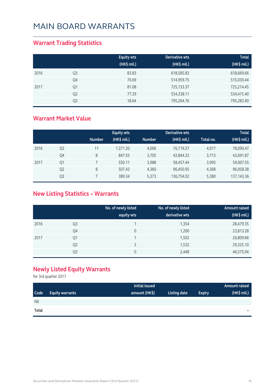### **Warrant Trading Statistics**

|      |                | <b>Equity wts</b><br>(HK\$ mil.) | Derivative wts<br>(HK\$ mil.) | <b>Total</b><br>(HK\$ mil.) |
|------|----------------|----------------------------------|-------------------------------|-----------------------------|
| 2016 | Q <sub>3</sub> | 83.83                            | 618,585.83                    | 618,669.66                  |
|      | Q4             | 70.69                            | 514,959.75                    | 515,030.44                  |
| 2017 | Q1             | 81.08                            | 725,133.37                    | 725,214.45                  |
|      | Q <sub>2</sub> | 77.29                            | 534,338.11                    | 534,415.40                  |
|      | Q <sub>3</sub> | 18.64                            | 795,264.76                    | 795,283.40                  |

#### **Warrant Market Value**

|      |                | <b>Number</b> | <b>Equity wts</b><br>(HK\$ mil.) | <b>Number</b> | Derivative wts<br>(HK\$ mil.) | Total no. | <b>Total</b><br>(HK\$ mil.) |
|------|----------------|---------------|----------------------------------|---------------|-------------------------------|-----------|-----------------------------|
|      |                |               |                                  |               |                               |           |                             |
| 2016 | Q3             | 11            | 1.371.20                         | 4.006         | 76,719.27                     | 4.017     | 78,090.47                   |
|      | Q4             | 8             | 847.55                           | 3,705         | 42,844.32                     | 3,713     | 43,691.87                   |
| 2017 | Q1             |               | 550.11                           | 3,988         | 58,457.44                     | 3,995     | 59,007.55                   |
|      | Q <sub>2</sub> | 8             | 507.43                           | 4.360         | 96,450.95                     | 4,368     | 96,958.38                   |
|      | Q3             |               | 389.34                           | 5,373         | 136,754.02                    | 5,380     | 137, 143. 36                |

### **New Listing Statistics – Warrants**

|      |                | No. of newly listed<br>equity wts | No. of newly listed<br>derivative wts | Amount raised<br>(HK\$ mil.) |
|------|----------------|-----------------------------------|---------------------------------------|------------------------------|
| 2016 | Q <sub>3</sub> |                                   | 1,354                                 | 28,479.35                    |
|      | Q4             | 0                                 | 1,200                                 | 23,813.28                    |
| 2017 | Q1             |                                   | 1,502                                 | 26,809.66                    |
|      | Q <sub>2</sub> | ς                                 | 1,532                                 | 29,325.10                    |
|      | Q3             | 0                                 | 2,448                                 | 46,575.04                    |

### **Newly Listed Equity Warrants**

for 3rd quarter 2017

|       |                        | Initial issued |              |               | Amount raised |
|-------|------------------------|----------------|--------------|---------------|---------------|
| Code  | <b>Equity warrants</b> | amount (HK\$)  | Listing date | <b>Expiry</b> | (HK\$ mil.)   |
| Nil   |                        |                |              |               |               |
| Total |                        |                |              |               | $\equiv$      |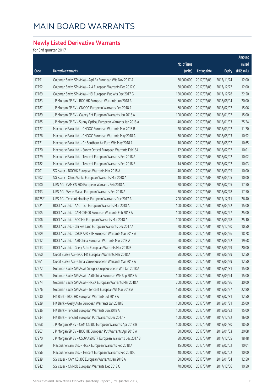### **Newly Listed Derivative Warrants**

for 3rd quarter 2017

|         |                                                               |              |                     |               | Amount      |
|---------|---------------------------------------------------------------|--------------|---------------------|---------------|-------------|
|         |                                                               | No. of issue |                     |               | raised      |
| Code    | Derivative warrants                                           | (units)      | <b>Listing date</b> | <b>Expiry</b> | (HK\$ mil.) |
| 17191   | Goldman Sachs SP (Asia) - Agri Bk European Wts Nov 2017 A     | 80,000,000   | 2017/07/03          | 2017/11/24    | 12.00       |
| 17192   | Goldman Sachs SP (Asia) - AIA European Warrants Dec 2017 C    | 80,000,000   | 2017/07/03          | 2017/12/22    | 12.00       |
| 17169   | Goldman Sachs SP (Asia) - HSI European Put Wts Dec 2017 G     | 150,000,000  | 2017/07/03          | 2017/12/28    | 22.50       |
| 17183   | J P Morgan SP BV - BOC HK European Warrants Jun 2018 A        | 80,000,000   | 2017/07/03          | 2018/06/04    | 20.00       |
| 17187   | J P Morgan SP BV - CNOOC European Warrants Feb 2018 A         | 60,000,000   | 2017/07/03          | 2018/02/02    | 15.06       |
| 17189   | J P Morgan SP BV - Galaxy Ent European Warrants Jan 2018 A    | 100,000,000  | 2017/07/03          | 2018/01/02    | 15.00       |
| 17185   | J P Morgan SP BV - Sunny Optical European Warrants Jan 2018 A | 40,000,000   | 2017/07/03          | 2018/01/03    | 25.24       |
| 17177   | Macquarie Bank Ltd. - CNOOC European Warrants Mar 2018 B      | 20,000,000   | 2017/07/03          | 2018/03/02    | 11.70       |
| 17176   | Macquarie Bank Ltd. - CNOOC European Warrants May 2018 A      | 30,000,000   | 2017/07/03          | 2018/05/03    | 10.92       |
| 17171   | Macquarie Bank Ltd. - Ch Southern Air Euro Wts May 2018 A     | 10,000,000   | 2017/07/03          | 2018/05/07    | 10.65       |
| 17170   | Macquarie Bank Ltd. - Sunny Optical European Warrants Feb18A  | 12,000,000   | 2017/07/03          | 2018/02/02    | 10.01       |
| 17179   | Macquarie Bank Ltd. - Tencent European Warrants Feb 2018 A    | 28,000,000   | 2017/07/03          | 2018/02/02    | 10.02       |
| 17182   | Macquarie Bank Ltd. - Tencent European Warrants Feb 2018 B    | 14,500,000   | 2017/07/03          | 2018/02/02    | 10.03       |
| 17201   | SG Issuer - BOCHK European Warrants Mar 2018 A                | 40,000,000   | 2017/07/03          | 2018/03/05    | 10.00       |
| 17202   | SG Issuer - China Vanke European Warrants Mar 2018 A          | 40,000,000   | 2017/07/03          | 2018/03/05    | 10.00       |
| 17200   | UBS AG - CAM CSI300 European Warrants Feb 2018 A              | 70,000,000   | 2017/07/03          | 2018/02/05    | 17.50       |
| 17193   | UBS AG - Wynn Macau European Warrants Feb 2018 A              | 70,000,000   | 2017/07/03          | 2018/02/28    | 17.50       |
| 16225 # | UBS AG - Tencent Holdings European Warrants Dec 2017 A        | 200,000,000  | 2017/07/03          | 2017/12/11    | 26.40       |
| 17221   | BOCI Asia Ltd. - AAC Tech European Warrants Mar 2018 A        | 100,000,000  | 2017/07/04          | 2018/03/22    | 15.00       |
| 17205   | BOCI Asia Ltd. - CAM CSI300 European Warrants Feb 2018 A      | 100,000,000  | 2017/07/04          | 2018/02/27    | 25.00       |
| 17206   | BOCI Asia Ltd. - BOC HK European Warrants Mar 2018 A          | 100,000,000  | 2017/07/04          | 2018/03/28    | 25.10       |
| 17225   | BOCI Asia Ltd. - Chi Res Land European Warrants Dec 2017 A    | 70,000,000   | 2017/07/04          | 2017/12/20    | 10.50       |
| 17209   | BOCI Asia Ltd. - CSOP A50 ETF European Warrants Mar 2018 A    | 60,000,000   | 2017/07/04          | 2018/03/26    | 18.78       |
| 17212   | BOCI Asia Ltd. - A50 China European Warrants Mar 2018 A       | 60,000,000   | 2017/07/04          | 2018/03/22    | 19.68       |
| 17213   | BOCI Asia Ltd. - Geely Auto European Warrants Mar 2018 B      | 80,000,000   | 2017/07/04          | 2018/03/29    | 20.00       |
| 17260   | Credit Suisse AG - BOC HK European Warrants Mar 2018 A        | 50,000,000   | 2017/07/04          | 2018/03/29    | 12.50       |
| 17261   | Credit Suisse AG - China Vanke European Warrants Mar 2018 A   | 50,000,000   | 2017/07/04          | 2018/03/29    | 12.50       |
| 17272   | Goldman Sachs SP (Asia) -Sinopec Corp European Wts Jan 2018 A | 60,000,000   | 2017/07/04          | 2018/01/31    | 15.00       |
| 17275   | Goldman Sachs SP (Asia) - A50 China European Wts Sep 2018 A   | 100,000,000  | 2017/07/04          | 2018/09/24    | 15.00       |
| 17274   | Goldman Sachs SP (Asia) - HKEX European Warrants Mar 2018 A   | 200,000,000  | 2017/07/04          | 2018/03/26    | 30.00       |
| 17276   | Goldman Sachs SP (Asia) - Tencent European Wt Mar 2018 A      | 150,000,000  | 2017/07/04          | 2018/03/27    | 22.80       |
| 17230   | HK Bank - BOC HK European Warrants Jul 2018 A                 | 50,000,000   | 2017/07/04          | 2018/07/31    | 12.50       |
| 17229   | HK Bank - Geely Auto European Warrants Jan 2018 B             | 100,000,000  | 2017/07/04          | 2018/01/31    | 25.00       |
| 17236   | HK Bank - Tencent European Warrants Jun 2018 A                | 100,000,000  | 2017/07/04          | 2018/06/22    | 15.00       |
| 17234   | HK Bank - Tencent European Put Warrants Dec 2017 F            | 100,000,000  | 2017/07/04          | 2017/12/22    | 16.00       |
| 17268   | J P Morgan SP BV - CAM CSI300 European Warrants Apr 2018 B    | 100,000,000  | 2017/07/04          | 2018/04/30    | 18.60       |
| 17267   | J P Morgan SP BV - BOC HK European Put Warrants Apr 2018 A    | 80,000,000   | 2017/07/04          | 2018/04/03    | 20.08       |
| 17270   | J P Morgan SP BV - CSOP A50 ETF European Warrants Dec 2017 B  | 80,000,000   | 2017/07/04          | 2017/12/05    | 18.48       |
| 17259   | Macquarie Bank Ltd. - HKEX European Warrants Feb 2018 A       | 15,000,000   | 2017/07/04          | 2018/02/02    | 10.01       |
| 17256   | Macquarie Bank Ltd. - Tencent European Warrants Feb 2018 C    | 40,000,000   | 2017/07/04          | 2018/02/02    | 10.00       |
| 17239   | SG Issuer - CAM CSI300 European Warrants Jan 2018 A           | 50,000,000   | 2017/07/04          | 2018/01/04    | 12.50       |
| 17242   | SG Issuer - Ch Mob European Warrants Dec 2017 C               | 70,000,000   | 2017/07/04          | 2017/12/06    | 10.50       |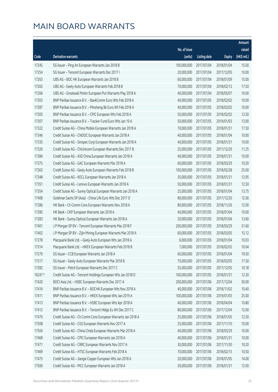|         |                                                               |              |                      |               | Amount      |
|---------|---------------------------------------------------------------|--------------|----------------------|---------------|-------------|
|         |                                                               | No. of issue |                      |               | raised      |
| Code    | Derivative warrants                                           | (units)      | <b>Listing date</b>  | <b>Expiry</b> | (HK\$ mil.) |
| 17245   | SG Issuer - Ping An European Warrants Jan 2018 B              | 100,000,000  | 2017/07/04           | 2018/01/04    | 15.00       |
| 17254   | SG Issuer - Tencent European Warrants Dec 2017 I              | 20,000,000   | 2017/07/04           | 2017/12/05    | 10.00       |
| 17263   | UBS AG - BOC HK European Warrants Jan 2018 B                  | 60,000,000   | 2017/07/04           | 2018/01/09    | 15.00       |
| 17265   | UBS AG - Geely Auto European Warrants Feb 2018 B              | 70,000,000   | 2017/07/04           | 2018/02/12    | 17.50       |
| 17266   | UBS AG - Greatwall Motor European Put Warrants May 2018 A     | 40,000,000   | 2017/07/04           | 2018/05/07    | 10.00       |
| 17303   | BNP Paribas Issuance B.V. - BankComm Euro Wts Feb 2018 A      | 40,000,000   | 2017/07/05           | 2018/02/02    | 10.00       |
| 17287   | BNP Paribas Issuance B.V. - Minsheng Bk Euro Wt Feb 2018 A    | 40,000,000   | 2017/07/05           | 2018/02/02    | 10.00       |
| 17305   | BNP Paribas Issuance B.V. - CPIC European Wts Feb 2018 A      | 50,000,000   | 2017/07/05           | 2018/02/02    | 12.50       |
| 17307   | BNP Paribas Issuance B.V. - Tracker Fund Euro Wts Jan 19 A    | 50,000,000   | 2017/07/05           | 2019/01/03    | 13.00       |
| 17322   | Credit Suisse AG - China Mobile European Warrants Jan 2018 A  | 70,000,000   | 2017/07/05           | 2018/01/31    | 17.50       |
| 17346   | Credit Suisse AG - CNOOC European Warrants Jan 2018 A         | 40,000,000   | 2017/07/05           | 2018/01/04    | 10.00       |
| 17335   | Credit Suisse AG - Sinopec Corp European Warrants Jan 2018 A  | 40,000,000   | 2017/07/05           | 2018/01/31    | 10.00       |
| 17326   | Credit Suisse AG - ChiUnicom European Warrants Dec 2017 B     | 25,000,000   | 2017/07/05           | 2017/12/29    | 11.25       |
| 17384   | Credit Suisse AG - A50 China European Warrants Jan 2018 A     | 40,000,000   | 2017/07/05           | 2018/01/31    | 10.00       |
| 17375   | Credit Suisse AG - GAC European Warrants Mar 2018 A           | 60,000,000   | 2017/07/05           | 2018/03/29    | 10.20       |
| 17363   | Credit Suisse AG - Geely Auto European Warrants Feb 2018 B    | 100,000,000  | 2017/07/05           | 2018/02/28    | 25.00       |
| 17348   | Credit Suisse AG - KECL European Warrants Jan 2018 A          | 35,000,000   | 2017/07/05           | 2018/01/31    | 12.95       |
| 17351   | Credit Suisse AG - Lenovo European Warrants Jan 2018 A        | 50,000,000   | 2017/07/05           | 2018/01/31    | 12.50       |
| 17354   | Credit Suisse AG - Sunny Optical European Warrants Jan 2018 A | 25,000,000   | 2017/07/05           | 2018/01/04    | 13.75       |
| 17408   | Goldman Sachs SP (Asia) - China Life Euro Wts Dec 2017 D      | 80,000,000   | 2017/07/05           | 2017/12/20    | 12.56       |
| 17286   | HK Bank - Ch Comm Cons European Warrants Nov 2018 A           | 80,000,000   | 2017/07/05           | 2018/11/26    | 12.00       |
| 17285   | HK Bank - CKP European Warrants Jan 2018 A                    | 40,000,000   | 2017/07/05           | 2018/01/04    | 10.00       |
| 17283   | HK Bank - Sunny Optical European Warrants Jan 2018 A          | 20,000,000   | 2017/07/05           | 2018/01/04    | 13.60       |
| 17401   | J P Morgan SP BV - Tencent European Warrants Mar 2018 F       | 200,000,000  | 2017/07/05           | 2018/03/29    | 31.60       |
| 17402   | J P Morgan SP BV - Zijin Mining European Warrants Mar 2018 A  | 60,000,000   | 2017/07/05           | 2018/03/05    | 15.12       |
| 17278   | Macquarie Bank Ltd. - Geely Auto European Wts Jan 2018 A      | 6,000,000    | 2017/07/05           | 2018/01/04    | 10.03       |
| 17314   | Macquarie Bank Ltd. - HKEX European Warrants Feb 2018 B       |              | 7,000,000 2017/07/05 | 2018/02/02    | 10.04       |
| 17279   | SG Issuer - CCB European Warrants Jan 2018 A                  | 60,000,000   | 2017/07/05           | 2018/01/04    | 19.50       |
| 17317   | SG Issuer - Geely Auto European Warrants Mar 2018 B           | 70,000,000   | 2017/07/05           | 2018/03/05    | 17.50       |
| 17282   | SG Issuer - Petch European Warrants Dec 2017 C                | 55,000,000   | 2017/07/05           | 2017/12/05    | 10.18       |
| 16247 # | Credit Suisse AG - Tencent Holdings European Wts Jan 2018 D   | 100,000,000  | 2017/07/05           | 2018/01/31    | 12.30       |
| 17420   | BOCI Asia Ltd. - HSBC European Warrants Dec 2017 A            | 200,000,000  | 2017/07/06           | 2017/12/04    | 30.00       |
| 17416   | BNP Paribas Issuance B.V. - BOCHK European Wts Nov 2018 A     | 40,000,000   | 2017/07/06           | 2018/11/02    | 10.40       |
| 17411   | BNP Paribas Issuance B.V. - HKEX European Wts Jan 2019 A      | 100,000,000  | 2017/07/06           | 2019/01/03    | 25.00       |
| 17413   | BNP Paribas Issuance B.V. - HSBC European Wts Apr 2018 A      | 40,000,000   | 2017/07/06           | 2018/04/04    | 10.80       |
| 17412   | BNP Paribas Issuance B.V. - Tencent Hldgs Eu Wt Dec 2017 C    | 80,000,000   | 2017/07/06           | 2017/12/04    | 12.00       |
| 17470   | Credit Suisse AG - Ch Comm Cons European Warrants Jan 2018 A  | 25,000,000   | 2017/07/06           | 2018/01/05    | 12.50       |
| 17508   | Credit Suisse AG - CGS European Warrants Nov 2017 A           | 25,000,000   | 2017/07/06           | 2017/11/10    | 10.00       |
| 17504   | Credit Suisse AG - China Cinda European Warrants Mar 2018 A   | 40,000,000   | 2017/07/06           | 2018/03/29    | 10.00       |
| 17468   | Credit Suisse AG - CPIC European Warrants Jan 2018 A          | 40,000,000   | 2017/07/06           | 2018/01/31    | 10.00       |
| 17471   | Credit Suisse AG - CRRC European Warrants Nov 2017 A          | 30,000,000   | 2017/07/06           | 2017/11/30    | 10.20       |
| 17469   | Credit Suisse AG - HTSC European Warrants Feb 2018 A          | 70,000,000   | 2017/07/06           | 2018/02/15    | 10.50       |
| 17475   | Credit Suisse AG - Jiangxi Copper European Wts Jan 2018 A     | 20,000,000   | 2017/07/06           | 2018/01/05    | 14.00       |
| 17506   | Credit Suisse AG - PICC European Warrants Jan 2018 A          | 30,000,000   | 2017/07/06           | 2018/01/31    | 12.00       |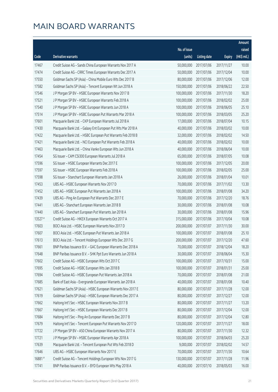|           |                                                              |              |                       |               | Amount      |
|-----------|--------------------------------------------------------------|--------------|-----------------------|---------------|-------------|
|           |                                                              | No. of issue |                       |               | raised      |
| Code      | Derivative warrants                                          | (units)      | <b>Listing date</b>   | <b>Expiry</b> | (HK\$ mil.) |
| 17467     | Credit Suisse AG - Sands China European Warrants Nov 2017 A  | 50,000,000   | 2017/07/06            | 2017/11/27    | 10.00       |
| 17474     | Credit Suisse AG - CRRC Times European Warrants Dec 2017 A   | 50,000,000   | 2017/07/06            | 2017/12/04    | 10.00       |
| 17550     | Goldman Sachs SP (Asia) - China Mobile Euro Wts Dec 2017 B   | 80,000,000   | 2017/07/06            | 2017/12/06    | 12.00       |
| 17582     | Goldman Sachs SP (Asia) - Tencent European Wt Jun 2018 A     | 150,000,000  | 2017/07/06            | 2018/06/22    | 22.50       |
| 17546     | J P Morgan SP BV - HSBC European Warrants Nov 2017 B         | 100,000,000  | 2017/07/06            | 2017/11/30    | 18.20       |
| 17521     | J P Morgan SP BV - HSBC European Warrants Feb 2018 A         | 100,000,000  | 2017/07/06            | 2018/02/02    | 25.00       |
| 17540     | J P Morgan SP BV - HSBC European Warrants Jun 2018 A         | 100,000,000  | 2017/07/06            | 2018/06/05    | 25.10       |
| 17514     | J P Morgan SP BV - HSBC European Put Warrants Mar 2018 A     | 100,000,000  | 2017/07/06            | 2018/03/05    | 25.20       |
| 17601     | Macquarie Bank Ltd. - CKP European Warrants Jul 2018 A       | 17,000,000   | 2017/07/06            | 2018/07/04    | 10.15       |
| 17430     | Macquarie Bank Ltd. - Galaxy Ent European Put Wts Mar 2018 A | 40,000,000   | 2017/07/06            | 2018/03/02    | 10.00       |
| 17422     | Macquarie Bank Ltd. - HSBC European Put Warrants Feb 2018 B  | 32,000,000   | 2017/07/06            | 2018/02/02    | 14.50       |
| 17421     | Macquarie Bank Ltd. - NCI European Put Warrants Feb 2018 A   | 40,000,000   | 2017/07/06            | 2018/02/02    | 10.00       |
| 17463     | Macquarie Bank Ltd. - China Vanke European Wts Jun 2018 A    | 40,000,000   | 2017/07/06            | 2018/06/04    | 10.00       |
| 17454     | SG Issuer - CAM CSI300 European Warrants Jul 2018 A          | 65,000,000   | 2017/07/06            | 2018/07/05    | 10.08       |
| 17596     | SG Issuer - HSBC European Warrants Dec 2017 E                | 100,000,000  | 2017/07/06            | 2017/12/05    | 20.00       |
| 17597     | SG Issuer - HSBC European Warrants Feb 2018 A                | 100,000,000  | 2017/07/06            | 2018/02/05    | 25.00       |
| 17598     | SG Issuer - Stanchart European Warrants Jan 2018 A           | 26,000,000   | 2017/07/06            | 2018/01/04    | 10.01       |
| 17453     | UBS AG - HSBC European Warrants Nov 2017 D                   | 70,000,000   | 2017/07/06            | 2017/11/02    | 13.30       |
| 17452     | UBS AG - HSBC European Put Warrants Jan 2018 A               | 100,000,000  | 2017/07/06            | 2018/01/08    | 34.20       |
| 17439     | UBS AG - Ping An European Put Warrants Dec 2017 E            | 70,000,000   | 2017/07/06            | 2017/12/20    | 18.76       |
| 17441     | UBS AG - Stanchart European Warrants Jan 2018 B              | 30,000,000   | 2017/07/06            | 2018/01/08    | 10.08       |
| 17440     | UBS AG - Stanchart European Put Warrants Jan 2018 A          | 30,000,000   | 2017/07/06            | 2018/01/08    | 15.96       |
| $13527$ # | Credit Suisse AG - HKEX European Warrants Oct 2017 A         | 315,000,000  | 2017/07/06            | 2017/10/04    | 10.08       |
| 17603     | BOCI Asia Ltd. - HSBC European Warrants Nov 2017 D           | 200,000,000  | 2017/07/07            | 2017/11/30    | 30.00       |
| 17607     | BOCI Asia Ltd. - HSBC European Put Warrants Jan 2018 A       | 100,000,000  | 2017/07/07            | 2018/01/08    | 25.10       |
| 17613     | BOCI Asia Ltd. - Tencent Holdings European Wts Dec 2017 G    | 200,000,000  | 2017/07/07            | 2017/12/20    | 47.60       |
| 17661     | BNP Paribas Issuance B.V. - GAC European Warrants Dec 2018 A |              | 70,000,000 2017/07/07 | 2018/12/04    | 18.20       |
| 17648     | BNP Paribas Issuance B.V. - SHK Ppt Euro Warrants Jun 2018 A | 30,000,000   | 2017/07/07            | 2018/06/04    | 15.30       |
| 17602     | Credit Suisse AG - HSBC European Wts Oct 2017 C              | 100,000,000  | 2017/07/07            | 2017/10/31    | 15.00       |
| 17695     | Credit Suisse AG - HSBC European Wts Jan 2018 B              | 100,000,000  | 2017/07/07            | 2018/01/31    | 25.00       |
| 17694     | Credit Suisse AG - HSBC European Put Warrants Jan 2018 A     | 70,000,000   | 2017/07/07            | 2018/01/08    | 21.00       |
| 17685     | Bank of East Asia - Evergrande European Warrants Jan 2018 A  | 40,000,000   | 2017/07/07            | 2018/01/08    | 10.40       |
| 17621     | Goldman Sachs SP (Asia) - HSBC European Warrants Nov 2017 E  | 80,000,000   | 2017/07/07            | 2017/11/28    | 12.00       |
| 17619     | Goldman Sachs SP (Asia) - HSBC European Warrants Dec 2017 A  | 80,000,000   | 2017/07/07            | 2017/12/27    | 12.00       |
| 17662     | Haitong Int'l Sec - HSBC European Warrants Nov 2017 B        | 80,000,000   | 2017/07/07            | 2017/11/27    | 13.20       |
| 17667     | Haitong Int'l Sec - HSBC European Warrants Dec 2017 B        | 80,000,000   | 2017/07/07            | 2017/12/04    | 12.00       |
| 17684     | Haitong Int'l Sec - Ping An European Warrants Dec 2017 B     | 80,000,000   | 2017/07/07            | 2017/12/04    | 12.80       |
| 17679     | Haitong Int'l Sec - Tencent European Put Warrants Nov 2017 D | 120,000,000  | 2017/07/07            | 2017/11/27    | 18.00       |
| 17722     | J P Morgan SP BV - A50 China European Warrants Nov 2017 A    | 80,000,000   | 2017/07/07            | 2017/11/30    | 12.32       |
| 17721     | J P Morgan SP BV - HSBC European Warrants Apr 2018 A         | 100,000,000  | 2017/07/07            | 2018/04/03    | 25.20       |
| 17639     | Macquarie Bank Ltd. - Tencent European Put Wts Feb 2018 D    | 9,000,000    | 2017/07/07            | 2018/02/02    | 14.57       |
| 17646     | UBS AG - HSBC European Warrants Nov 2017 E                   | 70,000,000   | 2017/07/07            | 2017/11/30    | 10.64       |
| 16881#    | Credit Suisse AG - Tencent Holdings European Wts Nov 2017 G  | 130,000,000  | 2017/07/07            | 2017/11/28    | 11.96       |
| 17741     | BNP Paribas Issuance B.V. - BYD European Wts May 2018 A      | 40,000,000   | 2017/07/10            | 2018/05/03    | 16.00       |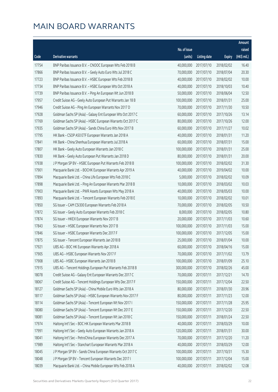|       |                                                              |              |                       |               | Amount      |
|-------|--------------------------------------------------------------|--------------|-----------------------|---------------|-------------|
|       |                                                              | No. of issue |                       |               | raised      |
| Code  | Derivative warrants                                          | (units)      | <b>Listing date</b>   | <b>Expiry</b> | (HK\$ mil.) |
| 17754 | BNP Paribas Issuance B.V. - CNOOC European Wts Feb 2018 B    | 40,000,000   | 2017/07/10            | 2018/02/02    | 16.40       |
| 17866 | BNP Paribas Issuance B.V. - Geely Auto Euro Wts Jul 2018 C   | 70,000,000   | 2017/07/10            | 2018/07/04    | 20.30       |
| 17723 | BNP Paribas Issuance B.V. - HSBC European Wts Feb 2018 B     | 40,000,000   | 2017/07/10            | 2018/02/02    | 10.00       |
| 17734 | BNP Paribas Issuance B.V. - HSBC European Wts Oct 2018 A     | 40,000,000   | 2017/07/10            | 2018/10/03    | 10.40       |
| 17739 | BNP Paribas Issuance B.V. - Ping An European Wt Jun 2018 B   | 50,000,000   | 2017/07/10            | 2018/06/04    | 12.50       |
| 17957 | Credit Suisse AG - Geely Auto European Put Warrants Jan 18 B | 100,000,000  | 2017/07/10            | 2018/01/31    | 25.00       |
| 17946 | Credit Suisse AG - Ping An European Warrants Nov 2017 D      | 70,000,000   | 2017/07/10            | 2017/11/30    | 10.50       |
| 17928 | Goldman Sachs SP (Asia) - Galaxy Ent European Wts Oct 2017 C | 60,000,000   | 2017/07/10            | 2017/10/26    | 13.14       |
| 17769 | Goldman Sachs SP (Asia) - HSBC European Warrants Oct 2017 C  | 80,000,000   | 2017/07/10            | 2017/10/26    | 12.00       |
| 17935 | Goldman Sachs SP (Asia) - Sands China Euro Wts Nov 2017 B    | 60,000,000   | 2017/07/10            | 2017/11/27    | 10.02       |
| 17795 | HK Bank - CSOP A50 ETF European Warrants Jan 2018 A          | 40,000,000   | 2017/07/10            | 2018/01/31    | 11.20       |
| 17841 | HK Bank - China Shenhua European Warrants Jul 2018 A         | 60,000,000   | 2017/07/10            | 2018/07/31    | 15.00       |
| 17807 | HK Bank - Geely Auto European Warrants Jan 2018 C            | 100,000,000  | 2017/07/10            | 2018/01/31    | 25.00       |
| 17830 | HK Bank - Geely Auto European Put Warrants Jan 2018 D        | 80,000,000   | 2017/07/10            | 2018/01/31    | 20.00       |
| 17938 | J P Morgan SP BV - HSBC European Put Warrants Feb 2018 B     | 100,000,000  | 2017/07/10            | 2018/02/02    | 31.30       |
| 17901 | Macquarie Bank Ltd. - BOCHK European Warrants Apr 2019 A     | 40,000,000   | 2017/07/10            | 2019/04/02    | 10.00       |
| 17894 | Macquarie Bank Ltd. - China Life European Wts Feb 2018 C     | 5,000,000    | 2017/07/10            | 2018/02/02    | 10.09       |
| 17898 | Macquarie Bank Ltd. - Ping An European Warrants Mar 2018 B   | 10,000,000   | 2017/07/10            | 2018/03/02    | 10.03       |
| 17903 | Macquarie Bank Ltd. - PWR Assets European Wts May 2018 A     | 40,000,000   | 2017/07/10            | 2018/05/03    | 10.00       |
| 17893 | Macquarie Bank Ltd. - Tencent European Warrants Feb 2018 E   | 10,000,000   | 2017/07/10            | 2018/02/02    | 10.01       |
| 17850 | SG Issuer - CAM CSI300 European Warrants Feb 2018 A          | 70,000,000   | 2017/07/10            | 2018/02/05    | 10.50       |
| 17872 | SG Issuer - Geely Auto European Warrants Feb 2018 C          | 8,000,000    | 2017/07/10            | 2018/02/05    | 10.80       |
| 17874 | SG Issuer - HKEX European Warrants Nov 2017 B                | 20,000,000   | 2017/07/10            | 2017/11/03    | 10.60       |
| 17843 | SG Issuer - HSBC European Warrants Nov 2017 B                | 100,000,000  | 2017/07/10            | 2017/11/03    | 15.00       |
| 17846 | SG Issuer - HSBC European Warrants Dec 2017 F                | 100,000,000  | 2017/07/10            | 2017/12/05    | 15.00       |
| 17875 | SG Issuer - Tencent European Warrants Jan 2018 B             | 25,000,000   | 2017/07/10            | 2018/01/04    | 10.00       |
| 17921 | UBS AG - BOC HK European Warrants Apr 2018 A                 |              | 60,000,000 2017/07/10 | 2018/04/16    | 15.00       |
| 17905 | UBS AG - HSBC European Warrants Nov 2017 F                   | 70,000,000   | 2017/07/10            | 2017/11/02    | 13.79       |
| 17908 | UBS AG - HSBC European Warrants Jan 2018 B                   | 100,000,000  | 2017/07/10            | 2018/01/09    | 25.10       |
| 17915 | UBS AG - Tencent Holdings European Put Warrants Feb 2018 B   | 300,000,000  | 2017/07/10            | 2018/02/26    | 45.00       |
| 18078 | Credit Suisse AG - Galaxy Ent European Warrants Dec 2017 C   | 70,000,000   | 2017/07/11            | 2017/12/21    | 14.70       |
| 18067 | Credit Suisse AG - Tencent Holdings European Wts Dec 2017 F  | 150,000,000  | 2017/07/11            | 2017/12/04    | 22.50       |
| 18127 | Goldman Sachs SP (Asia) - China Mobile Euro Wts Jan 2018 A   | 80,000,000   | 2017/07/11            | 2018/01/30    | 20.96       |
| 18117 | Goldman Sachs SP (Asia) - HSBC European Warrants Nov 2017 F  | 80,000,000   | 2017/07/11            | 2017/11/23    | 12.00       |
| 18114 | Goldman Sachs SP (Asia) - Tencent European Wt Nov 2017 I     | 150,000,000  | 2017/07/11            | 2017/11/28    | 25.95       |
| 18080 | Goldman Sachs SP (Asia) - Tencent European Wt Dec 2017 E     | 150,000,000  | 2017/07/11            | 2017/12/20    | 22.50       |
| 18081 | Goldman Sachs SP (Asia) - Tencent European Wt Jan 2018 C     | 150,000,000  | 2017/07/11            | 2018/01/24    | 22.50       |
| 17974 | Haitong Int'l Sec - BOC HK European Warrants Mar 2018 B      | 40,000,000   | 2017/07/11            | 2018/03/29    | 10.00       |
| 17991 | Haitong Int'l Sec - Geely Auto European Warrants Jan 2018 A  | 120,000,000  | 2017/07/11            | 2018/01/31    | 30.00       |
| 18041 | Haitong Int'l Sec - PetroChina European Warrants Dec 2017 A  | 70,000,000   | 2017/07/11            | 2017/12/20    | 11.20       |
| 17989 | Haitong Int'l Sec - Stanchart European Warrants Mar 2018 A   | 40,000,000   | 2017/07/11            | 2018/03/29    | 12.00       |
| 18045 | J P Morgan SP BV - Sands China European Warrants Oct 2017 C  | 100,000,000  | 2017/07/11            | 2017/10/31    | 15.30       |
| 18048 | J P Morgan SP BV - Tencent European Warrants Dec 2017 I      | 100,000,000  | 2017/07/11            | 2017/12/04    | 15.00       |
| 18039 | Macquarie Bank Ltd. - China Mobile European Wts Feb 2018 A   | 40,000,000   | 2017/07/11            | 2018/02/02    | 12.08       |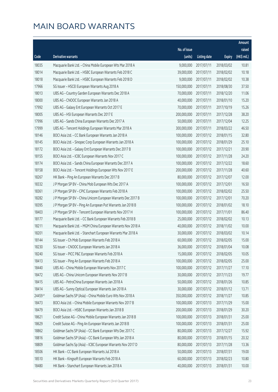|         |                                                              |              |                       |               | Amount      |
|---------|--------------------------------------------------------------|--------------|-----------------------|---------------|-------------|
|         |                                                              | No. of issue |                       |               | raised      |
| Code    | Derivative warrants                                          | (units)      | <b>Listing date</b>   | <b>Expiry</b> | (HK\$ mil.) |
| 18035   | Macquarie Bank Ltd. - China Mobile European Wts Mar 2018 A   | 9,000,000    | 2017/07/11            | 2018/03/02    | 10.81       |
| 18014   | Macquarie Bank Ltd. - HSBC European Warrants Feb 2018 C      | 39,000,000   | 2017/07/11            | 2018/02/02    | 10.18       |
| 18018   | Macquarie Bank Ltd. - HSBC European Warrants Feb 2018 D      | 9,000,000    | 2017/07/11            | 2018/02/02    | 10.38       |
| 17966   | SG Issuer - HSCEI European Warrants Aug 2018 A               | 150,000,000  | 2017/07/11            | 2018/08/30    | 37.50       |
| 18013   | UBS AG - Country Garden European Warrants Dec 2018 A         | 70,000,000   | 2017/07/11            | 2018/12/20    | 11.06       |
| 18000   | UBS AG - CNOOC European Warrants Jan 2018 A                  | 40,000,000   | 2017/07/11            | 2018/01/10    | 15.20       |
| 17992   | UBS AG - Galaxy Ent European Warrants Oct 2017 E             | 70,000,000   | 2017/07/11            | 2017/10/19    | 15.26       |
| 18005   | UBS AG - HSI European Warrants Dec 2017 E                    | 200,000,000  | 2017/07/11            | 2017/12/28    | 38.20       |
| 17996   | UBS AG - Sands China European Warrants Dec 2017 A            | 50,000,000   | 2017/07/11            | 2017/12/04    | 12.25       |
| 17999   | UBS AG - Tencent Holdings European Warrants Mar 2018 A       | 300,000,000  | 2017/07/11            | 2018/03/22    | 46.50       |
| 18146   | BOCI Asia Ltd. - CC Bank European Warrants Jan 2018 A        | 100,000,000  | 2017/07/12            | 2018/01/15    | 32.80       |
| 18145   | BOCI Asia Ltd. - Sinopec Corp European Warrants Jan 2018 A   | 100,000,000  | 2017/07/12            | 2018/01/29    | 25.10       |
| 18172   | BOCI Asia Ltd. - Galaxy Ent European Warrants Dec 2017 B     | 100,000,000  | 2017/07/12            | 2017/12/21    | 20.90       |
| 18155   | BOCI Asia Ltd. - ICBC European Warrants Nov 2017 C           | 100,000,000  | 2017/07/12            | 2017/11/28    | 24.20       |
| 18174   | BOCI Asia Ltd. - Sands China European Warrants Dec 2017 A    | 100,000,000  | 2017/07/12            | 2017/12/22    | 18.60       |
| 18158   | BOCI Asia Ltd. - Tencent Holdings European Wts Nov 2017 E    | 200,000,000  | 2017/07/12            | 2017/11/28    | 40.60       |
| 18267   | HK Bank - Ping An European Warrants Dec 2017 B               | 80,000,000   | 2017/07/12            | 2017/12/07    | 12.00       |
| 18332   | J P Morgan SP BV - China Mob European Wts Dec 2017 A         | 100,000,000  | 2017/07/12            | 2017/12/01    | 16.50       |
| 18361   | J P Morgan SP BV - CPIC European Warrants Feb 2018 A         | 100,000,000  | 2017/07/12            | 2018/02/02    | 25.50       |
| 18282   | J P Morgan SP BV - China Unicom European Warrants Dec 2017 B | 100,000,000  | 2017/07/12            | 2017/12/01    | 70.20       |
| 18395   | J P Morgan SP BV - Ping An European Put Warrants Jan 2018 B  | 100,000,000  | 2017/07/12            | 2018/01/02    | 18.10       |
| 18403   | J P Morgan SP BV - Tencent European Warrants Nov 2017 H      | 100,000,000  | 2017/07/12            | 2017/11/01    | 86.40       |
| 18177   | Macquarie Bank Ltd. - CC Bank European Warrants Feb 2018 B   | 25,000,000   | 2017/07/12            | 2018/02/02    | 10.13       |
| 18211   | Macquarie Bank Ltd. - MGM China European Warrants Nov 2018 A | 40,000,000   | 2017/07/12            | 2018/11/02    | 10.00       |
| 18201   | Macquarie Bank Ltd. - Stanchart European Warrants Mar 2018 A | 30,000,000   | 2017/07/12            | 2018/03/02    | 10.14       |
| 18144   | SG Issuer - Ch Mob European Warrants Feb 2018 A              | 60,000,000   | 2017/07/12            | 2018/02/05    | 15.00       |
| 18230   | SG Issuer - CNOOC European Warrants Jan 2018 A               |              | 36,000,000 2017/07/12 | 2018/01/04    | 10.08       |
| 18240   | SG Issuer - PICC P&C European Warrants Feb 2018 A            | 15,000,000   | 2017/07/12            | 2018/02/05    | 10.05       |
| 18413   | SG Issuer - Ping An European Warrants Feb 2018 A             | 100,000,000  | 2017/07/12            | 2018/02/05    | 25.00       |
| 18440   | UBS AG - China Mobile European Warrants Nov 2017 C           | 100,000,000  | 2017/07/12            | 2017/11/27    | 17.10       |
| 18472   | UBS AG - China Unicom European Warrants Nov 2017 B           | 30,000,000   | 2017/07/12            | 2017/11/23    | 19.77       |
| 18415   | UBS AG - PetroChina European Warrants Jan 2018 A             | 50,000,000   | 2017/07/12            | 2018/01/26    | 10.85       |
| 18414   | UBS AG - Sunny Optical European Warrants Jan 2018 A          | 30,000,000   | 2017/07/12            | 2018/01/12    | 13.71       |
| 24459 # | Goldman Sachs SP (Asia) - China Mobile Euro Wts Nov 2018 A   | 350,000,000  | 2017/07/12            | 2018/11/27    | 10.85       |
| 18473   | BOCI Asia Ltd. - China Mobile European Warrants Nov 2017 B   | 100,000,000  | 2017/07/13            | 2017/11/29    | 15.00       |
| 18479   | BOCI Asia Ltd. - HSBC European Warrants Jan 2018 B           | 200,000,000  | 2017/07/13            | 2018/01/29    | 30.20       |
| 18621   | Credit Suisse AG - China Mobile European Warrants Jan 2018 B | 100,000,000  | 2017/07/13            | 2018/01/31    | 25.00       |
| 18629   | Credit Suisse AG - Ping An European Warrants Jan 2018 B      | 100,000,000  | 2017/07/13            | 2018/01/31    | 25.00       |
| 18862   | Goldman Sachs SP (Asia) - CC Bank European Wts Dec 2017 C    | 80,000,000   | 2017/07/13            | 2017/12/27    | 15.92       |
| 18816   | Goldman Sachs SP (Asia) - CC Bank European Wts Jan 2018 A    | 80,000,000   | 2017/07/13            | 2018/01/15    | 20.32       |
| 18809   | Goldman Sachs Sp (Asia) - ICBC European Warrants Nov 2017 D  | 80,000,000   | 2017/07/13            | 2017/11/28    | 13.36       |
| 18506   | HK Bank - CC Bank European Warrants Jul 2018 A               | 50,000,000   | 2017/07/13            | 2018/07/31    | 19.00       |
| 18510   | HK Bank - Kingsoft European Warrants Feb 2018 A              | 60,000,000   | 2017/07/13            | 2018/02/23    | 10.80       |
| 18480   | HK Bank - Stanchart European Warrants Jan 2018 A             | 40,000,000   | 2017/07/13            | 2018/01/31    | 10.00       |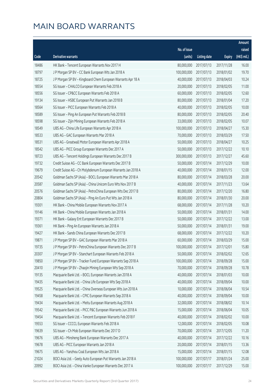|       |                                                               |              |                        |               | Amount      |
|-------|---------------------------------------------------------------|--------------|------------------------|---------------|-------------|
|       |                                                               | No. of issue |                        |               | raised      |
| Code  | Derivative warrants                                           | (units)      | <b>Listing date</b>    | <b>Expiry</b> | (HK\$ mil.) |
| 18486 | HK Bank - Tencent European Warrants Nov 2017 H                | 80,000,000   | 2017/07/13             | 2017/11/28    | 16.00       |
| 18797 | J P Morgan SP BV - CC Bank European Wts Jan 2018 A            | 100,000,000  | 2017/07/13             | 2018/01/02    | 19.70       |
| 18725 | J P Morgan SP BV - Kingboard Chem European Warrants Apr 18 A  | 40,000,000   | 2017/07/13             | 2018/04/03    | 10.24       |
| 18554 | SG Issuer - CHALCO European Warrants Feb 2018 A               | 20,000,000   | 2017/07/13             | 2018/02/05    | 11.00       |
| 18556 | SG Issuer - CP&CC European Warrants Feb 2018 A                | 60,000,000   | 2017/07/13             | 2018/02/05    | 12.60       |
| 19134 | SG Issuer - HSBC European Put Warrants Jan 2018 B             | 80,000,000   | 2017/07/13             | 2018/01/04    | 17.20       |
| 18564 | SG Issuer - PICC European Warrants Feb 2018 A                 | 40,000,000   | 2017/07/13             | 2018/02/05    | 10.00       |
| 18589 | SG Issuer - Ping An European Put Warrants Feb 2018 B          | 80,000,000   | 2017/07/13             | 2018/02/05    | 20.40       |
| 18598 | SG Issuer - Zijin Mining European Warrants Feb 2018 A         | 33,000,000   | 2017/07/13             | 2018/02/05    | 10.07       |
| 18549 | UBS AG - China Life European Warrants Apr 2018 A              | 100,000,000  | 2017/07/13             | 2018/04/27    | 15.30       |
| 18533 | UBS AG - GAC European Warrants Mar 2018 A                     | 70,000,000   | 2017/07/13             | 2018/03/29    | 17.50       |
| 18531 | UBS AG - Greatwall Motor European Warrants Apr 2018 A         | 50,000,000   | 2017/07/13             | 2018/04/27    | 10.25       |
| 18542 | UBS AG - PICC Group European Warrants Dec 2017 A              | 50,000,000   | 2017/07/13             | 2017/12/22    | 10.10       |
| 18723 | UBS AG - Tencent Holdings European Warrants Dec 2017 B        | 300,000,000  | 2017/07/13             | 2017/12/27    | 45.60       |
| 19732 | Credit Suisse AG - CC Bank European Warrants Dec 2017 B       | 50,000,000   | 2017/07/14             | 2017/12/29    | 10.00       |
| 19679 | Credit Suisse AG - Ch Molybdenum European Warrants Jan 2018 A | 40,000,000   | 2017/07/14             | 2018/01/15    | 12.00       |
| 20542 | Goldman Sachs SP (Asia) - BOCL European Warrants Mar 2018 A   | 80,000,000   | 2017/07/14             | 2018/03/28    | 20.00       |
| 20587 | Goldman Sachs SP (Asia) - China Unicom Euro Wts Nov 2017 B    | 40,000,000   | 2017/07/14             | 2017/11/23    | 13.64       |
| 20576 | Goldman Sachs SP (Asia) - PetroChina European Wts Dec 2017 B  | 80,000,000   | 2017/07/14             | 2017/12/20    | 16.80       |
| 20804 | Goldman Sachs SP (Asia) - Ping An Euro Put Wts Jan 2018 A     | 80,000,000   | 2017/07/14             | 2018/01/30    | 20.00       |
| 19301 | HK Bank - China Mobile European Warrants Nov 2017 A           | 68,000,000   | 2017/07/14             | 2017/11/28    | 10.20       |
| 19146 | HK Bank - China Mobile European Warrants Jan 2018 A           | 50,000,000   | 2017/07/14             | 2018/01/31    | 14.00       |
| 19371 | HK Bank - Galaxy Ent European Warrants Dec 2017 B             | 50,000,000   | 2017/07/14             | 2017/12/22    | 13.00       |
| 19361 | HK Bank - Ping An European Warrants Jan 2018 A                | 50,000,000   | 2017/07/14             | 2018/01/31    | 19.00       |
| 19427 | HK Bank - Sands China European Warrants Dec 2017 B            | 68,000,000   | 2017/07/14             | 2017/12/22    | 10.20       |
| 19871 | J P Morgan SP BV - GAC European Warrants Mar 2018 A           | 60,000,000   | 2017/07/14             | 2018/03/29    | 15.00       |
| 19735 | J P Morgan SP BV – PetroChina European Warrants Dec 2017 B    |              | 100,000,000 2017/07/14 | 2017/12/01    | 15.80       |
| 20307 | J P Morgan SP BV - Stanchart European Warrants Feb 2018 A     | 50,000,000   | 2017/07/14             | 2018/02/02    | 12.65       |
| 19850 | J P Morgan SP BV - Tracker Fund European Warrants Sep 2018 A  | 100,000,000  | 2017/07/14             | 2018/09/28    | 15.00       |
| 20410 | J P Morgan SP BV - Zhaojin Mining European Wts Sep 2018 A     | 70,000,000   | 2017/07/14             | 2018/09/28    | 10.78       |
| 19135 | Macquarie Bank Ltd. - BOCL European Warrants Jan 2018 A       | 40,000,000   | 2017/07/14             | 2018/01/03    | 10.00       |
| 19435 | Macquarie Bank Ltd. - China Life European Wts Sep 2018 A      | 40,000,000   | 2017/07/14             | 2018/09/04    | 10.00       |
| 19525 | Macquarie Bank Ltd. - China Overseas European Wts Jun 2018 A  | 10,000,000   | 2017/07/14             | 2018/06/04    | 10.54       |
| 19458 | Macquarie Bank Ltd. - CPIC European Warrants Sep 2018 A       | 40,000,000   | 2017/07/14             | 2018/09/04    | 10.00       |
| 19434 | Macquarie Bank Ltd. - Meitu European Warrants Aug 2018 A      | 32,000,000   | 2017/07/14             | 2018/08/02    | 10.14       |
| 19542 | Macquarie Bank Ltd. - PICC P&C European Warrants Jun 2018 A   | 15,000,000   | 2017/07/14             | 2018/06/04    | 10.05       |
| 19454 | Macquarie Bank Ltd. - Tencent European Warrants Feb 2018 F    | 40,000,000   | 2017/07/14             | 2018/02/02    | 10.00       |
| 19553 | SG Issuer - CCCCL European Warrants Feb 2018 A                | 12,000,000   | 2017/07/14             | 2018/02/05    | 10.08       |
| 19639 | SG Issuer - Ch Mob European Warrants Dec 2017 D               | 70,000,000   | 2017/07/14             | 2017/12/05    | 11.20       |
| 19676 | UBS AG - Minsheng Bank European Warrants Dec 2017 A           | 40,000,000   | 2017/07/14             | 2017/12/22    | 10.16       |
| 19678 | UBS AG - PICC European Warrants Jan 2018 A                    | 20,000,000   | 2017/07/14             | 2018/01/15    | 13.36       |
| 19675 | UBS AG - Yanzhou Coal European Wts Jan 2018 A                 | 15,000,000   | 2017/07/14             | 2018/01/15    | 12.08       |
| 21024 | BOCI Asia Ltd. - Geely Auto European Put Warrants Jan 2018 A  | 100,000,000  | 2017/07/17             | 2018/01/24    | 25.00       |
| 20992 | BOCI Asia Ltd. - China Vanke European Warrants Dec 2017 A     | 100,000,000  | 2017/07/17             | 2017/12/29    | 15.00       |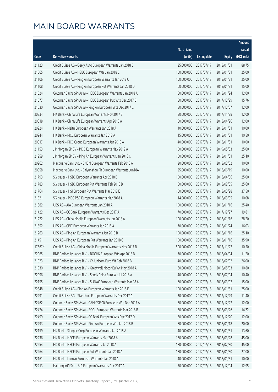|         |                                                              |                        |                     |               | Amount       |
|---------|--------------------------------------------------------------|------------------------|---------------------|---------------|--------------|
|         |                                                              | No. of issue           |                     |               | raised       |
| Code    | Derivative warrants                                          | (units)                | <b>Listing date</b> | <b>Expiry</b> | $(HK\$ mil.) |
| 21123   | Credit Suisse AG - Geely Auto European Warrants Jan 2018 C   | 25,000,000             | 2017/07/17          | 2018/01/31    | 88.75        |
| 21065   | Credit Suisse AG - HSBC European Wts Jan 2018 C              | 100,000,000            | 2017/07/17          | 2018/01/31    | 25.00        |
| 21106   | Credit Suisse AG - Ping An European Warrants Jan 2018 C      | 100,000,000            | 2017/07/17          | 2018/01/31    | 25.00        |
| 21108   | Credit Suisse AG - Ping An European Put Warrants Jan 2018 D  | 60,000,000             | 2017/07/17          | 2018/01/31    | 15.00        |
| 21624   | Goldman Sachs SP (Asia) - HSBC European Warrants Jan 2018 A  | 80,000,000             | 2017/07/17          | 2018/01/24    | 12.00        |
| 21577   | Goldman Sachs SP (Asia) - HSBC European Put Wts Dec 2017 B   | 80,000,000             | 2017/07/17          | 2017/12/29    | 15.76        |
| 21630   | Goldman Sachs SP (Asia) - Ping An European Wts Dec 2017 C    | 80,000,000             | 2017/07/17          | 2017/12/07    | 12.00        |
| 20834   | HK Bank - China Life European Warrants Nov 2017 B            | 80,000,000             | 2017/07/17          | 2017/11/28    | 12.00        |
| 20818   | HK Bank - China Life European Warrants Apr 2018 A            | 80,000,000             | 2017/07/17          | 2018/04/26    | 12.00        |
| 20924   | HK Bank - Meitu European Warrants Jan 2018 A                 | 40,000,000             | 2017/07/17          | 2018/01/31    | 10.00        |
| 20944   | HK Bank - PICC European Warrants Jan 2018 A                  | 15,000,000             | 2017/07/17          | 2018/01/31    | 10.50        |
| 20817   | HK Bank - PICC Group European Warrants Jan 2018 A            | 40,000,000             | 2017/07/17          | 2018/01/31    | 10.00        |
| 21153   | J P Morgan SP BV - PICC European Warrants May 2019 A         | 100,000,000            | 2017/07/17          | 2019/05/03    | 25.00        |
| 21259   | J P Morgan SP BV - Ping An European Warrants Jan 2018 C      | 100,000,000            | 2017/07/17          | 2018/01/31    | 25.10        |
| 20962   | Macquarie Bank Ltd. - CNBM European Warrants Feb 2018 A      | 20,000,000             | 2017/07/17          | 2018/02/02    | 10.00        |
| 20958   | Macquarie Bank Ltd. - Baiyunshan Ph European Warrants Jun18A | 25,000,000             | 2017/07/17          | 2018/06/19    | 10.00        |
| 21793   | SG Issuer - HSBC European Warrants Apr 2018 B                | 100,000,000            | 2017/07/17          | 2018/04/06    | 25.00        |
| 21783   | SG Issuer - HSBC European Put Warrants Feb 2018 B            | 80,000,000             | 2017/07/17          | 2018/02/05    | 25.60        |
| 21764   | SG Issuer - HSI European Put Warrants Mar 2018 E             | 150,000,000            | 2017/07/17          | 2018/03/28    | 37.50        |
| 21821   | SG Issuer - PICC P&C European Warrants Mar 2018 A            | 14,000,000             | 2017/07/17          | 2018/03/05    | 10.08        |
| 21382   | UBS AG - AIA European Warrants Jan 2018 A                    | 100,000,000            | 2017/07/17          | 2018/01/16    | 25.40        |
| 21422   | UBS AG - CC Bank European Warrants Dec 2017 A                | 70,000,000             | 2017/07/17          | 2017/12/27    | 19.81        |
| 21272   | UBS AG - China Mobile European Warrants Jan 2018 A           | 100,000,000            | 2017/07/17          | 2018/01/16    | 28.20        |
| 21352   | UBS AG - CPIC European Warrants Jan 2018 A                   | 70,000,000             | 2017/07/17          | 2018/01/24    | 16.03        |
| 21263   | UBS AG - Ping An European Warrants Jan 2018 B                | 100,000,000            | 2017/07/17          | 2018/01/16    | 25.10        |
| 21451   | UBS AG - Ping An European Put Warrants Jan 2018 C            | 100,000,000            | 2017/07/17          | 2018/01/16    | 35.90        |
| 17567 # | Credit Suisse AG - China Mobile European Warrants Nov 2017 B | 500,000,000 2017/07/17 |                     | 2017/11/27    | 10.50        |
| 22065   | BNP Paribas Issuance B.V. - BOCHK European Wts Apr 2018 B    | 70,000,000             | 2017/07/18          | 2018/04/04    | 11.20        |
| 21923   | BNP Paribas Issuance B.V. - Ch Unicom Euro Wt Feb 2018 B     | 40,000,000             | 2017/07/18          | 2018/02/02    | 26.00        |
| 21930   | BNP Paribas Issuance B.V. - Greatwall Motor Eu Wt May 2018 A | 60,000,000             | 2017/07/18          | 2018/05/03    | 10.80        |
| 22096   | BNP Paribas Issuance B.V. - Sands China Euro Wt Jul 2018 A   | 40,000,000             | 2017/07/18          | 2018/07/04    | 10.40        |
| 22155   | BNP Paribas Issuance B.V. - SUNAC European Warrants Mar 18 A | 60,000,000             | 2017/07/18          | 2018/03/02    | 15.00        |
| 22348   | Credit Suisse AG - Ping An European Warrants Jan 2018 E      | 100,000,000            | 2017/07/18          | 2018/01/31    | 25.00        |
| 22291   | Credit Suisse AG - Stanchart European Warrants Dec 2017 A    | 30,000,000             | 2017/07/18          | 2017/12/29    | 11.40        |
| 22462   | Goldman Sachs SP (Asia) - CAM CSI300 European Wts Dec 2017 A | 80,000,000             | 2017/07/18          | 2017/12/27    | 12.00        |
| 22474   | Goldman Sachs SP (Asia) - BOCL European Warrants Mar 2018 B  | 80,000,000             | 2017/07/18          | 2018/03/26    | 14.72        |
| 22499   | Goldman Sachs SP (Asia) - CC Bank European Wts Dec 2017 D    | 80,000,000             | 2017/07/18          | 2017/12/20    | 12.00        |
| 22493   | Goldman Sachs SP (Asia) - Ping An European Wts Jan 2018 B    | 80,000,000             | 2017/07/18          | 2018/01/18    | 20.00        |
| 22159   | HK Bank - Sinopec Corp European Warrants Jan 2018 A          | 40,000,000             | 2017/07/18          | 2018/01/31    | 13.60        |
| 22236   | HK Bank - HSCEI European Warrants Mar 2018 A                 | 180,000,000            | 2017/07/18          | 2018/03/28    | 45.00        |
| 22254   | HK Bank - HSCEI European Warrants Jul 2018 A                 | 180,000,000            | 2017/07/18          | 2018/07/30    | 45.00        |
| 22264   | HK Bank - HSCEI European Put Warrants Jan 2018 A             | 180,000,000            | 2017/07/18          | 2018/01/30    | 27.00        |
| 22161   | HK Bank - Lenovo European Warrants Jan 2018 A                | 40,000,000             | 2017/07/18          | 2018/01/31    | 10.00        |
| 22213   | Haitong Int'l Sec - AIA European Warrants Dec 2017 A         | 70,000,000             | 2017/07/18          | 2017/12/04    | 12.95        |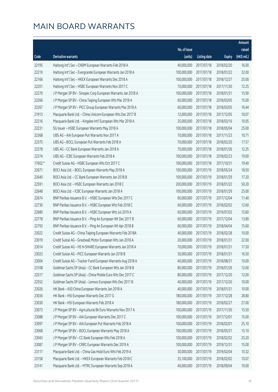|         |                                                              |              |                       |               | Amount      |
|---------|--------------------------------------------------------------|--------------|-----------------------|---------------|-------------|
|         |                                                              | No. of issue |                       |               | raised      |
| Code    | Derivative warrants                                          | (units)      | <b>Listing date</b>   | <b>Expiry</b> | (HK\$ mil.) |
| 22195   | Haitong Int'l Sec - CNBM European Warrants Feb 2018 A        | 40,000,000   | 2017/07/18            | 2018/02/20    | 16.00       |
| 22219   | Haitong Int'l Sec - Evergrande European Warrants Jan 2018 A  | 100,000,000  | 2017/07/18            | 2018/01/22    | 32.00       |
| 22166   | Haitong Int'l Sec - HKEX European Warrants Dec 2018 A        | 100,000,000  | 2017/07/18            | 2018/12/27    | 25.00       |
| 22201   | Haitong Int'l Sec - HSBC European Warrants Nov 2017 C        | 70,000,000   | 2017/07/18            | 2017/11/30    | 12.25       |
| 22270   | J P Morgan SP BV - Sinopec Corp European Warrants Jan 2018 A | 100,000,000  | 2017/07/18            | 2018/01/31    | 15.90       |
| 22266   | J P Morgan SP BV - China Taiping European Wts Mar 2018 A     | 60,000,000   | 2017/07/18            | 2018/03/05    | 15.00       |
| 22267   | J P Morgan SP BV - PICC Group European Warrants Mar 2018 A   | 60,000,000   | 2017/07/18            | 2018/03/05    | 16.44       |
| 21913   | Macquarie Bank Ltd. - China Unicom European Wts Dec 2017 B   | 12,000,000   | 2017/07/18            | 2017/12/05    | 10.07       |
| 22216   | Macquarie Bank Ltd. - Kingdee Int'l European Wts Mar 2018 A  | 25,000,000   | 2017/07/18            | 2018/03/16    | 10.05       |
| 22231   | SG Issuer - HSBC European Warrants May 2018 A                | 100,000,000  | 2017/07/18            | 2018/05/04    | 25.00       |
| 22368   | UBS AG - AIA European Put Warrants Nov 2017 A                | 70,000,000   | 2017/07/18            | 2017/11/23    | 10.71       |
| 22375   | UBS AG - BOCL European Put Warrants Feb 2018 A               | 70,000,000   | 2017/07/18            | 2018/02/20    | 17.57       |
| 22378   | UBS AG - CC Bank European Warrants Jan 2018 A                | 70,000,000   | 2017/07/18            | 2018/01/26    | 12.25       |
| 22374   | UBS AG - ICBC European Warrants Feb 2018 A                   | 100,000,000  | 2017/07/18            | 2018/02/23    | 19.00       |
| 17602 # | Credit Suisse AG - HSBC European Wts Oct 2017 C              | 100,000,000  | 2017/07/18            | 2017/10/31    | 19.40       |
| 22671   | BOCI Asia Ltd. - BOCL European Warrants May 2018 A           | 100,000,000  | 2017/07/19            | 2018/05/24    | 18.50       |
| 22640   | BOCI Asia Ltd. - CC Bank European Warrants Jan 2018 B        | 100,000,000  | 2017/07/19            | 2018/01/29    | 17.20       |
| 22591   | BOCI Asia Ltd. - HSBC European Warrants Jan 2018 C           | 200,000,000  | 2017/07/19            | 2018/01/22    | 50.20       |
| 22648   | BOCI Asia Ltd. - ICBC European Warrants Jan 2018 A           | 100,000,000  | 2017/07/19            | 2018/01/29    | 25.00       |
| 22674   | BNP Paribas Issuance B.V. - HSBC European Wts Dec 2017 C     | 60,000,000   | 2017/07/19            | 2017/12/04    | 11.40       |
| 22730   | BNP Paribas Issuance B.V. - HSBC European Wts Feb 2018 C     | 60,000,000   | 2017/07/19            | 2018/02/02    | 12.60       |
| 22680   | BNP Paribas Issuance B.V. - HSBC European Wts Jul 2019 A     | 60,000,000   | 2017/07/19            | 2019/07/02    | 15.60       |
| 22778   | BNP Paribas Issuance B.V. - Ping An European Wt Dec 2017 B   | 60,000,000   | 2017/07/19            | 2017/12/04    | 13.80       |
| 22793   | BNP Paribas Issuance B.V. - Ping An European Wt Apr 2018 B   | 60,000,000   | 2017/07/19            | 2018/04/04    | 15.60       |
| 23022   | Credit Suisse AG - China Taiping European Warrants Feb 2018A | 40,000,000   | 2017/07/19            | 2018/02/28    | 10.00       |
| 23019   | Credit Suisse AG - Greatwall Motor European Wts Jan 2018 A   | 20,000,000   | 2017/07/19            | 2018/01/31    | 22.00       |
| 23014   | Credit Suisse AG - HS H-SHARE European Warrants Jan 2018 A   |              | 70,000,000 2017/07/19 | 2018/01/31    | 17.50       |
| 23023   | Credit Suisse AG - PICC European Warrants Jan 2018 B         | 30,000,000   | 2017/07/19            | 2018/01/31    | 16.50       |
| 23004   | Credit Suisse AG - Tracker Fund European Warrants Aug 2018 A | 40,000,000   | 2017/07/19            | 2018/08/31    | 10.00       |
| 23108   | Goldman Sachs SP (Asia) - CC Bank European Wts Jan 2018 B    | 80,000,000   | 2017/07/19            | 2018/01/26    | 12.00       |
| 22517   | Goldman Sachs SP (Asia) - China Mobile Euro Wts Dec 2017 C   | 80,000,000   | 2017/07/19            | 2017/12/20    | 12.00       |
| 22552   | Goldman Sachs SP (Asia) - Lenovo European Wts Dec 2017 B     | 40,000,000   | 2017/07/19            | 2017/12/20    | 10.00       |
| 23026   | HK Bank - A50 China European Warrants Jan 2018 A             | 40,000,000   | 2017/07/19            | 2018/01/31    | 10.00       |
| 23034   | HK Bank - HSI European Warrants Dec 2017 G                   | 180,000,000  | 2017/07/19            | 2017/12/28    | 28.80       |
| 23030   | HK Bank - HSI European Warrants Feb 2018 A                   | 180,000,000  | 2017/07/19            | 2018/02/27    | 27.00       |
| 23073   | J P Morgan SP BV - Agricultural Bk Euro Warrants Nov 2017 A  | 100,000,000  | 2017/07/19            | 2017/11/30    | 15.50       |
| 23088   | J P Morgan SP BV - AIA European Warrants Dec 2017 C          | 100,000,000  | 2017/07/19            | 2017/12/01    | 15.00       |
| 23097   | J P Morgan SP BV - AIA European Put Warrants Feb 2018 A      | 100,000,000  | 2017/07/19            | 2018/02/01    | 25.10       |
| 23068   | J P Morgan SP BV - BOCL European Warrants May 2018 A         | 100,000,000  | 2017/07/19            | 2018/05/31    | 15.10       |
| 23043   | J P Morgan SP BV - CC Bank European Wts Feb 2018 A           | 100,000,000  | 2017/07/19            | 2018/02/02    | 25.20       |
| 23087   | J P Morgan SP BV - CRRC European Warrants Dec 2019 A         | 100,000,000  | 2017/07/19            | 2019/12/31    | 15.00       |
| 23117   | Macquarie Bank Ltd. - China Gas Hold Euro Wts Feb 2019 A     | 30,000,000   | 2017/07/19            | 2019/02/04    | 10.32       |
| 23158   | Macquarie Bank Ltd. - HKEX European Warrants Feb 2018 C      | 35,100,000   | 2017/07/19            | 2018/02/02    | 10.07       |
| 23141   | Macquarie Bank Ltd. - MTRC European Warrants Sep 2018 A      | 40,000,000   | 2017/07/19            | 2018/09/04    | 10.00       |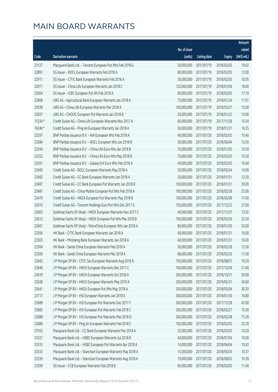|         |                                                              |              |                       |               | Amount      |
|---------|--------------------------------------------------------------|--------------|-----------------------|---------------|-------------|
|         |                                                              | No. of issue |                       |               | raised      |
| Code    | <b>Derivative warrants</b>                                   | (units)      | <b>Listing date</b>   | <b>Expiry</b> | (HK\$ mil.) |
| 23127   | Macquarie Bank Ltd. - Tencent European Put Wts Feb 2018 G    | 30,000,000   | 2017/07/19            | 2018/02/02    | 10.02       |
| 22891   | SG Issuer - BOCL European Warrants Feb 2018 A                | 80,000,000   | 2017/07/19            | 2018/02/05    | 12.00       |
| 22911   | SG Issuer - CITIC Bank European Warrants Feb 2018 A          | 30,000,000   | 2017/07/19            | 2018/02/05    | 10.05       |
| 22971   | SG Issuer - China Life European Warrants Jan 2018 C          | 120,000,000  | 2017/07/19            | 2018/01/04    | 18.00       |
| 22604   | SG Issuer - ICBC European Put Wt Feb 2018 A                  | 60,000,000   | 2017/07/19            | 2018/02/05    | 17.10       |
| 22808   | UBS AG - Agricultural Bank European Warrants Jan 2018 A      | 70,000,000   | 2017/07/19            | 2018/01/24    | 11.97       |
| 22638   | UBS AG - China Life European Warrants Mar 2018 A             | 100,000,000  | 2017/07/19            | 2018/03/27    | 15.00       |
| 22837   | UBS AG - CNOOC European Put Warrants Jan 2018 B              | 20,000,000   | 2017/07/19            | 2018/01/22    | 10.06       |
| 15334 # | Credit Suisse AG - China Life European Warrants Nov 2017 A   | 80,000,000   | 2017/07/19            | 2017/11/28    | 10.24       |
| 16246 # | Credit Suisse AG - Ping An European Warrants Jan 2018 A      | 50,000,000   | 2017/07/19            | 2018/01/31    | 16.25       |
| 23297   | BNP Paribas Issuance B.V. - AIA European Wts Feb 2018 A      | 40,000,000   | 2017/07/20            | 2018/02/02    | 10.40       |
| 23284   | BNP Paribas Issuance B.V. - BOCL European Wts Jun 2018 B     | 50,000,000   | 2017/07/20            | 2018/06/04    | 12.50       |
| 23244   | BNP Paribas Issuance B.V. - China Life Euro Wts Jan 2018 B   | 70,000,000   | 2017/07/20            | 2018/01/03    | 10.50       |
| 23252   | BNP Paribas Issuance B.V. - China Life Euro Wts May 2018 B   | 70,000,000   | 2017/07/20            | 2018/05/03    | 10.50       |
| 23261   | BNP Paribas Issuance B.V. - Galaxy Ent Euro Wts Feb 2018 A   | 40,000,000   | 2017/07/20            | 2018/02/02    | 10.40       |
| 23495   | Credit Suisse AG - BOCL European Warrants May 2018 A         | 50,000,000   | 2017/07/20            | 2018/05/24    | 10.00       |
| 23483   | Credit Suisse AG - CC Bank European Warrants Jan 2018 A      | 50,000,000   | 2017/07/20            | 2018/01/31    | 12.50       |
| 23487   | Credit Suisse AG - CC Bank European Put Warrants Jan 2018 B  | 100,000,000  | 2017/07/20            | 2018/01/31    | 30.00       |
| 23481   | Credit Suisse AG - China Mobile European Put Wts Feb 2018 A  | 100,000,000  | 2017/07/20            | 2018/02/28    | 25.00       |
| 23479   | Credit Suisse AG - HKEX European Put Warrants May 2018 B     | 100,000,000  | 2017/07/20            | 2018/05/08    | 17.00       |
| 23474   | Credit Suisse AG - Tencent Holdings Euro Put Wts Dec 2017 G  | 150,000,000  | 2017/07/20            | 2017/12/22    | 27.00       |
| 23603   | Goldman Sachs SP (Asia) - HKEX European Warrants Nov 2017 C  | 40,000,000   | 2017/07/20            | 2017/11/27    | 13.92       |
| 23613   | Goldman Sachs SP (Asia) - HKEX European Put Wts Mar 2018 B   | 150,000,000  | 2017/07/20            | 2018/03/26    | 22.50       |
| 23601   | Goldman Sachs SP (Asia) - PetroChina European Wts Jan 2018 A | 80,000,000   | 2017/07/20            | 2018/01/30    | 20.00       |
| 23306   | HK Bank - CITIC Bank European Warrants Jan 2018 A            | 40,000,000   | 2017/07/20            | 2018/01/31    | 10.00       |
| 23303   | HK Bank - Minsheng Bank European Warrants Jan 2018 A         | 40,000,000   | 2017/07/20            | 2018/01/31    | 10.00       |
| 23304   | HK Bank - Sands China European Warrants Feb 2018 A           |              | 50,000,000 2017/07/20 | 2018/02/28    | 12.50       |
| 23309   | HK Bank - Sands China European Warrants Mar 2018 A           | 68,000,000   | 2017/07/20            | 2018/03/26    | 11.56       |
| 23642   | J P Morgan SP BV - CITIC Sec European Warrants Aug 2018 A    | 100,000,000  | 2017/07/20            | 2018/08/01    | 19.20       |
| 23640   | J P Morgan SP BV - HKEX European Warrants Dec 2017 C         | 100,000,000  | 2017/07/20            | 2017/12/04    | 21.60       |
| 23619   | J P Morgan SP BV - HKEX European Warrants Oct 2018 A         | 200,000,000  | 2017/07/20            | 2018/10/31    | 50.00       |
| 23638   | J P Morgan SP BV - HKEX European Warrants May 2019 A         | 200,000,000  | 2017/07/20            | 2019/05/31    | 30.60       |
| 23641   | J P Morgan SP BV - HKEX European Put Wts May 2018 A          | 200,000,000  | 2017/07/20            | 2018/05/04    | 30.20       |
| 23717   | J P Morgan SP BV - HSI European Warrants Jan 2018 E          | 300,000,000  | 2017/07/20            | 2018/01/30    | 76.80       |
| 23689   | J P Morgan SP BV - HSI European Put Warrants Dec 2017 F      | 300,000,000  | 2017/07/20            | 2017/12/28    | 45.90       |
| 23685   | J P Morgan SP BV - HSI European Put Warrants Feb 2018 C      | 300,000,000  | 2017/07/20            | 2018/02/27    | 75.30       |
| 23688   | J P Morgan SP BV - HSI European Put Warrants Mar 2018 D      | 300,000,000  | 2017/07/20            | 2018/03/28    | 75.30       |
| 23680   | J P Morgan SP BV - Ping An European Warrants Feb 2018 C      | 100,000,000  | 2017/07/20            | 2018/02/02    | 25.20       |
| 23163   | Macquarie Bank Ltd. - CC Bank European Warrants Mar 2018 A   | 25,000,000   | 2017/07/20            | 2018/03/02    | 10.20       |
| 23321   | Macquarie Bank Ltd. - HSBC European Warrants Jul 2018 B      | 40,000,000   | 2017/07/20            | 2018/07/04    | 10.00       |
| 23315   | Macquarie Bank Ltd. - HSBC European Put Warrants Apr 2018 A  | 14,000,000   | 2017/07/20            | 2018/04/04    | 10.43       |
| 23333   | Macquarie Bank Ltd. - Stanchart European Warrants May 2018 A | 15,000,000   | 2017/07/20            | 2018/05/03    | 10.37       |
| 23339   | Macquarie Bank Ltd. - Stanchart European Warrants Aug 2018 A | 19,000,000   | 2017/07/20            | 2018/08/02    | 10.39       |
| 23399   | SG Issuer - CCB European Warrants Feb 2018 B                 | 60,000,000   | 2017/07/20            | 2018/02/05    | 11.40       |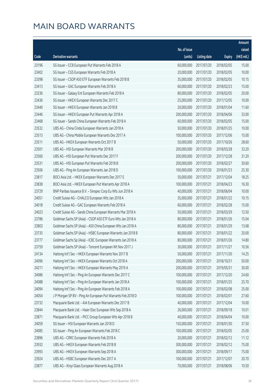|       |                                                             |              |                       |               | Amount      |
|-------|-------------------------------------------------------------|--------------|-----------------------|---------------|-------------|
|       |                                                             | No. of issue |                       |               | raised      |
| Code  | Derivative warrants                                         | (units)      | <b>Listing date</b>   | <b>Expiry</b> | (HK\$ mil.) |
| 23196 | SG Issuer - CCB European Put Warrants Feb 2018 A            | 60,000,000   | 2017/07/20            | 2018/02/05    | 15.00       |
| 23402 | SG Issuer - CGS European Warrants Feb 2018 A                | 20,000,000   | 2017/07/20            | 2018/02/05    | 10.00       |
| 23398 | SG Issuer - CSOP A50 ETF European Warrants Feb 2018 B       | 35,000,000   | 2017/07/20            | 2018/02/05    | 10.15       |
| 23413 | SG Issuer - GAC European Warrants Feb 2018 A                | 60,000,000   | 2017/07/20            | 2018/02/23    | 15.00       |
| 23236 | SG Issuer - Galaxy Ent European Warrants Feb 2018 A         | 80,000,000   | 2017/07/20            | 2018/02/05    | 20.00       |
| 23436 | SG Issuer - HKEX European Warrants Dec 2017 C               | 25,000,000   | 2017/07/20            | 2017/12/05    | 10.00       |
| 23440 | SG Issuer - HKEX European Warrants Jan 2018 B               | 20,000,000   | 2017/07/20            | 2018/01/04    | 11.60       |
| 23446 | SG Issuer - HKEX European Put Warrants Apr 2018 A           | 200,000,000  | 2017/07/20            | 2018/04/06    | 33.00       |
| 23468 | SG Issuer - Sands China European Warrants Feb 2018 A        | 60,000,000   | 2017/07/20            | 2018/02/05    | 15.00       |
| 23532 | UBS AG - China Cinda European Warrants Jan 2018 A           | 50,000,000   | 2017/07/20            | 2018/01/25    | 10.00       |
| 23513 | UBS AG - China Mobile European Warrants Dec 2017 A          | 100,000,000  | 2017/07/20            | 2017/12/06    | 15.00       |
| 23511 | UBS AG - HKEX European Warrants Oct 2017 B                  | 50,000,000   | 2017/07/20            | 2017/10/26    | 28.60       |
| 23501 | UBS AG - HSI European Warrants Mar 2018 B                   | 200,000,000  | 2017/07/20            | 2018/03/28    | 33.20       |
| 23560 | UBS AG - HSI European Put Warrants Dec 2017 F               | 200,000,000  | 2017/07/20            | 2017/12/28    | 31.20       |
| 23531 | UBS AG - HSI European Put Warrants Feb 2018 B               | 200,000,000  | 2017/07/20            | 2018/02/27    | 30.60       |
| 23506 | UBS AG - Ping An European Warrants Jan 2018 D               | 100,000,000  | 2017/07/20            | 2018/01/23    | 25.30       |
| 23817 | BOCI Asia Ltd. - HKEX European Warrants Dec 2017 E          | 50,000,000   | 2017/07/21            | 2017/12/04    | 18.25       |
| 23838 | BOCI Asia Ltd. - HKEX European Put Warrants Apr 2018 A      | 100,000,000  | 2017/07/21            | 2018/04/23    | 16.30       |
| 23729 | BNP Paribas Issuance B.V. - Sinopec Corp Eu Wts Jun 2018 A  | 40,000,000   | 2017/07/21            | 2018/06/04    | 10.00       |
| 24051 | Credit Suisse AG - CHALCO European Wts Jan 2018 A           | 35,000,000   | 2017/07/21            | 2018/01/22    | 10.15       |
| 24018 | Credit Suisse AG - GAC European Warrants Feb 2018 A         | 60,000,000   | 2017/07/21            | 2018/02/28    | 15.00       |
| 24023 | Credit Suisse AG - Sands China European Warrants Mar 2018 A | 50,000,000   | 2017/07/21            | 2018/03/29    | 12.50       |
| 23786 | Goldman Sachs SP (Asia) - CSOP A50 ETF Euro Wts Jan 2018 A  | 80,000,000   | 2017/07/21            | 2018/01/26    | 15.04       |
| 23803 | Goldman Sachs SP (Asia) - A50 China European Wts Jan 2018 A | 80,000,000   | 2017/07/21            | 2018/01/29    | 13.68       |
| 23735 | Goldman Sachs SP (Asia) - HSBC European Warrants Jan 2018 B | 80,000,000   | 2017/07/21            | 2018/01/22    | 20.00       |
| 23777 | Goldman Sachs Sp (Asia) - ICBC European Warrants Jan 2018 A | 80,000,000   | 2017/07/21            | 2018/01/26    | 14.80       |
| 23759 | Goldman Sachs SP (Asia) - Tencent European Wt Nov 2017 J    |              | 30,000,000 2017/07/21 | 2017/11/27    | 10.56       |
| 24134 | Haitong Int'l Sec - HKEX European Warrants Nov 2017 B       | 50,000,000   | 2017/07/21            | 2017/11/30    | 14.25       |
| 24096 | Haitong Int'l Sec - HKEX European Warrants Oct 2018 A       | 200,000,000  | 2017/07/21            | 2018/10/31    | 50.00       |
| 24211 | Haitong Int'l Sec - HKEX European Warrants May 2019 A       | 200,000,000  | 2017/07/21            | 2019/05/31    | 30.00       |
| 24086 | Haitong Int'l Sec - Ping An European Warrants Dec 2017 C    | 100,000,000  | 2017/07/21            | 2017/12/20    | 24.60       |
| 24088 | Haitong Int'l Sec - Ping An European Warrants Jan 2018 A    | 100,000,000  | 2017/07/21            | 2018/01/25    | 25.70       |
| 24094 | Haitong Int'l Sec - Ping An European Warrants Feb 2018 A    | 100,000,000  | 2017/07/21            | 2018/02/08    | 25.00       |
| 24054 | J P Morgan SP BV - Ping An European Put Warrants Feb 2018 D | 100,000,000  | 2017/07/21            | 2018/02/01    | 27.60       |
| 23732 | Macquarie Bank Ltd. - AIA European Warrants Dec 2017 B      | 40,000,000   | 2017/07/21            | 2017/12/04    | 10.00       |
| 23844 | Macquarie Bank Ltd. - Haier Elec European Wts Sep 2018 A    | 26,000,000   | 2017/07/21            | 2018/09/18    | 10.01       |
| 23871 | Macquarie Bank Ltd. - PICC Group European Wts Apr 2018 B    | 40,000,000   | 2017/07/21            | 2018/04/04    | 10.00       |
| 24059 | SG Issuer - HSI European Warrants Jan 2018 D                | 150,000,000  | 2017/07/21            | 2018/01/30    | 37.50       |
| 24085 | SG Issuer - Ping An European Warrants Feb 2018 C            | 100,000,000  | 2017/07/21            | 2018/02/05    | 25.00       |
| 23896 | UBS AG - CRRC European Warrants Feb 2018 A                  | 20,000,000   | 2017/07/21            | 2018/02/12    | 11.12       |
| 23932 | UBS AG - HKEX European Warrants Feb 2018 B                  | 300,000,000  | 2017/07/21            | 2018/02/12    | 75.00       |
| 23993 | UBS AG - HKEX European Warrants Sep 2018 A                  | 300,000,000  | 2017/07/21            | 2018/09/17    | 75.00       |
| 23924 | UBS AG - HSBC European Warrants Dec 2017 A                  | 100,000,000  | 2017/07/21            | 2017/12/07    | 20.70       |
| 23877 | UBS AG - Xinyi Glass European Warrants Aug 2018 A           | 70,000,000   | 2017/07/21            | 2018/08/06    | 10.50       |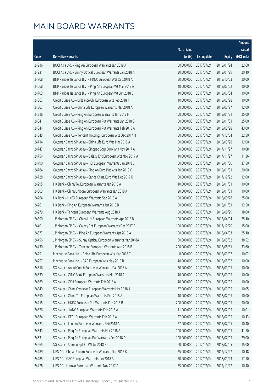|       |                                                              |                        |                     |               | Amount      |
|-------|--------------------------------------------------------------|------------------------|---------------------|---------------|-------------|
|       |                                                              | No. of issue           |                     |               | raised      |
| Code  | Derivative warrants                                          | (units)                | <b>Listing date</b> | <b>Expiry</b> | (HK\$ mil.) |
| 24216 | BOCI Asia Ltd. - Ping An European Warrants Jan 2018 A        | 100,000,000            | 2017/07/24          | 2018/01/24    | 22.60       |
| 24231 | BOCI Asia Ltd. - Sunny Optical European Warrants Jan 2018 A  | 30,000,000             | 2017/07/24          | 2018/01/29    | 20.10       |
| 24708 | BNP Paribas Issuance B.V. - HKEX European Wts Oct 2018 A     | 80,000,000             | 2017/07/24          | 2018/10/03    | 20.00       |
| 24668 | BNP Paribas Issuance B.V. - Ping An European Wt Mar 2018 A   | 40,000,000             | 2017/07/24          | 2018/03/02    | 10.00       |
| 24703 | BNP Paribas Issuance B.V. - Ping An European Wt Jun 2018 C   | 40,000,000             | 2017/07/24          | 2018/06/04    | 10.00       |
| 24367 | Credit Suisse AG - Brilliance Chi European Wts Feb 2018 A    | 40,000,000             | 2017/07/24          | 2018/02/28    | 10.00       |
| 24307 | Credit Suisse AG - China Life European Warrants Mar 2018 A   | 80,000,000             | 2017/07/24          | 2018/03/27    | 12.00       |
| 24316 | Credit Suisse AG - Ping An European Warrants Jan 2018 F      | 100,000,000            | 2017/07/24          | 2018/01/31    | 25.00       |
| 24341 | Credit Suisse AG - Ping An European Put Warrants Jan 2018 G  | 100,000,000            | 2017/07/24          | 2018/01/31    | 25.00       |
| 24344 | Credit Suisse AG - Ping An European Put Warrants Feb 2018 A  | 100,000,000            | 2017/07/24          | 2018/02/28    | 43.00       |
| 24345 | Credit Suisse AG - Tencent Holdings European Wts Dec 2017 H  | 150,000,000            | 2017/07/24          | 2017/12/04    | 22.50       |
| 24714 | Goldman Sachs SP (Asia) - China Life Euro Wts Mar 2018 A     | 80,000,000             | 2017/07/24          | 2018/03/28    | 12.00       |
| 24747 | Goldman Sachs SP (Asia) - Sinopec Corp Euro Wts Nov 2017 A   | 60,000,000             | 2017/07/24          | 2017/11/27    | 10.08       |
| 24754 | Goldman Sachs SP (Asia) - Galaxy Ent European Wts Nov 2017 A | 40,000,000             | 2017/07/24          | 2017/11/27    | 11.36       |
| 24790 | Goldman Sachs SP (Asia) - HSI European Warrants Jan 2018 C   | 150,000,000            | 2017/07/24          | 2018/01/30    | 37.50       |
| 24784 | Goldman Sachs SP (Asia) - Ping An Euro Put Wts Jan 2018 C    | 80,000,000             | 2017/07/24          | 2018/01/31    | 20.00       |
| 24728 | Goldman Sachs SP (Asia) - Sands China Euro Wts Dec 2017 B    | 80,000,000             | 2017/07/24          | 2017/12/22    | 12.00       |
| 24295 | HK Bank - China Tel European Warrants Jan 2018 A             | 40,000,000             | 2017/07/24          | 2018/01/31    | 10.00       |
| 24303 | HK Bank - China Unicom European Warrants Jan 2018 A          | 20,000,000             | 2017/07/24          | 2018/01/31    | 10.00       |
| 24264 | HK Bank - HKEX European Warrants Sep 2018 A                  | 100,000,000            | 2017/07/24          | 2018/09/28    | 25.00       |
| 24261 | HK Bank - Ping An European Warrants Jan 2018 B               | 50,000,000             | 2017/07/24          | 2018/01/31    | 12.50       |
| 24279 | HK Bank - Tencent European Warrants Aug 2018 A               | 100,000,000            | 2017/07/24          | 2018/08/29    | 18.00       |
| 24390 | J P Morgan SP BV - China Life European Warrants Apr 2018 B   | 100,000,000            | 2017/07/24          | 2018/04/04    | 25.10       |
| 24401 | J P Morgan SP BV - Galaxy Ent European Warrants Dec 2017 E   | 100,000,000            | 2017/07/24          | 2017/12/29    | 15.00       |
| 24377 | J P Morgan SP BV - Ping An European Warrants Apr 2018 A      | 100,000,000            | 2017/07/24          | 2018/04/03    | 25.10       |
| 24456 | J P Morgan SP BV - Sunny Optical European Warrants Mar 2018A | 60,000,000             | 2017/07/24          | 2018/03/02    | 38.52       |
| 24430 | J P Morgan SP BV - Tencent European Warrants Aug 2018 B      | 200,000,000 2017/07/24 |                     | 2018/08/31    | 33.60       |
| 24251 | Macquarie Bank Ltd. - China Life European Wts Mar 2018 C     | 8,000,000              | 2017/07/24          | 2018/03/02    | 10.02       |
| 24257 | Macquarie Bank Ltd. - GAC European Wts May 2018 B            | 40,000,000             | 2017/07/24          | 2018/05/02    | 10.00       |
| 24516 | SG Issuer - Anhui Conch European Warrants Mar 2018 A         | 50,000,000             | 2017/07/24          | 2018/03/05    | 10.00       |
| 24539 | SG Issuer - CITIC Bank European Warrants Mar 2018 A          | 40,000,000             | 2017/07/24          | 2018/03/05    | 10.00       |
| 24569 | SG Issuer - CKH European Warrants Feb 2018 A                 | 40,000,000             | 2017/07/24          | 2018/02/05    | 10.00       |
| 24549 | SG Issuer - China Overseas European Warrants Mar 2018 A      | 67,000,000             | 2017/07/24          | 2018/03/05    | 10.05       |
| 24550 | SG Issuer - China Tel European Warrants Feb 2018 A           | 40,000,000             | 2017/07/24          | 2018/02/05    | 10.00       |
| 24215 | SG Issuer - HKEX European Put Warrants Feb 2018 B            | 200,000,000            | 2017/07/24          | 2018/02/05    | 50.00       |
| 24576 | SG Issuer - JIANC European Warrants Feb 2018 A               | 11,000,000             | 2017/07/24          | 2018/02/05    | 10.01       |
| 24584 | SG Issuer - KECL European Warrants Feb 2018 A                | 27,000,000             | 2017/07/24          | 2018/02/05    | 10.13       |
| 24623 | SG Issuer - Lenovo European Warrants Feb 2018 A              | 27,000,000             | 2017/07/24          | 2018/02/05    | 10.40       |
| 24643 | SG Issuer - Ping An European Warrants Mar 2018 A             | 100,000,000            | 2017/07/24          | 2018/03/05    | 41.50       |
| 24631 | SG Issuer - Ping An European Put Warrants Feb 2018 D         | 100,000,000            | 2017/07/24          | 2018/02/05    | 29.00       |
| 24665 | SG Issuer - Shimao Ppt Eu Wt Jul 2018 B                      | 60,000,000             | 2017/07/24          | 2018/07/05    | 15.00       |
| 24489 | UBS AG - China Unicom European Warrants Dec 2017 B           | 25,000,000             | 2017/07/24          | 2017/12/27    | 10.18       |
| 24485 | UBS AG - GAC European Warrants Jan 2018 A                    | 70,000,000             | 2017/07/24          | 2018/01/23    | 17.50       |
| 24478 | UBS AG - Lenovo European Warrants Nov 2017 A                 | 55,000,000             | 2017/07/24          | 2017/11/27    | 10.40       |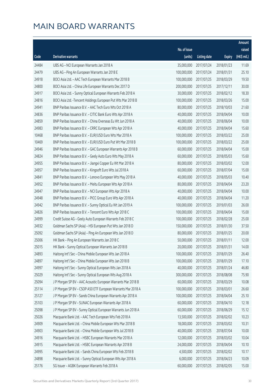|       |                                                               |              |                       |               | Amount      |
|-------|---------------------------------------------------------------|--------------|-----------------------|---------------|-------------|
|       |                                                               | No. of issue |                       |               | raised      |
| Code  | Derivative warrants                                           | (units)      | <b>Listing date</b>   | <b>Expiry</b> | (HK\$ mil.) |
| 24484 | UBS AG - NCI European Warrants Jan 2018 A                     | 35,000,000   | 2017/07/24            | 2018/01/23    | 11.69       |
| 24479 | UBS AG - Ping An European Warrants Jan 2018 E                 | 100,000,000  | 2017/07/24            | 2018/01/31    | 25.10       |
| 24918 | BOCI Asia Ltd. - AAC Tech European Warrants Mar 2018 B        | 100,000,000  | 2017/07/25            | 2018/03/29    | 19.50       |
| 24800 | BOCI Asia Ltd. - China Life European Warrants Dec 2017 D      | 200,000,000  | 2017/07/25            | 2017/12/11    | 30.00       |
| 24917 | BOCI Asia Ltd. - Sunny Optical European Warrants Feb 2018 A   | 30,000,000   | 2017/07/25            | 2018/02/12    | 18.30       |
| 24816 | BOCI Asia Ltd. - Tencent Holdings European Put Wts Mar 2018 B | 100,000,000  | 2017/07/25            | 2018/03/26    | 15.00       |
| 24941 | BNP Paribas Issuance B.V. - AAC Tech Euro Wts Oct 2018 A      | 80,000,000   | 2017/07/25            | 2018/10/03    | 21.60       |
| 24836 | BNP Paribas Issuance B.V. - CITIC Bank Euro Wts Apr 2018 A    | 40,000,000   | 2017/07/25            | 2018/04/04    | 10.00       |
| 24859 | BNP Paribas Issuance B.V. - China Overseas Eu Wt Jun 2018 A   | 40,000,000   | 2017/07/25            | 2018/06/04    | 10.00       |
| 24983 | BNP Paribas Issuance B.V. - CRRC European Wts Apr 2018 A      | 40,000,000   | 2017/07/25            | 2018/04/04    | 15.60       |
| 10468 | BNP Paribas Issuance B.V. - EUR/USD Euro Wts Mar 2018 A       | 100,000,000  | 2017/07/25            | 2018/03/22    | 25.00       |
| 10469 | BNP Paribas Issuance B.V. - EUR/USD Euro Put Wt Mar 2018 B    | 100,000,000  | 2017/07/25            | 2018/03/22    | 25.00       |
| 24946 | BNP Paribas Issuance B.V. - GAC European Warrants Apr 2018 B  | 60,000,000   | 2017/07/25            | 2018/04/04    | 15.00       |
| 24824 | BNP Paribas Issuance B.V. - Geely Auto Euro Wts May 2018 A    | 60,000,000   | 2017/07/25            | 2018/05/03    | 15.60       |
| 24955 | BNP Paribas Issuance B.V. - Jiangxi Copper Eu Wt Mar 2018 A   | 80,000,000   | 2017/07/25            | 2018/03/02    | 12.00       |
| 24957 | BNP Paribas Issuance B.V. - Kingsoft Euro Wts Jul 2018 A      | 60,000,000   | 2017/07/25            | 2018/07/04    | 15.00       |
| 24841 | BNP Paribas Issuance B.V. - Lenovo European Wts May 2018 A    | 40,000,000   | 2017/07/25            | 2018/05/03    | 10.40       |
| 24952 | BNP Paribas Issuance B.V. - Meitu European Wts Apr 2018 A     | 80,000,000   | 2017/07/25            | 2018/04/04    | 23.20       |
| 24947 | BNP Paribas Issuance B.V. - NCI European Wts Apr 2018 A       | 40,000,000   | 2017/07/25            | 2018/04/04    | 10.00       |
| 24948 | BNP Paribas Issuance B.V. - PICC Group Euro Wts Apr 2018 A    | 40,000,000   | 2017/07/25            | 2018/04/04    | 11.20       |
| 24942 | BNP Paribas Issuance B.V. - Sunny Optical Eu Wt Jan 2019 A    | 100,000,000  | 2017/07/25            | 2019/01/03    | 26.00       |
| 24826 | BNP Paribas Issuance B.V. - Tencent Euro Wts Apr 2018 C       | 100,000,000  | 2017/07/25            | 2018/04/04    | 15.00       |
| 24999 | Credit Suisse AG - Geely Auto European Warrants Feb 2018 C    | 100,000,000  | 2017/07/25            | 2018/02/28    | 25.00       |
| 24932 | Goldman Sachs SP (Asia) - HSI European Put Wts Jan 2018 D     | 150,000,000  | 2017/07/25            | 2018/01/30    | 37.50       |
| 25092 | Goldman Sachs SP (Asia) - Ping An European Wts Jan 2018 D     | 80,000,000   | 2017/07/25            | 2018/01/25    | 20.00       |
| 25006 | HK Bank - Ping An European Warrants Jan 2018 C                | 50,000,000   | 2017/07/25            | 2018/01/11    | 12.00       |
| 25015 | HK Bank - Sunny Optical European Warrants Jan 2018 B          |              | 20,000,000 2017/07/25 | 2018/01/31    | 14.00       |
| 24893 | Haitong Int'l Sec - China Mobile European Wts Jan 2018 A      | 100,000,000  | 2017/07/25            | 2018/01/29    | 26.40       |
| 24897 | Haitong Int'l Sec - China Mobile European Wts Jan 2018 B      | 100,000,000  | 2017/07/25            | 2018/01/29    | 17.10       |
| 24997 | Haitong Int'l Sec - Sunny Optical European Wts Jan 2018 A     | 40,000,000   | 2017/07/25            | 2018/01/24    | 46.80       |
| 25029 | Haitong Int'l Sec - Sunny Optical European Wts Aug 2018 A     | 300,000,000  | 2017/07/25            | 2018/08/08    | 75.90       |
| 25094 | J P Morgan SP BV - AAC Acoustic European Warrants Mar 2018 B  | 60,000,000   | 2017/07/25            | 2018/03/29    | 10.08       |
| 25114 | J P Morgan SP BV - CSOP A50 ETF European Warrants Mar 2018 A  | 100,000,000  | 2017/07/25            | 2018/03/01    | 26.60       |
| 25127 | J P Morgan SP BV - Sands China European Warrants Apr 2018 A   | 100,000,000  | 2017/07/25            | 2018/04/04    | 25.10       |
| 25103 | J P Morgan SP BV - SUNAC European Warrants Apr 2018 A         | 60,000,000   | 2017/07/25            | 2018/04/10    | 12.18       |
| 25098 | J P Morgan SP BV - Sunny Optical European Warrants Jun 2018 A | 60,000,000   | 2017/07/25            | 2018/06/29    | 15.12       |
| 25026 | Macquarie Bank Ltd. - AAC Tech European Wts Feb 2018 A        | 13,500,000   | 2017/07/25            | 2018/02/02    | 10.23       |
| 24909 | Macquarie Bank Ltd. - China Mobile European Wts Mar 2018 B    | 18,000,000   | 2017/07/25            | 2018/03/02    | 10.31       |
| 24903 | Macquarie Bank Ltd. - China Mobile European Wts Jul 2018 B    | 40,000,000   | 2017/07/25            | 2018/07/04    | 10.00       |
| 24916 | Macquarie Bank Ltd. - HSBC European Warrants Mar 2018 A       | 12,000,000   | 2017/07/25            | 2018/03/02    | 10.04       |
| 24915 | Macquarie Bank Ltd. - HSBC European Warrants Apr 2018 B       | 24,000,000   | 2017/07/25            | 2018/04/04    | 10.10       |
| 24995 | Macquarie Bank Ltd. - Sands China European Wts Feb 2018 B     | 4,500,000    | 2017/07/25            | 2018/02/02    | 10.17       |
| 24898 | Macquarie Bank Ltd. - Sunny Optical European Wts Apr 2018 A   | 6,000,000    | 2017/07/25            | 2018/04/23    | 10.09       |
| 25176 | SG Issuer - AGBK European Warrants Feb 2018 A                 | 60,000,000   | 2017/07/25            | 2018/02/05    | 15.00       |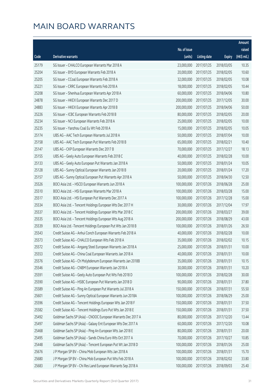|       |                                                               |              |                       |               | Amount      |
|-------|---------------------------------------------------------------|--------------|-----------------------|---------------|-------------|
|       |                                                               | No. of issue |                       |               | raised      |
| Code  | Derivative warrants                                           | (units)      | <b>Listing date</b>   | <b>Expiry</b> | (HK\$ mil.) |
| 25179 | SG Issuer - CHALCO European Warrants Mar 2018 A               | 23,000,000   | 2017/07/25            | 2018/03/05    | 10.35       |
| 25204 | SG Issuer - BYD European Warrants Feb 2018 A                  | 20,000,000   | 2017/07/25            | 2018/02/05    | 10.60       |
| 25205 | SG Issuer - CCoal European Warrants Feb 2018 A                | 32,000,000   | 2017/07/25            | 2018/02/05    | 10.08       |
| 25221 | SG Issuer - CRRC European Warrants Feb 2018 A                 | 18,000,000   | 2017/07/25            | 2018/02/05    | 10.44       |
| 25208 | SG Issuer - Shenhua European Warrants Apr 2018 A              | 60,000,000   | 2017/07/25            | 2018/04/06    | 10.80       |
| 24878 | SG Issuer - HKEX European Warrants Dec 2017 D                 | 200,000,000  | 2017/07/25            | 2017/12/05    | 30.00       |
| 24883 | SG Issuer - HKEX European Warrants Apr 2018 B                 | 200,000,000  | 2017/07/25            | 2018/04/06    | 50.00       |
| 25226 | SG Issuer - ICBC European Warrants Feb 2018 B                 | 80,000,000   | 2017/07/25            | 2018/02/05    | 20.00       |
| 25234 | SG Issuer - NCI European Warrants Feb 2018 A                  | 25,000,000   | 2017/07/25            | 2018/02/05    | 10.00       |
| 25235 | SG Issuer - Yanzhou Coal Eu Wt Feb 2018 A                     | 15,000,000   | 2017/07/25            | 2018/02/05    | 10.05       |
| 25174 | UBS AG - AAC Tech European Warrants Jul 2018 A                | 50,000,000   | 2017/07/25            | 2018/07/04    | 10.00       |
| 25158 | UBS AG - AAC Tech European Put Warrants Feb 2018 B            | 65,000,000   | 2017/07/25            | 2018/02/21    | 10.40       |
| 25147 | UBS AG - CKP European Warrants Dec 2017 B                     | 70,000,000   | 2017/07/25            | 2017/12/27    | 18.13       |
| 25155 | UBS AG - Geely Auto European Warrants Feb 2018 C              | 40,000,000   | 2017/07/25            | 2018/02/28    | 10.00       |
| 25133 | UBS AG - Geely Auto European Put Warrants Jan 2018 A          | 50,000,000   | 2017/07/25            | 2018/01/24    | 10.05       |
| 25128 | UBS AG - Sunny Optical European Warrants Jan 2018 B           | 20,000,000   | 2017/07/25            | 2018/01/24    | 17.20       |
| 25157 | UBS AG - Sunny Optical European Put Warrants Apr 2018 A       | 50,000,000   | 2017/07/25            | 2018/04/30    | 12.50       |
| 25526 | BOCI Asia Ltd. - HSCEI European Warrants Jun 2018 A           | 100,000,000  | 2017/07/26            | 2018/06/28    | 25.00       |
| 25510 | BOCI Asia Ltd. - HSI European Warrants Mar 2018 A             | 100,000,000  | 2017/07/26            | 2018/03/28    | 15.00       |
| 25517 | BOCI Asia Ltd. - HSI European Put Warrants Dec 2017 A         | 100,000,000  | 2017/07/26            | 2017/12/28    | 15.00       |
| 25534 | BOCI Asia Ltd. - Tencent Holdings European Wts Dec 2017 H     | 30,000,000   | 2017/07/26            | 2017/12/04    | 17.97       |
| 25537 | BOCI Asia Ltd. - Tencent Holdings European Wts Mar 2018 C     | 200,000,000  | 2017/07/26            | 2018/03/27    | 39.00       |
| 25535 | BOCI Asia Ltd. - Tencent Holdings European Wts Aug 2018 A     | 200,000,000  | 2017/07/26            | 2018/08/29    | 43.00       |
| 25539 | BOCI Asia Ltd. - Tencent Holdings European Put Wts Jan 2018 B | 100,000,000  | 2017/07/26            | 2018/01/26    | 26.50       |
| 25543 | Credit Suisse AG - Anhui Conch European Warrants Feb 2018 A   | 40,000,000   | 2017/07/26            | 2018/02/28    | 10.00       |
| 25573 | Credit Suisse AG - CHALCO European Wts Feb 2018 A             | 35,000,000   | 2017/07/26            | 2018/02/02    | 10.15       |
| 25572 | Credit Suisse AG - Angang Steel European Warrants Jan 2018 A  |              | 25,000,000 2017/07/26 | 2018/01/31    | 10.00       |
| 25553 | Credit Suisse AG - China Coal European Warrants Jan 2018 A    | 40,000,000   | 2017/07/26            | 2018/01/31    | 10.00       |
| 25576 | Credit Suisse AG - Ch Molybdenum European Warrants Jan 2018B  | 35,000,000   | 2017/07/26            | 2018/01/31    | 10.15       |
| 25546 | Credit Suisse AG - CNBM European Warrants Jan 2018 A          | 30,000,000   | 2017/07/26            | 2018/01/31    | 10.20       |
| 25591 | Credit Suisse AG - Geely Auto European Put Wts Feb 2018 D     | 100,000,000  | 2017/07/26            | 2018/02/28    | 30.00       |
| 25590 | Credit Suisse AG - HSBC European Put Warrants Jan 2018 D      | 90,000,000   | 2017/07/26            | 2018/01/31    | 37.80       |
| 25589 | Credit Suisse AG - Ping An European Put Warrants Jul 2018 A   | 150,000,000  | 2017/07/26            | 2018/07/31    | 55.50       |
| 25601 | Credit Suisse AG - Sunny Optical European Warrants Jun 2018A  | 100,000,000  | 2017/07/26            | 2018/06/29    | 25.00       |
| 25596 | Credit Suisse AG - Tencent Holdings European Wts Jan 2018 F   | 150,000,000  | 2017/07/26            | 2018/01/31    | 37.50       |
| 25582 | Credit Suisse AG - Tencent Holdings Euro Put Wts Jan 2018 E   | 150,000,000  | 2017/07/26            | 2018/01/31    | 37.50       |
| 25492 | Goldman Sachs SP (Asia) - CNOOC European Warrants Dec 2017 A  | 80,000,000   | 2017/07/26            | 2017/12/20    | 13.44       |
| 25497 | Goldman Sachs SP (Asia) - Galaxy Ent European Wts Dec 2017 A  | 60,000,000   | 2017/07/26            | 2017/12/20    | 10.08       |
| 25468 | Goldman Sachs SP (Asia) - Ping An European Wts Jan 2018 E     | 80,000,000   | 2017/07/26            | 2018/01/31    | 20.00       |
| 25495 | Goldman Sachs SP (Asia) - Sands China Euro Wts Oct 2017 A     | 70,000,000   | 2017/07/26            | 2017/10/27    | 10.85       |
| 25448 | Goldman Sachs SP (Asia) - Tencent European Put Wt Jan 2018 D  | 100,000,000  | 2017/07/26            | 2018/01/26    | 25.00       |
| 25676 | J P Morgan SP BV - China Mob European Wts Jan 2018 A          | 100,000,000  | 2017/07/26            | 2018/01/31    | 15.70       |
| 25680 | J P Morgan SP BV - China Mob European Put Wts Feb 2018 A      | 100,000,000  | 2017/07/26            | 2018/02/02    | 33.80       |
| 25683 | J P Morgan SP BV - Chi Res Land European Warrants Sep 2018 A  | 100,000,000  | 2017/07/26            | 2018/09/03    | 25.40       |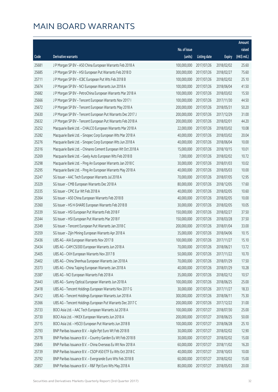|       |                                                              |              |                       |               | Amount      |
|-------|--------------------------------------------------------------|--------------|-----------------------|---------------|-------------|
|       |                                                              | No. of issue |                       |               | raised      |
| Code  | Derivative warrants                                          | (units)      | <b>Listing date</b>   | <b>Expiry</b> | (HK\$ mil.) |
| 25681 | J P Morgan SP BV - A50 China European Warrants Feb 2018 A    | 100,000,000  | 2017/07/26            | 2018/02/02    | 25.60       |
| 25685 | J P Morgan SP BV - HSI European Put Warrants Feb 2018 D      | 300,000,000  | 2017/07/26            | 2018/02/27    | 75.60       |
| 25711 | J P Morgan SP BV - ICBC European Put Wts Feb 2018 B          | 100,000,000  | 2017/07/26            | 2018/02/02    | 25.10       |
| 25674 | J P Morgan SP BV - NCI European Warrants Jun 2018 A          | 100,000,000  | 2017/07/26            | 2018/06/04    | 41.50       |
| 25682 | J P Morgan SP BV - PetroChina European Warrants Mar 2018 A   | 100,000,000  | 2017/07/26            | 2018/03/02    | 15.50       |
| 25666 | J P Morgan SP BV - Tencent European Warrants Nov 2017 I      | 100,000,000  | 2017/07/26            | 2017/11/30    | 44.50       |
| 25672 | J P Morgan SP BV - Tencent European Warrants May 2018 A      | 200,000,000  | 2017/07/26            | 2018/05/31    | 50.20       |
| 25630 | J P Morgan SP BV - Tencent European Put Warrants Dec 2017 J  | 200,000,000  | 2017/07/26            | 2017/12/29    | 31.00       |
| 25632 | J P Morgan SP BV - Tencent European Put Warrants Feb 2018 A  | 200,000,000  | 2017/07/26            | 2018/02/01    | 44.20       |
| 25252 | Macquarie Bank Ltd. - CHALCO European Warrants Mar 2018 A    | 22,000,000   | 2017/07/26            | 2018/03/02    | 10.08       |
| 25282 | Macquarie Bank Ltd. - Sinopec Corp European Wts Mar 2018 A   | 40,000,000   | 2017/07/26            | 2018/03/02    | 20.04       |
| 25276 | Macquarie Bank Ltd. - Sinopec Corp European Wts Jun 2018 A   | 40,000,000   | 2017/07/26            | 2018/06/04    | 10.00       |
| 25316 | Macquarie Bank Ltd. - Chinares Cement European Wt Oct 2018 A | 15,000,000   | 2017/07/26            | 2018/10/15    | 10.01       |
| 25269 | Macquarie Bank Ltd. - Geely Auto European Wts Feb 2018 B     | 7,000,000    | 2017/07/26            | 2018/02/02    | 10.72       |
| 25298 | Macquarie Bank Ltd. - Ping An European Warrants Jan 2018 C   | 30,000,000   | 2017/07/26            | 2018/01/03    | 10.02       |
| 25295 | Macquarie Bank Ltd. - Ping An European Warrants May 2018 A   | 40,000,000   | 2017/07/26            | 2018/05/03    | 10.00       |
| 25247 | SG Issuer - AAC Tech European Warrants Jul 2018 A            | 70,000,000   | 2017/07/26            | 2018/07/05    | 12.95       |
| 25329 | SG Issuer - CMB European Warrants Dec 2018 A                 | 80,000,000   | 2017/07/26            | 2018/12/05    | 17.60       |
| 25335 | SG Issuer - CPIC Eur Wt Feb 2018 A                           | 40,000,000   | 2017/07/26            | 2018/02/05    | 10.60       |
| 25364 | SG Issuer - A50 China European Warrants Feb 2018 B           | 40,000,000   | 2017/07/26            | 2018/02/05    | 10.00       |
| 25360 | SG Issuer - HS H-SHARE European Warrants Feb 2018 B          | 30,000,000   | 2017/07/26            | 2018/02/05    | 10.05       |
| 25339 | SG Issuer - HSI European Put Warrants Feb 2018 F             | 150,000,000  | 2017/07/26            | 2018/02/27    | 37.50       |
| 25344 | SG Issuer - HSI European Put Warrants Mar 2018 F             | 150,000,000  | 2017/07/26            | 2018/03/28    | 37.50       |
| 25349 | SG Issuer - Tencent European Put Warrants Jan 2018 C         | 200,000,000  | 2017/07/26            | 2018/01/04    | 33.00       |
| 25359 | SG Issuer - Zijin Mining European Warrants Apr 2018 A        | 35,000,000   | 2017/07/26            | 2018/04/06    | 10.15       |
| 25436 | UBS AG - AIA European Warrants Nov 2017 B                    | 100,000,000  | 2017/07/26            | 2017/11/27    | 15.10       |
| 25434 | UBS AG - CAM CSI300 European Warrants Jun 2018 A             |              | 70,000,000 2017/07/26 | 2018/06/21    | 13.72       |
| 25405 | UBS AG - CKH European Warrants Nov 2017 B                    | 50,000,000   | 2017/07/26            | 2017/11/22    | 10.70       |
| 25402 | UBS AG - China Shenhua European Warrants Jan 2018 A          | 70,000,000   | 2017/07/26            | 2018/01/29    | 17.50       |
| 25373 | UBS AG - China Taiping European Warrants Jan 2018 A          | 40,000,000   | 2017/07/26            | 2018/01/29    | 10.28       |
| 25387 | UBS AG - NCI European Warrants Feb 2018 A                    | 35,000,000   | 2017/07/26            | 2018/02/12    | 10.57       |
| 25443 | UBS AG - Sunny Optical European Warrants Jun 2018 A          | 100,000,000  | 2017/07/26            | 2018/06/25    | 25.00       |
| 25418 | UBS AG - Tencent Holdings European Warrants Nov 2017 G       | 30,000,000   | 2017/07/26            | 2017/11/27    | 18.33       |
| 25412 | UBS AG - Tencent Holdings European Warrants Jun 2018 A       | 300,000,000  | 2017/07/26            | 2018/06/11    | 75.30       |
| 25366 | UBS AG - Tencent Holdings European Put Warrants Dec 2017 C   | 200,000,000  | 2017/07/26            | 2017/12/22    | 31.00       |
| 25733 | BOCI Asia Ltd. - AAC Tech European Warrants Jul 2018 A       | 100,000,000  | 2017/07/27            | 2018/07/30    | 25.00       |
| 25730 | BOCI Asia Ltd. - HKEX European Warrants Jun 2018 A           | 200,000,000  | 2017/07/27            | 2018/06/25    | 50.00       |
| 25715 | BOCI Asia Ltd. - HSCEI European Put Warrants Jun 2018 B      | 100,000,000  | 2017/07/27            | 2018/06/28    | 25.10       |
| 25793 | BNP Paribas Issuance B.V. - Agile Ppt Euro Wt Feb 2018 B     | 30,000,000   | 2017/07/27            | 2018/02/02    | 12.90       |
| 25778 | BNP Paribas Issuance B.V. - Country Garden Eu Wt Feb 2018 B  | 30,000,000   | 2017/07/27            | 2018/02/02    | 15.00       |
| 25845 | BNP Paribas Issuance B.V. - China Overseas Eu Wt Nov 2018 A  | 60,000,000   | 2017/07/27            | 2018/11/02    | 16.20       |
| 25739 | BNP Paribas Issuance B.V. - CSOP A50 ETF Eu Wts Oct 2018 C   | 40,000,000   | 2017/07/27            | 2018/10/03    | 10.00       |
| 25792 | BNP Paribas Issuance B.V. - Evergrande Euro Wts Feb 2018 B   | 60,000,000   | 2017/07/27            | 2018/02/02    | 15.00       |
| 25857 | BNP Paribas Issuance B.V. - R&F Ppt Euro Wts May 2018 A      | 80,000,000   | 2017/07/27            | 2018/05/03    | 20.00       |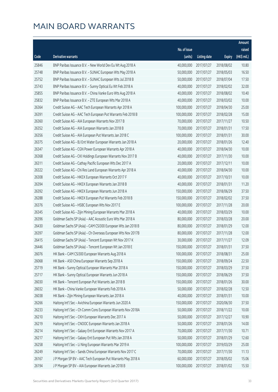|       |                                                              |                        |                     |               | Amount      |
|-------|--------------------------------------------------------------|------------------------|---------------------|---------------|-------------|
|       |                                                              | No. of issue           |                     |               | raised      |
| Code  | Derivative warrants                                          | (units)                | <b>Listing date</b> | <b>Expiry</b> | (HK\$ mil.) |
| 25846 | BNP Paribas Issuance B.V. - New World Dev Eu Wt Aug 2018 A   | 40,000,000             | 2017/07/27          | 2018/08/02    | 10.80       |
| 25748 | BNP Paribas Issuance B.V. - SUNAC European Wts May 2018 A    | 50,000,000             | 2017/07/27          | 2018/05/03    | 16.50       |
| 25752 | BNP Paribas Issuance B.V. - SUNAC European Wts Jul 2018 B    | 50,000,000             | 2017/07/27          | 2018/07/04    | 17.50       |
| 25743 | BNP Paribas Issuance B.V. - Sunny Optical Eu Wt Feb 2018 A   | 40,000,000             | 2017/07/27          | 2018/02/02    | 32.00       |
| 25855 | BNP Paribas Issuance B.V. - China Vanke Euro Wts Aug 2018 A  | 40,000,000             | 2017/07/27          | 2018/08/02    | 10.40       |
| 25832 | BNP Paribas Issuance B.V. - ZTE European Wts Mar 2018 A      | 40,000,000             | 2017/07/27          | 2018/03/02    | 10.00       |
| 26364 | Credit Suisse AG - AAC Tech European Warrants Apr 2018 A     | 100,000,000            | 2017/07/27          | 2018/04/30    | 25.00       |
| 26391 | Credit Suisse AG - AAC Tech European Put Warrants Feb 2018 B | 100,000,000            | 2017/07/27          | 2018/02/28    | 15.00       |
| 26360 | Credit Suisse AG - AIA European Warrants Nov 2017 B          | 70,000,000             | 2017/07/27          | 2017/11/27    | 10.50       |
| 26352 | Credit Suisse AG - AIA European Warrants Jan 2018 B          | 70,000,000             | 2017/07/27          | 2018/01/31    | 17.50       |
| 26356 | Credit Suisse AG - AIA European Put Warrants Jan 2018 C      | 100,000,000            | 2017/07/27          | 2018/01/31    | 30.00       |
| 26375 | Credit Suisse AG - BJ Ent Water European Warrants Jan 2018 A | 20,000,000             | 2017/07/27          | 2018/01/26    | 12.40       |
| 26347 | Credit Suisse AG - CGN Power European Warrants Apr 2018 A    | 40,000,000             | 2017/07/27          | 2018/04/30    | 10.00       |
| 26368 | Credit Suisse AG - CKI Holdings European Warrants Nov 2017 B | 40,000,000             | 2017/07/27          | 2017/11/30    | 10.00       |
| 26311 | Credit Suisse AG - Cathay Pacific European Wts Dec 2017 A    | 20,000,000             | 2017/07/27          | 2017/12/11    | 10.00       |
| 26322 | Credit Suisse AG - Chi Res Land European Warrants Apr 2018 A | 40,000,000             | 2017/07/27          | 2018/04/30    | 10.00       |
| 26308 | Credit Suisse AG - HKEX European Warrants Oct 2017 F         | 40,000,000             | 2017/07/27          | 2017/10/31    | 10.00       |
| 26394 | Credit Suisse AG - HKEX European Warrants Jan 2018 B         | 40,000,000             | 2017/07/27          | 2018/01/31    | 11.20       |
| 26392 | Credit Suisse AG - HKEX European Warrants Jun 2018 A         | 150,000,000            | 2017/07/27          | 2018/06/29    | 37.50       |
| 26288 | Credit Suisse AG - HKEX European Put Warrants Feb 2018 B     | 150,000,000            | 2017/07/27          | 2018/02/02    | 37.50       |
| 26376 | Credit Suisse AG - HSBC European Wts Nov 2017 E              | 100,000,000            | 2017/07/27          | 2017/11/28    | 20.00       |
| 26345 | Credit Suisse AG - Zijin Mining European Warrants Mar 2018 A | 40,000,000             | 2017/07/27          | 2018/03/29    | 10.00       |
| 26396 | Goldman Sachs SP (Asia) - AAC Acoustic Euro Wts Mar 2018 A   | 80,000,000             | 2017/07/27          | 2018/03/28    | 20.00       |
| 26430 | Goldman Sachs SP (Asia) - CAM CSI300 European Wts Jan 2018 B | 80,000,000             | 2017/07/27          | 2018/01/29    | 12.00       |
| 26397 | Goldman Sachs SP (Asia) - Ch Overseas European Wts Nov 2017B | 80,000,000             | 2017/07/27          | 2017/11/28    | 12.00       |
| 26415 | Goldman Sachs SP (Asia) - Tencent European Wt Nov 2017 K     | 30,000,000             | 2017/07/27          | 2017/11/27    | 12.09       |
| 26446 | Goldman Sachs SP (Asia) - Tencent European Wt Jan 2018 E     | 150,000,000 2017/07/27 |                     | 2018/01/31    | 37.50       |
| 26076 | HK Bank - CAM CSI300 European Warrants Aug 2018 A            | 100,000,000            | 2017/07/27          | 2018/08/31    | 25.00       |
| 26068 | HK Bank - A50 China European Warrants Sep 2018 A             | 150,000,000            | 2017/07/27          | 2018/09/24    | 22.50       |
| 25719 | HK Bank - Sunny Optical European Warrants Mar 2018 A         | 150,000,000            | 2017/07/27          | 2018/03/29    | 37.50       |
| 25717 | HK Bank - Sunny Optical European Warrants Jun 2018 A         | 150,000,000            | 2017/07/27          | 2018/06/29    | 37.50       |
| 26030 | HK Bank - Tencent European Put Warrants Jan 2018 B           | 150,000,000            | 2017/07/27          | 2018/01/26    | 30.00       |
| 26032 | HK Bank - China Vanke European Warrants Feb 2018 A           | 50,000,000             | 2017/07/27          | 2018/02/28    | 12.50       |
| 26038 | HK Bank - Zijin Mining European Warrants Jan 2018 A          | 40,000,000             | 2017/07/27          | 2018/01/31    | 10.00       |
| 26266 | Haitong Int'l Sec - Avichina European Warrants Jun 2020 A    | 150,000,000            | 2017/07/27          | 2020/06/30    | 37.50       |
| 26233 | Haitong Int'l Sec - Ch Comm Cons European Warrants Nov 2018A | 50,000,000             | 2017/07/27          | 2018/11/22    | 10.00       |
| 26210 | Haitong Int'l Sec - CKH European Warrants Dec 2017 A         | 50,000,000             | 2017/07/27          | 2017/12/27    | 10.90       |
| 26219 | Haitong Int'l Sec - CNOOC European Warrants Jan 2018 A       | 50,000,000             | 2017/07/27          | 2018/01/26    | 14.00       |
| 26214 | Haitong Int'l Sec - Galaxy Ent European Warrants Nov 2017 A  | 70,000,000             | 2017/07/27          | 2017/11/30    | 10.71       |
| 26217 | Haitong Int'l Sec - Galaxy Ent European Put Wts Jan 2018 A   | 50,000,000             | 2017/07/27          | 2018/01/29    | 12.60       |
| 26258 | Haitong Int'l Sec - Li Ning European Warrants Mar 2019 A     | 100,000,000            | 2017/07/27          | 2019/03/29    | 25.00       |
| 26249 | Haitong Int'l Sec - Sands China European Warrants Nov 2017 C | 70,000,000             | 2017/07/27          | 2017/11/30    | 11.13       |
| 26167 | J P Morgan SP BV - AAC Tech European Put Warrants May 2018 A | 60,000,000             | 2017/07/27          | 2018/05/02    | 15.06       |
| 26194 | J P Morgan SP BV - AIA European Warrants Jan 2018 B          | 100,000,000            | 2017/07/27          | 2018/01/02    | 15.50       |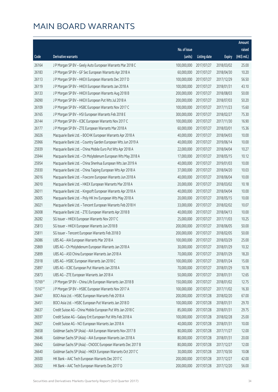|         |                                                              |              |                       |               | Amount      |
|---------|--------------------------------------------------------------|--------------|-----------------------|---------------|-------------|
|         |                                                              | No. of issue |                       |               | raised      |
| Code    | Derivative warrants                                          | (units)      | <b>Listing date</b>   | <b>Expiry</b> | (HK\$ mil.) |
| 26164   | J P Morgan SP BV - Geely Auto European Warrants Mar 2018 C   | 100,000,000  | 2017/07/27            | 2018/03/02    | 25.00       |
| 26183   | J P Morgan SP BV - GF Sec European Warrants Apr 2018 A       | 60,000,000   | 2017/07/27            | 2018/04/30    | 10.20       |
| 26113   | J P Morgan SP BV - HKEX European Warrants Dec 2017 D         | 100,000,000  | 2017/07/27            | 2017/12/29    | 56.50       |
| 26119   | J P Morgan SP BV - HKEX European Warrants Jan 2018 A         | 100,000,000  | 2017/07/27            | 2018/01/31    | 43.10       |
| 26133   | J P Morgan SP BV - HKEX European Warrants Aug 2018 B         | 200,000,000  | 2017/07/27            | 2018/08/03    | 50.00       |
| 26090   | J P Morgan SP BV - HKEX European Put Wts Jul 2018 A          | 200,000,000  | 2017/07/27            | 2018/07/03    | 50.20       |
| 26109   | J P Morgan SP BV - HSBC European Warrants Nov 2017 C         | 100,000,000  | 2017/07/27            | 2017/11/23    | 15.60       |
| 26165   | J P Morgan SP BV - HSI European Warrants Feb 2018 E          | 300,000,000  | 2017/07/27            | 2018/02/27    | 75.30       |
| 26144   | J P Morgan SP BV - ICBC European Warrants Nov 2017 C         | 100,000,000  | 2017/07/27            | 2017/11/30    | 16.90       |
| 26177   | J P Morgan SP BV - ZTE European Warrants Mar 2018 A          | 60,000,000   | 2017/07/27            | 2018/03/01    | 15.36       |
| 26026   | Macquarie Bank Ltd. - BOCHK European Warrants Apr 2018 A     | 40,000,000   | 2017/07/27            | 2018/04/03    | 10.00       |
| 25966   | Macquarie Bank Ltd. - Country Garden European Wts Jun 2019 A | 40,000,000   | 2017/07/27            | 2019/06/14    | 10.00       |
| 25939   | Macquarie Bank Ltd. - China Mobile Euro Put Wts Apr 2018 A   | 22,000,000   | 2017/07/27            | 2018/04/04    | 10.27       |
| 25944   | Macquarie Bank Ltd. - Ch Molybdenum European Wts May 2018 A  | 17,000,000   | 2017/07/27            | 2018/05/15    | 10.12       |
| 25954   | Macquarie Bank Ltd. - China Shenhua European Wts Jan 2019 A  | 40,000,000   | 2017/07/27            | 2019/01/03    | 10.00       |
| 25930   | Macquarie Bank Ltd. - China Taiping European Wts Apr 2018 A  | 37,000,000   | 2017/07/27            | 2018/04/20    | 10.03       |
| 26016   | Macquarie Bank Ltd. - Foxconn European Warrants Jun 2018 A   | 40,000,000   | 2017/07/27            | 2018/06/04    | 10.00       |
| 26010   | Macquarie Bank Ltd. - HKEX European Warrants Mar 2018 A      | 20,000,000   | 2017/07/27            | 2018/03/02    | 10.18       |
| 26011   | Macquarie Bank Ltd. - Kingsoft European Warrants Apr 2018 A  | 40,000,000   | 2017/07/27            | 2018/04/04    | 10.00       |
| 26005   | Macquarie Bank Ltd. - Poly HK Inv European Wts May 2018 A    | 20,000,000   | 2017/07/27            | 2018/05/15    | 10.00       |
| 26021   | Macquarie Bank Ltd. - Tencent European Warrants Feb 2018 H   | 33,000,000   | 2017/07/27            | 2018/02/02    | 10.07       |
| 26008   | Macquarie Bank Ltd. - ZTE European Warrants Apr 2018 B       | 40,000,000   | 2017/07/27            | 2018/04/13    | 10.00       |
| 26282   | SG Issuer - HKEX European Warrants Nov 2017 C                | 25,000,000   | 2017/07/27            | 2017/11/03    | 10.25       |
| 25813   | SG Issuer - HKEX European Warrants Jun 2018 B                | 200,000,000  | 2017/07/27            | 2018/06/05    | 50.00       |
| 25811   | SG Issuer - Tencent European Warrants Feb 2018 D             | 200,000,000  | 2017/07/27            | 2018/02/05    | 50.00       |
| 26086   | UBS AG - AIA European Warrants Mar 2018 A                    | 100,000,000  | 2017/07/27            | 2018/03/29    | 25.00       |
| 25869   | UBS AG - Ch Molybdenum European Warrants Jan 2018 A          |              | 30,000,000 2017/07/27 | 2018/01/29    | 10.32       |
| 25899   | UBS AG - A50 China European Warrants Jan 2018 A              | 70,000,000   | 2017/07/27            | 2018/01/29    | 18.20       |
| 25918   | UBS AG - HSBC European Warrants Jan 2018 C                   | 100,000,000  | 2017/07/27            | 2018/01/24    | 15.00       |
| 25897   | UBS AG - ICBC European Put Warrants Jan 2018 A               | 70,000,000   | 2017/07/27            | 2018/01/29    | 10.78       |
| 25873   | UBS AG - ZTE European Warrants Jan 2018 A                    | 50,000,000   | 2017/07/27            | 2018/01/31    | 12.65       |
| 15769 # | J P Morgan SP BV - China Life European Warrants Jan 2018 B   | 150,000,000  | 2017/07/27            | 2018/01/02    | 12.75       |
| 15167#  | J P Morgan SP BV - HSBC European Warrants Nov 2017 A         | 100,000,000  | 2017/07/27            | 2017/11/02    | 16.30       |
| 26447   | BOCI Asia Ltd. - HSBC European Warrants Feb 2018 A           | 200,000,000  | 2017/07/28            | 2018/02/20    | 67.00       |
| 26451   | BOCI Asia Ltd. - HSBC European Put Warrants Jan 2018 D       | 100,000,000  | 2017/07/28            | 2018/01/31    | 29.70       |
| 26637   | Credit Suisse AG - China Mobile European Put Wts Jan 2018 C  | 85,000,000   | 2017/07/28            | 2018/01/31    | 29.75       |
| 26597   | Credit Suisse AG - Galaxy Ent European Put Wts Feb 2018 A    | 100,000,000  | 2017/07/28            | 2018/02/28    | 25.00       |
| 26627   | Credit Suisse AG - NCI European Warrants Jan 2018 A          | 40,000,000   | 2017/07/28            | 2018/01/31    | 10.00       |
| 26658   | Goldman Sachs SP (Asia) - AIA European Warrants Nov 2017 B   | 80,000,000   | 2017/07/28            | 2017/11/27    | 12.00       |
| 26646   | Goldman Sachs SP (Asia) - AIA European Warrants Jan 2018 A   | 80,000,000   | 2017/07/28            | 2018/01/31    | 20.00       |
| 26642   | Goldman Sachs SP (Asia) - CNOOC European Warrants Dec 2017 B | 80,000,000   | 2017/07/28            | 2017/12/27    | 12.00       |
| 26640   | Goldman Sachs SP (Asia) - HKEX European Warrants Oct 2017 C  | 30,000,000   | 2017/07/28            | 2017/10/30    | 10.08       |
| 26500   | HK Bank - AAC Tech European Warrants Dec 2017 C              | 200,000,000  | 2017/07/28            | 2017/12/27    | 42.00       |
| 26502   | HK Bank - AAC Tech European Warrants Dec 2017 D              | 200,000,000  | 2017/07/28            | 2017/12/20    | 56.00       |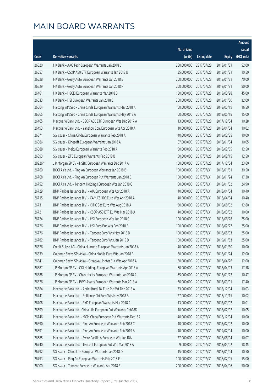|         |                                                               |              |                       |               | Amount      |
|---------|---------------------------------------------------------------|--------------|-----------------------|---------------|-------------|
|         |                                                               | No. of issue |                       |               | raised      |
| Code    | Derivative warrants                                           | (units)      | <b>Listing date</b>   | <b>Expiry</b> | (HK\$ mil.) |
| 26520   | HK Bank - AAC Tech European Warrants Jan 2018 C               | 200,000,000  | 2017/07/28            | 2018/01/31    | 52.00       |
| 26557   | HK Bank - CSOP A50 ETF European Warrants Jan 2018 B           | 35,000,000   | 2017/07/28            | 2018/01/31    | 10.50       |
| 26528   | HK Bank - Geely Auto European Warrants Jan 2018 E             | 200,000,000  | 2017/07/28            | 2018/01/31    | 70.00       |
| 26529   | HK Bank - Geely Auto European Warrants Jan 2018 F             | 200,000,000  | 2017/07/28            | 2018/01/31    | 80.00       |
| 26461   | HK Bank - HSCEI European Warrants Mar 2018 B                  | 180,000,000  | 2017/07/28            | 2018/03/28    | 45.00       |
| 26533   | HK Bank - HSI European Warrants Jan 2018 C                    | 200,000,000  | 2017/07/28            | 2018/01/30    | 32.00       |
| 26564   | Haitong Int'l Sec - China Cinda European Warrants Mar 2018 A  | 60,000,000   | 2017/07/28            | 2018/03/19    | 16.50       |
| 26565   | Haitong Int'l Sec - China Cinda European Warrants May 2018 A  | 60,000,000   | 2017/07/28            | 2018/05/18    | 15.00       |
| 26465   | Macquarie Bank Ltd. - CSOP A50 ETF European Wts Dec 2017 A    | 13,000,000   | 2017/07/28            | 2017/12/04    | 10.28       |
| 26493   | Macquarie Bank Ltd. - Yanzhou Coal European Wts Apr 2018 A    | 10,000,000   | 2017/07/28            | 2018/04/04    | 10.02       |
| 26571   | SG Issuer - China Cinda European Warrants Feb 2018 A          | 40,000,000   | 2017/07/28            | 2018/02/05    | 10.00       |
| 26586   | SG Issuer - Kingsoft European Warrants Jan 2018 A             | 67,000,000   | 2017/07/28            | 2018/01/04    | 10.05       |
| 26588   | SG Issuer - Meitu European Warrants Feb 2018 A                | 50,000,000   | 2017/07/28            | 2018/02/05    | 12.50       |
| 26593   | SG Issuer - ZTE European Warrants Feb 2018 B                  | 50,000,000   | 2017/07/28            | 2018/02/15    | 12.50       |
| 28926 # | J P Morgan SP BV - HSBC European Warrants Dec 2017 A          | 100,000,000  | 2017/07/28            | 2017/12/04    | 23.60       |
| 26760   | BOCI Asia Ltd. - Ping An European Warrants Jan 2018 B         | 100,000,000  | 2017/07/31            | 2018/01/31    | 30.50       |
| 26768   | BOCI Asia Ltd. - Ping An European Put Warrants Jan 2018 C     | 100,000,000  | 2017/07/31            | 2018/01/24    | 17.30       |
| 26752   | BOCI Asia Ltd. - Tencent Holdings European Wts Jan 2018 C     | 50,000,000   | 2017/07/31            | 2018/01/02    | 24.90       |
| 26729   | BNP Paribas Issuance B.V. - AIA European Wts Apr 2018 A       | 40,000,000   | 2017/07/31            | 2018/04/04    | 10.40       |
| 26715   | BNP Paribas Issuance B.V. - CAM CSI300 Euro Wts Apr 2018 A    | 40,000,000   | 2017/07/31            | 2018/04/04    | 10.40       |
| 26731   | BNP Paribas Issuance B.V. - CITIC Sec Euro Wts Aug 2018 A     | 80,000,000   | 2017/07/31            | 2018/08/02    | 12.80       |
| 26721   | BNP Paribas Issuance B.V. - CSOP A50 ETF Eu Wts Mar 2018 A    | 40,000,000   | 2017/07/31            | 2018/03/02    | 10.00       |
| 26724   | BNP Paribas Issuance B.V. - HSI European Wts Jun 2018 C       | 100,000,000  | 2017/07/31            | 2018/06/28    | 25.00       |
| 26726   | BNP Paribas Issuance B.V. - HSI Euro Put Wts Feb 2018 B       | 100,000,000  | 2017/07/31            | 2018/02/27    | 25.00       |
| 26776   | BNP Paribas Issuance B.V. - Tencent Euro Wts May 2018 B       | 100,000,000  | 2017/07/31            | 2018/05/03    | 25.00       |
| 26782   | BNP Paribas Issuance B.V. - Tencent Euro Wts Jan 2019 D       | 100,000,000  | 2017/07/31            | 2019/01/03    | 25.00       |
| 26826   | Credit Suisse AG - China Huarong European Warrants Jan 2018 A |              | 40,000,000 2017/07/31 | 2018/01/30    | 10.00       |
| 26839   | Goldman Sachs SP (Asia) - China Mobile Euro Wts Jan 2018 B    | 80,000,000   | 2017/07/31            | 2018/01/24    | 12.00       |
| 26841   | Goldman Sachs SP (Asia) - Greatwall Motor Eur Wts Apr 2018 A  | 80,000,000   | 2017/07/31            | 2018/04/26    | 12.00       |
| 26887   | J P Morgan SP BV - CKI Holdings European Warrants Apr 2018 A  | 60,000,000   | 2017/07/31            | 2018/04/03    | 17.58       |
| 26888   | J P Morgan SP BV - Chsouthcity European Warrants Jan 2018 A   | 65,000,000   | 2017/07/31            | 2018/01/22    | 10.47       |
| 26876   | J P Morgan SP BV - PWR Assets European Warrants Mar 2018 A    | 60,000,000   | 2017/07/31            | 2018/03/01    | 17.40       |
| 26684   | Macquarie Bank Ltd. - Agricultural Bk Euro Put Wt Dec 2018 A  | 33,000,000   | 2017/07/31            | 2018/12/04    | 10.03       |
| 26741   | Macquarie Bank Ltd. - Brilliance Chi Euro Wts Nov 2018 A      | 27,000,000   | 2017/07/31            | 2018/11/15    | 10.02       |
| 26708   | Macquarie Bank Ltd. - BYD European Warrants Mar 2018 A        | 13,000,000   | 2017/07/31            | 2018/03/02    | 10.01       |
| 26699   | Macquarie Bank Ltd. - China Life European Put Warrants Feb18D | 10,000,000   | 2017/07/31            | 2018/02/02    | 10.05       |
| 26746   | Macquarie Bank Ltd. - MGM China European Put Warrants Dec18A  | 40,000,000   | 2017/07/31            | 2018/12/04    | 10.00       |
| 26690   | Macquarie Bank Ltd. - Ping An European Warrants Feb 2018 C    | 40,000,000   | 2017/07/31            | 2018/02/02    | 10.00       |
| 26691   | Macquarie Bank Ltd. - Ping An European Warrants Feb 2019 A    | 40,000,000   | 2017/07/31            | 2019/02/04    | 10.00       |
| 26685   | Macquarie Bank Ltd. - Swire Pacific A European Wts Jun18A     | 27,000,000   | 2017/07/31            | 2018/06/04    | 10.07       |
| 26740   | Macquarie Bank Ltd. - Tencent European Put Wts Mar 2018 A     | 9,000,000    | 2017/07/31            | 2018/03/02    | 18.45       |
| 26792   | SG Issuer - China Life European Warrants Jan 2018 D           | 15,000,000   | 2017/07/31            | 2018/01/04    | 10.50       |
| 26793   | SG Issuer - Ping An European Warrants Feb 2018 E              | 100,000,000  | 2017/07/31            | 2018/02/05    | 15.00       |
| 26900   | SG Issuer - Tencent European Warrants Apr 2018 E              | 200,000,000  | 2017/07/31            | 2018/04/06    | 50.00       |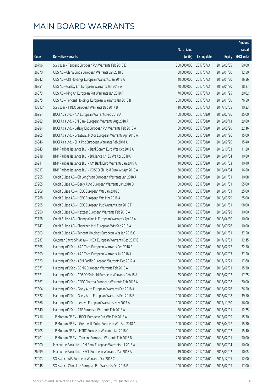|         |                                                               |                        |                     |               | Amount      |
|---------|---------------------------------------------------------------|------------------------|---------------------|---------------|-------------|
|         |                                                               | No. of issue           |                     |               | raised      |
| Code    | Derivative warrants                                           | (units)                | <b>Listing date</b> | <b>Expiry</b> | (HK\$ mil.) |
| 26796   | SG Issuer - Tencent European Put Warrants Feb 2018 E          | 200,000,000            | 2017/07/31          | 2018/02/05    | 50.00       |
| 26870   | UBS AG - China Cinda European Warrants Jan 2018 B             | 50,000,000             | 2017/07/31          | 2018/01/30    | 12.50       |
| 26842   | UBS AG - CKI Holdings European Warrants Jan 2018 A            | 40,000,000             | 2017/07/31          | 2018/01/30    | 16.36       |
| 26851   | UBS AG - Galaxy Ent European Warrants Jan 2018 A              | 70,000,000             | 2017/07/31          | 2018/01/30    | 18.27       |
| 26873   | UBS AG - Ping An European Put Warrants Jan 2018 F             | 70,000,000             | 2017/07/31          | 2018/01/25    | 20.02       |
| 26875   | UBS AG - Tencent Holdings European Warrants Jan 2018 B        | 300,000,000            | 2017/07/31          | 2018/01/30    | 76.50       |
| 13312 # | SG Issuer - HKEX European Warrants Dec 2017 B                 | 110,000,000            | 2017/07/31          | 2017/12/05    | 10.23       |
| 26954   | BOCI Asia Ltd. - AIA European Warrants Feb 2018 A             | 100,000,000            | 2017/08/01          | 2018/02/26    | 25.00       |
| 26982   | BOCI Asia Ltd. - CM Bank European Warrants Aug 2018 A         | 100,000,000            | 2017/08/01          | 2018/08/13    | 29.80       |
| 26984   | BOCI Asia Ltd. - Galaxy Ent European Put Warrants Feb 2018 A  | 80,000,000             | 2017/08/01          | 2018/02/20    | 22.16       |
| 26965   | BOCI Asia Ltd. - Greatwall Motor European Warrants Apr 2018 A | 100,000,000            | 2017/08/01          | 2018/04/26    | 15.00       |
| 26946   | BOCI Asia Ltd. - SHK Ppt European Warrants Feb 2018 A         | 50,000,000             | 2017/08/01          | 2018/02/26    | 15.40       |
| 26943   | BNP Paribas Issuance B.V. - BankComm Euro Wts Oct 2018 A      | 40,000,000             | 2017/08/01          | 2018/10/03    | 11.20       |
| 26918   | BNP Paribas Issuance B.V. - Brilliance Chi Eu Wt Apr 2018A    | 40,000,000             | 2017/08/01          | 2018/04/04    | 10.80       |
| 26911   | BNP Paribas Issuance B.V. - CM Bank Euro Warrants Jan 2019 A  | 40,000,000             | 2017/08/01          | 2019/01/03    | 10.40       |
| 26917   | BNP Paribas Issuance B.V. - COSCO Sh Hold Euro Wt Apr 2018 A  | 30,000,000             | 2017/08/01          | 2018/04/04    | 16.80       |
| 27255   | Credit Suisse AG - Ch LongYuan European Warrants Jan 2018 A   | 18,000,000             | 2017/08/01          | 2018/01/31    | 10.08       |
| 27265   | Credit Suisse AG - Geely Auto European Warrants Jan 2018 D    | 100,000,000            | 2017/08/01          | 2018/01/31    | 55.00       |
| 27269   | Credit Suisse AG - HSBC European Wts Jan 2018 E               | 100,000,000            | 2017/08/01          | 2018/01/31    | 25.00       |
| 27288   | Credit Suisse AG - HSBC European Wts Mar 2018 A               | 100,000,000            | 2017/08/01          | 2018/03/29    | 25.00       |
| 27295   | Credit Suisse AG - HSBC European Put Warrants Jan 2018 F      | 140,000,000            | 2017/08/01          | 2018/01/31    | 98.00       |
| 27250   | Credit Suisse AG - Nexteer European Warrants Feb 2018 A       | 40,000,000             | 2017/08/01          | 2018/02/28    | 10.00       |
| 27158   | Credit Suisse AG - Shanghai Ind H European Warrants Apr 18 A  | 40,000,000             | 2017/08/01          | 2018/04/30    | 10.00       |
| 27147   | Credit Suisse AG - Shenzhen Int'l European Wts Sep 2018 A     | 40,000,000             | 2017/08/01          | 2018/09/28    | 10.00       |
| 27303   | Credit Suisse AG - Tencent Holdings European Wts Jan 2018 G   | 150,000,000            | 2017/08/01          | 2018/01/31    | 37.50       |
| 27237   | Goldman Sachs SP (Asia) - HKEX European Warrants Dec 2017 C   | 30,000,000             | 2017/08/01          | 2017/12/01    | 12.15       |
| 27395   | Haitong Int'l Sec - AAC Tech European Warrants Feb 2018 B     | 150,000,000 2017/08/01 |                     | 2018/02/27    | 22.50       |
| 27399   | Haitong Int'l Sec - AAC Tech European Warrants Jul 2018 A     | 150,000,000            | 2017/08/01          | 2018/07/03    | 37.50       |
| 27323   | Haitong Int'l Sec - ASM Pacific European Warrants Dec 2017 A  | 100,000,000            | 2017/08/01          | 2017/12/21    | 17.60       |
| 27377   | Haitong Int'l Sec - BBMG European Warrants Feb 2018 A         | 30,000,000             | 2017/08/01          | 2018/02/01    | 15.30       |
| 27371   | Haitong Int'l Sec - COSCO Sh Hold European Warrants Feb 18 A  | 25,000,000             | 2017/08/01          | 2018/02/02    | 17.25       |
| 27367   | Haitong Int'l Sec - CSPC Pharma European Warrants Feb 2018 A  | 80,000,000             | 2017/08/01          | 2018/02/08    | 20.00       |
| 27304   | Haitong Int'l Sec - Geely Auto European Warrants Feb 2018 A   | 150,000,000            | 2017/08/01          | 2018/02/28    | 76.50       |
| 27322   | Haitong Int'l Sec - Geely Auto European Warrants Feb 2018 B   | 100,000,000            | 2017/08/01          | 2018/02/08    | 39.50       |
| 27366   | Haitong Int'l Sec - Lenovo European Warrants Nov 2017 A       | 100,000,000            | 2017/08/01          | 2017/11/30    | 16.00       |
| 27340   | Haitong Int'l Sec - ZTE European Warrants Feb 2018 A          | 50,000,000             | 2017/08/01          | 2018/02/01    | 12.75       |
| 27416   | J P Morgan SP BV - BOCL European Put Wts Feb 2018 A           | 100,000,000            | 2017/08/01          | 2018/02/09    | 15.30       |
| 27431   | J P Morgan SP BV - Greatwall Motor European Wts Apr 2018 A    | 100,000,000            | 2017/08/01          | 2018/04/27    | 15.30       |
| 27405   | J P Morgan SP BV - HSBC European Warrants Jan 2018 C          | 100,000,000            | 2017/08/01          | 2018/01/02    | 15.10       |
| 27401   | J P Morgan SP BV - Tencent European Warrants Feb 2018 B       | 200,000,000            | 2017/08/01          | 2018/02/01    | 50.00       |
| 27000   | Macquarie Bank Ltd. - CM Bank European Warrants Jul 2018 A    | 40,000,000             | 2017/08/01          | 2018/07/04    | 10.00       |
| 26999   | Macquarie Bank Ltd. - KECL European Warrants Mar 2018 A       | 19,400,000             | 2017/08/01          | 2018/03/02    | 10.05       |
| 27003   | SG Issuer - AIA European Warrants Dec 2017 C                  | 80,000,000             | 2017/08/01          | 2017/12/05    | 12.00       |
| 27048   | SG Issuer - China Life European Put Warrants Feb 2018 B       | 100,000,000            | 2017/08/01          | 2018/02/05    | 17.00       |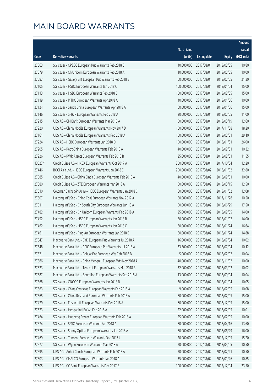|         |                                                              |              |                       |               | Amount      |
|---------|--------------------------------------------------------------|--------------|-----------------------|---------------|-------------|
|         |                                                              | No. of issue |                       |               | raised      |
| Code    | Derivative warrants                                          | (units)      | <b>Listing date</b>   | <b>Expiry</b> | (HK\$ mil.) |
| 27063   | SG Issuer - CP&CC European Put Warrants Feb 2018 B           | 40,000,000   | 2017/08/01            | 2018/02/05    | 10.80       |
| 27079   | SG Issuer - ChiUnicom European Warrants Feb 2018 A           | 10,000,000   | 2017/08/01            | 2018/02/05    | 10.00       |
| 27087   | SG Issuer - Galaxy Ent European Put Warrants Feb 2018 B      | 60,000,000   | 2017/08/01            | 2018/02/05    | 21.30       |
| 27105   | SG Issuer - HSBC European Warrants Jan 2018 C                | 100,000,000  | 2017/08/01            | 2018/01/04    | 15.00       |
| 27113   | SG Issuer - HSBC European Warrants Feb 2018 C                | 100,000,000  | 2017/08/01            | 2018/02/05    | 15.00       |
| 27119   | SG Issuer - MTRC European Warrants Apr 2018 A                | 40,000,000   | 2017/08/01            | 2018/04/06    | 10.00       |
| 27124   | SG Issuer - Sands China European Warrants Apr 2018 A         | 60,000,000   | 2017/08/01            | 2018/04/06    | 15.00       |
| 27146   | SG Issuer - SHK P European Warrants Feb 2018 A               | 20,000,000   | 2017/08/01            | 2018/02/05    | 11.00       |
| 27215   | UBS AG - CM Bank European Warrants Mar 2018 A                | 50,000,000   | 2017/08/01            | 2018/03/19    | 12.60       |
| 27220   | UBS AG - China Mobile European Warrants Nov 2017 D           | 100,000,000  | 2017/08/01            | 2017/11/08    | 18.20       |
| 27161   | UBS AG - China Mobile European Warrants Feb 2018 A           | 100,000,000  | 2017/08/01            | 2018/02/01    | 29.10       |
| 27224   | UBS AG - HSBC European Warrants Jan 2018 D                   | 100,000,000  | 2017/08/01            | 2018/01/31    | 26.00       |
| 27205   | UBS AG - PetroChina European Warrants Feb 2018 A             | 40,000,000   | 2017/08/01            | 2018/02/01    | 10.32       |
| 27226   | UBS AG - PWR Assets European Warrants Feb 2018 B             | 25,000,000   | 2017/08/01            | 2018/02/01    | 11.55       |
| 13527 # | Credit Suisse AG - HKEX European Warrants Oct 2017 A         | 200,000,000  | 2017/08/01            | 2017/10/04    | 12.20       |
| 27446   | BOCI Asia Ltd. - HSBC European Warrants Jan 2018 E           | 200,000,000  | 2017/08/02            | 2018/01/02    | 32.80       |
| 27585   | Credit Suisse AG - China Cinda European Warrants Feb 2018 A  | 40,000,000   | 2017/08/02            | 2018/02/01    | 10.00       |
| 27580   | Credit Suisse AG - ZTE European Warrants Mar 2018 A          | 50,000,000   | 2017/08/02            | 2018/03/15    | 12.50       |
| 27610   | Goldman Sachs SP (Asia) - HSBC European Warrants Jan 2018 C  | 80,000,000   | 2017/08/02            | 2018/01/02    | 12.08       |
| 27507   | Haitong Int'l Sec - China Coal European Warrants Nov 2017 A  | 50,000,000   | 2017/08/02            | 2017/11/28    | 10.50       |
| 27511   | Haitong Int'l Sec - Ch South City European Warrants Jun 18 A | 50,000,000   | 2017/08/02            | 2018/06/29    | 17.50       |
| 27482   | Haitong Int'l Sec - Ch Unicom European Warrants Feb 2018 A   | 25,000,000   | 2017/08/02            | 2018/02/05    | 14.00       |
| 27452   | Haitong Int'l Sec - HSBC European Warrants Jan 2018 B        | 80,000,000   | 2017/08/02            | 2018/01/02    | 14.00       |
| 27462   | Haitong Int'l Sec - HSBC European Warrants Jan 2018 C        | 80,000,000   | 2017/08/02            | 2018/01/24    | 16.64       |
| 27461   | Haitong Int'l Sec - Ping An European Warrants Jan 2018 B     | 80,000,000   | 2017/08/02            | 2018/01/24    | 14.88       |
| 27547   | Macquarie Bank Ltd. - BYD European Put Warrants Jul 2018 A   | 16,000,000   | 2017/08/02            | 2018/07/04    | 10.02       |
| 27548   | Macquarie Bank Ltd. - CPIC European Put Warrants Jul 2018 A  |              | 33,500,000 2017/08/02 | 2018/07/04    | 10.12       |
| 27521   | Macquarie Bank Ltd. - Galaxy Ent European Wts Feb 2018 B     | 5,000,000    | 2017/08/02            | 2018/02/02    | 10.04       |
| 27586   | Macquarie Bank Ltd. - China Mengniu European Wts Nov 2018 A  | 40,000,000   | 2017/08/02            | 2018/11/02    | 10.00       |
| 27523   | Macquarie Bank Ltd. - Tencent European Warrants Mar 2018 B   | 32,000,000   | 2017/08/02            | 2018/03/02    | 10.02       |
| 27587   | Macquarie Bank Ltd. - Zoomlion European Warrants Sep 2018 A  | 13,000,000   | 2017/08/02            | 2018/09/04    | 10.04       |
| 27568   | SG Issuer - CNOOC European Warrants Jan 2018 B               | 30,000,000   | 2017/08/02            | 2018/01/04    | 10.05       |
| 27563   | SG Issuer - China Overseas European Warrants Feb 2018 A      | 9,000,000    | 2017/08/02            | 2018/02/05    | 10.08       |
| 27565   | SG Issuer - China Res Land European Warrants Feb 2018 A      | 60,000,000   | 2017/08/02            | 2018/02/05    | 15.00       |
| 27479   | SG Issuer - Fosun Intl European Warrants Dec 2018 A          | 60,000,000   | 2017/08/02            | 2018/12/05    | 15.00       |
| 27573   | SG Issuer - Henganintl Eu Wt Feb 2018 A                      | 22,000,000   | 2017/08/02            | 2018/02/05    | 10.01       |
| 27464   | SG Issuer - Huaneng Power European Warrants Feb 2018 A       | 25,000,000   | 2017/08/02            | 2018/02/05    | 10.00       |
| 27574   | SG Issuer - SMIC European Warrants Apr 2018 A                | 80,000,000   | 2017/08/02            | 2018/04/16    | 13.60       |
| 27578   | SG Issuer - Sunny Optical European Warrants Jun 2018 A       | 80,000,000   | 2017/08/02            | 2018/06/29    | 16.00       |
| 27469   | SG Issuer - Tencent European Warrants Dec 2017 J             | 20,000,000   | 2017/08/02            | 2017/12/05    | 15.20       |
| 27577   | SG Issuer - Wynn European Warrants Mar 2018 A                | 70,000,000   | 2017/08/02            | 2018/03/05    | 10.50       |
| 27595   | UBS AG - Anhui Conch European Warrants Feb 2018 A            | 70,000,000   | 2017/08/02            | 2018/02/21    | 10.50       |
| 27603   | UBS AG - CHALCO European Warrants Jan 2018 A                 | 35,000,000   | 2017/08/02            | 2018/01/26    | 10.85       |
| 27605   | UBS AG - CC Bank European Warrants Dec 2017 B                | 100,000,000  | 2017/08/02            | 2017/12/04    | 23.50       |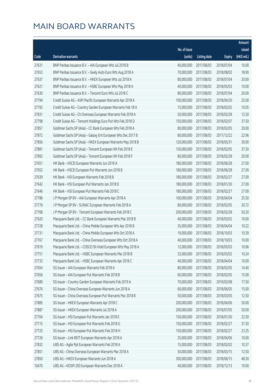|       |                                                              |              |                       |               | Amount      |
|-------|--------------------------------------------------------------|--------------|-----------------------|---------------|-------------|
|       |                                                              | No. of issue |                       |               | raised      |
| Code  | Derivative warrants                                          | (units)      | <b>Listing date</b>   | <b>Expiry</b> | (HK\$ mil.) |
| 27631 | BNP Paribas Issuance B.V. - AIA European Wts Jul 2018 B      | 40,000,000   | 2017/08/03            | 2018/07/04    | 10.00       |
| 27653 | BNP Paribas Issuance B.V. - Geely Auto Euro Wts Aug 2018 A   | 70,000,000   | 2017/08/03            | 2018/08/02    | 18.90       |
| 27637 | BNP Paribas Issuance B.V. - HKEX European Wts Jul 2018 A     | 80,000,000   | 2017/08/03            | 2018/07/04    | 20.00       |
| 27621 | BNP Paribas Issuance B.V. - HSBC European Wts May 2018 A     | 40,000,000   | 2017/08/03            | 2018/05/03    | 10.00       |
| 27630 | BNP Paribas Issuance B.V. - Tencent Euro Wts Jul 2018 C      | 80,000,000   | 2017/08/03            | 2018/07/04    | 20.00       |
| 27794 | Credit Suisse AG - ASM Pacific European Warrants Apr 2018 A  | 100,000,000  | 2017/08/03            | 2018/04/30    | 25.00       |
| 27792 | Credit Suisse AG - Country Garden European Warrants Feb 18 A | 15,000,000   | 2017/08/03            | 2018/02/02    | 10.05       |
| 27831 | Credit Suisse AG - Ch Overseas European Warrants Feb 2018 A  | 50,000,000   | 2017/08/03            | 2018/02/28    | 12.50       |
| 27798 | Credit Suisse AG - Tencent Holdings Euro Put Wts Feb 2018 D  | 150,000,000  | 2017/08/03            | 2018/02/07    | 37.50       |
| 27857 | Goldman Sachs SP (Asia) - CC Bank European Wts Feb 2018 A    | 80,000,000   | 2017/08/03            | 2018/02/05    | 20.00       |
| 27872 | Goldman Sachs SP (Asia) - Galaxy Ent European Wts Dec 2017 B | 80,000,000   | 2017/08/03            | 2017/12/22    | 22.96       |
| 27856 | Goldman Sachs SP (Asia) - HKEX European Warrants May 2018 B  | 120,000,000  | 2017/08/03            | 2018/05/31    | 30.00       |
| 27881 | Goldman Sachs SP (Asia) - Tencent European Wt Feb 2018 E     | 150,000,000  | 2017/08/03            | 2018/02/05    | 37.50       |
| 27892 | Goldman Sachs SP (Asia) - Tencent European Wt Feb 2018 F     | 80,000,000   | 2017/08/03            | 2018/02/28    | 20.00       |
| 27651 | HK Bank - HSCEI European Warrants Jun 2018 A                 | 180,000,000  | 2017/08/03            | 2018/06/28    | 27.00       |
| 27652 | HK Bank - HSCEI European Put Warrants Jun 2018 B             | 180,000,000  | 2017/08/03            | 2018/06/28    | 27.00       |
| 27639 | HK Bank - HSI European Warrants Feb 2018 B                   | 180,000,000  | 2017/08/03            | 2018/02/27    | 27.00       |
| 27642 | HK Bank - HSI European Put Warrants Jan 2018 D               | 180,000,000  | 2017/08/03            | 2018/01/30    | 27.00       |
| 27646 | HK Bank - HSI European Put Warrants Feb 2018 C               | 180,000,000  | 2017/08/03            | 2018/02/27    | 27.00       |
| 27786 | J P Morgan SP BV - AIA European Warrants Apr 2018 A          | 100,000,000  | 2017/08/03            | 2018/04/04    | 25.50       |
| 27776 | J P Morgan SP BV - SUNAC European Warrants Feb 2018 A        | 80,000,000   | 2017/08/03            | 2018/02/05    | 20.72       |
| 27768 | J P Morgan SP BV - Tencent European Warrants Feb 2018 C      | 200,000,000  | 2017/08/03            | 2018/02/28    | 50.20       |
| 27620 | Macquarie Bank Ltd. - CC Bank European Warrants Mar 2018 B   | 40,000,000   | 2017/08/03            | 2018/03/02    | 10.00       |
| 27728 | Macquarie Bank Ltd. - China Mobile European Wts Apr 2018 B   | 35,000,000   | 2017/08/03            | 2018/04/04    | 10.22       |
| 27731 | Macquarie Bank Ltd. - China Mobile European Wts Oct 2018 A   | 19,000,000   | 2017/08/03            | 2018/10/03    | 10.39       |
| 27767 | Macquarie Bank Ltd. - China Overseas European Wts Oct 2018 A | 40,000,000   | 2017/08/03            | 2018/10/03    | 10.00       |
| 27619 | Macquarie Bank Ltd. - COSCO Sh Hold European Wts May 2018 A  |              | 12,000,000 2017/08/03 | 2018/05/03    | 10.06       |
| 27751 | Macquarie Bank Ltd. - HSBC European Warrants Mar 2018 B      | 32,000,000   | 2017/08/03            | 2018/03/02    | 10.24       |
| 27733 | Macquarie Bank Ltd. - HSBC European Warrants Apr 2018 C      | 40,000,000   | 2017/08/03            | 2018/04/04    | 10.00       |
| 27654 | SG Issuer - AIA European Warrants Feb 2018 A                 | 80,000,000   | 2017/08/03            | 2018/02/05    | 14.40       |
| 27656 | SG Issuer - AIA European Put Warrants Feb 2018 B             | 60,000,000   | 2017/08/03            | 2018/02/05    | 15.00       |
| 27680 | SG Issuer - Country Garden European Warrants Feb 2019 A      | 70,000,000   | 2017/08/03            | 2019/02/08    | 17.50       |
| 27676 | SG Issuer - China Overseas European Warrants Jun 2018 A      | 60,000,000   | 2017/08/03            | 2018/06/05    | 15.00       |
| 27675 | SG Issuer - China Overseas European Put Warrants Mar 2018 B  | 50,000,000   | 2017/08/03            | 2018/03/05    | 12.50       |
| 27885 | SG Issuer - HKEX European Warrants Apr 2018 C                | 200,000,000  | 2017/08/03            | 2018/04/06    | 50.00       |
| 27887 | SG Issuer - HKEX European Warrants Jul 2018 A                | 200,000,000  | 2017/08/03            | 2018/07/05    | 50.00       |
| 27704 | SG Issuer - HSI European Put Warrants Jan 2018 E             | 150,000,000  | 2017/08/03            | 2018/01/30    | 22.50       |
| 27715 | SG Issuer - HSI European Put Warrants Feb 2018 G             | 150,000,000  | 2017/08/03            | 2018/02/27    | 37.50       |
| 27725 | SG Issuer - HSI European Put Warrants Feb 2018 H             | 150,000,000  | 2017/08/03            | 2018/02/27    | 23.25       |
| 27726 | SG Issuer - Link REIT European Warrants Apr 2018 A           | 25,000,000   | 2017/08/03            | 2018/04/06    | 10.00       |
| 27832 | UBS AG - Agile Ppt European Warrants Feb 2018 A              | 15,000,000   | 2017/08/03            | 2018/02/02    | 10.37       |
| 27851 | UBS AG - China Overseas European Warrants Mar 2018 A         | 50,000,000   | 2017/08/03            | 2018/03/15    | 12.50       |
| 27850 | UBS AG - HKEX European Warrants Jun 2018 A                   | 300,000,000  | 2017/08/03            | 2018/06/15    | 48.30       |
| 10470 | UBS AG - KOSPI 200 European Warrants Dec 2018 A              | 40,000,000   | 2017/08/03            | 2018/12/13    | 10.00       |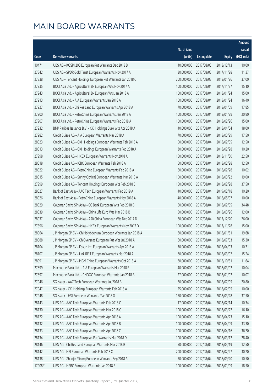|         |                                                               |              |                       |               | Amount      |
|---------|---------------------------------------------------------------|--------------|-----------------------|---------------|-------------|
|         |                                                               | No. of issue |                       |               | raised      |
| Code    | Derivative warrants                                           | (units)      | <b>Listing date</b>   | <b>Expiry</b> | (HK\$ mil.) |
| 10471   | UBS AG - KOSPI 200 European Put Warrants Dec 2018 B           | 40,000,000   | 2017/08/03            | 2018/12/13    | 10.00       |
| 27842   | UBS AG - SPDR Gold Trust European Warrants Nov 2017 A         | 30,000,000   | 2017/08/03            | 2017/11/28    | 11.37       |
| 27838   | UBS AG - Tencent Holdings European Put Warrants Jan 2018 C    | 200,000,000  | 2017/08/03            | 2018/01/26    | 37.00       |
| 27935   | BOCI Asia Ltd. - Agricultural Bk European Wts Nov 2017 A      | 100,000,000  | 2017/08/04            | 2017/11/27    | 15.10       |
| 27943   | BOCI Asia Ltd. - Agricultural Bk European Wts Jan 2018 A      | 100,000,000  | 2017/08/04            | 2018/01/24    | 15.00       |
| 27913   | BOCI Asia Ltd. - AIA European Warrants Jan 2018 A             | 100,000,000  | 2017/08/04            | 2018/01/24    | 16.40       |
| 27927   | BOCI Asia Ltd. - Chi Res Land European Warrants Apr 2018 A    | 70,000,000   | 2017/08/04            | 2018/04/09    | 17.85       |
| 27900   | BOCI Asia Ltd. - PetroChina European Warrants Jan 2018 A      | 100,000,000  | 2017/08/04            | 2018/01/29    | 20.80       |
| 27907   | BOCI Asia Ltd. - PetroChina European Warrants Feb 2018 A      | 100,000,000  | 2017/08/04            | 2018/02/26    | 15.00       |
| 27932   | BNP Paribas Issuance B.V. - CKI Holdings Euro Wts Apr 2018 A  | 40,000,000   | 2017/08/04            | 2018/04/04    | 18.00       |
| 27982   | Credit Suisse AG - AIA European Warrants Mar 2018 A           | 70,000,000   | 2017/08/04            | 2018/03/29    | 17.50       |
| 28023   | Credit Suisse AG - CKH Holdings European Warrants Feb 2018 A  | 50,000,000   | 2017/08/04            | 2018/02/05    | 12.50       |
| 28013   | Credit Suisse AG - CKI Holdings European Warrants Feb 2018 A  | 30,000,000   | 2017/08/04            | 2018/02/28    | 10.20       |
| 27998   | Credit Suisse AG - HKEX European Warrants Nov 2018 A          | 150,000,000  | 2017/08/04            | 2018/11/30    | 22.50       |
| 28018   | Credit Suisse AG - ICBC European Warrants Feb 2018 A          | 50,000,000   | 2017/08/04            | 2018/02/28    | 12.50       |
| 28022   | Credit Suisse AG - PetroChina European Warrants Feb 2018 A    | 60,000,000   | 2017/08/04            | 2018/02/28    | 10.02       |
| 28015   | Credit Suisse AG - Sunny Optical European Warrants Mar 2018 A | 100,000,000  | 2017/08/04            | 2018/03/22    | 19.00       |
| 27999   | Credit Suisse AG - Tencent Holdings European Wts Feb 2018 E   | 150,000,000  | 2017/08/04            | 2018/02/28    | 37.50       |
| 28027   | Bank of East Asia - AAC Tech European Warrants Feb 2019 A     | 40,000,000   | 2017/08/04            | 2019/02/18    | 10.20       |
| 28026   | Bank of East Asia - PetroChina European Warrants May 2018 A   | 40,000,000   | 2017/08/04            | 2018/05/07    | 10.00       |
| 28029   | Goldman Sachs SP (Asia) - CC Bank European Wts Feb 2018 B     | 80,000,000   | 2017/08/04            | 2018/02/05    | 34.48       |
| 28039   | Goldman Sachs SP (Asia) - China Life Euro Wts Mar 2018 B      | 80,000,000   | 2017/08/04            | 2018/03/26    | 12.00       |
| 28037   | Goldman Sachs SP (Asia) - A50 China European Wts Dec 2017 D   | 80,000,000   | 2017/08/04            | 2017/12/20    | 26.00       |
| 27896   | Goldman Sachs SP (Asia) - HKEX European Warrants Nov 2017 D   | 100,000,000  | 2017/08/04            | 2017/11/28    | 15.00       |
| 28064   | J P Morgan SP BV - Ch Molybdenum European Warrants Jan 2018 A | 60,000,000   | 2017/08/04            | 2018/01/31    | 19.68       |
| 28088   | J P Morgan SP BV - Ch Overseas European Put Wts Jul 2018 A    | 60,000,000   | 2017/08/04            | 2018/07/03    | 15.30       |
| 28104   | J P Morgan SP BV - Fosun Intl European Warrants Apr 2018 A    |              | 70,000,000 2017/08/04 | 2018/04/03    | 10.71       |
| 28107   | J P Morgan SP BV - Link REIT European Warrants Mar 2018 A     | 60,000,000   | 2017/08/04            | 2018/03/02    | 15.24       |
| 28091   | J P Morgan SP BV - MGM China European Warrants Oct 2018 A     | 60,000,000   | 2017/08/04            | 2018/10/31    | 11.64       |
| 27899   | Macquarie Bank Ltd. - AIA European Warrants Mar 2018 B        | 40,000,000   | 2017/08/04            | 2018/03/02    | 10.04       |
| 27897   | Macquarie Bank Ltd. - CNOOC European Warrants Jan 2018 B      | 27,000,000   | 2017/08/04            | 2018/01/02    | 10.07       |
| 27946   | SG Issuer - AAC Tech European Warrants Jul 2018 B             | 80,000,000   | 2017/08/04            | 2018/07/05    | 20.80       |
| 27947   | SG Issuer - CKI Holdings European Warrants Feb 2018 A         | 25,000,000   | 2017/08/04            | 2018/02/05    | 10.00       |
| 27948   | SG Issuer - HSI European Warrants Mar 2018 G                  | 150,000,000  | 2017/08/04            | 2018/03/28    | 37.50       |
| 28143   | UBS AG - AAC Tech European Warrants Feb 2018 C                | 17,000,000   | 2017/08/04            | 2018/02/14    | 10.34       |
| 28130   | UBS AG - AAC Tech European Warrants Mar 2018 C                | 100,000,000  | 2017/08/04            | 2018/03/22    | 16.10       |
| 28122   | UBS AG - AAC Tech European Warrants Apr 2018 A                | 100,000,000  | 2017/08/04            | 2018/04/23    | 15.10       |
| 28132   | UBS AG - AAC Tech European Warrants Apr 2018 B                | 100,000,000  | 2017/08/04            | 2018/04/09    | 33.30       |
| 28133   | UBS AG - AAC Tech European Warrants Apr 2018 C                | 100,000,000  | 2017/08/04            | 2018/04/16    | 36.70       |
| 28134   | UBS AG - AAC Tech European Put Warrants Mar 2018 D            | 100,000,000  | 2017/08/04            | 2018/03/12    | 28.40       |
| 28146   | UBS AG - Chi Res Land European Warrants Mar 2018 B            | 50,000,000   | 2017/08/04            | 2018/03/19    | 12.50       |
| 28142   | UBS AG - HSI European Warrants Feb 2018 C                     | 200,000,000  | 2017/08/04            | 2018/02/27    | 30.20       |
| 28138   | UBS AG - Zhaojin Mining European Warrants Sep 2018 A          | 70,000,000   | 2017/08/04            | 2018/09/20    | 10.50       |
| 17908 # | UBS AG - HSBC European Warrants Jan 2018 B                    | 100,000,000  | 2017/08/04            | 2018/01/09    | 18.50       |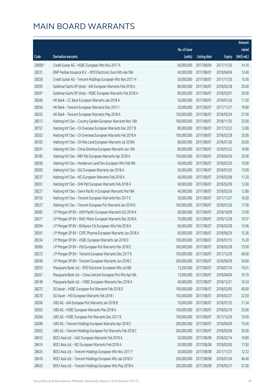|         |                                                              |                        |                     |               | Amount      |
|---------|--------------------------------------------------------------|------------------------|---------------------|---------------|-------------|
|         |                                                              | No. of issue           |                     |               | raised      |
| Code    | <b>Derivative warrants</b>                                   | (units)                | <b>Listing date</b> | <b>Expiry</b> | (HK\$ mil.) |
| 29008 # | Credit Suisse AG - HSBC European Wts Nov 2017 A              | 60,000,000             | 2017/08/04          | 2017/11/30    | 14.10       |
| 28331   | BNP Paribas Issuance B.V. - BYD Electronic Euro Wts Apr18A   | 40,000,000             | 2017/08/07          | 2018/04/04    | 12.40       |
| 28328   | Credit Suisse AG - Tencent Holdings European Wts Nov 2017 H  | 50,000,000             | 2017/08/07          | 2017/11/30    | 15.00       |
| 28395   | Goldman Sachs SP (Asia) - AIA European Warrants Feb 2018 A   | 80,000,000             | 2017/08/07          | 2018/02/28    | 20.00       |
| 28397   | Goldman Sachs SP (Asia) - HSBC European Warrants Feb 2018 A  | 80,000,000             | 2017/08/07          | 2018/02/07    | 20.00       |
| 28266   | HK Bank - CC Bank European Warrants Jan 2018 A               | 50,000,000             | 2017/08/07          | 2018/01/26    | 11.50       |
| 28256   | HK Bank - Tencent European Warrants Nov 2017 I               | 20,000,000             | 2017/08/07          | 2017/11/27    | 19.80       |
| 28265   | HK Bank - Tencent European Warrants May 2018 A               | 150,000,000            | 2017/08/07          | 2018/05/24    | 27.00       |
| 28313   | Haitong Int'l Sec - Country Garden European Warrants Nov 18A | 100,000,000            | 2017/08/07          | 2018/11/30    | 25.00       |
| 28157   | Haitong Int'l Sec - Ch Overseas European Warrants Dec 2017 B | 80,000,000             | 2017/08/07          | 2017/12/22    | 12.80       |
| 28202   | Haitong Int'l Sec - Ch Overseas European Warrants Feb 2018 A | 100,000,000            | 2017/08/07          | 2018/02/28    | 25.00       |
| 28183   | Haitong Int'l Sec - Chi Res Land European Warrants Jul 2018A | 80,000,000             | 2017/08/07          | 2018/07/26    | 20.00       |
| 28241   | Haitong Int'l Sec - China Shenhua European Warrants Jan 18A  | 80,000,000             | 2017/08/07          | 2018/01/22    | 16.80       |
| 28185   | Haitong Int'l Sec - R&F Ppt European Warrants Apr 2018 A     | 100,000,000            | 2017/08/07          | 2018/04/26    | 20.00       |
| 28206   | Haitong Int'l Sec - Henderson Land Dev European Wts Feb18A   | 40,000,000             | 2017/08/07          | 2018/02/26    | 10.00       |
| 28205   | Haitong Int'l Sec - IGG European Warrants Jan 2018 A         | 50,000,000             | 2017/08/07          | 2018/01/03    | 15.00       |
| 28237   | Haitong Int'l Sec - NCI European Warrants Feb 2018 A         | 40,000,000             | 2017/08/07          | 2018/02/08    | 11.20       |
| 28201   | Haitong Int'l Sec - SHK Ppt European Warrants Feb 2018 A     | 40,000,000             | 2017/08/07          | 2018/02/09    | 12.00       |
| 28227   | Haitong Int'l Sec - Swire Pacific A European Warrants Mar18A | 40,000,000             | 2017/08/07          | 2018/03/26    | 12.80       |
| 28155   | Haitong Int'l Sec - Tencent European Warrants Nov 2017 E     | 30,000,000             | 2017/08/07          | 2017/11/27    | 16.50       |
| 28327   | Haitong Int'l Sec - Tencent European Put Warrants Jan 2018 B | 100,000,000            | 2017/08/07          | 2018/01/26    | 17.00       |
| 28382   | J P Morgan SP BV - ASM Pacific European Warrants Oct 2018 A  | 60,000,000             | 2017/08/07          | 2018/10/09    | 12.90       |
| 28377   | J P Morgan SP BV - BAIC Motor European Warrants Dec 2018 A   | 70,000,000             | 2017/08/07          | 2018/12/28    | 10.57       |
| 28394   | J P Morgan SP BV - Brilliance Chi European Wts Feb 2018 A    | 60,000,000             | 2017/08/07          | 2018/02/28    | 15.06       |
| 28391   | J P Morgan SP BV - CSPC Pharma European Warrants Jun 2018 A  | 60,000,000             | 2017/08/07          | 2018/06/29    | 15.36       |
| 28334   | J P Morgan SP BV - HSBC European Warrants Jan 2018 D         | 100,000,000            | 2017/08/07          | 2018/01/15    | 15.20       |
| 28369   | J P Morgan SP BV - HSI European Put Warrants Mar 2018 E      | 300,000,000 2017/08/07 |                     | 2018/03/28    | 75.90       |
| 28372   | J P Morgan SP BV - Tencent European Warrants Dec 2017 K      | 100,000,000            | 2017/08/07          | 2017/12/29    | 49.00       |
| 28340   | J P Morgan SP BV - Tencent European Warrants Jun 2018 C      | 200,000,000            | 2017/08/07          | 2018/06/29    | 50.60       |
| 28253   | Macquarie Bank Ltd. - BYD Electronic European Wts Jul18A     | 13,200,000             | 2017/08/07          | 2018/07/16    | 10.01       |
| 28267   | Macquarie Bank Ltd. - China Unicom European Put Wts Apr18A   | 13,000,000             | 2017/08/07          | 2018/04/04    | 10.19       |
| 28148   | Macquarie Bank Ltd. - HSBC European Warrants Dec 2018 A      | 40,000,000             | 2017/08/07          | 2018/12/31    | 10.24       |
| 28275   | SG Issuer - HSBC European Put Warrants Feb 2018 D            | 100,000,000            | 2017/08/07          | 2018/02/05    | 40.00       |
| 28270   | SG Issuer - HSI European Warrants Feb 2018 I                 | 150,000,000            | 2017/08/07          | 2018/02/27    | 22.50       |
| 28306   | UBS AG - AIA European Put Warrants Jan 2018 B                | 70,000,000             | 2017/08/07          | 2018/01/25    | 11.34       |
| 28303   | UBS AG - HSBC European Warrants Mar 2018 A                   | 100,000,000            | 2017/08/07          | 2018/03/19    | 25.00       |
| 28304   | UBS AG - HSBC European Put Warrants Dec 2017 B               | 100,000,000            | 2017/08/07          | 2017/12/29    | 19.50       |
| 28289   | UBS AG - Tencent Holdings European Warrants Apr 2018 C       | 300,000,000            | 2017/08/07          | 2018/04/09    | 75.60       |
| 28302   | UBS AG - Tencent Holdings European Put Warrants Feb 2018 C   | 200,000,000            | 2017/08/07          | 2018/02/06    | 50.00       |
| 28415   | BOCI Asia Ltd. - GAC European Warrants Feb 2018 A            | 50,000,000             | 2017/08/08          | 2018/02/14    | 10.80       |
| 28414   | BOCI Asia Ltd. - NCI European Warrants Feb 2018 A            | 50,000,000             | 2017/08/08          | 2018/02/05    | 17.50       |
| 28425   | BOCI Asia Ltd. - Tencent Holdings European Wts Nov 2017 F    | 30,000,000             | 2017/08/08          | 2017/11/27    | 12.72       |
| 28416   | BOCI Asia Ltd. - Tencent Holdings European Wts Jan 2018 D    | 200,000,000            | 2017/08/08          | 2018/01/24    | 46.40       |
| 28423   | BOCI Asia Ltd. - Tencent Holdings European Wts May 2018 A    | 200,000,000            | 2017/08/08          | 2018/05/31    | 37.00       |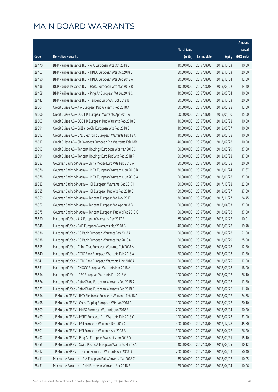|       |                                                              |              |                       |               | Amount      |
|-------|--------------------------------------------------------------|--------------|-----------------------|---------------|-------------|
|       |                                                              | No. of issue |                       |               | raised      |
| Code  | <b>Derivative warrants</b>                                   | (units)      | <b>Listing date</b>   | <b>Expiry</b> | (HK\$ mil.) |
| 28470 | BNP Paribas Issuance B.V. - AIA European Wts Oct 2018 B      | 40,000,000   | 2017/08/08            | 2018/10/03    | 10.00       |
| 28467 | BNP Paribas Issuance B.V. - HKEX European Wts Oct 2018 B     | 80,000,000   | 2017/08/08            | 2018/10/03    | 20.00       |
| 28450 | BNP Paribas Issuance B.V. - HKEX European Wts Dec 2018 A     | 80,000,000   | 2017/08/08            | 2018/12/04    | 12.00       |
| 28436 | BNP Paribas Issuance B.V. - HSBC European Wts Mar 2018 B     | 40,000,000   | 2017/08/08            | 2018/03/02    | 14.40       |
| 28468 | BNP Paribas Issuance B.V. - Ping An European Wt Jul 2018 C   | 40,000,000   | 2017/08/08            | 2018/07/04    | 10.00       |
| 28443 | BNP Paribas Issuance B.V. - Tencent Euro Wts Oct 2018 B      | 80,000,000   | 2017/08/08            | 2018/10/03    | 20.00       |
| 28604 | Credit Suisse AG - AIA European Put Warrants Feb 2018 A      | 50,000,000   | 2017/08/08            | 2018/02/28    | 12.50       |
| 28606 | Credit Suisse AG - BOC HK European Warrants Apr 2018 A       | 60,000,000   | 2017/08/08            | 2018/04/30    | 15.00       |
| 28607 | Credit Suisse AG - BOC HK European Put Warrants Feb 2018 B   | 40,000,000   | 2017/08/08            | 2018/02/28    | 10.00       |
| 28591 | Credit Suisse AG - Brilliance Chi European Wts Feb 2018 B    | 40,000,000   | 2017/08/08            | 2018/02/07    | 10.00       |
| 28592 | Credit Suisse AG - BYD Electronic European Warrants Feb 18 A | 40,000,000   | 2017/08/08            | 2018/02/08    | 10.00       |
| 28617 | Credit Suisse AG - Ch Overseas European Put Warrants Feb 18B | 40,000,000   | 2017/08/08            | 2018/02/28    | 10.00       |
| 28593 | Credit Suisse AG - Tencent Holdings European Wts Mar 2018 C  | 150,000,000  | 2017/08/08            | 2018/03/29    | 37.50       |
| 28594 | Credit Suisse AG - Tencent Holdings Euro Put Wts Feb 2018 F  | 150,000,000  | 2017/08/08            | 2018/02/28    | 37.50       |
| 28582 | Goldman Sachs SP (Asia) - China Mobile Euro Wts Feb 2018 A   | 80,000,000   | 2017/08/08            | 2018/02/08    | 20.00       |
| 28576 | Goldman Sachs SP (Asia) - HKEX European Warrants Jan 2018 B  | 30,000,000   | 2017/08/08            | 2018/01/24    | 17.67       |
| 28578 | Goldman Sachs SP (Asia) - HKEX European Warrants Jun 2018 A  | 150,000,000  | 2017/08/08            | 2018/06/28    | 37.50       |
| 28583 | Goldman Sachs SP (Asia) - HSI European Warrants Dec 2017 H   | 150,000,000  | 2017/08/08            | 2017/12/28    | 22.50       |
| 28585 | Goldman Sachs SP (Asia) - HSI European Put Wts Feb 2018 B    | 150,000,000  | 2017/08/08            | 2018/02/27    | 37.50       |
| 28559 | Goldman Sachs SP (Asia) - Tencent European Wt Nov 2017 L     | 30,000,000   | 2017/08/08            | 2017/11/27    | 24.45       |
| 28562 | Goldman Sachs SP (Asia) - Tencent European Wt Apr 2018 B     | 150,000,000  | 2017/08/08            | 2018/04/03    | 37.50       |
| 28575 | Goldman Sachs SP (Asia) - Tencent European Put Wt Feb 2018 G | 150,000,000  | 2017/08/08            | 2018/02/08    | 37.50       |
| 28650 | Haitong Int'l Sec - AIA European Warrants Dec 2017 B         | 65,000,000   | 2017/08/08            | 2017/12/27    | 10.01       |
| 28648 | Haitong Int'l Sec - BYD European Warrants Mar 2018 B         | 40,000,000   | 2017/08/08            | 2018/03/28    | 19.48       |
| 28636 | Haitong Int'l Sec - CC Bank European Warrants Feb 2018 A     | 100,000,000  | 2017/08/08            | 2018/02/28    | 51.00       |
| 28638 | Haitong Int'l Sec - CC Bank European Warrants Mar 2018 A     | 100,000,000  | 2017/08/08            | 2018/03/29    | 25.00       |
| 28655 | Haitong Int'l Sec - China Coal European Warrants Feb 2018 A  |              | 50,000,000 2017/08/08 | 2018/02/28    | 12.50       |
| 28640 | Haitong Int'l Sec - CITIC Bank European Warrants Feb 2018 A  | 50,000,000   | 2017/08/08            | 2018/02/08    | 12.50       |
| 28641 | Haitong Int'l Sec - CITIC Bank European Warrants May 2018 A  | 50,000,000   | 2017/08/08            | 2018/05/25    | 12.50       |
| 28631 | Haitong Int'l Sec - CNOOC European Warrants Mar 2018 A       | 50,000,000   | 2017/08/08            | 2018/03/28    | 18.00       |
| 28654 | Haitong Int'l Sec - ICBC European Warrants Feb 2018 A        | 100,000,000  | 2017/08/08            | 2018/02/12    | 26.10       |
| 28624 | Haitong Int'l Sec - PetroChina European Warrants Feb 2018 A  | 50,000,000   | 2017/08/08            | 2018/02/08    | 13.50       |
| 28627 | Haitong Int'l Sec - PetroChina European Warrants Feb 2018 B  | 60,000,000   | 2017/08/08            | 2018/02/26    | 11.40       |
| 28554 | J P Morgan SP BV - BYD Electronic European Warrants Feb 18 A | 60,000,000   | 2017/08/08            | 2018/02/07    | 24.78       |
| 28498 | J P Morgan SP BV - China Taiping European Wts Jan 2018 A     | 100,000,000  | 2017/08/08            | 2018/01/22    | 20.10       |
| 28509 | J P Morgan SP BV - HKEX European Warrants Jun 2018 B         | 200,000,000  | 2017/08/08            | 2018/06/04    | 50.20       |
| 28499 | J P Morgan SP BV - HSBC European Put Warrants Feb 2018 C     | 100,000,000  | 2017/08/08            | 2018/02/28    | 33.00       |
| 28503 | J P Morgan SP BV - HSI European Warrants Dec 2017 G          | 300,000,000  | 2017/08/08            | 2017/12/28    | 45.60       |
| 28501 | J P Morgan SP BV - HSI European Warrants Apr 2018 B          | 300,000,000  | 2017/08/08            | 2018/04/27    | 76.20       |
| 28497 | J P Morgan SP BV - Ping An European Warrants Jan 2018 D      | 100,000,000  | 2017/08/08            | 2018/01/31    | 15.10       |
| 28555 | J P Morgan SP BV - Swire Pacific A European Warrants Mar 18A | 40,000,000   | 2017/08/08            | 2018/03/05    | 10.12       |
| 28512 | J P Morgan SP BV - Tencent European Warrants Apr 2018 D      | 200,000,000  | 2017/08/08            | 2018/04/03    | 50.40       |
| 28411 | Macquarie Bank Ltd. - AIA European Put Warrants Mar 2018 C   | 35,000,000   | 2017/08/08            | 2018/03/02    | 10.05       |
| 28431 | Macquarie Bank Ltd. - CKH European Warrants Apr 2018 B       | 29,000,000   | 2017/08/08            | 2018/04/04    | 10.06       |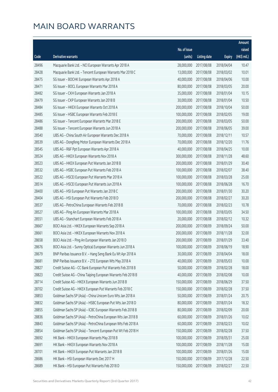|       |                                                               |                        |                     |               | Amount      |
|-------|---------------------------------------------------------------|------------------------|---------------------|---------------|-------------|
|       |                                                               | No. of issue           |                     |               | raised      |
| Code  | Derivative warrants                                           | (units)                | <b>Listing date</b> | <b>Expiry</b> | (HK\$ mil.) |
| 28496 | Macquarie Bank Ltd. - NCI European Warrants Apr 2018 A        | 28,000,000             | 2017/08/08          | 2018/04/04    | 10.47       |
| 28428 | Macquarie Bank Ltd. - Tencent European Warrants Mar 2018 C    | 13,000,000             | 2017/08/08          | 2018/03/02    | 10.01       |
| 28475 | SG Issuer - BOCHK European Warrants Apr 2018 A                | 40,000,000             | 2017/08/08          | 2018/04/06    | 10.00       |
| 28471 | SG Issuer - BOCL European Warrants Mar 2018 A                 | 80,000,000             | 2017/08/08          | 2018/03/05    | 20.00       |
| 28482 | SG Issuer - CKH European Warrants Jan 2018 A                  | 35,000,000             | 2017/08/08          | 2018/01/04    | 10.15       |
| 28479 | SG Issuer - CKP European Warrants Jan 2018 B                  | 30,000,000             | 2017/08/08          | 2018/01/04    | 10.50       |
| 28484 | SG Issuer - HKEX European Warrants Oct 2018 A                 | 200,000,000            | 2017/08/08          | 2018/10/04    | 50.00       |
| 28485 | SG Issuer - HSBC European Warrants Feb 2018 E                 | 100,000,000            | 2017/08/08          | 2018/02/05    | 19.00       |
| 28486 | SG Issuer - Tencent European Warrants Mar 2018 E              | 200,000,000            | 2017/08/08          | 2018/03/05    | 50.00       |
| 28488 | SG Issuer - Tencent European Warrants Jun 2018 A              | 200,000,000            | 2017/08/08          | 2018/06/05    | 39.00       |
| 28540 | UBS AG - China South Air European Warrants Dec 2018 A         | 70,000,000             | 2017/08/08          | 2018/12/11    | 10.57       |
| 28539 | UBS AG - Dongfeng Motor European Warrants Dec 2018 A          | 70,000,000             | 2017/08/08          | 2018/12/20    | 11.76       |
| 28545 | UBS AG - R&F Ppt European Warrants Apr 2018 A                 | 40,000,000             | 2017/08/08          | 2018/04/25    | 10.00       |
| 28524 | UBS AG - HKEX European Warrants Nov 2018 A                    | 300,000,000            | 2017/08/08          | 2018/11/28    | 48.60       |
| 28523 | UBS AG - HKEX European Put Warrants Jan 2018 B                | 200,000,000            | 2017/08/08          | 2018/01/29    | 30.40       |
| 28532 | UBS AG - HSBC European Put Warrants Feb 2018 A                | 100,000,000            | 2017/08/08          | 2018/02/07    | 38.40       |
| 28522 | UBS AG - HSCEI European Put Warrants Mar 2018 A               | 100,000,000            | 2017/08/08          | 2018/03/28    | 25.00       |
| 28514 | UBS AG - HSCEI European Put Warrants Jun 2018 A               | 100,000,000            | 2017/08/08          | 2018/06/28    | 16.70       |
| 28400 | UBS AG - HSI European Put Warrants Jan 2018 C                 | 200,000,000            | 2017/08/08          | 2018/01/30    | 30.20       |
| 28404 | UBS AG - HSI European Put Warrants Feb 2018 D                 | 200,000,000            | 2017/08/08          | 2018/02/27    | 30.20       |
| 28537 | UBS AG - PetroChina European Warrants Feb 2018 B              | 70,000,000             | 2017/08/08          | 2018/02/23    | 10.78       |
| 28527 | UBS AG - Ping An European Warrants Mar 2018 A                 | 100,000,000            | 2017/08/08          | 2018/03/05    | 34.50       |
| 28551 | UBS AG - Stanchart European Warrants Feb 2018 A               | 20,000,000             | 2017/08/08          | 2018/02/12    | 10.32       |
| 28667 | BOCI Asia Ltd. - HKEX European Warrants Sep 2018 A            | 200,000,000            | 2017/08/09          | 2018/09/24    | 50.00       |
| 28661 | BOCI Asia Ltd. - HKEX European Warrants Nov 2018 A            | 200,000,000            | 2017/08/09          | 2018/11/28    | 32.00       |
| 28658 | BOCI Asia Ltd. - Ping An European Warrants Jan 2018 D         | 200,000,000            | 2017/08/09          | 2018/01/29    | 33.40       |
| 28676 | BOCI Asia Ltd. - Sunny Optical European Warrants Jun 2018 A   | 100,000,000 2017/08/09 |                     | 2018/06/19    | 18.90       |
| 28679 | BNP Paribas Issuance B.V. - Hang Seng Bank Eu Wt Apr 2018 A   | 30,000,000             | 2017/08/09          | 2018/04/04    | 18.00       |
| 28681 | BNP Paribas Issuance B.V. - ZTE European Wts May 2018 A       | 40,000,000             | 2017/08/09          | 2018/05/03    | 10.00       |
| 28827 | Credit Suisse AG - CC Bank European Put Warrants Feb 2018 B   | 50,000,000             | 2017/08/09          | 2018/02/28    | 18.00       |
| 28823 | Credit Suisse AG - China Taiping European Warrants Feb 2018 B | 40,000,000             | 2017/08/09          | 2018/02/08    | 10.00       |
| 28714 | Credit Suisse AG - HKEX European Warrants Jun 2018 B          | 150,000,000            | 2017/08/09          | 2018/06/29    | 37.50       |
| 28702 | Credit Suisse AG - HKEX European Put Warrants Feb 2018 C      | 150,000,000            | 2017/08/09          | 2018/02/28    | 37.50       |
| 28853 | Goldman Sachs SP (Asia) - China Unicom Euro Wts Jan 2018 A    | 50,000,000             | 2017/08/09          | 2018/01/24    | 20.75       |
| 28832 | Goldman Sachs SP (Asia) - HSBC European Put Wts Jan 2018 D    | 80,000,000             | 2017/08/09          | 2018/01/24    | 18.32       |
| 28855 | Goldman Sachs SP (Asia) - ICBC European Warrants Feb 2018 B   | 80,000,000             | 2017/08/09          | 2018/02/09    | 20.00       |
| 28836 | Goldman Sachs SP (Asia) - PetroChina European Wts Jan 2018 B  | 60,000,000             | 2017/08/09          | 2018/01/26    | 10.02       |
| 28843 | Goldman Sachs SP (Asia) - PetroChina European Wts Feb 2018 A  | 60,000,000             | 2017/08/09          | 2018/02/23    | 10.02       |
| 28854 | Goldman Sachs SP (Asia) - Tencent European Put Wt Feb 2018 H  | 150,000,000            | 2017/08/09          | 2018/02/28    | 37.50       |
| 28692 | HK Bank - HKEX European Warrants May 2018 B                   | 100,000,000            | 2017/08/09          | 2018/05/31    | 25.00       |
| 28691 | HK Bank - HKEX European Warrants Nov 2018 A                   | 100,000,000            | 2017/08/09          | 2018/11/28    | 15.00       |
| 28701 | HK Bank - HKEX European Put Warrants Jan 2018 B               | 100,000,000            | 2017/08/09          | 2018/01/26    | 15.00       |
| 28686 | HK Bank - HSI European Warrants Dec 2017 H                    | 150,000,000            | 2017/08/09          | 2017/12/28    | 22.50       |
| 28689 | HK Bank - HSI European Put Warrants Feb 2018 D                | 150,000,000            | 2017/08/09          | 2018/02/27    | 22.50       |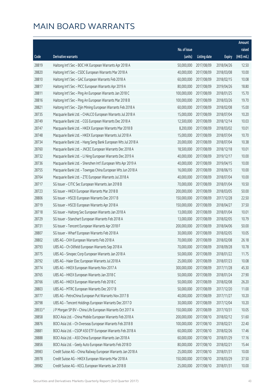|        |                                                               |              |                       |               | Amount      |
|--------|---------------------------------------------------------------|--------------|-----------------------|---------------|-------------|
|        |                                                               | No. of issue |                       |               | raised      |
| Code   | Derivative warrants                                           | (units)      | <b>Listing date</b>   | <b>Expiry</b> | (HK\$ mil.) |
| 28819  | Haitong Int'l Sec - BOC HK European Warrants Apr 2018 A       | 50,000,000   | 2017/08/09            | 2018/04/26    | 12.50       |
| 28820  | Haitong Int'l Sec - CSDC European Warrants Mar 2018 A         | 40,000,000   | 2017/08/09            | 2018/03/08    | 10.00       |
| 28810  | Haitong Int'l Sec - GAC European Warrants Feb 2018 A          | 60,000,000   | 2017/08/09            | 2018/02/15    | 10.08       |
| 28817  | Haitong Int'l Sec - PICC European Warrants Apr 2019 A         | 80,000,000   | 2017/08/09            | 2019/04/26    | 18.80       |
| 28811  | Haitong Int'l Sec - Ping An European Warrants Jan 2018 C      | 100,000,000  | 2017/08/09            | 2018/01/25    | 15.70       |
| 28816  | Haitong Int'l Sec - Ping An European Warrants Mar 2018 B      | 100,000,000  | 2017/08/09            | 2018/03/26    | 19.70       |
| 28821  | Haitong Int'l Sec - Zijin Mining European Warrants Feb 2018 A | 60,000,000   | 2017/08/09            | 2018/02/08    | 15.00       |
| 28735  | Macquarie Bank Ltd. - CHALCO European Warrants Jul 2018 A     | 15,000,000   | 2017/08/09            | 2018/07/04    | 10.20       |
| 28749  | Macquarie Bank Ltd. - CGS European Warrants Dec 2018 A        | 12,500,000   | 2017/08/09            | 2018/12/14    | 10.03       |
| 28747  | Macquarie Bank Ltd. - HKEX European Warrants Mar 2018 B       | 8,200,000    | 2017/08/09            | 2018/03/02    | 10.01       |
| 28748  | Macquarie Bank Ltd. - HKEX European Warrants Jul 2018 A       | 15,000,000   | 2017/08/09            | 2018/07/04    | 10.70       |
| 28734  | Macquarie Bank Ltd. - Hang Seng Bank European Wts Jul 2018 A  | 20,000,000   | 2017/08/09            | 2018/07/04    | 10.38       |
| 28760  | Macquarie Bank Ltd. - JNCEC European Warrants Dec 2018 A      | 18,500,000   | 2017/08/09            | 2018/12/18    | 10.01       |
| 28732  | Macquarie Bank Ltd. - Li Ning European Warrants Dec 2019 A    | 40,000,000   | 2017/08/09            | 2019/12/17    | 10.00       |
| 28736  | Macquarie Bank Ltd. - Shenzhen Int'l European Wts Apr 2019 A  | 40,000,000   | 2017/08/09            | 2019/04/15    | 10.00       |
| 28755  | Macquarie Bank Ltd. - Towngas China European Wts Jun 2018 A   | 16,000,000   | 2017/08/09            | 2018/06/15    | 10.00       |
| 28764  | Macquarie Bank Ltd. - ZTE European Warrants Jul 2018 A        | 40,000,000   | 2017/08/09            | 2018/07/04    | 10.00       |
| 28717  | SG Issuer - CITIC Sec European Warrants Jan 2018 B            | 70,000,000   | 2017/08/09            | 2018/01/04    | 10.50       |
| 28723  | SG Issuer - HKEX European Warrants Mar 2018 B                 | 200,000,000  | 2017/08/09            | 2018/03/05    | 50.00       |
| 28806  | SG Issuer - HSCEI European Warrants Dec 2017 B                | 150,000,000  | 2017/08/09            | 2017/12/28    | 22.50       |
| 28719  | SG Issuer - HSCEI European Warrants Apr 2018 A                | 150,000,000  | 2017/08/09            | 2018/04/27    | 37.50       |
| 28718  | SG Issuer - Haitong Sec European Warrants Jan 2018 A          | 13,000,000   | 2017/08/09            | 2018/01/04    | 10.01       |
| 28729  | SG Issuer - Stanchart European Warrants Feb 2018 A            | 13,000,000   | 2017/08/09            | 2018/02/05    | 10.79       |
| 28731  | SG Issuer - Tencent European Warrants Apr 2018 F              | 200,000,000  | 2017/08/09            | 2018/04/06    | 50.00       |
| 28807  | SG Issuer - Wharf European Warrants Feb 2018 A                | 30,000,000   | 2017/08/09            | 2018/02/05    | 10.05       |
| 28802  | UBS AG - CKH European Warrants Feb 2018 A                     | 70,000,000   | 2017/08/09            | 2018/02/08    | 26.18       |
| 28793  | UBS AG - Ch Oilfield European Warrants Sep 2018 A             |              | 70,000,000 2017/08/09 | 2018/09/28    | 10.78       |
| 28775  | UBS AG - Sinopec Corp European Warrants Jan 2018 A            | 50,000,000   | 2017/08/09            | 2018/01/22    | 11.75       |
| 28792  | UBS AG - Haier Elec European Warrants Jul 2018 A              | 25,000,000   | 2017/08/09            | 2018/07/23    | 10.08       |
| 28774  | UBS AG - HKEX European Warrants Nov 2017 A                    | 300,000,000  | 2017/08/09            | 2017/11/28    | 45.30       |
| 28765  | UBS AG - HKEX European Warrants Jan 2018 C                    | 50,000,000   | 2017/08/09            | 2018/01/24    | 27.90       |
| 28766  | UBS AG - HKEX European Warrants Feb 2018 C                    | 50,000,000   | 2017/08/09            | 2018/02/08    | 26.20       |
| 28803  | UBS AG - MTRC European Warrants Dec 2017 B                    | 50,000,000   | 2017/08/09            | 2017/12/20    | 11.00       |
| 28777  | UBS AG - PetroChina European Put Warrants Nov 2017 B          | 40,000,000   | 2017/08/09            | 2017/11/27    | 10.20       |
| 28798  | UBS AG - Tencent Holdings European Warrants Dec 2017 D        | 30,000,000   | 2017/08/09            | 2017/12/04    | 10.20       |
| 28933# | J P Morgan SP BV - China Life European Warrants Oct 2017 A    | 150,000,000  | 2017/08/09            | 2017/10/31    | 10.05       |
| 28858  | BOCI Asia Ltd. - China Mobile European Warrants Feb 2018 A    | 200,000,000  | 2017/08/10            | 2018/02/12    | 51.60       |
| 28876  | BOCI Asia Ltd. - Ch Overseas European Warrants Feb 2018 B     | 100,000,000  | 2017/08/10            | 2018/02/21    | 22.40       |
| 28881  | BOCI Asia Ltd. - CSOP A50 ETF European Warrants Feb 2018 A    | 60,000,000   | 2017/08/10            | 2018/02/26    | 17.46       |
| 28888  | BOCI Asia Ltd. - A50 China European Warrants Jan 2018 A       | 60,000,000   | 2017/08/10            | 2018/01/29    | 17.16       |
| 28856  | BOCI Asia Ltd. - Geely Auto European Warrants Feb 2018 D      | 80,000,000   | 2017/08/10            | 2018/02/21    | 15.44       |
| 28983  | Credit Suisse AG - China Railway European Warrants Jan 2018 A | 25,000,000   | 2017/08/10            | 2018/01/31    | 10.00       |
| 28978  | Credit Suisse AG - HKEX European Warrants Mar 2018 A          | 150,000,000  | 2017/08/10            | 2018/03/29    | 37.50       |
| 28982  | Credit Suisse AG - KECL European Warrants Jan 2018 B          | 25,000,000   | 2017/08/10            | 2018/01/31    | 10.00       |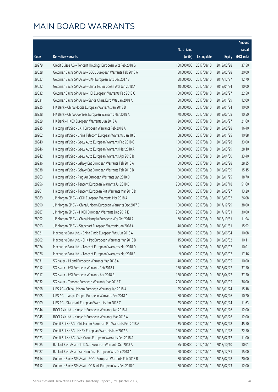|       |                                                               |              |                      |               | Amount       |
|-------|---------------------------------------------------------------|--------------|----------------------|---------------|--------------|
|       |                                                               | No. of issue |                      |               | raised       |
| Code  | Derivative warrants                                           | (units)      | <b>Listing date</b>  | <b>Expiry</b> | $(HK\$ mil.) |
| 28979 | Credit Suisse AG - Tencent Holdings European Wts Feb 2018 G   | 150,000,000  | 2017/08/10           | 2018/02/28    | 37.50        |
| 29028 | Goldman Sachs SP (Asia) - BOCL European Warrants Feb 2018 A   | 80,000,000   | 2017/08/10           | 2018/02/28    | 20.00        |
| 29027 | Goldman Sachs SP (Asia) - CKH European Wts Dec 2017 B         | 50,000,000   | 2017/08/10           | 2017/12/27    | 12.70        |
| 29022 | Goldman Sachs SP (Asia) - China Tel European Wts Jan 2018 A   | 40,000,000   | 2017/08/10           | 2018/01/24    | 10.00        |
| 29032 | Goldman Sachs SP (Asia) - HSI European Warrants Feb 2018 C    | 150,000,000  | 2017/08/10           | 2018/02/27    | 22.50        |
| 29031 | Goldman Sachs SP (Asia) - Sands China Euro Wts Jan 2018 A     | 80,000,000   | 2017/08/10           | 2018/01/29    | 12.00        |
| 28925 | HK Bank - China Mobile European Warrants Jan 2018 B           | 50,000,000   | 2017/08/10           | 2018/01/24    | 10.00        |
| 28928 | HK Bank - China Overseas European Warrants Mar 2018 A         | 70,000,000   | 2017/08/10           | 2018/03/08    | 10.50        |
| 28929 | HK Bank - HKEX European Warrants Jun 2018 A                   | 120,000,000  | 2017/08/10           | 2018/06/27    | 21.60        |
| 28935 | Haitong Int'l Sec - CKH European Warrants Feb 2018 A          | 50,000,000   | 2017/08/10           | 2018/02/28    | 16.40        |
| 28962 | Haitong Int'l Sec - China Telecom European Warrants Jan 18 B  | 68,000,000   | 2017/08/10           | 2018/01/25    | 10.88        |
| 28940 | Haitong Int'l Sec - Geely Auto European Warrants Feb 2018 C   | 100,000,000  | 2017/08/10           | 2018/02/28    | 33.00        |
| 28946 | Haitong Int'l Sec - Geely Auto European Warrants Mar 2018 A   | 100,000,000  | 2017/08/10           | 2018/03/29    | 28.10        |
| 28942 | Haitong Int'l Sec - Geely Auto European Warrants Apr 2018 B   | 100,000,000  | 2017/08/10           | 2018/04/30    | 33.40        |
| 28936 | Haitong Int'l Sec - Galaxy Ent European Warrants Feb 2018 A   | 50,000,000   | 2017/08/10           | 2018/02/28    | 28.35        |
| 28938 | Haitong Int'l Sec - Galaxy Ent European Warrants Feb 2018 B   | 50,000,000   | 2017/08/10           | 2018/02/09    | 15.15        |
| 28963 | Haitong Int'l Sec - Ping An European Warrants Jan 2018 D      | 100,000,000  | 2017/08/10           | 2018/01/25    | 18.70        |
| 28956 | Haitong Int'l Sec - Tencent European Warrants Jul 2018 B      | 200,000,000  | 2017/08/10           | 2018/07/18    | 51.60        |
| 28961 | Haitong Int'l Sec - Tencent European Put Warrants Mar 2018 D  | 80,000,000   | 2017/08/10           | 2018/03/27    | 13.20        |
| 28989 | J P Morgan SP BV - CKH European Warrants Mar 2018 A           | 80,000,000   | 2017/08/10           | 2018/03/02    | 26.08        |
| 28990 | J P Morgan SP BV - China Unicom European Warrants Dec 2017 C  | 100,000,000  | 2017/08/10           | 2017/12/29    | 38.00        |
| 28987 | J P Morgan SP BV - HKEX European Warrants Dec 2017 E          | 200,000,000  | 2017/08/10           | 2017/12/01    | 30.00        |
| 28992 | J P Morgan SP BV - China Mengniu European Wts Oct 2018 A      | 60,000,000   | 2017/08/10           | 2018/10/31    | 11.94        |
| 28993 | J P Morgan SP BV - Stanchart European Warrants Jan 2018 A     | 40,000,000   | 2017/08/10           | 2018/01/31    | 15.92        |
| 28921 | Macquarie Bank Ltd. - China Cinda European Wts Jun 2018 A     | 30,000,000   | 2017/08/10           | 2018/06/04    | 10.08        |
| 28902 | Macquarie Bank Ltd. - SHK Ppt European Warrants Mar 2018 B    | 15,000,000   | 2017/08/10           | 2018/03/02    | 10.11        |
| 28974 | Macquarie Bank Ltd. - Tencent European Warrants Mar 2018 D    |              | 9,000,000 2017/08/10 | 2018/03/02    | 10.01        |
| 28976 | Macquarie Bank Ltd. - Tencent European Warrants Mar 2018 E    | 9,000,000    | 2017/08/10           | 2018/03/02    | 17.16        |
| 28931 | SG Issuer - HLand European Warrants Mar 2018 A                | 40,000,000   | 2017/08/10           | 2018/03/05    | 10.00        |
| 29012 | SG Issuer - HSI European Warrants Feb 2018 J                  | 150,000,000  | 2017/08/10           | 2018/02/27    | 37.50        |
| 29017 | SG Issuer - HSI European Warrants Apr 2018 B                  | 150,000,000  | 2017/08/10           | 2018/04/27    | 37.50        |
| 28932 | SG Issuer - Tencent European Warrants Mar 2018 F              | 200,000,000  | 2017/08/10           | 2018/03/05    | 36.00        |
| 28998 | UBS AG - China Unicom European Warrants Jan 2018 A            | 25,000,000   | 2017/08/10           | 2018/01/24    | 15.18        |
| 29005 | UBS AG - Jiangxi Copper European Warrants Feb 2018 A          | 60,000,000   | 2017/08/10           | 2018/02/26    | 10.20        |
| 29009 | UBS AG - Stanchart European Warrants Jan 2018 C               | 25,000,000   | 2017/08/10           | 2018/01/24    | 11.63        |
| 29044 | BOCI Asia Ltd. - Kingsoft European Warrants Jan 2018 A        | 80,000,000   | 2017/08/11           | 2018/01/26    | 12.00        |
| 29045 | BOCI Asia Ltd. - Kingsoft European Warrants Mar 2018 A        | 80,000,000   | 2017/08/11           | 2018/03/26    | 12.00        |
| 29070 | Credit Suisse AG - ChiUnicom European Put Warrants Feb 2018 A | 35,000,000   | 2017/08/11           | 2018/02/28    | 45.50        |
| 29072 | Credit Suisse AG - HKEX European Warrants Nov 2017 A          | 150,000,000  | 2017/08/11           | 2017/11/28    | 22.50        |
| 29073 | Credit Suisse AG - WH Group European Warrants Feb 2018 A      | 20,000,000   | 2017/08/11           | 2018/02/12    | 11.00        |
| 29085 | Bank of East Asia - CITIC Sec European Warrants Oct 2018 A    | 55,000,000   | 2017/08/11           | 2018/10/10    | 10.01        |
| 29087 | Bank of East Asia - Yanzhou Coal European Wts Dec 2018 A      | 60,000,000   | 2017/08/11           | 2018/12/31    | 15.00        |
| 29114 | Goldman Sachs SP (Asia) - BOCL European Warrants Feb 2018 B   | 80,000,000   | 2017/08/11           | 2018/02/28    | 20.00        |
| 29112 | Goldman Sachs SP (Asia) - CC Bank European Wts Feb 2018 C     | 80,000,000   | 2017/08/11           | 2018/02/23    | 12.00        |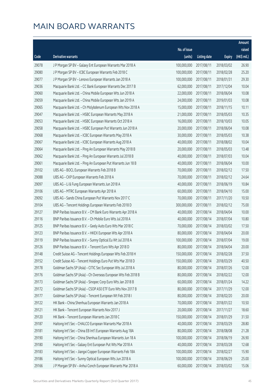|       |                                                               |              |                       |               | Amount                |
|-------|---------------------------------------------------------------|--------------|-----------------------|---------------|-----------------------|
|       |                                                               | No. of issue |                       |               | raised                |
| Code  | Derivative warrants                                           | (units)      | <b>Listing date</b>   | <b>Expiry</b> | $(HK\frac{1}{2}mil.)$ |
| 29078 | J P Morgan SP BV - Galaxy Ent European Warrants Mar 2018 A    | 100,000,000  | 2017/08/11            | 2018/03/02    | 26.90                 |
| 29080 | J P Morgan SP BV - ICBC European Warrants Feb 2018 C          | 100,000,000  | 2017/08/11            | 2018/02/28    | 25.20                 |
| 29077 | J P Morgan SP BV - Lenovo European Warrants Jan 2018 A        | 100,000,000  | 2017/08/11            | 2018/01/31    | 29.30                 |
| 29036 | Macquarie Bank Ltd. - CC Bank European Warrants Dec 2017 B    | 62,000,000   | 2017/08/11            | 2017/12/04    | 10.04                 |
| 29060 | Macquarie Bank Ltd. - China Mobile European Wts Jun 2018 A    | 22,000,000   | 2017/08/11            | 2018/06/04    | 10.08                 |
| 29059 | Macquarie Bank Ltd. - China Mobile European Wts Jan 2019 A    | 24,000,000   | 2017/08/11            | 2019/01/03    | 10.08                 |
| 29065 | Macquarie Bank Ltd. - Ch Molybdenum European Wts Nov 2018 A   | 15,000,000   | 2017/08/11            | 2018/11/15    | 10.11                 |
| 29047 | Macquarie Bank Ltd. - HSBC European Warrants May 2018 A       | 21,000,000   | 2017/08/11            | 2018/05/03    | 10.35                 |
| 29053 | Macquarie Bank Ltd. - HSBC European Warrants Oct 2018 A       | 16,000,000   | 2017/08/11            | 2018/10/03    | 10.05                 |
| 29058 | Macquarie Bank Ltd. - HSBC European Put Warrants Jun 2018 A   | 20,000,000   | 2017/08/11            | 2018/06/04    | 10.08                 |
| 29068 | Macquarie Bank Ltd. - ICBC European Warrants May 2018 A       | 30,000,000   | 2017/08/11            | 2018/05/03    | 10.38                 |
| 29067 | Macquarie Bank Ltd. - ICBC European Warrants Aug 2018 A       | 40,000,000   | 2017/08/11            | 2018/08/02    | 10.04                 |
| 29064 | Macquarie Bank Ltd. - Ping An European Warrants May 2018 B    | 20,000,000   | 2017/08/11            | 2018/05/03    | 13.48                 |
| 29062 | Macquarie Bank Ltd. - Ping An European Warrants Jul 2018 B    | 40,000,000   | 2017/08/11            | 2018/07/03    | 10.04                 |
| 29061 | Macquarie Bank Ltd. - Ping An European Put Warrants Jun 18 B  | 40,000,000   | 2017/08/11            | 2018/06/04    | 10.00                 |
| 29102 | UBS AG - BOCL European Warrants Feb 2018 B                    | 70,000,000   | 2017/08/11            | 2018/02/12    | 17.50                 |
| 29088 | UBS AG - CKP European Warrants Feb 2018 A                     | 70,000,000   | 2017/08/11            | 2018/02/12    | 24.64                 |
| 29097 | UBS AG - Li & Fung European Warrants Jun 2018 A               | 40,000,000   | 2017/08/11            | 2018/06/19    | 10.84                 |
| 29106 | UBS AG - MTRC European Warrants Apr 2018 A                    | 60,000,000   | 2017/08/11            | 2018/04/10    | 15.00                 |
| 29092 | UBS AG - Sands China European Put Warrants Nov 2017 C         | 70,000,000   | 2017/08/11            | 2017/11/20    | 10.50                 |
| 29104 | UBS AG - Tencent Holdings European Warrants Feb 2018 D        | 300,000,000  | 2017/08/11            | 2018/02/12    | 75.00                 |
| 29127 | BNP Paribas Issuance B.V. - CM Bank Euro Warrants Apr 2018 A  | 40,000,000   | 2017/08/14            | 2018/04/04    | 10.00                 |
| 29116 | BNP Paribas Issuance B.V. - Ch Mobile Euro Wts Jul 2018 A     | 40,000,000   | 2017/08/14            | 2018/07/04    | 10.80                 |
| 29125 | BNP Paribas Issuance B.V. - Geely Auto Euro Wts Mar 2018 C    | 70,000,000   | 2017/08/14            | 2018/03/02    | 17.50                 |
| 29123 | BNP Paribas Issuance B.V. - HKEX European Wts Apr 2018 A      | 80,000,000   | 2017/08/14            | 2018/04/04    | 20.00                 |
| 29119 | BNP Paribas Issuance B.V. - Sunny Optical Eu Wt Jul 2018 A    | 100,000,000  | 2017/08/14            | 2018/07/04    | 19.00                 |
| 29126 | BNP Paribas Issuance B.V. - Tencent Euro Wts Apr 2018 D       |              | 80,000,000 2017/08/14 | 2018/04/04    | 20.00                 |
| 29148 | Credit Suisse AG - Tencent Holdings European Wts Feb 2018 H   | 150,000,000  | 2017/08/14            | 2018/02/28    | 37.50                 |
| 29152 | Credit Suisse AG - Tencent Holdings Euro Put Wts Mar 2018 D   | 150,000,000  | 2017/08/14            | 2018/03/29    | 40.50                 |
| 29178 | Goldman Sachs SP (Asia) - CITIC Sec European Wts Jul 2018 A   | 80,000,000   | 2017/08/14            | 2018/07/26    | 12.00                 |
| 29176 | Goldman Sachs SP (Asia) - Ch Overseas European Wts Feb 2018 B | 80,000,000   | 2017/08/14            | 2018/02/22    | 12.00                 |
| 29173 | Goldman Sachs SP (Asia) - Sinopec Corp Euro Wts Jan 2018 B    | 60,000,000   | 2017/08/14            | 2018/01/24    | 14.22                 |
| 29172 | Goldman Sachs SP (Asia) - CSOP A50 ETF Euro Wts Nov 2017 B    | 80,000,000   | 2017/08/14            | 2017/11/29    | 12.00                 |
| 29177 | Goldman Sachs SP (Asia) - Tencent European Wt Feb 2018 I      | 80,000,000   | 2017/08/14            | 2018/02/20    | 20.00                 |
| 29122 | HK Bank - China Shenhua European Warrants Jan 2018 A          | 70,000,000   | 2017/08/14            | 2018/01/22    | 10.50                 |
| 29121 | HK Bank - Tencent European Warrants Nov 2017 J                | 20,000,000   | 2017/08/14            | 2017/11/27    | 18.60                 |
| 29120 | HK Bank - Tencent European Warrants Jan 2018 C                | 150,000,000  | 2017/08/14            | 2018/01/29    | 31.50                 |
| 29187 | Haitong Int'l Sec - CHALCO European Warrants Mar 2018 A       | 40,000,000   | 2017/08/14            | 2018/03/29    | 28.80                 |
| 29181 | Haitong Int'l Sec - China EB Int'l European Warrants Aug 18A  | 80,000,000   | 2017/08/14            | 2018/08/08    | 21.28                 |
| 29190 | Haitong Int'l Sec - China Shenhua European Warrants Jun 18 A  | 100,000,000  | 2017/08/14            | 2018/06/19    | 26.90                 |
| 29180 | Haitong Int'l Sec - Galaxy Ent European Put Wts Mar 2018 A    | 40,000,000   | 2017/08/14            | 2018/03/28    | 12.68                 |
| 29183 | Haitong Int'l Sec - Jiangxi Copper European Warrants Feb 18A  | 100,000,000  | 2017/08/14            | 2018/02/27    | 15.90                 |
| 29186 | Haitong Int'l Sec - Sunny Optical European Wts Jun 2018 A     | 100,000,000  | 2017/08/14            | 2018/06/29    | 25.00                 |
| 29166 | J P Morgan SP BV - Anhui Conch European Warrants Mar 2018 A   | 60,000,000   | 2017/08/14            | 2018/03/02    | 15.06                 |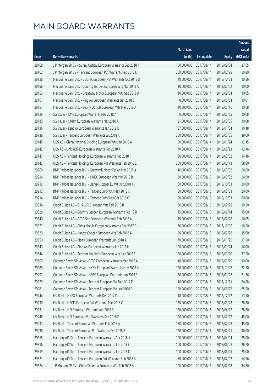|       |                                                               |                        |                     |               | Amount      |
|-------|---------------------------------------------------------------|------------------------|---------------------|---------------|-------------|
|       |                                                               | No. of issue           |                     |               | raised      |
| Code  | Derivative warrants                                           | (units)                | <b>Listing date</b> | <b>Expiry</b> | (HK\$ mil.) |
| 29168 | J P Morgan SP BV - Sunny Optical European Warrants Sep 2018 A | 150,000,000            | 2017/08/14          | 2018/09/04    | 37.65       |
| 29162 | J P Morgan SP BV - Tencent European Put Warrants Feb 2018 D   | 200,000,000            | 2017/08/14          | 2018/02/28    | 50.20       |
| 29128 | Macquarie Bank Ltd. - BOCHK European Put Warrants Oct 2018 B  | 40,000,000             | 2017/08/14          | 2018/10/03    | 10.56       |
| 29156 | Macquarie Bank Ltd. - Country Garden European Wts Mar 2018 A  | 10,000,000             | 2017/08/14          | 2018/03/02    | 10.00       |
| 29153 | Macquarie Bank Ltd. - Greatwall Motor European Wts Sep 2018 A | 10,000,000             | 2017/08/14          | 2018/09/04    | 10.05       |
| 29161 | Macquarie Bank Ltd. - Ping An European Warrants Jun 2018 C    | 8,000,000              | 2017/08/14          | 2018/06/04    | 10.01       |
| 29154 | Macquarie Bank Ltd. - Sunny Optical European Wts Mar 2018 A   | 10,000,000             | 2017/08/14          | 2018/03/16    | 10.68       |
| 29129 | SG Issuer - CMB European Warrants Mar 2018 A                  | 9,000,000              | 2017/08/14          | 2018/03/05    | 10.08       |
| 29133 | SG Issuer - CNBM European Warrants Mar 2018 A                 | 21,000,000             | 2017/08/14          | 2018/03/05    | 10.08       |
| 29136 | SG Issuer - Lenovo European Warrants Jan 2018 B               | 37,000,000             | 2017/08/14          | 2018/01/04    | 10.18       |
| 29138 | SG Issuer - Tencent European Warrants Jul 2018 A              | 200,000,000            | 2017/08/14          | 2018/07/05    | 38.00       |
| 29145 | UBS AG - China National Building European Wts Jan 2018 A      | 50,000,000             | 2017/08/14          | 2018/01/24    | 12.15       |
| 29142 | UBS AG - Link REIT European Warrants Feb 2018 A               | 70,000,000             | 2017/08/14          | 2018/02/23    | 12.46       |
| 29147 | UBS AG - Tencent Holdings European Warrants Feb 2018 F        | 30,000,000             | 2017/08/14          | 2018/02/02    | 14.16       |
| 29143 | UBS AG - Tencent Holdings European Put Warrants Feb 2018 E    | 200,000,000            | 2017/08/14          | 2018/02/13    | 58.80       |
| 29260 | BNP Paribas Issuance B.V. - Greatwall Motor Eu Wt Mar 2018 A  | 40,000,000             | 2017/08/15          | 2018/03/02    | 26.00       |
| 29224 | BNP Paribas Issuance B.V. - HKEX European Wts Mar 2018 B      | 30,000,000             | 2017/08/15          | 2018/03/02    | 24.90       |
| 29212 | BNP Paribas Issuance B.V. - Jiangxi Copper Eu Wt Oct 2018 A   | 80,000,000             | 2017/08/15          | 2018/10/03    | 20.00       |
| 29213 | BNP Paribas Issuance B.V. - Tencent Euro Wts May 2018 C       | 80,000,000             | 2017/08/15          | 2018/05/03    | 20.00       |
| 29214 | BNP Paribas Issuance B.V. - Tencent Euro Wts Oct 2018 C       | 80,000,000             | 2017/08/15          | 2018/10/03    | 20.00       |
| 29334 | Credit Suisse AG - CHALCO European Wts Feb 2018 B             | 30,000,000             | 2017/08/15          | 2018/02/28    | 10.20       |
| 29328 | Credit Suisse AG - Country Garden European Warrants Feb 18 B  | 15,000,000             | 2017/08/15          | 2018/02/14    | 15.00       |
| 29340 | Credit Suisse AG - CITIC Sec European Warrants Feb 2018 A     | 15,000,000             | 2017/08/15          | 2018/02/28    | 10.05       |
| 29327 | Credit Suisse AG - China Mobile European Warrants Dec 2017 B  | 70,000,000             | 2017/08/15          | 2017/12/06    | 10.50       |
| 29329 | Credit Suisse AG - Jiangxi Copper European Wts Feb 2018 A     | 20,000,000             | 2017/08/15          | 2018/02/28    | 15.60       |
| 29350 | Credit Suisse AG - Meitu European Warrants Jan 2018 A         | 70,000,000             | 2017/08/15          | 2018/01/29    | 17.50       |
| 29349 | Credit Suisse AG - Ping An European Warrants Jan 2018 H       | 100,000,000 2017/08/15 |                     | 2018/01/24    | 16.00       |
| 29344 | Credit Suisse AG - Tencent Holdings European Wts Mar 2018 E   | 150,000,000            | 2017/08/15          | 2018/03/29    | 37.50       |
| 29300 | Goldman Sachs SP (Asia) - CITIC European Warrants Mar 2018 A  | 40,000,000             | 2017/08/15          | 2018/03/29    | 10.00       |
| 29280 | Goldman Sachs SP (Asia) - HKEX European Warrants Nov 2018 A   | 150,000,000            | 2017/08/15          | 2018/11/28    | 22.50       |
| 29293 | Goldman Sachs SP (Asia) - HSBC European Warrants Jan 2018 E   | 80,000,000             | 2017/08/15          | 2018/01/26    | 21.36       |
| 29279 | Goldman Sachs SP (Asia) - Tencent European Wt Dec 2017 F      | 40,000,000             | 2017/08/15          | 2017/12/21    | 24.08       |
| 29281 | Goldman Sachs SP (Asia) - Tencent European Wt Jun 2018 B      | 150,000,000            | 2017/08/15          | 2018/06/22    | 25.50       |
| 29244 | HK Bank - HKEX European Warrants Dec 2017 D                   | 18,000,000             | 2017/08/15          | 2017/12/22    | 13.50       |
| 29230 | HK Bank - HSCEI European Put Warrants Mar 2018 C              | 180,000,000            | 2017/08/15          | 2018/03/28    | 28.80       |
| 29231 | HK Bank - HSI European Warrants Apr 2018 B                    | 180,000,000            | 2017/08/15          | 2018/04/27    | 28.80       |
| 29248 | HK Bank - HSI European Put Warrants Feb 2018 E                | 180,000,000            | 2017/08/15          | 2018/02/27    | 45.00       |
| 29233 | HK Bank - Tencent European Warrants Feb 2018 A                | 180,000,000            | 2017/08/15          | 2018/02/28    | 45.00       |
| 29236 | HK Bank - Tencent European Put Warrants Feb 2018 B            | 180,000,000            | 2017/08/15          | 2018/02/21    | 36.00       |
| 29315 | Haitong Int'l Sec - Tencent European Warrants Apr 2018 A      | 100,000,000            | 2017/08/15          | 2018/04/04    | 25.00       |
| 29316 | Haitong Int'l Sec - Tencent European Warrants Jun 2018 C      | 100,000,000            | 2017/08/15          | 2018/06/08    | 26.70       |
| 29319 | Haitong Int'l Sec - Tencent European Warrants Jun 2018 D      | 100,000,000            | 2017/08/15          | 2018/06/29    | 25.00       |
| 29321 | Haitong Int'l Sec - Tencent European Put Warrants Feb 2018 A  | 80,000,000             | 2017/08/15          | 2018/02/02    | 14.96       |
| 29324 | J P Morgan SP BV - China Shenhua European Wts Feb 2018 A      | 100,000,000            | 2017/08/15          | 2018/02/28    | 34.80       |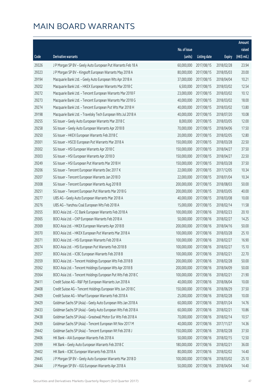|       |                                                               |              |                        |               | Amount      |
|-------|---------------------------------------------------------------|--------------|------------------------|---------------|-------------|
|       |                                                               | No. of issue |                        |               | raised      |
| Code  | Derivative warrants                                           | (units)      | <b>Listing date</b>    | <b>Expiry</b> | (HK\$ mil.) |
| 29326 | J P Morgan SP BV - Geely Auto European Put Warrants Feb 18 A  | 60,000,000   | 2017/08/15             | 2018/02/28    | 23.94       |
| 29323 | J P Morgan SP BV - Kingsoft European Warrants May 2018 A      | 80,000,000   | 2017/08/15             | 2018/05/03    | 20.00       |
| 29194 | Macquarie Bank Ltd. - Geely Auto European Wts Apr 2018 A      | 37,000,000   | 2017/08/15             | 2018/04/04    | 10.21       |
| 29202 | Macquarie Bank Ltd. - HKEX European Warrants Mar 2018 C       | 6,500,000    | 2017/08/15             | 2018/03/02    | 12.54       |
| 29272 | Macquarie Bank Ltd. - Tencent European Warrants Mar 2018 F    | 23,000,000   | 2017/08/15             | 2018/03/02    | 10.12       |
| 29273 | Macquarie Bank Ltd. - Tencent European Warrants Mar 2018 G    | 40,000,000   | 2017/08/15             | 2018/03/02    | 18.00       |
| 29274 | Macquarie Bank Ltd. - Tencent European Put Wts Mar 2018 H     | 40,000,000   | 2017/08/15             | 2018/03/02    | 13.80       |
| 29198 | Macquarie Bank Ltd. - Travelsky Tech European Wts Jul 2018 A  | 40,000,000   | 2017/08/15             | 2018/07/20    | 10.08       |
| 29255 | SG Issuer - Geely Auto European Warrants Mar 2018 C           | 8,000,000    | 2017/08/15             | 2018/03/05    | 12.00       |
| 29258 | SG Issuer - Geely Auto European Warrants Apr 2018 B           | 70,000,000   | 2017/08/15             | 2018/04/06    | 17.50       |
| 29250 | SG Issuer - HKEX European Warrants Feb 2018 C                 | 20,000,000   | 2017/08/15             | 2018/02/05    | 12.80       |
| 29301 | SG Issuer - HSCEI European Put Warrants Mar 2018 A            | 150,000,000  | 2017/08/15             | 2018/03/28    | 22.50       |
| 29302 | SG Issuer - HSI European Warrants Apr 2018 C                  | 150,000,000  | 2017/08/15             | 2018/04/27    | 37.50       |
| 29303 | SG Issuer - HSI European Warrants Apr 2018 D                  | 150,000,000  | 2017/08/15             | 2018/04/27    | 22.50       |
| 29249 | SG Issuer - HSI European Put Warrants Mar 2018 H              | 150,000,000  | 2017/08/15             | 2018/03/28    | 37.50       |
| 29206 | SG Issuer - Tencent European Warrants Dec 2017 K              | 22,000,000   | 2017/08/15             | 2017/12/05    | 10.34       |
| 29207 | SG Issuer - Tencent European Warrants Jan 2018 D              | 22,000,000   | 2017/08/15             | 2018/01/04    | 10.34       |
| 29308 | SG Issuer - Tencent European Warrants Aug 2018 B              | 200,000,000  | 2017/08/15             | 2018/08/03    | 50.00       |
| 29251 | SG Issuer - Tencent European Put Warrants Mar 2018 G          | 200,000,000  | 2017/08/15             | 2018/03/05    | 40.00       |
| 29277 | UBS AG - Geely Auto European Warrants Mar 2018 A              | 40,000,000   | 2017/08/15             | 2018/03/08    | 10.00       |
| 29276 | UBS AG - Yanzhou Coal European Wts Feb 2018 A                 | 15,000,000   | 2017/08/15             | 2018/02/14    | 11.58       |
| 29355 | BOCI Asia Ltd. - CC Bank European Warrants Feb 2018 A         | 100,000,000  | 2017/08/16             | 2018/02/23    | 20.10       |
| 29365 | BOCI Asia Ltd. - CKP European Warrants Feb 2018 A             | 50,000,000   | 2017/08/16             | 2018/02/27    | 14.25       |
| 29369 | BOCI Asia Ltd. - HKEX European Warrants Apr 2018 B            | 200,000,000  | 2017/08/16             | 2018/04/16    | 50.00       |
| 29370 | BOCI Asia Ltd. - HKEX European Put Warrants Mar 2018 A        | 100,000,000  | 2017/08/16             | 2018/03/28    | 25.10       |
| 29371 | BOCI Asia Ltd. - HSI European Warrants Feb 2018 A             | 100,000,000  | 2017/08/16             | 2018/02/27    | 16.90       |
| 29374 | BOCI Asia Ltd. - HSI European Put Warrants Feb 2018 B         |              | 100,000,000 2017/08/16 | 2018/02/27    | 15.10       |
| 29357 | BOCI Asia Ltd. - ICBC European Warrants Feb 2018 B            | 100,000,000  | 2017/08/16             | 2018/02/21    | 22.70       |
| 29359 | BOCI Asia Ltd. - Tencent Holdings European Wts Feb 2018 B     | 200,000,000  | 2017/08/16             | 2018/02/28    | 50.00       |
| 29362 | BOCI Asia Ltd. - Tencent Holdings European Wts Apr 2018 B     | 200,000,000  | 2017/08/16             | 2018/04/09    | 50.00       |
| 29364 | BOCI Asia Ltd. - Tencent Holdings European Put Wts Feb 2018 C | 100,000,000  | 2017/08/16             | 2018/02/21    | 21.90       |
| 29411 | Credit Suisse AG - R&F Ppt European Warrants Jun 2018 A       | 40,000,000   | 2017/08/16             | 2018/06/04    | 10.00       |
| 29408 | Credit Suisse AG - Tencent Holdings European Wts Jun 2018 C   | 150,000,000  | 2017/08/16             | 2018/06/29    | 37.50       |
| 29409 | Credit Suisse AG - Wharf European Warrants Feb 2018 A         | 25,000,000   | 2017/08/16             | 2018/02/28    | 10.00       |
| 29429 | Goldman Sachs SP (Asia) - Geely Auto European Wts Jan 2018 A  | 60,000,000   | 2017/08/16             | 2018/01/24    | 14.76       |
| 29433 | Goldman Sachs SP (Asia) - Geely Auto European Wts Feb 2018 A  | 60,000,000   | 2017/08/16             | 2018/02/21    | 10.86       |
| 29438 | Goldman Sachs SP (Asia) - Greatwall Motor Eur Wts Feb 2018 A  | 70,000,000   | 2017/08/16             | 2018/02/14    | 10.57       |
| 29439 | Goldman Sachs SP (Asia) - Tencent European Wt Nov 2017 M      | 40,000,000   | 2017/08/16             | 2017/11/27    | 14.36       |
| 29442 | Goldman Sachs SP (Asia) - Tencent European Wt Feb 2018 J      | 150,000,000  | 2017/08/16             | 2018/02/28    | 37.50       |
| 29406 | HK Bank - AIA European Warrants Feb 2018 A                    | 50,000,000   | 2017/08/16             | 2018/02/15    | 12.50       |
| 29399 | HK Bank - Geely Auto European Warrants Feb 2018 C             | 180,000,000  | 2017/08/16             | 2018/02/21    | 36.00       |
| 29402 | HK Bank - ICBC European Warrants Feb 2018 A                   | 80,000,000   | 2017/08/16             | 2018/02/02    | 14.40       |
| 29445 | J P Morgan SP BV - Geely Auto European Warrants Mar 2018 D    | 100,000,000  | 2017/08/16             | 2018/03/02    | 25.10       |
| 29444 | J P Morgan SP BV - IGG European Warrants Apr 2018 A           | 50,000,000   | 2017/08/16             | 2018/04/04    | 14.40       |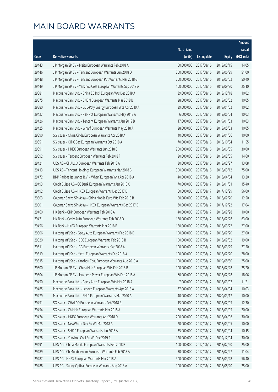|       |                                                               |                        |                     |               | Amount      |
|-------|---------------------------------------------------------------|------------------------|---------------------|---------------|-------------|
|       |                                                               | No. of issue           |                     |               | raised      |
| Code  | Derivative warrants                                           | (units)                | <b>Listing date</b> | <b>Expiry</b> | (HK\$ mil.) |
| 29443 | J P Morgan SP BV - Meitu European Warrants Feb 2018 A         | 50,000,000             | 2017/08/16          | 2018/02/15    | 14.05       |
| 29446 | J P Morgan SP BV - Tencent European Warrants Jun 2018 D       | 200,000,000            | 2017/08/16          | 2018/06/29    | 51.00       |
| 29448 | J P Morgan SP BV - Tencent European Put Warrants Mar 2018 G   | 200,000,000            | 2017/08/16          | 2018/03/02    | 50.40       |
| 29449 | J P Morgan SP BV - Yanzhou Coal European Warrants Sep 2019 A  | 100,000,000            | 2017/08/16          | 2019/09/30    | 25.10       |
| 29381 | Macquarie Bank Ltd. - China EB Int'l European Wts Dec 2018 A  | 39,000,000             | 2017/08/16          | 2018/12/18    | 10.02       |
| 29375 | Macquarie Bank Ltd. - CNBM European Warrants Mar 2018 B       | 28,000,000             | 2017/08/16          | 2018/03/02    | 10.05       |
| 29380 | Macquarie Bank Ltd. - GCL-Poly Energy European Wts Apr 2019 A | 39,000,000             | 2017/08/16          | 2019/04/02    | 10.02       |
| 29427 | Macquarie Bank Ltd. - R&F Ppt European Warrants May 2018 A    | 6,000,000              | 2017/08/16          | 2018/05/04    | 10.03       |
| 29426 | Macquarie Bank Ltd. - Tencent European Warrants Jan 2019 B    | 17,000,000             | 2017/08/16          | 2019/01/03    | 10.03       |
| 29425 | Macquarie Bank Ltd. - Wharf European Warrants May 2018 A      | 28,000,000             | 2017/08/16          | 2018/05/03    | 10.05       |
| 29390 | SG Issuer - China Cinda European Warrants Apr 2018 A          | 40,000,000             | 2017/08/16          | 2018/04/06    | 10.00       |
| 29351 | SG Issuer - CITIC Sec European Warrants Oct 2018 A            | 70,000,000             | 2017/08/16          | 2018/10/04    | 11.55       |
| 29391 | SG Issuer - HKEX European Warrants Jun 2018 C                 | 200,000,000            | 2017/08/16          | 2018/06/05    | 30.00       |
| 29392 | SG Issuer - Tencent European Warrants Feb 2018 F              | 20,000,000             | 2017/08/16          | 2018/02/05    | 14.60       |
| 29421 | UBS AG - CHALCO European Warrants Feb 2018 A                  | 30,000,000             | 2017/08/16          | 2018/02/27    | 13.08       |
| 29413 | UBS AG - Tencent Holdings European Warrants Mar 2018 B        | 300,000,000            | 2017/08/16          | 2018/03/12    | 75.00       |
| 29472 | BNP Paribas Issurance B.V. - Wharf European Wts Apr 2018 A    | 40,000,000             | 2017/08/17          | 2018/04/04    | 13.20       |
| 29493 | Credit Suisse AG - CC Bank European Warrants Jan 2018 C       | 70,000,000             | 2017/08/17          | 2018/01/31    | 15.40       |
| 29492 | Credit Suisse AG - HKEX European Warrants Dec 2017 D          | 80,000,000             | 2017/08/17          | 2017/12/29    | 56.00       |
| 29503 | Goldman Sachs SP (Asia) - China Mobile Euro Wts Feb 2018 B    | 50,000,000             | 2017/08/17          | 2018/02/20    | 12.50       |
| 29501 | Goldman Sachs SP (Asia) - HKEX European Warrants Dec 2017 D   | 30,000,000             | 2017/08/17          | 2017/12/22    | 17.04       |
| 29460 | HK Bank - CKP European Warrants Feb 2018 A                    | 40,000,000             | 2017/08/17          | 2018/02/28    | 10.00       |
| 29471 | HK Bank - Geely Auto European Warrants Feb 2018 D             | 180,000,000            | 2017/08/17          | 2018/02/28    | 63.00       |
| 29456 | HK Bank - HKEX European Warrants Mar 2018 B                   | 180,000,000            | 2017/08/17          | 2018/03/22    | 27.00       |
| 29506 | Haitong Int'l Sec - Geely Auto European Warrants Feb 2018 D   | 100,000,000            | 2017/08/17          | 2018/02/20    | 27.00       |
| 29520 | Haitong Int'l Sec - ICBC European Warrants Feb 2018 B         | 100,000,000            | 2017/08/17          | 2018/02/02    | 19.00       |
| 29511 | Haitong Int'l Sec - IGG European Warrants Mar 2018 A          | 100,000,000 2017/08/17 |                     | 2018/03/29    | 27.50       |
| 29519 | Haitong Int'l Sec - Meitu European Warrants Feb 2018 A        | 100,000,000            | 2017/08/17          | 2018/02/20    | 28.00       |
| 29515 | Haitong Int'l Sec - Yanzhou Coal European Warrants Aug 2019 A | 100,000,000            | 2017/08/17          | 2019/08/30    | 25.00       |
| 29500 | J P Morgan SP BV - China Mob European Wts Feb 2018 B          | 100,000,000            | 2017/08/17          | 2018/02/28    | 25.20       |
| 29504 | J P Morgan SP BV - Huaneng Power European Wts Feb 2018 A      | 60,000,000             | 2017/08/17          | 2018/02/28    | 18.06       |
| 29450 | Macquarie Bank Ltd. - Geely Auto European Wts Mar 2018 A      | 7,000,000              | 2017/08/17          | 2018/03/02    | 11.21       |
| 29485 | Macquarie Bank Ltd. - Lenovo European Warrants Apr 2018 A     | 37,000,000             | 2017/08/17          | 2018/04/04    | 10.03       |
| 29479 | Macquarie Bank Ltd. - SMIC European Warrants Mar 2020 A       | 40,000,000             | 2017/08/17          | 2020/03/17    | 10.00       |
| 29451 | SG Issuer - CHALCO European Warrants Feb 2018 B               | 15,000,000             | 2017/08/17          | 2018/02/05    | 12.30       |
| 29454 | SG Issuer - Ch Mob European Warrants Mar 2018 A               | 80,000,000             | 2017/08/17          | 2018/03/05    | 20.00       |
| 29474 | SG Issuer - HKEX European Warrants Apr 2018 D                 | 200,000,000            | 2017/08/17          | 2018/04/06    | 30.00       |
| 29475 | SG Issuer - NewWorld Dev Eu Wt Mar 2018 A                     | 20,000,000             | 2017/08/17          | 2018/03/05    | 10.00       |
| 29455 | SG Issuer - SHK P European Warrants Jan 2018 A                | 35,000,000             | 2017/08/17          | 2018/01/04    | 10.15       |
| 29478 | SG Issuer - Yanzhou Coal Eu Wt Dec 2019 A                     | 120,000,000            | 2017/08/17          | 2019/12/04    | 30.00       |
| 29491 | UBS AG - China Mobile European Warrants Feb 2018 B            | 100,000,000            | 2017/08/17          | 2018/02/20    | 25.00       |
| 29489 | UBS AG - Ch Molybdenum European Warrants Feb 2018 A           | 30,000,000             | 2017/08/17          | 2018/02/27    | 11.04       |
| 29487 | UBS AG - HKEX European Warrants Mar 2018 A                    | 300,000,000            | 2017/08/17          | 2018/03/28    | 56.40       |
| 29488 | UBS AG - Sunny Optical European Warrants Aug 2018 A           | 100,000,000            | 2017/08/17          | 2018/08/20    | 25.00       |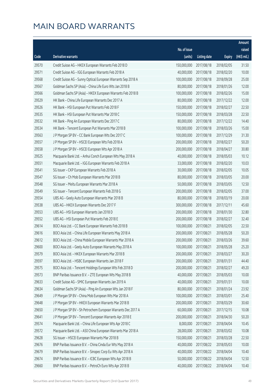|       |                                                               |                        |                     |               | Amount      |
|-------|---------------------------------------------------------------|------------------------|---------------------|---------------|-------------|
|       |                                                               | No. of issue           |                     |               | raised      |
| Code  | Derivative warrants                                           | (units)                | <b>Listing date</b> | <b>Expiry</b> | (HK\$ mil.) |
| 29570 | Credit Suisse AG - HKEX European Warrants Feb 2018 D          | 150,000,000            | 2017/08/18          | 2018/02/05    | 31.50       |
| 29571 | Credit Suisse AG - IGG European Warrants Feb 2018 A           | 40,000,000             | 2017/08/18          | 2018/02/20    | 10.00       |
| 29568 | Credit Suisse AG - Sunny Optical European Warrants Sep 2018 A | 100,000,000            | 2017/08/18          | 2018/09/28    | 25.00       |
| 29567 | Goldman Sachs SP (Asia) - China Life Euro Wts Jan 2018 B      | 80,000,000             | 2017/08/18          | 2018/01/26    | 12.00       |
| 29566 | Goldman Sachs SP (Asia) - HKEX European Warrants Feb 2018 B   | 100,000,000            | 2017/08/18          | 2018/02/26    | 15.00       |
| 29529 | HK Bank - China Life European Warrants Dec 2017 A             | 80,000,000             | 2017/08/18          | 2017/12/22    | 12.00       |
| 29526 | HK Bank - HSI European Put Warrants Feb 2018 F                | 150,000,000            | 2017/08/18          | 2018/02/27    | 22.50       |
| 29535 | HK Bank - HSI European Put Warrants Mar 2018 C                | 150,000,000            | 2017/08/18          | 2018/03/28    | 22.50       |
| 29532 | HK Bank - Ping An European Warrants Dec 2017 C                | 80,000,000             | 2017/08/18          | 2017/12/22    | 14.40       |
| 29534 | HK Bank - Tencent European Put Warrants Mar 2018 B            | 100,000,000            | 2017/08/18          | 2018/03/26    | 15.00       |
| 29563 | J P Morgan SP BV - CC Bank European Wts Dec 2017 C            | 100,000,000            | 2017/08/18          | 2017/12/29    | 31.30       |
| 29557 | J P Morgan SP BV - HSCEI European Wts Feb 2018 A              | 200,000,000            | 2017/08/18          | 2018/02/27    | 50.20       |
| 29558 | J P Morgan SP BV - HSCEI European Wts Apr 2018 A              | 200,000,000            | 2017/08/18          | 2018/04/27    | 30.80       |
| 29525 | Macquarie Bank Ltd. - Anhui Conch European Wts May 2018 A     | 40,000,000             | 2017/08/18          | 2018/05/03    | 10.12       |
| 29551 | Macquarie Bank Ltd. - IGG European Warrants Feb 2018 A        | 33,000,000             | 2017/08/18          | 2018/02/20    | 10.03       |
| 29541 | SG Issuer - CKP European Warrants Feb 2018 A                  | 30,000,000             | 2017/08/18          | 2018/02/05    | 10.05       |
| 29547 | SG Issuer - Ch Mob European Warrants Mar 2018 B               | 80,000,000             | 2017/08/18          | 2018/03/05    | 20.00       |
| 29548 | SG Issuer - Meitu European Warrants Mar 2018 A                | 50,000,000             | 2017/08/18          | 2018/03/05    | 12.50       |
| 29549 | SG Issuer - Tencent European Warrants Feb 2018 G              | 200,000,000            | 2017/08/18          | 2018/02/05    | 37.00       |
| 29554 | UBS AG - Geely Auto European Warrants Mar 2018 B              | 80,000,000             | 2017/08/18          | 2018/03/19    | 20.00       |
| 29538 | UBS AG - HKEX European Warrants Dec 2017 F                    | 300,000,000            | 2017/08/18          | 2017/12/11    | 45.60       |
| 29553 | UBS AG - HSI European Warrants Jan 2018 D                     | 200,000,000            | 2017/08/18          | 2018/01/30    | 32.80       |
| 29552 | UBS AG - HSI European Put Warrants Feb 2018 E                 | 200,000,000            | 2017/08/18          | 2018/02/27    | 32.40       |
| 29614 | BOCI Asia Ltd. - CC Bank European Warrants Feb 2018 B         | 100,000,000            | 2017/08/21          | 2018/02/05    | 22.50       |
| 29616 | BOCI Asia Ltd. - China Life European Warrants May 2018 A      | 200,000,000            | 2017/08/21          | 2018/05/28    | 50.20       |
| 29612 | BOCI Asia Ltd. - China Mobile European Warrants Mar 2018 A    | 200,000,000            | 2017/08/21          | 2018/03/26    | 39.60       |
| 29600 | BOCI Asia Ltd. - Geely Auto European Warrants May 2018 A      | 100,000,000 2017/08/21 |                     | 2018/05/28    | 25.20       |
| 29579 | BOCI Asia Ltd. - HKEX European Warrants Mar 2018 B            | 200,000,000            | 2017/08/21          | 2018/03/27    | 30.20       |
| 29597 | BOCI Asia Ltd. - HSBC European Warrants Jan 2018 F            | 200,000,000            | 2017/08/21          | 2018/01/31    | 44.40       |
| 29575 | BOCI Asia Ltd. - Tencent Holdings European Wts Feb 2018 D     | 200,000,000            | 2017/08/21          | 2018/02/27    | 49.20       |
| 29573 | BNP Paribas Issuance B.V. - ZTE European Wts May 2018 B       | 40,000,000             | 2017/08/21          | 2018/05/03    | 10.00       |
| 29633 | Credit Suisse AG - SMIC European Warrants Jan 2019 A          | 40,000,000             | 2017/08/21          | 2019/01/31    | 10.00       |
| 29634 | Goldman Sachs SP (Asia) - Ping An European Wts Jan 2018 F     | 80,000,000             | 2017/08/21          | 2018/01/24    | 23.92       |
| 29649 | J P Morgan SP BV - China Mob European Wts Mar 2018 A          | 100,000,000            | 2017/08/21          | 2018/03/01    | 25.40       |
| 29648 | J P Morgan SP BV - HKEX European Warrants Mar 2018 B          | 200,000,000            | 2017/08/21          | 2018/03/29    | 30.60       |
| 29650 | J P Morgan SP BV - Sh Petrochem European Warrants Dec 2017 A  | 60,000,000             | 2017/08/21          | 2017/12/15    | 10.08       |
| 29641 | J P Morgan SP BV - Tencent European Warrants Apr 2018 E       | 200,000,000            | 2017/08/21          | 2018/04/30    | 50.20       |
| 29574 | Macquarie Bank Ltd. - China Life European Wts Apr 2018 C      | 8,000,000              | 2017/08/21          | 2018/04/04    | 10.45       |
| 29572 | Macquarie Bank Ltd. - A50 China European Warrants Mar 2018 A  | 28,000,000             | 2017/08/21          | 2018/03/02    | 10.08       |
| 29628 | SG Issuer - HSCEI European Warrants Mar 2018 B                | 150,000,000            | 2017/08/21          | 2018/03/28    | 22.50       |
| 29676 | BNP Paribas Issuance B.V. - China Cinda Eur Wts May 2018 A    | 40,000,000             | 2017/08/22          | 2018/05/03    | 10.00       |
| 29679 | BNP Paribas Issuance B.V. - Sinopec Corp Eu Wts Apr 2018 A    | 40,000,000             | 2017/08/22          | 2018/04/04    | 10.40       |
| 29674 | BNP Paribas Issuance B.V. - ICBC European Wts Apr 2018 B      | 50,000,000             | 2017/08/22          | 2018/04/04    | 12.50       |
| 29660 | BNP Paribas Issuance B.V. - PetroCh Euro Wts Apr 2018 B       | 40,000,000             | 2017/08/22          | 2018/04/04    | 10.40       |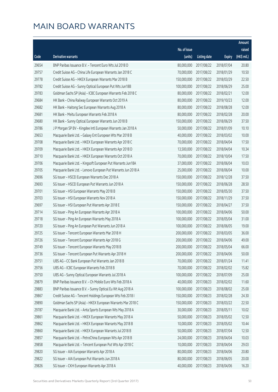|       |                                                               |                        |                     |               | Amount      |
|-------|---------------------------------------------------------------|------------------------|---------------------|---------------|-------------|
|       |                                                               | No. of issue           |                     |               | raised      |
| Code  | <b>Derivative warrants</b>                                    | (units)                | <b>Listing date</b> | <b>Expiry</b> | (HK\$ mil.) |
| 29654 | BNP Paribas Issuance B.V. - Tencent Euro Wts Jul 2018 D       | 80,000,000             | 2017/08/22          | 2018/07/04    | 20.80       |
| 29757 | Credit Suisse AG - China Life European Warrants Jan 2018 C    | 70,000,000             | 2017/08/22          | 2018/01/29    | 10.50       |
| 29778 | Credit Suisse AG - HKEX European Warrants Mar 2018 B          | 150,000,000            | 2017/08/22          | 2018/03/29    | 22.50       |
| 29782 | Credit Suisse AG - Sunny Optical European Put Wts Jun18B      | 100,000,000            | 2017/08/22          | 2018/06/29    | 25.00       |
| 29783 | Goldman Sachs SP (Asia) - ICBC European Warrants Feb 2018 C   | 80,000,000             | 2017/08/22          | 2018/02/21    | 12.00       |
| 29684 | HK Bank - China Railway European Warrants Oct 2019 A          | 80,000,000             | 2017/08/22          | 2019/10/23    | 12.00       |
| 29682 | HK Bank - Haitong Sec European Warrants Aug 2018 A            | 80,000,000             | 2017/08/22          | 2018/08/28    | 12.00       |
| 29681 | HK Bank - Meitu European Warrants Feb 2018 A                  | 80,000,000             | 2017/08/22          | 2018/02/28    | 20.00       |
| 29680 | HK Bank - Sunny Optical European Warrants Jun 2018 B          | 150,000,000            | 2017/08/22          | 2018/06/29    | 37.50       |
| 29786 | J P Morgan SP BV - Kingdee Intl European Warrants Jan 2018 A  | 50,000,000             | 2017/08/22          | 2018/01/09    | 10.10       |
| 29653 | Macquarie Bank Ltd. - Galaxy Ent European Wts Mar 2018 B      | 40,000,000             | 2017/08/22          | 2018/03/02    | 10.00       |
| 29708 | Macquarie Bank Ltd. - HKEX European Warrants Apr 2018 C       | 70,000,000             | 2017/08/22          | 2018/04/04    | 17.50       |
| 29709 | Macquarie Bank Ltd. - HKEX European Warrants Apr 2018 D       | 13,500,000             | 2017/08/22          | 2018/04/04    | 10.34       |
| 29710 | Macquarie Bank Ltd. - HKEX European Warrants Oct 2018 A       | 70,000,000             | 2017/08/22          | 2018/10/04    | 17.50       |
| 29706 | Macquarie Bank Ltd. - Kingsoft European Put Warrants Jun18A   | 37,000,000             | 2017/08/22          | 2018/06/04    | 10.03       |
| 29705 | Macquarie Bank Ltd. - Lenovo European Put Warrants Jun 2018 A | 25,000,000             | 2017/08/22          | 2018/06/04    | 10.00       |
| 29696 | SG Issuer - HSCEI European Warrants Dec 2018 A                | 150,000,000            | 2017/08/22          | 2018/12/28    | 37.50       |
| 29693 | SG Issuer - HSCEI European Put Warrants Jun 2018 A            | 150,000,000            | 2017/08/22          | 2018/06/28    | 28.50       |
| 29701 | SG Issuer - HSI European Warrants May 2018 B                  | 150,000,000            | 2017/08/22          | 2018/05/30    | 37.50       |
| 29703 | SG Issuer - HSI European Warrants Nov 2018 A                  | 150,000,000            | 2017/08/22          | 2018/11/29    | 37.50       |
| 29697 | SG Issuer - HSI European Put Warrants Apr 2018 E              | 150,000,000            | 2017/08/22          | 2018/04/27    | 37.50       |
| 29714 | SG Issuer - Ping An European Warrants Apr 2018 A              | 100,000,000            | 2017/08/22          | 2018/04/06    | 50.00       |
| 29718 | SG Issuer - Ping An European Warrants May 2018 A              | 100,000,000            | 2017/08/22          | 2018/05/04    | 31.00       |
| 29720 | SG Issuer - Ping An European Put Warrants Jun 2018 A          | 100,000,000            | 2017/08/22          | 2018/06/05    | 19.00       |
| 29725 | SG Issuer - Tencent European Warrants Mar 2018 H              | 200,000,000            | 2017/08/22          | 2018/03/05    | 36.00       |
| 29726 | SG Issuer - Tencent European Warrants Apr 2018 G              | 200,000,000            | 2017/08/22          | 2018/04/06    | 49.00       |
| 29749 | SG Issuer - Tencent European Warrants May 2018 B              | 200,000,000 2017/08/22 |                     | 2018/05/04    | 66.00       |
| 29736 | SG Issuer - Tencent European Put Warrants Apr 2018 H          | 200,000,000            | 2017/08/22          | 2018/04/06    | 50.00       |
| 29751 | UBS AG - CC Bank European Put Warrants Jan 2018 B             | 70,000,000             | 2017/08/22          | 2018/01/24    | 11.41       |
| 29756 | UBS AG - ICBC European Warrants Feb 2018 B                    | 70,000,000             | 2017/08/22          | 2018/02/02    | 15.82       |
| 29750 | UBS AG - Sunny Optical European Warrants Jul 2018 A           | 100,000,000            | 2017/08/22          | 2018/07/09    | 25.00       |
| 29879 | BNP Paribas Issuance B.V. - Ch Mobile Euro Wts Feb 2018 A     | 40,000,000             | 2017/08/23          | 2018/02/02    | 11.60       |
| 29883 | BNP Paribas Issuance B.V. - Sunny Optical Eu Wt Aug 2018 A    | 100,000,000            | 2017/08/23          | 2018/08/02    | 25.00       |
| 29867 | Credit Suisse AG - Tencent Holdings European Wts Feb 2018 I   | 150,000,000            | 2017/08/23          | 2018/02/28    | 24.30       |
| 29890 | Goldman Sachs SP (Asia) - HKEX European Warrants Mar 2018 C   | 150,000,000            | 2017/08/23          | 2018/03/22    | 22.50       |
| 29787 | Macquarie Bank Ltd. - Anta Sports European Wts May 2018 A     | 30,000,000             | 2017/08/23          | 2018/05/11    | 10.02       |
| 29861 | Macquarie Bank Ltd. - HKEX European Warrants May 2018 A       | 50,000,000             | 2017/08/23          | 2018/05/02    | 12.50       |
| 29862 | Macquarie Bank Ltd. - HKEX European Warrants May 2018 B       | 10,000,000             | 2017/08/23          | 2018/05/02    | 10.44       |
| 29860 | Macquarie Bank Ltd. - HKEX European Warrants Jul 2018 B       | 50,000,000             | 2017/08/23          | 2018/07/04    | 12.50       |
| 29857 | Macquarie Bank Ltd. - PetroChina European Wts Apr 2018 B      | 24,000,000             | 2017/08/23          | 2018/04/04    | 10.03       |
| 29858 | Macquarie Bank Ltd. - Tencent European Put Wts Apr 2018 C     | 10,000,000             | 2017/08/23          | 2018/04/04    | 29.03       |
| 29820 | SG Issuer - AIA European Warrants Apr 2018 A                  | 80,000,000             | 2017/08/23          | 2018/04/06    | 20.80       |
| 29822 | SG Issuer - AIA European Put Warrants Jun 2018 A              | 80,000,000             | 2017/08/23          | 2018/06/05    | 20.00       |
| 29826 | SG Issuer - CKH European Warrants Apr 2018 A                  | 40,000,000             | 2017/08/23          | 2018/04/06    | 16.20       |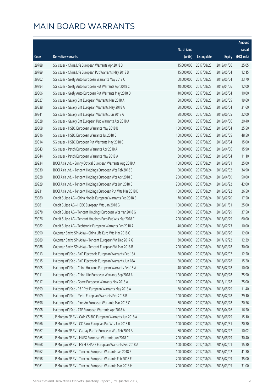|       |                                                               |                        |                     |               | Amount      |
|-------|---------------------------------------------------------------|------------------------|---------------------|---------------|-------------|
|       |                                                               | No. of issue           |                     |               | raised      |
| Code  | <b>Derivative warrants</b>                                    | (units)                | <b>Listing date</b> | <b>Expiry</b> | (HK\$ mil.) |
| 29788 | SG Issuer - China Life European Warrants Apr 2018 B           | 15,000,000             | 2017/08/23          | 2018/04/06    | 25.05       |
| 29789 | SG Issuer - China Life European Put Warrants May 2018 B       | 15,000,000             | 2017/08/23          | 2018/05/04    | 12.15       |
| 29802 | SG Issuer - Geely Auto European Warrants May 2018 C           | 60,000,000             | 2017/08/23          | 2018/05/04    | 23.70       |
| 29794 | SG Issuer - Geely Auto European Put Warrants Apr 2018 C       | 40,000,000             | 2017/08/23          | 2018/04/06    | 12.00       |
| 29806 | SG Issuer - Geely Auto European Put Warrants May 2018 D       | 40,000,000             | 2017/08/23          | 2018/05/04    | 10.00       |
| 29827 | SG Issuer - Galaxy Ent European Warrants Mar 2018 A           | 80,000,000             | 2017/08/23          | 2018/03/05    | 19.60       |
| 29838 | SG Issuer - Galaxy Ent European Warrants May 2018 A           | 80,000,000             | 2017/08/23          | 2018/05/04    | 31.60       |
| 29841 | SG Issuer - Galaxy Ent European Warrants Jun 2018 A           | 80,000,000             | 2017/08/23          | 2018/06/05    | 22.00       |
| 29828 | SG Issuer - Galaxy Ent European Put Warrants Apr 2018 A       | 80,000,000             | 2017/08/23          | 2018/04/06    | 20.40       |
| 29808 | SG Issuer - HSBC European Warrants May 2018 B                 | 100,000,000            | 2017/08/23          | 2018/05/04    | 25.50       |
| 29816 | SG Issuer - HSBC European Warrants Jul 2018 B                 | 100,000,000            | 2017/08/23          | 2018/07/05    | 48.50       |
| 29814 | SG Issuer - HSBC European Put Warrants May 2018 C             | 60,000,000             | 2017/08/23          | 2018/05/04    | 15.00       |
| 29843 | SG Issuer - Petch European Warrants Apr 2018 A                | 60,000,000             | 2017/08/23          | 2018/04/06    | 15.90       |
| 29844 | SG Issuer - Petch European Warrants May 2018 A                | 60,000,000             | 2017/08/23          | 2018/05/04    | 11.10       |
| 29934 | BOCI Asia Ltd. - Sunny Optical European Warrants Aug 2018 A   | 100,000,000            | 2017/08/24          | 2018/08/31    | 25.00       |
| 29930 | BOCI Asia Ltd. - Tencent Holdings European Wts Feb 2018 E     | 50,000,000             | 2017/08/24          | 2018/02/02    | 34.90       |
| 29928 | BOCI Asia Ltd. - Tencent Holdings European Wts Apr 2018 C     | 200,000,000            | 2017/08/24          | 2018/04/30    | 50.00       |
| 29929 | BOCI Asia Ltd. - Tencent Holdings European Wts Jun 2018 B     | 200,000,000            | 2017/08/24          | 2018/06/22    | 42.00       |
| 29931 | BOCI Asia Ltd. - Tencent Holdings European Put Wts Mar 2018 D | 100,000,000            | 2017/08/24          | 2018/03/22    | 26.50       |
| 29980 | Credit Suisse AG - China Mobile European Warrants Feb 2018 B  | 70,000,000             | 2017/08/24          | 2018/02/20    | 17.50       |
| 29981 | Credit Suisse AG - HSBC European Wts Jan 2018 G               | 100,000,000            | 2017/08/24          | 2018/01/31    | 25.00       |
| 29978 | Credit Suisse AG - Tencent Holdings European Wts Mar 2018 G   | 150,000,000            | 2017/08/24          | 2018/03/29    | 37.50       |
| 29976 | Credit Suisse AG - Tencent Holdings Euro Put Wts Mar 2018 F   | 200,000,000            | 2017/08/24          | 2018/03/29    | 60.00       |
| 29982 | Credit Suisse AG - Techtronic European Warrants Feb 2018 A    | 40,000,000             | 2017/08/24          | 2018/02/23    | 10.00       |
| 29990 | Goldman Sachs SP (Asia) - China Life Euro Wts Mar 2018 C      | 80,000,000             | 2017/08/24          | 2018/03/26    | 12.00       |
| 29989 | Goldman Sachs SP (Asia) - Tencent European Wt Dec 2017 G      | 30,000,000             | 2017/08/24          | 2017/12/22    | 12.39       |
| 29988 | Goldman Sachs SP (Asia) - Tencent European Wt Mar 2018 B      | 200,000,000 2017/08/24 |                     | 2018/03/28    | 30.00       |
| 29913 | Haitong Int'l Sec - BYD Electronic European Warrants Feb 18A  | 50,000,000             | 2017/08/24          | 2018/02/02    | 12.50       |
| 29915 | Haitong Int'l Sec - BYD Electronic European Warrants Jun 18A  | 50,000,000             | 2017/08/24          | 2018/06/28    | 15.20       |
| 29905 | Haitong Int'l Sec - China Huarong European Warrants Feb 18 A  | 40,000,000             | 2017/08/24          | 2018/02/28    | 10.00       |
| 29911 | Haitong Int'l Sec - China Life European Warrants Sep 2018 A   | 100,000,000            | 2017/08/24          | 2018/09/28    | 25.90       |
| 29917 | Haitong Int'l Sec - Gome European Warrants Nov 2018 A         | 100,000,000            | 2017/08/24          | 2018/11/28    | 25.00       |
| 29899 | Haitong Int'l Sec - R&F Ppt European Warrants May 2018 A      | 60,000,000             | 2017/08/24          | 2018/05/29    | 11.40       |
| 29909 | Haitong Int'l Sec - Meitu European Warrants Feb 2018 B        | 100,000,000            | 2017/08/24          | 2018/02/28    | 29.10       |
| 29896 | Haitong Int'l Sec - Ping An European Warrants Mar 2018 C      | 80,000,000             | 2017/08/24          | 2018/03/28    | 20.56       |
| 29908 | Haitong Int'l Sec - ZTE European Warrants Apr 2018 A          | 100,000,000            | 2017/08/24          | 2018/04/26    | 16.50       |
| 29975 | J P Morgan SP BV - CAM CSI300 European Warrants Jun 2018 A    | 100,000,000            | 2017/08/24          | 2018/06/29    | 15.10       |
| 29966 | J P Morgan SP BV - CC Bank European Put Wts Jan 2018 B        | 100,000,000            | 2017/08/24          | 2018/01/31    | 20.30       |
| 29967 | J P Morgan SP BV - Cathay Pacific European Wts Feb 2019 A     | 60,000,000             | 2017/08/24          | 2019/02/27    | 10.02       |
| 29965 | J P Morgan SP BV - HKEX European Warrants Jun 2018 C          | 200,000,000            | 2017/08/24          | 2018/06/29    | 30.40       |
| 29968 | J P Morgan SP BV - HS H-SHARE European Warrants Feb 2018 A    | 100,000,000            | 2017/08/24          | 2018/02/01    | 15.30       |
| 29962 | J P Morgan SP BV - Tencent European Warrants Jan 2018 E       | 100,000,000            | 2017/08/24          | 2018/01/02    | 41.30       |
| 29958 | J P Morgan SP BV - Tencent European Warrants Feb 2018 E       | 200,000,000            | 2017/08/24          | 2018/02/09    | 35.00       |
| 29961 | J P Morgan SP BV - Tencent European Warrants Mar 2018 H       | 200,000,000            | 2017/08/24          | 2018/03/05    | 31.00       |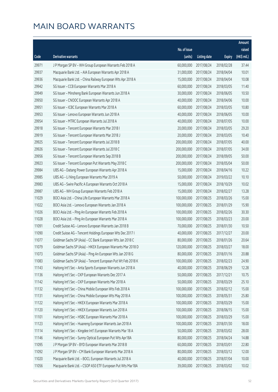|       |                                                              |                        |                     |               | Amount      |
|-------|--------------------------------------------------------------|------------------------|---------------------|---------------|-------------|
|       |                                                              | No. of issue           |                     |               | raised      |
| Code  | Derivative warrants                                          | (units)                | <b>Listing date</b> | <b>Expiry</b> | (HK\$ mil.) |
| 29971 | J P Morgan SP BV - WH Group European Warrants Feb 2018 A     | 60,000,000             | 2017/08/24          | 2018/02/28    | 37.44       |
| 29937 | Macquarie Bank Ltd. - AIA European Warrants Apr 2018 A       | 31,000,000             | 2017/08/24          | 2018/04/04    | 10.01       |
| 29936 | Macquarie Bank Ltd. - China Railway European Wts Apr 2018 A  | 15,000,000             | 2017/08/24          | 2018/04/04    | 10.08       |
| 29942 | SG Issuer - CCB European Warrants Mar 2018 A                 | 60,000,000             | 2017/08/24          | 2018/03/05    | 11.40       |
| 29949 | SG Issuer - Minsheng Bank European Warrants Jun 2018 A       | 30,000,000             | 2017/08/24          | 2018/06/05    | 10.50       |
| 29950 | SG Issuer - CNOOC European Warrants Apr 2018 A               | 40,000,000             | 2017/08/24          | 2018/04/06    | 10.00       |
| 29951 | SG Issuer - ICBC European Warrants Mar 2018 A                | 60,000,000             | 2017/08/24          | 2018/03/05    | 10.80       |
| 29953 | SG Issuer - Lenovo European Warrants Jun 2018 A              | 40,000,000             | 2017/08/24          | 2018/06/05    | 10.00       |
| 29954 | SG Issuer - MTRC European Warrants Jul 2018 A                | 40,000,000             | 2017/08/24          | 2018/07/05    | 10.00       |
| 29918 | SG Issuer - Tencent European Warrants Mar 2018 I             | 20,000,000             | 2017/08/24          | 2018/03/05    | 29.20       |
| 29919 | SG Issuer - Tencent European Warrants Mar 2018 J             | 20,000,000             | 2017/08/24          | 2018/03/05    | 10.40       |
| 29925 | SG Issuer - Tencent European Warrants Jul 2018 B             | 200,000,000            | 2017/08/24          | 2018/07/05    | 40.00       |
| 29926 | SG Issuer - Tencent European Warrants Jul 2018 C             | 200,000,000            | 2017/08/24          | 2018/07/05    | 34.00       |
| 29956 | SG Issuer - Tencent European Warrants Sep 2018 B             | 200,000,000            | 2017/08/24          | 2018/09/05    | 50.00       |
| 29923 | SG Issuer - Tencent European Put Warrants May 2018 C         | 200,000,000            | 2017/08/24          | 2018/05/04    | 50.00       |
| 29984 | UBS AG - Datang Power European Warrants Apr 2018 A           | 15,000,000             | 2017/08/24          | 2018/04/16    | 10.22       |
| 29985 | UBS AG - Li Ning European Warrants Mar 2019 A                | 50,000,000             | 2017/08/24          | 2019/03/22    | 10.10       |
| 29983 | UBS AG - Swire Pacific A European Warrants Oct 2018 A        | 15,000,000             | 2017/08/24          | 2018/10/29    | 10.02       |
| 29987 | UBS AG - WH Group European Warrants Feb 2018 A               | 15,000,000             | 2017/08/24          | 2018/02/27    | 13.28       |
| 11029 | BOCI Asia Ltd. - China Life European Warrants Mar 2018 A     | 100,000,000            | 2017/08/25          | 2018/03/26    | 15.00       |
| 11022 | BOCI Asia Ltd. - Lenovo European Warrants Jan 2018 A         | 100,000,000            | 2017/08/25          | 2018/01/29    | 15.90       |
| 11026 | BOCI Asia Ltd. - Ping An European Warrants Feb 2018 A        | 100,000,000            | 2017/08/25          | 2018/02/26    | 30.30       |
| 11028 | BOCI Asia Ltd. - Ping An European Warrants Mar 2018 A        | 100,000,000            | 2017/08/25          | 2018/03/23    | 20.00       |
| 11091 | Credit Suisse AG - Lenovo European Warrants Jan 2018 B       | 70,000,000             | 2017/08/25          | 2018/01/30    | 10.50       |
| 11090 | Credit Suisse AG - Tencent Holdings European Wts Dec 2017 I  | 40,000,000             | 2017/08/25          | 2017/12/27    | 20.00       |
| 11077 | Goldman Sachs SP (Asia) - CC Bank European Wts Jan 2018 C    | 80,000,000             | 2017/08/25          | 2018/01/26    | 20.64       |
| 11079 | Goldman Sachs SP (Asia) - HKEX European Warrants Mar 2018 D  | 120,000,000 2017/08/25 |                     | 2018/03/27    | 18.00       |
| 11073 | Goldman Sachs SP (Asia) - Ping An European Wts Jan 2018 G    | 80,000,000             | 2017/08/25          | 2018/01/16    | 20.88       |
| 11083 | Goldman Sachs SP (Asia) - Tencent European Put Wt Feb 2018 K | 100,000,000            | 2017/08/25          | 2018/02/23    | 24.90       |
| 11143 | Haitong Int'l Sec - Anta Sports European Warrants Jun 2018 A | 40,000,000             | 2017/08/25          | 2018/06/29    | 12.28       |
| 11136 | Haitong Int'l Sec - CKP European Warrants Dec 2017 A         | 50,000,000             | 2017/08/25          | 2017/12/21    | 10.75       |
| 11142 | Haitong Int'l Sec - CKP European Warrants Mar 2018 A         | 50,000,000             | 2017/08/25          | 2018/03/29    | 25.10       |
| 11132 | Haitong Int'l Sec - China Mobile European Wts Feb 2018 A     | 100,000,000            | 2017/08/25          | 2018/02/12    | 15.00       |
| 11131 | Haitong Int'l Sec - China Mobile European Wts May 2018 A     | 100,000,000            | 2017/08/25          | 2018/05/31    | 25.80       |
| 11122 | Haitong Int'l Sec - HKEX European Warrants Mar 2018 A        | 100,000,000            | 2017/08/25          | 2018/03/29    | 15.00       |
| 11120 | Haitong Int'l Sec - HKEX European Warrants Jun 2018 A        | 100,000,000            | 2017/08/25          | 2018/06/15    | 15.00       |
| 11101 | Haitong Int'l Sec - HSBC European Warrants Mar 2018 A        | 100,000,000            | 2017/08/25          | 2018/03/29    | 15.00       |
| 11123 | Haitong Int'l Sec - Huaneng European Warrants Jan 2018 A     | 100,000,000            | 2017/08/25          | 2018/01/30    | 18.00       |
| 11114 | Haitong Int'l Sec - Kingdee Int'l European Warrants Mar 18 A | 50,000,000             | 2017/08/25          | 2018/03/02    | 28.00       |
| 11146 | Haitong Int'l Sec - Sunny Optical European Put Wts Apr18A    | 80,000,000             | 2017/08/25          | 2018/04/24    | 14.88       |
| 11095 | J P Morgan SP BV - BYD European Warrants Mar 2018 B          | 60,000,000             | 2017/08/25          | 2018/03/01    | 22.80       |
| 11092 | J P Morgan SP BV - CM Bank European Warrants Mar 2018 A      | 80,000,000             | 2017/08/25          | 2018/03/12    | 12.00       |
| 11020 | Macquarie Bank Ltd. - BOCL European Warrants Jul 2018 A      | 40,000,000             | 2017/08/25          | 2018/07/04    | 10.00       |
| 11056 | Macquarie Bank Ltd. - CSOP A50 ETF European Put Wts Mar18A   | 39,000,000             | 2017/08/25          | 2018/03/02    | 10.02       |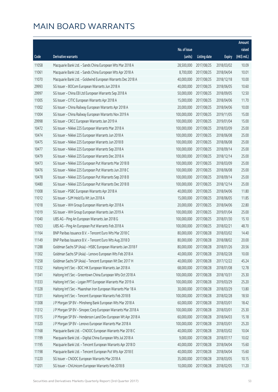|       |                                                              |              |                       |               | Amount      |
|-------|--------------------------------------------------------------|--------------|-----------------------|---------------|-------------|
|       |                                                              | No. of issue |                       |               | raised      |
| Code  | <b>Derivative warrants</b>                                   | (units)      | Listing date          | <b>Expiry</b> | (HK\$ mil.) |
| 11058 | Macquarie Bank Ltd. - Sands China European Wts Mar 2018 A    | 28,500,000   | 2017/08/25            | 2018/03/02    | 10.09       |
| 11061 | Macquarie Bank Ltd. - Sands China European Wts Apr 2018 A    | 8,700,000    | 2017/08/25            | 2018/04/04    | 10.01       |
| 11070 | Macquarie Bank Ltd. - Goldwind European Warrants Dec 2018 A  | 40,000,000   | 2017/08/25            | 2018/12/18    | 10.00       |
| 29993 | SG Issuer - BOCom European Warrants Jun 2018 A               | 40,000,000   | 2017/08/25            | 2018/06/05    | 10.60       |
| 29997 | SG Issuer - China EB Ltd European Warrants Sep 2018 A        | 50,000,000   | 2017/08/25            | 2018/09/05    | 12.50       |
| 11005 | SG Issuer - CITIC European Warrants Apr 2018 A               | 15,000,000   | 2017/08/25            | 2018/04/06    | 11.70       |
| 11002 | SG Issuer - China Railway European Warrants Apr 2018 A       | 20,000,000   | 2017/08/25            | 2018/04/06    | 10.00       |
| 11004 | SG Issuer - China Railway European Warrants Nov 2019 A       | 100,000,000  | 2017/08/25            | 2019/11/05    | 15.00       |
| 29998 | SG Issuer - CRCC European Warrants Jan 2019 A                | 100,000,000  | 2017/08/25            | 2019/01/04    | 15.00       |
| 10472 | SG Issuer - Nikkei 225 European Warrants Mar 2018 A          | 100,000,000  | 2017/08/25            | 2018/03/09    | 25.00       |
| 10474 | SG Issuer - Nikkei 225 European Warrants Jun 2018 A          | 100,000,000  | 2017/08/25            | 2018/06/08    | 25.00       |
| 10475 | SG Issuer - Nikkei 225 European Warrants Jun 2018 B          | 100,000,000  | 2017/08/25            | 2018/06/08    | 25.00       |
| 10477 | SG Issuer - Nikkei 225 European Warrants Sep 2018 A          | 100,000,000  | 2017/08/25            | 2018/09/14    | 25.00       |
| 10479 | SG Issuer - Nikkei 225 European Warrants Dec 2018 A          | 100,000,000  | 2017/08/25            | 2018/12/14    | 25.00       |
| 10473 | SG Issuer - Nikkei 225 European Put Warrants Mar 2018 B      | 100,000,000  | 2017/08/25            | 2018/03/09    | 25.00       |
| 10476 | SG Issuer - Nikkei 225 European Put Warrants Jun 2018 C      | 100,000,000  | 2017/08/25            | 2018/06/08    | 25.00       |
| 10478 | SG Issuer - Nikkei 225 European Put Warrants Sep 2018 B      | 100,000,000  | 2017/08/25            | 2018/09/14    | 25.00       |
| 10480 | SG Issuer - Nikkei 225 European Put Warrants Dec 2018 B      | 100,000,000  | 2017/08/25            | 2018/12/14    | 25.00       |
| 11008 | SG Issuer - PSBC European Warrants Apr 2018 A                | 40,000,000   | 2017/08/25            | 2018/04/06    | 11.80       |
| 11012 | SG Issuer - SJM Hold Eu Wt Jun 2018 A                        | 15,000,000   | 2017/08/25            | 2018/06/05    | 11.85       |
| 11018 | SG Issuer - WH Group European Warrants Apr 2018 A            | 20,000,000   | 2017/08/25            | 2018/04/06    | 22.80       |
| 11019 | SG Issuer - WH Group European Warrants Jan 2019 A            | 100,000,000  | 2017/08/25            | 2019/01/04    | 25.00       |
| 11040 | UBS AG - Ping An European Warrants Jan 2018 G                | 100,000,000  | 2017/08/25            | 2018/01/30    | 15.10       |
| 11053 | UBS AG - Ping An European Put Warrants Feb 2018 A            | 100,000,000  | 2017/08/25            | 2018/02/21    | 48.70       |
| 11164 | BNP Paribas Issuance B.V. - Tencent Euro Wts Mar 2018 C      | 80,000,000   | 2017/08/28            | 2018/03/02    | 14.40       |
| 11149 | BNP Paribas Issuance B.V. - Tencent Euro Wts Aug 2018 D      | 80,000,000   | 2017/08/28            | 2018/08/02    | 20.00       |
| 11288 | Goldman Sachs SP (Asia) - HSBC European Warrants Jan 2018 F  |              | 80,000,000 2017/08/28 | 2018/01/26    | 20.56       |
| 11302 | Goldman Sachs SP (Asia) - Lenovo European Wts Feb 2018 A     | 40,000,000   | 2017/08/28            | 2018/02/28    | 10.00       |
| 11258 | Goldman Sachs SP (Asia) - Tencent European Wt Dec 2017 H     | 40,000,000   | 2017/08/28            | 2017/12/22    | 45.24       |
| 11332 | Haitong Int'l Sec - BOC HK European Warrants Jan 2018 A      | 68,000,000   | 2017/08/28            | 2018/01/08    | 12.78       |
| 11341 | Haitong Int'l Sec - Greentown China European Wts Oct 2018 A  | 100,000,000  | 2017/08/28            | 2018/10/31    | 25.30       |
| 11333 | Haitong Int'l Sec - Logan PPT European Warrants Mar 2019 A   | 100,000,000  | 2017/08/28            | 2019/03/29    | 25.20       |
| 11328 | Haitong Int'l Sec - Maanshan Iron European Warrants Mar 18 A | 30,000,000   | 2017/08/28            | 2018/03/29    | 13.80       |
| 11331 | Haitong Int'l Sec - Tencent European Warrants Feb 2018 B     | 100,000,000  | 2017/08/28            | 2018/02/28    | 18.50       |
| 11308 | J P Morgan SP BV - Minsheng Bank European Wts Mar 2018 A     | 60,000,000   | 2017/08/28            | 2018/03/01    | 18.42       |
| 11312 | J P Morgan SP BV - Sinopec Corp European Warrants Mar 2018 A | 100,000,000  | 2017/08/28            | 2018/03/01    | 25.30       |
| 11315 | J P Morgan SP BV - Henderson Land Dev European Wt Apr 2018 A | 60,000,000   | 2017/08/28            | 2018/04/03    | 15.18       |
| 11320 | J P Morgan SP BV - Lenovo European Warrants Mar 2018 A       | 100,000,000  | 2017/08/28            | 2018/03/01    | 25.20       |
| 11168 | Macquarie Bank Ltd. - CNOOC European Warrants Mar 2018 C     | 40,000,000   | 2017/08/28            | 2018/03/02    | 10.04       |
| 11199 | Macquarie Bank Ltd. - Digital China European Wts Jul 2018 A  | 9,000,000    | 2017/08/28            | 2018/07/17    | 10.02       |
| 11195 | Macquarie Bank Ltd. - Tencent European Warrants Apr 2018 D   | 40,000,000   | 2017/08/28            | 2018/04/04    | 15.60       |
| 11198 | Macquarie Bank Ltd. - Tencent European Put Wts Apr 2018 E    | 40,000,000   | 2017/08/28            | 2018/04/04    | 15.60       |
| 11220 | SG Issuer - CNOOC European Warrants Mar 2018 A               | 35,000,000   | 2017/08/28            | 2018/03/05    | 10.15       |
| 11201 | SG Issuer - ChiUnicom European Warrants Feb 2018 B           | 10,000,000   | 2017/08/28            | 2018/02/05    | 11.20       |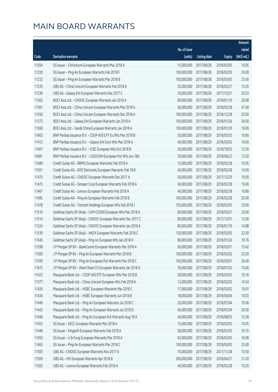|       |                                                              |              |                       |               | Amount      |
|-------|--------------------------------------------------------------|--------------|-----------------------|---------------|-------------|
|       |                                                              | No. of issue |                       |               | raised      |
| Code  | <b>Derivative warrants</b>                                   | (units)      | <b>Listing date</b>   | <b>Expiry</b> | (HK\$ mil.) |
| 11204 | SG Issuer - ChiUnicom European Warrants Mar 2018 A           | 15,000,000   | 2017/08/28            | 2018/03/05    | 10.05       |
| 11230 | SG Issuer - Ping An European Warrants Feb 2018 F             | 100,000,000  | 2017/08/28            | 2018/02/05    | 24.00       |
| 11232 | SG Issuer - Ping An European Warrants Mar 2018 B             | 100,000,000  | 2017/08/28            | 2018/03/05    | 25.00       |
| 11235 | UBS AG - China Unicom European Warrants Feb 2018 A           | 25,000,000   | 2017/08/28            | 2018/02/27    | 15.55       |
| 11236 | UBS AG - Galaxy Ent European Warrants Dec 2017 C             | 70,000,000   | 2017/08/28            | 2017/12/21    | 20.23       |
| 11365 | BOCI Asia Ltd. - CNOOC European Warrants Jan 2018 A          | 80,000,000   | 2017/08/29            | 2018/01/19    | 20.08       |
| 11361 | BOCI Asia Ltd. - China Unicom European Warrants Mar 2018 A   | 60,000,000   | 2017/08/29            | 2018/03/28    | 47.58       |
| 11356 | BOCI Asia Ltd. - China Unicom European Warrants Dec 2018 A   | 100,000,000  | 2017/08/29            | 2018/12/28    | 25.00       |
| 11373 | BOCI Asia Ltd. - Galaxy Ent European Warrants Jan 2018 A     | 100,000,000  | 2017/08/29            | 2018/01/26    | 26.00       |
| 11369 | BOCI Asia Ltd. - Sands China European Warrants Jan 2018 A    | 100,000,000  | 2017/08/29            | 2018/01/29    | 16.00       |
| 11403 | BNP Paribas Issuance B.V. - CSOP A50 ETF Eu Wts Mar 2018 B   | 30,000,000   | 2017/08/29            | 2018/03/02    | 10.80       |
| 11413 | BNP Paribas Issuance B.V. - Galaxy Ent Euro Wts Mar 2018 A   | 40,000,000   | 2017/08/29            | 2018/03/02    | 10.00       |
| 11407 | BNP Paribas Issuance B.V. - ICBC European Wts Oct 2018 B     | 50,000,000   | 2017/08/29            | 2018/10/03    | 12.50       |
| 10481 | BNP Paribas Issuance B.V. - USD/CNH European Put Wts Jun 18A | 50,000,000   | 2017/08/29            | 2018/06/22    | 12.50       |
| 11480 | Credit Suisse AG - BBMG European Warrants Feb 2018 A         | 15,000,000   | 2017/08/29            | 2018/02/28    | 10.05       |
| 11501 | Credit Suisse AG - BYD Electronic European Warrants Feb 18 B | 40,000,000   | 2017/08/29            | 2018/02/28    | 10.00       |
| 11470 | Credit Suisse AG - CNOOC European Warrants Dec 2017 A        | 50,000,000   | 2017/08/29            | 2017/12/29    | 10.00       |
| 11475 | Credit Suisse AG - Sinopec Corp European Warrants Feb 2018 A | 40,000,000   | 2017/08/29            | 2018/02/28    | 10.00       |
| 11467 | Credit Suisse AG - Lenovo European Warrants Feb 2018 A       | 40,000,000   | 2017/08/29            | 2018/02/28    | 10.80       |
| 11495 | Credit Suisse AG - Ping An European Warrants Feb 2018 B      | 100,000,000  | 2017/08/29            | 2018/02/28    | 25.00       |
| 11478 | Credit Suisse AG - Tencent Holdings European Wts Feb 2018 J  | 150,000,000  | 2017/08/29            | 2018/02/05    | 33.00       |
| 11510 | Goldman Sachs SP (Asia) - CAM CSI300 European Wts Mar 2018 A | 80,000,000   | 2017/08/29            | 2018/03/01    | 20.00       |
| 11514 | Goldman Sachs SP (Asia) - CNOOC European Warrants Dec 2017 C | 80,000,000   | 2017/08/29            | 2017/12/01    | 12.00       |
| 11524 | Goldman Sachs SP (Asia) - CNOOC European Warrants Jan 2018 A | 80,000,000   | 2017/08/29            | 2018/01/19    | 14.88       |
| 11539 | Goldman Sachs SP (Asia) - HKEX European Warrants Feb 2018 C  | 150,000,000  | 2017/08/29            | 2018/02/05    | 22.50       |
| 11545 | Goldman Sachs SP (Asia) - Ping An European Wts Jan 2018 H    | 80,000,000   | 2017/08/29            | 2018/01/24    | 19.76       |
| 11598 | J P Morgan SP BV - BankComm European Warrants Mar 2018 A     |              | 60,000,000 2017/08/29 | 2018/03/01    | 15.42       |
| 11560 | J P Morgan SP BV - Ping An European Warrants Mar 2018 B      | 100,000,000  | 2017/08/29            | 2018/03/02    | 25.20       |
| 11595 | J P Morgan SP BV - Ping An European Put Warrants Mar 2018 C  | 100,000,000  | 2017/08/29            | 2018/03/01    | 29.40       |
| 11615 | J P Morgan SP BV - Want Want Ch European Warrants Jan 2018 A | 50,000,000   | 2017/08/29            | 2018/01/02    | 10.00       |
| 11423 | Macquarie Bank Ltd. - CSOP A50 ETF European Wts Mar 2018 B   | 28,000,000   | 2017/08/29            | 2018/03/02    | 10.16       |
| 11377 | Macquarie Bank Ltd. - China Unicom European Wts Feb 2018 A   | 13,000,000   | 2017/08/29            | 2018/02/02    | 10.54       |
| 11426 | Macquarie Bank Ltd. - HSBC European Warrants Mar 2018 C      | 17,000,000   | 2017/08/29            | 2018/03/02    | 10.01       |
| 11434 | Macquarie Bank Ltd. - HSBC European Warrants Jun 2018 B      | 18,000,000   | 2017/08/29            | 2018/06/04    | 10.03       |
| 11440 | Macquarie Bank Ltd. - Ping An European Warrants Jul 2018 C   | 20,000,000   | 2017/08/29            | 2018/07/04    | 10.06       |
| 11442 | Macquarie Bank Ltd. - Ping An European Warrants Jul 2018 D   | 40,000,000   | 2017/08/29            | 2018/07/04    | 20.00       |
| 11446 | Macquarie Bank Ltd. - Ping An European Put Warrants Aug 18 A | 40,000,000   | 2017/08/29            | 2018/08/02    | 15.28       |
| 11453 | SG Issuer - KECL European Warrants Mar 2018 A                | 15,000,000   | 2017/08/29            | 2018/03/05    | 10.05       |
| 11448 | SG Issuer - Kingsoft European Warrants Feb 2018 A            | 58,000,000   | 2017/08/29            | 2018/02/05    | 10.15       |
| 11455 | SG Issuer - Li & Fung European Warrants Mar 2018 A           | 63,000,000   | 2017/08/29            | 2018/03/05    | 10.08       |
| 11465 | SG Issuer - Ping An European Warrants Mar 2018 C             | 100,000,000  | 2017/08/29            | 2018/03/05    | 25.00       |
| 11505 | UBS AG - CNOOC European Warrants Nov 2017 A                  | 70,000,000   | 2017/08/29            | 2017/11/28    | 10.50       |
| 11509 | UBS AG - HSI European Warrants Apr 2018 B                    | 200,000,000  | 2017/08/29            | 2018/04/27    | 31.20       |
| 11503 | UBS AG - Lenovo European Warrants Feb 2018 A                 | 40,000,000   | 2017/08/29            | 2018/02/28    | 10.20       |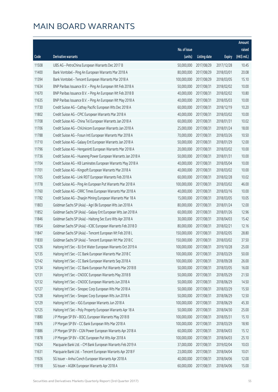|       |                                                               |                        |                     |               | Amount      |
|-------|---------------------------------------------------------------|------------------------|---------------------|---------------|-------------|
|       |                                                               | No. of issue           |                     |               | raised      |
| Code  | <b>Derivative warrants</b>                                    | (units)                | <b>Listing date</b> | <b>Expiry</b> | (HK\$ mil.) |
| 11508 | UBS AG - PetroChina European Warrants Dec 2017 B              | 50,000,000             | 2017/08/29          | 2017/12/28    | 10.45       |
| 11400 | Bank Vontobel - Ping An European Warrants Mar 2018 A          | 80,000,000             | 2017/08/29          | 2018/03/01    | 20.08       |
| 11394 | Bank Vontobel - Tencent European Warrants Mar 2018 A          | 100,000,000            | 2017/08/29          | 2018/03/05    | 15.10       |
| 11634 | BNP Paribas Issuance B.V. - Ping An European Wt Feb 2018 A    | 50,000,000             | 2017/08/31          | 2018/02/02    | 10.00       |
| 11670 | BNP Paribas Issuance B.V. - Ping An European Wt Feb 2018 B    | 40,000,000             | 2017/08/31          | 2018/02/02    | 10.80       |
| 11635 | BNP Paribas Issuance B.V. - Ping An European Wt May 2018 A    | 40,000,000             | 2017/08/31          | 2018/05/03    | 10.00       |
| 11730 | Credit Suisse AG - Cathay Pacific European Wts Dec 2018 A     | 60,000,000             | 2017/08/31          | 2018/12/19    | 10.20       |
| 11802 | Credit Suisse AG - CPIC European Warrants Mar 2018 A          | 40,000,000             | 2017/08/31          | 2018/03/02    | 10.00       |
| 11708 | Credit Suisse AG - China Tel European Warrants Jan 2018 A     | 60,000,000             | 2017/08/31          | 2018/01/31    | 10.02       |
| 11706 | Credit Suisse AG - ChiUnicom European Warrants Jan 2018 A     | 25,000,000             | 2017/08/31          | 2018/01/24    | 18.00       |
| 11788 | Credit Suisse AG - Fosun Intl European Warrants Mar 2018 A    | 70,000,000             | 2017/08/31          | 2018/03/26    | 10.50       |
| 11710 | Credit Suisse AG - Galaxy Ent European Warrants Jan 2018 A    | 50,000,000             | 2017/08/31          | 2018/01/29    | 12.00       |
| 11796 | Credit Suisse AG - Henganintl European Warrants Mar 2018 A    | 20,000,000             | 2017/08/31          | 2018/03/02    | 10.00       |
| 11736 | Credit Suisse AG - Huaneng Power European Warrants Jan 2018 A | 50,000,000             | 2017/08/31          | 2018/01/31    | 10.00       |
| 11704 | Credit Suisse AG - KB Laminates European Warrants May 2018 A  | 40,000,000             | 2017/08/31          | 2018/05/04    | 10.00       |
| 11701 | Credit Suisse AG - Kingsoft European Warrants Mar 2018 A      | 40,000,000             | 2017/08/31          | 2018/03/02    | 10.00       |
| 11765 | Credit Suisse AG - Link REIT European Warrants Feb 2018 A     | 60,000,000             | 2017/08/31          | 2018/02/28    | 10.02       |
| 11778 | Credit Suisse AG - Ping An European Put Warrants Mar 2018 A   | 100,000,000            | 2017/08/31          | 2018/03/02    | 46.00       |
| 11760 | Credit Suisse AG - CRRC Times European Warrants Mar 2018 A    | 40,000,000             | 2017/08/31          | 2018/03/16    | 10.00       |
| 11782 | Credit Suisse AG - Zhaojin Mining European Warrants Mar 18 A  | 15,000,000             | 2017/08/31          | 2018/03/05    | 10.05       |
| 11803 | Goldman Sachs SP (Asia) - Agri Bk European Wts Jan 2018 A     | 80,000,000             | 2017/08/31          | 2018/01/24    | 12.00       |
| 11852 | Goldman Sachs SP (Asia) - Galaxy Ent European Wts Jan 2018 A  | 60,000,000             | 2017/08/31          | 2018/01/26    | 12.96       |
| 11846 | Goldman Sachs SP (Asia) - Haitong Sec Euro Wts Apr 2018 A     | 30,000,000             | 2017/08/31          | 2018/04/03    | 15.42       |
| 11854 | Goldman Sachs SP (Asia) - ICBC European Warrants Feb 2018 D   | 80,000,000             | 2017/08/31          | 2018/02/21    | 12.16       |
| 11847 | Goldman Sachs SP (Asia) - Tencent European Wt Feb 2018 L      | 150,000,000            | 2017/08/31          | 2018/02/05    | 28.80       |
| 11830 | Goldman Sachs SP (Asia) - Tencent European Wt Mar 2018 C      | 150,000,000            | 2017/08/31          | 2018/03/02    | 37.50       |
| 12126 | Haitong Int'l Sec - BJ Ent Water European Warrants Oct 2019 A | 100,000,000 2017/08/31 |                     | 2019/10/28    | 25.00       |
| 12135 | Haitong Int'l Sec - CC Bank European Warrants Mar 2018 C      | 100,000,000            | 2017/08/31          | 2018/03/29    | 50.00       |
| 12142 | Haitong Int'l Sec - CC Bank European Warrants Sep 2018 A      | 100,000,000            | 2017/08/31          | 2018/09/28    | 26.00       |
| 12134 | Haitong Int'l Sec - CC Bank European Put Warrants Mar 2018 B  | 50,000,000             | 2017/08/31          | 2018/03/05    | 16.00       |
| 12131 | Haitong Int'l Sec - CNOOC European Warrants May 2018 B        | 50,000,000             | 2017/08/31          | 2018/05/29    | 21.50       |
| 12132 | Haitong Int'l Sec - CNOOC European Warrants Jun 2018 A        | 50,000,000             | 2017/08/31          | 2018/06/29    | 14.50       |
| 12127 | Haitong Int'l Sec - Sinopec Corp European Wts Mar 2018 A      | 50,000,000             | 2017/08/31          | 2018/03/29    | 15.50       |
| 12128 | Haitong Int'l Sec - Sinopec Corp European Wts Jun 2018 A      | 50,000,000             | 2017/08/31          | 2018/06/29    | 12.50       |
| 12129 | Haitong Int'l Sec - IGG European Warrants Jun 2018 A          | 100,000,000            | 2017/08/31          | 2018/06/29    | 45.30       |
| 12125 | Haitong Int'l Sec - Poly Property European Warrants Apr 18 A  | 50,000,000             | 2017/08/31          | 2018/04/30    | 25.00       |
| 11880 | J P Morgan SP BV - BOCL European Warrants May 2018 B          | 100,000,000            | 2017/08/31          | 2018/05/31    | 15.10       |
| 11876 | J P Morgan SP BV - CC Bank European Wts Mar 2018 A            | 100,000,000            | 2017/08/31          | 2018/03/29    | 18.90       |
| 11886 | J P Morgan SP BV - CGN Power European Warrants Apr 2018 A     | 60,000,000             | 2017/08/31          | 2018/04/03    | 15.12       |
| 11878 | J P Morgan SP BV - ICBC European Put Wts Apr 2018 A           | 100,000,000            | 2017/08/31          | 2018/04/03    | 25.10       |
| 11624 | Macquarie Bank Ltd. - CM Bank European Warrants Feb 2019 A    | 37,000,000             | 2017/08/31          | 2019/02/04    | 10.03       |
| 11631 | Macquarie Bank Ltd. - Tencent European Warrants Apr 2018 F    | 23,000,000             | 2017/08/31          | 2018/04/04    | 10.01       |
| 11926 | SG Issuer - Anhui Conch European Warrants Apr 2018 A          | 40,000,000             | 2017/08/31          | 2018/04/06    | 12.00       |
| 11918 | SG Issuer - AGBK European Warrants Apr 2018 A                 | 60,000,000             | 2017/08/31          | 2018/04/06    | 15.00       |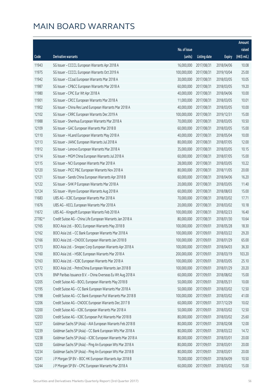|         |                                                             |                        |              |               | Amount      |
|---------|-------------------------------------------------------------|------------------------|--------------|---------------|-------------|
|         |                                                             | No. of issue           |              |               | raised      |
| Code    | <b>Derivative warrants</b>                                  | (units)                | Listing date | <b>Expiry</b> | (HK\$ mil.) |
| 11943   | SG Issuer - CCCCL European Warrants Apr 2018 A              | 16,000,000             | 2017/08/31   | 2018/04/06    | 10.08       |
| 11975   | SG Issuer - CCCCL European Warrants Oct 2019 A              | 100,000,000            | 2017/08/31   | 2019/10/04    | 25.00       |
| 11942   | SG Issuer - CCoal European Warrants Mar 2018 A              | 30,000,000             | 2017/08/31   | 2018/03/05    | 10.05       |
| 11987   | SG Issuer - CP&CC European Warrants Mar 2018 A              | 60,000,000             | 2017/08/31   | 2018/03/05    | 19.20       |
| 11980   | SG Issuer - CPIC Eur Wt Apr 2018 A                          | 40,000,000             | 2017/08/31   | 2018/04/06    | 10.00       |
| 11901   | SG Issuer - CRCC European Warrants Mar 2018 A               | 11,000,000             | 2017/08/31   | 2018/03/05    | 10.01       |
| 11902   | SG Issuer - China Res Land European Warrants Mar 2018 A     | 40,000,000             | 2017/08/31   | 2018/03/05    | 10.00       |
| 12102   | SG Issuer - CRRC European Warrants Dec 2019 A               | 100,000,000            | 2017/08/31   | 2019/12/31    | 15.00       |
| 11988   | SG Issuer - Shenhua European Warrants Mar 2018 A            | 70,000,000             | 2017/08/31   | 2018/03/05    | 10.50       |
| 12109   | SG Issuer - GAC European Warrants Mar 2018 B                | 60,000,000             | 2017/08/31   | 2018/03/05    | 15.00       |
| 12110   | SG Issuer - HLand European Warrants May 2018 A              | 40,000,000             | 2017/08/31   | 2018/05/04    | 10.00       |
| 12113   | SG Issuer - JIANC European Warrants Jul 2018 A              | 80,000,000             | 2017/08/31   | 2018/07/05    | 12.00       |
| 11912   | SG Issuer - Lenovo European Warrants Mar 2018 A             | 35,000,000             | 2017/08/31   | 2018/03/05    | 10.15       |
| 12114   | SG Issuer - MGM China European Warrants Jul 2018 A          | 60,000,000             | 2017/08/31   | 2018/07/05    | 15.00       |
| 12115   | SG Issuer - NCI European Warrants Mar 2018 A                | 28,000,000             | 2017/08/31   | 2018/03/05    | 10.22       |
| 12120   | SG Issuer - PICC P&C European Warrants Nov 2018 A           | 80,000,000             | 2017/08/31   | 2018/11/05    | 20.00       |
| 12121   | SG Issuer - Sands China European Warrants Apr 2018 B        | 60,000,000             | 2017/08/31   | 2018/04/06    | 16.20       |
| 12122   | SG Issuer - SHK P European Warrants Mar 2018 A              | 20,000,000             | 2017/08/31   | 2018/03/05    | 11.40       |
| 12124   | SG Issuer - Wynn European Warrants Aug 2018 A               | 60,000,000             | 2017/08/31   | 2018/08/03    | 15.00       |
| 11683   | UBS AG - ICBC European Warrants Mar 2018 A                  | 70,000,000             | 2017/08/31   | 2018/03/02    | 17.71       |
| 11676   | UBS AG - KECL European Warrants Mar 2018 A                  | 20,000,000             | 2017/08/31   | 2018/03/02    | 10.18       |
| 11672   | UBS AG - Kingsoft European Warrants Feb 2018 A              | 100,000,000            | 2017/08/31   | 2018/02/23    | 16.40       |
| 27782 # | Credit Suisse AG - China Life European Warrants Jan 2018 A  | 80,000,000             | 2017/08/31   | 2018/01/30    | 10.64       |
| 12165   | BOCI Asia Ltd. - BOCL European Warrants May 2018 B          | 100,000,000            | 2017/09/01   | 2018/05/28    | 18.30       |
| 12162   | BOCI Asia Ltd. - CC Bank European Warrants Mar 2018 A       | 100,000,000            | 2017/09/01   | 2018/03/22    | 29.20       |
| 12166   | BOCI Asia Ltd. - CNOOC European Warrants Jan 2018 B         | 100,000,000            | 2017/09/01   | 2018/01/29    | 65.00       |
| 12173   | BOCI Asia Ltd. - Sinopec Corp European Warrants Apr 2018 A  | 100,000,000 2017/09/01 |              | 2018/04/03    | 36.30       |
| 12160   | BOCI Asia Ltd. - HSBC European Warrants Mar 2018 A          | 200,000,000            | 2017/09/01   | 2018/03/19    | 103.20      |
| 12163   | BOCI Asia Ltd. - ICBC European Warrants Mar 2018 A          | 100,000,000            | 2017/09/01   | 2018/03/05    | 25.10       |
| 12172   | BOCI Asia Ltd. - PetroChina European Warrants Jan 2018 B    | 100,000,000            | 2017/09/01   | 2018/01/29    | 20.20       |
| 12176   | BNP Paribas Issuance B.V. - China Overseas Eu Wt Aug 2018 A | 60,000,000             | 2017/09/01   | 2018/08/02    | 15.00       |
| 12205   | Credit Suisse AG - BOCL European Warrants May 2018 B        | 50,000,000             | 2017/09/01   | 2018/05/31    | 10.00       |
| 12195   | Credit Suisse AG - CC Bank European Warrants Mar 2018 A     | 50,000,000             | 2017/09/01   | 2018/03/02    | 12.50       |
| 12198   | Credit Suisse AG - CC Bank European Put Warrants Mar 2018 B | 100,000,000            | 2017/09/01   | 2018/03/02    | 41.00       |
| 12206   | Credit Suisse AG - CNOOC European Warrants Dec 2017 B       | 60,000,000             | 2017/09/01   | 2017/12/29    | 10.02       |
| 12200   | Credit Suisse AG - ICBC European Warrants Mar 2018 A        | 50,000,000             | 2017/09/01   | 2018/03/02    | 12.50       |
| 12203   | Credit Suisse AG - ICBC European Put Warrants Mar 2018 B    | 80,000,000             | 2017/09/01   | 2018/03/02    | 25.60       |
| 12237   | Goldman Sachs SP (Asia) - AIA European Warrants Feb 2018 B  | 80,000,000             | 2017/09/01   | 2018/02/08    | 12.00       |
| 12239   | Goldman Sachs SP (Asia) - CC Bank European Wts Mar 2018 A   | 80,000,000             | 2017/09/01   | 2018/03/22    | 14.72       |
| 12238   | Goldman Sachs SP (Asia) - ICBC European Warrants Mar 2018 A | 80,000,000             | 2017/09/01   | 2018/03/01    | 20.00       |
| 12230   | Goldman Sachs SP (Asia) - Ping An European Wts Mar 2018 A   | 80,000,000             | 2017/09/01   | 2018/03/01    | 20.00       |
| 12234   | Goldman Sachs SP (Asia) - Ping An European Wts Mar 2018 B   | 80,000,000             | 2017/09/01   | 2018/03/01    | 20.00       |
| 12241   | J P Morgan SP BV - BOC HK European Warrants Apr 2018 B      | 70,000,000             | 2017/09/01   | 2018/04/09    | 10.50       |
| 12244   | J P Morgan SP BV - CPIC European Warrants Mar 2018 A        | 60,000,000             | 2017/09/01   | 2018/03/02    | 15.00       |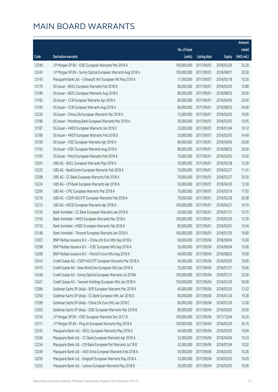|       |                                                               |              |                       |               | Amount      |
|-------|---------------------------------------------------------------|--------------|-----------------------|---------------|-------------|
|       |                                                               | No. of issue |                       |               | raised      |
| Code  | Derivative warrants                                           | (units)      | <b>Listing date</b>   | <b>Expiry</b> | (HK\$ mil.) |
| 12240 | J P Morgan SP BV - ICBC European Warrants Mar 2018 A          | 100,000,000  | 2017/09/01            | 2018/03/29    | 25.20       |
| 12243 | J P Morgan SP BV - Sunny Optical European Warrants Aug 2018 A | 100,000,000  | 2017/09/01            | 2018/08/01    | 20.50       |
| 12143 | Macquarie Bank Ltd. - Chinasoft Int'l European Wt May 2018 A  | 17,000,000   | 2017/09/01            | 2018/05/18    | 10.30       |
| 12179 | SG Issuer - BOCL European Warrants Feb 2018 B                 | 80,000,000   | 2017/09/01            | 2018/02/05    | 12.80       |
| 12180 | SG Issuer - BOCL European Warrants Aug 2018 A                 | 80,000,000   | 2017/09/01            | 2018/08/03    | 20.00       |
| 12182 | SG Issuer - CCB European Warrants Apr 2018 A                  | 80,000,000   | 2017/09/01            | 2018/04/06    | 20.00       |
| 12183 | SG Issuer - CCB European Warrants Aug 2018 A                  | 80,000,000   | 2017/09/01            | 2018/08/03    | 24.00       |
| 12226 | SG Issuer - China Life European Warrants Mar 2018 A           | 15,000,000   | 2017/09/01            | 2018/03/05    | 19.05       |
| 12186 | SG Issuer - Minsheng Bank European Warrants Mar 2018 A        | 30,000,000   | 2017/09/01            | 2018/03/05    | 10.05       |
| 12187 | SG Issuer - HKEX European Warrants Jan 2018 C                 | 23,000,000   | 2017/09/01            | 2018/01/04    | 10.12       |
| 12189 | SG Issuer - HKEX European Warrants Feb 2018 D                 | 20,000,000   | 2017/09/01            | 2018/02/05    | 14.40       |
| 12190 | SG Issuer - ICBC European Warrants Apr 2018 A                 | 80,000,000   | 2017/09/01            | 2018/04/06    | 20.00       |
| 12192 | SG Issuer - ICBC European Warrants Aug 2018 A                 | 80,000,000   | 2017/09/01            | 2018/08/03    | 20.00       |
| 12193 | SG Issuer - Petch European Warrants Feb 2018 A                | 70,000,000   | 2017/09/01            | 2018/02/05    | 10.50       |
| 12207 | UBS AG - BOCL European Warrants May 2018 A                    | 70,000,000   | 2017/09/01            | 2018/05/28    | 13.30       |
| 12225 | UBS AG - BankComm European Warrants Feb 2018 A                | 70,000,000   | 2017/09/01            | 2018/02/27    | 11.41       |
| 12208 | UBS AG - CC Bank European Warrants Feb 2018 A                 | 70,000,000   | 2017/09/01            | 2018/02/27    | 20.30       |
| 12224 | UBS AG - CM Bank European Warrants Apr 2018 A                 | 50,000,000   | 2017/09/01            | 2018/04/30    | 12.50       |
| 12209 | UBS AG - CPIC European Warrants Mar 2018 A                    | 70,000,000   | 2017/09/01            | 2018/03/19    | 17.92       |
| 12210 | UBS AG - CSOP A50 ETF European Warrants Feb 2018 A            | 70,000,000   | 2017/09/01            | 2018/02/28    | 20.58       |
| 12213 | UBS AG - HSCEI European Warrants Apr 2018 A                   | 100,000,000  | 2017/09/01            | 2018/04/27    | 19.10       |
| 12150 | Bank Vontobel - CC Bank European Warrants Jan 2018 A          | 50,000,000   | 2017/09/01            | 2018/01/31    | 10.75       |
| 12159 | Bank Vontobel - HKEX European Warrants Mar 2018 A             | 100,000,000  | 2017/09/01            | 2018/03/29    | 15.30       |
| 12153 | Bank Vontobel - HSBC European Warrants Feb 2018 A             | 80,000,000   | 2017/09/01            | 2018/02/01    | 12.64       |
| 12148 | Bank Vontobel - Tencent European Warrants Jan 2018 A          | 100,000,000  | 2017/09/01            | 2018/01/29    | 19.80       |
| 12307 | BNP Paribas Issuance B.V. - China Life Euro Wts Sep 2018 A    | 60,000,000   | 2017/09/04            | 2018/09/04    | 15.00       |
| 12298 | BNP Paribas Issuance B.V. - ICBC European Wts Sep 2018 A      |              | 50,000,000 2017/09/04 | 2018/09/04    | 13.00       |
| 12308 | BNP Paribas Issuance B.V. - PetroCh Euro Wts Aug 2018 A       | 40,000,000   | 2017/09/04            | 2018/08/02    | 10.00       |
| 12414 | Credit Suisse AG - CSOP A50 ETF European Warrants Mar 2018 A  | 40,000,000   | 2017/09/04            | 2018/03/05    | 10.00       |
| 12415 | Credit Suisse AG - New World Dev European Wts Jan 2018 A      | 25,000,000   | 2017/09/04            | 2018/01/31    | 10.00       |
| 12436 | Credit Suisse AG - Sunny Optical European Warrants Jul 2018A  | 100,000,000  | 2017/09/04            | 2018/07/31    | 25.00       |
| 12421 | Credit Suisse AG - Tencent Holdings European Wts Jan 2018 H   | 150,000,000  | 2017/09/04            | 2018/01/29    | 30.00       |
| 12384 | Goldman Sachs SP (Asia) - BYD European Warrants Mar 2018 A    | 40,000,000   | 2017/09/04            | 2018/03/29    | 13.52       |
| 12356 | Goldman Sachs SP (Asia) - CC Bank European Wts Jan 2018 D     | 80,000,000   | 2017/09/04            | 2018/01/24    | 19.28       |
| 12399 | Goldman Sachs SP (Asia) - China Life Euro Wts Jan 2018 C      | 80,000,000   | 2017/09/04            | 2018/01/26    | 12.00       |
| 12363 | Goldman Sachs SP (Asia) - ICBC European Warrants Mar 2018 B   | 80,000,000   | 2017/09/04            | 2018/03/05    | 20.00       |
| 12316 | J P Morgan SP BV - ICBC European Warrants Dec 2017 B          | 100,000,000  | 2017/09/04            | 2017/12/04    | 16.20       |
| 12311 | J P Morgan SP BV - Ping An European Warrants May 2018 A       | 100,000,000  | 2017/09/04            | 2018/05/30    | 26.70       |
| 12245 | Macquarie Bank Ltd. - BOCL European Warrants May 2018 A       | 40,000,000   | 2017/09/04            | 2018/05/03    | 10.04       |
| 12246 | Macquarie Bank Ltd. - CC Bank European Warrants Apr 2018 A    | 32,000,000   | 2017/09/04            | 2018/04/04    | 10.24       |
| 12254 | Macquarie Bank Ltd. - CM Bank European Put Warrants Jul 18 B  | 32,000,000   | 2017/09/04            | 2018/07/04    | 10.02       |
| 12249 | Macquarie Bank Ltd. - A50 China European Warrants Feb 2018 A  | 30,000,000   | 2017/09/04            | 2018/02/02    | 10.26       |
| 12259 | Macquarie Bank Ltd. - Kingsoft European Warrants May 2018 A   | 33,000,000   | 2017/09/04            | 2018/05/03    | 10.03       |
| 12253 | Macquarie Bank Ltd. - Lenovo European Warrants May 2018 B     | 20,000,000   | 2017/09/04            | 2018/05/03    | 10.00       |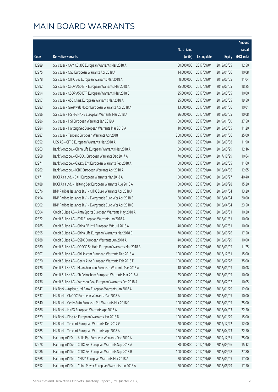|       |                                                               |              |                       |               | Amount      |
|-------|---------------------------------------------------------------|--------------|-----------------------|---------------|-------------|
|       |                                                               | No. of issue |                       |               | raised      |
| Code  | Derivative warrants                                           | (units)      | <b>Listing date</b>   | <b>Expiry</b> | (HK\$ mil.) |
| 12289 | SG Issuer - CAM CSI300 European Warrants Mar 2018 A           | 50,000,000   | 2017/09/04            | 2018/03/05    | 12.50       |
| 12275 | SG Issuer - CGS European Warrants Apr 2018 A                  | 14,000,000   | 2017/09/04            | 2018/04/06    | 10.08       |
| 12278 | SG Issuer - CITIC Sec European Warrants Mar 2018 A            | 8,000,000    | 2017/09/04            | 2018/03/05    | 11.04       |
| 12292 | SG Issuer - CSOP A50 ETF European Warrants Mar 2018 A         | 25,000,000   | 2017/09/04            | 2018/03/05    | 18.25       |
| 12294 | SG Issuer - CSOP A50 ETF European Warrants Mar 2018 B         | 25,000,000   | 2017/09/04            | 2018/03/05    | 10.00       |
| 12297 | SG Issuer - A50 China European Warrants Mar 2018 A            | 25,000,000   | 2017/09/04            | 2018/03/05    | 19.50       |
| 12283 | SG Issuer - Greatwall Motor European Warrants Apr 2018 A      | 13,000,000   | 2017/09/04            | 2018/04/06    | 10.01       |
| 12296 | SG Issuer - HS H-SHARE European Warrants Mar 2018 A           | 36,000,000   | 2017/09/04            | 2018/03/05    | 10.08       |
| 12286 | SG Issuer - HSI European Warrants Jan 2019 A                  | 150,000,000  | 2017/09/04            | 2019/01/30    | 37.50       |
| 12284 | SG Issuer - Haitong Sec European Warrants Mar 2018 A          | 10,000,000   | 2017/09/04            | 2018/03/05    | 11.20       |
| 12287 | SG Issuer - Tencent European Warrants Apr 2018 I              | 200,000,000  | 2017/09/04            | 2018/04/06    | 35.00       |
| 12352 | UBS AG - CITIC European Warrants Mar 2018 A                   | 25,000,000   | 2017/09/04            | 2018/03/08    | 11.90       |
| 12263 | Bank Vontobel - China Life European Warrants Mar 2018 A       | 80,000,000   | 2017/09/04            | 2018/03/29    | 12.16       |
| 12268 | Bank Vontobel - CNOOC European Warrants Dec 2017 A            | 70,000,000   | 2017/09/04            | 2017/12/29    | 10.64       |
| 12271 | Bank Vontobel - Galaxy Ent European Warrants Feb 2018 A       | 50,000,000   | 2017/09/04            | 2018/02/05    | 11.60       |
| 12262 | Bank Vontobel - ICBC European Warrants Apr 2018 A             | 50,000,000   | 2017/09/04            | 2018/04/06    | 12.65       |
| 12471 | BOCI Asia Ltd. - CKH European Warrants Mar 2018 A             | 100,000,000  | 2017/09/05            | 2018/03/27    | 40.40       |
| 12488 | BOCI Asia Ltd. - Haitong Sec European Warrants Aug 2018 A     | 100,000,000  | 2017/09/05            | 2018/08/28    | 15.20       |
| 12576 | BNP Paribas Issuance B.V. - CITIC Euro Warrants Apr 2018 A    | 40,000,000   | 2017/09/05            | 2018/04/04    | 13.20       |
| 12494 | BNP Paribas Issuance B.V. - Evergrande Euro Wts Apr 2018 B    | 50,000,000   | 2017/09/05            | 2018/04/04    | 20.00       |
| 12502 | BNP Paribas Issuance B.V. - Evergrande Euro Wts Apr 2018 C    | 50,000,000   | 2017/09/05            | 2018/04/04    | 23.50       |
| 12804 | Credit Suisse AG - Anta Sports European Warrants May 2018 A   | 30,000,000   | 2017/09/05            | 2018/05/31    | 10.20       |
| 12822 | Credit Suisse AG - BYD European Warrants Jan 2018 A           | 25,000,000   | 2017/09/05            | 2018/01/31    | 10.00       |
| 12785 | Credit Suisse AG - China EB Int'l European Wts Jul 2018 A     | 40,000,000   | 2017/09/05            | 2018/07/31    | 10.00       |
| 12695 | Credit Suisse AG - China Life European Warrants Mar 2018 B    | 70,000,000   | 2017/09/05            | 2018/03/26    | 17.50       |
| 12788 | Credit Suisse AG - CSDC European Warrants Jun 2018 A          | 40,000,000   | 2017/09/05            | 2018/06/29    | 10.00       |
| 12880 | Credit Suisse AG - COSCO Sh Hold European Warrants Mar 2018 B |              | 15,000,000 2017/09/05 | 2018/03/05    | 11.25       |
| 12807 | Credit Suisse AG - ChiUnicom European Warrants Dec 2018 A     | 100,000,000  | 2017/09/05            | 2018/12/31    | 15.00       |
| 12820 | Credit Suisse AG - Geely Auto European Warrants Feb 2018 E    | 100,000,000  | 2017/09/05            | 2018/02/28    | 35.00       |
| 12726 | Credit Suisse AG - Maanshan Iron European Warrants Mar 2018 A | 18,000,000   | 2017/09/05            | 2018/03/05    | 10.08       |
| 12732 | Credit Suisse AG - Sh Petrochem European Warrants Mar 2018 A  | 25,000,000   | 2017/09/05            | 2018/03/05    | 10.00       |
| 12736 | Credit Suisse AG - Yanzhou Coal European Warrants Feb 2018 A  | 15,000,000   | 2017/09/05            | 2018/02/07    | 10.05       |
| 12647 | HK Bank - Agricultural Bank European Warrants Jan 2018 A      | 80,000,000   | 2017/09/05            | 2018/01/29    | 12.00       |
| 12637 | HK Bank - CNOOC European Warrants Mar 2018 A                  | 40,000,000   | 2017/09/05            | 2018/03/05    | 10.00       |
| 12640 | HK Bank - Geely Auto European Put Warrants Mar 2018 C         | 100,000,000  | 2017/09/05            | 2018/03/05    | 25.00       |
| 12586 | HK Bank - HKEX European Warrants Apr 2018 A                   | 150,000,000  | 2017/09/05            | 2018/04/03    | 22.50       |
| 12629 | HK Bank - Ping An European Warrants Jan 2018 D                | 100,000,000  | 2017/09/05            | 2018/01/29    | 15.00       |
| 12577 | HK Bank - Tencent European Warrants Dec 2017 G                | 20,000,000   | 2017/09/05            | 2017/12/22    | 12.00       |
| 12585 | HK Bank - Tencent European Warrants Apr 2018 A                | 150,000,000  | 2017/09/05            | 2018/04/23    | 22.50       |
| 12974 | Haitong Int'l Sec - Agile Ppt European Warrants Dec 2019 A    | 100,000,000  | 2017/09/05            | 2019/12/31    | 25.00       |
| 12978 | Haitong Int'l Sec - CITIC Sec European Warrants Sep 2018 A    | 80,000,000   | 2017/09/05            | 2018/09/26    | 15.12       |
| 12986 | Haitong Int'l Sec - CITIC Sec European Warrants Sep 2018 B    | 100,000,000  | 2017/09/05            | 2018/09/28    | 27.80       |
| 12568 | Haitong Int'l Sec - CNBM European Warrants Mar 2018 A         | 50,000,000   | 2017/09/05            | 2018/03/05    | 17.00       |
| 12552 | Haitong Int'l Sec - China Power European Warrants Jun 2018 A  | 50,000,000   | 2017/09/05            | 2018/06/29    | 17.50       |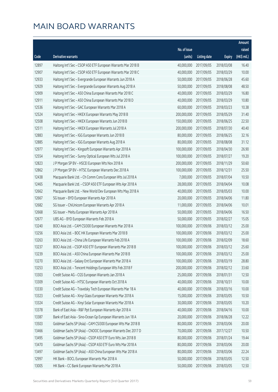|       |                                                               |              |                        |               | Amount      |
|-------|---------------------------------------------------------------|--------------|------------------------|---------------|-------------|
|       |                                                               | No. of issue |                        |               | raised      |
| Code  | <b>Derivative warrants</b>                                    | (units)      | <b>Listing date</b>    | <b>Expiry</b> | (HK\$ mil.) |
| 12897 | Haitong Int'l Sec - CSOP A50 ETF European Warrants Mar 2018 B | 40,000,000   | 2017/09/05             | 2018/03/08    | 16.40       |
| 12907 | Haitong Int'l Sec - CSOP A50 ETF European Warrants Mar 2018 C | 40,000,000   | 2017/09/05             | 2018/03/29    | 10.00       |
| 12933 | Haitong Int'l Sec - Evergrande European Warrants Jun 2018 A   | 50,000,000   | 2017/09/05             | 2018/06/28    | 45.60       |
| 12929 | Haitong Int'l Sec - Evergrande European Warrants Aug 2018 A   | 50,000,000   | 2017/09/05             | 2018/08/08    | 48.50       |
| 12909 | Haitong Int'l Sec - A50 China European Warrants Mar 2018 C    | 40,000,000   | 2017/09/05             | 2018/03/29    | 16.80       |
| 12911 | Haitong Int'l Sec - A50 China European Warrants Mar 2018 D    | 40,000,000   | 2017/09/05             | 2018/03/29    | 10.80       |
| 12536 | Haitong Int'l Sec - GAC European Warrants Mar 2018 A          | 60,000,000   | 2017/09/05             | 2018/03/23    | 10.38       |
| 12524 | Haitong Int'l Sec - HKEX European Warrants May 2018 B         | 200,000,000  | 2017/09/05             | 2018/05/29    | 31.40       |
| 12508 | Haitong Int'l Sec - HKEX European Warrants Jun 2018 B         | 150,000,000  | 2017/09/05             | 2018/06/25    | 22.50       |
| 12511 | Haitong Int'l Sec - HKEX European Warrants Jul 2018 A         | 200,000,000  | 2017/09/05             | 2018/07/30    | 40.40       |
| 12883 | Haitong Int'l Sec - IGG European Warrants Jun 2018 B          | 80,000,000   | 2017/09/05             | 2018/06/25    | 32.16       |
| 12885 | Haitong Int'l Sec - IGG European Warrants Aug 2018 A          | 80,000,000   | 2017/09/05             | 2018/08/08    | 31.12       |
| 12977 | Haitong Int'l Sec - Kingsoft European Warrants Apr 2018 A     | 100,000,000  | 2017/09/05             | 2018/04/30    | 26.90       |
| 12554 | Haitong Int'l Sec - Sunny Optical European Wts Jul 2018 A     | 100,000,000  | 2017/09/05             | 2018/07/27    | 19.20       |
| 12823 | J P Morgan SP BV - HSCEI European Wts Nov 2018 A              | 200,000,000  | 2017/09/05             | 2018/11/29    | 50.60       |
| 12862 | J P Morgan SP BV - HTSC European Warrants Dec 2018 A          | 100,000,000  | 2017/09/05             | 2018/12/31    | 25.50       |
| 12438 | Macquarie Bank Ltd. - Ch Comm Cons European Wts Jul 2018 A    | 7,000,000    | 2017/09/05             | 2018/07/04    | 10.50       |
| 12465 | Macquarie Bank Ltd. - CSOP A50 ETF European Wts Apr 2018 A    | 28,000,000   | 2017/09/05             | 2018/04/04    | 10.08       |
| 12662 | Macquarie Bank Ltd. - New World Dev European Wts May 2018 A   | 40,000,000   | 2017/09/05             | 2018/05/03    | 10.00       |
| 12667 | SG Issuer - BYD European Warrants Apr 2018 A                  | 20,000,000   | 2017/09/05             | 2018/04/06    | 11.80       |
| 12682 | SG Issuer - ChiUnicom European Warrants Apr 2018 A            | 11,000,000   | 2017/09/05             | 2018/04/06    | 10.01       |
| 12668 | SG Issuer - Meitu European Warrants Apr 2018 A                | 50,000,000   | 2017/09/05             | 2018/04/06    | 16.50       |
| 12677 | UBS AG - BYD European Warrants Feb 2018 A                     | 50,000,000   | 2017/09/05             | 2018/02/27    | 15.05       |
| 13240 | BOCI Asia Ltd. - CAM CSI300 European Warrants Mar 2018 A      | 100,000,000  | 2017/09/06             | 2018/03/12    | 25.00       |
| 13256 | BOCI Asia Ltd. - BOC HK European Warrants Mar 2018 B          | 100,000,000  | 2017/09/06             | 2018/03/12    | 25.00       |
| 13263 | BOCI Asia Ltd. - China Life European Warrants Feb 2018 A      | 100,000,000  | 2017/09/06             | 2018/02/09    | 18.60       |
| 13237 | BOCI Asia Ltd. - CSOP A50 ETF European Warrants Mar 2018 B    |              | 100,000,000 2017/09/06 | 2018/03/12    | 25.60       |
| 13239 | BOCI Asia Ltd. - A50 China European Warrants Mar 2018 B       | 100,000,000  | 2017/09/06             | 2018/03/12    | 25.00       |
| 13270 | BOCI Asia Ltd. - Galaxy Ent European Warrants Mar 2018 A      | 100,000,000  | 2017/09/06             | 2018/03/19    | 28.80       |
| 13253 | BOCI Asia Ltd. - Tencent Holdings European Wts Feb 2018 F     | 200,000,000  | 2017/09/06             | 2018/02/12    | 33.60       |
| 13303 | Credit Suisse AG - CGS European Warrants Jan 2018 A           | 25,000,000   | 2017/09/06             | 2018/01/31    | 12.50       |
| 13309 | Credit Suisse AG - HTSC European Warrants Oct 2018 A          | 40,000,000   | 2017/09/06             | 2018/10/31    | 10.00       |
| 13330 | Credit Suisse AG - Travelsky Tech European Warrants Mar 18 A  | 40,000,000   | 2017/09/06             | 2018/03/16    | 10.00       |
| 13323 | Credit Suisse AG - Xinyi Glass European Warrants Mar 2018 A   | 15,000,000   | 2017/09/06             | 2018/03/05    | 10.50       |
| 13324 | Credit Suisse AG - Xinyi Solar European Warrants Mar 2018 A   | 30,000,000   | 2017/09/06             | 2018/03/05    | 10.20       |
| 13378 | Bank of East Asia - R&F Ppt European Warrants Apr 2018 A      | 40,000,000   | 2017/09/06             | 2018/04/16    | 10.00       |
| 13387 | Bank of East Asia - Sino-Ocean Gp European Warrants Jun 18 A  | 20,000,000   | 2017/09/06             | 2018/06/28    | 12.22       |
| 13503 | Goldman Sachs SP (Asia) - CAM CSI300 European Wts Mar 2018 B  | 80,000,000   | 2017/09/06             | 2018/03/06    | 20.00       |
| 13466 | Goldman Sachs SP (Asia) - CNOOC European Warrants Dec 2017 D  | 70,000,000   | 2017/09/06             | 2017/12/27    | 10.50       |
| 13495 | Goldman Sachs SP (Asia) - CSOP A50 ETF Euro Wts Jan 2018 B    | 80,000,000   | 2017/09/06             | 2018/01/24    | 19.44       |
| 13470 | Goldman Sachs SP (Asia) - CSOP A50 ETF Euro Wts Mar 2018 A    | 80,000,000   | 2017/09/06             | 2018/03/06    | 20.00       |
| 13497 | Goldman Sachs SP (Asia) - A50 China European Wts Mar 2018 A   | 80,000,000   | 2017/09/06             | 2018/03/06    | 22.24       |
| 12997 | HK Bank - BOCL European Warrants Mar 2018 A                   | 50,000,000   | 2017/09/06             | 2018/03/05    | 12.50       |
| 13005 | HK Bank - CC Bank European Warrants Mar 2018 A                | 50,000,000   | 2017/09/06             | 2018/03/05    | 12.50       |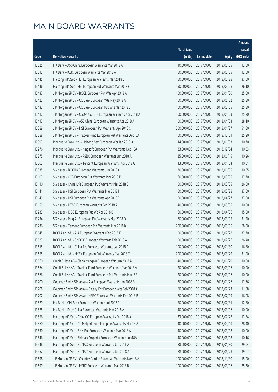|       |                                                              |                        |                     |               | Amount      |
|-------|--------------------------------------------------------------|------------------------|---------------------|---------------|-------------|
|       |                                                              | No. of issue           |                     |               | raised      |
| Code  | Derivative warrants                                          | (units)                | <b>Listing date</b> | <b>Expiry</b> | (HK\$ mil.) |
| 13025 | HK Bank - A50 China European Warrants Mar 2018 A             | 40,000,000             | 2017/09/06          | 2018/03/05    | 12.00       |
| 13012 | HK Bank - ICBC European Warrants Mar 2018 A                  | 50,000,000             | 2017/09/06          | 2018/03/05    | 12.50       |
| 13445 | Haitong Int'l Sec - HSI European Warrants Mar 2018 E         | 150,000,000            | 2017/09/06          | 2018/03/28    | 37.50       |
| 13446 | Haitong Int'l Sec - HSI European Put Warrants Mar 2018 F     | 150,000,000            | 2017/09/06          | 2018/03/28    | 26.10       |
| 13437 | J P Morgan SP BV - BOCL European Put Wts Apr 2018 A          | 100,000,000            | 2017/09/06          | 2018/04/30    | 25.00       |
| 13423 | J P Morgan SP BV - CC Bank European Wts May 2018 A           | 100,000,000            | 2017/09/06          | 2018/05/02    | 25.30       |
| 13433 | J P Morgan SP BV - CC Bank European Put Wts Mar 2018 B       | 100,000,000            | 2017/09/06          | 2018/03/05    | 25.30       |
| 13412 | J P Morgan SP BV - CSOP A50 ETF European Warrants Apr 2018 A | 100,000,000            | 2017/09/06          | 2018/04/03    | 25.20       |
| 13417 | J P Morgan SP BV - A50 China European Warrants Apr 2018 A    | 100,000,000            | 2017/09/06          | 2018/04/03    | 28.10       |
| 13389 | J P Morgan SP BV - HSI European Put Warrants Apr 2018 C      | 200,000,000            | 2017/09/06          | 2018/04/27    | 51.80       |
| 13388 | J P Morgan SP BV - Tracker Fund European Put Warrants Dec18A | 100,000,000            | 2017/09/06          | 2018/12/31    | 25.20       |
| 12993 | Macquarie Bank Ltd. - Haitong Sec European Wts Jan 2018 A    | 14,000,000             | 2017/09/06          | 2018/01/03    | 10.70       |
| 13276 | Macquarie Bank Ltd. - Kingsoft European Put Warrants Dec 18A | 33,000,000             | 2017/09/06          | 2018/12/04    | 10.03       |
| 13275 | Macquarie Bank Ltd. - PSBC European Warrants Jun 2018 A      | 35,000,000             | 2017/09/06          | 2018/06/15    | 10.26       |
| 13302 | Macquarie Bank Ltd. - Tencent European Warrants Apr 2018 G   | 13,000,000             | 2017/09/06          | 2018/04/04    | 10.01       |
| 13035 | SG Issuer - BOCHK European Warrants Jun 2018 A               | 30,000,000             | 2017/09/06          | 2018/06/05    | 10.05       |
| 13103 | SG Issuer - CCB European Put Warrants Mar 2018 B             | 60,000,000             | 2017/09/06          | 2018/03/05    | 17.70       |
| 13110 | SG Issuer - China Life European Put Warrants Mar 2018 B      | 100,000,000            | 2017/09/06          | 2018/03/05    | 26.00       |
| 13141 | SG Issuer - HSI European Put Warrants Mar 2018 I             | 150,000,000            | 2017/09/06          | 2018/03/28    | 37.50       |
| 13149 | SG Issuer - HSI European Put Warrants Apr 2018 F             | 150,000,000            | 2017/09/06          | 2018/04/27    | 37.50       |
| 13159 | SG Issuer - HTSC European Warrants Sep 2018 A                | 40,000,000             | 2017/09/06          | 2018/09/05    | 10.00       |
| 13233 | SG Issuer - ICBC European Put Wt Apr 2018 B                  | 60,000,000             | 2017/09/06          | 2018/04/06    | 15.00       |
| 13234 | SG Issuer - Ping An European Put Warrants Mar 2018 D         | 80,000,000             | 2017/09/06          | 2018/03/05    | 31.20       |
| 13236 | SG Issuer - Tencent European Put Warrants Mar 2018 K         | 200,000,000            | 2017/09/06          | 2018/03/05    | 68.00       |
| 13645 | BOCI Asia Ltd. - AIA European Warrants Feb 2018 B            | 100,000,000            | 2017/09/07          | 2018/02/28    | 37.70       |
| 13623 | BOCI Asia Ltd. - CNOOC European Warrants Feb 2018 A          | 100,000,000            | 2017/09/07          | 2018/02/26    | 26.40       |
| 13615 | BOCI Asia Ltd. - China Tel European Warrants Jan 2018 A      | 100,000,000 2017/09/07 |                     | 2018/01/30    | 16.50       |
| 13655 | BOCI Asia Ltd. - HKEX European Put Warrants Mar 2018 C       | 200,000,000            | 2017/09/07          | 2018/03/29    | 31.00       |
| 13660 | Credit Suisse AG - China Mengniu European Wts Jun 2018 A     | 40,000,000             | 2017/09/07          | 2018/06/29    | 10.00       |
| 13664 | Credit Suisse AG - Tracker Fund European Warrants Mar 2018 A | 20,000,000             | 2017/09/07          | 2018/03/06    | 10.00       |
| 13666 | Credit Suisse AG - Tracker Fund European Put Warrants Mar18B | 20,000,000             | 2017/09/07          | 2018/03/06    | 10.00       |
| 13700 | Goldman Sachs SP (Asia) - AIA European Warrants Jan 2018 B   | 80,000,000             | 2017/09/07          | 2018/01/26    | 17.76       |
| 13708 | Goldman Sachs SP (Asia) - Galaxy Ent European Wts Feb 2018 A | 60,000,000             | 2017/09/07          | 2018/02/23    | 11.88       |
| 13702 | Goldman Sachs SP (Asia) - HSBC European Warrants Feb 2018 B  | 80,000,000             | 2017/09/07          | 2018/02/09    | 16.08       |
| 13529 | HK Bank - CM Bank European Warrants Jul 2018 A               | 50,000,000             | 2017/09/07          | 2018/07/31    | 12.50       |
| 13525 | HK Bank - PetroChina European Warrants Mar 2018 A            | 40,000,000             | 2017/09/07          | 2018/03/06    | 10.00       |
| 13556 | Haitong Int'l Sec - CHALCO European Warrants Feb 2018 A      | 33,000,000             | 2017/09/07          | 2018/02/22    | 12.54       |
| 13560 | Haitong Int'l Sec - Ch Molybdenum European Warrants Mar 18 A | 40,000,000             | 2017/09/07          | 2018/03/19    | 28.40       |
| 13530 | Haitong Int'l Sec - SHK Ppt European Warrants Mar 2018 A     | 40,000,000             | 2017/09/07          | 2018/03/08    | 10.00       |
| 13546 | Haitong Int'l Sec - Shimao Property European Warrants Jun18A | 40,000,000             | 2017/09/07          | 2018/06/08    | 10.16       |
| 13548 | Haitong Int'l Sec - SUNAC European Warrants Jan 2018 A       | 88,000,000             | 2017/09/07          | 2018/01/30    | 29.04       |
| 13552 | Haitong Int'l Sec - SUNAC European Warrants Jun 2018 A       | 88,000,000             | 2017/09/07          | 2018/06/29    | 39.07       |
| 13698 | J P Morgan SP BV - Country Garden European Warrants Nov 18 A | 100,000,000            | 2017/09/07          | 2018/11/30    | 15.00       |
| 13699 | J P Morgan SP BV - HSBC European Warrants Mar 2018 B         | 100,000,000            | 2017/09/07          | 2018/03/16    | 25.30       |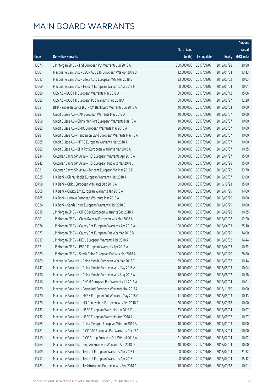|       |                                                              |              |                       |               | Amount      |
|-------|--------------------------------------------------------------|--------------|-----------------------|---------------|-------------|
|       |                                                              | No. of issue |                       |               | raised      |
| Code  | Derivative warrants                                          | (units)      | Listing date          | <b>Expiry</b> | (HK\$ mil.) |
| 13674 | J P Morgan SP BV - HSI European Put Warrants Jun 2018 A      | 200,000,000  | 2017/09/07            | 2018/06/28    | 30.80       |
| 13564 | Macquarie Bank Ltd. - CSOP A50 ETF European Wts Apr 2018 B   | 12,000,000   | 2017/09/07            | 2018/04/04    | 13.13       |
| 13517 | Macquarie Bank Ltd. - Geely Auto European Wts Mar 2018 B     | 33,000,000   | 2017/09/07            | 2018/03/02    | 10.03       |
| 13569 | Macquarie Bank Ltd. - Tencent European Warrants Apr 2018 H   | 8,000,000    | 2017/09/07            | 2018/04/04    | 10.01       |
| 13580 | UBS AG - BOC HK European Warrants Mar 2018 A                 | 60,000,000   | 2017/09/07            | 2018/03/12    | 15.06       |
| 13583 | UBS AG - BOC HK European Put Warrants Feb 2018 A             | 50,000,000   | 2017/09/07            | 2018/02/27    | 12.20       |
| 13851 | BNP Paribas Issuance B.V. - CM Bank Euro Warrants Jun 2018 A | 40,000,000   | 2017/09/08            | 2018/06/04    | 10.00       |
| 13984 | Credit Suisse AG - CKP European Warrants Mar 2018 A          | 40,000,000   | 2017/09/08            | 2018/03/07    | 10.00       |
| 13999 | Credit Suisse AG - China Mer Port European Warrants Mar 18 A | 40,000,000   | 2017/09/08            | 2018/03/07    | 10.00       |
| 13983 | Credit Suisse AG - CRRC European Warrants Mar 2018 A         | 20,000,000   | 2017/09/08            | 2018/03/07    | 10.60       |
| 13981 | Credit Suisse AG - Henderson Land European Warrants Mar 18 A | 40,000,000   | 2017/09/08            | 2018/03/07    | 10.00       |
| 13985 | Credit Suisse AG - MTRC European Warrants Mar 2018 A         | 40,000,000   | 2017/09/08            | 2018/03/07    | 10.00       |
| 13982 | Credit Suisse AG - SHK Ppt European Warrants Mar 2018 A      | 30,000,000   | 2017/09/08            | 2018/03/07    | 10.35       |
| 13934 | Goldman Sachs SP (Asia) - HSI European Warrants Apr 2018 A   | 100,000,000  | 2017/09/08            | 2018/04/27    | 15.00       |
| 13942 | Goldman Sachs SP (Asia) - HSI European Put Wts Mar 2018 C    | 100,000,000  | 2017/09/08            | 2018/03/28    | 15.00       |
| 13921 | Goldman Sachs SP (Asia) - Tencent European Wt Mar 2018 D     | 100,000,000  | 2017/09/08            | 2018/03/22    | 33.70       |
| 13825 | HK Bank - China Mobile European Warrants Mar 2018 A          | 40,000,000   | 2017/09/08            | 2018/03/07    | 12.00       |
| 13798 | HK Bank - CRRC European Warrants Dec 2019 A                  | 100,000,000  | 2017/09/08            | 2019/12/23    | 15.00       |
| 13805 | HK Bank - Galaxy Ent European Warrants Jan 2018 A            | 40,000,000   | 2017/09/08            | 2018/01/29    | 14.00       |
| 13785 | HK Bank - Lenovo European Warrants Mar 2018 A                | 40,000,000   | 2017/09/08            | 2018/03/29    | 10.00       |
| 13824 | HK Bank - Sands China European Warrants Mar 2018 B           | 40,000,000   | 2017/09/08            | 2018/03/29    | 10.00       |
| 13915 | J P Morgan SP BV - CITIC Sec European Warrants Sep 2018 A    | 70,000,000   | 2017/09/08            | 2018/09/28    | 10.85       |
| 13901 | J P Morgan SP BV - China Railway European Wts Mar 2018 A     | 40,000,000   | 2017/09/08            | 2018/03/08    | 12.20       |
| 13874 | J P Morgan SP BV - Galaxy Ent European Warrants Apr 2018 A   | 100,000,000  | 2017/09/08            | 2018/04/03    | 25.10       |
| 13877 | J P Morgan SP BV - Galaxy Ent European Put Wts Mar 2018 B    | 100,000,000  | 2017/09/08            | 2018/03/29    | 34.00       |
| 13912 | J P Morgan SP BV - KECL European Warrants Mar 2018 A         | 40,000,000   | 2017/09/08            | 2018/03/02    | 14.44       |
| 13871 | J P Morgan SP BV - PSBC European Warrants Apr 2018 A         |              | 40,000,000 2017/09/08 | 2018/04/03    | 10.32       |
| 13889 | J P Morgan SP BV - Sands China European Put Wts Mar 2018 A   | 100,000,000  | 2017/09/08            | 2018/03/29    | 28.80       |
| 13769 | Macquarie Bank Ltd. - China Mobile European Wts Mar 2018 C   | 39,000,000   | 2017/09/08            | 2018/03/08    | 10.14       |
| 13747 | Macquarie Bank Ltd. - China Mobile European Wts May 2018 A   | 40,000,000   | 2017/09/08            | 2018/05/03    | 10.04       |
| 13756 | Macquarie Bank Ltd. - China Mobile European Wts Aug 2018 A   | 18,000,000   | 2017/09/08            | 2018/08/02    | 10.58       |
| 13716 | Macquarie Bank Ltd. - CNBM European Put Warrants Jul 2018 A  | 19,000,000   | 2017/09/08            | 2018/07/04    | 10.01       |
| 13729 | Macquarie Bank Ltd. - Fosun Intl European Warrants Nov 2018A | 40,000,000   | 2017/09/08            | 2018/11/19    | 10.00       |
| 13770 | Macquarie Bank Ltd. - HKEX European Put Warrants May 2018 C  | 11,000,000   | 2017/09/08            | 2018/05/03    | 10.13       |
| 13779 | Macquarie Bank Ltd. - HN Renewables European Wts Sep 2018 A  | 20,000,000   | 2017/09/08            | 2018/09/18    | 10.00       |
| 13733 | Macquarie Bank Ltd. - HSBC European Warrants Jun 2018 C      | 33,000,000   | 2017/09/08            | 2018/06/04    | 10.07       |
| 13732 | Macquarie Bank Ltd. - HSBC European Warrants Aug 2018 A      | 17,000,000   | 2017/09/08            | 2018/08/02    | 10.27       |
| 13765 | Macquarie Bank Ltd. - China Mengniu European Wts Jan 2019 A  | 40,000,000   | 2017/09/08            | 2019/01/03    | 10.00       |
| 13761 | Macquarie Bank Ltd. - PICC P&C European Put Warrants Dec 18A | 40,000,000   | 2017/09/08            | 2018/12/04    | 10.00       |
| 13719 | Macquarie Bank Ltd. - PICC Group European Put Wts Jul 2018 A | 21,000,000   | 2017/09/08            | 2018/07/04    | 10.02       |
| 13764 | Macquarie Bank Ltd. - Ping An European Warrants Apr 2018 D   | 40,000,000   | 2017/09/08            | 2018/04/04    | 10.00       |
| 13709 | Macquarie Bank Ltd. - Tencent European Warrants Apr 2018 I   | 8,000,000    | 2017/09/08            | 2018/04/04    | 21.32       |
| 13717 | Macquarie Bank Ltd. - Tencent European Warrants Apr 2018 J   | 8,000,000    | 2017/09/08            | 2018/04/04    | 15.12       |
| 13783 | Macquarie Bank Ltd. - Techtronic Ind European Wts Sep 2018 A | 18,000,000   | 2017/09/08            | 2018/09/18    | 10.01       |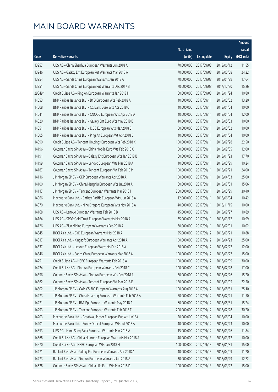|         |                                                               |              |                       |               | Amount       |
|---------|---------------------------------------------------------------|--------------|-----------------------|---------------|--------------|
|         |                                                               | No. of issue |                       |               | raised       |
| Code    | <b>Derivative warrants</b>                                    | (units)      | <b>Listing date</b>   | <b>Expiry</b> | $(HK\$ mil.) |
| 13957   | UBS AG - China Shenhua European Warrants Jun 2018 A           | 70,000,000   | 2017/09/08            | 2018/06/12    | 11.55        |
| 13946   | UBS AG - Galaxy Ent European Put Warrants Mar 2018 A          | 70,000,000   | 2017/09/08            | 2018/03/08    | 24.22        |
| 13954   | UBS AG - Sands China European Warrants Jan 2018 A             | 70,000,000   | 2017/09/08            | 2018/01/29    | 17.64        |
| 13951   | UBS AG - Sands China European Put Warrants Dec 2017 B         | 70,000,000   | 2017/09/08            | 2017/12/20    | 15.26        |
| 29349 # | Credit Suisse AG - Ping An European Warrants Jan 2018 H       | 60,000,000   | 2017/09/08            | 2018/01/24    | 10.80        |
| 14053   | BNP Paribas Issuance B.V. - BYD European Wts Feb 2018 A       | 40,000,000   | 2017/09/11            | 2018/02/02    | 13.20        |
| 14008   | BNP Paribas Issuance B.V. - CC Bank Euro Wts Apr 2018 C       | 40,000,000   | 2017/09/11            | 2018/04/04    | 10.00        |
| 14041   | BNP Paribas Issuance B.V. - CNOOC European Wts Apr 2018 A     | 40,000,000   | 2017/09/11            | 2018/04/04    | 12.00        |
| 14020   | BNP Paribas Issuance B.V. - Galaxy Ent Euro Wts May 2018 B    | 40,000,000   | 2017/09/11            | 2018/05/03    | 10.00        |
| 14051   | BNP Paribas Issuance B.V. - ICBC European Wts Mar 2018 B      | 50,000,000   | 2017/09/11            | 2018/03/02    | 10.00        |
| 14005   | BNP Paribas Issuance B.V. - Ping An European Wt Apr 2018 C    | 40,000,000   | 2017/09/11            | 2018/04/04    | 10.00        |
| 14090   | Credit Suisse AG - Tencent Holdings European Wts Feb 2018 K   | 150,000,000  | 2017/09/11            | 2018/02/28    | 22.50        |
| 14196   | Goldman Sachs SP (Asia) - China Mobile Euro Wts Feb 2018 C    | 80,000,000   | 2017/09/11            | 2018/02/05    | 12.00        |
| 14191   | Goldman Sachs SP (Asia) - Galaxy Ent European Wts Jan 2018 B  | 60,000,000   | 2017/09/11            | 2018/01/23    | 17.70        |
| 14199   | Goldman Sachs SP (Asia) - Lenovo European Wts Mar 2018 A      | 40,000,000   | 2017/09/11            | 2018/03/29    | 10.24        |
| 14187   | Goldman Sachs SP (Asia) - Tencent European Wt Feb 2018 M      | 100,000,000  | 2017/09/11            | 2018/02/21    | 24.00        |
| 14116   | J P Morgan SP BV - CKP European Warrants Apr 2018 A           | 100,000,000  | 2017/09/11            | 2018/04/03    | 25.00        |
| 14100   | J P Morgan SP BV - China Mengniu European Wts Jul 2018 A      | 60,000,000   | 2017/09/11            | 2018/07/31    | 15.06        |
| 14117   | J P Morgan SP BV - Tencent European Warrants Mar 2018 I       | 200,000,000  | 2017/09/11            | 2018/03/29    | 30.40        |
| 14066   | Macquarie Bank Ltd. - Cathay Pacific European Wts Jun 2018 A  | 12,000,000   | 2017/09/11            | 2018/06/04    | 10.42        |
| 14070   | Macquarie Bank Ltd. - Nine Dragons European Wts Nov 2018 A    | 40,000,000   | 2017/09/11            | 2018/11/15    | 10.00        |
| 14168   | UBS AG - Lenovo European Warrants Feb 2018 B                  | 45,000,000   | 2017/09/11            | 2018/02/27    | 10.89        |
| 14164   | UBS AG - SPDR Gold Trust European Warrants Mar 2018 A         | 35,000,000   | 2017/09/11            | 2018/03/12    | 10.99        |
| 14126   | UBS AG - Zijin Mining European Warrants Feb 2018 A            | 30,000,000   | 2017/09/11            | 2018/02/01    | 10.02        |
| 14345   | BOCI Asia Ltd. - BYD European Warrants Mar 2018 A             | 25,000,000   | 2017/09/12            | 2018/03/21    | 10.88        |
| 14317   | BOCI Asia Ltd. - Kingsoft European Warrants Apr 2018 A        | 100,000,000  | 2017/09/12            | 2018/04/23    | 25.00        |
| 14337   | BOCI Asia Ltd. - Lenovo European Warrants Feb 2018 A          |              | 80,000,000 2017/09/12 | 2018/02/22    | 12.00        |
| 14346   | BOCI Asia Ltd. - Sands China European Warrants Mar 2018 A     | 100,000,000  | 2017/09/12            | 2018/03/27    | 15.00        |
| 14251   | Credit Suisse AG - HSBC European Warrants Feb 2018 A          | 100,000,000  | 2017/09/12            | 2018/02/09    | 30.00        |
| 14224   | Credit Suisse AG - Ping An European Warrants Feb 2018 C       | 100,000,000  | 2017/09/12            | 2018/02/28    | 17.00        |
| 14356   | Goldman Sachs SP (Asia) - Ping An European Wts Feb 2018 A     | 80,000,000   | 2017/09/12            | 2018/02/26    | 15.20        |
| 14362   | Goldman Sachs SP (Asia) - Tencent European Wt Mar 2018 E      | 150,000,000  | 2017/09/12            | 2018/03/05    | 22.50        |
| 14302   | J P Morgan SP BV - CAM CSI300 European Warrants Aug 2018 A    | 100,000,000  | 2017/09/12            | 2018/08/31    | 25.10        |
| 14273   | J P Morgan SP BV - China Huarong European Warrants Feb 2018 A | 50,000,000   | 2017/09/12            | 2018/02/21    | 11.50        |
| 14271   | J P Morgan SP BV - R&F Ppt European Warrants May 2018 A       | 60,000,000   | 2017/09/12            | 2018/05/31    | 15.24        |
| 14293   | J P Morgan SP BV - Tencent European Warrants Feb 2018 F       | 200,000,000  | 2017/09/12            | 2018/02/28    | 30.20        |
| 14203   | Macquarie Bank Ltd. - Greatwall Motor European Put Wt Jun18A  | 20,000,000   | 2017/09/12            | 2018/06/04    | 10.00        |
| 14201   | Macquarie Bank Ltd. - Sunny Optical European Wts Jul 2018 A   | 40,000,000   | 2017/09/12            | 2018/07/23    | 10.00        |
| 14353   | UBS AG - Hang Seng Bank European Warrants Mar 2018 A          | 15,000,000   | 2017/09/12            | 2018/03/26    | 11.84        |
| 14568   | Credit Suisse AG - China Huarong European Warrants Mar 2018 A | 40,000,000   | 2017/09/13            | 2018/03/12    | 10.00        |
| 14570   | Credit Suisse AG - HSBC European Wts Jan 2018 H               | 100,000,000  | 2017/09/13            | 2018/01/31    | 15.00        |
| 14471   | Bank of East Asia - Galaxy Ent European Warrants Apr 2018 A   | 40,000,000   | 2017/09/13            | 2018/04/09    | 11.20        |
| 14473   | Bank of East Asia - Ping An European Warrants Jun 2018 A      | 30,000,000   | 2017/09/13            | 2018/06/29    | 12.72        |
| 14628   | Goldman Sachs SP (Asia) - China Life Euro Wts Mar 2018 D      | 100,000,000  | 2017/09/13            | 2018/03/22    | 15.00        |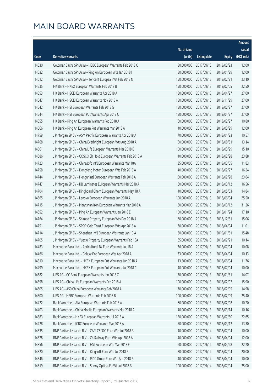|       |                                                               |              |                       |               | Amount      |
|-------|---------------------------------------------------------------|--------------|-----------------------|---------------|-------------|
|       |                                                               | No. of issue |                       |               | raised      |
| Code  | Derivative warrants                                           | (units)      | <b>Listing date</b>   | <b>Expiry</b> | (HK\$ mil.) |
| 14630 | Goldman Sachs SP (Asia) - HSBC European Warrants Feb 2018 C   | 80,000,000   | 2017/09/13            | 2018/02/23    | 12.00       |
| 14632 | Goldman Sachs SP (Asia) - Ping An European Wts Jan 2018 I     | 80,000,000   | 2017/09/13            | 2018/01/29    | 12.00       |
| 14612 | Goldman Sachs SP (Asia) - Tencent European Wt Feb 2018 N      | 150,000,000  | 2017/09/13            | 2018/02/21    | 23.10       |
| 14535 | HK Bank - HKEX European Warrants Feb 2018 B                   | 150,000,000  | 2017/09/13            | 2018/02/05    | 22.50       |
| 14553 | HK Bank - HSCEI European Warrants Apr 2018 A                  | 180,000,000  | 2017/09/13            | 2018/04/27    | 27.00       |
| 14547 | HK Bank - HSCEI European Warrants Nov 2018 A                  | 180,000,000  | 2017/09/13            | 2018/11/29    | 27.00       |
| 14542 | HK Bank - HSI European Warrants Feb 2018 G                    | 180,000,000  | 2017/09/13            | 2018/02/27    | 27.00       |
| 14544 | HK Bank - HSI European Put Warrants Apr 2018 C                | 180,000,000  | 2017/09/13            | 2018/04/27    | 27.00       |
| 14555 | HK Bank - Ping An European Warrants Feb 2018 A                | 60,000,000   | 2017/09/13            | 2018/02/27    | 10.80       |
| 14566 | HK Bank - Ping An European Put Warrants Mar 2018 A            | 40,000,000   | 2017/09/13            | 2018/03/29    | 12.00       |
| 14759 | J P Morgan SP BV - ASM Pacific European Warrants Apr 2018 A   | 70,000,000   | 2017/09/13            | 2018/04/23    | 10.57       |
| 14768 | J P Morgan SP BV - China Everbright European Wts Aug 2018 A   | 60,000,000   | 2017/09/13            | 2018/08/31    | 13.14       |
| 14661 | J P Morgan SP BV - China Life European Warrants Mar 2018 B    | 100,000,000  | 2017/09/13            | 2018/03/29    | 15.10       |
| 14686 | J P Morgan SP BV - COSCO Sh Hold European Warrants Feb 2018 A | 40,000,000   | 2017/09/13            | 2018/02/28    | 23.88       |
| 14723 | J P Morgan SP BV - Chinasoft Int'l European Warrants Mar 18A  | 35,000,000   | 2017/09/13            | 2018/03/05    | 11.83       |
| 14758 | J P Morgan SP BV - Dongfeng Motor European Wts Feb 2018 A     | 40,000,000   | 2017/09/13            | 2018/02/27    | 16.24       |
| 14744 | J P Morgan SP BV - Henganintl European Warrants Feb 2018 A    | 60,000,000   | 2017/09/13            | 2018/02/28    | 23.64       |
| 14747 | J P Morgan SP BV - KB Laminates European Warrants Mar 2018 A  | 60,000,000   | 2017/09/13            | 2018/03/12    | 16.56       |
| 14704 | J P Morgan SP BV - Kingboard Chem European Warrants May 18 A  | 40,000,000   | 2017/09/13            | 2018/05/03    | 14.84       |
| 14665 | J P Morgan SP BV - Lenovo European Warrants Jun 2018 A        | 100,000,000  | 2017/09/13            | 2018/06/04    | 25.50       |
| 14715 | J P Morgan SP BV - Maanshan Iron European Warrants Mar 2018 A | 60,000,000   | 2017/09/13            | 2018/03/12    | 31.26       |
| 14652 | J P Morgan SP BV - Ping An European Warrants Jan 2018 E       | 100,000,000  | 2017/09/13            | 2018/01/24    | 17.10       |
| 14764 | J P Morgan SP BV - Shimao Property European Wts Dec 2018 A    | 60,000,000   | 2017/09/13            | 2018/12/31    | 15.06       |
| 14751 | J P Morgan SP BV - SPDR Gold Trust European Wts Apr 2018 A    | 30,000,000   | 2017/09/13            | 2018/04/04    | 11.01       |
| 14714 | J P Morgan SP BV - Shenzhen Int'l European Warrants Jan 19 A  | 60,000,000   | 2017/09/13            | 2019/01/31    | 15.48       |
| 14705 | J P Morgan SP BV - Yuexiu Property European Warrants Feb 18A  | 65,000,000   | 2017/09/13            | 2018/02/21    | 10.14       |
| 14483 | Macquarie Bank Ltd. - Agricultural Bk Euro Warrants Jul 18 A  |              | 36,000,000 2017/09/13 | 2018/07/04    | 10.08       |
| 14466 | Macquarie Bank Ltd. - Galaxy Ent European Wts Apr 2018 A      | 33,000,000   | 2017/09/13            | 2018/04/04    | 10.13       |
| 14510 | Macquarie Bank Ltd. - HKEX European Put Warrants Jun 2018 A   | 13,500,000   | 2017/09/13            | 2018/06/04    | 11.76       |
| 14499 | Macquarie Bank Ltd. - HKEX European Put Warrants Jul 2018 C   | 40,000,000   | 2017/09/13            | 2018/07/04    | 10.00       |
| 14582 | UBS AG - CC Bank European Warrants Jan 2018 C                 | 70,000,000   | 2017/09/13            | 2018/01/31    | 14.07       |
| 14598 | UBS AG - China Life European Warrants Feb 2018 A              | 100,000,000  | 2017/09/13            | 2018/02/02    | 15.90       |
| 14605 | UBS AG - A50 China European Warrants Feb 2018 A               | 70,000,000   | 2017/09/13            | 2018/02/05    | 14.98       |
| 14600 | UBS AG - HSBC European Warrants Feb 2018 B                    | 100,000,000  | 2017/09/13            | 2018/02/09    | 25.40       |
| 14422 | Bank Vontobel - AIA European Warrants Feb 2018 A              | 60,000,000   | 2017/09/13            | 2018/02/08    | 10.20       |
| 14403 | Bank Vontobel - China Mobile European Warrants Mar 2018 A     | 40,000,000   | 2017/09/13            | 2018/03/14    | 10.16       |
| 14383 | Bank Vontobel - HKEX European Warrants Jul 2018 A             | 150,000,000  | 2017/09/13            | 2018/07/30    | 22.65       |
| 14428 | Bank Vontobel - ICBC European Warrants Mar 2018 A             | 50,000,000   | 2017/09/13            | 2018/03/12    | 13.30       |
| 14835 | BNP Paribas Issuance B.V. - CAM CSI300 Euro Wts Jul 2018 B    | 40,000,000   | 2017/09/14            | 2018/07/04    | 10.00       |
| 14828 | BNP Paribas Issuance B.V. - Ch Railway Euro Wts Apr 2018 A    | 40,000,000   | 2017/09/14            | 2018/04/04    | 12.00       |
| 14856 | BNP Paribas Issuance B.V. - HSI European Wts Mar 2018 F       | 60,000,000   | 2017/09/14            | 2018/03/28    | 22.20       |
| 14820 | BNP Paribas Issuance B.V. - Kingsoft Euro Wts Jul 2018 B      | 80,000,000   | 2017/09/14            | 2018/07/04    | 20.00       |
| 14846 | BNP Paribas Issuance B.V. - PICC Group Euro Wts Apr 2018 B    | 40,000,000   | 2017/09/14            | 2018/04/04    | 10.00       |
| 14819 | BNP Paribas Issuance B.V. - Sunny Optical Eu Wt Jul 2018 B    | 100,000,000  | 2017/09/14            | 2018/07/04    | 25.00       |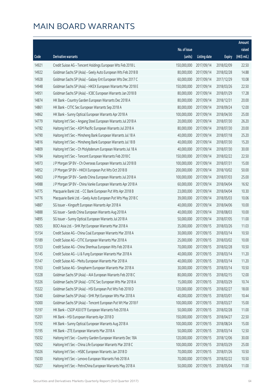|       |                                                               |              |                       |               | Amount       |
|-------|---------------------------------------------------------------|--------------|-----------------------|---------------|--------------|
|       |                                                               | No. of issue |                       |               | raised       |
| Code  | Derivative warrants                                           | (units)      | <b>Listing date</b>   | <b>Expiry</b> | $(HK\$ mil.) |
| 14921 | Credit Suisse AG - Tencent Holdings European Wts Feb 2018 L   | 150,000,000  | 2017/09/14            | 2018/02/09    | 22.50        |
| 14922 | Goldman Sachs SP (Asia) - Geely Auto European Wts Feb 2018 B  | 80,000,000   | 2017/09/14            | 2018/02/28    | 14.88        |
| 14928 | Goldman Sachs SP (Asia) - Galaxy Ent European Wts Dec 2017 C  | 60,000,000   | 2017/09/14            | 2017/12/29    | 10.08        |
| 14948 | Goldman Sachs SP (Asia) - HKEX European Warrants Mar 2018 E   | 150,000,000  | 2017/09/14            | 2018/03/26    | 22.50        |
| 14951 | Goldman Sachs SP (Asia) - ICBC European Warrants Jan 2018 B   | 80,000,000   | 2017/09/14            | 2018/01/29    | 17.28        |
| 14874 | HK Bank - Country Garden European Warrants Dec 2018 A         | 80,000,000   | 2017/09/14            | 2018/12/31    | 20.00        |
| 14861 | HK Bank - CITIC Sec European Warrants Sep 2018 A              | 80,000,000   | 2017/09/14            | 2018/09/24    | 12.00        |
| 14862 | HK Bank - Sunny Optical European Warrants Apr 2018 A          | 100,000,000  | 2017/09/14            | 2018/04/30    | 25.00        |
| 14779 | Haitong Int'l Sec - Angang Steel European Warrants Jul 2018 A | 20,000,000   | 2017/09/14            | 2018/07/30    | 26.20        |
| 14782 | Haitong Int'l Sec - ASM Pacific European Warrants Jul 2018 A  | 80,000,000   | 2017/09/14            | 2018/07/30    | 20.00        |
| 14790 | Haitong Int'l Sec - Minsheng Bank European Warrants Jul 18 A  | 40,000,000   | 2017/09/14            | 2018/07/18    | 25.20        |
| 14816 | Haitong Int'l Sec - Minsheng Bank European Warrants Jul 18 B  | 40,000,000   | 2017/09/14            | 2018/07/30    | 15.20        |
| 14809 | Haitong Int'l Sec - Ch Molybdenum European Warrants Jul 18 A  | 40,000,000   | 2017/09/14            | 2018/07/30    | 30.00        |
| 14784 | Haitong Int'l Sec - Tencent European Warrants Feb 2018 C      | 150,000,000  | 2017/09/14            | 2018/02/22    | 22.50        |
| 14973 | J P Morgan SP BV - Ch Overseas European Warrants Jul 2018 B   | 100,000,000  | 2017/09/14            | 2018/07/31    | 15.00        |
| 14952 | J P Morgan SP BV - HKEX European Put Wts Oct 2018 B           | 200,000,000  | 2017/09/14            | 2018/10/02    | 50.00        |
| 14963 | J P Morgan SP BV - Sands China European Warrants Jul 2018 A   | 100,000,000  | 2017/09/14            | 2018/07/03    | 25.00        |
| 14988 | J P Morgan SP BV - China Vanke European Warrants Apr 2018 A   | 60,000,000   | 2017/09/14            | 2018/04/04    | 16.92        |
| 14775 | Macquarie Bank Ltd. - CC Bank European Put Wts Apr 2018 B     | 23,000,000   | 2017/09/14            | 2018/04/04    | 10.30        |
| 14776 | Macquarie Bank Ltd. - Geely Auto European Put Wts May 2018 C  | 39,000,000   | 2017/09/14            | 2018/05/03    | 10.06        |
| 14887 | SG Issuer - Kingsoft European Warrants Apr 2018 A             | 40,000,000   | 2017/09/14            | 2018/04/06    | 10.00        |
| 14888 | SG Issuer - Sands China European Warrants Aug 2018 A          | 40,000,000   | 2017/09/14            | 2018/08/03    | 10.00        |
| 14895 | SG Issuer - Sunny Optical European Warrants Jul 2018 A        | 50,000,000   | 2017/09/14            | 2018/07/05    | 11.00        |
| 15055 | BOCI Asia Ltd. - SHK Ppt European Warrants Mar 2018 A         | 35,000,000   | 2017/09/15            | 2018/03/26    | 11.03        |
| 15154 | Credit Suisse AG - China Coal European Warrants Mar 2018 A    | 30,000,000   | 2017/09/15            | 2018/03/14    | 10.50        |
| 15189 | Credit Suisse AG - CITIC European Warrants Mar 2018 A         | 25,000,000   | 2017/09/15            | 2018/03/02    | 10.00        |
| 15153 | Credit Suisse AG - China Shenhua European Wts Feb 2018 A      |              | 70,000,000 2017/09/15 | 2018/02/28    | 10.50        |
| 15145 | Credit Suisse AG - Li & Fung European Warrants Mar 2018 A     | 40,000,000   | 2017/09/15            | 2018/03/14    | 11.20        |
| 15147 | Credit Suisse AG - Meitu European Warrants Mar 2018 A         | 40,000,000   | 2017/09/15            | 2018/03/14    | 11.20        |
| 15163 | Credit Suisse AG - Sinopharm European Warrants Mar 2018 A     | 30,000,000   | 2017/09/15            | 2018/03/14    | 10.50        |
| 15328 | Goldman Sachs SP (Asia) - AIA European Warrants Feb 2018 C    | 80,000,000   | 2017/09/15            | 2018/02/15    | 12.00        |
| 15326 | Goldman Sachs SP (Asia) - CITIC Sec European Wts Mar 2018 A   | 15,000,000   | 2017/09/15            | 2018/03/29    | 10.74        |
| 15322 | Goldman Sachs SP (Asia) - HSI European Put Wts Feb 2018 D     | 120,000,000  | 2017/09/15            | 2018/02/27    | 18.00        |
| 15340 | Goldman Sachs SP (Asia) - SHK Ppt European Wts Mar 2018 A     | 40,000,000   | 2017/09/15            | 2018/03/01    | 10.44        |
| 15000 | Goldman Sachs SP (Asia) - Tencent European Put Wt Mar 2018 F  | 100,000,000  | 2017/09/15            | 2018/03/27    | 15.00        |
| 15197 | HK Bank - CSOP A50 ETF European Warrants Feb 2018 A           | 50,000,000   | 2017/09/15            | 2018/02/28    | 11.00        |
| 15201 | HK Bank - HSI European Warrants Apr 2018 D                    | 150,000,000  | 2017/09/15            | 2018/04/27    | 22.50        |
| 15192 | HK Bank - Sunny Optical European Warrants Aug 2018 A          | 100,000,000  | 2017/09/15            | 2018/08/24    | 15.00        |
| 15195 | HK Bank - ZTE European Warrants Mar 2018 A                    | 50,000,000   | 2017/09/15            | 2018/03/14    | 12.50        |
| 15032 | Haitong Int'l Sec - Country Garden European Warrants Dec 18A  | 120,000,000  | 2017/09/15            | 2018/12/06    | 30.00        |
| 15052 | Haitong Int'l Sec - China Life European Warrants Mar 2018 C   | 100,000,000  | 2017/09/15            | 2018/03/29    | 25.00        |
| 15026 | Haitong Int'l Sec - HSBC European Warrants Jan 2018 D         | 70,000,000   | 2017/09/15            | 2018/01/26    | 10.50        |
| 15030 | Haitong Int'l Sec - Lenovo European Warrants Feb 2018 A       | 70,000,000   | 2017/09/15            | 2018/02/22    | 10.50        |
| 15027 | Haitong Int'l Sec - PetroChina European Warrants May 2018 A   | 50,000,000   | 2017/09/15            | 2018/05/04    | 11.00        |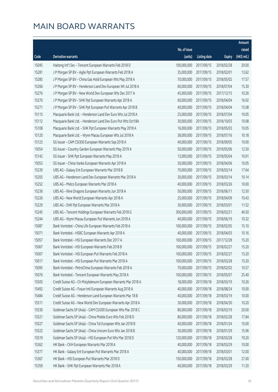|       |                                                               |              |                        |               | Amount      |
|-------|---------------------------------------------------------------|--------------|------------------------|---------------|-------------|
|       |                                                               | No. of issue |                        |               | raised      |
| Code  | <b>Derivative warrants</b>                                    | (units)      | <b>Listing date</b>    | <b>Expiry</b> | (HK\$ mil.) |
| 15045 | Haitong Int'l Sec - Tencent European Warrants Feb 2018 D      | 100,000,000  | 2017/09/15             | 2018/02/28    | 20.00       |
| 15281 | J P Morgan SP BV - Agile Ppt European Warrants Feb 2018 A     | 35,000,000   | 2017/09/15             | 2018/02/01    | 13.62       |
| 15285 | J P Morgan SP BV - China Gas Hold European Wts May 2018 A     | 70,000,000   | 2017/09/15             | 2018/05/02    | 17.57       |
| 15266 | J P Morgan SP BV - Henderson Land Dev European Wt Jul 2018 A  | 60,000,000   | 2017/09/15             | 2018/07/04    | 15.30       |
| 15276 | J P Morgan SP BV - New World Dev European Wts Dec 2017 A      | 45,000,000   | 2017/09/15             | 2017/12/15    | 10.26       |
| 15270 | J P Morgan SP BV - SHK Ppt European Warrants Apr 2018 A       | 60,000,000   | 2017/09/15             | 2018/04/04    | 16.92       |
| 15271 | J P Morgan SP BV - SHK Ppt European Put Warrants Apr 2018 B   | 40,000,000   | 2017/09/15             | 2018/04/04    | 15.08       |
| 15115 | Macquarie Bank Ltd. - Henderson Land Dev Euro Wts Jul 2018 A  | 25,000,000   | 2017/09/15             | 2018/07/04    | 10.05       |
| 15112 | Macquarie Bank Ltd. - Henderson Land Dev Euro Put Wts Oct18A  | 30,000,000   | 2017/09/15             | 2018/10/03    | 10.08       |
| 15108 | Macquarie Bank Ltd. - SHK Ppt European Warrants May 2018 A    | 16,000,000   | 2017/09/15             | 2018/05/03    | 10.05       |
| 15120 | Macquarie Bank Ltd. - Wynn Macau European Wts Jul 2018 A      | 38,000,000   | 2017/09/15             | 2018/07/16    | 10.18       |
| 15123 | SG Issuer - CAM CSI300 European Warrants Sep 2018 A           | 40,000,000   | 2017/09/15             | 2018/09/05    | 10.00       |
| 15054 | SG Issuer - Country Garden European Warrants May 2019 A       | 50,000,000   | 2017/09/15             | 2019/05/06    | 12.50       |
| 15142 | SG Issuer - SHK Ppt European Warrants May 2018 A              | 13,000,000   | 2017/09/15             | 2018/05/04    | 10.01       |
| 15053 | SG Issuer - China Vanke European Warrants Apr 2018 A          | 30,000,000   | 2017/09/15             | 2018/04/06    | 10.05       |
| 15239 | UBS AG - Galaxy Ent European Warrants Mar 2018 B              | 70,000,000   | 2017/09/15             | 2018/03/14    | 17.64       |
| 15205 | UBS AG - Henderson Land Dev European Warrants Mar 2018 A      | 30,000,000   | 2017/09/15             | 2018/03/14    | 10.14       |
| 15252 | UBS AG - Melco European Warrants Mar 2018 A                   | 40,000,000   | 2017/09/15             | 2018/03/26    | 10.00       |
| 15236 | UBS AG - Nine Dragons European Warrants Jun 2018 A            | 50,000,000   | 2017/09/15             | 2018/06/11    | 12.50       |
| 15226 | UBS AG - New World European Warrants Apr 2018 A               | 25,000,000   | 2017/09/15             | 2018/04/09    | 10.43       |
| 15229 | UBS AG - SHK Ppt European Warrants Mar 2018 A                 | 30,000,000   | 2017/09/15             | 2018/03/01    | 11.52       |
| 15245 | UBS AG - Tencent Holdings European Warrants Feb 2018 G        | 300,000,000  | 2017/09/15             | 2018/02/21    | 46.50       |
| 15244 | UBS AG - Wynn Macau European Put Warrants Jun 2018 A          | 40,000,000   | 2017/09/15             | 2018/06/19    | 10.32       |
| 15087 | Bank Vontobel - China Life European Warrants Feb 2018 A       | 100,000,000  | 2017/09/15             | 2018/02/05    | 15.10       |
| 15071 | Bank Vontobel - HSBC European Warrants Apr 2018 A             | 40,000,000   | 2017/09/15             | 2018/04/03    | 10.16       |
| 15057 | Bank Vontobel - HSI European Warrants Dec 2017 A              | 100,000,000  | 2017/09/15             | 2017/12/28    | 15.20       |
| 15067 | Bank Vontobel - HSI European Warrants Feb 2018 B              |              | 100,000,000 2017/09/15 | 2018/02/27    | 15.20       |
| 15007 | Bank Vontobel - HSI European Put Warrants Feb 2018 A          | 100,000,000  | 2017/09/15             | 2018/02/27    | 15.20       |
| 15017 | Bank Vontobel - HSI European Put Warrants Mar 2018 A          | 100,000,000  | 2017/09/15             | 2018/03/28    | 15.20       |
| 15095 | Bank Vontobel - PetroChina European Warrants Feb 2018 A       | 70,000,000   | 2017/09/15             | 2018/02/02    | 10.57       |
| 15076 | Bank Vontobel - Tencent European Warrants May 2018 A          | 100,000,000  | 2017/09/15             | 2018/05/07    | 25.40       |
| 15505 | Credit Suisse AG - Ch Molybdenum European Warrants Mar 2018 A | 18,000,000   | 2017/09/18             | 2018/03/19    | 10.26       |
| 15492 | Credit Suisse AG - Fosun Intl European Warrants Aug 2018 A    | 40,000,000   | 2017/09/18             | 2018/08/24    | 10.00       |
| 15484 | Credit Suisse AG - Henderson Land European Warrants Mar 18 B  | 40,000,000   | 2017/09/18             | 2018/03/19    | 10.00       |
| 15511 | Credit Suisse AG - New World Dev European Warrants Apr 2018 A | 30,000,000   | 2017/09/18             | 2018/04/30    | 10.20       |
| 15530 | Goldman Sachs SP (Asia) - CAM CSI300 European Wts Mar 2018 C  | 80,000,000   | 2017/09/18             | 2018/03/19    | 20.00       |
| 15521 | Goldman Sachs SP (Asia) - China Mobile Euro Wts Feb 2018 D    | 80,000,000   | 2017/09/18             | 2018/02/28    | 17.84       |
| 15527 | Goldman Sachs SP (Asia) - China Tel European Wts Jan 2018 B   | 40,000,000   | 2017/09/18             | 2018/01/24    | 10.00       |
| 15522 | Goldman Sachs SP (Asia) - China Unicom Euro Wts Jan 2018 B    | 30,000,000   | 2017/09/18             | 2018/01/29    | 15.96       |
| 15519 | Goldman Sachs SP (Asia) - HSI European Put Wts Mar 2018 D     | 120,000,000  | 2017/09/18             | 2018/03/28    | 19.20       |
| 15362 | HK Bank - CKH European Warrants Mar 2018 A                    | 40,000,000   | 2017/09/18             | 2018/03/29    | 10.00       |
| 15377 | HK Bank - Galaxy Ent European Put Warrants Mar 2018 A         | 40,000,000   | 2017/09/18             | 2018/03/01    | 12.00       |
| 15367 | HK Bank - HSI European Put Warrants Mar 2018 D                | 150,000,000  | 2017/09/18             | 2018/03/28    | 27.00       |
| 15359 | HK Bank - SHK Ppt European Warrants Mar 2018 A                | 40,000,000   | 2017/09/18             | 2018/03/29    | 11.20       |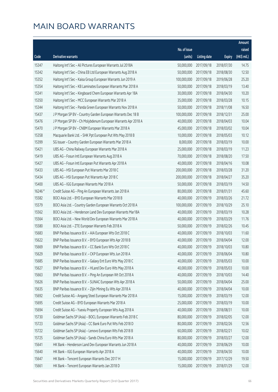|         |                                                               |              |                       |               | Amount      |
|---------|---------------------------------------------------------------|--------------|-----------------------|---------------|-------------|
|         |                                                               | No. of issue |                       |               | raised      |
| Code    | Derivative warrants                                           | (units)      | <b>Listing date</b>   | <b>Expiry</b> | (HK\$ mil.) |
| 15347   | Haitong Int'l Sec - Ali Pictures European Warrants Jul 2018A  | 50,000,000   | 2017/09/18            | 2018/07/30    | 14.75       |
| 15342   | Haitong Int'l Sec - China EB Ltd European Warrants Aug 2018 A | 50,000,000   | 2017/09/18            | 2018/08/30    | 12.50       |
| 15352   | Haitong Int'l Sec - Kaisa Group European Warrants Jun 2019 A  | 100,000,000  | 2017/09/18            | 2019/06/28    | 25.20       |
| 15354   | Haitong Int'l Sec - KB Laminates European Warrants Mar 2018 A | 50,000,000   | 2017/09/18            | 2018/03/19    | 13.40       |
| 15341   | Haitong Int'l Sec - Kingboard Chem European Warrants Apr 18A  | 30,000,000   | 2017/09/18            | 2018/04/30    | 10.20       |
| 15350   | Haitong Int'l Sec - MCC European Warrants Mar 2018 A          | 35,000,000   | 2017/09/18            | 2018/03/28    | 10.15       |
| 15344   | Haitong Int'l Sec - Panda Green European Warrants Nov 2018 A  | 50,000,000   | 2017/09/18            | 2018/11/08    | 16.50       |
| 15437   | J P Morgan SP BV - Country Garden European Warrants Dec 18 B  | 100,000,000  | 2017/09/18            | 2018/12/31    | 25.00       |
| 15476   | J P Morgan SP BV - Ch Molybdenum European Warrants Apr 2018 A | 40,000,000   | 2017/09/18            | 2018/04/03    | 10.04       |
| 15470   | J P Morgan SP BV - CNBM European Warrants Mar 2018 A          | 45,000,000   | 2017/09/18            | 2018/03/02    | 10.04       |
| 15358   | Macquarie Bank Ltd. - SHK Ppt European Put Wts May 2018 B     | 10,000,000   | 2017/09/18            | 2018/05/03    | 10.12       |
| 15399   | SG Issuer - Country Garden European Warrants Mar 2018 A       | 8,000,000    | 2017/09/18            | 2018/03/19    | 10.00       |
| 15421   | UBS AG - China Railway European Warrants Mar 2018 A           | 25,000,000   | 2017/09/18            | 2018/03/19    | 11.23       |
| 15419   | UBS AG - Fosun Intl European Warrants Aug 2018 A              | 70,000,000   | 2017/09/18            | 2018/08/20    | 17.50       |
| 15427   | UBS AG - Fosun Intl European Put Warrants Apr 2018 A          | 40,000,000   | 2017/09/18            | 2018/04/16    | 10.08       |
| 15433   | UBS AG - HSI European Put Warrants Mar 2018 C                 | 200,000,000  | 2017/09/18            | 2018/03/28    | 31.20       |
| 15434   | UBS AG - HSI European Put Warrants Apr 2018 C                 | 200,000,000  | 2017/09/18            | 2018/04/27    | 35.20       |
| 15400   | UBS AG - IGG European Warrants Mar 2018 A                     | 50,000,000   | 2017/09/18            | 2018/03/19    | 14.50       |
| 16246 # | Credit Suisse AG - Ping An European Warrants Jan 2018 A       | 80,000,000   | 2017/09/18            | 2018/01/31    | 45.60       |
| 15582   | BOCI Asia Ltd. - BYD European Warrants Mar 2018 B             | 40,000,000   | 2017/09/19            | 2018/03/26    | 21.72       |
| 15579   | BOCI Asia Ltd. - Country Garden European Warrants Oct 2018 A  | 100,000,000  | 2017/09/19            | 2018/10/29    | 25.10       |
| 15562   | BOCI Asia Ltd. - Henderson Land Dev European Warrants Mar18A  | 40,000,000   | 2017/09/19            | 2018/03/19    | 10.28       |
| 15564   | BOCI Asia Ltd. - New World Dev European Warrants Mar 2018 A   | 40,000,000   | 2017/09/19            | 2018/03/29    | 11.76       |
| 15580   | BOCI Asia Ltd. - ZTE European Warrants Feb 2018 A             | 50,000,000   | 2017/09/19            | 2018/02/26    | 10.45       |
| 15683   | BNP Paribas Issuance B.V. - AIA European Wts Oct 2018 C       | 40,000,000   | 2017/09/19            | 2018/10/03    | 11.60       |
| 15622   | BNP Paribas Issuance B.V. - BYD European Wts Apr 2018 B       | 40,000,000   | 2017/09/19            | 2018/04/04    | 12.00       |
| 15669   | BNP Paribas Issuance B.V. - CC Bank Euro Wts Oct 2018 C       |              | 40,000,000 2017/09/19 | 2018/10/03    | 10.80       |
| 15629   | BNP Paribas Issuance B.V. - CKP European Wts Jun 2018 A       | 40,000,000   | 2017/09/19            | 2018/06/04    | 10.80       |
| 15685   | BNP Paribas Issuance B.V. - Galaxy Ent Euro Wts May 2018 C    | 40,000,000   | 2017/09/19            | 2018/05/03    | 10.00       |
| 15627   | BNP Paribas Issuance B.V. - HLand Dev Euro Wts May 2018 A     | 40,000,000   | 2017/09/19            | 2018/05/03    | 10.00       |
| 15663   | BNP Paribas Issuance B.V. - Ping An European Wt Oct 2018 A    | 40,000,000   | 2017/09/19            | 2018/10/03    | 14.40       |
| 15626   | BNP Paribas Issuance B.V. - SUNAC European Wts Apr 2018 A     | 50,000,000   | 2017/09/19            | 2018/04/04    | 25.00       |
| 15635   | BNP Paribas Issuance B.V. - Zijin Mining Eu Wts Apr 2018 A    | 40,000,000   | 2017/09/19            | 2018/04/04    | 10.00       |
| 15692   | Credit Suisse AG - Angang Steel European Warrants Mar 2018 A  | 15,000,000   | 2017/09/19            | 2018/03/19    | 12.00       |
| 15695   | Credit Suisse AG - BYD European Warrants Mar 2018 A           | 25,000,000   | 2017/09/19            | 2018/03/19    | 10.00       |
| 15694   | Credit Suisse AG - Yuexiu Property European Wts Aug 2018 A    | 40,000,000   | 2017/09/19            | 2018/08/31    | 10.00       |
| 15730   | Goldman Sachs SP (Asia) - BOCL European Warrants Feb 2018 C   | 80,000,000   | 2017/09/19            | 2018/02/05    | 12.00       |
| 15723   | Goldman Sachs SP (Asia) - CC Bank Euro Put Wts Feb 2018 D     | 80,000,000   | 2017/09/19            | 2018/02/26    | 12.56       |
| 15722   | Goldman Sachs SP (Asia) - Lenovo European Wts Feb 2018 B      | 60,000,000   | 2017/09/19            | 2018/02/21    | 10.02       |
| 15725   | Goldman Sachs SP (Asia) - Sands China Euro Wts Mar 2018 A     | 80,000,000   | 2017/09/19            | 2018/03/27    | 12.00       |
| 15641   | HK Bank - Henderson Land Dev European Warrants Jun 2018 A     | 40,000,000   | 2017/09/19            | 2018/06/29    | 10.00       |
| 15640   | HK Bank - IGG European Warrants Apr 2018 A                    | 40,000,000   | 2017/09/19            | 2018/04/30    | 10.00       |
| 15647   | HK Bank - Tencent European Warrants Dec 2017 H                | 15,000,000   | 2017/09/19            | 2017/12/29    | 19.50       |
| 15661   | HK Bank - Tencent European Warrants Jan 2018 D                | 15,000,000   | 2017/09/19            | 2018/01/29    | 12.00       |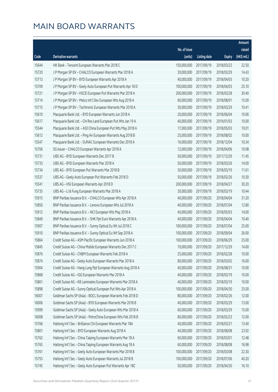|       |                                                               |              |                       |               | Amount      |
|-------|---------------------------------------------------------------|--------------|-----------------------|---------------|-------------|
|       |                                                               | No. of issue |                       |               | raised      |
| Code  | Derivative warrants                                           | (units)      | <b>Listing date</b>   | <b>Expiry</b> | (HK\$ mil.) |
| 15644 | HK Bank - Tencent European Warrants Mar 2018 C                | 150,000,000  | 2017/09/19            | 2018/03/22    | 22.50       |
| 15720 | J P Morgan SP BV - CHALCO European Warrants Mar 2018 A        | 30,000,000   | 2017/09/19            | 2018/03/29    | 14.43       |
| 15713 | J P Morgan SP BV - BYD European Warrants Apr 2018 A           | 40,000,000   | 2017/09/19            | 2018/04/03    | 10.20       |
| 15709 | J P Morgan SP BV - Geely Auto European Put Warrants Apr 18 D  | 100,000,000  | 2017/09/19            | 2018/04/03    | 25.10       |
| 15721 | J P Morgan SP BV - HSCEI European Put Warrants Mar 2018 A     | 200,000,000  | 2017/09/19            | 2018/03/28    | 30.40       |
| 15714 | J P Morgan SP BV - Melco Int'l Dev European Wts Aug 2018 A    | 60,000,000   | 2017/09/19            | 2018/08/01    | 15.00       |
| 15715 | J P Morgan SP BV - Techtronic European Warrants Mar 2018 A    | 30,000,000   | 2017/09/19            | 2018/03/29    | 10.41       |
| 15610 | Macquarie Bank Ltd. - BYD European Warrants Jun 2018 A        | 20,000,000   | 2017/09/19            | 2018/06/04    | 10.06       |
| 15617 | Macquarie Bank Ltd. - Chi Res Land European Put Wts Jan 19 A  | 40,000,000   | 2017/09/19            | 2019/01/03    | 10.00       |
| 15544 | Macquarie Bank Ltd. - A50 China European Put Wts May 2018 A   | 17,000,000   | 2017/09/19            | 2018/05/03    | 10.01       |
| 15612 | Macquarie Bank Ltd. - Ping An European Warrants Aug 2018 B    | 25,000,000   | 2017/09/19            | 2018/08/02    | 10.00       |
| 15547 | Macquarie Bank Ltd. - SUNAC European Warrants Dec 2018 A      | 16,000,000   | 2017/09/19            | 2018/12/04    | 10.34       |
| 15706 | SG Issuer - CHALCO European Warrants Apr 2018 A               | 12,000,000   | 2017/09/19            | 2018/04/06    | 10.08       |
| 15731 | UBS AG - BYD European Warrants Dec 2017 B                     | 50,000,000   | 2017/09/19            | 2017/12/29    | 11.45       |
| 15733 | UBS AG - BYD European Warrants Mar 2018 A                     | 50,000,000   | 2017/09/19            | 2018/03/26    | 14.00       |
| 15734 | UBS AG - BYD European Put Warrants Mar 2018 B                 | 30,000,000   | 2017/09/19            | 2018/03/19    | 11.61       |
| 15537 | UBS AG - Geely Auto European Put Warrants Feb 2018 D          | 50,000,000   | 2017/09/19            | 2018/02/26    | 10.30       |
| 15541 | UBS AG - HSI European Warrants Apr 2018 D                     | 200,000,000  | 2017/09/19            | 2018/04/27    | 30.20       |
| 15735 | UBS AG - Li & Fung European Warrants Mar 2018 A               | 30,000,000   | 2017/09/19            | 2018/03/19    | 10.44       |
| 15915 | BNP Paribas Issuance B.V. - CHALCO European Wts Apr 2018 A    | 40,000,000   | 2017/09/20            | 2018/04/04    | 31.20       |
| 15850 | BNP Paribas Issuance B.V. - Lenovo European Wts Jul 2018 A    | 40,000,000   | 2017/09/20            | 2018/07/04    | 12.80       |
| 15912 | BNP Paribas Issuance B.V. - NCI European Wts May 2018 A       | 40,000,000   | 2017/09/20            | 2018/05/03    | 14.00       |
| 15849 | BNP Paribas Issuance B.V. - SHK Ppt Euro Warrants Apr 2018 A  | 40,000,000   | 2017/09/20            | 2018/04/04    | 10.40       |
| 15907 | BNP Paribas Issuance B.V. - Sunny Optical Eu Wt Jul 2018 C    | 100,000,000  | 2017/09/20            | 2018/07/04    | 25.00       |
| 15910 | BNP Paribas Issuance B.V. - Sunny Optical Eu Wt Sep 2018 A    | 100,000,000  | 2017/09/20            | 2018/09/04    | 26.00       |
| 15864 | Credit Suisse AG - ASM Pacific European Warrants Jun 2018 A   | 100,000,000  | 2017/09/20            | 2018/06/29    | 25.00       |
| 15845 | Credit Suisse AG - China Mobile European Warrants Dec 2017 C  |              | 70,000,000 2017/09/20 | 2017/12/29    | 14.00       |
| 15876 | Credit Suisse AG - CNBM European Warrants Feb 2018 A          | 25,000,000   | 2017/09/20            | 2018/02/28    | 10.00       |
| 15874 | Credit Suisse AG - Geely Auto European Warrants Mar 2018 A    | 80,000,000   | 2017/09/20            | 2018/03/02    | 16.00       |
| 15904 | Credit Suisse AG - Hang Lung Ppt European Warrants Aug 2018 A | 40,000,000   | 2017/09/20            | 2018/08/31    | 10.00       |
| 15868 | Credit Suisse AG - IGG European Warrants Mar 2018 A           | 40,000,000   | 2017/09/20            | 2018/03/19    | 10.00       |
| 15861 | Credit Suisse AG - KB Laminates European Warrants Mar 2018 A  | 40,000,000   | 2017/09/20            | 2018/03/19    | 10.00       |
| 15898 | Credit Suisse AG - Sunny Optical European Put Wts Apr 2018 A  | 100,000,000  | 2017/09/20            | 2018/04/30    | 25.00       |
| 16007 | Goldman Sachs SP (Asia) - BOCL European Warrants Feb 2018 D   | 80,000,000   | 2017/09/20            | 2018/02/26    | 12.00       |
| 16006 | Goldman Sachs SP (Asia) - BYD European Warrants Mar 2018 B    | 40,000,000   | 2017/09/20            | 2018/03/29    | 13.00       |
| 15999 | Goldman Sachs SP (Asia) - Geely Auto European Wts Mar 2018 A  | 60,000,000   | 2017/09/20            | 2018/03/29    | 15.00       |
| 16008 | Goldman Sachs SP (Asia) - PetroChina European Wts Feb 2018 B  | 80,000,000   | 2017/09/20            | 2018/02/23    | 12.00       |
| 15766 | Haitong Int'l Sec - Brilliance Chi European Warrants Mar 18A  | 40,000,000   | 2017/09/20            | 2018/03/21    | 13.40       |
| 15801 | Haitong Int'l Sec - BYD European Warrants Aug 2018 A          | 40,000,000   | 2017/09/20            | 2018/08/08    | 23.92       |
| 15762 | Haitong Int'l Sec - China Taiping European Warrants Mar 18 A  | 60,000,000   | 2017/09/20            | 2018/03/01    | 12.48       |
| 15765 | Haitong Int'l Sec - China Taiping European Warrants Aug 18 A  | 60,000,000   | 2017/09/20            | 2018/08/08    | 16.98       |
| 15761 | Haitong Int'l Sec - Geely Auto European Warrants Mar 2018 B   | 100,000,000  | 2017/09/20            | 2018/03/08    | 22.30       |
| 15755 | Haitong Int'l Sec - Geely Auto European Warrants Jul 2018 B   | 100,000,000  | 2017/09/20            | 2018/07/06    | 40.20       |
| 15745 | Haitong Int'l Sec - Geely Auto European Put Warrants Apr 18C  | 50,000,000   | 2017/09/20            | 2018/04/30    | 16.10       |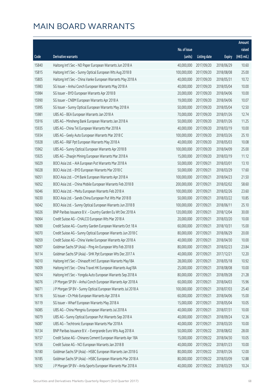|       |                                                               |              |                       |               | Amount      |
|-------|---------------------------------------------------------------|--------------|-----------------------|---------------|-------------|
|       |                                                               | No. of issue |                       |               | raised      |
| Code  | <b>Derivative warrants</b>                                    | (units)      | <b>Listing date</b>   | <b>Expiry</b> | (HK\$ mil.) |
| 15840 | Haitong Int'l Sec - ND Paper European Warrants Jun 2018 A     | 40,000,000   | 2017/09/20            | 2018/06/29    | 10.60       |
| 15815 | Haitong Int'l Sec - Sunny Optical European Wts Aug 2018 B     | 100,000,000  | 2017/09/20            | 2018/08/08    | 25.00       |
| 15805 | Haitong Int'l Sec - China Vanke European Warrants May 2018 A  | 40,000,000   | 2017/09/20            | 2018/05/31    | 10.72       |
| 15983 | SG Issuer - Anhui Conch European Warrants May 2018 A          | 40,000,000   | 2017/09/20            | 2018/05/04    | 10.00       |
| 15984 | SG Issuer - BYD European Warrants Apr 2018 B                  | 20,000,000   | 2017/09/20            | 2018/04/06    | 10.00       |
| 15990 | SG Issuer - CNBM European Warrants Apr 2018 A                 | 19,000,000   | 2017/09/20            | 2018/04/06    | 10.07       |
| 15995 | SG Issuer - Sunny Optical European Warrants May 2018 A        | 50,000,000   | 2017/09/20            | 2018/05/04    | 12.50       |
| 15981 | UBS AG - BEA European Warrants Jan 2018 A                     | 70,000,000   | 2017/09/20            | 2018/01/26    | 12.74       |
| 15916 | UBS AG - Minsheng Bank European Warrants Jan 2018 A           | 50,000,000   | 2017/09/20            | 2018/01/26    | 11.25       |
| 15935 | UBS AG - China Tel European Warrants Mar 2018 A               | 40,000,000   | 2017/09/20            | 2018/03/19    | 10.00       |
| 15934 | UBS AG - Geely Auto European Warrants Mar 2018 C              | 100,000,000  | 2017/09/20            | 2018/03/26    | 25.10       |
| 15928 | UBS AG - R&F Ppt European Warrants May 2018 A                 | 40,000,000   | 2017/09/20            | 2018/05/03    | 10.08       |
| 15962 | UBS AG - Sunny Optical European Warrants Apr 2018 B           | 100,000,000  | 2017/09/20            | 2018/04/09    | 25.00       |
| 15925 | UBS AG - Zhaojin Mining European Warrants Mar 2018 A          | 15,000,000   | 2017/09/20            | 2018/03/19    | 11.12       |
| 16029 | BOCI Asia Ltd. - AIA European Put Warrants Mar 2018 A         | 50,000,000   | 2017/09/21            | 2018/03/01    | 13.10       |
| 16028 | BOCI Asia Ltd. - BYD European Warrants Mar 2018 C             | 50,000,000   | 2017/09/21            | 2018/03/29    | 17.60       |
| 16051 | BOCI Asia Ltd. - CM Bank European Warrants Apr 2018 A         | 100,000,000  | 2017/09/21            | 2018/04/23    | 21.50       |
| 16052 | BOCI Asia Ltd. - China Mobile European Warrants Feb 2018 B    | 200,000,000  | 2017/09/21            | 2018/02/02    | 58.60       |
| 16046 | BOCI Asia Ltd. - Meitu European Warrants Feb 2018 A           | 100,000,000  | 2017/09/21            | 2018/02/26    | 23.60       |
| 16030 | BOCI Asia Ltd. - Sands China European Put Wts Mar 2018 B      | 50,000,000   | 2017/09/21            | 2018/03/22    | 10.85       |
| 16042 | BOCI Asia Ltd. - Sunny Optical European Warrants Jun 2018 B   | 100,000,000  | 2017/09/21            | 2018/06/11    | 25.10       |
| 16026 | BNP Paribas Issuance B.V. - Country Garden Eu Wt Dec 2018 A   | 120,000,000  | 2017/09/21            | 2018/12/04    | 30.00       |
| 16064 | Credit Suisse AG - CHALCO European Wts Mar 2018 A             | 20,000,000   | 2017/09/21            | 2018/03/20    | 10.00       |
| 16090 | Credit Suisse AG - Country Garden European Warrants Oct 18 A  | 60,000,000   | 2017/09/21            | 2018/10/31    | 15.00       |
| 16070 | Credit Suisse AG - Sunny Optical European Warrants Jun 2018 C | 80,000,000   | 2017/09/21            | 2018/06/29    | 20.00       |
| 16059 | Credit Suisse AG - China Vanke European Warrants Apr 2018 A   | 40,000,000   | 2017/09/21            | 2018/04/30    | 10.00       |
| 16097 | Goldman Sachs SP (Asia) - Ping An European Wts Feb 2018 B     |              | 80,000,000 2017/09/21 | 2018/02/23    | 23.84       |
| 16114 | Goldman Sachs SP (Asia) - SHK Ppt European Wts Dec 2017 A     | 40,000,000   | 2017/09/21            | 2017/12/21    | 12.20       |
| 16010 | Haitong Int'l Sec - Chinasoft Int'l European Warrants May18A  | 28,000,000   | 2017/09/21            | 2018/05/18    | 10.92       |
| 16009 | Haitong Int'l Sec - China Travel HK European Warrants Aug18A  | 25,000,000   | 2017/09/21            | 2018/08/08    | 10.00       |
| 16014 | Haitong Int'l Sec - Yongda Auto European Warrants Sep 2018 A  | 80,000,000   | 2017/09/21            | 2018/09/28    | 21.28       |
| 16076 | J P Morgan SP BV - Anhui Conch European Warrants Apr 2018 A   | 60,000,000   | 2017/09/21            | 2018/04/03    | 15.96       |
| 16071 | J P Morgan SP BV - Sunny Optical European Warrants Jul 2018 A | 100,000,000  | 2017/09/21            | 2018/07/03    | 25.40       |
| 16116 | SG Issuer - Ch Mob European Warrants Apr 2018 A               | 60,000,000   | 2017/09/21            | 2018/04/06    | 15.00       |
| 16119 | SG Issuer - Wharf European Warrants May 2018 A                | 15,000,000   | 2017/09/21            | 2018/05/04    | 10.05       |
| 16085 | UBS AG - China Mengniu European Warrants Jul 2018 A           | 40,000,000   | 2017/09/21            | 2018/07/31    | 10.00       |
| 16079 | UBS AG - Sunny Optical European Put Warrants Sep 2018 A       | 40,000,000   | 2017/09/21            | 2018/09/24    | 12.36       |
| 16087 | UBS AG - Techtronic European Warrants Mar 2018 A              | 40,000,000   | 2017/09/21            | 2018/03/20    | 10.00       |
| 16134 | BNP Paribas Issuance B.V. - Evergrande Euro Wts Aug 2018 A    | 50,000,000   | 2017/09/22            | 2018/08/02    | 28.00       |
| 16157 | Credit Suisse AG - Chinares Cement European Warrants Apr 18A  | 15,000,000   | 2017/09/22            | 2018/04/30    | 10.05       |
| 16156 | Credit Suisse AG - NCI European Warrants Jan 2018 B           | 40,000,000   | 2017/09/22            | 2018/01/23    | 10.00       |
| 16180 | Goldman Sachs SP (Asia) - HSBC European Warrants Jan 2018 G   | 80,000,000   | 2017/09/22            | 2018/01/26    | 12.00       |
| 16185 | Goldman Sachs SP (Asia) - HSBC European Warrants Mar 2018 A   | 80,000,000   | 2017/09/22            | 2018/03/09    | 12.88       |
| 16192 | J P Morgan SP BV - Anta Sports European Warrants Mar 2018 A   | 40,000,000   | 2017/09/22            | 2018/03/29    | 10.24       |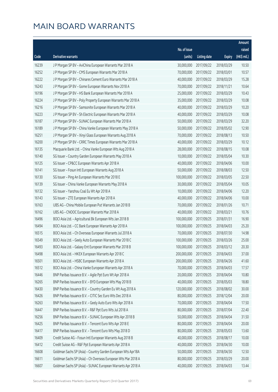| No. of issue<br>raised<br>(HK\$ mil.)<br>(units)<br>Code<br>Derivative warrants<br><b>Listing date</b><br><b>Expiry</b><br>30,000,000<br>10.50<br>16239<br>J P Morgan SP BV - AviChina European Warrants Mar 2018 A<br>2017/09/22<br>2018/03/29<br>70,000,000<br>10.57<br>16252<br>J P Morgan SP BV - CMS European Warrants Mar 2018 A<br>2017/09/22<br>2018/03/01<br>16222<br>40,000,000<br>15.28<br>J P Morgan SP BV - Chinares Cement Euro Warrants Mar 2018 A<br>2017/09/22<br>2018/03/29<br>70,000,000<br>2017/09/22<br>10.64<br>16243<br>J P Morgan SP BV - Gome European Warrants Nov 2018 A<br>2018/11/21<br>16196<br>25,000,000<br>10.43<br>J P Morgan SP BV - HS Bank European Warrants Mar 2018 A<br>2017/09/22<br>2018/03/29<br>16224<br>J P Morgan SP BV - Poly Property European Warrants Mar 2018 A<br>35,000,000<br>2017/09/22<br>2018/03/29<br>10.08<br>16216<br>40,000,000<br>10.20<br>J P Morgan SP BV - Samsonite European Warrants Mar 2018 A<br>2017/09/22<br>2018/03/29<br>40,000,000<br>2017/09/22<br>10.08<br>16223<br>J P Morgan SP BV - Sh Electric European Warrants Mar 2018 A<br>2018/03/29<br>16187<br>50,000,000<br>32.20<br>J P Morgan SP BV - SUNAC European Warrants Mar 2018 A<br>2017/09/22<br>2018/03/29<br>12.90<br>16189<br>J P Morgan SP BV - China Vanke European Warrants May 2018 A<br>50,000,000<br>2017/09/22<br>2018/05/02<br>16251<br>70,000,000<br>10.50<br>J P Morgan SP BV - Xinyi Glass European Warrants Aug 2018 A<br>2017/09/22<br>2018/08/13<br>40,000,000<br>10.12<br>16200<br>J P Morgan SP BV - CRRC Times European Warrants Mar 2018 A<br>2017/09/22<br>2018/03/29<br>16135<br>28,000,000<br>10.08<br>Macquarie Bank Ltd. - China Vanke European Wts Aug 2018 A<br>2017/09/22<br>2018/08/15<br>10.30<br>16140<br>SG Issuer - Country Garden European Warrants May 2018 A<br>10,000,000<br>2017/09/22<br>2018/05/04<br>16125<br>40,000,000<br>10.00<br>SG Issuer - CP&CC European Warrants Apr 2018 A<br>2017/09/22<br>2018/04/06<br>SG Issuer - Fosun Intl European Warrants Aug 2018 A<br>50,000,000<br>2017/09/22<br>2018/08/03<br>12.50<br>16141<br>16130<br>SG Issuer - Ping An European Warrants Mar 2018 E<br>100,000,000<br>22.50<br>2017/09/22<br>2018/03/05<br>16139<br>30,000,000<br>10.05<br>SG Issuer - China Vanke European Warrants May 2018 A<br>2017/09/22<br>2018/05/04<br>16132<br>10,000,000<br>12.20<br>SG Issuer - Yanzhou Coal Eu Wt Apr 2018 A<br>2017/09/22<br>2018/04/06<br>40,000,000<br>10.00<br>16143<br>SG Issuer - ZTE European Warrants Apr 2018 A<br>2017/09/22<br>2018/04/06<br>16163<br>70,000,000<br>10.71<br>UBS AG - China Mobile European Put Warrants Jan 2018 B<br>2018/01/26<br>2017/09/22<br>40,000,000<br>10.76<br>16162<br>UBS AG - CNOOC European Warrants Mar 2018 A<br>2017/09/22<br>2018/03/21<br>16496<br>100,000,000<br>16.90<br>BOCI Asia Ltd. - Agricultural Bk European Wts Jan 2018 B<br>2017/09/25<br>2018/01/31<br>100,000,000<br>16494<br>BOCI Asia Ltd. - CC Bank European Warrants Apr 2018 A<br>2017/09/25<br>2018/04/03<br>25.20<br>16515<br>70,000,000<br>14.98<br>BOCI Asia Ltd. - Ch Overseas European Warrants Jul 2018 A<br>2017/09/25<br>2018/07/30<br>100,000,000<br>25.00<br>16549<br>BOCI Asia Ltd. - Geely Auto European Warrants Mar 2018 C<br>2017/09/25<br>2018/03/26<br>16493<br>100,000,000 2017/09/25<br>2018/03/12<br>20.30<br>BOCI Asia Ltd. - Galaxy Ent European Warrants Mar 2018 B<br>16498<br>BOCI Asia Ltd. - HKEX European Warrants Apr 2018 C<br>200,000,000<br>2017/09/25<br>2018/04/03<br>37.00<br>16501<br>200,000,000<br>41.60<br>BOCI Asia Ltd. - HSBC European Warrants Apr 2018 A<br>2017/09/25<br>2018/04/26<br>70,000,000<br>2018/04/03<br>16512<br>BOCI Asia Ltd. - China Vanke European Warrants Apr 2018 A<br>2017/09/25<br>17.57<br>16446<br>BNP Paribas Issuance B.V. - Agile Ppt Euro Wt Apr 2018 A<br>20,000,000<br>10.80<br>2017/09/25<br>2018/04/04<br>BNP Paribas Issuance B.V. - BYD European Wts May 2018 B<br>40,000,000<br>18.80<br>16265<br>2017/09/25<br>2018/05/03<br>16430<br>BNP Paribas Issuance B.V. - Country Garden Eu Wt Aug 2018 A<br>120,000,000<br>30.00<br>2017/09/25<br>2018/08/02<br>16426<br>BNP Paribas Issuance B.V. - CITIC Sec Euro Wts Dec 2018 A<br>80,000,000<br>2017/09/25<br>20.00<br>2018/12/04<br>16263<br>BNP Paribas Issuance B.V. - Geely Auto Euro Wts Apr 2018 A<br>70,000,000<br>17.50<br>2017/09/25<br>2018/04/04<br>80,000,000<br>22.40<br>16447<br>BNP Paribas Issuance B.V. - R&F Ppt Euro Wts Jul 2018 A<br>2017/09/25<br>2018/07/04<br>BNP Paribas Issuance B.V. - SUNAC European Wts Apr 2018 B<br>50,000,000<br>31.50<br>16256<br>2017/09/25<br>2018/04/04<br>BNP Paribas Issuance B.V. - Tencent Euro Wts Apr 2018 E<br>80,000,000<br>20.00<br>16425<br>2017/09/25<br>2018/04/04<br>16417<br>BNP Paribas Issuance B.V. - Tencent Euro Wts May 2018 D<br>80,000,000<br>13.60<br>2017/09/25<br>2018/05/03<br>16409<br>Credit Suisse AG - Fosun Intl European Warrants Aug 2018 B<br>40,000,000<br>2017/09/25<br>2018/08/17<br>10.00<br>16412<br>Credit Suisse AG - R&F Ppt European Warrants Apr 2018 A<br>40,000,000<br>10.00<br>2017/09/25<br>2018/04/30<br>16608<br>Goldman Sachs SP (Asia) - Country Garden European Wts Apr18A<br>50,000,000<br>12.50<br>2017/09/25<br>2018/04/30<br>16611<br>Goldman Sachs SP (Asia) - Ch Overseas European Wts Mar 2018 A<br>80,000,000<br>20.00<br>2017/09/25<br>2018/03/29 |  |  | Amount |
|----------------------------------------------------------------------------------------------------------------------------------------------------------------------------------------------------------------------------------------------------------------------------------------------------------------------------------------------------------------------------------------------------------------------------------------------------------------------------------------------------------------------------------------------------------------------------------------------------------------------------------------------------------------------------------------------------------------------------------------------------------------------------------------------------------------------------------------------------------------------------------------------------------------------------------------------------------------------------------------------------------------------------------------------------------------------------------------------------------------------------------------------------------------------------------------------------------------------------------------------------------------------------------------------------------------------------------------------------------------------------------------------------------------------------------------------------------------------------------------------------------------------------------------------------------------------------------------------------------------------------------------------------------------------------------------------------------------------------------------------------------------------------------------------------------------------------------------------------------------------------------------------------------------------------------------------------------------------------------------------------------------------------------------------------------------------------------------------------------------------------------------------------------------------------------------------------------------------------------------------------------------------------------------------------------------------------------------------------------------------------------------------------------------------------------------------------------------------------------------------------------------------------------------------------------------------------------------------------------------------------------------------------------------------------------------------------------------------------------------------------------------------------------------------------------------------------------------------------------------------------------------------------------------------------------------------------------------------------------------------------------------------------------------------------------------------------------------------------------------------------------------------------------------------------------------------------------------------------------------------------------------------------------------------------------------------------------------------------------------------------------------------------------------------------------------------------------------------------------------------------------------------------------------------------------------------------------------------------------------------------------------------------------------------------------------------------------------------------------------------------------------------------------------------------------------------------------------------------------------------------------------------------------------------------------------------------------------------------------------------------------------------------------------------------------------------------------------------------------------------------------------------------------------------------------------------------------------------------------------------------------------------------------------------------------------------------------------------------------------------------------------------------------------------------------------------------------------------------------------------------------------------------------------------------------------------------------------------------------------------------------------------------------------------------------------------------------------------------------------------------------------------------------------------------------------------------------------------------------------------------------------------------------------------------------------------------------------------------------------------------------------------------------------------------------------------------------------------------------------------------------------------------------------------------------------------------------------------------------------------------------------------------------------------------------------------------------------------------------------------------------------------------------------------------------------|--|--|--------|
|                                                                                                                                                                                                                                                                                                                                                                                                                                                                                                                                                                                                                                                                                                                                                                                                                                                                                                                                                                                                                                                                                                                                                                                                                                                                                                                                                                                                                                                                                                                                                                                                                                                                                                                                                                                                                                                                                                                                                                                                                                                                                                                                                                                                                                                                                                                                                                                                                                                                                                                                                                                                                                                                                                                                                                                                                                                                                                                                                                                                                                                                                                                                                                                                                                                                                                                                                                                                                                                                                                                                                                                                                                                                                                                                                                                                                                                                                                                                                                                                                                                                                                                                                                                                                                                                                                                                                                                                                                                                                                                                                                                                                                                                                                                                                                                                                                                                                                                                                                                                                                                                                                                                                                                                                                                                                                                                                                                                                                        |  |  |        |
|                                                                                                                                                                                                                                                                                                                                                                                                                                                                                                                                                                                                                                                                                                                                                                                                                                                                                                                                                                                                                                                                                                                                                                                                                                                                                                                                                                                                                                                                                                                                                                                                                                                                                                                                                                                                                                                                                                                                                                                                                                                                                                                                                                                                                                                                                                                                                                                                                                                                                                                                                                                                                                                                                                                                                                                                                                                                                                                                                                                                                                                                                                                                                                                                                                                                                                                                                                                                                                                                                                                                                                                                                                                                                                                                                                                                                                                                                                                                                                                                                                                                                                                                                                                                                                                                                                                                                                                                                                                                                                                                                                                                                                                                                                                                                                                                                                                                                                                                                                                                                                                                                                                                                                                                                                                                                                                                                                                                                                        |  |  |        |
|                                                                                                                                                                                                                                                                                                                                                                                                                                                                                                                                                                                                                                                                                                                                                                                                                                                                                                                                                                                                                                                                                                                                                                                                                                                                                                                                                                                                                                                                                                                                                                                                                                                                                                                                                                                                                                                                                                                                                                                                                                                                                                                                                                                                                                                                                                                                                                                                                                                                                                                                                                                                                                                                                                                                                                                                                                                                                                                                                                                                                                                                                                                                                                                                                                                                                                                                                                                                                                                                                                                                                                                                                                                                                                                                                                                                                                                                                                                                                                                                                                                                                                                                                                                                                                                                                                                                                                                                                                                                                                                                                                                                                                                                                                                                                                                                                                                                                                                                                                                                                                                                                                                                                                                                                                                                                                                                                                                                                                        |  |  |        |
|                                                                                                                                                                                                                                                                                                                                                                                                                                                                                                                                                                                                                                                                                                                                                                                                                                                                                                                                                                                                                                                                                                                                                                                                                                                                                                                                                                                                                                                                                                                                                                                                                                                                                                                                                                                                                                                                                                                                                                                                                                                                                                                                                                                                                                                                                                                                                                                                                                                                                                                                                                                                                                                                                                                                                                                                                                                                                                                                                                                                                                                                                                                                                                                                                                                                                                                                                                                                                                                                                                                                                                                                                                                                                                                                                                                                                                                                                                                                                                                                                                                                                                                                                                                                                                                                                                                                                                                                                                                                                                                                                                                                                                                                                                                                                                                                                                                                                                                                                                                                                                                                                                                                                                                                                                                                                                                                                                                                                                        |  |  |        |
|                                                                                                                                                                                                                                                                                                                                                                                                                                                                                                                                                                                                                                                                                                                                                                                                                                                                                                                                                                                                                                                                                                                                                                                                                                                                                                                                                                                                                                                                                                                                                                                                                                                                                                                                                                                                                                                                                                                                                                                                                                                                                                                                                                                                                                                                                                                                                                                                                                                                                                                                                                                                                                                                                                                                                                                                                                                                                                                                                                                                                                                                                                                                                                                                                                                                                                                                                                                                                                                                                                                                                                                                                                                                                                                                                                                                                                                                                                                                                                                                                                                                                                                                                                                                                                                                                                                                                                                                                                                                                                                                                                                                                                                                                                                                                                                                                                                                                                                                                                                                                                                                                                                                                                                                                                                                                                                                                                                                                                        |  |  |        |
|                                                                                                                                                                                                                                                                                                                                                                                                                                                                                                                                                                                                                                                                                                                                                                                                                                                                                                                                                                                                                                                                                                                                                                                                                                                                                                                                                                                                                                                                                                                                                                                                                                                                                                                                                                                                                                                                                                                                                                                                                                                                                                                                                                                                                                                                                                                                                                                                                                                                                                                                                                                                                                                                                                                                                                                                                                                                                                                                                                                                                                                                                                                                                                                                                                                                                                                                                                                                                                                                                                                                                                                                                                                                                                                                                                                                                                                                                                                                                                                                                                                                                                                                                                                                                                                                                                                                                                                                                                                                                                                                                                                                                                                                                                                                                                                                                                                                                                                                                                                                                                                                                                                                                                                                                                                                                                                                                                                                                                        |  |  |        |
|                                                                                                                                                                                                                                                                                                                                                                                                                                                                                                                                                                                                                                                                                                                                                                                                                                                                                                                                                                                                                                                                                                                                                                                                                                                                                                                                                                                                                                                                                                                                                                                                                                                                                                                                                                                                                                                                                                                                                                                                                                                                                                                                                                                                                                                                                                                                                                                                                                                                                                                                                                                                                                                                                                                                                                                                                                                                                                                                                                                                                                                                                                                                                                                                                                                                                                                                                                                                                                                                                                                                                                                                                                                                                                                                                                                                                                                                                                                                                                                                                                                                                                                                                                                                                                                                                                                                                                                                                                                                                                                                                                                                                                                                                                                                                                                                                                                                                                                                                                                                                                                                                                                                                                                                                                                                                                                                                                                                                                        |  |  |        |
|                                                                                                                                                                                                                                                                                                                                                                                                                                                                                                                                                                                                                                                                                                                                                                                                                                                                                                                                                                                                                                                                                                                                                                                                                                                                                                                                                                                                                                                                                                                                                                                                                                                                                                                                                                                                                                                                                                                                                                                                                                                                                                                                                                                                                                                                                                                                                                                                                                                                                                                                                                                                                                                                                                                                                                                                                                                                                                                                                                                                                                                                                                                                                                                                                                                                                                                                                                                                                                                                                                                                                                                                                                                                                                                                                                                                                                                                                                                                                                                                                                                                                                                                                                                                                                                                                                                                                                                                                                                                                                                                                                                                                                                                                                                                                                                                                                                                                                                                                                                                                                                                                                                                                                                                                                                                                                                                                                                                                                        |  |  |        |
|                                                                                                                                                                                                                                                                                                                                                                                                                                                                                                                                                                                                                                                                                                                                                                                                                                                                                                                                                                                                                                                                                                                                                                                                                                                                                                                                                                                                                                                                                                                                                                                                                                                                                                                                                                                                                                                                                                                                                                                                                                                                                                                                                                                                                                                                                                                                                                                                                                                                                                                                                                                                                                                                                                                                                                                                                                                                                                                                                                                                                                                                                                                                                                                                                                                                                                                                                                                                                                                                                                                                                                                                                                                                                                                                                                                                                                                                                                                                                                                                                                                                                                                                                                                                                                                                                                                                                                                                                                                                                                                                                                                                                                                                                                                                                                                                                                                                                                                                                                                                                                                                                                                                                                                                                                                                                                                                                                                                                                        |  |  |        |
|                                                                                                                                                                                                                                                                                                                                                                                                                                                                                                                                                                                                                                                                                                                                                                                                                                                                                                                                                                                                                                                                                                                                                                                                                                                                                                                                                                                                                                                                                                                                                                                                                                                                                                                                                                                                                                                                                                                                                                                                                                                                                                                                                                                                                                                                                                                                                                                                                                                                                                                                                                                                                                                                                                                                                                                                                                                                                                                                                                                                                                                                                                                                                                                                                                                                                                                                                                                                                                                                                                                                                                                                                                                                                                                                                                                                                                                                                                                                                                                                                                                                                                                                                                                                                                                                                                                                                                                                                                                                                                                                                                                                                                                                                                                                                                                                                                                                                                                                                                                                                                                                                                                                                                                                                                                                                                                                                                                                                                        |  |  |        |
|                                                                                                                                                                                                                                                                                                                                                                                                                                                                                                                                                                                                                                                                                                                                                                                                                                                                                                                                                                                                                                                                                                                                                                                                                                                                                                                                                                                                                                                                                                                                                                                                                                                                                                                                                                                                                                                                                                                                                                                                                                                                                                                                                                                                                                                                                                                                                                                                                                                                                                                                                                                                                                                                                                                                                                                                                                                                                                                                                                                                                                                                                                                                                                                                                                                                                                                                                                                                                                                                                                                                                                                                                                                                                                                                                                                                                                                                                                                                                                                                                                                                                                                                                                                                                                                                                                                                                                                                                                                                                                                                                                                                                                                                                                                                                                                                                                                                                                                                                                                                                                                                                                                                                                                                                                                                                                                                                                                                                                        |  |  |        |
|                                                                                                                                                                                                                                                                                                                                                                                                                                                                                                                                                                                                                                                                                                                                                                                                                                                                                                                                                                                                                                                                                                                                                                                                                                                                                                                                                                                                                                                                                                                                                                                                                                                                                                                                                                                                                                                                                                                                                                                                                                                                                                                                                                                                                                                                                                                                                                                                                                                                                                                                                                                                                                                                                                                                                                                                                                                                                                                                                                                                                                                                                                                                                                                                                                                                                                                                                                                                                                                                                                                                                                                                                                                                                                                                                                                                                                                                                                                                                                                                                                                                                                                                                                                                                                                                                                                                                                                                                                                                                                                                                                                                                                                                                                                                                                                                                                                                                                                                                                                                                                                                                                                                                                                                                                                                                                                                                                                                                                        |  |  |        |
|                                                                                                                                                                                                                                                                                                                                                                                                                                                                                                                                                                                                                                                                                                                                                                                                                                                                                                                                                                                                                                                                                                                                                                                                                                                                                                                                                                                                                                                                                                                                                                                                                                                                                                                                                                                                                                                                                                                                                                                                                                                                                                                                                                                                                                                                                                                                                                                                                                                                                                                                                                                                                                                                                                                                                                                                                                                                                                                                                                                                                                                                                                                                                                                                                                                                                                                                                                                                                                                                                                                                                                                                                                                                                                                                                                                                                                                                                                                                                                                                                                                                                                                                                                                                                                                                                                                                                                                                                                                                                                                                                                                                                                                                                                                                                                                                                                                                                                                                                                                                                                                                                                                                                                                                                                                                                                                                                                                                                                        |  |  |        |
|                                                                                                                                                                                                                                                                                                                                                                                                                                                                                                                                                                                                                                                                                                                                                                                                                                                                                                                                                                                                                                                                                                                                                                                                                                                                                                                                                                                                                                                                                                                                                                                                                                                                                                                                                                                                                                                                                                                                                                                                                                                                                                                                                                                                                                                                                                                                                                                                                                                                                                                                                                                                                                                                                                                                                                                                                                                                                                                                                                                                                                                                                                                                                                                                                                                                                                                                                                                                                                                                                                                                                                                                                                                                                                                                                                                                                                                                                                                                                                                                                                                                                                                                                                                                                                                                                                                                                                                                                                                                                                                                                                                                                                                                                                                                                                                                                                                                                                                                                                                                                                                                                                                                                                                                                                                                                                                                                                                                                                        |  |  |        |
|                                                                                                                                                                                                                                                                                                                                                                                                                                                                                                                                                                                                                                                                                                                                                                                                                                                                                                                                                                                                                                                                                                                                                                                                                                                                                                                                                                                                                                                                                                                                                                                                                                                                                                                                                                                                                                                                                                                                                                                                                                                                                                                                                                                                                                                                                                                                                                                                                                                                                                                                                                                                                                                                                                                                                                                                                                                                                                                                                                                                                                                                                                                                                                                                                                                                                                                                                                                                                                                                                                                                                                                                                                                                                                                                                                                                                                                                                                                                                                                                                                                                                                                                                                                                                                                                                                                                                                                                                                                                                                                                                                                                                                                                                                                                                                                                                                                                                                                                                                                                                                                                                                                                                                                                                                                                                                                                                                                                                                        |  |  |        |
|                                                                                                                                                                                                                                                                                                                                                                                                                                                                                                                                                                                                                                                                                                                                                                                                                                                                                                                                                                                                                                                                                                                                                                                                                                                                                                                                                                                                                                                                                                                                                                                                                                                                                                                                                                                                                                                                                                                                                                                                                                                                                                                                                                                                                                                                                                                                                                                                                                                                                                                                                                                                                                                                                                                                                                                                                                                                                                                                                                                                                                                                                                                                                                                                                                                                                                                                                                                                                                                                                                                                                                                                                                                                                                                                                                                                                                                                                                                                                                                                                                                                                                                                                                                                                                                                                                                                                                                                                                                                                                                                                                                                                                                                                                                                                                                                                                                                                                                                                                                                                                                                                                                                                                                                                                                                                                                                                                                                                                        |  |  |        |
|                                                                                                                                                                                                                                                                                                                                                                                                                                                                                                                                                                                                                                                                                                                                                                                                                                                                                                                                                                                                                                                                                                                                                                                                                                                                                                                                                                                                                                                                                                                                                                                                                                                                                                                                                                                                                                                                                                                                                                                                                                                                                                                                                                                                                                                                                                                                                                                                                                                                                                                                                                                                                                                                                                                                                                                                                                                                                                                                                                                                                                                                                                                                                                                                                                                                                                                                                                                                                                                                                                                                                                                                                                                                                                                                                                                                                                                                                                                                                                                                                                                                                                                                                                                                                                                                                                                                                                                                                                                                                                                                                                                                                                                                                                                                                                                                                                                                                                                                                                                                                                                                                                                                                                                                                                                                                                                                                                                                                                        |  |  |        |
|                                                                                                                                                                                                                                                                                                                                                                                                                                                                                                                                                                                                                                                                                                                                                                                                                                                                                                                                                                                                                                                                                                                                                                                                                                                                                                                                                                                                                                                                                                                                                                                                                                                                                                                                                                                                                                                                                                                                                                                                                                                                                                                                                                                                                                                                                                                                                                                                                                                                                                                                                                                                                                                                                                                                                                                                                                                                                                                                                                                                                                                                                                                                                                                                                                                                                                                                                                                                                                                                                                                                                                                                                                                                                                                                                                                                                                                                                                                                                                                                                                                                                                                                                                                                                                                                                                                                                                                                                                                                                                                                                                                                                                                                                                                                                                                                                                                                                                                                                                                                                                                                                                                                                                                                                                                                                                                                                                                                                                        |  |  |        |
|                                                                                                                                                                                                                                                                                                                                                                                                                                                                                                                                                                                                                                                                                                                                                                                                                                                                                                                                                                                                                                                                                                                                                                                                                                                                                                                                                                                                                                                                                                                                                                                                                                                                                                                                                                                                                                                                                                                                                                                                                                                                                                                                                                                                                                                                                                                                                                                                                                                                                                                                                                                                                                                                                                                                                                                                                                                                                                                                                                                                                                                                                                                                                                                                                                                                                                                                                                                                                                                                                                                                                                                                                                                                                                                                                                                                                                                                                                                                                                                                                                                                                                                                                                                                                                                                                                                                                                                                                                                                                                                                                                                                                                                                                                                                                                                                                                                                                                                                                                                                                                                                                                                                                                                                                                                                                                                                                                                                                                        |  |  |        |
|                                                                                                                                                                                                                                                                                                                                                                                                                                                                                                                                                                                                                                                                                                                                                                                                                                                                                                                                                                                                                                                                                                                                                                                                                                                                                                                                                                                                                                                                                                                                                                                                                                                                                                                                                                                                                                                                                                                                                                                                                                                                                                                                                                                                                                                                                                                                                                                                                                                                                                                                                                                                                                                                                                                                                                                                                                                                                                                                                                                                                                                                                                                                                                                                                                                                                                                                                                                                                                                                                                                                                                                                                                                                                                                                                                                                                                                                                                                                                                                                                                                                                                                                                                                                                                                                                                                                                                                                                                                                                                                                                                                                                                                                                                                                                                                                                                                                                                                                                                                                                                                                                                                                                                                                                                                                                                                                                                                                                                        |  |  |        |
|                                                                                                                                                                                                                                                                                                                                                                                                                                                                                                                                                                                                                                                                                                                                                                                                                                                                                                                                                                                                                                                                                                                                                                                                                                                                                                                                                                                                                                                                                                                                                                                                                                                                                                                                                                                                                                                                                                                                                                                                                                                                                                                                                                                                                                                                                                                                                                                                                                                                                                                                                                                                                                                                                                                                                                                                                                                                                                                                                                                                                                                                                                                                                                                                                                                                                                                                                                                                                                                                                                                                                                                                                                                                                                                                                                                                                                                                                                                                                                                                                                                                                                                                                                                                                                                                                                                                                                                                                                                                                                                                                                                                                                                                                                                                                                                                                                                                                                                                                                                                                                                                                                                                                                                                                                                                                                                                                                                                                                        |  |  |        |
|                                                                                                                                                                                                                                                                                                                                                                                                                                                                                                                                                                                                                                                                                                                                                                                                                                                                                                                                                                                                                                                                                                                                                                                                                                                                                                                                                                                                                                                                                                                                                                                                                                                                                                                                                                                                                                                                                                                                                                                                                                                                                                                                                                                                                                                                                                                                                                                                                                                                                                                                                                                                                                                                                                                                                                                                                                                                                                                                                                                                                                                                                                                                                                                                                                                                                                                                                                                                                                                                                                                                                                                                                                                                                                                                                                                                                                                                                                                                                                                                                                                                                                                                                                                                                                                                                                                                                                                                                                                                                                                                                                                                                                                                                                                                                                                                                                                                                                                                                                                                                                                                                                                                                                                                                                                                                                                                                                                                                                        |  |  |        |
|                                                                                                                                                                                                                                                                                                                                                                                                                                                                                                                                                                                                                                                                                                                                                                                                                                                                                                                                                                                                                                                                                                                                                                                                                                                                                                                                                                                                                                                                                                                                                                                                                                                                                                                                                                                                                                                                                                                                                                                                                                                                                                                                                                                                                                                                                                                                                                                                                                                                                                                                                                                                                                                                                                                                                                                                                                                                                                                                                                                                                                                                                                                                                                                                                                                                                                                                                                                                                                                                                                                                                                                                                                                                                                                                                                                                                                                                                                                                                                                                                                                                                                                                                                                                                                                                                                                                                                                                                                                                                                                                                                                                                                                                                                                                                                                                                                                                                                                                                                                                                                                                                                                                                                                                                                                                                                                                                                                                                                        |  |  |        |
|                                                                                                                                                                                                                                                                                                                                                                                                                                                                                                                                                                                                                                                                                                                                                                                                                                                                                                                                                                                                                                                                                                                                                                                                                                                                                                                                                                                                                                                                                                                                                                                                                                                                                                                                                                                                                                                                                                                                                                                                                                                                                                                                                                                                                                                                                                                                                                                                                                                                                                                                                                                                                                                                                                                                                                                                                                                                                                                                                                                                                                                                                                                                                                                                                                                                                                                                                                                                                                                                                                                                                                                                                                                                                                                                                                                                                                                                                                                                                                                                                                                                                                                                                                                                                                                                                                                                                                                                                                                                                                                                                                                                                                                                                                                                                                                                                                                                                                                                                                                                                                                                                                                                                                                                                                                                                                                                                                                                                                        |  |  |        |
|                                                                                                                                                                                                                                                                                                                                                                                                                                                                                                                                                                                                                                                                                                                                                                                                                                                                                                                                                                                                                                                                                                                                                                                                                                                                                                                                                                                                                                                                                                                                                                                                                                                                                                                                                                                                                                                                                                                                                                                                                                                                                                                                                                                                                                                                                                                                                                                                                                                                                                                                                                                                                                                                                                                                                                                                                                                                                                                                                                                                                                                                                                                                                                                                                                                                                                                                                                                                                                                                                                                                                                                                                                                                                                                                                                                                                                                                                                                                                                                                                                                                                                                                                                                                                                                                                                                                                                                                                                                                                                                                                                                                                                                                                                                                                                                                                                                                                                                                                                                                                                                                                                                                                                                                                                                                                                                                                                                                                                        |  |  |        |
|                                                                                                                                                                                                                                                                                                                                                                                                                                                                                                                                                                                                                                                                                                                                                                                                                                                                                                                                                                                                                                                                                                                                                                                                                                                                                                                                                                                                                                                                                                                                                                                                                                                                                                                                                                                                                                                                                                                                                                                                                                                                                                                                                                                                                                                                                                                                                                                                                                                                                                                                                                                                                                                                                                                                                                                                                                                                                                                                                                                                                                                                                                                                                                                                                                                                                                                                                                                                                                                                                                                                                                                                                                                                                                                                                                                                                                                                                                                                                                                                                                                                                                                                                                                                                                                                                                                                                                                                                                                                                                                                                                                                                                                                                                                                                                                                                                                                                                                                                                                                                                                                                                                                                                                                                                                                                                                                                                                                                                        |  |  |        |
|                                                                                                                                                                                                                                                                                                                                                                                                                                                                                                                                                                                                                                                                                                                                                                                                                                                                                                                                                                                                                                                                                                                                                                                                                                                                                                                                                                                                                                                                                                                                                                                                                                                                                                                                                                                                                                                                                                                                                                                                                                                                                                                                                                                                                                                                                                                                                                                                                                                                                                                                                                                                                                                                                                                                                                                                                                                                                                                                                                                                                                                                                                                                                                                                                                                                                                                                                                                                                                                                                                                                                                                                                                                                                                                                                                                                                                                                                                                                                                                                                                                                                                                                                                                                                                                                                                                                                                                                                                                                                                                                                                                                                                                                                                                                                                                                                                                                                                                                                                                                                                                                                                                                                                                                                                                                                                                                                                                                                                        |  |  |        |
|                                                                                                                                                                                                                                                                                                                                                                                                                                                                                                                                                                                                                                                                                                                                                                                                                                                                                                                                                                                                                                                                                                                                                                                                                                                                                                                                                                                                                                                                                                                                                                                                                                                                                                                                                                                                                                                                                                                                                                                                                                                                                                                                                                                                                                                                                                                                                                                                                                                                                                                                                                                                                                                                                                                                                                                                                                                                                                                                                                                                                                                                                                                                                                                                                                                                                                                                                                                                                                                                                                                                                                                                                                                                                                                                                                                                                                                                                                                                                                                                                                                                                                                                                                                                                                                                                                                                                                                                                                                                                                                                                                                                                                                                                                                                                                                                                                                                                                                                                                                                                                                                                                                                                                                                                                                                                                                                                                                                                                        |  |  |        |
|                                                                                                                                                                                                                                                                                                                                                                                                                                                                                                                                                                                                                                                                                                                                                                                                                                                                                                                                                                                                                                                                                                                                                                                                                                                                                                                                                                                                                                                                                                                                                                                                                                                                                                                                                                                                                                                                                                                                                                                                                                                                                                                                                                                                                                                                                                                                                                                                                                                                                                                                                                                                                                                                                                                                                                                                                                                                                                                                                                                                                                                                                                                                                                                                                                                                                                                                                                                                                                                                                                                                                                                                                                                                                                                                                                                                                                                                                                                                                                                                                                                                                                                                                                                                                                                                                                                                                                                                                                                                                                                                                                                                                                                                                                                                                                                                                                                                                                                                                                                                                                                                                                                                                                                                                                                                                                                                                                                                                                        |  |  |        |
|                                                                                                                                                                                                                                                                                                                                                                                                                                                                                                                                                                                                                                                                                                                                                                                                                                                                                                                                                                                                                                                                                                                                                                                                                                                                                                                                                                                                                                                                                                                                                                                                                                                                                                                                                                                                                                                                                                                                                                                                                                                                                                                                                                                                                                                                                                                                                                                                                                                                                                                                                                                                                                                                                                                                                                                                                                                                                                                                                                                                                                                                                                                                                                                                                                                                                                                                                                                                                                                                                                                                                                                                                                                                                                                                                                                                                                                                                                                                                                                                                                                                                                                                                                                                                                                                                                                                                                                                                                                                                                                                                                                                                                                                                                                                                                                                                                                                                                                                                                                                                                                                                                                                                                                                                                                                                                                                                                                                                                        |  |  |        |
|                                                                                                                                                                                                                                                                                                                                                                                                                                                                                                                                                                                                                                                                                                                                                                                                                                                                                                                                                                                                                                                                                                                                                                                                                                                                                                                                                                                                                                                                                                                                                                                                                                                                                                                                                                                                                                                                                                                                                                                                                                                                                                                                                                                                                                                                                                                                                                                                                                                                                                                                                                                                                                                                                                                                                                                                                                                                                                                                                                                                                                                                                                                                                                                                                                                                                                                                                                                                                                                                                                                                                                                                                                                                                                                                                                                                                                                                                                                                                                                                                                                                                                                                                                                                                                                                                                                                                                                                                                                                                                                                                                                                                                                                                                                                                                                                                                                                                                                                                                                                                                                                                                                                                                                                                                                                                                                                                                                                                                        |  |  |        |
|                                                                                                                                                                                                                                                                                                                                                                                                                                                                                                                                                                                                                                                                                                                                                                                                                                                                                                                                                                                                                                                                                                                                                                                                                                                                                                                                                                                                                                                                                                                                                                                                                                                                                                                                                                                                                                                                                                                                                                                                                                                                                                                                                                                                                                                                                                                                                                                                                                                                                                                                                                                                                                                                                                                                                                                                                                                                                                                                                                                                                                                                                                                                                                                                                                                                                                                                                                                                                                                                                                                                                                                                                                                                                                                                                                                                                                                                                                                                                                                                                                                                                                                                                                                                                                                                                                                                                                                                                                                                                                                                                                                                                                                                                                                                                                                                                                                                                                                                                                                                                                                                                                                                                                                                                                                                                                                                                                                                                                        |  |  |        |
|                                                                                                                                                                                                                                                                                                                                                                                                                                                                                                                                                                                                                                                                                                                                                                                                                                                                                                                                                                                                                                                                                                                                                                                                                                                                                                                                                                                                                                                                                                                                                                                                                                                                                                                                                                                                                                                                                                                                                                                                                                                                                                                                                                                                                                                                                                                                                                                                                                                                                                                                                                                                                                                                                                                                                                                                                                                                                                                                                                                                                                                                                                                                                                                                                                                                                                                                                                                                                                                                                                                                                                                                                                                                                                                                                                                                                                                                                                                                                                                                                                                                                                                                                                                                                                                                                                                                                                                                                                                                                                                                                                                                                                                                                                                                                                                                                                                                                                                                                                                                                                                                                                                                                                                                                                                                                                                                                                                                                                        |  |  |        |
|                                                                                                                                                                                                                                                                                                                                                                                                                                                                                                                                                                                                                                                                                                                                                                                                                                                                                                                                                                                                                                                                                                                                                                                                                                                                                                                                                                                                                                                                                                                                                                                                                                                                                                                                                                                                                                                                                                                                                                                                                                                                                                                                                                                                                                                                                                                                                                                                                                                                                                                                                                                                                                                                                                                                                                                                                                                                                                                                                                                                                                                                                                                                                                                                                                                                                                                                                                                                                                                                                                                                                                                                                                                                                                                                                                                                                                                                                                                                                                                                                                                                                                                                                                                                                                                                                                                                                                                                                                                                                                                                                                                                                                                                                                                                                                                                                                                                                                                                                                                                                                                                                                                                                                                                                                                                                                                                                                                                                                        |  |  |        |
|                                                                                                                                                                                                                                                                                                                                                                                                                                                                                                                                                                                                                                                                                                                                                                                                                                                                                                                                                                                                                                                                                                                                                                                                                                                                                                                                                                                                                                                                                                                                                                                                                                                                                                                                                                                                                                                                                                                                                                                                                                                                                                                                                                                                                                                                                                                                                                                                                                                                                                                                                                                                                                                                                                                                                                                                                                                                                                                                                                                                                                                                                                                                                                                                                                                                                                                                                                                                                                                                                                                                                                                                                                                                                                                                                                                                                                                                                                                                                                                                                                                                                                                                                                                                                                                                                                                                                                                                                                                                                                                                                                                                                                                                                                                                                                                                                                                                                                                                                                                                                                                                                                                                                                                                                                                                                                                                                                                                                                        |  |  |        |
|                                                                                                                                                                                                                                                                                                                                                                                                                                                                                                                                                                                                                                                                                                                                                                                                                                                                                                                                                                                                                                                                                                                                                                                                                                                                                                                                                                                                                                                                                                                                                                                                                                                                                                                                                                                                                                                                                                                                                                                                                                                                                                                                                                                                                                                                                                                                                                                                                                                                                                                                                                                                                                                                                                                                                                                                                                                                                                                                                                                                                                                                                                                                                                                                                                                                                                                                                                                                                                                                                                                                                                                                                                                                                                                                                                                                                                                                                                                                                                                                                                                                                                                                                                                                                                                                                                                                                                                                                                                                                                                                                                                                                                                                                                                                                                                                                                                                                                                                                                                                                                                                                                                                                                                                                                                                                                                                                                                                                                        |  |  |        |
|                                                                                                                                                                                                                                                                                                                                                                                                                                                                                                                                                                                                                                                                                                                                                                                                                                                                                                                                                                                                                                                                                                                                                                                                                                                                                                                                                                                                                                                                                                                                                                                                                                                                                                                                                                                                                                                                                                                                                                                                                                                                                                                                                                                                                                                                                                                                                                                                                                                                                                                                                                                                                                                                                                                                                                                                                                                                                                                                                                                                                                                                                                                                                                                                                                                                                                                                                                                                                                                                                                                                                                                                                                                                                                                                                                                                                                                                                                                                                                                                                                                                                                                                                                                                                                                                                                                                                                                                                                                                                                                                                                                                                                                                                                                                                                                                                                                                                                                                                                                                                                                                                                                                                                                                                                                                                                                                                                                                                                        |  |  |        |
|                                                                                                                                                                                                                                                                                                                                                                                                                                                                                                                                                                                                                                                                                                                                                                                                                                                                                                                                                                                                                                                                                                                                                                                                                                                                                                                                                                                                                                                                                                                                                                                                                                                                                                                                                                                                                                                                                                                                                                                                                                                                                                                                                                                                                                                                                                                                                                                                                                                                                                                                                                                                                                                                                                                                                                                                                                                                                                                                                                                                                                                                                                                                                                                                                                                                                                                                                                                                                                                                                                                                                                                                                                                                                                                                                                                                                                                                                                                                                                                                                                                                                                                                                                                                                                                                                                                                                                                                                                                                                                                                                                                                                                                                                                                                                                                                                                                                                                                                                                                                                                                                                                                                                                                                                                                                                                                                                                                                                                        |  |  |        |
|                                                                                                                                                                                                                                                                                                                                                                                                                                                                                                                                                                                                                                                                                                                                                                                                                                                                                                                                                                                                                                                                                                                                                                                                                                                                                                                                                                                                                                                                                                                                                                                                                                                                                                                                                                                                                                                                                                                                                                                                                                                                                                                                                                                                                                                                                                                                                                                                                                                                                                                                                                                                                                                                                                                                                                                                                                                                                                                                                                                                                                                                                                                                                                                                                                                                                                                                                                                                                                                                                                                                                                                                                                                                                                                                                                                                                                                                                                                                                                                                                                                                                                                                                                                                                                                                                                                                                                                                                                                                                                                                                                                                                                                                                                                                                                                                                                                                                                                                                                                                                                                                                                                                                                                                                                                                                                                                                                                                                                        |  |  |        |
|                                                                                                                                                                                                                                                                                                                                                                                                                                                                                                                                                                                                                                                                                                                                                                                                                                                                                                                                                                                                                                                                                                                                                                                                                                                                                                                                                                                                                                                                                                                                                                                                                                                                                                                                                                                                                                                                                                                                                                                                                                                                                                                                                                                                                                                                                                                                                                                                                                                                                                                                                                                                                                                                                                                                                                                                                                                                                                                                                                                                                                                                                                                                                                                                                                                                                                                                                                                                                                                                                                                                                                                                                                                                                                                                                                                                                                                                                                                                                                                                                                                                                                                                                                                                                                                                                                                                                                                                                                                                                                                                                                                                                                                                                                                                                                                                                                                                                                                                                                                                                                                                                                                                                                                                                                                                                                                                                                                                                                        |  |  |        |
|                                                                                                                                                                                                                                                                                                                                                                                                                                                                                                                                                                                                                                                                                                                                                                                                                                                                                                                                                                                                                                                                                                                                                                                                                                                                                                                                                                                                                                                                                                                                                                                                                                                                                                                                                                                                                                                                                                                                                                                                                                                                                                                                                                                                                                                                                                                                                                                                                                                                                                                                                                                                                                                                                                                                                                                                                                                                                                                                                                                                                                                                                                                                                                                                                                                                                                                                                                                                                                                                                                                                                                                                                                                                                                                                                                                                                                                                                                                                                                                                                                                                                                                                                                                                                                                                                                                                                                                                                                                                                                                                                                                                                                                                                                                                                                                                                                                                                                                                                                                                                                                                                                                                                                                                                                                                                                                                                                                                                                        |  |  |        |
|                                                                                                                                                                                                                                                                                                                                                                                                                                                                                                                                                                                                                                                                                                                                                                                                                                                                                                                                                                                                                                                                                                                                                                                                                                                                                                                                                                                                                                                                                                                                                                                                                                                                                                                                                                                                                                                                                                                                                                                                                                                                                                                                                                                                                                                                                                                                                                                                                                                                                                                                                                                                                                                                                                                                                                                                                                                                                                                                                                                                                                                                                                                                                                                                                                                                                                                                                                                                                                                                                                                                                                                                                                                                                                                                                                                                                                                                                                                                                                                                                                                                                                                                                                                                                                                                                                                                                                                                                                                                                                                                                                                                                                                                                                                                                                                                                                                                                                                                                                                                                                                                                                                                                                                                                                                                                                                                                                                                                                        |  |  |        |
|                                                                                                                                                                                                                                                                                                                                                                                                                                                                                                                                                                                                                                                                                                                                                                                                                                                                                                                                                                                                                                                                                                                                                                                                                                                                                                                                                                                                                                                                                                                                                                                                                                                                                                                                                                                                                                                                                                                                                                                                                                                                                                                                                                                                                                                                                                                                                                                                                                                                                                                                                                                                                                                                                                                                                                                                                                                                                                                                                                                                                                                                                                                                                                                                                                                                                                                                                                                                                                                                                                                                                                                                                                                                                                                                                                                                                                                                                                                                                                                                                                                                                                                                                                                                                                                                                                                                                                                                                                                                                                                                                                                                                                                                                                                                                                                                                                                                                                                                                                                                                                                                                                                                                                                                                                                                                                                                                                                                                                        |  |  |        |
|                                                                                                                                                                                                                                                                                                                                                                                                                                                                                                                                                                                                                                                                                                                                                                                                                                                                                                                                                                                                                                                                                                                                                                                                                                                                                                                                                                                                                                                                                                                                                                                                                                                                                                                                                                                                                                                                                                                                                                                                                                                                                                                                                                                                                                                                                                                                                                                                                                                                                                                                                                                                                                                                                                                                                                                                                                                                                                                                                                                                                                                                                                                                                                                                                                                                                                                                                                                                                                                                                                                                                                                                                                                                                                                                                                                                                                                                                                                                                                                                                                                                                                                                                                                                                                                                                                                                                                                                                                                                                                                                                                                                                                                                                                                                                                                                                                                                                                                                                                                                                                                                                                                                                                                                                                                                                                                                                                                                                                        |  |  |        |
| Goldman Sachs SP (Asia) - SUNAC European Warrants Apr 2018 A<br>16607<br>40,000,000<br>2017/09/25<br>2018/04/03<br>13.44                                                                                                                                                                                                                                                                                                                                                                                                                                                                                                                                                                                                                                                                                                                                                                                                                                                                                                                                                                                                                                                                                                                                                                                                                                                                                                                                                                                                                                                                                                                                                                                                                                                                                                                                                                                                                                                                                                                                                                                                                                                                                                                                                                                                                                                                                                                                                                                                                                                                                                                                                                                                                                                                                                                                                                                                                                                                                                                                                                                                                                                                                                                                                                                                                                                                                                                                                                                                                                                                                                                                                                                                                                                                                                                                                                                                                                                                                                                                                                                                                                                                                                                                                                                                                                                                                                                                                                                                                                                                                                                                                                                                                                                                                                                                                                                                                                                                                                                                                                                                                                                                                                                                                                                                                                                                                                               |  |  |        |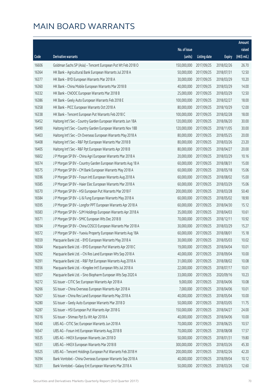|       |                                                              |              |                       |               | Amount      |
|-------|--------------------------------------------------------------|--------------|-----------------------|---------------|-------------|
|       |                                                              | No. of issue |                       |               | raised      |
| Code  | Derivative warrants                                          | (units)      | <b>Listing date</b>   | <b>Expiry</b> | (HK\$ mil.) |
| 16606 | Goldman Sachs SP (Asia) - Tencent European Put Wt Feb 2018 O | 150,000,000  | 2017/09/25            | 2018/02/26    | 26.70       |
| 16364 | HK Bank - Agricultural Bank European Warrants Jul 2018 A     | 50,000,000   | 2017/09/25            | 2018/07/31    | 12.50       |
| 16377 | HK Bank - BYD European Warrants Mar 2018 A                   | 30,000,000   | 2017/09/25            | 2018/03/29    | 10.20       |
| 16360 | HK Bank - China Mobile European Warrants Mar 2018 B          | 40,000,000   | 2017/09/25            | 2018/03/29    | 14.00       |
| 16332 | HK Bank - CNOOC European Warrants Mar 2018 B                 | 25,000,000   | 2017/09/25            | 2018/03/29    | 12.50       |
| 16386 | HK Bank - Geely Auto European Warrants Feb 2018 E            | 100,000,000  | 2017/09/25            | 2018/02/27    | 18.00       |
| 16358 | HK Bank - PICC European Warrants Oct 2018 A                  | 80,000,000   | 2017/09/25            | 2018/10/29    | 12.00       |
| 16338 | HK Bank - Tencent European Put Warrants Feb 2018 C           | 100,000,000  | 2017/09/25            | 2018/02/28    | 18.00       |
| 16452 | Haitong Int'l Sec - Country Garden European Warrants Jun 18A | 120,000,000  | 2017/09/25            | 2018/06/20    | 30.00       |
| 16490 | Haitong Int'l Sec - Country Garden European Warrants Nov 18B | 120,000,000  | 2017/09/25            | 2018/11/05    | 30.00       |
| 16403 | Haitong Int'l Sec - Ch Overseas European Warrants May 2018 A | 80,000,000   | 2017/09/25            | 2018/05/25    | 20.00       |
| 16408 | Haitong Int'l Sec - R&F Ppt European Warrants Mar 2018 B     | 80,000,000   | 2017/09/25            | 2018/03/26    | 23.20       |
| 16405 | Haitong Int'l Sec - R&F Ppt European Warrants Apr 2018 B     | 80,000,000   | 2017/09/25            | 2018/04/27    | 20.00       |
| 16602 | J P Morgan SP BV - China Agri European Warrants Mar 2018 A   | 20,000,000   | 2017/09/25            | 2018/03/29    | 10.16       |
| 16574 | J P Morgan SP BV - Country Garden European Warrants Aug 18 A | 60,000,000   | 2017/09/25            | 2018/08/31    | 15.00       |
| 16575 | J P Morgan SP BV - CM Bank European Warrants May 2018 A      | 60,000,000   | 2017/09/25            | 2018/05/18    | 15.06       |
| 16596 | J P Morgan SP BV - Fosun Intl European Warrants Aug 2018 A   | 60,000,000   | 2017/09/25            | 2018/08/02    | 15.00       |
| 16585 | J P Morgan SP BV - Haier Elec European Warrants Mar 2018 A   | 60,000,000   | 2017/09/25            | 2018/03/29    | 15.06       |
| 16570 | J P Morgan SP BV - HSI European Put Warrants Mar 2018 F      | 200,000,000  | 2017/09/25            | 2018/03/28    | 50.40       |
| 16584 | J P Morgan SP BV - Li & Fung European Warrants May 2018 A    | 60,000,000   | 2017/09/25            | 2018/05/02    | 18.90       |
| 16595 | J P Morgan SP BV - Longfor PPT European Warrants Apr 2018 A  | 60,000,000   | 2017/09/25            | 2018/04/30    | 15.12       |
| 16583 | J P Morgan SP BV - SJM Holdings European Warrants Apr 2018 A | 35,000,000   | 2017/09/25            | 2018/04/03    | 10.61       |
| 16571 | J P Morgan SP BV - SMIC European Wts Dec 2018 B              | 70,000,000   | 2017/09/25            | 2018/12/11    | 10.92       |
| 16594 | J P Morgan SP BV - China COSCO European Warrants Mar 2018 A  | 30,000,000   | 2017/09/25            | 2018/03/29    | 15.27       |
| 16572 | J P Morgan SP BV - Yuexiu Property European Warrants Aug 18A | 60,000,000   | 2017/09/25            | 2018/08/01    | 15.18       |
| 16559 | Macquarie Bank Ltd. - BYD European Warrants May 2018 A       | 30,000,000   | 2017/09/25            | 2018/05/03    | 10.02       |
| 16564 | Macquarie Bank Ltd. - BYD European Put Warrants Apr 2018 C   |              | 19,000,000 2017/09/25 | 2018/04/04    | 10.01       |
| 16392 | Macquarie Bank Ltd. - Chi Res Land European Wts Sep 2018 A   | 40,000,000   | 2017/09/25            | 2018/09/04    | 10.00       |
| 16391 | Macquarie Bank Ltd. - R&F Ppt European Warrants Aug 2018 A   | 31,000,000   | 2017/09/25            | 2018/08/02    | 10.08       |
| 16556 | Macquarie Bank Ltd. - Kingdee Int'l European Wts Jul 2018 A  | 22,000,000   | 2017/09/25            | 2018/07/17    | 10.01       |
| 16557 | Macquarie Bank Ltd. - Sino Biopharm European Wts Sep 2020 A  | 33,000,000   | 2017/09/25            | 2020/09/16    | 10.23       |
| 16272 | SG Issuer - CITIC Sec European Warrants Apr 2018 A           | 9,000,000    | 2017/09/25            | 2018/04/06    | 10.08       |
| 16266 | SG Issuer - China Overseas European Warrants Apr 2018 A      | 7,000,000    | 2017/09/25            | 2018/04/06    | 10.01       |
| 16267 | SG Issuer - China Res Land European Warrants May 2018 A      | 40,000,000   | 2017/09/25            | 2018/05/04    | 10.00       |
| 16280 | SG Issuer - Geely Auto European Warrants Mar 2018 D          | 50,000,000   | 2017/09/25            | 2018/03/05    | 11.75       |
| 16287 | SG Issuer - HSI European Put Warrants Apr 2018 G             | 150,000,000  | 2017/09/25            | 2018/04/27    | 24.00       |
| 16316 | SG Issuer - Shimao Ppt Eu Wt Apr 2018 A                      | 40,000,000   | 2017/09/25            | 2018/04/06    | 10.00       |
| 16540 | UBS AG - CITIC Sec European Warrants Jun 2018 A              | 70,000,000   | 2017/09/25            | 2018/06/25    | 10.57       |
| 16547 | UBS AG - Fosun Intl European Warrants Aug 2018 B             | 70,000,000   | 2017/09/25            | 2018/08/08    | 17.57       |
| 16535 | UBS AG - HKEX European Warrants Jan 2018 D                   | 50,000,000   | 2017/09/25            | 2018/01/31    | 19.80       |
| 16531 | UBS AG - HKEX European Warrants Mar 2018 B                   | 300,000,000  | 2017/09/25            | 2018/03/26    | 45.30       |
| 16525 | UBS AG - Tencent Holdings European Put Warrants Feb 2018 H   | 200,000,000  | 2017/09/25            | 2018/02/26    | 42.20       |
| 16394 | Bank Vontobel - China Overseas European Warrants Sep 2018 A  | 40,000,000   | 2017/09/25            | 2018/09/04    | 10.12       |
| 16331 | Bank Vontobel - Galaxy Ent European Warrants Mar 2018 A      | 50,000,000   | 2017/09/25            | 2018/03/26    | 12.60       |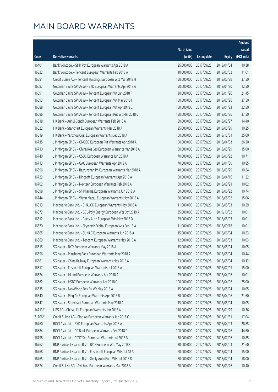|          |                                                               |              |                       |               | Amount      |
|----------|---------------------------------------------------------------|--------------|-----------------------|---------------|-------------|
|          |                                                               | No. of issue |                       |               | raised      |
| Code     | Derivative warrants                                           | (units)      | <b>Listing date</b>   | <b>Expiry</b> | (HK\$ mil.) |
| 16401    | Bank Vontobel - SHK Ppt European Warrants Apr 2018 A          | 25,000,000   | 2017/09/25            | 2018/04/04    | 10.38       |
| 16322    | Bank Vontobel - Tencent European Warrants Feb 2018 A          | 10,000,000   | 2017/09/25            | 2018/02/02    | 11.61       |
| 16681    | Credit Suisse AG - Tencent Holdings European Wts Mar 2018 H   | 150,000,000  | 2017/09/26            | 2018/03/29    | 37.50       |
| 16687    | Goldman Sachs SP (Asia) - BYD European Warrants Apr 2018 A    | 50,000,000   | 2017/09/26            | 2018/04/30    | 12.50       |
| 16691    | Goldman Sachs SP (Asia) - Tencent European Wt Jan 2018 F      | 30,000,000   | 2017/09/26            | 2018/01/26    | 21.45       |
| 16693    | Goldman Sachs SP (Asia) - Tencent European Wt Mar 2018 H      | 150,000,000  | 2017/09/26            | 2018/03/26    | 37.50       |
| 16688    | Goldman Sachs SP (Asia) - Tencent European Wt Apr 2018 C      | 150,000,000  | 2017/09/26            | 2018/04/23    | 22.50       |
| 16686    | Goldman Sachs SP (Asia) - Tencent European Put Wt Mar 2018 G  | 150,000,000  | 2017/09/26            | 2018/03/26    | 37.50       |
| 16618    | HK Bank - Anhui Conch European Warrants Feb 2018 A            | 80,000,000   | 2017/09/26            | 2018/02/27    | 14.40       |
| 16622    | HK Bank - Stanchart European Warrants Mar 2018 A              | 25,000,000   | 2017/09/26            | 2018/03/29    | 10.25       |
| 16619    | HK Bank - Yanzhou Coal European Warrants Dec 2018 A           | 100,000,000  | 2017/09/26            | 2018/12/31    | 25.00       |
| 16735    | J P Morgan SP BV - CNOOC European Put Warrants Apr 2018 A     | 100,000,000  | 2017/09/26            | 2018/04/03    | 26.30       |
| 16710    | J P Morgan SP BV - China Res Gas European Warrants Mar 2018 A | 60,000,000   | 2017/09/26            | 2018/03/29    | 15.00       |
| 16740    | J P Morgan SP BV - CSDC European Warrants Jun 2018 A          | 70,000,000   | 2017/09/26            | 2018/06/22    | 10.71       |
| 16713    | J P Morgan SP BV - GAC European Warrants Apr 2018 A           | 70,000,000   | 2017/09/26            | 2018/04/30    | 10.85       |
| 16696    | J P Morgan SP BV - Baiyunshan Ph European Warrants Mar 2018 A | 40,000,000   | 2017/09/26            | 2018/03/29    | 10.24       |
| 16722    | J P Morgan SP BV - Kingsoft European Warrants Apr 2018 A      | 60,000,000   | 2017/09/26            | 2018/04/16    | 11.22       |
| 16702    | J P Morgan SP BV - Nexteer European Warrants Feb 2018 A       | 60,000,000   | 2017/09/26            | 2018/02/21    | 10.02       |
| 16698    | J P Morgan SP BV - Sh Pharma European Warrants Jun 2018 A     | 60,000,000   | 2017/09/26            | 2018/06/22    | 10.74       |
| 16744    | J P Morgan SP BV - Wynn Macau European Warrants May 2018 A    | 60,000,000   | 2017/09/26            | 2018/05/02    | 15.06       |
| 16613    | Macquarie Bank Ltd. - CHALCO European Warrants May 2018 A     | 11,000,000   | 2017/09/26            | 2018/05/03    | 10.29       |
| 16672    | Macquarie Bank Ltd. - GCL-Poly Energy European Wts Oct 2019 A | 35,000,000   | 2017/09/26            | 2019/10/02    | 10.01       |
| 16612    | Macquarie Bank Ltd. - Geely Auto European Wts May 2018 D      | 29,000,000   | 2017/09/26            | 2018/05/03    | 10.01       |
| 16670    | Macquarie Bank Ltd. - Skyworth Digital European Wts Sep 18 A  | 11,000,000   | 2017/09/26            | 2018/09/18    | 10.01       |
| 16665    | Macquarie Bank Ltd. - SUNAC European Warrants Jun 2018 A      | 15,000,000   | 2017/09/26            | 2018/06/04    | 10.23       |
| 16669    | Macquarie Bank Ltd. - Tencent European Warrants May 2018 A    | 12,000,000   | 2017/09/26            | 2018/05/03    | 10.03       |
| 16615    | SG Issuer - BYD European Warrants May 2018 A                  |              | 15,000,000 2017/09/26 | 2018/05/04    | 10.05       |
| 16656    | SG Issuer - Minsheng Bank European Warrants May 2018 A        | 18,000,000   | 2017/09/26            | 2018/05/04    | 10.44       |
| 16661    | SG Issuer - China Railway European Warrants May 2018 A        | 23,000,000   | 2017/09/26            | 2018/05/04    | 10.12       |
| 16617    | SG Issuer - Fosun Intl European Warrants Jul 2018 A           | 60,000,000   | 2017/09/26            | 2018/07/05    | 15.00       |
| 16624    | SG Issuer - HLand European Warrants Apr 2018 A                | 29,000,000   | 2017/09/26            | 2018/04/06    | 10.01       |
| 16662    | SG Issuer - HSBC European Warrants Apr 2018 C                 | 100,000,000  | 2017/09/26            | 2018/04/06    | 25.00       |
| 16635    | SG Issuer - NewWorld Dev Eu Wt May 2018 A                     | 15,000,000   | 2017/09/26            | 2018/05/04    | 10.05       |
| 16640    | SG Issuer - Ping An European Warrants Apr 2018 B              | 80,000,000   | 2017/09/26            | 2018/04/06    | 21.60       |
| 16647    | SG Issuer - Stanchart European Warrants May 2018 A            | 15,000,000   | 2017/09/26            | 2018/05/04    | 10.05       |
| $14713*$ | UBS AG - China Life European Warrants Jan 2018 A              | 140,000,000  | 2017/09/26            | 2018/01/29    | 10.36       |
| 21106 #  | Credit Suisse AG - Ping An European Warrants Jan 2018 C       | 80,000,000   | 2017/09/26            | 2018/01/31    | 17.04       |
| 16760    | BOCI Asia Ltd. - BYD European Warrants Apr 2018 A             | 50,000,000   | 2017/09/27            | 2018/04/03    | 28.85       |
| 16884    | BOCI Asia Ltd. - CC Bank European Warrants Feb 2018 C         | 100,000,000  | 2017/09/27            | 2018/02/26    | 44.60       |
| 16758    | BOCI Asia Ltd. - CITIC Sec European Warrants Jul 2018 B       | 70,000,000   | 2017/09/27            | 2018/07/06    | 10.85       |
| 16762    | BNP Paribas Issuance B.V. - BYD European Wts May 2018 C       | 30,000,000   | 2017/09/27            | 2018/05/03    | 21.60       |
| 16768    | BNP Paribas Issuance B.V. - Fosun Intl European Wts Jul 18 A  | 60,000,000   | 2017/09/27            | 2018/07/04    | 15.00       |
| 16765    | BNP Paribas Issuance B.V. - Geely Auto Euro Wts Jul 2018 D    | 60,000,000   | 2017/09/27            | 2018/07/04    | 18.00       |
| 16874    | Credit Suisse AG - Avichina European Warrants Mar 2018 A      | 20,000,000   | 2017/09/27            | 2018/03/26    | 10.40       |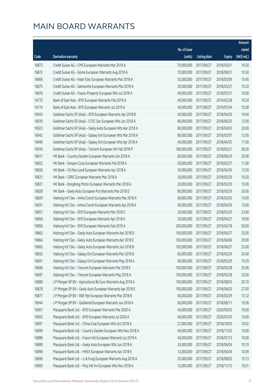|       |                                                               |                        |                     |               | Amount      |
|-------|---------------------------------------------------------------|------------------------|---------------------|---------------|-------------|
|       |                                                               | No. of issue           |                     |               | raised      |
| Code  | <b>Derivative warrants</b>                                    | (units)                | <b>Listing date</b> | <b>Expiry</b> | (HK\$ mil.) |
| 16873 | Credit Suisse AG - CMS European Warrants Mar 2018 A           | 70,000,000             | 2017/09/27          | 2018/03/01    | 10.50       |
| 16872 | Credit Suisse AG - Gome European Warrants Aug 2018 A          | 70,000,000             | 2017/09/27          | 2018/08/01    | 10.50       |
| 16866 | Credit Suisse AG - Haier Elec European Warrants Mar 2018 A    | 55,000,000             | 2017/09/27          | 2018/03/09    | 10.45       |
| 16875 | Credit Suisse AG - Samsonite European Warrants Mar 2018 A     | 30,000,000             | 2017/09/27          | 2018/03/27    | 10.20       |
| 16876 | Credit Suisse AG - Yuexiu Property European Wts Jul 2018 A    | 40,000,000             | 2017/09/27          | 2018/07/31    | 10.00       |
| 16775 | Bank of East Asia - BYD European Warrants Feb 2019 A          | 40,000,000             | 2017/09/27          | 2019/02/28    | 10.24       |
| 16774 | Bank of East Asia - BYD European Warrants Jul 2019 A          | 40,000,000             | 2017/09/27          | 2019/07/04    | 10.28       |
| 16943 | Goldman Sachs SP (Asia) - BYD European Warrants Apr 2018 B    | 40,000,000             | 2017/09/27          | 2018/04/30    | 14.64       |
| 16939 | Goldman Sachs SP (Asia) - CITIC Sec European Wts Jun 2018 A   | 80,000,000             | 2017/09/27          | 2018/06/25    | 12.00       |
| 16923 | Goldman Sachs SP (Asia) - Geely Auto European Wts Apr 2018 A  | 80,000,000             | 2017/09/27          | 2018/04/03    | 20.00       |
| 16942 | Goldman Sachs SP (Asia) - Galaxy Ent European Wts Mar 2018 A  | 80,000,000             | 2017/09/27          | 2018/03/07    | 12.00       |
| 16940 | Goldman Sachs SP (Asia) - Galaxy Ent European Wts Apr 2018 A  | 40,000,000             | 2017/09/27          | 2018/04/25    | 17.00       |
| 16934 | Goldman Sachs SP (Asia) - Tencent European Wt Feb 2018 P      | 180,000,000            | 2017/09/27          | 2018/02/21    | 28.26       |
| 16817 | HK Bank - Country Garden European Warrants Jun 2018 A         | 80,000,000             | 2017/09/27          | 2018/06/29    | 20.00       |
| 16822 | HK Bank - Sinopec Corp European Warrants Feb 2018 A           | 50,000,000             | 2017/09/27          | 2018/02/27    | 11.00       |
| 16826 | HK Bank - Chi Res Land European Warrants Apr 2018 A           | 50,000,000             | 2017/09/27          | 2018/04/30    | 12.50       |
| 16821 | HK Bank - CRRC European Warrants Mar 2018 A                   | 30,000,000             | 2017/09/27          | 2018/03/29    | 10.50       |
| 16827 | HK Bank - Dongfeng Motor European Warrants Mar 2018 A         | 20,000,000             | 2017/09/27          | 2018/03/29    | 10.00       |
| 16828 | HK Bank - Geely Auto European Put Warrants Mar 2018 D         | 80,000,000             | 2017/09/27          | 2018/03/29    | 20.00       |
| 16829 | Haitong Int'l Sec - Anhui Conch European Warrants Mar 2018 A  | 60,000,000             | 2017/09/27          | 2018/03/02    | 15.60       |
| 16831 | Haitong Int'l Sec - Anhui Conch European Warrants Apr 2018 A  | 60,000,000             | 2017/09/27          | 2018/04/30    | 15.00       |
| 16857 | Haitong Int'l Sec - BYD European Warrants Mar 2018 C          | 30,000,000             | 2017/09/27          | 2018/03/29    | 23.40       |
| 16858 | Haitong Int'l Sec - BYD European Warrants Apr 2018 A          | 30,000,000             | 2017/09/27          | 2018/04/27    | 18.90       |
| 16856 | Haitong Int'l Sec - BYD European Warrants Feb 2019 A          | 200,000,000            | 2017/09/27          | 2019/02/18    | 50.00       |
| 16863 | Haitong Int'l Sec - Geely Auto European Warrants Apr 2018 D   | 100,000,000            | 2017/09/27          | 2018/04/27    | 25.00       |
| 16864 | Haitong Int'l Sec - Geely Auto European Warrants Apr 2018 E   | 100,000,000            | 2017/09/27          | 2018/04/06    | 29.00       |
| 16865 | Haitong Int'l Sec - Geely Auto European Warrants Jun 2018 B   | 100,000,000 2017/09/27 |                     | 2018/06/27    | 25.00       |
| 16832 | Haitong Int'l Sec - Galaxy Ent European Warrants Mar 2018 B   | 60,000,000             | 2017/09/27          | 2018/03/29    | 20.40       |
| 16841 | Haitong Int'l Sec - Galaxy Ent European Warrants May 2018 A   | 60,000,000             | 2017/09/27          | 2018/05/29    | 19.20       |
| 16846 | Haitong Int'l Sec - Tencent European Warrants Mar 2018 E      | 100,000,000            | 2017/09/27          | 2018/03/28    | 25.00       |
| 16847 | Haitong Int'l Sec - Tencent European Warrants May 2018 A      | 100,000,000            | 2017/09/27          | 2018/05/28    | 25.00       |
| 16880 | J P Morgan SP BV - Agricultural Bk Euro Warrants Aug 2018 A   | 100,000,000            | 2017/09/27          | 2018/08/03    | 25.10       |
| 16878 | J P Morgan SP BV - Geely Auto European Warrants Apr 2018 E    | 100,000,000            | 2017/09/27          | 2018/04/03    | 27.00       |
| 16877 | J P Morgan SP BV - R&F Ppt European Warrants Mar 2018 B       | 60,000,000             | 2017/09/27          | 2018/03/29    | 15.12       |
| 16944 | J P Morgan SP BV - Goldwind European Warrants Jun 2018 A      | 60,000,000             | 2017/09/27          | 2018/06/11    | 10.56       |
| 16901 | Macquarie Bank Ltd. - BYD European Warrants Mar 2020 A        | 40,000,000             | 2017/09/27          | 2020/03/03    | 10.00       |
| 16903 | Macquarie Bank Ltd. - BYD European Warrants Jul 2020 A        | 40,000,000             | 2017/09/27          | 2020/07/03    | 10.00       |
| 16897 | Macquarie Bank Ltd. - China Coal European Wts Oct 2018 A      | 27,000,000             | 2017/09/27          | 2018/10/03    | 10.02       |
| 16899 | Macquarie Bank Ltd. - Country Garden European Wts Nov 2018 A  | 40,000,000             | 2017/09/27          | 2018/11/02    | 10.00       |
| 16886 | Macquarie Bank Ltd. - Fosun Intl European Warrants Jul 2018 A | 40,000,000             | 2017/09/27          | 2018/07/13    | 10.00       |
| 16889 | Macquarie Bank Ltd. - Geely Auto European Wts Jun 2018 A      | 33,000,000             | 2017/09/27          | 2018/06/04    | 10.10       |
| 16896 | Macquarie Bank Ltd. - HKEX European Warrants Apr 2018 E       | 12,000,000             | 2017/09/27          | 2018/04/04    | 10.09       |
| 16890 | Macquarie Bank Ltd. - Li & Fung European Warrants Aug 2018 A  | 25,000,000             | 2017/09/27          | 2018/08/02    | 10.13       |
| 16900 | Macquarie Bank Ltd. - Poly HK Inv European Wts Nov 2018 A     | 12,000,000             | 2017/09/27          | 2018/11/15    | 10.01       |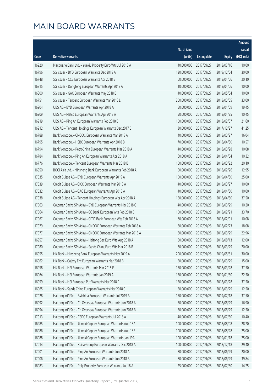|       |                                                              |              |                       |               | Amount      |
|-------|--------------------------------------------------------------|--------------|-----------------------|---------------|-------------|
|       |                                                              | No. of issue |                       |               | raised      |
| Code  | Derivative warrants                                          | (units)      | <b>Listing date</b>   | <b>Expiry</b> | (HK\$ mil.) |
| 16920 | Macquarie Bank Ltd. - Yuexiu Property Euro Wts Jul 2018 A    | 40,000,000   | 2017/09/27            | 2018/07/16    | 10.00       |
| 16796 | SG Issuer - BYD European Warrants Dec 2019 A                 | 120,000,000  | 2017/09/27            | 2019/12/04    | 30.00       |
| 16748 | SG Issuer - CCB European Warrants Apr 2018 B                 | 60,000,000   | 2017/09/27            | 2018/04/06    | 20.10       |
| 16815 | SG Issuer - Dongfeng European Warrants Apr 2018 A            | 10,000,000   | 2017/09/27            | 2018/04/06    | 10.00       |
| 16800 | SG Issuer - GAC European Warrants May 2018 B                 | 40,000,000   | 2017/09/27            | 2018/05/04    | 10.00       |
| 16751 | SG Issuer - Tencent European Warrants Mar 2018 L             | 200,000,000  | 2017/09/27            | 2018/03/05    | 33.00       |
| 16904 | UBS AG - BYD European Warrants Apr 2018 A                    | 50,000,000   | 2017/09/27            | 2018/04/09    | 19.45       |
| 16909 | UBS AG - Melco European Warrants Apr 2018 A                  | 50,000,000   | 2017/09/27            | 2018/04/25    | 10.45       |
| 16919 | UBS AG - Ping An European Warrants Feb 2018 B                | 100,000,000  | 2017/09/27            | 2018/02/07    | 21.60       |
| 16912 | UBS AG - Tencent Holdings European Warrants Dec 2017 E       | 30,000,000   | 2017/09/27            | 2017/12/27    | 41.25       |
| 16788 | Bank Vontobel - CNOOC European Warrants Mar 2018 A           | 40,000,000   | 2017/09/27            | 2018/03/27    | 16.04       |
| 16795 | Bank Vontobel - HSBC European Warrants Apr 2018 B            | 70,000,000   | 2017/09/27            | 2018/04/30    | 10.57       |
| 16794 | Bank Vontobel - PetroChina European Warrants Mar 2018 A      | 40,000,000   | 2017/09/27            | 2018/03/28    | 10.08       |
| 16784 | Bank Vontobel - Ping An European Warrants Apr 2018 A         | 60,000,000   | 2017/09/27            | 2018/04/04    | 10.32       |
| 16776 | Bank Vontobel - Tencent European Warrants Mar 2018 B         | 100,000,000  | 2017/09/27            | 2018/03/22    | 20.10       |
| 16950 | BOCI Asia Ltd. - Minsheng Bank European Warrants Feb 2018 A  | 50,000,000   | 2017/09/28            | 2018/02/26    | 12.95       |
| 17035 | Credit Suisse AG - BYD European Warrants Apr 2019 A          | 100,000,000  | 2017/09/28            | 2019/04/30    | 25.00       |
| 17039 | Credit Suisse AG - CICC European Warrants Mar 2018 A         | 40,000,000   | 2017/09/28            | 2018/03/27    | 10.00       |
| 17032 | Credit Suisse AG - GAC European Warrants Apr 2018 A          | 40,000,000   | 2017/09/28            | 2018/04/30    | 10.00       |
| 17038 | Credit Suisse AG - Tencent Holdings European Wts Apr 2018 A  | 150,000,000  | 2017/09/28            | 2018/04/30    | 37.50       |
| 17063 | Goldman Sachs SP (Asia) - BYD European Warrants Mar 2018 C   | 40,000,000   | 2017/09/28            | 2018/03/29    | 10.20       |
| 17064 | Goldman Sachs SP (Asia) - CC Bank European Wts Feb 2018 E    | 100,000,000  | 2017/09/28            | 2018/02/21    | 33.70       |
| 17067 | Goldman Sachs SP (Asia) - CITIC Bank European Wts Feb 2018 A | 60,000,000   | 2017/09/28            | 2018/02/01    | 10.08       |
| 17079 | Goldman Sachs SP (Asia) - CNOOC European Warrants Feb 2018 A | 80,000,000   | 2017/09/28            | 2018/02/23    | 18.08       |
| 17077 | Goldman Sachs SP (Asia) - CNOOC European Warrants Mar 2018 A | 80,000,000   | 2017/09/28            | 2018/03/29    | 22.96       |
| 16957 | Goldman Sachs SP (Asia) - Haitong Sec Euro Wts Aug 2018 A    | 80,000,000   | 2017/09/28            | 2018/08/13    | 12.00       |
| 17080 | Goldman Sachs SP (Asia) - Sands China Euro Wts Mar 2018 B    |              | 80,000,000 2017/09/28 | 2018/03/29    | 20.00       |
| 16955 | HK Bank - Minsheng Bank European Warrants May 2019 A         | 200,000,000  | 2017/09/28            | 2019/05/31    | 30.00       |
| 16962 | HK Bank - Galaxy Ent European Warrants Mar 2018 B            | 50,000,000   | 2017/09/28            | 2018/03/29    | 15.00       |
| 16958 | HK Bank - HSI European Warrants Mar 2018 E                   | 150,000,000  | 2017/09/28            | 2018/03/28    | 37.50       |
| 16964 | HK Bank - HSI European Warrants Jan 2019 A                   | 150,000,000  | 2017/09/28            | 2019/01/30    | 22.50       |
| 16959 | HK Bank - HSI European Put Warrants Mar 2018 F               | 150,000,000  | 2017/09/28            | 2018/03/28    | 37.50       |
| 16965 | HK Bank - Sands China European Warrants Mar 2018 C           | 50,000,000   | 2017/09/28            | 2018/03/29    | 12.50       |
| 17028 | Haitong Int'l Sec - Avichina European Warrants Jul 2019 A    | 150,000,000  | 2017/09/28            | 2019/07/18    | 37.50       |
| 16992 | Haitong Int'l Sec - Ch Overseas European Warrants Jun 2018 A | 50,000,000   | 2017/09/28            | 2018/06/29    | 16.90       |
| 16994 | Haitong Int'l Sec - Ch Overseas European Warrants Jun 2018 B | 50,000,000   | 2017/09/28            | 2018/06/29    | 12.50       |
| 17013 | Haitong Int'l Sec - CSDC European Warrants Jul 2018 A        | 40,000,000   | 2017/09/28            | 2018/07/30    | 10.40       |
| 16985 | Haitong Int'l Sec - Jiangxi Copper European Warrants Aug 18A | 100,000,000  | 2017/09/28            | 2018/08/08    | 28.20       |
| 16986 | Haitong Int'l Sec - Jiangxi Copper European Warrants Aug 18B | 100,000,000  | 2017/09/28            | 2018/08/28    | 25.00       |
| 16988 | Haitong Int'l Sec - Jiangxi Copper European Warrants Jan 19A | 100,000,000  | 2017/09/28            | 2019/01/18    | 25.00       |
| 17014 | Haitong Int'l Sec - Kaisa Group European Warrants Dec 2018 A | 100,000,000  | 2017/09/28            | 2018/12/18    | 29.40       |
| 17001 | Haitong Int'l Sec - Ping An European Warrants Jun 2018 A     | 80,000,000   | 2017/09/28            | 2018/06/29    | 20.00       |
| 17006 | Haitong Int'l Sec - Ping An European Warrants Jun 2018 B     | 80,000,000   | 2017/09/28            | 2018/06/29    | 39.84       |
| 16983 | Haitong Int'l Sec - Poly Property European Warrants Jul 18 A | 25,000,000   | 2017/09/28            | 2018/07/30    | 14.25       |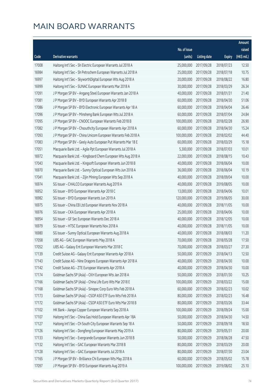|       |                                                               |              |                       |               | Amount      |
|-------|---------------------------------------------------------------|--------------|-----------------------|---------------|-------------|
|       |                                                               | No. of issue |                       |               | raised      |
| Code  | Derivative warrants                                           | (units)      | <b>Listing date</b>   | <b>Expiry</b> | (HK\$ mil.) |
| 17008 | Haitong Int'l Sec - Sh Electric European Warrants Jul 2018 A  | 25,000,000   | 2017/09/28            | 2018/07/23    | 12.50       |
| 16984 | Haitong Int'l Sec - Sh Petrochem European Warrants Jul 2018 A | 25,000,000   | 2017/09/28            | 2018/07/18    | 10.75       |
| 16997 | Haitong Int'l Sec - SkyworthDigital European Wts Aug 2018 A   | 20,000,000   | 2017/09/28            | 2018/08/22    | 16.80       |
| 16999 | Haitong Int'l Sec - SUNAC European Warrants Mar 2018 A        | 30,000,000   | 2017/09/28            | 2018/03/29    | 26.34       |
| 17091 | J P Morgan SP BV - Angang Steel European Warrants Jan 2018 A  | 40,000,000   | 2017/09/28            | 2018/01/31    | 21.40       |
| 17081 | J P Morgan SP BV - BYD European Warrants Apr 2018 B           | 60,000,000   | 2017/09/28            | 2018/04/30    | 51.06       |
| 17086 | J P Morgan SP BV - BYD Electronic European Warrants Apr 18 A  | 60,000,000   | 2017/09/28            | 2018/04/04    | 26.46       |
| 17096 | J P Morgan SP BV - Minsheng Bank European Wts Jul 2018 A      | 60,000,000   | 2017/09/28            | 2018/07/04    | 24.84       |
| 17095 | J P Morgan SP BV - CNOOC European Warrants Feb 2018 B         | 100,000,000  | 2017/09/28            | 2018/02/28    | 26.90       |
| 17082 | J P Morgan SP BV - Chsouthcity European Warrants Apr 2018 A   | 60,000,000   | 2017/09/28            | 2018/04/30    | 15.24       |
| 17093 | J P Morgan SP BV - China Unicom European Warrants Feb 2018 A  | 100,000,000  | 2017/09/28            | 2018/02/02    | 44.40       |
| 17083 | J P Morgan SP BV - Geely Auto European Put Warrants Mar 18 E  | 60,000,000   | 2017/09/28            | 2018/03/29    | 15.18       |
| 17051 | Macquarie Bank Ltd. - Agile Ppt European Warrants Jul 2018 A  | 5,300,000    | 2017/09/28            | 2018/07/03    | 10.01       |
| 16972 | Macquarie Bank Ltd. - Kingboard Chem European Wts Aug 2018 A  | 22,000,000   | 2017/09/28            | 2018/08/15    | 10.43       |
| 17043 | Macquarie Bank Ltd. - Kingsoft European Warrants Jun 2018 B   | 40,000,000   | 2017/09/28            | 2018/06/04    | 10.00       |
| 16970 | Macquarie Bank Ltd. - Sunny Optical European Wts Jun 2018 A   | 36,000,000   | 2017/09/28            | 2018/06/04    | 10.19       |
| 17041 | Macquarie Bank Ltd. - Zijin Mining European Wts Sep 2018 A    | 40,000,000   | 2017/09/28            | 2018/09/04    | 10.00       |
| 16974 | SG Issuer - CHALCO European Warrants Aug 2019 A               | 40,000,000   | 2017/09/28            | 2019/08/05    | 10.00       |
| 16952 | SG Issuer - BYD European Warrants Apr 2018 C                  | 13,000,000   | 2017/09/28            | 2018/04/06    | 10.01       |
| 16982 | SG Issuer - BYD European Warrants Jun 2019 A                  | 120,000,000  | 2017/09/28            | 2019/06/05    | 30.00       |
| 16975 | SG Issuer - China EB Ltd European Warrants Nov 2018 A         | 40,000,000   | 2017/09/28            | 2018/11/05    | 10.00       |
| 16976 | SG Issuer - CKA European Warrants Apr 2018 A                  | 25,000,000   | 2017/09/28            | 2018/04/06    | 10.00       |
| 16954 | SG Issuer - GF Sec European Warrants Dec 2018 A               | 40,000,000   | 2017/09/28            | 2018/12/05    | 10.00       |
| 16979 | SG Issuer - HTSC European Warrants Nov 2018 A                 | 40,000,000   | 2017/09/28            | 2018/11/05    | 10.00       |
| 16980 | SG Issuer - Sunny Optical European Warrants Aug 2018 A        | 40,000,000   | 2017/09/28            | 2018/08/03    | 11.20       |
| 17058 | UBS AG - GAC European Warrants May 2018 A                     | 70,000,000   | 2017/09/28            | 2018/05/28    | 17.50       |
| 17052 | UBS AG - Galaxy Ent European Warrants Mar 2018 C              |              | 70,000,000 2017/09/28 | 2018/03/27    | 27.30       |
| 17139 | Credit Suisse AG - Galaxy Ent European Warrants Apr 2018 A    | 50,000,000   | 2017/09/29            | 2018/04/13    | 12.50       |
| 17143 | Credit Suisse AG - Nine Dragons European Warrants Apr 2018 A  | 40,000,000   | 2017/09/29            | 2018/04/30    | 10.00       |
| 17142 | Credit Suisse AG - ZTE European Warrants Apr 2018 A           | 40,000,000   | 2017/09/29            | 2018/04/30    | 10.00       |
| 17174 | Goldman Sachs SP (Asia) - CKH European Wts Jan 2018 A         | 50,000,000   | 2017/09/29            | 2018/01/30    | 10.25       |
| 17166 | Goldman Sachs SP (Asia) - China Life Euro Wts Mar 2018 E      | 100,000,000  | 2017/09/29            | 2018/03/22    | 15.00       |
| 17168 | Goldman Sachs SP (Asia) - Sinopec Corp Euro Wts Feb 2018 A    | 60,000,000   | 2017/09/29            | 2018/02/23    | 10.02       |
| 17173 | Goldman Sachs SP (Asia) - CSOP A50 ETF Euro Wts Feb 2018 A    | 80,000,000   | 2017/09/29            | 2018/02/23    | 16.48       |
| 17172 | Goldman Sachs SP (Asia) - CSOP A50 ETF Euro Wts Mar 2018 B    | 80,000,000   | 2017/09/29            | 2018/03/26    | 33.44       |
| 17102 | HK Bank - Jiangxi Copper European Warrants Sep 2018 A         | 100,000,000  | 2017/09/29            | 2018/09/24    | 15.00       |
| 17107 | Haitong Int'l Sec - China Gas Hold European Warrants Apr 18A  | 50,000,000   | 2017/09/29            | 2018/04/30    | 14.50       |
| 17127 | Haitong Int'l Sec - Ch South City European Warrants Sep 18 A  | 50,000,000   | 2017/09/29            | 2018/09/18    | 18.50       |
| 17126 | Haitong Int'l Sec - Dongfeng European Warrants May 2019 A     | 80,000,000   | 2017/09/29            | 2019/05/31    | 20.00       |
| 17133 | Haitong Int'l Sec - Evergrande European Warrants Jun 2018 B   | 50,000,000   | 2017/09/29            | 2018/06/28    | 47.50       |
| 17132 | Haitong Int'l Sec - GAC European Warrants Mar 2018 B          | 80,000,000   | 2017/09/29            | 2018/03/29    | 20.00       |
| 17128 | Haitong Int'l Sec - GAC European Warrants Jul 2018 A          | 80,000,000   | 2017/09/29            | 2018/07/30    | 23.04       |
| 17165 | J P Morgan SP BV - Brilliance Chi European Wts May 2018 A     | 60,000,000   | 2017/09/29            | 2018/05/02    | 15.78       |
| 17097 | J P Morgan SP BV - BYD European Warrants Aug 2019 A           | 100,000,000  | 2017/09/29            | 2019/08/02    | 25.10       |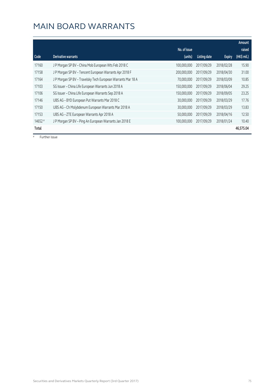|         |                                                              |              |              |               | Amount      |
|---------|--------------------------------------------------------------|--------------|--------------|---------------|-------------|
|         |                                                              | No. of issue |              |               | raised      |
| Code    | Derivative warrants                                          | (units)      | Listing date | <b>Expiry</b> | (HK\$ mil.) |
| 17160   | J P Morgan SP BV - China Mob European Wts Feb 2018 C         | 100,000,000  | 2017/09/29   | 2018/02/28    | 15.90       |
| 17158   | J P Morgan SP BV - Tencent European Warrants Apr 2018 F      | 200,000,000  | 2017/09/29   | 2018/04/30    | 31.00       |
| 17164   | J P Morgan SP BV - Travelsky Tech European Warrants Mar 18 A | 70,000,000   | 2017/09/29   | 2018/03/09    | 10.85       |
| 17103   | SG Issuer - China Life European Warrants Jun 2018 A          | 150,000,000  | 2017/09/29   | 2018/06/04    | 29.25       |
| 17106   | SG Issuer - China Life European Warrants Sep 2018 A          | 150,000,000  | 2017/09/29   | 2018/09/05    | 23.25       |
| 17146   | UBS AG - BYD European Put Warrants Mar 2018 C                | 30,000,000   | 2017/09/29   | 2018/03/29    | 17.76       |
| 17150   | UBS AG - Ch Molybdenum European Warrants Mar 2018 A          | 30,000,000   | 2017/09/29   | 2018/03/29    | 13.83       |
| 17153   | UBS AG - ZTE European Warrants Apr 2018 A                    | 50,000,000   | 2017/09/29   | 2018/04/16    | 12.50       |
| 14652 # | J P Morgan SP BV - Ping An European Warrants Jan 2018 E      | 100.000.000  | 2017/09/29   | 2018/01/24    | 10.40       |
| Total   |                                                              |              |              |               | 46,575.04   |

# Further issue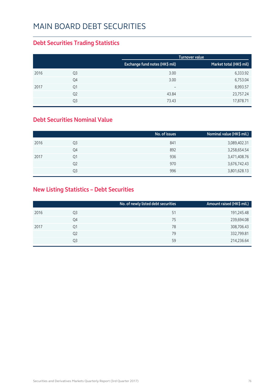#### MAIN BOARD DEBT SECURITIES

#### **Debt Securities Trading Statistics**

|      |                |                                | Turnover value          |
|------|----------------|--------------------------------|-------------------------|
|      |                | Exchange fund notes (HK\$ mil) | Market total (HK\$ mil) |
| 2016 | Q <sub>3</sub> | 3.00                           | 6,333.92                |
|      | Q4             | 3.00                           | 6,753.04                |
| 2017 | Q1             | $\overline{\phantom{m}}$       | 8,993.57                |
|      | Q <sub>2</sub> | 43.84                          | 23,757.24               |
|      | Q3             | 73.43                          | 17,878.71               |

#### **Debt Securities Nominal Value**

|                | No. of issues | Nominal value (HK\$ mil.) |
|----------------|---------------|---------------------------|
| Q3             | 841           | 3,089,402.31              |
| Q4             | 892           | 3,258,654.54              |
| Q1             | 936           | 3,471,408.76              |
| Q <sub>2</sub> | 970           | 3,676,742.43              |
| Q3             | 996           | 3,801,628.13              |
|                |               |                           |

#### **New Listing Statistics – Debt Securities**

|      |                | No. of newly listed debt securities | Amount raised (HK\$ mil.) |
|------|----------------|-------------------------------------|---------------------------|
| 2016 | Q3             | 51                                  | 191,245.48                |
|      | Q4             | 75                                  | 239,694.08                |
| 2017 | Q1             | 78                                  | 308,706.43                |
|      | Q <sub>2</sub> | 79                                  | 332,799.81                |
|      | Q3             | 59                                  | 214,236.64                |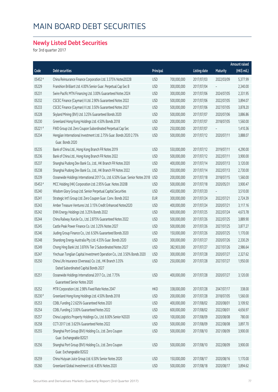#### MAIN BOARD DEBT SECURITIES

#### **Newly Listed Debt Securities**

for 3rd quarter 2017

|         |                                                                               |            |             |                     |            | Amount raised |
|---------|-------------------------------------------------------------------------------|------------|-------------|---------------------|------------|---------------|
| Code    | <b>Debt securities</b>                                                        | Principal  |             | <b>Listing date</b> | Maturity   | (HK\$ mil.)   |
| 05452 # | China Reinsurance Finance Corporation Ltd. 3.375% Notes2022B                  | <b>USD</b> | 700,000,000 | 2017/07/03          | 2022/03/09 | 5,377.99      |
| 05229   | Franshion Brilliant Ltd. 4.00% Senior Guar. Perpetual Cap Sec B               | <b>USD</b> | 300,000,000 | 2017/07/04          |            | 2,340.00      |
| 05231   | Swire Pacific MTN Financing Ltd. 3.00% Guaranteed Notes 2024                  | <b>USD</b> | 300,000,000 | 2017/07/06          | 2024/07/05 | 2,331.95      |
| 05232   | CSCEC Finance (Cayman) II Ltd. 2.90% Guaranteed Notes 2022                    | <b>USD</b> | 500,000,000 | 2017/07/06          | 2022/07/05 | 3,894.07      |
| 05233   | CSCEC Finance (Cayman) II Ltd. 3.50% Guaranteed Notes 2027                    | <b>USD</b> | 500,000,000 | 2017/07/06          | 2027/07/05 | 3,878.20      |
| 05228   | Skyland Mining (BVI) Ltd. 3.25% Guaranteed Bonds 2020                         | <b>USD</b> | 500,000,000 | 2017/07/07          | 2020/07/06 | 3,886.86      |
| 05230   | Greenland Hong Kong Holdings Ltd. 4.50% Bonds 2018                            | <b>USD</b> | 200,000,000 | 2017/07/07          | 2018/07/05 | 1,560.00      |
| 05221#  | FWD Group Ltd. Zero Coupon Subordinated Perpetual Cap Sec                     | <b>USD</b> | 250,000,000 | 2017/07/07          |            | 1,410.36      |
| 05234   | Hengjian International Investment Ltd. 2.75% Guar. Bonds 2020 2.75%           | <b>USD</b> | 500,000,000 | 2017/07/12          | 2020/07/11 | 3,888.07      |
|         | Guar. Bonds 2020                                                              |            |             |                     |            |               |
| 05235   | Bank of China Ltd., Hong Kong Branch FR Notes 2019                            | <b>USD</b> | 550,000,000 | 2017/07/12          | 2019/07/11 | 4,290.00      |
| 05236   | Bank of China Ltd., Hong Kong Branch FR Notes 2022                            | <b>USD</b> | 500,000,000 | 2017/07/12          | 2022/07/11 | 3,900.00      |
| 05237   | Shanghai Pudong Dev Bank Co., Ltd., HK Branch FR Notes 2020                   | <b>USD</b> | 400,000,000 | 2017/07/14          | 2020/07/13 | 3,120.00      |
| 05238   | Shanghai Pudong Dev Bank Co., Ltd., HK Branch FR Notes 2022                   | <b>USD</b> | 350,000,000 | 2017/07/14          | 2022/07/13 | 2,730.00      |
| 05239   | Oceanwide Holdings International 2017 Co., Ltd. 6.50% Guar. Senior Notes 2018 | <b>USD</b> | 200,000,000 | 2017/07/18          | 2018/07/15 | 1,560.00      |
| 05453 # | MCC Holding (HK) Corporation Ltd. 2.95% Guar. Notes 2020B                     | <b>USD</b> | 500,000,000 | 2017/07/18          | 2020/05/31 | 3,900.47      |
| 05240   | Wisdom Glory Group Ltd. Senior Perpetual Capital Securities                   | <b>USD</b> | 450,000,000 | 2017/07/20          |            | 3,510.00      |
| 05241   | Strategic Int'l Group Ltd. Zero Coupon Guar. Conv. Bonds 2022                 | <b>EUR</b> | 300,000,000 | 2017/07/24          | 2022/07/21 | 2,724.39      |
| 05243   | Amber Treasure Ventures Ltd. 3.15% Credit Enhanced Notes2020                  | <b>USD</b> | 400,000,000 | 2017/07/24          | 2020/07/21 | 3,117.16      |
| 05242   | ENN Energy Holdings Ltd. 3.25% Bonds 2022                                     | <b>USD</b> | 600,000,000 | 2017/07/25          | 2022/07/24 | 4,673.78      |
| 05244   | China Railway XunJie Co., Ltd. 2.875% Guaranteed Notes 2022                   | <b>USD</b> | 500,000,000 | 2017/07/26          | 2022/07/25 | 3,889.90      |
| 05245   | Castle Peak Power Finance Co. Ltd. 3.25% Notes 2027                           | <b>USD</b> | 500,000,000 | 2017/07/26          | 2027/07/25 | 3,877.27      |
| 05246   | Jiuding Group Finance Co., Ltd. 6.50% Guaranteed Bonds 2020                   | <b>USD</b> | 150,000,000 | 2017/07/26          | 2020/07/25 | 1,170.00      |
| 05248   | Shandong Energy Australia Pty Ltd. 4.55% Guar. Bonds 2020                     | <b>USD</b> | 300,000,000 | 2017/07/27          | 2020/07/26 | 2,330.29      |
| 05249   | Chong Hing Bank Ltd. 3.876% Tier 2 Subordinated Notes 2027                    | <b>USD</b> | 382,903,000 | 2017/07/27          | 2027/07/26 | 2,986.64      |
| 05247   | Yinchuan Tonglian Capital Investment Operation Co., Ltd. 3.50% Bonds 2020     | <b>USD</b> | 300,000,000 | 2017/07/28          | 2020/07/27 | 2,327.62      |
| 05250   | China Life Insurance (Overseas) Co. Ltd., HK Branch 3.35%                     | <b>USD</b> | 250,000,000 | 2017/07/28          | 2027/07/27 | 1,950.00      |
|         | Dated Subordinated Capital Bonds 2027                                         |            |             |                     |            |               |
| 05251   | Oceanwide Holdings International 2017 Co., Ltd. 7.75%                         | <b>USD</b> | 400,000,000 | 2017/07/28          | 2020/07/27 | 3,120.00      |
|         | Guaranteed Senior Notes 2020                                                  |            |             |                     |            |               |
| 05252   | MTR Corporation Ltd. 2.98% Fixed Rate Notes 2047                              | <b>HKD</b> | 338,000,000 | 2017/07/28          | 2047/07/17 | 338.00        |
| 05230 # | Greenland Hong Kong Holdings Ltd. 4.50% Bonds 2018                            | <b>USD</b> | 200,000,000 | 2017/07/28          | 2018/07/05 | 1,560.00      |
| 05253   | CDBL Funding 2 2.625% Guaranteed Notes 2020                                   | <b>USD</b> | 400,000,000 | 2017/08/02          | 2020/08/01 | 3,109.92      |
| 05254   | CDBL Funding 2 3.00% Guaranteed Notes 2022                                    | <b>USD</b> | 600,000,000 | 2017/08/02          | 2022/08/01 | 4,656.97      |
| 05257   | China Logistics Property Holdings Co., Ltd. 8.00% Senior N2020                | <b>USD</b> | 100,000,000 | 2017/08/09          | 2020/08/08 | 780.00        |
| 05258   | CCTI 2017 Ltd. 3.625% Guaranteed Notes 2022                                   | <b>USD</b> | 500,000,000 | 2017/08/09          | 2022/08/08 | 3,897.70      |
| 05255   | Shanghai Port Group (BVI) Holding Co., Ltd. Zero Coupon                       | <b>USD</b> | 500,000,000 | 2017/08/10          | 2021/08/09 | 3,900.00      |
|         | Guar. Exchangeable B2021                                                      |            |             |                     |            |               |
| 05256   | Shanghai Port Group (BVI) Holding Co., Ltd. Zero Coupon                       | <b>USD</b> | 500,000,000 | 2017/08/10          | 2022/08/09 | 3,900.00      |
|         | Guar. Exchangeable B2022                                                      |            |             |                     |            |               |
| 05259   | China Huiyuan Juice Group Ltd. 6.50% Senior Notes 2020                        | <b>USD</b> | 150,000,000 | 2017/08/17          | 2020/08/16 | 1,170.00      |
| 05260   | Greenland Global Investment Ltd. 4.85% Notes 2020                             | <b>USD</b> | 500,000,000 | 2017/08/18          | 2020/08/17 | 3,894.62      |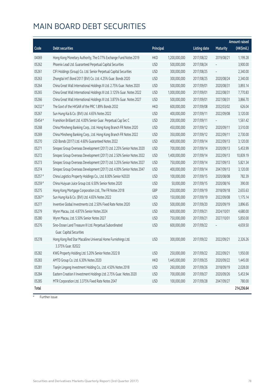# MAIN BOARD DEBT SECURITIES

|         |                                                                          |            |               |                     |                 | Amount raised |
|---------|--------------------------------------------------------------------------|------------|---------------|---------------------|-----------------|---------------|
| Code    | <b>Debt securities</b>                                                   | Principal  |               | <b>Listing date</b> | <b>Maturity</b> | (HK\$mil.)    |
| 04069   | Hong Kong Monetary Authority, The 0.77% Exchange Fund Notes 2019         | <b>HKD</b> | 1,200,000,000 | 2017/08/22          | 2019/08/21      | 1,199.28      |
| 05262   | Phoenix Lead Ltd. Guaranteed Perpetual Capital Securities                | <b>USD</b> | 500,000,000   | 2017/08/24          |                 | 3,900.00      |
| 05261   | CIFI Holdings (Group) Co. Ltd. Senior Perpetual Capital Securities       | <b>USD</b> | 300,000,000   | 2017/08/25          |                 | 2,340.00      |
| 05263   | Zhongtai Int'l Bond 2017 (BVI) Co. Ltd. 4.25% Guar. Bonds 2020           | <b>USD</b> | 300,000,000   | 2017/08/25          | 2020/08/24      | 2,340.00      |
| 05264   | China Great Wall International Holdings III Ltd. 2.75% Guar. Notes 2020  | <b>USD</b> | 500,000,000   | 2017/09/01          | 2020/08/31      | 3,893.14      |
| 05265   | China Great Wall International Holdings III Ltd. 3.125% Guar. Notes 2022 | <b>USD</b> | 1,000,000,000 | 2017/09/01          | 2022/08/31      | 7,770.83      |
| 05266   | China Great Wall International Holdings III Ltd. 3.875% Guar. Notes 2027 | <b>USD</b> | 500,000,000   | 2017/09/01          | 2027/08/31      | 3,866.70      |
| 04232 # | The Govt of the HKSAR of the PRC 1.89% Bonds 2032                        | <b>HKD</b> | 600,000,000   | 2017/09/08          | 2032/03/02      | 626.04        |
| 05267   | Sun Hung Kai & Co. (BVI) Ltd. 4.65% Notes 2022                           | <b>USD</b> | 400,000,000   | 2017/09/11          | 2022/09/08      | 3,120.00      |
| 05454 # | Franshion Brilliant Ltd. 4.00% Senior Guar. Perpetual Cap Sec C          | <b>USD</b> | 200,000,000   | 2017/09/11          |                 | 1,561.42      |
| 05268   | China Minsheng Banking Corp., Ltd. Hong Kong Branch FR Notes 2020        | <b>USD</b> | 450,000,000   | 2017/09/12          | 2020/09/11      | 3,510.00      |
| 05269   | China Minsheng Banking Corp., Ltd. Hong Kong Branch FR Notes 2022        | <b>USD</b> | 350,000,000   | 2017/09/12          | 2022/09/11      | 2,730.00      |
| 05270   | LSD Bonds (2017) Ltd. 4.60% Guaranteed Notes 2022                        | <b>USD</b> | 400,000,000   | 2017/09/14          | 2022/09/13      | 3,120.00      |
| 05271   | Sinopec Group Overseas Development (2017) Ltd. 2.25% Senior Notes 2020   | <b>USD</b> | 700,000,000   | 2017/09/14          | 2020/09/13      | 5,453.99      |
| 05272   | Sinopec Group Overseas Development (2017) Ltd. 2.50% Senior Notes 2022   | <b>USD</b> | 1,400,000,000 | 2017/09/14          | 2022/09/13      | 10,839.19     |
| 05273   | Sinopec Group Overseas Development (2017) Ltd. 3.25% Senior Notes 2027   | <b>USD</b> | 750,000,000   | 2017/09/14          | 2027/09/13      | 5,821.34      |
| 05274   | Sinopec Group Overseas Development (2017) Ltd. 4.00% Senior Notes 2047   | <b>USD</b> | 400,000,000   | 2017/09/14          | 2047/09/13      | 3,120.00      |
| 05257#  | China Logistics Property Holdings Co., Ltd. 8.00% Senior N2020           | <b>USD</b> | 100,000,000   | 2017/09/15          | 2020/08/08      | 782.39        |
| 05259 # | China Huiyuan Juice Group Ltd. 6.50% Senior Notes 2020                   | <b>USD</b> | 50,000,000    | 2017/09/15          | 2020/08/16      | 390.00        |
| 05275   | Hong Kong Mortgage Corporation Ltd., The FR Notes 2018                   | GBP        | 250,000,000   | 2017/09/19          | 2018/09/18      | 2,655.63      |
| 05267#  | Sun Hung Kai & Co. (BVI) Ltd. 4.65% Notes 2022                           | <b>USD</b> | 150,000,000   | 2017/09/19          | 2022/09/08      | 1,175.14      |
| 05277   | Inventive Global Investments Ltd. 2.50% Fixed Rate Notes 2020            | <b>USD</b> | 500,000,000   | 2017/09/20          | 2020/09/19      | 3,896.65      |
| 05279   | Wynn Macau, Ltd. 4.875% Senior Notes 2024                                | <b>USD</b> | 600,000,000   | 2017/09/21          | 2024/10/01      | 4,680.00      |
| 05280   | Wynn Macau, Ltd. 5.50% Senior Notes 2027                                 | <b>USD</b> | 750,000,000   | 2017/09/21          | 2027/10/01      | 5,850.00      |
| 05276   | Sino-Ocean Land Treasure III Ltd. Perpetual Subordinated                 | <b>USD</b> | 600,000,000   | 2017/09/22          |                 | 4,659.50      |
|         | Guar. Capital Securities                                                 |            |               |                     |                 |               |
| 05278   | Hong Kong Red Star Macalline Universal Home Furnishings Ltd.             | <b>USD</b> | 300,000,000   | 2017/09/22          | 2022/09/21      | 2,326.26      |
|         | 3.375% Guar. B2022                                                       |            |               |                     |                 |               |
| 05282   | KWG Property Holding Ltd. 5.20% Senior Notes 2022 B                      | <b>USD</b> | 250,000,000   | 2017/09/22          | 2022/09/21      | 1,950.00      |
| 05283   | AMTD Group Co. Ltd. 6.30% Notes 2020                                     | <b>HKD</b> | 1,445,000,000 | 2017/09/25          | 2020/09/22      | 1,445.00      |
| 05281   | Tianjin Lingang Investment Holding Co., Ltd. 4.50% Notes 2018            | <b>USD</b> | 260,000,000   | 2017/09/26          | 2018/09/19      | 2,028.00      |
| 05284   | Eastern Creation II Investment Holdings Ltd. 2.75% Guar. Notes 2020      | <b>USD</b> | 700,000,000   | 2017/09/27          | 2020/09/26      | 5,453.94      |
| 05285   | MTR Corporation Ltd. 3.375% Fixed Rate Notes 2047                        | <b>USD</b> | 100,000,000   | 2017/09/28          | 2047/09/27      | 780.00        |
| Total   |                                                                          |            |               |                     |                 | 214,236.64    |

# Further issue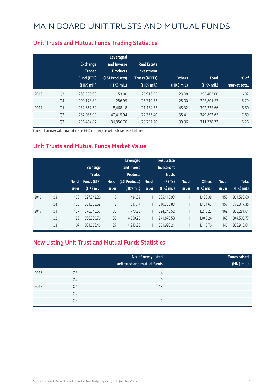|      |                | <b>Exchange</b><br><b>Traded</b><br>Fund (ETF)<br>$(HK\$ mil.) | Leveraged<br>and Inverse<br><b>Products</b><br>(L&I Products)<br>(HK\$ mil.) | <b>Real Estate</b><br>Investment<br><b>Trusts (REITs)</b><br>(HK\$ mil.) | <b>Others</b><br>(HK\$ mil.) | <b>Total</b><br>(HK\$ mil.) | $%$ of<br>market total |
|------|----------------|----------------------------------------------------------------|------------------------------------------------------------------------------|--------------------------------------------------------------------------|------------------------------|-----------------------------|------------------------|
| 2016 | Q <sub>3</sub> | 269.308.99                                                     | 153.00                                                                       | 25.916.93                                                                | 23.08                        | 295,402.00                  | 6.92                   |
|      | Q4             | 200.178.89                                                     | 286.95                                                                       | 25.310.73                                                                | 25.00                        | 225.801.57                  | 5.79                   |
| 2017 | Q1             | 272,667.62                                                     | 8,468.18                                                                     | 21,154.53                                                                | 45.32                        | 302,335.66                  | 6.60                   |
|      | Q <sub>2</sub> | 287.085.90                                                     | 40.415.94                                                                    | 22,355.40                                                                | 35.41                        | 349,892.65                  | 7.69                   |
|      | Q <sub>3</sub> | 256,464.87                                                     | 31,956.70                                                                    | 23,257.20                                                                | 99.96                        | 311,778.73                  | 5.26                   |

#### **Unit Trusts and Mutual Funds Trading Statistics**

Note: Turnover value traded in non-HKD currency securities have been included

#### **Unit Trusts and Mutual Funds Market Value**

|      |                | No. of<br><b>issues</b> | <b>Exchange</b><br><b>Traded</b><br><b>Funds (ETF)</b><br>(HK\$ mil.) | No. of<br><b>issues</b> | Leveraged<br>and Inverse<br><b>Products</b><br>(L&I Products)<br>$(HK$$ mil.) | No. of<br><b>issues</b> | <b>Real Estate</b><br>Investment<br><b>Trusts</b><br>(REITs)<br>(HK\$ mil.) | No. of<br><b>issues</b> | <b>Others</b><br>(HK\$ mil.) | No. of<br><b>issues</b> | <b>Total</b><br>(HK\$ mil.) |
|------|----------------|-------------------------|-----------------------------------------------------------------------|-------------------------|-------------------------------------------------------------------------------|-------------------------|-----------------------------------------------------------------------------|-------------------------|------------------------------|-------------------------|-----------------------------|
| 2016 | Q <sub>3</sub> | 138                     | 627,842.20                                                            | 8                       | 434.09                                                                        | 11                      | 235.115.93                                                                  | 1                       | 1,188.38                     | 158                     | 864,580.60                  |
|      | Q4             | 133                     | 561,308.69                                                            | 12                      | 517.17                                                                        | 11                      | 210,386.83                                                                  | 1                       | 1,134.67                     | 157                     | 773,347.35                  |
| 2017 | Q <sub>1</sub> | 127                     | 576,046.57                                                            | 30                      | 4.773.28                                                                      | 11                      | 224.246.52                                                                  | 1                       | 1,215.23                     | 169                     | 806,281.61                  |
|      | Q <sub>2</sub> | 126                     | 596,939.76                                                            | 30                      | 4,650.20                                                                      | 11                      | 241,870.58                                                                  | 1                       | 1,045.24                     | 168                     | 844,505.77                  |
|      | Q <sub>3</sub> | 107                     | 601,666.46                                                            | 27                      | 4,213.20                                                                      | 11                      | 251,920.21                                                                  | 1                       | 1,110.76                     | 146                     | 858,910.64                  |

#### **New Listing Unit Trust and Mutual Funds Statistics**

|      |                | No. of newly listed<br>unit trust and mutual funds | <b>Funds raised</b><br>(HK\$ mil.) |
|------|----------------|----------------------------------------------------|------------------------------------|
| 2016 | Q3             | 4                                                  | $\overline{\phantom{0}}$           |
|      | Q4             | 9                                                  | $\overline{\phantom{0}}$           |
| 2017 | Q <sub>1</sub> | 18                                                 | $\overline{\phantom{0}}$           |
|      | Q <sub>2</sub> | $\overline{\phantom{m}}$                           | $\overline{\phantom{0}}$           |
|      | Q3             | $\overline{\phantom{a}}$                           | $\overline{\phantom{0}}$           |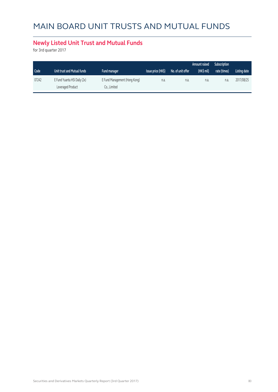# MAIN BOARD UNIT TRUSTS AND MUTUAL FUNDS

#### **Newly Listed Unit Trust and Mutual Funds**

for 3rd quarter 2017

|       |                                                   |                                               |                    |                   | Amount raised | <b>Subscription</b> |              |
|-------|---------------------------------------------------|-----------------------------------------------|--------------------|-------------------|---------------|---------------------|--------------|
| Code  | Unit trust and Mutual funds                       | <b>Fund manager</b>                           | Issue price (HK\$) | No. of unit offer | (HK\$ mil)    | rate (times)        | Listing date |
| 07242 | E Fund Yuanta HSI Daily (2x)<br>Leveraged Product | E Fund Management (Hong Kong)<br>Co., Limited | n.a.               | n.a.              | n.a.          | n.a.                | 2017/08/25   |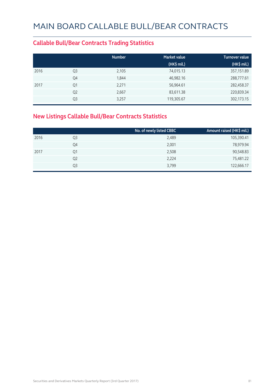#### **Callable Bull/Bear Contracts Trading Statistics**

|      |                | <b>Number</b> | <b>Market value</b> | <b>Turnover value</b> |
|------|----------------|---------------|---------------------|-----------------------|
|      |                |               | (HK\$ mil.)         | (HK\$ mil.)           |
| 2016 | Q <sub>3</sub> | 2,105         | 74,015.13           | 357,151.89            |
|      | Q4             | 1,844         | 46,982.16           | 288,777.61            |
| 2017 | Q1             | 2,271         | 56,964.61           | 282,458.37            |
|      | Q <sub>2</sub> | 2,667         | 83,611.38           | 220,839.34            |
|      | Q <sub>3</sub> | 3,257         | 119,305.67          | 302,173.15            |

#### **New Listings Callable Bull/Bear Contracts Statistics**

|      |                | No. of newly listed CBBC | Amount raised (HK\$ mil.) |
|------|----------------|--------------------------|---------------------------|
| 2016 | Q3             | 2,489                    | 105,390.41                |
|      | Q4             | 2,001                    | 78,979.94                 |
| 2017 | Q1             | 2,508                    | 90,548.83                 |
|      | Q <sub>2</sub> | 2,224                    | 75,481.22                 |
|      | Q3             | 3,799                    | 122,666.17                |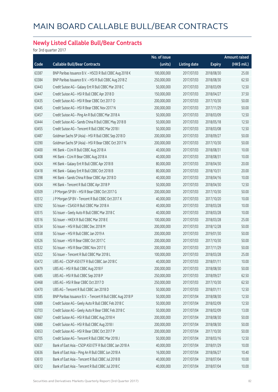#### **Newly Listed Callable Bull/Bear Contracts**

for 3rd quarter 2017

|       |                                                            | No. of issue |                     |               | <b>Amount raised</b> |
|-------|------------------------------------------------------------|--------------|---------------------|---------------|----------------------|
| Code  | <b>Callable Bull/Bear Contracts</b>                        | (units)      | <b>Listing date</b> | <b>Expiry</b> | (HK\$ mil.)          |
| 63387 | BNP Paribas Issuance B.V. - HSCEI R Bull CBBC Aug 2018 K   | 100,000,000  | 2017/07/03          | 2018/08/30    | 25.00                |
| 63384 | BNP Paribas Issuance B.V. - HSI R Bull CBBC Aug 2018 Z     | 250,000,000  | 2017/07/03          | 2018/08/30    | 62.50                |
| 63443 | Credit Suisse AG - Galaxy Ent R Bull CBBC Mar 2018 C       | 50,000,000   | 2017/07/03          | 2018/03/09    | 12.50                |
| 63447 | Credit Suisse AG - HSI R Bull CBBC Apr 2018 D              | 150,000,000  | 2017/07/03          | 2018/04/27    | 37.50                |
| 63435 | Credit Suisse AG - HSI R Bear CBBC Oct 2017 O              | 200,000,000  | 2017/07/03          | 2017/10/30    | 50.00                |
| 63445 | Credit Suisse AG - HSI R Bear CBBC Nov 2017 N              | 200,000,000  | 2017/07/03          | 2017/11/29    | 50.00                |
| 63457 | Credit Suisse AG - Ping An R Bull CBBC Mar 2018 A          | 50,000,000   | 2017/07/03          | 2018/03/09    | 12.50                |
| 63444 | Credit Suisse AG - Sands China R Bull CBBC May 2018 B      | 50,000,000   | 2017/07/03          | 2018/05/18    | 12.50                |
| 63455 | Credit Suisse AG - Tencent R Bull CBBC Mar 2018 I          | 50,000,000   | 2017/07/03          | 2018/03/08    | 12.50                |
| 63487 | Goldman Sachs SP (Asia) - HSI R Bull CBBC Sep 2018 D       | 200,000,000  | 2017/07/03          | 2018/09/27    | 50.00                |
| 63390 | Goldman Sachs SP (Asia) - HSI R Bear CBBC Oct 2017 N       | 200,000,000  | 2017/07/03          | 2017/10/30    | 50.00                |
| 63400 | HK Bank - CUni R Bull CBBC Aug 2018 A                      | 40,000,000   | 2017/07/03          | 2018/08/31    | 10.00                |
| 63408 | HK Bank - CUni R Bear CBBC Aug 2018 A                      | 40,000,000   | 2017/07/03          | 2018/08/31    | 10.00                |
| 63424 | HK Bank - Galaxy Ent R Bull CBBC Apr 2018 B                | 80,000,000   | 2017/07/03          | 2018/04/30    | 20.00                |
| 63418 | HK Bank - Galaxy Ent R Bull CBBC Oct 2018 B                | 80,000,000   | 2017/07/03          | 2018/10/31    | 20.00                |
| 63398 | HK Bank - Sands China R Bear CBBC Apr 2018 D               | 40,000,000   | 2017/07/03          | 2018/04/16    | 10.00                |
| 63434 | HK Bank - Tencent R Bull CBBC Apr 2018 P                   | 50,000,000   | 2017/07/03          | 2018/04/30    | 12.50                |
| 63509 | J P Morgan SP BV - HSI R Bear CBBC Oct 2017 G              | 200,000,000  | 2017/07/03          | 2017/10/30    | 50.00                |
| 63512 | J P Morgan SP BV - Tencent R Bull CBBC Oct 2017 X          | 40,000,000   | 2017/07/03          | 2017/10/20    | 10.00                |
| 63392 | SG Issuer - CSA50 R Bull CBBC Mar 2018 A                   | 40,000,000   | 2017/07/03          | 2018/03/28    | 10.00                |
| 63515 | SG Issuer - Geely Auto R Bull CBBC Mar 2018 C              | 40,000,000   | 2017/07/03          | 2018/03/28    | 10.00                |
| 63516 | SG Issuer - HKEX R Bull CBBC Mar 2018 E                    | 100,000,000  | 2017/07/03          | 2018/03/28    | 25.00                |
| 63534 | SG Issuer - HSI R Bull CBBC Dec 2018 M                     | 200,000,000  | 2017/07/03          | 2018/12/28    | 50.00                |
| 63558 | SG Issuer - HSI R Bull CBBC Jan 2019 A                     | 200,000,000  | 2017/07/03          | 2019/01/30    | 50.00                |
| 63526 | SG Issuer - HSI R Bear CBBC Oct 2017 C                     | 200,000,000  | 2017/07/03          | 2017/10/30    | 50.00                |
| 63532 | SG Issuer - HSI R Bear CBBC Nov 2017 E                     | 200,000,000  | 2017/07/03          | 2017/11/29    | 50.00                |
| 63522 | SG Issuer - Tencent R Bull CBBC Mar 2018 L                 | 100,000,000  | 2017/07/03          | 2018/03/28    | 25.00                |
| 63472 | UBS AG - CSOP A50 ETF R Bull CBBC Jan 2018 C               | 40,000,000   | 2017/07/03          | 2018/01/11    | 10.00                |
| 63479 | UBS AG - HSI R Bull CBBC Aug 2018 F                        | 200,000,000  | 2017/07/03          | 2018/08/30    | 50.00                |
| 63485 | UBS AG - HSI R Bull CBBC Sep 2018 P                        | 250,000,000  | 2017/07/03          | 2018/09/27    | 62.50                |
| 63468 | UBS AG - HSI R Bear CBBC Oct 2017 D                        | 250,000,000  | 2017/07/03          | 2017/10/30    | 62.50                |
| 63470 | UBS AG - Tencent R Bull CBBC Jan 2018 D                    | 50,000,000   | 2017/07/03          | 2018/01/11    | 12.50                |
| 63585 | BNP Paribas Issuance B.V. - Tencent R Bull CBBC Aug 2018 P | 50,000,000   | 2017/07/04          | 2018/08/30    | 12.50                |
| 63689 | Credit Suisse AG - Geely Auto R Bull CBBC Feb 2018 C       | 50,000,000   | 2017/07/04          | 2018/02/09    | 12.50                |
| 63703 | Credit Suisse AG - Geely Auto R Bear CBBC Feb 2018 C       | 50,000,000   | 2017/07/04          | 2018/02/09    | 13.00                |
| 63667 | Credit Suisse AG - HSI R Bull CBBC Aug 2018 H              | 200,000,000  | 2017/07/04          | 2018/08/30    | 50.00                |
| 63680 | Credit Suisse AG - HSI R Bull CBBC Aug 2018 I              | 200,000,000  | 2017/07/04          | 2018/08/30    | 50.00                |
| 63653 | Credit Suisse AG - HSI R Bear CBBC Oct 2017 P              | 200,000,000  | 2017/07/04          | 2017/10/30    | 50.00                |
| 63705 | Credit Suisse AG - Tencent R Bull CBBC Mar 2018 J          | 50,000,000   | 2017/07/04          | 2018/03/16    | 12.50                |
| 63637 | Bank of East Asia - CSOP A50 ETF R Bull CBBC Jan 2018 A    | 40,000,000   | 2017/07/04          | 2018/01/29    | 10.00                |
| 63636 | Bank of East Asia - Ping An R Bull CBBC Jun 2018 A         | 16,000,000   | 2017/07/04          | 2018/06/27    | 10.40                |
| 63610 | Bank of East Asia - Tencent R Bull CBBC Jul 2018 B         | 40,000,000   | 2017/07/04          | 2018/07/04    | 10.00                |
| 63612 | Bank of East Asia - Tencent R Bull CBBC Jul 2018 C         | 40,000,000   | 2017/07/04          | 2018/07/04    | 10.00                |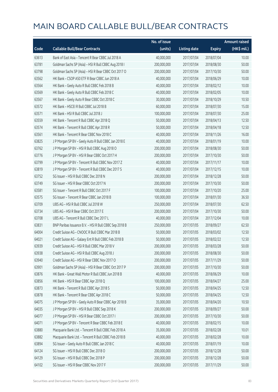|       |                                                        | No. of issue |                     |               | <b>Amount raised</b> |
|-------|--------------------------------------------------------|--------------|---------------------|---------------|----------------------|
| Code  | <b>Callable Bull/Bear Contracts</b>                    | (units)      | <b>Listing date</b> | <b>Expiry</b> | (HK\$ mil.)          |
| 63613 | Bank of East Asia - Tencent R Bear CBBC Jul 2018 A     | 40,000,000   | 2017/07/04          | 2018/07/04    | 10.00                |
| 63781 | Goldman Sachs SP (Asia) - HSI R Bull CBBC Aug 2018 I   | 200,000,000  | 2017/07/04          | 2018/08/30    | 50.00                |
| 63798 | Goldman Sachs SP (Asia) - HSI R Bear CBBC Oct 2017 O   | 200,000,000  | 2017/07/04          | 2017/10/30    | 50.00                |
| 63562 | HK Bank - CSOP A50 ETF R Bear CBBC Jun 2018 A          | 40,000,000   | 2017/07/04          | 2018/06/29    | 10.00                |
| 63564 | HK Bank - Geely Auto R Bull CBBC Feb 2018 B            | 40,000,000   | 2017/07/04          | 2018/02/12    | 10.00                |
| 63569 | HK Bank - Geely Auto R Bull CBBC Feb 2018 C            | 40,000,000   | 2017/07/04          | 2018/02/05    | 10.00                |
| 63567 | HK Bank - Geely Auto R Bear CBBC Oct 2018 C            | 30,000,000   | 2017/07/04          | 2018/10/29    | 10.50                |
| 63572 | HK Bank - HSCEI R Bull CBBC Jul 2018 B                 | 60,000,000   | 2017/07/04          | 2018/07/30    | 15.00                |
| 63571 | HK Bank - HSI R Bull CBBC Jul 2018 J                   | 100,000,000  | 2017/07/04          | 2018/07/30    | 25.00                |
| 63559 | HK Bank - Tencent R Bull CBBC Apr 2018 Q               | 50,000,000   | 2017/07/04          | 2018/04/13    | 12.50                |
| 63574 | HK Bank - Tencent R Bull CBBC Apr 2018 R               | 50,000,000   | 2017/07/04          | 2018/04/18    | 12.50                |
| 63561 | HK Bank - Tencent R Bear CBBC Nov 2018 C               | 40,000,000   | 2017/07/04          | 2018/11/26    | 16.00                |
| 63825 | J P Morgan SP BV - Geely Auto R Bull CBBC Jan 2018 E   | 40,000,000   | 2017/07/04          | 2018/01/19    | 10.00                |
| 63762 | J P Morgan SP BV - HSI R Bull CBBC Aug 2018 O          | 200,000,000  | 2017/07/04          | 2018/08/30    | 50.00                |
| 63776 | J P Morgan SP BV - HSI R Bear CBBC Oct 2017 H          | 200,000,000  | 2017/07/04          | 2017/10/30    | 50.00                |
| 63799 | J P Morgan SP BV - Tencent R Bull CBBC Nov 2017 Z      | 40,000,000   | 2017/07/04          | 2017/11/17    | 10.00                |
| 63819 | J P Morgan SP BV - Tencent R Bull CBBC Dec 2017 S      | 40,000,000   | 2017/07/04          | 2017/12/15    | 10.00                |
| 63752 | SG Issuer - HSI R Bull CBBC Dec 2018 N                 | 200,000,000  | 2017/07/04          | 2018/12/28    | 50.00                |
| 63749 | SG Issuer - HSI R Bear CBBC Oct 2017 N                 | 200,000,000  | 2017/07/04          | 2017/10/30    | 50.00                |
| 63581 | SG Issuer - Tencent R Bull CBBC Oct 2017 F             | 100,000,000  | 2017/07/04          | 2017/10/20    | 25.00                |
| 63575 | SG Issuer - Tencent R Bear CBBC Jan 2018 B             | 100,000,000  | 2017/07/04          | 2018/01/30    | 36.50                |
| 63709 | UBS AG - HSI R Bull CBBC Jul 2018 W                    | 250,000,000  | 2017/07/04          | 2018/07/30    | 62.50                |
| 63734 | UBS AG - HSI R Bear CBBC Oct 2017 E                    | 200,000,000  | 2017/07/04          | 2017/10/30    | 50.00                |
| 63708 | UBS AG - Tencent R Bull CBBC Dec 2017 L                | 40,000,000   | 2017/07/04          | 2017/12/04    | 10.00                |
| 63831 | BNP Paribas Issuance B.V. - HSI R Bull CBBC Sep 2018 B | 250,000,000  | 2017/07/05          | 2018/09/27    | 62.50                |
| 64004 | Credit Suisse AG - CNOOC R Bull CBBC Mar 2018 B        | 50,000,000   | 2017/07/05          | 2018/03/02    | 12.50                |
| 64021 | Credit Suisse AG - Galaxy Ent R Bull CBBC Feb 2018 B   | 50,000,000   | 2017/07/05          | 2018/02/22    | 12.50                |
| 63939 | Credit Suisse AG - HSI R Bull CBBC Mar 2018 V          | 200,000,000  | 2017/07/05          | 2018/03/28    | 50.00                |
| 63938 | Credit Suisse AG - HSI R Bull CBBC Aug 2018 J          | 200,000,000  | 2017/07/05          | 2018/08/30    | 50.00                |
| 63940 | Credit Suisse AG - HSI R Bear CBBC Nov 2017 O          | 200,000,000  | 2017/07/05          | 2017/11/29    | 50.00                |
| 63901 | Goldman Sachs SP (Asia) - HSI R Bear CBBC Oct 2017 P   | 200,000,000  | 2017/07/05          | 2017/10/30    | 50.00                |
| 63876 | HK Bank - Great Wall Motor R Bull CBBC Jun 2018 B      | 40,000,000   | 2017/07/05          | 2018/06/29    | 10.00                |
| 63856 | HK Bank - HSI R Bear CBBC Apr 2018 Q                   | 100,000,000  | 2017/07/05          | 2018/04/27    | 25.00                |
| 63873 | HK Bank - Tencent R Bull CBBC Apr 2018 S               | 50,000,000   | 2017/07/05          | 2018/04/25    | 12.50                |
| 63878 | HK Bank - Tencent R Bear CBBC Apr 2018 C               | 50,000,000   | 2017/07/05          | 2018/04/25    | 12.50                |
| 64075 | J P Morgan SP BV - Geely Auto R Bear CBBC Apr 2018 B   | 35,000,000   | 2017/07/05          | 2018/04/20    | 10.50                |
| 64035 | J P Morgan SP BV - HSI R Bull CBBC Sep 2018 K          | 200,000,000  | 2017/07/05          | 2018/09/27    | 50.00                |
| 64077 | J P Morgan SP BV - HSI R Bear CBBC Oct 2017 I          | 200,000,000  | 2017/07/05          | 2017/10/30    | 50.00                |
| 64071 | J P Morgan SP BV - Tencent R Bear CBBC Feb 2018 E      | 40,000,000   | 2017/07/05          | 2018/02/15    | 10.00                |
| 63880 | Macquarie Bank Ltd. - Tencent R Bull CBBC Feb 2018 A   | 35,000,000   | 2017/07/05          | 2018/02/28    | 10.01                |
| 63882 | Macquarie Bank Ltd. - Tencent R Bull CBBC Feb 2018 B   | 40,000,000   | 2017/07/05          | 2018/02/28    | 10.00                |
| 63894 | SG Issuer - Geely Auto R Bull CBBC Jan 2018 C          | 40,000,000   | 2017/07/05          | 2018/01/19    | 10.00                |
| 64124 | SG Issuer - HSI R Bull CBBC Dec 2018 O                 | 200,000,000  | 2017/07/05          | 2018/12/28    | 50.00                |
| 64129 | SG Issuer - HSI R Bull CBBC Dec 2018 P                 | 200,000,000  | 2017/07/05          | 2018/12/28    | 50.00                |
| 64102 | SG Issuer - HSI R Bear CBBC Nov 2017 F                 | 200,000,000  | 2017/07/05          | 2017/11/29    | 50.00                |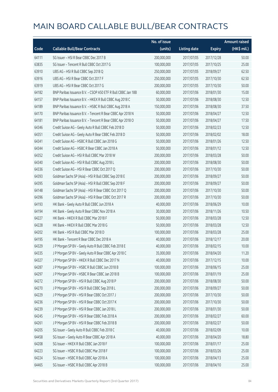|       |                                                              | No. of issue |                     |               | <b>Amount raised</b> |
|-------|--------------------------------------------------------------|--------------|---------------------|---------------|----------------------|
| Code  | <b>Callable Bull/Bear Contracts</b>                          | (units)      | <b>Listing date</b> | <b>Expiry</b> | (HK\$ mil.)          |
| 64111 | SG Issuer - HSI R Bear CBBC Dec 2017 B                       | 200,000,000  | 2017/07/05          | 2017/12/28    | 50.00                |
| 63835 | SG Issuer - Tencent R Bull CBBC Oct 2017 G                   | 100,000,000  | 2017/07/05          | 2017/10/25    | 25.00                |
| 63910 | UBS AG - HSI R Bull CBBC Sep 2018 Q                          | 250,000,000  | 2017/07/05          | 2018/09/27    | 62.50                |
| 63916 | UBS AG - HSI R Bear CBBC Oct 2017 F                          | 250,000,000  | 2017/07/05          | 2017/10/30    | 62.50                |
| 63919 | UBS AG - HSI R Bear CBBC Oct 2017 G                          | 200,000,000  | 2017/07/05          | 2017/10/30    | 50.00                |
| 64182 | BNP Paribas Issuance B.V. - CSOP A50 ETF R Bull CBBC Jan 18B | 60,000,000   | 2017/07/06          | 2018/01/30    | 15.00                |
| 64157 | BNP Paribas Issuance B.V. - HKEX R Bull CBBC Aug 2018 C      | 50,000,000   | 2017/07/06          | 2018/08/30    | 12.50                |
| 64189 | BNP Paribas Issuance B.V. - HSBC R Bull CBBC Aug 2018 A      | 150,000,000  | 2017/07/06          | 2018/08/30    | 37.50                |
| 64170 | BNP Paribas Issuance B.V. - Tencent R Bear CBBC Apr 2018 N   | 50,000,000   | 2017/07/06          | 2018/04/27    | 12.50                |
| 64181 | BNP Paribas Issuance B.V. - Tencent R Bear CBBC Apr 2018 O   | 50,000,000   | 2017/07/06          | 2018/04/27    | 17.50                |
| 64346 | Credit Suisse AG - Geely Auto R Bull CBBC Feb 2018 D         | 50,000,000   | 2017/07/06          | 2018/02/23    | 12.50                |
| 64351 | Credit Suisse AG - Geely Auto R Bear CBBC Feb 2018 D         | 50,000,000   | 2017/07/06          | 2018/02/02    | 18.00                |
| 64341 | Credit Suisse AG - HSBC R Bull CBBC Jan 2018 G               | 50,000,000   | 2017/07/06          | 2018/01/26    | 12.50                |
| 64344 | Credit Suisse AG - HSBC R Bear CBBC Jan 2018 A               | 50,000,000   | 2017/07/06          | 2018/01/12    | 12.50                |
| 64352 | Credit Suisse AG - HSI R Bull CBBC Mar 2018 W                | 200,000,000  | 2017/07/06          | 2018/03/28    | 50.00                |
| 64340 | Credit Suisse AG - HSI R Bull CBBC Aug 2018 L                | 200,000,000  | 2017/07/06          | 2018/08/30    | 50.00                |
| 64336 | Credit Suisse AG - HSI R Bear CBBC Oct 2017 Q                | 200,000,000  | 2017/07/06          | 2017/10/30    | 50.00                |
| 64393 | Goldman Sachs SP (Asia) - HSI R Bull CBBC Sep 2018 E         | 200,000,000  | 2017/07/06          | 2018/09/27    | 50.00                |
| 64395 | Goldman Sachs SP (Asia) - HSI R Bull CBBC Sep 2018 F         | 200,000,000  | 2017/07/06          | 2018/09/27    | 50.00                |
| 64148 | Goldman Sachs SP (Asia) - HSI R Bear CBBC Oct 2017 Q         | 200,000,000  | 2017/07/06          | 2017/10/30    | 50.00                |
| 64396 | Goldman Sachs SP (Asia) - HSI R Bear CBBC Oct 2017 R         | 200,000,000  | 2017/07/06          | 2017/10/30    | 50.00                |
| 64193 | HK Bank - Geely Auto R Bull CBBC Jun 2018 A                  | 40,000,000   | 2017/07/06          | 2018/06/29    | 10.00                |
| 64194 | HK Bank - Geely Auto R Bear CBBC Nov 2018 A                  | 30,000,000   | 2017/07/06          | 2018/11/26    | 10.50                |
| 64227 | HK Bank - HKEX R Bull CBBC Mar 2018 F                        | 50,000,000   | 2017/07/06          | 2018/03/28    | 12.50                |
| 64228 | HK Bank - HKEX R Bull CBBC Mar 2018 G                        | 50,000,000   | 2017/07/06          | 2018/03/28    | 12.50                |
| 64202 | HK Bank - HSI R Bull CBBC Mar 2018 D                         | 100,000,000  | 2017/07/06          | 2018/03/28    | 25.00                |
| 64195 | HK Bank - Tencent R Bear CBBC Dec 2018 A                     | 40,000,000   | 2017/07/06          | 2018/12/17    | 20.00                |
| 64329 | J P Morgan SP BV - Geely Auto R Bull CBBC Feb 2018 E         | 40,000,000   | 2017/07/06          | 2018/02/15    | 10.00                |
| 64335 | J P Morgan SP BV - Geely Auto R Bear CBBC Apr 2018 C         | 35,000,000   | 2017/07/06          | 2018/04/20    | 11.20                |
| 64327 | J P Morgan SP BV - HKEX R Bull CBBC Dec 2017 N               | 40,000,000   | 2017/07/06          | 2017/12/15    | 10.00                |
| 64287 | J P Morgan SP BV - HSBC R Bull CBBC Jun 2018 B               | 100,000,000  | 2017/07/06          | 2018/06/15    | 25.00                |
| 64297 | J P Morgan SP BV - HSBC R Bear CBBC Jan 2018 B               | 100,000,000  | 2017/07/06          | 2018/01/19    | 25.00                |
| 64272 | J P Morgan SP BV - HSI R Bull CBBC Aug 2018 P                | 200,000,000  | 2017/07/06          | 2018/08/30    | 50.00                |
| 64270 | JP Morgan SP BV - HSIR Bull CBBC Sep 2018 L                  | 200,000,000  | 2017/07/06          | 2018/09/27    | 50.00                |
| 64229 | J P Morgan SP BV - HSI R Bear CBBC Oct 2017 J                | 200,000,000  | 2017/07/06          | 2017/10/30    | 50.00                |
| 64236 | J P Morgan SP BV - HSI R Bear CBBC Oct 2017 K                | 200,000,000  | 2017/07/06          | 2017/10/30    | 50.00                |
| 64239 | J P Morgan SP BV - HSI R Bear CBBC Jan 2018 L                | 200,000,000  | 2017/07/06          | 2018/01/30    | 50.00                |
| 64245 | J P Morgan SP BV - HSI R Bear CBBC Feb 2018 A                | 200,000,000  | 2017/07/06          | 2018/02/27    | 60.00                |
| 64261 | J P Morgan SP BV - HSI R Bear CBBC Feb 2018 B                | 200,000,000  | 2017/07/06          | 2018/02/27    | 50.00                |
| 64205 | SG Issuer - Geely Auto R Bull CBBC Feb 2018 C                | 40,000,000   | 2017/07/06          | 2018/02/09    | 10.00                |
| 64458 | SG Issuer - Geely Auto R Bear CBBC Apr 2018 A                | 40,000,000   | 2017/07/06          | 2018/04/20    | 18.80                |
| 64208 | SG Issuer - HKEX R Bull CBBC Jan 2018 F                      | 100,000,000  | 2017/07/06          | 2018/01/17    | 25.00                |
| 64223 | SG Issuer - HSBC R Bull CBBC Mar 2018 F                      | 100,000,000  | 2017/07/06          | 2018/03/26    | 25.00                |
| 64224 | SG Issuer - HSBC R Bull CBBC Apr 2018 A                      | 100,000,000  | 2017/07/06          | 2018/04/13    | 25.00                |
| 64465 | SG Issuer - HSBC R Bull CBBC Apr 2018 B                      | 100,000,000  | 2017/07/06          | 2018/04/10    | 25.00                |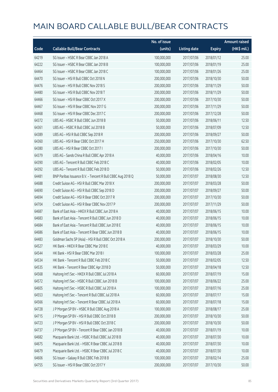|       |                                                            | No. of issue |                     |               | <b>Amount raised</b> |
|-------|------------------------------------------------------------|--------------|---------------------|---------------|----------------------|
| Code  | <b>Callable Bull/Bear Contracts</b>                        | (units)      | <b>Listing date</b> | <b>Expiry</b> | (HK\$ mil.)          |
| 64219 | SG Issuer - HSBC R Bear CBBC Jan 2018 A                    | 100,000,000  | 2017/07/06          | 2018/01/12    | 25.00                |
| 64222 | SG Issuer - HSBC R Bear CBBC Jan 2018 B                    | 100,000,000  | 2017/07/06          | 2018/01/19    | 25.00                |
| 64464 | SG Issuer - HSBC R Bear CBBC Jan 2018 C                    | 100,000,000  | 2017/07/06          | 2018/01/26    | 25.00                |
| 64470 | SG Issuer - HSI R Bull CBBC Oct 2018 N                     | 200,000,000  | 2017/07/06          | 2018/10/30    | 50.00                |
| 64476 | SG Issuer - HSI R Bull CBBC Nov 2018 S                     | 200,000,000  | 2017/07/06          | 2018/11/29    | 50.00                |
| 64480 | SG Issuer - HSI R Bull CBBC Nov 2018 T                     | 200,000,000  | 2017/07/06          | 2018/11/29    | 50.00                |
| 64466 | SG Issuer - HSI R Bear CBBC Oct 2017 X                     | 200,000,000  | 2017/07/06          | 2017/10/30    | 50.00                |
| 64467 | SG Issuer - HSI R Bear CBBC Nov 2017 G                     | 200,000,000  | 2017/07/06          | 2017/11/29    | 50.00                |
| 64468 | SG Issuer - HSI R Bear CBBC Dec 2017 C                     | 200,000,000  | 2017/07/06          | 2017/12/28    | 50.00                |
| 64372 | UBS AG - HSBC R Bull CBBC Jun 2018 B                       | 50,000,000   | 2017/07/06          | 2018/06/11    | 12.50                |
| 64361 | UBS AG - HSBC R Bull CBBC Jul 2018 B                       | 50,000,000   | 2017/07/06          | 2018/07/09    | 12.50                |
| 64389 | UBS AG - HSI R Bull CBBC Sep 2018 R                        | 200,000,000  | 2017/07/06          | 2018/09/27    | 50.00                |
| 64360 | UBS AG - HSI R Bear CBBC Oct 2017 H                        | 250,000,000  | 2017/07/06          | 2017/10/30    | 62.50                |
| 64380 | UBS AG - HSI R Bear CBBC Oct 2017 I                        | 200,000,000  | 2017/07/06          | 2017/10/30    | 50.00                |
| 64379 | UBS AG - Sands China R Bull CBBC Apr 2018 A                | 40,000,000   | 2017/07/06          | 2018/04/16    | 10.00                |
| 64390 | UBS AG - Tencent R Bull CBBC Feb 2018 C                    | 40,000,000   | 2017/07/06          | 2018/02/05    | 10.00                |
| 64392 | UBS AG - Tencent R Bull CBBC Feb 2018 D                    | 50,000,000   | 2017/07/06          | 2018/02/26    | 12.50                |
| 64481 | BNP Paribas Issuance B.V. - Tencent R Bull CBBC Aug 2018 Q | 50,000,000   | 2017/07/07          | 2018/08/30    | 12.50                |
| 64688 | Credit Suisse AG - HSI R Bull CBBC Mar 2018 X              | 200,000,000  | 2017/07/07          | 2018/03/28    | 50.00                |
| 64690 | Credit Suisse AG - HSI R Bull CBBC Sep 2018 D              | 200,000,000  | 2017/07/07          | 2018/09/27    | 50.00                |
| 64694 | Credit Suisse AG - HSI R Bear CBBC Oct 2017 R              | 200,000,000  | 2017/07/07          | 2017/10/30    | 50.00                |
| 64704 | Credit Suisse AG - HSI R Bear CBBC Nov 2017 P              | 200,000,000  | 2017/07/07          | 2017/11/29    | 50.00                |
| 64687 | Bank of East Asia - HKEX R Bull CBBC Jun 2018 A            | 40,000,000   | 2017/07/07          | 2018/06/15    | 10.00                |
| 64683 | Bank of East Asia - Tencent R Bull CBBC Jun 2018 D         | 40,000,000   | 2017/07/07          | 2018/06/15    | 10.00                |
| 64684 | Bank of East Asia - Tencent R Bull CBBC Jun 2018 E         | 40,000,000   | 2017/07/07          | 2018/06/15    | 10.00                |
| 64686 | Bank of East Asia - Tencent R Bear CBBC Jun 2018 B         | 40,000,000   | 2017/07/07          | 2018/06/15    | 10.00                |
| 64483 | Goldman Sachs SP (Asia) - HSI R Bull CBBC Oct 2018 A       | 200,000,000  | 2017/07/07          | 2018/10/30    | 50.00                |
| 64527 | HK Rank - HKEX R Bear CBBC Mar 2018 E                      | 40,000,000   | 2017/07/07          | 2018/03/29    | 10.00                |
| 64544 | HK Bank - HSI R Bear CBBC Mar 2018 I                       | 100,000,000  | 2017/07/07          | 2018/03/28    | 25.00                |
| 64534 | HK Bank - Tencent R Bull CBBC Feb 2018 C                   | 50,000,000   | 2017/07/07          | 2018/02/05    | 12.50                |
| 64535 | HK Bank - Tencent R Bear CBBC Apr 2018 D                   | 50,000,000   | 2017/07/07          | 2018/04/18    | 12.50                |
| 64568 | Haitong Int'l Sec - HKEX R Bull CBBC Jul 2018 A            | 60,000,000   | 2017/07/07          | 2018/07/19    | 15.00                |
| 64572 | Haitong Int'l Sec - HSBC R Bull CBBC Jun 2018 B            | 100,000,000  | 2017/07/07          | 2018/06/22    | 25.00                |
| 64605 | Haitong Int'l Sec - HSBC R Bull CBBC Jul 2018 A            | 100,000,000  | 2017/07/07          | 2018/07/16    | 25.00                |
| 64553 | Haitong Int'l Sec - Tencent R Bull CBBC Jul 2018 A         | 60,000,000   | 2017/07/07          | 2018/07/17    | 15.00                |
| 64566 | Haitong Int'l Sec - Tencent R Bear CBBC Jul 2018 A         | 60,000,000   | 2017/07/07          | 2018/07/18    | 15.00                |
| 64728 | J P Morgan SP BV - HSBC R Bull CBBC Aug 2018 A             | 100,000,000  | 2017/07/07          | 2018/08/17    | 25.00                |
| 64715 | J P Morgan SP BV - HSI R Bull CBBC Oct 2018 B              | 200,000,000  | 2017/07/07          | 2018/10/30    | 50.00                |
| 64723 | JP Morgan SP BV - HSIR Bull CBBC Oct 2018 C                | 200,000,000  | 2017/07/07          | 2018/10/30    | 50.00                |
| 64737 | J P Morgan SP BV - Tencent R Bear CBBC Jan 2018 B          | 40,000,000   | 2017/07/07          | 2018/01/19    | 10.00                |
| 64682 | Macquarie Bank Ltd. - HSBC R Bull CBBC Jul 2018 B          | 40,000,000   | 2017/07/07          | 2018/07/30    | 10.00                |
| 64675 | Macquarie Bank Ltd. - HSBC R Bear CBBC Jul 2018 B          | 40,000,000   | 2017/07/07          | 2018/07/30    | 10.00                |
| 64679 | Macquarie Bank Ltd. - HSBC R Bear CBBC Jul 2018 C          | 40,000,000   | 2017/07/07          | 2018/07/30    | 10.00                |
| 64606 | SG Issuer - Galaxy R Bull CBBC Feb 2018 B                  | 100,000,000  | 2017/07/07          | 2018/02/14    | 25.00                |
| 64755 | SG Issuer - HSI R Bear CBBC Oct 2017 Y                     | 200,000,000  | 2017/07/07          | 2017/10/30    | 50.00                |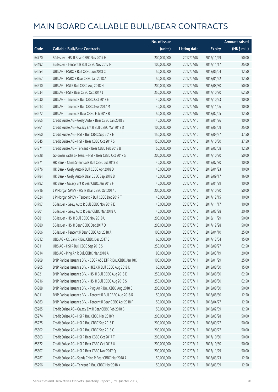|       |                                                              | No. of issue |                     |               | <b>Amount raised</b> |
|-------|--------------------------------------------------------------|--------------|---------------------|---------------|----------------------|
| Code  | <b>Callable Bull/Bear Contracts</b>                          | (units)      | <b>Listing date</b> | <b>Expiry</b> | (HK\$ mil.)          |
| 64770 | SG Issuer - HSI R Bear CBBC Nov 2017 H                       | 200,000,000  | 2017/07/07          | 2017/11/29    | 50.00                |
| 64492 | SG Issuer - Tencent R Bull CBBC Nov 2017 H                   | 100,000,000  | 2017/07/07          | 2017/11/17    | 25.00                |
| 64654 | UBS AG - HSBC R Bull CBBC Jun 2018 C                         | 50,000,000   | 2017/07/07          | 2018/06/04    | 12.50                |
| 64667 | UBS AG - HSBC R Bear CBBC Jan 2018 A                         | 50,000,000   | 2017/07/07          | 2018/01/22    | 12.50                |
| 64610 | UBS AG - HSI R Bull CBBC Aug 2018 N                          | 200,000,000  | 2017/07/07          | 2018/08/30    | 50.00                |
| 64634 | UBS AG - HSI R Bear CBBC Oct 2017 J                          | 250,000,000  | 2017/07/07          | 2017/10/30    | 62.50                |
| 64630 | UBS AG - Tencent R Bull CBBC Oct 2017 E                      | 40,000,000   | 2017/07/07          | 2017/10/23    | 10.00                |
| 64613 | UBS AG - Tencent R Bull CBBC Nov 2017 M                      | 40,000,000   | 2017/07/07          | 2017/11/06    | 10.00                |
| 64672 | UBS AG - Tencent R Bear CBBC Feb 2018 B                      | 50,000,000   | 2017/07/07          | 2018/02/05    | 12.50                |
| 64865 | Credit Suisse AG - Geely Auto R Bear CBBC Jan 2018 B         | 40,000,000   | 2017/07/10          | 2018/01/26    | 10.00                |
| 64861 | Credit Suisse AG - Galaxy Ent R Bull CBBC Mar 2018 D         | 100,000,000  | 2017/07/10          | 2018/03/09    | 25.00                |
| 64860 | Credit Suisse AG - HSI R Bull CBBC Sep 2018 E                | 150,000,000  | 2017/07/10          | 2018/09/27    | 37.50                |
| 64845 | Credit Suisse AG - HSI R Bear CBBC Oct 2017 S                | 150,000,000  | 2017/07/10          | 2017/10/30    | 37.50                |
| 64871 | Credit Suisse AG - Tencent R Bear CBBC Feb 2018 B            | 50,000,000   | 2017/07/10          | 2018/02/08    | 12.50                |
| 64828 | Goldman Sachs SP (Asia) - HSI R Bear CBBC Oct 2017 S         | 200,000,000  | 2017/07/10          | 2017/10/30    | 50.00                |
| 64771 | HK Bank - China Shenhua R Bull CBBC Jul 2018 B               | 40,000,000   | 2017/07/10          | 2018/07/30    | 10.00                |
| 64776 | HK Bank - Geely Auto R Bull CBBC Apr 2018 D                  | 40,000,000   | 2017/07/10          | 2018/04/23    | 10.00                |
| 64784 | HK Bank - Geely Auto R Bear CBBC Sep 2018 B                  | 40,000,000   | 2017/07/10          | 2018/09/17    | 16.00                |
| 64792 | HK Bank - Galaxy Ent R Bear CBBC Jan 2018 F                  | 40,000,000   | 2017/07/10          | 2018/01/29    | 10.00                |
| 64816 | J P Morgan SP BV - HSI R Bear CBBC Oct 2017 L                | 200,000,000  | 2017/07/10          | 2017/10/30    | 50.00                |
| 64824 | J P Morgan SP BV - Tencent R Bull CBBC Dec 2017 T            | 40,000,000   | 2017/07/10          | 2017/12/15    | 10.00                |
| 64797 | SG Issuer - Geely Auto R Bull CBBC Nov 2017 E                | 40,000,000   | 2017/07/10          | 2017/11/17    | 10.00                |
| 64801 | SG Issuer - Geely Auto R Bear CBBC Mar 2018 A                | 40,000,000   | 2017/07/10          | 2018/03/28    | 20.40                |
| 64881 | SG Issuer - HSI R Bull CBBC Nov 2018 U                       | 200,000,000  | 2017/07/10          | 2018/11/29    | 50.00                |
| 64880 | SG Issuer - HSI R Bear CBBC Dec 2017 D                       | 200,000,000  | 2017/07/10          | 2017/12/28    | 50.00                |
| 64806 | SG Issuer - Tencent R Bear CBBC Apr 2018 A                   | 100,000,000  | 2017/07/10          | 2018/04/10    | 25.00                |
| 64812 | UBS AG - CC Bank R Bull CBBC Dec 2017 B                      | 60,000,000   | 2017/07/10          | 2017/12/04    | 15.00                |
| 64811 | UBS AG - HSI R Bull CBBC Sep 2018 S                          | 250,000,000  | 2017/07/10          | 2018/09/27    | 62.50                |
| 64814 | UBS AG - Ping An R Bull CBBC Mar 2018 A                      | 80,000,000   | 2017/07/10          | 2018/03/19    | 20.00                |
| 64909 | BNP Paribas Issuance B.V. - CSOP A50 ETF R Bull CBBC Jan 18C | 100,000,000  | 2017/07/11          | 2018/01/29    | 25.00                |
| 64905 | BNP Paribas Issuance B.V. - HKEX R Bull CBBC Aug 2018 D      | 60,000,000   | 2017/07/11          | 2018/08/30    | 15.00                |
| 64921 | BNP Paribas Issuance B.V. - HSI R Bull CBBC Aug 2018 E       | 250,000,000  | 2017/07/11          | 2018/08/30    | 62.50                |
| 64916 | BNP Paribas Issuance B.V. - HSI R Bull CBBC Aug 2018 S       | 250,000,000  | 2017/07/11          | 2018/08/30    | 62.50                |
| 64888 | BNP Paribas Issuance B.V. - Ping An R Bull CBBC Aug 2018 B   | 200,000,000  | 2017/07/11          | 2018/08/30    | 50.00                |
| 64911 | BNP Paribas Issuance B.V. - Tencent R Bull CBBC Aug 2018 R   | 50,000,000   | 2017/07/11          | 2018/08/30    | 12.50                |
| 64883 | BNP Paribas Issuance B.V. - Tencent R Bear CBBC Apr 2018 P   | 50,000,000   | 2017/07/11          | 2018/04/27    | 12.50                |
| 65285 | Credit Suisse AG - Galaxy Ent R Bear CBBC Feb 2018 B         | 50,000,000   | 2017/07/11          | 2018/02/09    | 12.50                |
| 65274 | Credit Suisse AG - HSI R Bull CBBC Mar 2018 Y                | 200,000,000  | 2017/07/11          | 2018/03/28    | 50.00                |
| 65275 | Credit Suisse AG - HSI R Bull CBBC Sep 2018 F                | 200,000,000  | 2017/07/11          | 2018/09/27    | 50.00                |
| 65302 | Credit Suisse AG - HSI R Bull CBBC Sep 2018 G                | 200,000,000  | 2017/07/11          | 2018/09/27    | 50.00                |
| 65303 | Credit Suisse AG - HSI R Bear CBBC Oct 2017 T                | 200,000,000  | 2017/07/11          | 2017/10/30    | 50.00                |
| 65322 | Credit Suisse AG - HSI R Bear CBBC Oct 2017 U                | 200,000,000  | 2017/07/11          | 2017/10/30    | 50.00                |
| 65307 | Credit Suisse AG - HSI R Bear CBBC Nov 2017 Q                | 200,000,000  | 2017/07/11          | 2017/11/29    | 50.00                |
| 65287 | Credit Suisse AG - Sands China R Bear CBBC Mar 2018 A        | 50,000,000   | 2017/07/11          | 2018/03/23    | 12.50                |
| 65296 | Credit Suisse AG - Tencent R Bull CBBC Mar 2018 K            | 50,000,000   | 2017/07/11          | 2018/03/09    | 12.50                |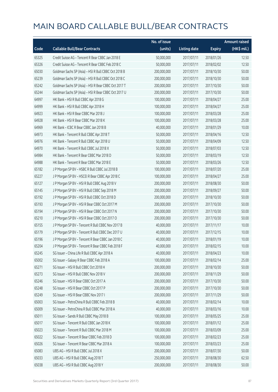|       |                                                      | No. of issue |                     |               | <b>Amount raised</b> |
|-------|------------------------------------------------------|--------------|---------------------|---------------|----------------------|
| Code  | <b>Callable Bull/Bear Contracts</b>                  | (units)      | <b>Listing date</b> | <b>Expiry</b> | (HK\$ mil.)          |
| 65325 | Credit Suisse AG - Tencent R Bear CBBC Jan 2018 E    | 50,000,000   | 2017/07/11          | 2018/01/26    | 12.50                |
| 65326 | Credit Suisse AG - Tencent R Bear CBBC Feb 2018 C    | 50,000,000   | 2017/07/11          | 2018/02/02    | 12.50                |
| 65030 | Goldman Sachs SP (Asia) - HSI R Bull CBBC Oct 2018 B | 200,000,000  | 2017/07/11          | 2018/10/30    | 50.00                |
| 65239 | Goldman Sachs SP (Asia) - HSI R Bull CBBC Oct 2018 C | 200,000,000  | 2017/07/11          | 2018/10/30    | 50.00                |
| 65242 | Goldman Sachs SP (Asia) - HSI R Bear CBBC Oct 2017 T | 200,000,000  | 2017/07/11          | 2017/10/30    | 50.00                |
| 65244 | Goldman Sachs SP (Asia) - HSI R Bear CBBC Oct 2017 U | 200,000,000  | 2017/07/11          | 2017/10/30    | 50.00                |
| 64997 | HK Bank - HSI R Bull CBBC Apr 2018 G                 | 100,000,000  | 2017/07/11          | 2018/04/27    | 25.00                |
| 64999 | HK Bank - HSI R Bull CBBC Apr 2018 H                 | 100,000,000  | 2017/07/11          | 2018/04/27    | 25.00                |
| 64923 | HK Bank - HSI R Bear CBBC Mar 2018 J                 | 100,000,000  | 2017/07/11          | 2018/03/28    | 25.00                |
| 64928 | HK Bank - HSI R Bear CBBC Mar 2018 K                 | 100,000,000  | 2017/07/11          | 2018/03/28    | 25.00                |
| 64969 | HK Bank - ICBC R Bear CBBC Jan 2018 B                | 40,000,000   | 2017/07/11          | 2018/01/29    | 10.00                |
| 64973 | HK Bank - Tencent R Bull CBBC Apr 2018 T             | 50,000,000   | 2017/07/11          | 2018/04/16    | 12.50                |
| 64976 | HK Bank - Tencent R Bull CBBC Apr 2018 U             | 50,000,000   | 2017/07/11          | 2018/04/09    | 12.50                |
| 64970 | HK Bank - Tencent R Bull CBBC Jul 2018 X             | 50,000,000   | 2017/07/11          | 2018/07/03    | 12.50                |
| 64984 | HK Bank - Tencent R Bear CBBC Mar 2018 D             | 50,000,000   | 2017/07/11          | 2018/03/19    | 12.50                |
| 64988 | HK Bank - Tencent R Bear CBBC Mar 2018 E             | 50,000,000   | 2017/07/11          | 2018/03/26    | 12.50                |
| 65182 | J P Morgan SP BV - HSBC R Bull CBBC Jul 2018 B       | 100,000,000  | 2017/07/11          | 2018/07/20    | 25.00                |
| 65227 | JP Morgan SP BV - HSCEIR Bear CBBC Apr 2018 C        | 100,000,000  | 2017/07/11          | 2018/04/27    | 25.00                |
| 65127 | J P Morgan SP BV - HSI R Bull CBBC Aug 2018 V        | 200,000,000  | 2017/07/11          | 2018/08/30    | 50.00                |
| 65145 | J P Morgan SP BV - HSI R Bull CBBC Sep 2018 M        | 200,000,000  | 2017/07/11          | 2018/09/27    | 50.00                |
| 65192 | J P Morgan SP BV - HSI R Bull CBBC Oct 2018 D        | 200,000,000  | 2017/07/11          | 2018/10/30    | 50.00                |
| 65193 | J P Morgan SP BV - HSI R Bear CBBC Oct 2017 M        | 200,000,000  | 2017/07/11          | 2017/10/30    | 50.00                |
| 65194 | J P Morgan SP BV - HSI R Bear CBBC Oct 2017 N        | 200,000,000  | 2017/07/11          | 2017/10/30    | 50.00                |
| 65210 | J P Morgan SP BV - HSI R Bear CBBC Oct 2017 O        | 200,000,000  | 2017/07/11          | 2017/10/30    | 50.00                |
| 65155 | J P Morgan SP BV - Tencent R Bull CBBC Nov 2017 B    | 40,000,000   | 2017/07/11          | 2017/11/17    | 10.00                |
| 65179 | J P Morgan SP BV - Tencent R Bull CBBC Dec 2017 U    | 40,000,000   | 2017/07/11          | 2017/12/15    | 10.00                |
| 65196 | J P Morgan SP BV - Tencent R Bear CBBC Jan 2018 C    | 40,000,000   | 2017/07/11          | 2018/01/19    | 10.00                |
| 65204 | J P Morgan SP BV - Tencent R Bear CBBC Feb 2018 F    | 40,000,000   | 2017/07/11          | 2018/02/15    | 10.00                |
| 65245 | SG Issuer - China Life R Bull CBBC Apr 2018 A        | 40,000,000   | 2017/07/11          | 2018/04/23    | 10.00                |
| 65002 | SG Issuer - Galaxy R Bear CBBC Feb 2018 A            | 100,000,000  | 2017/07/11          | 2018/02/14    | 25.00                |
| 65271 | SG Issuer - HSI R Bull CBBC Oct 2018 H               | 200,000,000  | 2017/07/11          | 2018/10/30    | 50.00                |
| 65273 | SG Issuer - HSI R Bull CBBC Nov 2018 V               | 200,000,000  | 2017/07/11          | 2018/11/29    | 50.00                |
| 65246 | SG Issuer - HSI R Bear CBBC Oct 2017 A               | 200,000,000  | 2017/07/11          | 2017/10/30    | 50.00                |
| 65248 | SG Issuer - HSI R Bear CBBC Oct 2017 P               | 200,000,000  | 2017/07/11          | 2017/10/30    | 50.00                |
| 65249 | SG Issuer - HSI R Bear CBBC Nov 2017 I               | 200,000,000  | 2017/07/11          | 2017/11/29    | 50.00                |
| 65003 | SG Issuer - PetroChina R Bull CBBC Feb 2018 B        | 40,000,000   | 2017/07/11          | 2018/02/14    | 10.00                |
| 65009 | SG Issuer - PetroChina R Bull CBBC Mar 2018 A        | 40,000,000   | 2017/07/11          | 2018/03/16    | 10.00                |
| 65011 | SG Issuer - Sands R Bull CBBC May 2018 B             | 100,000,000  | 2017/07/11          | 2018/05/25    | 25.00                |
| 65017 | SG Issuer - Tencent R Bull CBBC Jan 2018 K           | 100,000,000  | 2017/07/11          | 2018/01/12    | 25.00                |
| 65023 | SG Issuer - Tencent R Bull CBBC Mar 2018 M           | 100,000,000  | 2017/07/11          | 2018/03/09    | 25.00                |
| 65022 | SG Issuer - Tencent R Bear CBBC Feb 2018 D           | 100,000,000  | 2017/07/11          | 2018/02/23    | 25.00                |
| 65026 | SG Issuer - Tencent R Bear CBBC Mar 2018 A           | 100,000,000  | 2017/07/11          | 2018/03/23    | 25.00                |
| 65083 | UBS AG - HSI R Bull CBBC Jul 2018 X                  | 200,000,000  | 2017/07/11          | 2018/07/30    | 50.00                |
| 65033 | UBS AG - HSI R Bull CBBC Aug 2018 T                  | 250,000,000  | 2017/07/11          | 2018/08/30    | 62.50                |
| 65038 | UBS AG - HSI R Bull CBBC Aug 2018 Y                  | 200,000,000  | 2017/07/11          | 2018/08/30    | 50.00                |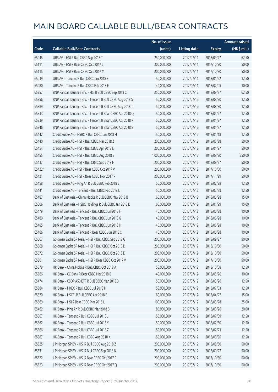|         |                                                            | No. of issue  |                     |               | <b>Amount raised</b> |
|---------|------------------------------------------------------------|---------------|---------------------|---------------|----------------------|
| Code    | <b>Callable Bull/Bear Contracts</b>                        | (units)       | <b>Listing date</b> | <b>Expiry</b> | (HK\$ mil.)          |
| 65045   | UBS AG - HSI R Bull CBBC Sep 2018 T                        | 250,000,000   | 2017/07/11          | 2018/09/27    | 62.50                |
| 65111   | UBS AG - HSI R Bear CBBC Oct 2017 L                        | 200,000,000   | 2017/07/11          | 2017/10/30    | 50.00                |
| 65115   | UBS AG - HSI R Bear CBBC Oct 2017 M                        | 200,000,000   | 2017/07/11          | 2017/10/30    | 50.00                |
| 65039   | UBS AG - Tencent R Bull CBBC Jan 2018 E                    | 50,000,000    | 2017/07/11          | 2018/01/22    | 12.50                |
| 65080   | UBS AG - Tencent R Bull CBBC Feb 2018 E                    | 40,000,000    | 2017/07/11          | 2018/02/05    | 10.00                |
| 65357   | BNP Paribas Issuance B.V. - HSI R Bull CBBC Sep 2018 C     | 250,000,000   | 2017/07/12          | 2018/09/27    | 62.50                |
| 65356   | BNP Paribas Issuance B.V. - Tencent R Bull CBBC Aug 2018 S | 50,000,000    | 2017/07/12          | 2018/08/30    | 12.50                |
| 65389   | BNP Paribas Issuance B.V. - Tencent R Bull CBBC Aug 2018 T | 50,000,000    | 2017/07/12          | 2018/08/30    | 12.50                |
| 65333   | BNP Paribas Issuance B.V. - Tencent R Bear CBBC Apr 2018 Q | 50,000,000    | 2017/07/12          | 2018/04/27    | 12.50                |
| 65339   | BNP Paribas Issuance B.V. - Tencent R Bear CBBC Apr 2018 R | 50,000,000    | 2017/07/12          | 2018/04/27    | 12.50                |
| 65346   | BNP Paribas Issuance B.V. - Tencent R Bear CBBC Apr 2018 S | 50,000,000    | 2017/07/12          | 2018/04/27    | 12.50                |
| 65442   | Credit Suisse AG - HSBC R Bull CBBC Jan 2018 H             | 50,000,000    | 2017/07/12          | 2018/01/18    | 12.50                |
| 65440   | Credit Suisse AG - HSI R Bull CBBC Mar 2018 Z              | 200,000,000   | 2017/07/12          | 2018/03/28    | 50.00                |
| 65454   | Credit Suisse AG - HSI R Bull CBBC Apr 2018 E              | 200,000,000   | 2017/07/12          | 2018/04/27    | 50.00                |
| 65455   | Credit Suisse AG - HSI R Bull CBBC Aug 2018 E              | 1,000,000,000 | 2017/07/12          | 2018/08/30    | 250.00               |
| 65437   | Credit Suisse AG - HSI R Bull CBBC Sep 2018 H              | 200,000,000   | 2017/07/12          | 2018/09/27    | 50.00                |
| 65422 # | Credit Suisse AG - HSI R Bear CBBC Oct 2017 V              | 200,000,000   | 2017/07/12          | 2017/10/30    | 50.00                |
| 65421   | Credit Suisse AG - HSI R Bear CBBC Nov 2017 R              | 200,000,000   | 2017/07/12          | 2017/11/29    | 50.00                |
| 65458   | Credit Suisse AG - Ping An R Bull CBBC Feb 2018 E          | 50,000,000    | 2017/07/12          | 2018/02/28    | 12.50                |
| 65441   | Credit Suisse AG - Tencent R Bull CBBC Feb 2018 L          | 50,000,000    | 2017/07/12          | 2018/02/28    | 12.50                |
| 65487   | Bank of East Asia - China Mobile R Bull CBBC May 2018 B    | 60,000,000    | 2017/07/12          | 2018/05/28    | 15.00                |
| 65506   | Bank of East Asia - HSBC Holdings R Bull CBBC Jan 2018 E   | 60,000,000    | 2017/07/12          | 2018/01/29    | 15.00                |
| 65479   | Bank of East Asia - Tencent R Bull CBBC Jun 2018 F         | 40,000,000    | 2017/07/12          | 2018/06/28    | 10.00                |
| 65480   | Bank of East Asia - Tencent R Bull CBBC Jun 2018 G         | 40,000,000    | 2017/07/12          | 2018/06/28    | 10.00                |
| 65485   | Bank of East Asia - Tencent R Bull CBBC Jun 2018 H         | 40,000,000    | 2017/07/12          | 2018/06/28    | 10.00                |
| 65486   | Bank of East Asia - Tencent R Bear CBBC Jun 2018 C         | 40,000,000    | 2017/07/12          | 2018/06/28    | 10.00                |
| 65567   | Goldman Sachs SP (Asia) - HSI R Bull CBBC Sep 2018 G       | 200,000,000   | 2017/07/12          | 2018/09/27    | 50.00                |
| 65568   | Goldman Sachs SP (Asia) - HSI R Bull CBBC Oct 2018 D       | 200,000,000   | 2017/07/12          | 2018/10/30    | 50.00                |
| 65572   | Goldman Sachs SP (Asia) - HSI R Bull CBBC Oct 2018 E       | 200,000,000   | 2017/07/12          | 2018/10/30    | 50.00                |
| 65361   | Goldman Sachs SP (Asia) - HSI R Bear CBBC Oct 2017 V       | 200,000,000   | 2017/07/12          | 2017/10/30    | 50.00                |
| 65379   | HK Bank - China Mobile R Bull CBBC Oct 2018 A              | 50,000,000    | 2017/07/12          | 2018/10/08    | 12.50                |
| 65386   | HK Bank - CC Bank R Bear CBBC Mar 2018 B                   | 40,000,000    | 2017/07/12          | 2018/03/26    | 10.00                |
| 65474   | HK Bank - CSOP A50 ETF R Bull CBBC Mar 2018 B              | 50,000,000    | 2017/07/12          | 2018/03/26    | 12.50                |
| 65384   | HK Bank - HKEX R Bull CBBC Jul 2018 H                      | 50,000,000    | 2017/07/12          | 2018/07/03    | 12.50                |
| 65370   | HK Bank - HSCEI R Bull CBBC Apr 2018 B                     | 60,000,000    | 2017/07/12          | 2018/04/27    | 15.00                |
| 65369   | HK Bank - HSI R Bear CBBC Mar 2018 L                       | 100,000,000   | 2017/07/12          | 2018/03/28    | 25.00                |
| 65462   | HK Bank - Ping An R Bull CBBC Mar 2018 B                   | 80,000,000    | 2017/07/12          | 2018/03/26    | 20.00                |
| 65367   | HK Bank - Tencent R Bull CBBC Jul 2018 J                   | 50,000,000    | 2017/07/12          | 2018/07/09    | 12.50                |
| 65362   | HK Bank - Tencent R Bull CBBC Jul 2018 Y                   | 50,000,000    | 2017/07/12          | 2018/07/30    | 12.50                |
| 65366   | HK Bank - Tencent R Bull CBBC Jul 2018 Z                   | 50,000,000    | 2017/07/12          | 2018/07/23    | 12.50                |
| 65387   | HK Bank - Tencent R Bull CBBC Aug 2018 K                   | 50,000,000    | 2017/07/12          | 2018/08/06    | 12.50                |
| 65525   | J P Morgan SP BV - HSI R Bull CBBC Aug 2018 Z              | 200,000,000   | 2017/07/12          | 2018/08/30    | 50.00                |
| 65531   | J P Morgan SP BV - HSI R Bull CBBC Sep 2018 N              | 200,000,000   | 2017/07/12          | 2018/09/27    | 50.00                |
| 65522   | J P Morgan SP BV - HSI R Bear CBBC Oct 2017 P              | 200,000,000   | 2017/07/12          | 2017/10/30    | 50.00                |
| 65523   | J P Morgan SP BV - HSI R Bear CBBC Oct 2017 Q              | 200,000,000   | 2017/07/12          | 2017/10/30    | 50.00                |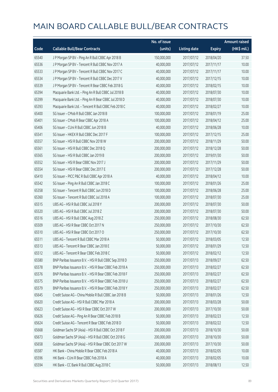|       |                                                        | No. of issue |                     |               | <b>Amount raised</b>  |
|-------|--------------------------------------------------------|--------------|---------------------|---------------|-----------------------|
| Code  | <b>Callable Bull/Bear Contracts</b>                    | (units)      | <b>Listing date</b> | <b>Expiry</b> | $(HK\frac{1}{2}mil.)$ |
| 65540 | J P Morgan SP BV - Ping An R Bull CBBC Apr 2018 B      | 150,000,000  | 2017/07/12          | 2018/04/20    | 37.50                 |
| 65536 | J P Morgan SP BV - Tencent R Bull CBBC Nov 2017 A      | 40,000,000   | 2017/07/12          | 2017/11/17    | 10.00                 |
| 65533 | J P Morgan SP BV - Tencent R Bull CBBC Nov 2017 C      | 40,000,000   | 2017/07/12          | 2017/11/17    | 10.00                 |
| 65534 | J P Morgan SP BV - Tencent R Bull CBBC Dec 2017 V      | 40,000,000   | 2017/07/12          | 2017/12/15    | 10.00                 |
| 65539 | J P Morgan SP BV - Tencent R Bear CBBC Feb 2018 G      | 40,000,000   | 2017/07/12          | 2018/02/15    | 10.00                 |
| 65394 | Macquarie Bank Ltd. - Ping An R Bull CBBC Jul 2018 B   | 40,000,000   | 2017/07/12          | 2018/07/30    | 10.00                 |
| 65399 | Macquarie Bank Ltd. - Ping An R Bear CBBC Jul 2018 D   | 40,000,000   | 2017/07/12          | 2018/07/30    | 10.00                 |
| 65393 | Macquarie Bank Ltd. - Tencent R Bull CBBC Feb 2018 C   | 40,000,000   | 2017/07/12          | 2018/02/27    | 10.00                 |
| 65400 | SG Issuer - CMob R Bull CBBC Jan 2018 B                | 100,000,000  | 2017/07/12          | 2018/01/19    | 25.00                 |
| 65401 | SG Issuer - CMob R Bear CBBC Apr 2018 A                | 100,000,000  | 2017/07/12          | 2018/04/12    | 25.00                 |
| 65406 | SG Issuer - CUni R Bull CBBC Jun 2018 B                | 40,000,000   | 2017/07/12          | 2018/06/28    | 10.00                 |
| 65541 | SG Issuer - HKEX R Bull CBBC Dec 2017 F                | 100,000,000  | 2017/07/12          | 2017/12/15    | 25.00                 |
| 65557 | SG Issuer - HSI R Bull CBBC Nov 2018 W                 | 200,000,000  | 2017/07/12          | 2018/11/29    | 50.00                 |
| 65561 | SG Issuer - HSI R Bull CBBC Dec 2018 Q                 | 200,000,000  | 2017/07/12          | 2018/12/28    | 50.00                 |
| 65565 | SG Issuer - HSI R Bull CBBC Jan 2019 B                 | 200,000,000  | 2017/07/12          | 2019/01/30    | 50.00                 |
| 65552 | SG Issuer - HSI R Bear CBBC Nov 2017 J                 | 200,000,000  | 2017/07/12          | 2017/11/29    | 50.00                 |
| 65554 | SG Issuer - HSI R Bear CBBC Dec 2017 E                 | 200,000,000  | 2017/07/12          | 2017/12/28    | 50.00                 |
| 65410 | SG Issuer - PICC P&C R Bull CBBC Apr 2018 A            | 40,000,000   | 2017/07/12          | 2018/04/12    | 10.00                 |
| 65542 | SG Issuer - Ping An R Bull CBBC Jan 2018 C             | 100,000,000  | 2017/07/12          | 2018/01/26    | 25.00                 |
| 65358 | SG Issuer - Tencent R Bull CBBC Jun 2018 D             | 100,000,000  | 2017/07/12          | 2018/06/28    | 25.00                 |
| 65360 | SG Issuer - Tencent R Bull CBBC Jul 2018 A             | 100,000,000  | 2017/07/12          | 2018/07/30    | 25.00                 |
| 65515 | UBS AG - HSI R Bull CBBC Jul 2018 Y                    | 200,000,000  | 2017/07/12          | 2018/07/30    | 50.00                 |
| 65520 | UBS AG - HSI R Bull CBBC Jul 2018 Z                    | 200,000,000  | 2017/07/12          | 2018/07/30    | 50.00                 |
| 65516 | UBS AG - HSI R Bull CBBC Aug 2018 Z                    | 250,000,000  | 2017/07/12          | 2018/08/30    | 62.50                 |
| 65509 | UBS AG - HSI R Bear CBBC Oct 2017 N                    | 250,000,000  | 2017/07/12          | 2017/10/30    | 62.50                 |
| 65510 | UBS AG - HSI R Bear CBBC Oct 2017 O                    | 250,000,000  | 2017/07/12          | 2017/10/30    | 62.50                 |
| 65511 | UBS AG - Tencent R Bull CBBC Mar 2018 A                | 50,000,000   | 2017/07/12          | 2018/03/05    | 12.50                 |
| 65513 | UBS AG - Tencent R Bear CBBC Jan 2018 E                | 50,000,000   | 2017/07/12          | 2018/01/29    | 12.50                 |
| 65512 | UBS AG - Tencent R Bear CBBC Feb 2018 C                | 50,000,000   | 2017/07/12          | 2018/02/12    | 12.50                 |
| 65580 | BNP Paribas Issuance B.V. - HSI R Bull CBBC Sep 2018 D | 250,000,000  | 2017/07/13          | 2018/09/27    | 62.50                 |
| 65578 | BNP Paribas Issuance B.V. - HSI R Bear CBBC Feb 2018 A | 250,000,000  | 2017/07/13          | 2018/02/27    | 62.50                 |
| 65576 | BNP Paribas Issuance B.V. - HSI R Bear CBBC Feb 2018 F | 250,000,000  | 2017/07/13          | 2018/02/27    | 62.50                 |
| 65575 | BNP Paribas Issuance B.V. - HSI R Bear CBBC Feb 2018 U | 250,000,000  | 2017/07/13          | 2018/02/27    | 62.50                 |
| 65579 | BNP Paribas Issuance B.V. - HSI R Bear CBBC Feb 2018 Y | 250,000,000  | 2017/07/13          | 2018/02/27    | 62.50                 |
| 65645 | Credit Suisse AG - China Mobile R Bull CBBC Jan 2018 B | 50,000,000   | 2017/07/13          | 2018/01/26    | 12.50                 |
| 65620 | Credit Suisse AG - HSI R Bull CBBC Mar 2018 A          | 200,000,000  | 2017/07/13          | 2018/03/28    | 50.00                 |
| 65623 | Credit Suisse AG - HSI R Bear CBBC Oct 2017 W          | 200,000,000  | 2017/07/13          | 2017/10/30    | 50.00                 |
| 65626 | Credit Suisse AG - Ping An R Bear CBBC Feb 2018 B      | 50,000,000   | 2017/07/13          | 2018/02/23    | 12.50                 |
| 65624 | Credit Suisse AG - Tencent R Bear CBBC Feb 2018 D      | 50,000,000   | 2017/07/13          | 2018/02/22    | 12.50                 |
| 65668 | Goldman Sachs SP (Asia) - HSI R Bull CBBC Oct 2018 F   | 200,000,000  | 2017/07/13          | 2018/10/30    | 50.00                 |
| 65673 | Goldman Sachs SP (Asia) - HSI R Bull CBBC Oct 2018 G   | 200,000,000  | 2017/07/13          | 2018/10/30    | 50.00                 |
| 65658 | Goldman Sachs SP (Asia) - HSI R Bear CBBC Oct 2017 W   | 200,000,000  | 2017/07/13          | 2017/10/30    | 50.00                 |
| 65587 | HK Bank - China Mobile R Bear CBBC Feb 2018 A          | 40,000,000   | 2017/07/13          | 2018/02/05    | 10.00                 |
| 65596 | HK Bank - CUni R Bear CBBC Feb 2018 A                  | 40,000,000   | 2017/07/13          | 2018/02/05    | 10.00                 |
| 65594 | HK Bank - CC Bank R Bull CBBC Aug 2018 C               | 50,000,000   | 2017/07/13          | 2018/08/13    | 12.50                 |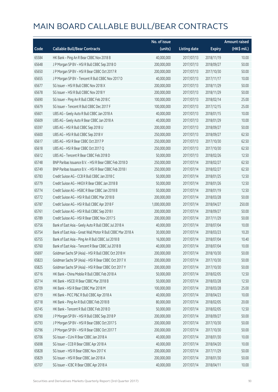|       |                                                             | No. of issue  |                     |               | <b>Amount raised</b> |
|-------|-------------------------------------------------------------|---------------|---------------------|---------------|----------------------|
| Code  | <b>Callable Bull/Bear Contracts</b>                         | (units)       | <b>Listing date</b> | <b>Expiry</b> | (HK\$ mil.)          |
| 65584 | HK Bank - Ping An R Bear CBBC Nov 2018 B                    | 40,000,000    | 2017/07/13          | 2018/11/19    | 10.00                |
| 65648 | J P Morgan SP BV - HSI R Bull CBBC Sep 2018 O               | 200,000,000   | 2017/07/13          | 2018/09/27    | 50.00                |
| 65650 | J P Morgan SP BV - HSI R Bear CBBC Oct 2017 R               | 200,000,000   | 2017/07/13          | 2017/10/30    | 50.00                |
| 65655 | J P Morgan SP BV - Tencent R Bull CBBC Nov 2017 D           | 40,000,000    | 2017/07/13          | 2017/11/17    | 10.00                |
| 65677 | SG Issuer - HSI R Bull CBBC Nov 2018 X                      | 200,000,000   | 2017/07/13          | 2018/11/29    | 50.00                |
| 65678 | SG Issuer - HSI R Bull CBBC Nov 2018 Y                      | 200,000,000   | 2017/07/13          | 2018/11/29    | 50.00                |
| 65690 | SG Issuer - Ping An R Bull CBBC Feb 2018 C                  | 100,000,000   | 2017/07/13          | 2018/02/14    | 25.00                |
| 65679 | SG Issuer - Tencent R Bull CBBC Dec 2017 F                  | 100,000,000   | 2017/07/13          | 2017/12/15    | 25.00                |
| 65601 | UBS AG - Geely Auto R Bull CBBC Jan 2018 A                  | 40,000,000    | 2017/07/13          | 2018/01/15    | 10.00                |
| 65609 | UBS AG - Geely Auto R Bear CBBC Jan 2018 A                  | 40,000,000    | 2017/07/13          | 2018/01/29    | 10.00                |
| 65597 | UBS AG - HSI R Bull CBBC Sep 2018 U                         | 200,000,000   | 2017/07/13          | 2018/09/27    | 50.00                |
| 65600 | UBS AG - HSI R Bull CBBC Sep 2018 V                         | 250,000,000   | 2017/07/13          | 2018/09/27    | 62.50                |
| 65617 | UBS AG - HSI R Bear CBBC Oct 2017 P                         | 250,000,000   | 2017/07/13          | 2017/10/30    | 62.50                |
| 65618 | UBS AG - HSI R Bear CBBC Oct 2017 Q                         | 250,000,000   | 2017/07/13          | 2017/10/30    | 62.50                |
| 65612 | UBS AG - Tencent R Bear CBBC Feb 2018 D                     | 50,000,000    | 2017/07/13          | 2018/02/26    | 12.50                |
| 65748 | BNP Paribas Issuance B.V. - HSI R Bear CBBC Feb 2018 D      | 250,000,000   | 2017/07/14          | 2018/02/27    | 62.50                |
| 65749 | BNP Paribas Issuance B.V. - HSI R Bear CBBC Feb 2018 I      | 250,000,000   | 2017/07/14          | 2018/02/27    | 62.50                |
| 65783 | Credit Suisse AG - CCB R Bull CBBC Jan 2018 C               | 50,000,000    | 2017/07/14          | 2018/01/25    | 12.50                |
| 65779 | Credit Suisse AG - HKEX R Bear CBBC Jan 2018 B              | 50,000,000    | 2017/07/14          | 2018/01/26    | 12.50                |
| 65774 | Credit Suisse AG - HSBC R Bear CBBC Jan 2018 B              | 50,000,000    | 2017/07/14          | 2018/01/19    | 12.50                |
| 65772 | Credit Suisse AG - HSI R Bull CBBC Mar 2018 B               | 200,000,000   | 2017/07/14          | 2018/03/28    | 50.00                |
| 65787 | Credit Suisse AG - HSI R Bull CBBC Apr 2018 F               | 1,000,000,000 | 2017/07/14          | 2018/04/27    | 250.00               |
| 65761 | Credit Suisse AG - HSI R Bull CBBC Sep 2018 I               | 200,000,000   | 2017/07/14          | 2018/09/27    | 50.00                |
| 65789 | Credit Suisse AG - HSI R Bear CBBC Nov 2017 S               | 200,000,000   | 2017/07/14          | 2017/11/29    | 50.00                |
| 65756 | Bank of East Asia - Geely Auto R Bull CBBC Jul 2018 A       | 40,000,000    | 2017/07/14          | 2018/07/04    | 10.00                |
| 65754 | Bank of East Asia - Great Wall Motor R Bull CBBC Mar 2018 A | 30,000,000    | 2017/07/14          | 2018/03/23    | 10.20                |
| 65755 | Bank of East Asia - Ping An R Bull CBBC Jul 2018 B          | 16,000,000    | 2017/07/14          | 2018/07/04    | 10.40                |
| 65760 | Bank of East Asia – Tencent R Bear CBBC Jul 2018 B          | 40,000,000    | 2017/07/14          | 2018/07/04    | 10.00                |
| 65697 | Goldman Sachs SP (Asia) - HSI R Bull CBBC Oct 2018 H        | 200,000,000   | 2017/07/14          | 2018/10/30    | 50.00                |
| 65823 | Goldman Sachs SP (Asia) - HSI R Bear CBBC Oct 2017 X        | 200,000,000   | 2017/07/14          | 2017/10/30    | 50.00                |
| 65825 | Goldman Sachs SP (Asia) - HSI R Bear CBBC Oct 2017 Y        | 200,000,000   | 2017/07/14          | 2017/10/30    | 50.00                |
| 65716 | HK Bank - China Mobile R Bull CBBC Feb 2018 A               | 50,000,000    | 2017/07/14          | 2018/02/05    | 12.50                |
| 65714 | HK Bank - HSCEI R Bear CBBC Mar 2018 B                      | 50,000,000    | 2017/07/14          | 2018/03/28    | 12.50                |
| 65709 | HK Bank - HSI R Bear CBBC Mar 2018 M                        | 100,000,000   | 2017/07/14          | 2018/03/28    | 25.00                |
| 65719 | HK Bank - PICC P&C R Bull CBBC Apr 2018 A                   | 40,000,000    | 2017/07/14          | 2018/04/23    | 10.00                |
| 65718 | HK Bank - Ping An R Bull CBBC Feb 2018 B                    | 80,000,000    | 2017/07/14          | 2018/02/05    | 20.00                |
| 65745 | HK Bank - Tencent R Bull CBBC Feb 2018 D                    | 50,000,000    | 2017/07/14          | 2018/02/05    | 12.50                |
| 65790 | J P Morgan SP BV - HSI R Bull CBBC Sep 2018 P               | 200,000,000   | 2017/07/14          | 2018/09/27    | 50.00                |
| 65793 | JP Morgan SP BV - HSIR Bear CBBC Oct 2017 S                 | 200,000,000   | 2017/07/14          | 2017/10/30    | 50.00                |
| 65796 | J P Morgan SP BV - HSI R Bear CBBC Oct 2017 T               | 200,000,000   | 2017/07/14          | 2017/10/30    | 50.00                |
| 65706 | SG Issuer - CUni R Bear CBBC Jan 2018 A                     | 40,000,000    | 2017/07/14          | 2018/01/30    | 10.00                |
| 65698 | SG Issuer - CCB R Bear CBBC Apr 2018 A                      | 40,000,000    | 2017/07/14          | 2018/04/20    | 10.00                |
| 65828 | SG Issuer - HSI R Bear CBBC Nov 2017 K                      | 200,000,000   | 2017/07/14          | 2017/11/29    | 50.00                |
| 65829 | SG Issuer - HSI R Bear CBBC Jan 2018 A                      | 200,000,000   | 2017/07/14          | 2018/01/30    | 50.00                |
| 65707 | SG Issuer - ICBC R Bear CBBC Apr 2018 A                     | 40,000,000    | 2017/07/14          | 2018/04/11    | 10.00                |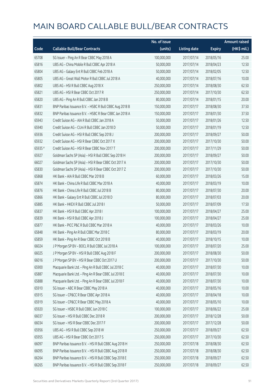|         |                                                         | No. of issue |                     |               | <b>Amount raised</b> |
|---------|---------------------------------------------------------|--------------|---------------------|---------------|----------------------|
| Code    | <b>Callable Bull/Bear Contracts</b>                     | (units)      | <b>Listing date</b> | <b>Expiry</b> | $(HK\$ mil.)         |
| 65708   | SG Issuer - Ping An R Bear CBBC May 2018 A              | 100,000,000  | 2017/07/14          | 2018/05/16    | 25.00                |
| 65816   | UBS AG - China Mobile R Bull CBBC Apr 2018 A            | 50,000,000   | 2017/07/14          | 2018/04/23    | 12.50                |
| 65804   | UBS AG - Galaxy Ent R Bull CBBC Feb 2018 A              | 50,000,000   | 2017/07/14          | 2018/02/05    | 12.50                |
| 65805   | UBS AG - Great Wall Motor R Bull CBBC Jul 2018 A        | 40,000,000   | 2017/07/14          | 2018/07/16    | 10.00                |
| 65802   | UBS AG - HSI R Bull CBBC Aug 2018 X                     | 250,000,000  | 2017/07/14          | 2018/08/30    | 62.50                |
| 65821   | UBS AG - HSI R Bear CBBC Oct 2017 R                     | 250,000,000  | 2017/07/14          | 2017/10/30    | 62.50                |
| 65820   | UBS AG - Ping An R Bull CBBC Jan 2018 B                 | 80,000,000   | 2017/07/14          | 2018/01/15    | 20.00                |
| 65831   | BNP Paribas Issuance B.V. - HSBC R Bull CBBC Aug 2018 B | 150,000,000  | 2017/07/17          | 2018/08/30    | 37.50                |
| 65832   | BNP Paribas Issuance B.V. - HSBC R Bear CBBC Jan 2018 A | 150,000,000  | 2017/07/17          | 2018/01/30    | 37.50                |
| 65943   | Credit Suisse AG - AIA R Bull CBBC Jan 2018 A           | 50,000,000   | 2017/07/17          | 2018/01/26    | 12.50                |
| 65940   | Credit Suisse AG - CUni R Bull CBBC Jan 2018 D          | 50,000,000   | 2017/07/17          | 2018/01/19    | 12.50                |
| 65936   | Credit Suisse AG - HSI R Bull CBBC Sep 2018 J           | 200,000,000  | 2017/07/17          | 2018/09/27    | 50.00                |
| 65932   | Credit Suisse AG - HSI R Bear CBBC Oct 2017 X           | 200,000,000  | 2017/07/17          | 2017/10/30    | 50.00                |
| 65935 # | Credit Suisse AG - HSI R Bear CBBC Nov 2017 T           | 200,000,000  | 2017/07/17          | 2017/11/29    | 50.00                |
| 65927   | Goldman Sachs SP (Asia) - HSI R Bull CBBC Sep 2018 H    | 200,000,000  | 2017/07/17          | 2018/09/27    | 50.00                |
| 66027   | Goldman Sachs SP (Asia) - HSI R Bear CBBC Oct 2017 A    | 200,000,000  | 2017/07/17          | 2017/10/30    | 50.00                |
| 65830   | Goldman Sachs SP (Asia) - HSI R Bear CBBC Oct 2017 Z    | 200,000,000  | 2017/07/17          | 2017/10/30    | 50.00                |
| 65868   | HK Bank - AIA R Bull CBBC Mar 2018 B                    | 60,000,000   | 2017/07/17          | 2018/03/26    | 15.00                |
| 65874   | HK Bank - China Life R Bull CBBC Mar 2018 A             | 40,000,000   | 2017/07/17          | 2018/03/19    | 10.00                |
| 65876   | HK Bank - China Life R Bull CBBC Jul 2018 B             | 80,000,000   | 2017/07/17          | 2018/07/30    | 20.00                |
| 65866   | HK Bank - Galaxy Ent R Bull CBBC Jul 2018 D             | 80,000,000   | 2017/07/17          | 2018/07/03    | 20.00                |
| 65885   | HK Bank - HKEX R Bull CBBC Jul 2018 I                   | 50,000,000   | 2017/07/17          | 2018/07/09    | 17.50                |
| 65837   | HK Bank - HSI R Bull CBBC Apr 2018 I                    | 100,000,000  | 2017/07/17          | 2018/04/27    | 25.00                |
| 65839   | HK Bank - HSI R Bull CBBC Apr 2018 J                    | 100,000,000  | 2017/07/17          | 2018/04/27    | 25.00                |
| 65877   | HK Bank - PICC P&C R Bull CBBC Mar 2018 A               | 40,000,000   | 2017/07/17          | 2018/03/26    | 10.00                |
| 65848   | HK Bank - Ping An R Bull CBBC Mar 2018 C                | 80,000,000   | 2017/07/17          | 2018/03/19    | 20.00                |
| 65859   | HK Bank - Ping An R Bear CBBC Oct 2018 B                | 40,000,000   | 2017/07/17          | 2018/10/15    | 10.00                |
| 66024   | J P Morgan SP BV - BOCL R Bull CBBC Jul 2018 A          | 100,000,000  | 2017/07/17          | 2018/07/20    | 25.00                |
| 66025   | J P Morgan SP BV - HSI R Bull CBBC Aug 2018 F           | 200,000,000  | 2017/07/17          | 2018/08/30    | 50.00                |
| 66016   | J P Morgan SP BV - HSI R Bear CBBC Oct 2017 U           | 200,000,000  | 2017/07/17          | 2017/10/30    | 50.00                |
| 65900   | Macquarie Bank Ltd. - Ping An R Bull CBBC Jul 2018 C    | 40,000,000   | 2017/07/17          | 2018/07/30    | 10.00                |
| 65887   | Macquarie Bank Ltd. - Ping An R Bear CBBC Jul 2018 E    | 40,000,000   | 2017/07/17          | 2018/07/30    | 10.00                |
| 65888   | Macquarie Bank Ltd. - Ping An R Bear CBBC Jul 2018 F    | 40,000,000   | 2017/07/17          | 2018/07/30    | 10.00                |
| 65910   | SG Issuer - ABC R Bear CBBC May 2018 A                  | 40,000,000   | 2017/07/17          | 2018/05/16    | 10.00                |
| 65915   | SG Issuer - CP&CC R Bear CBBC Apr 2018 A                | 40,000,000   | 2017/07/17          | 2018/04/18    | 10.00                |
| 65919   | SG Issuer - CP&CC R Bear CBBC May 2018 A                | 40,000,000   | 2017/07/17          | 2018/05/10    | 10.00                |
| 65920   | SG Issuer - HSBC R Bull CBBC Jun 2018 C                 | 100,000,000  | 2017/07/17          | 2018/06/22    | 25.00                |
| 66037   | SG Issuer - HSI R Bull CBBC Dec 2018 R                  | 200,000,000  | 2017/07/17          | 2018/12/28    | 50.00                |
| 66034   | SG Issuer - HSI R Bear CBBC Dec 2017 F                  | 200,000,000  | 2017/07/17          | 2017/12/28    | 50.00                |
| 65956   | UBS AG - HSI R Bull CBBC Sep 2018 W                     | 250,000,000  | 2017/07/17          | 2018/09/27    | 62.50                |
| 65955   | UBS AG - HSI R Bear CBBC Oct 2017 S                     | 250,000,000  | 2017/07/17          | 2017/10/30    | 62.50                |
| 66097   | BNP Paribas Issuance B.V. - HSI R Bull CBBC Aug 2018 H  | 250,000,000  | 2017/07/18          | 2018/08/30    | 62.50                |
| 66095   | BNP Paribas Issuance B.V. - HSI R Bull CBBC Aug 2018 R  | 250,000,000  | 2017/07/18          | 2018/08/30    | 62.50                |
| 66264   | BNP Paribas Issuance B.V. - HSI R Bull CBBC Sep 2018 E  | 250,000,000  | 2017/07/18          | 2018/09/27    | 62.50                |
| 66265   | BNP Paribas Issuance B.V. - HSI R Bull CBBC Sep 2018 F  | 250,000,000  | 2017/07/18          | 2018/09/27    | 62.50                |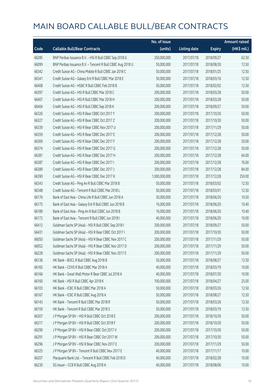|       |                                                            | No. of issue  |                     |               | <b>Amount raised</b>  |
|-------|------------------------------------------------------------|---------------|---------------------|---------------|-----------------------|
| Code  | <b>Callable Bull/Bear Contracts</b>                        | (units)       | <b>Listing date</b> | <b>Expiry</b> | $(HK\frac{1}{2}mil.)$ |
| 66285 | BNP Paribas Issuance B.V. - HSI R Bull CBBC Sep 2018 G     | 250,000,000   | 2017/07/18          | 2018/09/27    | 62.50                 |
| 66099 | BNP Paribas Issuance B.V. - Tencent R Bull CBBC Aug 2018 U | 50,000,000    | 2017/07/18          | 2018/08/30    | 12.50                 |
| 66342 | Credit Suisse AG - China Mobile R Bull CBBC Jan 2018 C     | 50,000,000    | 2017/07/18          | 2018/01/25    | 12.50                 |
| 66341 | Credit Suisse AG - Galaxy Ent R Bull CBBC Mar 2018 E       | 50,000,000    | 2017/07/18          | 2018/03/16    | 12.50                 |
| 66408 | Credit Suisse AG - HSBC R Bull CBBC Feb 2018 B             | 50,000,000    | 2017/07/18          | 2018/02/02    | 12.50                 |
| 66397 | Credit Suisse AG - HSI R Bull CBBC Mar 2018 C              | 200,000,000   | 2017/07/18          | 2018/03/28    | 50.00                 |
| 66407 | Credit Suisse AG - HSI R Bull CBBC Mar 2018 H              | 200,000,000   | 2017/07/18          | 2018/03/28    | 50.00                 |
| 66404 | Credit Suisse AG - HSI R Bull CBBC Sep 2018 K              | 200,000,000   | 2017/07/18          | 2018/09/27    | 50.00                 |
| 66326 | Credit Suisse AG - HSI R Bear CBBC Oct 2017 Y              | 200,000,000   | 2017/07/18          | 2017/10/30    | 50.00                 |
| 66327 | Credit Suisse AG - HSI R Bear CBBC Oct 2017 Z              | 200,000,000   | 2017/07/18          | 2017/10/30    | 50.00                 |
| 66339 | Credit Suisse AG - HSI R Bear CBBC Nov 2017 U              | 200,000,000   | 2017/07/18          | 2017/11/29    | 50.00                 |
| 66359 | Credit Suisse AG - HSI R Bear CBBC Dec 2017 E              | 200,000,000   | 2017/07/18          | 2017/12/28    | 50.00                 |
| 66369 | Credit Suisse AG - HSI R Bear CBBC Dec 2017 F              | 200,000,000   | 2017/07/18          | 2017/12/28    | 50.00                 |
| 66374 | Credit Suisse AG - HSI R Bear CBBC Dec 2017 G              | 200,000,000   | 2017/07/18          | 2017/12/28    | 50.00                 |
| 66381 | Credit Suisse AG - HSI R Bear CBBC Dec 2017 H              | 200,000,000   | 2017/07/18          | 2017/12/28    | 64.00                 |
| 66387 | Credit Suisse AG - HSI R Bear CBBC Dec 2017 I              | 200,000,000   | 2017/07/18          | 2017/12/28    | 76.00                 |
| 66389 | Credit Suisse AG - HSI R Bear CBBC Dec 2017 J              | 200,000,000   | 2017/07/18          | 2017/12/28    | 84.00                 |
| 66390 | Credit Suisse AG - HSI R Bear CBBC Dec 2017 K              | 1,000,000,000 | 2017/07/18          | 2017/12/28    | 250.00                |
| 66343 | Credit Suisse AG - Ping An R Bull CBBC Mar 2018 B          | 50,000,000    | 2017/07/18          | 2018/03/02    | 12.50                 |
| 66348 | Credit Suisse AG - Tencent R Bull CBBC Mar 2018 L          | 50,000,000    | 2017/07/18          | 2018/03/01    | 12.50                 |
| 66176 | Bank of East Asia - China Life R Bull CBBC Jun 2018 A      | 30,000,000    | 2017/07/18          | 2018/06/20    | 10.50                 |
| 66175 | Bank of East Asia - Galaxy Ent R Bull CBBC Jun 2018 B      | 16,000,000    | 2017/07/18          | 2018/06/20    | 10.40                 |
| 66189 | Bank of East Asia - Ping An R Bull CBBC Jun 2018 B         | 16,000,000    | 2017/07/18          | 2018/06/20    | 10.40                 |
| 66172 | Bank of East Asia - Tencent R Bull CBBC Jun 2018 I         | 40,000,000    | 2017/07/18          | 2018/06/20    | 10.00                 |
| 66412 | Goldman Sachs SP (Asia) - HSI R Bull CBBC Sep 2018 I       | 200,000,000   | 2017/07/18          | 2018/09/27    | 50.00                 |
| 66431 | Goldman Sachs SP (Asia) - HSI R Bear CBBC Oct 2017 I       | 200,000,000   | 2017/07/18          | 2017/10/30    | 50.00                 |
| 66050 | Goldman Sachs SP (Asia) - HSI R Bear CBBC Nov 2017 C       | 200,000,000   | 2017/07/18          | 2017/11/29    | 50.00                 |
| 66052 | Goldman Sachs SP (Asia) - HSI R Bear CBBC Nov 2017 D       | 200,000,000   | 2017/07/18          | 2017/11/29    | 50.00                 |
| 66228 | Goldman Sachs SP (Asia) - HSI R Bear CBBC Nov 2017 E       | 200,000,000   | 2017/07/18          | 2017/11/29    | 50.00                 |
| 66136 | HK Bank - BOCL R Bull CBBC Aug 2018 B                      | 50,000,000    | 2017/07/18          | 2018/08/27    | 12.50                 |
| 66165 | HK Bank - COVS R Bull CBBC Mar 2018 A                      | 40,000,000    | 2017/07/18          | 2018/03/19    | 10.00                 |
| 66166 | HK Bank - Great Wall Motor R Bear CBBC Jul 2018 A          | 40,000,000    | 2017/07/18          | 2018/07/30    | 10.00                 |
| 66160 | HK Bank - HSI R Bull CBBC Apr 2018 K                       | 100,000,000   | 2017/07/18          | 2018/04/27    | 25.00                 |
| 66103 | HK Bank - ICBC R Bull CBBC Mar 2018 A                      | 50,000,000    | 2017/07/18          | 2018/03/26    | 12.50                 |
| 66167 | HK Bank - ICBC R Bull CBBC Aug 2018 A                      | 50,000,000    | 2017/07/18          | 2018/08/27    | 12.50                 |
| 66143 | HK Bank - Tencent R Bull CBBC Mar 2018 R                   | 50,000,000    | 2017/07/18          | 2018/03/26    | 12.50                 |
| 66159 | HK Bank - Tencent R Bull CBBC Mar 2018 S                   | 50,000,000    | 2017/07/18          | 2018/03/19    | 12.50                 |
| 66307 | J P Morgan SP BV - HSI R Bull CBBC Oct 2018 E              | 200,000,000   | 2017/07/18          | 2018/10/30    | 50.00                 |
| 66317 | J P Morgan SP BV - HSI R Bull CBBC Oct 2018 F              | 200,000,000   | 2017/07/18          | 2018/10/30    | 50.00                 |
| 66290 | J P Morgan SP BV - HSI R Bear CBBC Oct 2017 V              | 200,000,000   | 2017/07/18          | 2017/10/30    | 50.00                 |
| 66291 | J P Morgan SP BV - HSI R Bear CBBC Oct 2017 W              | 200,000,000   | 2017/07/18          | 2017/10/30    | 50.00                 |
| 66296 | J P Morgan SP BV - HSI R Bear CBBC Nov 2017 E              | 200,000,000   | 2017/07/18          | 2017/11/29    | 50.00                 |
| 66325 | J P Morgan SP BV - Tencent R Bull CBBC Nov 2017 E          | 40,000,000    | 2017/07/18          | 2017/11/17    | 10.00                 |
| 66207 | Macquarie Bank Ltd. - Tencent R Bull CBBC Feb 2018 D       | 40,000,000    | 2017/07/18          | 2018/02/28    | 10.00                 |
| 66230 | SG Issuer - CCB R Bull CBBC Aug 2018 A                     | 40,000,000    | 2017/07/18          | 2018/08/06    | 10.00                 |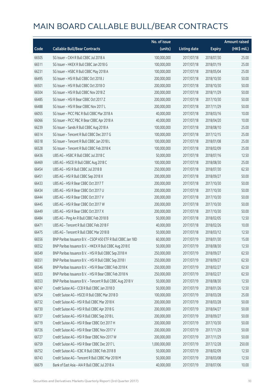|       |                                                              | No. of issue  |                     |               | <b>Amount raised</b> |
|-------|--------------------------------------------------------------|---------------|---------------------|---------------|----------------------|
| Code  | <b>Callable Bull/Bear Contracts</b>                          | (units)       | <b>Listing date</b> | <b>Expiry</b> | (HK\$ mil.)          |
| 66505 | SG Issuer - CKH R Bull CBBC Jul 2018 A                       | 100,000,000   | 2017/07/18          | 2018/07/30    | 25.00                |
| 66511 | SG Issuer - HKEX R Bull CBBC Jan 2018 G                      | 100,000,000   | 2017/07/18          | 2018/01/19    | 25.00                |
| 66231 | SG Issuer - HSBC R Bull CBBC May 2018 A                      | 100,000,000   | 2017/07/18          | 2018/05/04    | 25.00                |
| 66495 | SG Issuer - HSI R Bull CBBC Oct 2018 J                       | 200,000,000   | 2017/07/18          | 2018/10/30    | 50.00                |
| 66501 | SG Issuer - HSI R Bull CBBC Oct 2018 O                       | 200,000,000   | 2017/07/18          | 2018/10/30    | 50.00                |
| 66504 | SG Issuer - HSI R Bull CBBC Nov 2018 Z                       | 200,000,000   | 2017/07/18          | 2018/11/29    | 50.00                |
| 66485 | SG Issuer - HSI R Bear CBBC Oct 2017 Z                       | 200,000,000   | 2017/07/18          | 2017/10/30    | 50.00                |
| 66488 | SG Issuer - HSI R Bear CBBC Nov 2017 L                       | 200,000,000   | 2017/07/18          | 2017/11/29    | 50.00                |
| 66055 | SG Issuer - PICC P&C R Bull CBBC Mar 2018 A                  | 40,000,000    | 2017/07/18          | 2018/03/16    | 10.00                |
| 66066 | SG Issuer - PICC P&C R Bear CBBC Apr 2018 A                  | 40,000,000    | 2017/07/18          | 2018/04/20    | 10.00                |
| 66239 | SG Issuer - Sands R Bull CBBC Aug 2018 A                     | 100,000,000   | 2017/07/18          | 2018/08/10    | 25.00                |
| 66514 | SG Issuer - Tencent R Bull CBBC Dec 2017 G                   | 100,000,000   | 2017/07/18          | 2017/12/15    | 25.00                |
| 66518 | SG Issuer - Tencent R Bull CBBC Jan 2018 L                   | 100,000,000   | 2017/07/18          | 2018/01/08    | 25.00                |
| 66528 | SG Issuer - Tencent R Bull CBBC Feb 2018 K                   | 100,000,000   | 2017/07/18          | 2018/02/09    | 25.00                |
| 66436 | UBS AG - HSBC R Bull CBBC Jul 2018 C                         | 50,000,000    | 2017/07/18          | 2018/07/16    | 12.50                |
| 66469 | UBS AG - HSCEI R Bull CBBC Aug 2018 C                        | 100,000,000   | 2017/07/18          | 2018/08/30    | 25.00                |
| 66454 | UBS AG - HSI R Bull CBBC Jul 2018 B                          | 250,000,000   | 2017/07/18          | 2018/07/30    | 62.50                |
| 66451 | UBS AG - HSI R Bull CBBC Sep 2018 X                          | 200,000,000   | 2017/07/18          | 2018/09/27    | 50.00                |
| 66433 | UBS AG - HSI R Bear CBBC Oct 2017 T                          | 200,000,000   | 2017/07/18          | 2017/10/30    | 50.00                |
| 66434 | UBS AG - HSI R Bear CBBC Oct 2017 U                          | 200,000,000   | 2017/07/18          | 2017/10/30    | 50.00                |
| 66444 | UBS AG - HSI R Bear CBBC Oct 2017 V                          | 200,000,000   | 2017/07/18          | 2017/10/30    | 50.00                |
| 66445 | UBS AG - HSI R Bear CBBC Oct 2017 W                          | 200,000,000   | 2017/07/18          | 2017/10/30    | 50.00                |
| 66449 | UBS AG - HSI R Bear CBBC Oct 2017 X                          | 200,000,000   | 2017/07/18          | 2017/10/30    | 50.00                |
| 66484 | UBS AG - Ping An R Bull CBBC Feb 2018 B                      | 50,000,000    | 2017/07/18          | 2018/02/05    | 12.50                |
| 66471 | UBS AG - Tencent R Bull CBBC Feb 2018 F                      | 40,000,000    | 2017/07/18          | 2018/02/26    | 10.00                |
| 66475 | UBS AG - Tencent R Bull CBBC Mar 2018 B                      | 50,000,000    | 2017/07/18          | 2018/03/12    | 12.50                |
| 66556 | BNP Paribas Issuance B.V. - CSOP A50 ETF R Bull CBBC Jan 18D | 60,000,000    | 2017/07/19          | 2018/01/30    | 15.00                |
| 66552 | BNP Paribas Issuance B.V. - HKEX R Bull CBBC Aug 2018 E      | 50,000,000    | 2017/07/19          | 2018/08/30    | 12.50                |
| 66549 | BNP Paribas Issuance B.V. - HSI R Bull CBBC Sep 2018 H       | 250,000,000   | 2017/07/19          | 2018/09/27    | 62.50                |
| 66551 | BNP Paribas Issuance B.V. - HSI R Bull CBBC Sep 2018 I       | 250,000,000   | 2017/07/19          | 2018/09/27    | 62.50                |
| 66546 | BNP Paribas Issuance B.V. - HSI R Bear CBBC Feb 2018 K       | 250,000,000   | 2017/07/19          | 2018/02/27    | 62.50                |
| 66533 | BNP Paribas Issuance B.V. - HSI R Bear CBBC Feb 2018 N       | 250,000,000   | 2017/07/19          | 2018/02/27    | 62.50                |
| 66553 | BNP Paribas Issuance B.V. - Tencent R Bull CBBC Aug 2018 V   | 50,000,000    | 2017/07/19          | 2018/08/30    | 12.50                |
| 66747 | Credit Suisse AG - CCB R Bull CBBC Jan 2018 D                | 50,000,000    | 2017/07/19          | 2018/01/26    | 12.50                |
| 66754 | Credit Suisse AG - HSCEI R Bull CBBC Mar 2018 D              | 100,000,000   | 2017/07/19          | 2018/03/28    | 25.00                |
| 66732 | Credit Suisse AG - HSI R Bull CBBC Mar 2018 K                | 200,000,000   | 2017/07/19          | 2018/03/28    | 50.00                |
| 66730 | Credit Suisse AG - HSI R Bull CBBC Apr 2018 G                | 200,000,000   | 2017/07/19          | 2018/04/27    | 50.00                |
| 66737 | Credit Suisse AG - HSI R Bull CBBC Sep 2018 L                | 200,000,000   | 2017/07/19          | 2018/09/27    | 50.00                |
| 66719 | Credit Suisse AG - HSI R Bear CBBC Oct 2017 H                | 200,000,000   | 2017/07/19          | 2017/10/30    | 50.00                |
| 66726 | Credit Suisse AG - HSI R Bear CBBC Nov 2017 V                | 200,000,000   | 2017/07/19          | 2017/11/29    | 50.00                |
| 66727 | Credit Suisse AG - HSI R Bear CBBC Nov 2017 W                | 200,000,000   | 2017/07/19          | 2017/11/29    | 50.00                |
| 66759 | Credit Suisse AG - HSI R Bear CBBC Dec 2017 L                | 1,000,000,000 | 2017/07/19          | 2017/12/28    | 250.00               |
| 66752 | Credit Suisse AG - ICBC R Bull CBBC Feb 2018 B               | 50,000,000    | 2017/07/19          | 2018/02/09    | 12.50                |
| 66743 | Credit Suisse AG - Tencent R Bull CBBC Mar 2018 M            | 50,000,000    | 2017/07/19          | 2018/03/08    | 12.50                |
| 66679 | Bank of East Asia - AIA R Bull CBBC Jul 2018 A               | 40,000,000    | 2017/07/19          | 2018/07/06    | 10.00                |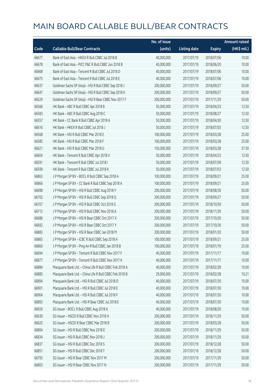|       |                                                         | No. of issue |                     |               | <b>Amount raised</b> |
|-------|---------------------------------------------------------|--------------|---------------------|---------------|----------------------|
| Code  | <b>Callable Bull/Bear Contracts</b>                     | (units)      | <b>Listing date</b> | <b>Expiry</b> | (HK\$ mil.)          |
| 66677 | Bank of East Asia - HKEX R Bull CBBC Jul 2018 B         | 40,000,000   | 2017/07/19          | 2018/07/06    | 10.00                |
| 66678 | Bank of East Asia - PICC P&C R Bull CBBC Jun 2018 B     | 40,000,000   | 2017/07/19          | 2018/06/20    | 10.00                |
| 66668 | Bank of East Asia - Tencent R Bull CBBC Jul 2018 D      | 40,000,000   | 2017/07/19          | 2018/07/06    | 10.00                |
| 66675 | Bank of East Asia - Tencent R Bull CBBC Jul 2018 E      | 40,000,000   | 2017/07/19          | 2018/07/06    | 10.00                |
| 66637 | Goldman Sachs SP (Asia) - HSI R Bull CBBC Sep 2018 J    | 200,000,000  | 2017/07/19          | 2018/09/27    | 50.00                |
| 66647 | Goldman Sachs SP (Asia) - HSI R Bull CBBC Sep 2018 K    | 200,000,000  | 2017/07/19          | 2018/09/27    | 50.00                |
| 66529 | Goldman Sachs SP (Asia) - HSI R Bear CBBC Nov 2017 F    | 200,000,000  | 2017/07/19          | 2017/11/29    | 50.00                |
| 66566 | HK Bank - ABC R Bull CBBC Apr 2018 B                    | 50,000,000   | 2017/07/19          | 2018/04/23    | 12.50                |
| 66583 | HK Bank - ABC R Bull CBBC Aug 2018 C                    | 50,000,000   | 2017/07/19          | 2018/08/27    | 12.50                |
| 66557 | HK Bank - CC Bank R Bull CBBC Apr 2018 A                | 50,000,000   | 2017/07/19          | 2018/04/30    | 12.50                |
| 66616 | HK Bank - HKEX R Bull CBBC Jul 2018 J                   | 50,000,000   | 2017/07/19          | 2018/07/03    | 12.50                |
| 66568 | HK Bank - HSI R Bull CBBC Mar 2018 E                    | 100,000,000  | 2017/07/19          | 2018/03/28    | 25.00                |
| 66585 | HK Bank - HSI R Bull CBBC Mar 2018 F                    | 100,000,000  | 2017/07/19          | 2018/03/28    | 25.00                |
| 66621 | HK Bank - HSI R Bull CBBC Mar 2018 G                    | 150,000,000  | 2017/07/19          | 2018/03/28    | 37.50                |
| 66604 | HK Bank - Tencent R Bull CBBC Apr 2018 V                | 50,000,000   | 2017/07/19          | 2018/04/23    | 12.50                |
| 66591 | HK Bank - Tencent R Bull CBBC Jul 2018 I                | 50,000,000   | 2017/07/19          | 2018/07/09    | 12.50                |
| 66599 | HK Bank - Tencent R Bull CBBC Jul 2018 K                | 50,000,000   | 2017/07/19          | 2018/07/03    | 12.50                |
| 66863 | J P Morgan SP BV - BOCL R Bull CBBC Sep 2018 A          | 100,000,000  | 2017/07/19          | 2018/09/21    | 25.00                |
| 66866 | J P Morgan SP BV - CC Bank R Bull CBBC Sep 2018 A       | 100,000,000  | 2017/07/19          | 2018/09/21    | 25.00                |
| 66698 | J P Morgan SP BV - HSI R Bull CBBC Aug 2018 Y           | 200,000,000  | 2017/07/19          | 2018/08/30    | 50.00                |
| 66702 | J P Morgan SP BV - HSI R Bull CBBC Sep 2018 Q           | 200,000,000  | 2017/07/19          | 2018/09/27    | 50.00                |
| 66707 | J P Morgan SP BV - HSI R Bull CBBC Oct 2018 G           | 200,000,000  | 2017/07/19          | 2018/10/30    | 50.00                |
| 66712 | J P Morgan SP BV - HSI R Bull CBBC Nov 2018 A           | 200,000,000  | 2017/07/19          | 2018/11/29    | 50.00                |
| 66686 | J P Morgan SP BV - HSI R Bear CBBC Oct 2017 X           | 200,000,000  | 2017/07/19          | 2017/10/30    | 50.00                |
| 66692 | J P Morgan SP BV - HSI R Bear CBBC Oct 2017 Y           | 200,000,000  | 2017/07/19          | 2017/10/30    | 50.00                |
| 66883 | J P Morgan SP BV - HSI R Bear CBBC Jan 2018 M           | 200,000,000  | 2017/07/19          | 2018/01/30    | 50.00                |
| 66865 | J P Morgan SP BV - ICBC R Bull CBBC Sep 2018 A          | 100,000,000  | 2017/07/19          | 2018/09/21    | 25.00                |
| 66860 | J P Morgan SP BV - Ping An R Bull CBBC Jan 2018 B       | 100,000,000  | 2017/07/19          | 2018/01/19    | 25.00                |
| 66694 | J P Morgan SP BV - Tencent R Bull CBBC Nov 2017 F       | 40,000,000   | 2017/07/19          | 2017/11/17    | 10.00                |
| 66877 | J P Morgan SP BV - Tencent R Bull CBBC Nov 2017 K       | 40,000,000   | 2017/07/19          | 2017/11/17    | 10.00                |
| 66884 | Macquarie Bank Ltd. - China Life R Bull CBBC Feb 2018 A | 40,000,000   | 2017/07/19          | 2018/02/28    | 10.00                |
| 66885 | Macquarie Bank Ltd. - China Life R Bull CBBC Feb 2018 B | 29,000,000   | 2017/07/19          | 2018/02/28    | 10.21                |
| 66894 | Macquarie Bank Ltd. - HSI R Bull CBBC Jul 2018 D        | 40,000,000   | 2017/07/19          | 2018/07/30    | 10.00                |
| 66901 | Macquarie Bank Ltd. - HSI R Bull CBBC Jul 2018 E        | 40,000,000   | 2017/07/19          | 2018/07/30    | 10.00                |
| 66904 | Macquarie Bank Ltd. - HSI R Bull CBBC Jul 2018 F        | 40,000,000   | 2017/07/19          | 2018/07/30    | 10.00                |
| 66893 | Macquarie Bank Ltd. - HSI R Bear CBBC Jul 2018 E        | 40,000,000   | 2017/07/19          | 2018/07/30    | 10.00                |
| 66659 | SG Issuer - BOCL R Bull CBBC Aug 2018 A                 | 40,000,000   | 2017/07/19          | 2018/08/30    | 10.00                |
| 66630 | SG Issuer - HSCEI R Bull CBBC Nov 2018 H                | 200,000,000  | 2017/07/19          | 2018/11/29    | 50.00                |
| 66625 | SG Issuer - HSCEI R Bear CBBC Mar 2018 B                | 200,000,000  | 2017/07/19          | 2018/03/28    | 50.00                |
| 66804 | SG Issuer - HSI R Bull CBBC Nov 2018 E                  | 200,000,000  | 2017/07/19          | 2018/11/29    | 50.00                |
| 66834 | SG Issuer - HSI R Bull CBBC Nov 2018 J                  | 200,000,000  | 2017/07/19          | 2018/11/29    | 50.00                |
| 66837 | SG Issuer - HSI R Bull CBBC Dec 2018 S                  | 200,000,000  | 2017/07/19          | 2018/12/28    | 50.00                |
| 66851 | SG Issuer - HSI R Bull CBBC Dec 2018 T                  | 200,000,000  | 2017/07/19          | 2018/12/28    | 50.00                |
| 66793 | SG Issuer - HSI R Bear CBBC Nov 2017 M                  | 200,000,000  | 2017/07/19          | 2017/11/29    | 50.00                |
| 66803 | SG Issuer - HSI R Bear CBBC Nov 2017 N                  | 200,000,000  | 2017/07/19          | 2017/11/29    | 50.00                |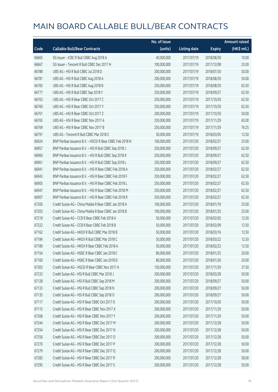|       |                                                          | No. of issue |                     |               | <b>Amount raised</b> |
|-------|----------------------------------------------------------|--------------|---------------------|---------------|----------------------|
| Code  | <b>Callable Bull/Bear Contracts</b>                      | (units)      | <b>Listing date</b> | <b>Expiry</b> | (HK\$ mil.)          |
| 66665 | SG Issuer - ICBC R Bull CBBC Aug 2018 A                  | 40,000,000   | 2017/07/19          | 2018/08/30    | 10.00                |
| 66667 | SG Issuer - Tencent R Bull CBBC Dec 2017 H               | 100,000,000  | 2017/07/19          | 2017/12/08    | 25.00                |
| 66788 | UBS AG - HSI R Bull CBBC Jul 2018 D                      | 200,000,000  | 2017/07/19          | 2018/07/30    | 50.00                |
| 66781 | UBS AG - HSI R Bull CBBC Aug 2018 A                      | 200,000,000  | 2017/07/19          | 2018/08/30    | 50.00                |
| 66783 | UBS AG - HSI R Bull CBBC Aug 2018 B                      | 250,000,000  | 2017/07/19          | 2018/08/30    | 62.50                |
| 66777 | UBS AG - HSI R Bull CBBC Sep 2018 Y                      | 250,000,000  | 2017/07/19          | 2018/09/27    | 62.50                |
| 66763 | UBS AG - HSI R Bear CBBC Oct 2017 C                      | 250,000,000  | 2017/07/19          | 2017/10/30    | 62.50                |
| 66760 | UBS AG - HSI R Bear CBBC Oct 2017 Y                      | 250,000,000  | 2017/07/19          | 2017/10/30    | 62.50                |
| 66761 | UBS AG - HSI R Bear CBBC Oct 2017 Z                      | 200,000,000  | 2017/07/19          | 2017/10/30    | 50.00                |
| 66765 | UBS AG - HSI R Bear CBBC Nov 2017 A                      | 250,000,000  | 2017/07/19          | 2017/11/29    | 65.00                |
| 66769 | UBS AG - HSI R Bear CBBC Nov 2017 B                      | 250,000,000  | 2017/07/19          | 2017/11/29    | 76.25                |
| 66791 | UBS AG - Tencent R Bull CBBC Mar 2018 C                  | 50,000,000   | 2017/07/19          | 2018/03/05    | 12.50                |
| 66924 | BNP Paribas Issuance B.V. - HSCEI R Bear CBBC Feb 2018 N | 100,000,000  | 2017/07/20          | 2018/02/27    | 25.00                |
| 66957 | BNP Paribas Issuance B.V. - HSI R Bull CBBC Sep 2018 J   | 250,000,000  | 2017/07/20          | 2018/09/27    | 62.50                |
| 66960 | BNP Paribas Issuance B.V. - HSI R Bull CBBC Sep 2018 K   | 250,000,000  | 2017/07/20          | 2018/09/27    | 62.50                |
| 66961 | BNP Paribas Issuance B.V. - HSI R Bull CBBC Sep 2018 L   | 250,000,000  | 2017/07/20          | 2018/09/27    | 62.50                |
| 66941 | BNP Paribas Issuance B.V. - HSI R Bear CBBC Feb 2018 A   | 250,000,000  | 2017/07/20          | 2018/02/27    | 62.50                |
| 66943 | BNP Paribas Issuance B.V. - HSI R Bear CBBC Feb 2018 F   | 250,000,000  | 2017/07/20          | 2018/02/27    | 62.50                |
| 66905 | BNP Paribas Issuance B.V. - HSI R Bear CBBC Feb 2018 L   | 250,000,000  | 2017/07/20          | 2018/02/27    | 62.50                |
| 66947 | BNP Paribas Issuance B.V. - HSI R Bear CBBC Feb 2018 M   | 250,000,000  | 2017/07/20          | 2018/02/27    | 62.50                |
| 66907 | BNP Paribas Issuance B.V. - HSI R Bear CBBC Feb 2018 R   | 250,000,000  | 2017/07/20          | 2018/02/27    | 62.50                |
| 67200 | Credit Suisse AG - China Mobile R Bear CBBC Jan 2018 A   | 100,000,000  | 2017/07/20          | 2018/01/19    | 25.00                |
| 67203 | Credit Suisse AG - China Mobile R Bear CBBC Jan 2018 B   | 100,000,000  | 2017/07/20          | 2018/01/25    | 25.00                |
| 67219 | Credit Suisse AG - CCB R Bear CBBC Feb 2018 A            | 50,000,000   | 2017/07/20          | 2018/02/02    | 12.50                |
| 67222 | Credit Suisse AG - CCB R Bear CBBC Feb 2018 B            | 50,000,000   | 2017/07/20          | 2018/02/09    | 12.50                |
| 67162 | Credit Suisse AG - HKEX R Bull CBBC Mar 2018 B           | 50,000,000   | 2017/07/20          | 2018/03/16    | 12.50                |
| 67184 | Credit Suisse AG - HKEX R Bull CBBC Mar 2018 C           | 50,000,000   | 2017/07/20          | 2018/03/22    | 12.50                |
| 67189 | Credit Suisse AG - HKEX R Bear CBBC Feb 2018 A           | 50,000,000   | 2017/07/20          | 2018/02/23    | 12.50                |
| 67154 | Credit Suisse AG - HSBC R Bear CBBC Jan 2018 C           | 80,000,000   | 2017/07/20          | 2018/01/25    | 20.00                |
| 67160 | Credit Suisse AG - HSBC R Bear CBBC Jan 2018 D           | 80,000,000   | 2017/07/20          | 2018/01/26    | 20.00                |
| 67303 | Credit Suisse AG - HSCEI R Bear CBBC Nov 2017 A          | 150,000,000  | 2017/07/20          | 2017/11/29    | 37.50                |
| 67233 | Credit Suisse AG - HSI R Bull CBBC Mar 2018 J            | 200,000,000  | 2017/07/20          | 2018/03/28    | 50.00                |
| 67128 | Credit Suisse AG - HSI R Bull CBBC Sep 2018 M            | 200,000,000  | 2017/07/20          | 2018/09/27    | 50.00                |
| 67133 | Credit Suisse AG - HSI R Bull CBBC Sep 2018 N            | 200,000,000  | 2017/07/20          | 2018/09/27    | 50.00                |
| 67135 | Credit Suisse AG - HSI R Bull CBBC Sep 2018 O            | 200,000,000  | 2017/07/20          | 2018/09/27    | 50.00                |
| 67117 | Credit Suisse AG - HSI R Bear CBBC Oct 2017 D            | 200,000,000  | 2017/07/20          | 2017/10/30    | 50.00                |
| 67115 | Credit Suisse AG - HSI R Bear CBBC Nov 2017 X            | 200,000,000  | 2017/07/20          | 2017/11/29    | 50.00                |
| 67268 | Credit Suisse AG - HSI R Bear CBBC Nov 2017 Y            | 200,000,000  | 2017/07/20          | 2017/11/29    | 50.00                |
| 67244 | Credit Suisse AG - HSI R Bear CBBC Dec 2017 M            | 200,000,000  | 2017/07/20          | 2017/12/28    | 50.00                |
| 67254 | Credit Suisse AG - HSI R Bear CBBC Dec 2017 N            | 200,000,000  | 2017/07/20          | 2017/12/28    | 50.00                |
| 67256 | Credit Suisse AG - HSI R Bear CBBC Dec 2017 O            | 200,000,000  | 2017/07/20          | 2017/12/28    | 50.00                |
| 67270 | Credit Suisse AG - HSI R Bear CBBC Dec 2017 P            | 200,000,000  | 2017/07/20          | 2017/12/28    | 50.00                |
| 67279 | Credit Suisse AG - HSI R Bear CBBC Dec 2017 Q            | 200,000,000  | 2017/07/20          | 2017/12/28    | 50.00                |
| 67283 | Credit Suisse AG - HSI R Bear CBBC Dec 2017 R            | 200,000,000  | 2017/07/20          | 2017/12/28    | 58.00                |
| 67295 | Credit Suisse AG - HSI R Bear CBBC Dec 2017 S            | 200,000,000  | 2017/07/20          | 2017/12/28    | 50.00                |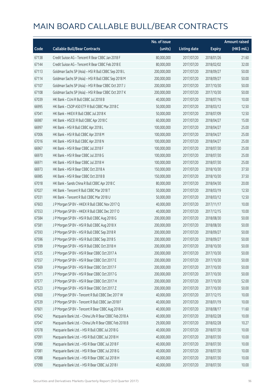|       |                                                         | No. of issue |                     |               | <b>Amount raised</b> |
|-------|---------------------------------------------------------|--------------|---------------------|---------------|----------------------|
| Code  | <b>Callable Bull/Bear Contracts</b>                     | (units)      | <b>Listing date</b> | <b>Expiry</b> | (HK\$ mil.)          |
| 67138 | Credit Suisse AG - Tencent R Bear CBBC Jan 2018 F       | 80,000,000   | 2017/07/20          | 2018/01/26    | 21.60                |
| 67144 | Credit Suisse AG - Tencent R Bear CBBC Feb 2018 E       | 80,000,000   | 2017/07/20          | 2018/02/02    | 32.00                |
| 67113 | Goldman Sachs SP (Asia) - HSI R Bull CBBC Sep 2018 L    | 200,000,000  | 2017/07/20          | 2018/09/27    | 50.00                |
| 67114 | Goldman Sachs SP (Asia) - HSI R Bull CBBC Sep 2018 M    | 200,000,000  | 2017/07/20          | 2018/09/27    | 50.00                |
| 67107 | Goldman Sachs SP (Asia) - HSI R Bear CBBC Oct 2017 J    | 200,000,000  | 2017/07/20          | 2017/10/30    | 50.00                |
| 67108 | Goldman Sachs SP (Asia) - HSI R Bear CBBC Oct 2017 K    | 200,000,000  | 2017/07/20          | 2017/10/30    | 50.00                |
| 67039 | HK Bank - CUni R Bull CBBC Jul 2018 B                   | 40,000,000   | 2017/07/20          | 2018/07/16    | 10.00                |
| 66995 | HK Bank - CSOP A50 ETF R Bull CBBC Mar 2018 C           | 50,000,000   | 2017/07/20          | 2018/03/12    | 12.50                |
| 67041 | HK Bank - HKEX R Bull CBBC Jul 2018 K                   | 50,000,000   | 2017/07/20          | 2018/07/09    | 12.50                |
| 66987 | HK Bank - HSCEI R Bull CBBC Apr 2018 C                  | 60,000,000   | 2017/07/20          | 2018/04/27    | 15.00                |
| 66997 | HK Bank - HSI R Bull CBBC Apr 2018 L                    | 100,000,000  | 2017/07/20          | 2018/04/27    | 25.00                |
| 67006 | HK Bank - HSI R Bull CBBC Apr 2018 M                    | 100,000,000  | 2017/07/20          | 2018/04/27    | 25.00                |
| 67016 | HK Bank - HSI R Bull CBBC Apr 2018 N                    | 100,000,000  | 2017/07/20          | 2018/04/27    | 25.00                |
| 66967 | HK Bank - HSI R Bear CBBC Jul 2018 F                    | 100,000,000  | 2017/07/20          | 2018/07/30    | 25.00                |
| 66970 | HK Bank - HSI R Bear CBBC Jul 2018 G                    | 100,000,000  | 2017/07/20          | 2018/07/30    | 25.00                |
| 66971 | HK Bank - HSI R Bear CBBC Jul 2018 H                    | 100,000,000  | 2017/07/20          | 2018/07/30    | 25.00                |
| 66973 | HK Bank - HSI R Bear CBBC Oct 2018 A                    | 150,000,000  | 2017/07/20          | 2018/10/30    | 37.50                |
| 66985 | HK Bank - HSI R Bear CBBC Oct 2018 B                    | 150,000,000  | 2017/07/20          | 2018/10/30    | 37.50                |
| 67018 | HK Bank - Sands China R Bull CBBC Apr 2018 C            | 80,000,000   | 2017/07/20          | 2018/04/30    | 20.00                |
| 67027 | HK Bank - Tencent R Bull CBBC Mar 2018 T                | 50,000,000   | 2017/07/20          | 2018/03/19    | 12.50                |
| 67031 | HK Bank - Tencent R Bull CBBC Mar 2018 U                | 50,000,000   | 2017/07/20          | 2018/03/12    | 12.50                |
| 67603 | J P Morgan SP BV - HKEX R Bull CBBC Nov 2017 Q          | 40,000,000   | 2017/07/20          | 2017/11/17    | 10.00                |
| 67553 | J P Morgan SP BV - HKEX R Bull CBBC Dec 2017 O          | 40,000,000   | 2017/07/20          | 2017/12/15    | 10.00                |
| 67584 | J P Morgan SP BV - HSI R Bull CBBC Aug 2018 G           | 200,000,000  | 2017/07/20          | 2018/08/30    | 50.00                |
| 67581 | J P Morgan SP BV - HSI R Bull CBBC Aug 2018 X           | 200,000,000  | 2017/07/20          | 2018/08/30    | 50.00                |
| 67593 | J P Morgan SP BV - HSI R Bull CBBC Sep 2018 R           | 200,000,000  | 2017/07/20          | 2018/09/27    | 50.00                |
| 67596 | J P Morgan SP BV - HSI R Bull CBBC Sep 2018 S           | 200,000,000  | 2017/07/20          | 2018/09/27    | 50.00                |
| 67599 | J P Morgan SP BV - HSI R Bull CBBC Oct 2018 H           | 200,000,000  | 2017/07/20          | 2018/10/30    | 50.00                |
| 67535 | J P Morgan SP BV - HSI R Bear CBBC Oct 2017 A           | 200,000,000  | 2017/07/20          | 2017/10/30    | 50.00                |
| 67557 | J P Morgan SP BV - HSI R Bear CBBC Oct 2017 E           | 200,000,000  | 2017/07/20          | 2017/10/30    | 50.00                |
| 67569 | J P Morgan SP BV - HSI R Bear CBBC Oct 2017 F           | 200,000,000  | 2017/07/20          | 2017/10/30    | 50.00                |
| 67571 | J P Morgan SP BV - HSI R Bear CBBC Oct 2017 G           | 200,000,000  | 2017/07/20          | 2017/10/30    | 50.00                |
| 67577 | J P Morgan SP BV - HSI R Bear CBBC Oct 2017 H           | 200,000,000  | 2017/07/20          | 2017/10/30    | 52.00                |
| 67523 | J P Morgan SP BV - HSI R Bear CBBC Oct 2017 Z           | 200,000,000  | 2017/07/20          | 2017/10/30    | 50.00                |
| 67600 | J P Morgan SP BV - Tencent R Bull CBBC Dec 2017 W       | 40,000,000   | 2017/07/20          | 2017/12/15    | 10.00                |
| 67539 | J P Morgan SP BV - Tencent R Bull CBBC Jan 2018 F       | 40,000,000   | 2017/07/20          | 2018/01/19    | 10.00                |
| 67601 | J P Morgan SP BV - Tencent R Bear CBBC Aug 2018 A       | 40,000,000   | 2017/07/20          | 2018/08/17    | 11.60                |
| 67042 | Macquarie Bank Ltd. - China Life R Bear CBBC Feb 2018 A | 40,000,000   | 2017/07/20          | 2018/02/28    | 10.00                |
| 67047 | Macquarie Bank Ltd. - China Life R Bear CBBC Feb 2018 B | 29,000,000   | 2017/07/20          | 2018/02/28    | 10.27                |
| 67078 | Macquarie Bank Ltd. - HSI R Bull CBBC Jul 2018 G        | 40,000,000   | 2017/07/20          | 2018/07/30    | 10.00                |
| 67091 | Macquarie Bank Ltd. - HSI R Bull CBBC Jul 2018 H        | 40,000,000   | 2017/07/20          | 2018/07/30    | 10.00                |
| 67080 | Macquarie Bank Ltd. - HSI R Bear CBBC Jul 2018 F        | 40,000,000   | 2017/07/20          | 2018/07/30    | 10.00                |
| 67081 | Macquarie Bank Ltd. - HSI R Bear CBBC Jul 2018 G        | 40,000,000   | 2017/07/20          | 2018/07/30    | 10.00                |
| 67088 | Macquarie Bank Ltd. - HSI R Bear CBBC Jul 2018 H        | 40,000,000   | 2017/07/20          | 2018/07/30    | 10.00                |
| 67090 | Macquarie Bank Ltd. - HSI R Bear CBBC Jul 2018 I        | 40,000,000   | 2017/07/20          | 2018/07/30    | 10.00                |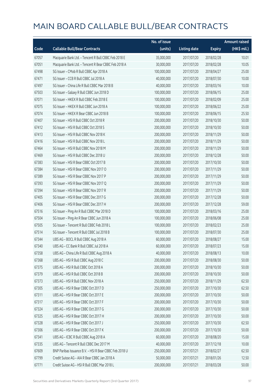|       |                                                        | No. of issue |                     |               | <b>Amount raised</b> |
|-------|--------------------------------------------------------|--------------|---------------------|---------------|----------------------|
| Code  | <b>Callable Bull/Bear Contracts</b>                    | (units)      | <b>Listing date</b> | <b>Expiry</b> | (HK\$ mil.)          |
| 67057 | Macquarie Bank Ltd. - Tencent R Bull CBBC Feb 2018 E   | 35,000,000   | 2017/07/20          | 2018/02/28    | 10.01                |
| 67051 | Macquarie Bank Ltd. - Tencent R Bear CBBC Feb 2018 A   | 30,000,000   | 2017/07/20          | 2018/02/28    | 10.05                |
| 67498 | SG Issuer - CMob R Bull CBBC Apr 2018 A                | 100,000,000  | 2017/07/20          | 2018/04/27    | 25.00                |
| 67471 | SG Issuer - CCB R Bull CBBC Jul 2018 A                 | 40,000,000   | 2017/07/20          | 2018/07/30    | 10.00                |
| 67497 | SG Issuer - China Life R Bull CBBC Mar 2018 B          | 40,000,000   | 2017/07/20          | 2018/03/16    | 10.00                |
| 67503 | SG Issuer - Galaxy R Bull CBBC Jun 2018 D              | 100,000,000  | 2017/07/20          | 2018/06/15    | 25.00                |
| 67071 | SG Issuer - HKEX R Bull CBBC Feb 2018 E                | 100,000,000  | 2017/07/20          | 2018/02/09    | 25.00                |
| 67075 | SG Issuer - HKEX R Bull CBBC Jun 2018 A                | 100,000,000  | 2017/07/20          | 2018/06/22    | 25.00                |
| 67074 | SG Issuer - HKEX R Bear CBBC Jun 2018 B                | 100,000,000  | 2017/07/20          | 2018/06/15    | 25.50                |
| 67407 | SG Issuer - HSI R Bull CBBC Oct 2018 R                 | 200,000,000  | 2017/07/20          | 2018/10/30    | 50.00                |
| 67412 | SG Issuer - HSI R Bull CBBC Oct 2018 S                 | 200,000,000  | 2017/07/20          | 2018/10/30    | 50.00                |
| 67413 | SG Issuer - HSI R Bull CBBC Nov 2018 K                 | 200,000,000  | 2017/07/20          | 2018/11/29    | 50.00                |
| 67416 | SG Issuer - HSI R Bull CBBC Nov 2018 L                 | 200,000,000  | 2017/07/20          | 2018/11/29    | 50.00                |
| 67464 | SG Issuer - HSI R Bull CBBC Nov 2018 M                 | 200,000,000  | 2017/07/20          | 2018/11/29    | 50.00                |
| 67469 | SG Issuer - HSI R Bull CBBC Dec 2018 U                 | 200,000,000  | 2017/07/20          | 2018/12/28    | 50.00                |
| 67383 | SG Issuer - HSI R Bear CBBC Oct 2017 B                 | 200,000,000  | 2017/07/20          | 2017/10/30    | 50.00                |
| 67384 | SG Issuer - HSI R Bear CBBC Nov 2017 O                 | 200,000,000  | 2017/07/20          | 2017/11/29    | 50.00                |
| 67389 | SG Issuer - HSI R Bear CBBC Nov 2017 P                 | 200,000,000  | 2017/07/20          | 2017/11/29    | 50.00                |
| 67393 | SG Issuer - HSI R Bear CBBC Nov 2017 Q                 | 200,000,000  | 2017/07/20          | 2017/11/29    | 50.00                |
| 67394 | SG Issuer - HSI R Bear CBBC Nov 2017 R                 | 200,000,000  | 2017/07/20          | 2017/11/29    | 50.00                |
| 67405 | SG Issuer - HSI R Bear CBBC Dec 2017 G                 | 200,000,000  | 2017/07/20          | 2017/12/28    | 50.00                |
| 67406 | SG Issuer - HSI R Bear CBBC Dec 2017 H                 | 200,000,000  | 2017/07/20          | 2017/12/28    | 59.00                |
| 67516 | SG Issuer - Ping An R Bull CBBC Mar 2018 D             | 100,000,000  | 2017/07/20          | 2018/03/16    | 25.00                |
| 67504 | SG Issuer - Ping An R Bear CBBC Jun 2018 A             | 100,000,000  | 2017/07/20          | 2018/06/08    | 25.00                |
| 67505 | SG Issuer - Tencent R Bull CBBC Feb 2018 L             | 100,000,000  | 2017/07/20          | 2018/02/23    | 25.00                |
| 67514 | SG Issuer - Tencent R Bull CBBC Jul 2018 B             | 100,000,000  | 2017/07/20          | 2018/07/30    | 25.00                |
| 67344 | UBS AG - BOCL R Bull CBBC Aug 2018 A                   | 60,000,000   | 2017/07/20          | 2018/08/27    | 15.00                |
| 67340 | UBS AG - CC Bank R Bull CBBC Jul 2018 A                | 60,000,000   | 2017/07/20          | 2018/07/23    | 15.00                |
| 67358 | UBS AG - China Life R Bull CBBC Aug 2018 A             | 40,000,000   | 2017/07/20          | 2018/08/13    | 10.00                |
| 67368 | UBS AG - HSI R Bull CBBC Aug 2018 C                    | 200,000,000  | 2017/07/20          | 2018/08/30    | 50.00                |
| 67375 | UBS AG - HSI R Bull CBBC Oct 2018 A                    | 200,000,000  | 2017/07/20          | 2018/10/30    | 50.00                |
| 67379 | UBS AG - HSI R Bull CBBC Oct 2018 B                    | 200,000,000  | 2017/07/20          | 2018/10/30    | 50.00                |
| 67373 | UBS AG - HSI R Bull CBBC Nov 2018 A                    | 250,000,000  | 2017/07/20          | 2018/11/29    | 62.50                |
| 67305 | UBS AG - HSI R Bear CBBC Oct 2017 D                    | 250,000,000  | 2017/07/20          | 2017/10/30    | 62.50                |
| 67311 | UBS AG - HSI R Bear CBBC Oct 2017 E                    | 200,000,000  | 2017/07/20          | 2017/10/30    | 50.00                |
| 67317 | UBS AG - HSI R Bear CBBC Oct 2017 F                    | 200,000,000  | 2017/07/20          | 2017/10/30    | 50.00                |
| 67324 | UBS AG - HSI R Bear CBBC Oct 2017 G                    | 200,000,000  | 2017/07/20          | 2017/10/30    | 50.00                |
| 67325 | UBS AG - HSI R Bear CBBC Oct 2017 H                    | 200,000,000  | 2017/07/20          | 2017/10/30    | 50.00                |
| 67328 | UBS AG - HSI R Bear CBBC Oct 2017 J                    | 250,000,000  | 2017/07/20          | 2017/10/30    | 62.50                |
| 67306 | UBS AG - HSI R Bear CBBC Oct 2017 K                    | 200,000,000  | 2017/07/20          | 2017/10/30    | 50.00                |
| 67341 | UBS AG - ICBC R Bull CBBC Aug 2018 A                   | 60,000,000   | 2017/07/20          | 2018/08/20    | 15.00                |
| 67335 | UBS AG - Tencent R Bull CBBC Dec 2017 M                | 40,000,000   | 2017/07/20          | 2017/12/18    | 10.00                |
| 67609 | BNP Paribas Issuance B.V. - HSI R Bear CBBC Feb 2018 U | 250,000,000  | 2017/07/21          | 2018/02/27    | 62.50                |
| 67799 | Credit Suisse AG - AIA R Bear CBBC Jan 2018 A          | 50,000,000   | 2017/07/21          | 2018/01/26    | 12.50                |
| 67771 | Credit Suisse AG - HSI R Bull CBBC Mar 2018 L          | 200,000,000  | 2017/07/21          | 2018/03/28    | 50.00                |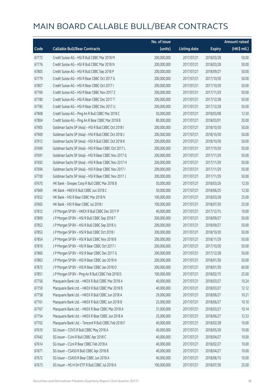|       |                                                      | No. of issue |                     |               | <b>Amount raised</b> |
|-------|------------------------------------------------------|--------------|---------------------|---------------|----------------------|
| Code  | <b>Callable Bull/Bear Contracts</b>                  | (units)      | <b>Listing date</b> | <b>Expiry</b> | (HK\$ mil.)          |
| 67772 | Credit Suisse AG - HSI R Bull CBBC Mar 2018 M        | 200,000,000  | 2017/07/21          | 2018/03/28    | 50.00                |
| 67776 | Credit Suisse AG - HSI R Bull CBBC Mar 2018 N        | 200,000,000  | 2017/07/21          | 2018/03/28    | 50.00                |
| 67805 | Credit Suisse AG - HSI R Bull CBBC Sep 2018 P        | 200,000,000  | 2017/07/21          | 2018/09/27    | 50.00                |
| 67779 | Credit Suisse AG - HSI R Bear CBBC Oct 2017 G        | 200,000,000  | 2017/07/21          | 2017/10/30    | 50.00                |
| 67807 | Credit Suisse AG - HSI R Bear CBBC Oct 2017 I        | 200,000,000  | 2017/07/21          | 2017/10/30    | 50.00                |
| 67769 | Credit Suisse AG - HSI R Bear CBBC Nov 2017 Z        | 200,000,000  | 2017/07/21          | 2017/11/29    | 50.00                |
| 67780 | Credit Suisse AG - HSI R Bear CBBC Dec 2017 T        | 200,000,000  | 2017/07/21          | 2017/12/28    | 50.00                |
| 67785 | Credit Suisse AG - HSI R Bear CBBC Dec 2017 U        | 200,000,000  | 2017/07/21          | 2017/12/28    | 50.00                |
| 67808 | Credit Suisse AG - Ping An R Bull CBBC Mar 2018 C    | 50,000,000   | 2017/07/21          | 2018/03/08    | 12.50                |
| 67804 | Credit Suisse AG - Ping An R Bear CBBC Mar 2018 B    | 80,000,000   | 2017/07/21          | 2018/03/01    | 20.00                |
| 67905 | Goldman Sachs SP (Asia) - HSI R Bull CBBC Oct 2018 I | 200,000,000  | 2017/07/21          | 2018/10/30    | 50.00                |
| 67909 | Goldman Sachs SP (Asia) - HSI R Bull CBBC Oct 2018 J | 200,000,000  | 2017/07/21          | 2018/10/30    | 50.00                |
| 67912 | Goldman Sachs SP (Asia) - HSI R Bull CBBC Oct 2018 K | 200,000,000  | 2017/07/21          | 2018/10/30    | 50.00                |
| 67690 | Goldman Sachs SP (Asia) - HSI R Bear CBBC Oct 2017 L | 200,000,000  | 2017/07/21          | 2017/10/30    | 50.00                |
| 67691 | Goldman Sachs SP (Asia) - HSI R Bear CBBC Nov 2017 G | 200,000,000  | 2017/07/21          | 2017/11/29    | 50.00                |
| 67692 | Goldman Sachs SP (Asia) - HSI R Bear CBBC Nov 2017 H | 200,000,000  | 2017/07/21          | 2017/11/29    | 50.00                |
| 67694 | Goldman Sachs SP (Asia) - HSI R Bear CBBC Nov 2017 I | 200,000,000  | 2017/07/21          | 2017/11/29    | 50.00                |
| 67700 | Goldman Sachs SP (Asia) - HSI R Bear CBBC Nov 2017 J | 200,000,000  | 2017/07/21          | 2017/11/29    | 50.00                |
| 67670 | HK Bank - Sinopec Corp R Bull CBBC Mar 2018 B        | 50,000,000   | 2017/07/21          | 2018/03/26    | 12.50                |
| 67669 | HK Bank - HKEX R Bull CBBC Jun 2018 C                | 50,000,000   | 2017/07/21          | 2018/06/25    | 12.50                |
| 67652 | HK Bank - HSI R Bear CBBC Mar 2018 N                 | 100,000,000  | 2017/07/21          | 2018/03/28    | 25.00                |
| 67665 | HK Bank - HSI R Bear CBBC Jul 2018 I                 | 100,000,000  | 2017/07/21          | 2018/07/30    | 25.00                |
| 67812 | J P Morgan SP BV - HKEX R Bull CBBC Dec 2017 P       | 40,000,000   | 2017/07/21          | 2017/12/15    | 10.00                |
| 67809 | J P Morgan SP BV - HSI R Bull CBBC Sep 2018 T        | 200,000,000  | 2017/07/21          | 2018/09/27    | 50.00                |
| 67852 | J P Morgan SP BV - HSI R Bull CBBC Sep 2018 U        | 200,000,000  | 2017/07/21          | 2018/09/27    | 50.00                |
| 67853 | J P Morgan SP BV - HSI R Bull CBBC Oct 2018 I        | 200,000,000  | 2017/07/21          | 2018/10/30    | 50.00                |
| 67854 | J P Morgan SP BV - HSI R Bull CBBC Nov 2018 B        | 200,000,000  | 2017/07/21          | 2018/11/29    | 50.00                |
| 67810 | J P Morgan SP BV - HSI R Bear CBBC Oct 2017 I        | 200,000,000  | 2017/07/21          | 2017/10/30    | 50.00                |
| 67860 | J P Morgan SP BV - HSI R Bear CBBC Dec 2017 G        | 200,000,000  | 2017/07/21          | 2017/12/28    | 50.00                |
| 67863 | J P Morgan SP BV - HSI R Bear CBBC Jan 2018 N        | 200,000,000  | 2017/07/21          | 2018/01/30    | 50.00                |
| 67872 | J P Morgan SP BV - HSI R Bear CBBC Jan 2018 O        | 200,000,000  | 2017/07/21          | 2018/01/30    | 60.00                |
| 67851 | J P Morgan SP BV - Ping An R Bull CBBC Feb 2018 D    | 100,000,000  | 2017/07/21          | 2018/02/15    | 25.00                |
| 67756 | Macquarie Bank Ltd. - HKEX R Bull CBBC Mar 2018 A    | 40,000,000   | 2017/07/21          | 2018/03/27    | 10.24                |
| 67759 | Macquarie Bank Ltd. - HKEX R Bull CBBC Mar 2018 B    | 40,000,000   | 2017/07/21          | 2018/03/27    | 12.12                |
| 67758 | Macquarie Bank Ltd. - HKEX R Bull CBBC Jun 2018 A    | 29,000,000   | 2017/07/21          | 2018/06/27    | 10.21                |
| 67761 | Macquarie Bank Ltd. - HKEX R Bull CBBC Jun 2018 B    | 25,000,000   | 2017/07/21          | 2018/06/27    | 10.10                |
| 67767 | Macquarie Bank Ltd. - HKEX R Bear CBBC Mar 2018 A    | 31,000,000   | 2017/07/21          | 2018/03/27    | 10.14                |
| 67754 | Macquarie Bank Ltd. - HKEX R Bear CBBC Jun 2018 A    | 25,000,000   | 2017/07/21          | 2018/06/27    | 12.53                |
| 67702 | Macquarie Bank Ltd. - Tencent R Bull CBBC Feb 2018 F | 40,000,000   | 2017/07/21          | 2018/02/28    | 10.00                |
| 67610 | SG Issuer - COVS R Bull CBBC May 2018 A              | 40,000,000   | 2017/07/21          | 2018/05/30    | 10.00                |
| 67642 | SG Issuer - CUni R Bull CBBC Apr 2018 C              | 40,000,000   | 2017/07/21          | 2018/04/27    | 10.00                |
| 67614 | SG Issuer - CUni R Bear CBBC Feb 2018 A              | 40,000,000   | 2017/07/21          | 2018/02/27    | 10.00                |
| 67671 | SG Issuer - CSA50 R Bull CBBC Apr 2018 B             | 40,000,000   | 2017/07/21          | 2018/04/27    | 10.00                |
| 67672 | SG Issuer - CSA50 R Bear CBBC Jun 2018 A             | 40,000,000   | 2017/07/21          | 2018/06/15    | 10.00                |
| 67673 | SG Issuer - HS H-SH ETF R Bull CBBC Jul 2018 A       | 100,000,000  | 2017/07/21          | 2018/07/30    | 25.00                |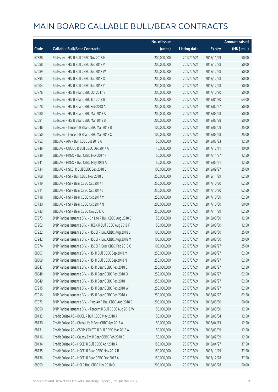|       |                                                            | No. of issue |                     |               | <b>Amount raised</b> |
|-------|------------------------------------------------------------|--------------|---------------------|---------------|----------------------|
| Code  | <b>Callable Bull/Bear Contracts</b>                        | (units)      | <b>Listing date</b> | <b>Expiry</b> | (HK\$ mil.)          |
| 67888 | SG Issuer - HSI R Bull CBBC Nov 2018 H                     | 200,000,000  | 2017/07/21          | 2018/11/29    | 50.00                |
| 67688 | SG Issuer - HSI R Bull CBBC Dec 2018 V                     | 200,000,000  | 2017/07/21          | 2018/12/28    | 50.00                |
| 67689 | SG Issuer - HSI R Bull CBBC Dec 2018 W                     | 200,000,000  | 2017/07/21          | 2018/12/28    | 50.00                |
| 67895 | SG Issuer - HSI R Bull CBBC Dec 2018 X                     | 200,000,000  | 2017/07/21          | 2018/12/28    | 50.00                |
| 67904 | SG Issuer - HSI R Bull CBBC Dec 2018 Y                     | 200,000,000  | 2017/07/21          | 2018/12/28    | 50.00                |
| 67876 | SG Issuer - HSI R Bear CBBC Oct 2017 E                     | 200,000,000  | 2017/07/21          | 2017/10/30    | 50.00                |
| 67879 | SG Issuer - HSI R Bear CBBC Jan 2018 B                     | 200,000,000  | 2017/07/21          | 2018/01/30    | 64.00                |
| 67678 | SG Issuer - HSI R Bear CBBC Feb 2018 A                     | 200,000,000  | 2017/07/21          | 2018/02/27    | 50.00                |
| 67680 | SG Issuer - HSI R Bear CBBC Mar 2018 A                     | 200,000,000  | 2017/07/21          | 2018/03/28    | 50.00                |
| 67681 | SG Issuer - HSI R Bear CBBC Mar 2018 B                     | 200,000,000  | 2017/07/21          | 2018/03/28    | 50.00                |
| 67646 | SG Issuer - Tencent R Bear CBBC Mar 2018 B                 | 100,000,000  | 2017/07/21          | 2018/03/09    | 25.00                |
| 67650 | SG Issuer - Tencent R Bear CBBC Mar 2018 C                 | 100,000,000  | 2017/07/21          | 2018/03/28    | 25.00                |
| 67752 | UBS AG - AIA R Bull CBBC Jul 2018 A                        | 50,000,000   | 2017/07/21          | 2018/07/23    | 12.50                |
| 67749 | UBS AG - CNOOC R Bull CBBC Dec 2017 A                      | 40,000,000   | 2017/07/21          | 2017/12/11    | 10.00                |
| 67739 | UBS AG - HKEX R Bull CBBC Nov 2017 F                       | 50,000,000   | 2017/07/21          | 2017/11/27    | 12.50                |
| 67741 | UBS AG - HKEX R Bull CBBC May 2018 A                       | 50,000,000   | 2017/07/21          | 2018/05/21    | 12.50                |
| 67734 | UBS AG - HSCEI R Bull CBBC Sep 2018 B                      | 100,000,000  | 2017/07/21          | 2018/09/27    | 25.00                |
| 67708 | UBS AG - HSI R Bull CBBC Nov 2018 B                        | 250,000,000  | 2017/07/21          | 2018/11/29    | 62.50                |
| 67719 | UBS AG - HSI R Bear CBBC Oct 2017 I                        | 250,000,000  | 2017/07/21          | 2017/10/30    | 62.50                |
| 67711 | UBS AG - HSI R Bear CBBC Oct 2017 L                        | 250,000,000  | 2017/07/21          | 2017/10/30    | 62.50                |
| 67718 | UBS AG - HSI R Bear CBBC Oct 2017 M                        | 250,000,000  | 2017/07/21          | 2017/10/30    | 62.50                |
| 67730 | UBS AG - HSI R Bear CBBC Oct 2017 N                        | 200,000,000  | 2017/07/21          | 2017/10/30    | 50.00                |
| 67733 | UBS AG - HSI R Bear CBBC Nov 2017 C                        | 250,000,000  | 2017/07/21          | 2017/11/29    | 62.50                |
| 67973 | BNP Paribas Issuance B.V. - Ch Life R Bull CBBC Aug 2018 B | 50,000,000   | 2017/07/24          | 2018/08/30    | 12.50                |
| 67962 | BNP Paribas Issuance B.V. - HKEX R Bull CBBC Aug 2018 F    | 50,000,000   | 2017/07/24          | 2018/08/30    | 12.50                |
| 67922 | BNP Paribas Issuance B.V. - HSCEI R Bull CBBC Aug 2018 L   | 100,000,000  | 2017/07/24          | 2018/08/30    | 25.00                |
| 67942 | BNP Paribas Issuance B.V. - HSCEI R Bull CBBC Aug 2018 M   | 100,000,000  | 2017/07/24          | 2018/08/30    | 25.00                |
| 67974 | BNP Paribas Issuance B.V. - HSCEI R Bear CBBC Feb 2018 O   | 100,000,000  | 2017/07/24          | 2018/02/27    | 25.00                |
| 68007 | BNP Paribas Issuance B.V. - HSI R Bull CBBC Sep 2018 M     | 250,000,000  | 2017/07/24          | 2018/09/27    | 62.50                |
| 68009 | BNP Paribas Issuance B.V. - HSI R Bull CBBC Sep 2018 N     | 250,000,000  | 2017/07/24          | 2018/09/27    | 62.50                |
| 68047 | BNP Paribas Issuance B.V. - HSI R Bear CBBC Feb 2018 C     | 250,000,000  | 2017/07/24          | 2018/02/27    | 62.50                |
| 68048 | BNP Paribas Issuance B.V. - HSI R Bear CBBC Feb 2018 D     | 250,000,000  | 2017/07/24          | 2018/02/27    | 62.50                |
| 68049 | BNP Paribas Issuance B.V. - HSI R Bear CBBC Feb 2018 I     | 250,000,000  | 2017/07/24          | 2018/02/27    | 62.50                |
| 67915 | BNP Paribas Issuance B.V. - HSI R Bear CBBC Feb 2018 W     | 250,000,000  | 2017/07/24          | 2018/02/27    | 62.50                |
| 67916 | BNP Paribas Issuance B.V. - HSI R Bear CBBC Feb 2018 Y     | 250,000,000  | 2017/07/24          | 2018/02/27    | 62.50                |
| 67972 | BNP Paribas Issuance B.V. - Ping An R Bull CBBC Aug 2018 C | 200,000,000  | 2017/07/24          | 2018/08/30    | 50.00                |
| 68050 | BNP Paribas Issuance B.V. - Tencent R Bull CBBC Aug 2018 W | 50,000,000   | 2017/07/24          | 2018/08/30    | 12.50                |
| 68132 | Credit Suisse AG - BOCL R Bull CBBC May 2018 A             | 50,000,000   | 2017/07/24          | 2018/05/04    | 12.50                |
| 68130 | Credit Suisse AG - China Life R Bear CBBC Apr 2018 A       | 50,000,000   | 2017/07/24          | 2018/04/13    | 12.50                |
| 68131 | Credit Suisse AG - CSOP A50 ETF R Bull CBBC Mar 2018 A     | 50,000,000   | 2017/07/24          | 2018/03/09    | 12.50                |
| 68116 | Credit Suisse AG - Galaxy Ent R Bear CBBC Feb 2018 C       | 50,000,000   | 2017/07/24          | 2018/02/09    | 12.50                |
| 68134 | Credit Suisse AG - HSCEI R Bull CBBC Apr 2018 A            | 150,000,000  | 2017/07/24          | 2018/04/27    | 37.50                |
| 68135 | Credit Suisse AG - HSCEI R Bear CBBC Nov 2017 B            | 150,000,000  | 2017/07/24          | 2017/11/29    | 37.50                |
| 68136 | Credit Suisse AG - HSCEI R Bear CBBC Dec 2017 A            | 150,000,000  | 2017/07/24          | 2017/12/28    | 37.50                |
| 68099 | Credit Suisse AG - HSI R Bull CBBC Mar 2018 O              | 200,000,000  | 2017/07/24          | 2018/03/28    | 50.00                |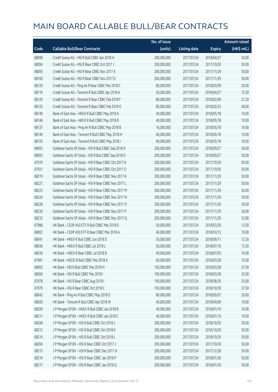|       |                                                      | No. of issue |                     |               | <b>Amount raised</b> |
|-------|------------------------------------------------------|--------------|---------------------|---------------|----------------------|
| Code  | <b>Callable Bull/Bear Contracts</b>                  | (units)      | <b>Listing date</b> | <b>Expiry</b> | (HK\$ mil.)          |
| 68098 | Credit Suisse AG - HSI R Bull CBBC Apr 2018 H        | 200,000,000  | 2017/07/24          | 2018/04/27    | 50.00                |
| 68094 | Credit Suisse AG - HSI R Bear CBBC Oct 2017 J        | 200,000,000  | 2017/07/24          | 2017/10/30    | 50.00                |
| 68095 | Credit Suisse AG - HSI R Bear CBBC Nov 2017 A        | 200,000,000  | 2017/07/24          | 2017/11/29    | 50.00                |
| 68100 | Credit Suisse AG - HSI R Bear CBBC Nov 2017 D        | 200,000,000  | 2017/07/24          | 2017/11/29    | 50.00                |
| 68129 | Credit Suisse AG - Ping An R Bear CBBC Mar 2018 C    | 80,000,000   | 2017/07/24          | 2018/03/09    | 20.00                |
| 68119 | Credit Suisse AG - Tencent R Bull CBBC Apr 2018 A    | 50,000,000   | 2017/07/24          | 2018/04/27    | 12.50                |
| 68120 | Credit Suisse AG - Tencent R Bear CBBC Feb 2018 F    | 80,000,000   | 2017/07/24          | 2018/02/09    | 27.20                |
| 68125 | Credit Suisse AG - Tencent R Bear CBBC Feb 2018 G    | 80,000,000   | 2017/07/24          | 2018/02/23    | 40.00                |
| 68140 | Bank of East Asia - HKEX R Bull CBBC May 2018 A      | 40,000,000   | 2017/07/24          | 2018/05/18    | 10.00                |
| 68146 | Bank of East Asia - HKEX R Bull CBBC May 2018 B      | 40,000,000   | 2017/07/24          | 2018/05/18    | 10.00                |
| 68137 | Bank of East Asia - Ping An R Bull CBBC May 2018 B   | 16,000,000   | 2017/07/24          | 2018/05/18    | 10.40                |
| 68149 | Bank of East Asia - Tencent R Bull CBBC May 2018 H   | 40,000,000   | 2017/07/24          | 2018/05/18    | 10.00                |
| 68155 | Bank of East Asia - Tencent R Bull CBBC May 2018 I   | 40,000,000   | 2017/07/24          | 2018/05/18    | 10.00                |
| 68092 | Goldman Sachs SP (Asia) - HSI R Bull CBBC Sep 2018 N | 200,000,000  | 2017/07/24          | 2018/09/27    | 50.00                |
| 68093 | Goldman Sachs SP (Asia) - HSI R Bull CBBC Sep 2018 O | 200,000,000  | 2017/07/24          | 2018/09/27    | 50.00                |
| 67919 | Goldman Sachs SP (Asia) - HSI R Bear CBBC Oct 2017 N | 200,000,000  | 2017/07/24          | 2017/10/30    | 50.00                |
| 67921 | Goldman Sachs SP (Asia) - HSI R Bear CBBC Oct 2017 O | 200,000,000  | 2017/07/24          | 2017/10/30    | 50.00                |
| 68219 | Goldman Sachs SP (Asia) - HSI R Bear CBBC Nov 2017 K | 200,000,000  | 2017/07/24          | 2017/11/29    | 50.00                |
| 68221 | Goldman Sachs SP (Asia) - HSI R Bear CBBC Nov 2017 L | 200,000,000  | 2017/07/24          | 2017/11/29    | 50.00                |
| 68223 | Goldman Sachs SP (Asia) - HSI R Bear CBBC Nov 2017 M | 200,000,000  | 2017/07/24          | 2017/11/29    | 50.00                |
| 68224 | Goldman Sachs SP (Asia) - HSI R Bear CBBC Nov 2017 N | 200,000,000  | 2017/07/24          | 2017/11/29    | 50.00                |
| 68228 | Goldman Sachs SP (Asia) - HSI R Bear CBBC Nov 2017 O | 200,000,000  | 2017/07/24          | 2017/11/29    | 50.00                |
| 68230 | Goldman Sachs SP (Asia) - HSI R Bear CBBC Nov 2017 P | 200,000,000  | 2017/07/24          | 2017/11/29    | 50.00                |
| 68233 | Goldman Sachs SP (Asia) - HSI R Bear CBBC Nov 2017 Q | 200,000,000  | 2017/07/24          | 2017/11/29    | 52.80                |
| 67986 | HK Bank - CSOP A50 ETF R Bull CBBC Mar 2018 D        | 50,000,000   | 2017/07/24          | 2018/03/26    | 12.50                |
| 68002 | HK Bank - CSOP A50 ETF R Bear CBBC Mar 2018 A        | 40,000,000   | 2017/07/24          | 2018/03/12    | 10.00                |
| 68041 | HK Bank - HKEX R Bull CBBC Jun 2018 D                | 50,000,000   | 2017/07/24          | 2018/06/11    | 12.50                |
| 68036 | HK Bank - HKEX R Bull CBBC Jul 2018 L                | 50,000,000   | 2017/07/24          | 2018/07/16    | 12.50                |
| 68030 | HK Bank - HKEX R Bear CBBC Jul 2018 B                | 40,000,000   | 2017/07/24          | 2018/07/03    | 10.00                |
| 67981 | HK Bank - HSCEI R Bull CBBC Mar 2018 A               | 60,000,000   | 2017/07/24          | 2018/03/28    | 15.00                |
| 68003 | HK Bank - HSI R Bull CBBC Mar 2018 H                 | 150,000,000  | 2017/07/24          | 2018/03/28    | 37.50                |
| 68004 | HK Bank - HSI R Bull CBBC Mar 2018 I                 | 100,000,000  | 2017/07/24          | 2018/03/28    | 25.00                |
| 67978 | HK Bank - HSI R Bear CBBC Aug 2018 I                 | 100,000,000  | 2017/07/24          | 2018/08/30    | 25.00                |
| 67979 | HK Bank - HSI R Bear CBBC Oct 2018 C                 | 150,000,000  | 2017/07/24          | 2018/10/30    | 37.50                |
| 68042 | HK Bank - Ping An R Bull CBBC May 2018 D             | 80,000,000   | 2017/07/24          | 2018/05/07    | 20.00                |
| 68020 | HK Bank - Tencent R Bull CBBC Apr 2018 W             | 40,000,000   | 2017/07/24          | 2018/04/09    | 10.00                |
| 68209 | J P Morgan SP BV - HKEX R Bull CBBC Jan 2018 B       | 40,000,000   | 2017/07/24          | 2018/01/19    | 10.00                |
| 68211 | J P Morgan SP BV - HKEX R Bull CBBC Jan 2018 C       | 40,000,000   | 2017/07/24          | 2018/01/19    | 10.00                |
| 68208 | J P Morgan SP BV - HSI R Bull CBBC Oct 2018 J        | 200,000,000  | 2017/07/24          | 2018/10/30    | 50.00                |
| 68212 | J P Morgan SP BV - HSI R Bull CBBC Oct 2018 K        | 200,000,000  | 2017/07/24          | 2018/10/30    | 50.00                |
| 68214 | J P Morgan SP BV - HSI R Bull CBBC Oct 2018 L        | 200,000,000  | 2017/07/24          | 2018/10/30    | 50.00                |
| 68204 | J P Morgan SP BV - HSI R Bear CBBC Oct 2017 J        | 200,000,000  | 2017/07/24          | 2017/10/30    | 50.00                |
| 68215 | J P Morgan SP BV - HSI R Bear CBBC Dec 2017 H        | 200,000,000  | 2017/07/24          | 2017/12/28    | 50.00                |
| 68216 | J P Morgan SP BV - HSI R Bear CBBC Jan 2018 P        | 200,000,000  | 2017/07/24          | 2018/01/30    | 50.00                |
| 68217 | J P Morgan SP BV - HSI R Bear CBBC Jan 2018 Q        | 200,000,000  | 2017/07/24          | 2018/01/30    | 50.00                |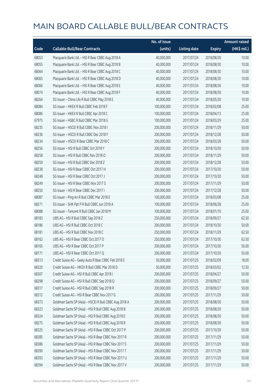|       |                                                        | No. of issue |                     |               | <b>Amount raised</b> |
|-------|--------------------------------------------------------|--------------|---------------------|---------------|----------------------|
| Code  | <b>Callable Bull/Bear Contracts</b>                    | (units)      | <b>Listing date</b> | <b>Expiry</b> | (HK\$ mil.)          |
| 68053 | Macquarie Bank Ltd. - HSI R Bear CBBC Aug 2018 A       | 40,000,000   | 2017/07/24          | 2018/08/30    | 10.00                |
| 68055 | Macquarie Bank Ltd. - HSI R Bear CBBC Aug 2018 B       | 40,000,000   | 2017/07/24          | 2018/08/30    | 10.00                |
| 68064 | Macquarie Bank Ltd. - HSI R Bear CBBC Aug 2018 C       | 40,000,000   | 2017/07/24          | 2018/08/30    | 10.00                |
| 68065 | Macquarie Bank Ltd. - HSI R Bear CBBC Aug 2018 D       | 40,000,000   | 2017/07/24          | 2018/08/30    | 10.00                |
| 68066 | Macquarie Bank Ltd. - HSI R Bear CBBC Aug 2018 E       | 40,000,000   | 2017/07/24          | 2018/08/30    | 10.00                |
| 68074 | Macquarie Bank Ltd. - HSI R Bear CBBC Aug 2018 F       | 40,000,000   | 2017/07/24          | 2018/08/30    | 10.00                |
| 68264 | SG Issuer - China Life R Bull CBBC May 2018 E          | 40,000,000   | 2017/07/24          | 2018/05/30    | 10.00                |
| 68084 | SG Issuer - HKEX R Bull CBBC Feb 2018 F                | 100,000,000  | 2017/07/24          | 2018/02/08    | 25.00                |
| 68086 | SG Issuer - HKEX R Bull CBBC Apr 2018 C                | 100,000,000  | 2017/07/24          | 2018/04/13    | 25.00                |
| 67975 | SG Issuer - HSBC R Bull CBBC Mar 2018 G                | 100,000,000  | 2017/07/24          | 2018/03/29    | 25.00                |
| 68235 | SG Issuer - HSCEI R Bull CBBC Nov 2018 I               | 200,000,000  | 2017/07/24          | 2018/11/29    | 50.00                |
| 68236 | SG Issuer - HSCEI R Bull CBBC Dec 2018 F               | 200,000,000  | 2017/07/24          | 2018/12/28    | 50.00                |
| 68234 | SG Issuer - HSCEI R Bear CBBC Mar 2018 C               | 200,000,000  | 2017/07/24          | 2018/03/28    | 50.00                |
| 68256 | SG Issuer - HSI R Bull CBBC Oct 2018 Y                 | 200,000,000  | 2017/07/24          | 2018/10/30    | 50.00                |
| 68258 | SG Issuer - HSI R Bull CBBC Nov 2018 O                 | 200,000,000  | 2017/07/24          | 2018/11/29    | 50.00                |
| 68259 | SG Issuer - HSI R Bull CBBC Dec 2018 Z                 | 200,000,000  | 2017/07/24          | 2018/12/28    | 50.00                |
| 68238 | SG Issuer - HSI R Bear CBBC Oct 2017 H                 | 200,000,000  | 2017/07/24          | 2017/10/30    | 50.00                |
| 68248 | SG Issuer - HSI R Bear CBBC Oct 2017 J                 | 200,000,000  | 2017/07/24          | 2017/10/30    | 50.00                |
| 68249 | SG Issuer - HSI R Bear CBBC Nov 2017 S                 | 200,000,000  | 2017/07/24          | 2017/11/29    | 50.00                |
| 68250 | SG Issuer - HSI R Bear CBBC Dec 2017 I                 | 200,000,000  | 2017/07/24          | 2017/12/28    | 50.00                |
| 68087 | SG Issuer - Ping An R Bull CBBC Mar 2018 E             | 100,000,000  | 2017/07/24          | 2018/03/08    | 25.00                |
| 68271 | SG Issuer - SHK Ppt P R Bull CBBC Jun 2018 A           | 100,000,000  | 2017/07/24          | 2018/06/28    | 25.00                |
| 68088 | SG Issuer - Tencent R Bull CBBC Jan 2018 M             | 100,000,000  | 2017/07/24          | 2018/01/10    | 25.00                |
| 68183 | UBS AG - HSI R Bull CBBC Sep 2018 Z                    | 250,000,000  | 2017/07/24          | 2018/09/27    | 62.50                |
| 68186 | UBS AG - HSI R Bull CBBC Oct 2018 C                    | 200,000,000  | 2017/07/24          | 2018/10/30    | 50.00                |
| 68181 | UBS AG - HSI R Bull CBBC Nov 2018 C                    | 250,000,000  | 2017/07/24          | 2018/11/29    | 62.50                |
| 68162 | UBS AG - HSI R Bear CBBC Oct 2017 O                    | 250,000,000  | 2017/07/24          | 2017/10/30    | 62.50                |
| 68165 | UBS AG - HSI R Bear CBBC Oct 2017 P                    | 200,000,000  | 2017/07/24          | 2017/10/30    | 50.00                |
| 68171 | UBS AG - HSI R Bear CBBC Oct 2017 Q                    | 200,000,000  | 2017/07/24          | 2017/10/30    | 50.00                |
| 68313 | Credit Suisse AG - Geely Auto R Bear CBBC Feb 2018 E   | 50,000,000   | 2017/07/25          | 2018/02/09    | 18.00                |
| 68320 | Credit Suisse AG - HKEX R Bull CBBC Mar 2018 D         | 50,000,000   | 2017/07/25          | 2018/03/02    | 12.50                |
| 68307 | Credit Suisse AG - HSI R Bull CBBC Apr 2018 I          | 200,000,000  | 2017/07/25          | 2018/04/27    | 50.00                |
| 68298 | Credit Suisse AG - HSI R Bull CBBC Sep 2018 Q          | 200,000,000  | 2017/07/25          | 2018/09/27    | 50.00                |
| 68317 | Credit Suisse AG - HSI R Bull CBBC Sep 2018 R          | 200,000,000  | 2017/07/25          | 2018/09/27    | 50.00                |
| 68312 | Credit Suisse AG - HSI R Bear CBBC Nov 2017 G          | 200,000,000  | 2017/07/25          | 2017/11/29    | 50.00                |
| 68373 | Goldman Sachs SP (Asia) - HSCEI R Bull CBBC Aug 2018 A | 200,000,000  | 2017/07/25          | 2018/08/30    | 50.00                |
| 68323 | Goldman Sachs SP (Asia) - HSI R Bull CBBC Aug 2018 B   | 200,000,000  | 2017/07/25          | 2018/08/30    | 50.00                |
| 68324 | Goldman Sachs SP (Asia) - HSI R Bull CBBC Aug 2018 E   | 200,000,000  | 2017/07/25          | 2018/08/30    | 50.00                |
| 68275 | Goldman Sachs SP (Asia) - HSI R Bull CBBC Aug 2018 R   | 200,000,000  | 2017/07/25          | 2018/08/30    | 50.00                |
| 68325 | Goldman Sachs SP (Asia) - HSI R Bear CBBC Oct 2017 P   | 200,000,000  | 2017/07/25          | 2017/10/30    | 50.00                |
| 68385 | Goldman Sachs SP (Asia) - HSI R Bear CBBC Nov 2017 R   | 200,000,000  | 2017/07/25          | 2017/11/29    | 50.00                |
| 68386 | Goldman Sachs SP (Asia) - HSI R Bear CBBC Nov 2017 S   | 200,000,000  | 2017/07/25          | 2017/11/29    | 50.00                |
| 68390 | Goldman Sachs SP (Asia) - HSI R Bear CBBC Nov 2017 T   | 200,000,000  | 2017/07/25          | 2017/11/29    | 50.00                |
| 68393 | Goldman Sachs SP (Asia) - HSI R Bear CBBC Nov 2017 U   | 200,000,000  | 2017/07/25          | 2017/11/29    | 50.00                |
| 68394 | Goldman Sachs SP (Asia) - HSI R Bear CBBC Nov 2017 V   | 200,000,000  | 2017/07/25          | 2017/11/29    | 50.00                |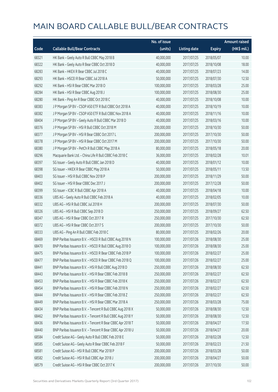|       |                                                            | No. of issue |                     |               | <b>Amount raised</b> |
|-------|------------------------------------------------------------|--------------|---------------------|---------------|----------------------|
| Code  | <b>Callable Bull/Bear Contracts</b>                        | (units)      | <b>Listing date</b> | <b>Expiry</b> | (HK\$ mil.)          |
| 68321 | HK Bank - Geely Auto R Bull CBBC May 2018 B                | 40,000,000   | 2017/07/25          | 2018/05/07    | 10.00                |
| 68322 | HK Bank - Geely Auto R Bear CBBC Oct 2018 D                | 40,000,000   | 2017/07/25          | 2018/10/08    | 18.00                |
| 68283 | HK Bank - HKEX R Bear CBBC Jul 2018 C                      | 40,000,000   | 2017/07/25          | 2018/07/23    | 14.00                |
| 68293 | HK Bank - HSCEI R Bear CBBC Jul 2018 A                     | 50,000,000   | 2017/07/25          | 2018/07/30    | 12.50                |
| 68292 | HK Bank - HSI R Bear CBBC Mar 2018 O                       | 100,000,000  | 2017/07/25          | 2018/03/28    | 25.00                |
| 68284 | HK Bank - HSI R Bear CBBC Aug 2018 J                       | 100,000,000  | 2017/07/25          | 2018/08/30    | 25.00                |
| 68280 | HK Bank - Ping An R Bear CBBC Oct 2018 C                   | 40,000,000   | 2017/07/25          | 2018/10/08    | 10.00                |
| 68383 | J P Morgan SP BV - CSOP A50 ETF R Bull CBBC Oct 2018 A     | 40,000,000   | 2017/07/25          | 2018/10/19    | 10.00                |
| 68382 | J P Morgan SP BV - CSOP A50 ETF R Bull CBBC Nov 2018 A     | 40,000,000   | 2017/07/25          | 2018/11/16    | 10.00                |
| 68404 | J P Morgan SP BV - Geely Auto R Bull CBBC Mar 2018 D       | 40,000,000   | 2017/07/25          | 2018/03/16    | 10.00                |
| 68376 | J P Morgan SP BV - HSI R Bull CBBC Oct 2018 M              | 200,000,000  | 2017/07/25          | 2018/10/30    | 50.00                |
| 68377 | J P Morgan SP BV - HSI R Bear CBBC Oct 2017 L              | 200,000,000  | 2017/07/25          | 2017/10/30    | 50.00                |
| 68378 | JP Morgan SP BV - HSIR Bear CBBC Oct 2017 M                | 200,000,000  | 2017/07/25          | 2017/10/30    | 50.00                |
| 68380 | J P Morgan SP BV - PetCh R Bull CBBC May 2018 A            | 80,000,000   | 2017/07/25          | 2018/05/18    | 20.00                |
| 68296 | Macquarie Bank Ltd. - China Life R Bull CBBC Feb 2018 C    | 36,000,000   | 2017/07/25          | 2018/02/28    | 10.01                |
| 68397 | SG Issuer - Geely Auto R Bull CBBC Jan 2018 D              | 40,000,000   | 2017/07/25          | 2018/01/12    | 10.00                |
| 68398 | SG Issuer - HKEX R Bear CBBC May 2018 A                    | 50,000,000   | 2017/07/25          | 2018/05/11    | 13.50                |
| 68403 | SG Issuer - HSI R Bull CBBC Nov 2018 P                     | 200,000,000  | 2017/07/25          | 2018/11/29    | 50.00                |
| 68402 | SG Issuer - HSI R Bear CBBC Dec 2017 J                     | 200,000,000  | 2017/07/25          | 2017/12/28    | 50.00                |
| 68399 | SG Issuer - ICBC R Bull CBBC Apr 2018 A                    | 40,000,000   | 2017/07/25          | 2018/04/18    | 10.00                |
| 68336 | UBS AG - Geely Auto R Bull CBBC Feb 2018 A                 | 40,000,000   | 2017/07/25          | 2018/02/05    | 10.00                |
| 68332 | UBS AG - HSI R Bull CBBC Jul 2018 H                        | 200,000,000  | 2017/07/25          | 2018/07/30    | 50.00                |
| 68326 | UBS AG - HSI R Bull CBBC Sep 2018 D                        | 250,000,000  | 2017/07/25          | 2018/09/27    | 62.50                |
| 68347 | UBS AG - HSI R Bear CBBC Oct 2017 R                        | 250,000,000  | 2017/07/25          | 2017/10/30    | 62.50                |
| 68372 | UBS AG - HSI R Bear CBBC Oct 2017 S                        | 200,000,000  | 2017/07/25          | 2017/10/30    | 50.00                |
| 68333 | UBS AG - Ping An R Bull CBBC Feb 2018 C                    | 80,000,000   | 2017/07/25          | 2018/02/26    | 20.00                |
| 68469 | BNP Paribas Issuance B.V. - HSCEI R Bull CBBC Aug 2018 N   | 100,000,000  | 2017/07/26          | 2018/08/30    | 25.00                |
| 68470 | BNP Paribas Issuance B.V. - HSCEI R Bull CBBC Aug 2018 O   | 100,000,000  | 2017/07/26          | 2018/08/30    | 25.00                |
| 68475 | BNP Paribas Issuance B.V. - HSCEI R Bear CBBC Feb 2018 P   | 100,000,000  | 2017/07/26          | 2018/02/27    | 25.00                |
| 68477 | BNP Paribas Issuance B.V. - HSCEI R Bear CBBC Feb 2018 Q   | 100,000,000  | 2017/07/26          | 2018/02/27    | 25.00                |
| 68441 | BNP Paribas Issuance B.V. - HSI R Bull CBBC Aug 2018 D     | 250,000,000  | 2017/07/26          | 2018/08/30    | 62.50                |
| 68443 | BNP Paribas Issuance B.V. - HSI R Bear CBBC Feb 2018 B     | 250,000,000  | 2017/07/26          | 2018/02/27    | 62.50                |
| 68453 | BNP Paribas Issuance B.V. - HSI R Bear CBBC Feb 2018 K     | 250,000,000  | 2017/07/26          | 2018/02/27    | 62.50                |
| 68454 | BNP Paribas Issuance B.V. - HSI R Bear CBBC Feb 2018 N     | 250,000,000  | 2017/07/26          | 2018/02/27    | 62.50                |
| 68444 | BNP Paribas Issuance B.V. - HSI R Bear CBBC Feb 2018 Z     | 250,000,000  | 2017/07/26          | 2018/02/27    | 62.50                |
| 68449 | BNP Paribas Issuance B.V. - HSI R Bear CBBC Mar 2018 A     | 250,000,000  | 2017/07/26          | 2018/03/28    | 75.00                |
| 68434 | BNP Paribas Issuance B.V. - Tencent R Bull CBBC Aug 2018 X | 50,000,000   | 2017/07/26          | 2018/08/30    | 12.50                |
| 68462 | BNP Paribas Issuance B.V. - Tencent R Bull CBBC Aug 2018 Y | 50,000,000   | 2017/07/26          | 2018/08/30    | 12.50                |
| 68436 | BNP Paribas Issuance B.V. - Tencent R Bear CBBC Apr 2018 T | 50,000,000   | 2017/07/26          | 2018/04/27    | 17.50                |
| 68440 | BNP Paribas Issuance B.V. - Tencent R Bear CBBC Apr 2018 U | 50,000,000   | 2017/07/26          | 2018/04/27    | 20.00                |
| 68584 | Credit Suisse AG - Geely Auto R Bull CBBC Feb 2018 E       | 50,000,000   | 2017/07/26          | 2018/02/28    | 12.50                |
| 68585 | Credit Suisse AG - Geely Auto R Bear CBBC Feb 2018 F       | 50,000,000   | 2017/07/26          | 2018/02/23    | 21.50                |
| 68581 | Credit Suisse AG - HSI R Bull CBBC Mar 2018 P              | 200,000,000  | 2017/07/26          | 2018/03/28    | 50.00                |
| 68582 | Credit Suisse AG - HSI R Bull CBBC Apr 2018 J              | 200,000,000  | 2017/07/26          | 2018/04/27    | 50.00                |
| 68579 | Credit Suisse AG - HSI R Bear CBBC Oct 2017 K              | 200,000,000  | 2017/07/26          | 2017/10/30    | 50.00                |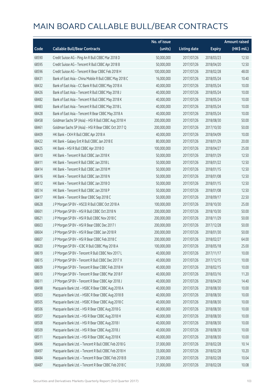|       |                                                         | No. of issue |                     |               | <b>Amount raised</b>  |
|-------|---------------------------------------------------------|--------------|---------------------|---------------|-----------------------|
| Code  | <b>Callable Bull/Bear Contracts</b>                     | (units)      | <b>Listing date</b> | <b>Expiry</b> | $(HK\frac{1}{2}mil.)$ |
| 68590 | Credit Suisse AG - Ping An R Bull CBBC Mar 2018 D       | 50,000,000   | 2017/07/26          | 2018/03/23    | 12.50                 |
| 68595 | Credit Suisse AG - Tencent R Bull CBBC Apr 2018 B       | 50,000,000   | 2017/07/26          | 2018/04/20    | 12.50                 |
| 68596 | Credit Suisse AG - Tencent R Bear CBBC Feb 2018 H       | 100,000,000  | 2017/07/26          | 2018/02/28    | 48.00                 |
| 68431 | Bank of East Asia - China Mobile R Bull CBBC May 2018 C | 16,000,000   | 2017/07/26          | 2018/05/24    | 10.40                 |
| 68432 | Bank of East Asia - CC Bank R Bull CBBC May 2018 A      | 40,000,000   | 2017/07/26          | 2018/05/24    | 10.00                 |
| 68426 | Bank of East Asia - Tencent R Bull CBBC May 2018 J      | 40,000,000   | 2017/07/26          | 2018/05/24    | 10.00                 |
| 68482 | Bank of East Asia - Tencent R Bull CBBC May 2018 K      | 40,000,000   | 2017/07/26          | 2018/05/24    | 10.00                 |
| 68483 | Bank of East Asia - Tencent R Bull CBBC May 2018 L      | 40,000,000   | 2017/07/26          | 2018/05/24    | 10.00                 |
| 68428 | Bank of East Asia - Tencent R Bear CBBC May 2018 A      | 40,000,000   | 2017/07/26          | 2018/05/24    | 10.00                 |
| 68458 | Goldman Sachs SP (Asia) - HSI R Bull CBBC Aug 2018 H    | 200,000,000  | 2017/07/26          | 2018/08/30    | 50.00                 |
| 68461 | Goldman Sachs SP (Asia) - HSI R Bear CBBC Oct 2017 Q    | 200,000,000  | 2017/07/26          | 2017/10/30    | 50.00                 |
| 68409 | HK Bank - CKH R Bull CBBC Apr 2018 A                    | 40,000,000   | 2017/07/26          | 2018/04/09    | 10.00                 |
| 68422 | HK Bank - Galaxy Ent R Bull CBBC Jan 2018 E             | 80,000,000   | 2017/07/26          | 2018/01/29    | 20.00                 |
| 68425 | HK Bank - HSI R Bull CBBC Apr 2018 O                    | 100,000,000  | 2017/07/26          | 2018/04/27    | 25.00                 |
| 68410 | HK Bank - Tencent R Bull CBBC Jan 2018 K                | 50,000,000   | 2017/07/26          | 2018/01/29    | 12.50                 |
| 68411 | HK Bank - Tencent R Bull CBBC Jan 2018 L                | 50,000,000   | 2017/07/26          | 2018/01/22    | 12.50                 |
| 68414 | HK Bank - Tencent R Bull CBBC Jan 2018 M                | 50,000,000   | 2017/07/26          | 2018/01/15    | 12.50                 |
| 68416 | HK Bank - Tencent R Bull CBBC Jan 2018 N                | 50,000,000   | 2017/07/26          | 2018/01/08    | 12.50                 |
| 68512 | HK Bank - Tencent R Bull CBBC Jan 2018 O                | 50,000,000   | 2017/07/26          | 2018/01/15    | 12.50                 |
| 68514 | HK Bank - Tencent R Bull CBBC Jan 2018 P                | 50,000,000   | 2017/07/26          | 2018/01/08    | 12.50                 |
| 68417 | HK Bank - Tencent R Bear CBBC Sep 2018 C                | 50,000,000   | 2017/07/26          | 2018/09/17    | 22.50                 |
| 68628 | J P Morgan SP BV - HSCEI R Bull CBBC Oct 2018 A         | 100,000,000  | 2017/07/26          | 2018/10/30    | 25.00                 |
| 68601 | J P Morgan SP BV - HSI R Bull CBBC Oct 2018 N           | 200,000,000  | 2017/07/26          | 2018/10/30    | 50.00                 |
| 68621 | J P Morgan SP BV - HSI R Bull CBBC Nov 2018 C           | 200,000,000  | 2017/07/26          | 2018/11/29    | 50.00                 |
| 68603 | J P Morgan SP BV - HSI R Bear CBBC Dec 2017 I           | 200,000,000  | 2017/07/26          | 2017/12/28    | 50.00                 |
| 68604 | J P Morgan SP BV - HSI R Bear CBBC Jan 2018 R           | 200,000,000  | 2017/07/26          | 2018/01/30    | 50.00                 |
| 68607 | J P Morgan SP BV - HSI R Bear CBBC Feb 2018 C           | 200,000,000  | 2017/07/26          | 2018/02/27    | 64.00                 |
| 68620 | J P Morgan SP BV - ICBC R Bull CBBC May 2018 A          | 100,000,000  | 2017/07/26          | 2018/05/18    | 25.00                 |
| 68619 | J P Morgan SP BV - Tencent R Bull CBBC Nov 2017 L       | 40,000,000   | 2017/07/26          | 2017/11/17    | 10.00                 |
| 68615 | J P Morgan SP BV - Tencent R Bull CBBC Dec 2017 X       | 40,000,000   | 2017/07/26          | 2017/12/15    | 10.00                 |
| 68609 | J P Morgan SP BV - Tencent R Bear CBBC Feb 2018 H       | 40,000,000   | 2017/07/26          | 2018/02/15    | 10.00                 |
| 68610 | J P Morgan SP BV - Tencent R Bear CBBC Mar 2018 F       | 40,000,000   | 2017/07/26          | 2018/03/16    | 11.20                 |
| 68611 | J P Morgan SP BV - Tencent R Bear CBBC Apr 2018 J       | 40,000,000   | 2017/07/26          | 2018/04/20    | 14.40                 |
| 68498 | Macquarie Bank Ltd. - HSBC R Bear CBBC Aug 2018 A       | 40,000,000   | 2017/07/26          | 2018/08/30    | 10.00                 |
| 68503 | Macquarie Bank Ltd. - HSBC R Bear CBBC Aug 2018 B       | 40,000,000   | 2017/07/26          | 2018/08/30    | 10.00                 |
| 68505 | Macquarie Bank Ltd. - HSBC R Bear CBBC Aug 2018 C       | 40,000,000   | 2017/07/26          | 2018/08/30    | 10.00                 |
| 68506 | Macquarie Bank Ltd. - HSI R Bear CBBC Aug 2018 G        | 40,000,000   | 2017/07/26          | 2018/08/30    | 10.00                 |
| 68507 | Macquarie Bank Ltd. - HSI R Bear CBBC Aug 2018 H        | 40,000,000   | 2017/07/26          | 2018/08/30    | 10.00                 |
| 68508 | Macquarie Bank Ltd. - HSI R Bear CBBC Aug 2018 I        | 40,000,000   | 2017/07/26          | 2018/08/30    | 10.00                 |
| 68509 | Macquarie Bank Ltd. - HSI R Bear CBBC Aug 2018 J        | 40,000,000   | 2017/07/26          | 2018/08/30    | 10.00                 |
| 68511 | Macquarie Bank Ltd. - HSI R Bear CBBC Aug 2018 K        | 40,000,000   | 2017/07/26          | 2018/08/30    | 10.00                 |
| 68496 | Macquarie Bank Ltd. - Tencent R Bull CBBC Feb 2018 G    | 37,000,000   | 2017/07/26          | 2018/02/28    | 10.14                 |
| 68497 | Macquarie Bank Ltd. - Tencent R Bull CBBC Feb 2018 H    | 33,000,000   | 2017/07/26          | 2018/02/28    | 10.20                 |
| 68484 | Macquarie Bank Ltd. - Tencent R Bear CBBC Feb 2018 B    | 27,000,000   | 2017/07/26          | 2018/02/28    | 10.04                 |
| 68487 | Macquarie Bank Ltd. - Tencent R Bear CBBC Feb 2018 C    | 31,000,000   | 2017/07/26          | 2018/02/28    | 10.08                 |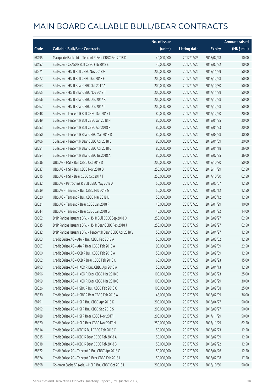|       |                                                            | No. of issue |                     |               | <b>Amount raised</b> |
|-------|------------------------------------------------------------|--------------|---------------------|---------------|----------------------|
| Code  | <b>Callable Bull/Bear Contracts</b>                        | (units)      | <b>Listing date</b> | <b>Expiry</b> | $(HK\$ mil.)         |
| 68495 | Macquarie Bank Ltd. - Tencent R Bear CBBC Feb 2018 D       | 40,000,000   | 2017/07/26          | 2018/02/28    | 10.00                |
| 68457 | SG Issuer - CSA50 R Bull CBBC Feb 2018 E                   | 40,000,000   | 2017/07/26          | 2018/02/22    | 10.00                |
| 68571 | SG Issuer - HSI R Bull CBBC Nov 2018 G                     | 200,000,000  | 2017/07/26          | 2018/11/29    | 50.00                |
| 68572 | SG Issuer - HSI R Bull CBBC Dec 2018 E                     | 200,000,000  | 2017/07/26          | 2018/12/28    | 50.00                |
| 68563 | SG Issuer - HSI R Bear CBBC Oct 2017 A                     | 200,000,000  | 2017/07/26          | 2017/10/30    | 50.00                |
| 68565 | SG Issuer - HSI R Bear CBBC Nov 2017 T                     | 200,000,000  | 2017/07/26          | 2017/11/29    | 50.00                |
| 68566 | SG Issuer - HSI R Bear CBBC Dec 2017 K                     | 200,000,000  | 2017/07/26          | 2017/12/28    | 50.00                |
| 68567 | SG Issuer - HSI R Bear CBBC Dec 2017 L                     | 200,000,000  | 2017/07/26          | 2017/12/28    | 50.00                |
| 68548 | SG Issuer - Tencent R Bull CBBC Dec 2017 I                 | 80,000,000   | 2017/07/26          | 2017/12/20    | 20.00                |
| 68549 | SG Issuer - Tencent R Bull CBBC Jan 2018 N                 | 80,000,000   | 2017/07/26          | 2018/01/25    | 20.00                |
| 68553 | SG Issuer - Tencent R Bull CBBC Apr 2018 F                 | 80,000,000   | 2017/07/26          | 2018/04/23    | 20.00                |
| 68550 | SG Issuer - Tencent R Bear CBBC Mar 2018 D                 | 80,000,000   | 2017/07/26          | 2018/03/28    | 30.80                |
| 68406 | SG Issuer - Tencent R Bear CBBC Apr 2018 B                 | 80,000,000   | 2017/07/26          | 2018/04/09    | 20.00                |
| 68551 | SG Issuer - Tencent R Bear CBBC Apr 2018 C                 | 80,000,000   | 2017/07/26          | 2018/04/18    | 26.00                |
| 68554 | SG Issuer - Tencent R Bear CBBC Jul 2018 A                 | 80,000,000   | 2017/07/26          | 2018/07/25    | 36.00                |
| 68536 | UBS AG - HSI R Bull CBBC Oct 2018 D                        | 200,000,000  | 2017/07/26          | 2018/10/30    | 50.00                |
| 68537 | UBS AG - HSI R Bull CBBC Nov 2018 D                        | 250,000,000  | 2017/07/26          | 2018/11/29    | 62.50                |
| 68515 | UBS AG - HSI R Bear CBBC Oct 2017 T                        | 250,000,000  | 2017/07/26          | 2017/10/30    | 62.50                |
| 68532 | UBS AG - Petrochina R Bull CBBC May 2018 A                 | 50,000,000   | 2017/07/26          | 2018/05/07    | 12.50                |
| 68539 | UBS AG - Tencent R Bull CBBC Feb 2018 G                    | 50,000,000   | 2017/07/26          | 2018/02/12    | 12.50                |
| 68520 | UBS AG - Tencent R Bull CBBC Mar 2018 D                    | 50,000,000   | 2017/07/26          | 2018/03/12    | 12.50                |
| 68521 | UBS AG - Tencent R Bear CBBC Jan 2018 F                    | 40,000,000   | 2017/07/26          | 2018/01/29    | 10.00                |
| 68544 | UBS AG - Tencent R Bear CBBC Jan 2018 G                    | 40,000,000   | 2017/07/26          | 2018/01/22    | 14.00                |
| 68662 | BNP Paribas Issuance B.V. - HSI R Bull CBBC Sep 2018 O     | 250,000,000  | 2017/07/27          | 2018/09/27    | 62.50                |
| 68635 | BNP Paribas Issuance B.V. - HSI R Bear CBBC Feb 2018 J     | 250,000,000  | 2017/07/27          | 2018/02/27    | 62.50                |
| 68632 | BNP Paribas Issuance B.V. - Tencent R Bear CBBC Apr 2018 V | 50,000,000   | 2017/07/27          | 2018/04/27    | 12.50                |
| 68803 | Credit Suisse AG - AIA R Bull CBBC Feb 2018 A              | 50,000,000   | 2017/07/27          | 2018/02/02    | 12.50                |
| 68807 | Credit Suisse AG - AIA R Bear CBBC Feb 2018 A              | 90,000,000   | 2017/07/27          | 2018/02/09    | 22.50                |
| 68800 | Credit Suisse AG - CCB R Bull CBBC Feb 2018 A              | 50,000,000   | 2017/07/27          | 2018/02/09    | 12.50                |
| 68802 | Credit Suisse AG - CCB R Bear CBBC Feb 2018 C              | 60,000,000   | 2017/07/27          | 2018/02/23    | 15.00                |
| 68793 | Credit Suisse AG - HKEX R Bull CBBC Apr 2018 A             | 50,000,000   | 2017/07/27          | 2018/04/13    | 12.50                |
| 68796 | Credit Suisse AG - HKEX R Bear CBBC Mar 2018 B             | 100,000,000  | 2017/07/27          | 2018/03/23    | 25.00                |
| 68799 | Credit Suisse AG - HKEX R Bear CBBC Mar 2018 C             | 100,000,000  | 2017/07/27          | 2018/03/29    | 30.00                |
| 68826 | Credit Suisse AG - HSBC R Bull CBBC Feb 2018 C             | 100,000,000  | 2017/07/27          | 2018/02/08    | 25.00                |
| 68830 | Credit Suisse AG - HSBC R Bear CBBC Feb 2018 A             | 45,000,000   | 2017/07/27          | 2018/02/09    | 36.00                |
| 68791 | Credit Suisse AG - HSI R Bull CBBC Apr 2018 K              | 200,000,000  | 2017/07/27          | 2018/04/27    | 50.00                |
| 68792 | Credit Suisse AG - HSI R Bull CBBC Sep 2018 S              | 200,000,000  | 2017/07/27          | 2018/09/27    | 50.00                |
| 68788 | Credit Suisse AG - HSI R Bear CBBC Nov 2017 I              | 200,000,000  | 2017/07/27          | 2017/11/29    | 50.00                |
| 68820 | Credit Suisse AG - HSI R Bear CBBC Nov 2017 N              | 250,000,000  | 2017/07/27          | 2017/11/29    | 62.50                |
| 68814 | Credit Suisse AG - ICBC R Bull CBBC Feb 2018 C             | 50,000,000   | 2017/07/27          | 2018/02/23    | 12.50                |
| 68815 | Credit Suisse AG - ICBC R Bear CBBC Feb 2018 A             | 50,000,000   | 2017/07/27          | 2018/02/09    | 12.50                |
| 68818 | Credit Suisse AG - ICBC R Bear CBBC Feb 2018 B             | 50,000,000   | 2017/07/27          | 2018/02/22    | 12.50                |
| 68822 | Credit Suisse AG - Tencent R Bull CBBC Apr 2018 C          | 50,000,000   | 2017/07/27          | 2018/04/26    | 12.50                |
| 68824 | Credit Suisse AG - Tencent R Bear CBBC Feb 2018 I          | 50,000,000   | 2017/07/27          | 2018/02/08    | 17.50                |
| 68698 | Goldman Sachs SP (Asia) - HSI R Bull CBBC Oct 2018 L       | 200,000,000  | 2017/07/27          | 2018/10/30    | 50.00                |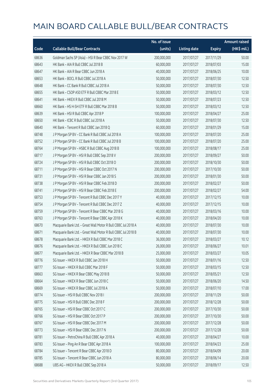|       |                                                               | No. of issue |                     |               | <b>Amount raised</b> |
|-------|---------------------------------------------------------------|--------------|---------------------|---------------|----------------------|
| Code  | <b>Callable Bull/Bear Contracts</b>                           | (units)      | <b>Listing date</b> | <b>Expiry</b> | (HK\$ mil.)          |
| 68636 | Goldman Sachs SP (Asia) - HSI R Bear CBBC Nov 2017 W          | 200,000,000  | 2017/07/27          | 2017/11/29    | 50.00                |
| 68643 | HK Bank - AIA R Bull CBBC Jul 2018 B                          | 60,000,000   | 2017/07/27          | 2018/07/03    | 15.00                |
| 68647 | HK Bank - AIA R Bear CBBC Jun 2018 A                          | 40,000,000   | 2017/07/27          | 2018/06/25    | 10.00                |
| 68653 | HK Bank - BOCL R Bull CBBC Jul 2018 A                         | 50,000,000   | 2017/07/27          | 2018/07/30    | 12.50                |
| 68648 | HK Bank - CC Bank R Bull CBBC Jul 2018 A                      | 50,000,000   | 2017/07/27          | 2018/07/30    | 12.50                |
| 68655 | HK Bank - CSOP A50 ETF R Bull CBBC Mar 2018 E                 | 50,000,000   | 2017/07/27          | 2018/03/12    | 12.50                |
| 68641 | HK Bank - HKEX R Bull CBBC Jul 2018 M                         | 50,000,000   | 2017/07/27          | 2018/07/23    | 12.50                |
| 68660 | HK Bank - HS H-SH ETF R Bull CBBC Mar 2018 B                  | 50,000,000   | 2017/07/27          | 2018/03/12    | 12.50                |
| 68639 | HK Bank - HSI R Bull CBBC Apr 2018 P                          | 100,000,000  | 2017/07/27          | 2018/04/27    | 25.00                |
| 68650 | HK Bank - ICBC R Bull CBBC Jul 2018 A                         | 50,000,000   | 2017/07/27          | 2018/07/30    | 12.50                |
| 68640 | HK Bank - Tencent R Bull CBBC Jan 2018 Q                      | 60,000,000   | 2017/07/27          | 2018/01/29    | 15.00                |
| 68748 | J P Morgan SP BV - CC Bank R Bull CBBC Jul 2018 A             | 100,000,000  | 2017/07/27          | 2018/07/20    | 25.00                |
| 68752 | J P Morgan SP BV - CC Bank R Bull CBBC Jul 2018 B             | 100,000,000  | 2017/07/27          | 2018/07/20    | 25.00                |
| 68764 | J P Morgan SP BV - HSBC R Bull CBBC Aug 2018 B                | 100,000,000  | 2017/07/27          | 2018/08/17    | 25.00                |
| 68717 | J P Morgan SP BV - HSI R Bull CBBC Sep 2018 V                 | 200,000,000  | 2017/07/27          | 2018/09/27    | 50.00                |
| 68724 | J P Morgan SP BV - HSI R Bull CBBC Oct 2018 O                 | 200,000,000  | 2017/07/27          | 2018/10/30    | 50.00                |
| 68711 | J P Morgan SP BV - HSI R Bear CBBC Oct 2017 N                 | 200,000,000  | 2017/07/27          | 2017/10/30    | 50.00                |
| 68731 | J P Morgan SP BV - HSI R Bear CBBC Jan 2018 S                 | 200,000,000  | 2017/07/27          | 2018/01/30    | 50.00                |
| 68738 | J P Morgan SP BV - HSI R Bear CBBC Feb 2018 D                 | 200,000,000  | 2017/07/27          | 2018/02/27    | 50.00                |
| 68741 | J P Morgan SP BV - HSI R Bear CBBC Feb 2018 E                 | 200,000,000  | 2017/07/27          | 2018/02/27    | 54.00                |
| 68753 | J P Morgan SP BV - Tencent R Bull CBBC Dec 2017 Y             | 40,000,000   | 2017/07/27          | 2017/12/15    | 10.00                |
| 68754 | J P Morgan SP BV - Tencent R Bull CBBC Dec 2017 Z             | 40,000,000   | 2017/07/27          | 2017/12/15    | 10.00                |
| 68759 | J P Morgan SP BV - Tencent R Bear CBBC Mar 2018 G             | 40,000,000   | 2017/07/27          | 2018/03/16    | 10.00                |
| 68763 | J P Morgan SP BV - Tencent R Bear CBBC Apr 2018 K             | 40,000,000   | 2017/07/27          | 2018/04/20    | 10.00                |
| 68670 | Macquarie Bank Ltd. - Great Wall Motor R Bull CBBC Jul 2018 A | 40,000,000   | 2017/07/27          | 2018/07/30    | 10.00                |
| 68671 | Macquarie Bank Ltd. - Great Wall Motor R Bull CBBC Jul 2018 B | 40,000,000   | 2017/07/27          | 2018/07/30    | 10.00                |
| 68678 | Macquarie Bank Ltd. - HKEX R Bull CBBC Mar 2018 C             | 36,000,000   | 2017/07/27          | 2018/03/27    | 10.12                |
| 68676 | Macquarie Bank Ltd. - HKEX R Bull CBBC Jun 2018 C             | 26,000,000   | 2017/07/27          | 2018/06/27    | 10.01                |
| 68677 | Macquarie Bank Ltd. - HKEX R Bear CBBC Mar 2018 B             | 25,000,000   | 2017/07/27          | 2018/03/27    | 10.05                |
| 68776 | SG Issuer - HKEX R Bull CBBC Jan 2018 H                       | 50,000,000   | 2017/07/27          | 2018/01/16    | 12.50                |
| 68777 | SG Issuer - HKEX R Bull CBBC Mar 2018 F                       | 50,000,000   | 2017/07/27          | 2018/03/15    | 12.50                |
| 68663 | SG Issuer - HKEX R Bear CBBC May 2018 B                       | 50,000,000   | 2017/07/27          | 2018/05/21    | 12.50                |
| 68664 | SG Issuer - HKEX R Bear CBBC Jun 2018 C                       | 50,000,000   | 2017/07/27          | 2018/06/20    | 14.50                |
| 68669 | SG Issuer - HKEX R Bear CBBC Jul 2018 A                       | 50,000,000   | 2017/07/27          | 2018/07/10    | 17.00                |
| 68774 | SG Issuer - HSI R Bull CBBC Nov 2018 I                        | 200,000,000  | 2017/07/27          | 2018/11/29    | 50.00                |
| 68775 | SG Issuer - HSI R Bull CBBC Dec 2018 F                        | 200,000,000  | 2017/07/27          | 2018/12/28    | 50.00                |
| 68765 | SG Issuer - HSI R Bear CBBC Oct 2017 C                        | 200,000,000  | 2017/07/27          | 2017/10/30    | 50.00                |
| 68766 | SG Issuer - HSI R Bear CBBC Oct 2017 P                        | 200,000,000  | 2017/07/27          | 2017/10/30    | 50.00                |
| 68767 | SG Issuer - HSI R Bear CBBC Dec 2017 M                        | 200,000,000  | 2017/07/27          | 2017/12/28    | 50.00                |
| 68773 | SG Issuer - HSI R Bear CBBC Dec 2017 N                        | 200,000,000  | 2017/07/27          | 2017/12/28    | 50.00                |
| 68781 | SG Issuer - PetroChina R Bull CBBC Apr 2018 A                 | 40,000,000   | 2017/07/27          | 2018/04/27    | 10.00                |
| 68783 | SG Issuer - Ping An R Bear CBBC Apr 2018 A                    | 100,000,000  | 2017/07/27          | 2018/04/23    | 25.00                |
| 68784 | SG Issuer - Tencent R Bear CBBC Apr 2018 D                    | 80,000,000   | 2017/07/27          | 2018/04/09    | 20.00                |
| 68785 | SG Issuer - Tencent R Bear CBBC Jun 2018 A                    | 80,000,000   | 2017/07/27          | 2018/06/14    | 20.00                |
| 68688 | UBS AG - HKEX R Bull CBBC Sep 2018 A                          | 50,000,000   | 2017/07/27          | 2018/09/17    | 12.50                |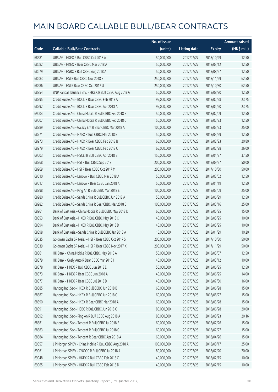|       |                                                         | No. of issue |                     |               | <b>Amount raised</b> |
|-------|---------------------------------------------------------|--------------|---------------------|---------------|----------------------|
| Code  | <b>Callable Bull/Bear Contracts</b>                     | (units)      | <b>Listing date</b> | <b>Expiry</b> | (HK\$ mil.)          |
| 68681 | UBS AG - HKEX R Bull CBBC Oct 2018 A                    | 50,000,000   | 2017/07/27          | 2018/10/29    | 12.50                |
| 68682 | UBS AG - HKEX R Bear CBBC Mar 2018 A                    | 50,000,000   | 2017/07/27          | 2018/03/12    | 12.50                |
| 68679 | UBS AG - HSBC R Bull CBBC Aug 2018 A                    | 50,000,000   | 2017/07/27          | 2018/08/27    | 12.50                |
| 68683 | UBS AG - HSI R Bull CBBC Nov 2018 E                     | 250,000,000  | 2017/07/27          | 2018/11/29    | 62.50                |
| 68686 | UBS AG - HSI R Bear CBBC Oct 2017 U                     | 250,000,000  | 2017/07/27          | 2017/10/30    | 62.50                |
| 68854 | BNP Paribas Issuance B.V. - HKEX R Bull CBBC Aug 2018 G | 50,000,000   | 2017/07/28          | 2018/08/30    | 12.50                |
| 68995 | Credit Suisse AG - BOCL R Bear CBBC Feb 2018 A          | 95,000,000   | 2017/07/28          | 2018/02/28    | 23.75                |
| 68992 | Credit Suisse AG - BOCL R Bear CBBC Apr 2018 A          | 95,000,000   | 2017/07/28          | 2018/04/20    | 23.75                |
| 69004 | Credit Suisse AG - China Mobile R Bull CBBC Feb 2018 B  | 50,000,000   | 2017/07/28          | 2018/02/09    | 12.50                |
| 69007 | Credit Suisse AG - China Mobile R Bull CBBC Feb 2018 C  | 50,000,000   | 2017/07/28          | 2018/02/23    | 12.50                |
| 68989 | Credit Suisse AG - Galaxy Ent R Bear CBBC Mar 2018 A    | 100,000,000  | 2017/07/28          | 2018/03/23    | 25.00                |
| 68971 | Credit Suisse AG - HKEX R Bull CBBC Mar 2018 E          | 50,000,000   | 2017/07/28          | 2018/03/29    | 12.50                |
| 68973 | Credit Suisse AG - HKEX R Bear CBBC Feb 2018 B          | 65,000,000   | 2017/07/28          | 2018/02/23    | 20.80                |
| 68979 | Credit Suisse AG - HKEX R Bear CBBC Feb 2018 C          | 65,000,000   | 2017/07/28          | 2018/02/28    | 26.00                |
| 69003 | Credit Suisse AG - HSCEI R Bull CBBC Apr 2018 B         | 150,000,000  | 2017/07/28          | 2018/04/27    | 37.50                |
| 68968 | Credit Suisse AG - HSI R Bull CBBC Sep 2018 T           | 200,000,000  | 2017/07/28          | 2018/09/27    | 50.00                |
| 68969 | Credit Suisse AG - HSI R Bear CBBC Oct 2017 M           | 200,000,000  | 2017/07/28          | 2017/10/30    | 50.00                |
| 69010 | Credit Suisse AG - Lenovo R Bull CBBC Mar 2018 A        | 50,000,000   | 2017/07/28          | 2018/03/02    | 12.50                |
| 69017 | Credit Suisse AG - Lenovo R Bear CBBC Jan 2018 A        | 50,000,000   | 2017/07/28          | 2018/01/19    | 12.50                |
| 68998 | Credit Suisse AG - Ping An R Bull CBBC Mar 2018 E       | 100,000,000  | 2017/07/28          | 2018/03/09    | 25.00                |
| 68980 | Credit Suisse AG - Sands China R Bull CBBC Jun 2018 A   | 50,000,000   | 2017/07/28          | 2018/06/29    | 12.50                |
| 68982 | Credit Suisse AG - Sands China R Bear CBBC Mar 2018 B   | 100,000,000  | 2017/07/28          | 2018/03/16    | 25.00                |
| 68961 | Bank of East Asia - China Mobile R Bull CBBC May 2018 D | 60,000,000   | 2017/07/28          | 2018/05/25    | 15.00                |
| 68853 | Bank of East Asia - HKEX R Bull CBBC May 2018 C         | 40,000,000   | 2017/07/28          | 2018/05/25    | 10.00                |
| 68894 | Bank of East Asia - HKEX R Bull CBBC May 2018 D         | 40,000,000   | 2017/07/28          | 2018/05/25    | 10.00                |
| 68898 | Bank of East Asia - Sands China R Bull CBBC Jan 2018 A  | 15,000,000   | 2017/07/28          | 2018/01/29    | 10.20                |
| 69035 | Goldman Sachs SP (Asia) - HSI R Bear CBBC Oct 2017 S    | 200,000,000  | 2017/07/28          | 2017/10/30    | 50.00                |
| 69039 | Goldman Sachs SP (Asia) - HSI R Bear CBBC Nov 2017 X    | 200,000,000  | 2017/07/28          | 2017/11/29    | 50.00                |
| 68861 | HK Bank - China Mobile R Bull CBBC May 2018 A           | 50,000,000   | 2017/07/28          | 2018/05/07    | 12.50                |
| 68879 | HK Bank - Geely Auto R Bear CBBC Mar 2018 I             | 40,000,000   | 2017/07/28          | 2018/03/12    | 10.00                |
| 68878 | HK Bank - HKEX R Bull CBBC Jun 2018 E                   | 50,000,000   | 2017/07/28          | 2018/06/25    | 12.50                |
| 68873 | HK Bank - HKEX R Bear CBBC Jun 2018 A                   | 40,000,000   | 2017/07/28          | 2018/06/25    | 14.00                |
| 68877 | HK Bank - HKEX R Bear CBBC Jul 2018 D                   | 40,000,000   | 2017/07/28          | 2018/07/30    | 16.00                |
| 68885 | Haitong Int'l Sec - HKEX R Bull CBBC Jun 2018 B         | 60,000,000   | 2017/07/28          | 2018/06/28    | 15.00                |
| 68887 | Haitong Int'l Sec - HKEX R Bull CBBC Jun 2018 C         | 60,000,000   | 2017/07/28          | 2018/06/27    | 15.00                |
| 68890 | Haitong Int'l Sec - HKEX R Bear CBBC Mar 2018 A         | 60,000,000   | 2017/07/28          | 2018/03/28    | 15.00                |
| 68891 | Haitong Int'l Sec - HSBC R Bull CBBC Jun 2018 C         | 80,000,000   | 2017/07/28          | 2018/06/28    | 20.00                |
| 68892 | Haitong Int'l Sec - Ping An R Bull CBBC Aug 2018 A      | 80,000,000   | 2017/07/28          | 2018/08/23    | 20.16                |
| 68881 | Haitong Int'l Sec - Tencent R Bull CBBC Jul 2018 B      | 60,000,000   | 2017/07/28          | 2018/07/26    | 15.00                |
| 68883 | Haitong Int'l Sec - Tencent R Bull CBBC Jul 2018 C      | 60,000,000   | 2017/07/28          | 2018/07/27    | 15.00                |
| 68884 | Haitong Int'l Sec - Tencent R Bear CBBC Apr 2018 A      | 60,000,000   | 2017/07/28          | 2018/04/26    | 15.00                |
| 69057 | J P Morgan SP BV - China Mobile R Bull CBBC Aug 2018 A  | 100,000,000  | 2017/07/28          | 2018/08/17    | 25.00                |
| 69061 | J P Morgan SP BV - CNOOC R Bull CBBC Jul 2018 A         | 80,000,000   | 2017/07/28          | 2018/07/20    | 20.00                |
| 69048 | J P Morgan SP BV - HKEX R Bull CBBC Feb 2018 C          | 40,000,000   | 2017/07/28          | 2018/02/15    | 10.00                |
| 69065 | J P Morgan SP BV - HKEX R Bull CBBC Feb 2018 D          | 40,000,000   | 2017/07/28          | 2018/02/15    | 10.00                |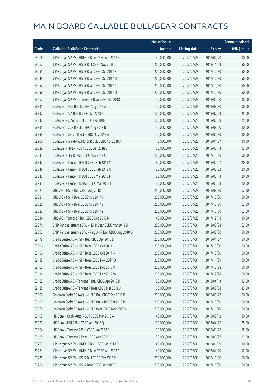|       |                                                            | No. of issue |                     |               | Amount raised |
|-------|------------------------------------------------------------|--------------|---------------------|---------------|---------------|
| Code  | <b>Callable Bull/Bear Contracts</b>                        | (units)      | <b>Listing date</b> | <b>Expiry</b> | (HK\$ mil.)   |
| 69066 | J P Morgan SP BV - HKEX R Bear CBBC Apr 2018 B             | 40,000,000   | 2017/07/28          | 2018/04/20    | 10.00         |
| 69067 | J P Morgan SP BV - HSI R Bull CBBC Nov 2018 D              | 200,000,000  | 2017/07/28          | 2018/11/29    | 50.00         |
| 69051 | J P Morgan SP BV - HSI R Bear CBBC Oct 2017 K              | 200,000,000  | 2017/07/28          | 2017/10/30    | 50.00         |
| 69049 | J P Morgan SP BV - HSI R Bear CBBC Oct 2017 O              | 200,000,000  | 2017/07/28          | 2017/10/30    | 50.00         |
| 69052 | J P Morgan SP BV - HSI R Bear CBBC Oct 2017 P              | 200,000,000  | 2017/07/28          | 2017/10/30    | 50.00         |
| 69056 | J P Morgan SP BV - HSI R Bear CBBC Oct 2017 Q              | 200,000,000  | 2017/07/28          | 2017/10/30    | 50.00         |
| 69062 | J P Morgan SP BV - Tencent R Bear CBBC Apr 2018 L          | 40,000,000   | 2017/07/28          | 2018/04/20    | 18.00         |
| 68831 | SG Issuer - ABC R Bull CBBC Aug 2018 A                     | 40,000,000   | 2017/07/28          | 2018/08/30    | 10.00         |
| 68832 | SG Issuer - AIA R Bull CBBC Jul 2018 B                     | 100,000,000  | 2017/07/28          | 2018/07/09    | 25.00         |
| 69042 | SG Issuer - CMob R Bull CBBC Feb 2018 B                    | 100,000,000  | 2017/07/28          | 2018/02/08    | 25.00         |
| 68835 | SG Issuer - CCB R Bull CBBC Aug 2018 B                     | 40,000,000   | 2017/07/28          | 2018/08/20    | 10.00         |
| 68899 | SG Issuer - CShen R Bull CBBC May 2018 A                   | 40,000,000   | 2017/07/28          | 2018/05/30    | 10.00         |
| 68906 | SG Issuer - Greatwall Motor R Bull CBBC Apr 2018 A         | 40,000,000   | 2017/07/28          | 2018/04/27    | 10.00         |
| 68839 | SG Issuer - HKEX R Bull CBBC Jun 2018 B                    | 50,000,000   | 2017/07/28          | 2018/06/13    | 12.50         |
| 69043 | SG Issuer - HSI R Bear CBBC Nov 2017 U                     | 200,000,000  | 2017/07/28          | 2017/11/29    | 50.00         |
| 68842 | SG Issuer - Tencent R Bull CBBC Feb 2018 M                 | 80,000,000   | 2017/07/28          | 2018/02/07    | 20.00         |
| 68846 | SG Issuer - Tencent R Bull CBBC Feb 2018 N                 | 80,000,000   | 2017/07/28          | 2018/02/22    | 20.00         |
| 68847 | SG Issuer - Tencent R Bull CBBC Mar 2018 N                 | 80,000,000   | 2017/07/28          | 2018/03/13    | 20.00         |
| 68934 | SG Issuer - Tencent R Bear CBBC Mar 2018 E                 | 80,000,000   | 2017/07/28          | 2018/03/08    | 20.00         |
| 69021 | UBS AG - HSI R Bull CBBC Aug 2018 L                        | 250,000,000  | 2017/07/28          | 2018/08/30    | 62.50         |
| 69024 | UBS AG - HSI R Bear CBBC Oct 2017 V                        | 200,000,000  | 2017/07/28          | 2017/10/30    | 50.00         |
| 69025 | UBS AG - HSI R Bear CBBC Oct 2017 Y                        | 250,000,000  | 2017/07/28          | 2017/10/30    | 62.50         |
| 69032 | UBS AG - HSI R Bear CBBC Oct 2017 Z                        | 250,000,000  | 2017/07/28          | 2017/10/30    | 62.50         |
| 69034 | UBS AG - Tencent R Bull CBBC Dec 2017 N                    | 40,000,000   | 2017/07/28          | 2017/12/18    | 10.00         |
| 69070 | BNP Paribas Issuance B.V. - HSI R Bear CBBC Mar 2018 B     | 250,000,000  | 2017/07/31          | 2018/03/28    | 62.50         |
| 69093 | BNP Paribas Issuance B.V. - Ping An R Bull CBBC Aug 2018 D | 200,000,000  | 2017/07/31          | 2018/08/30    | 50.00         |
| 69179 | Credit Suisse AG - HSI R Bull CBBC Apr 2018 L              | 200,000,000  | 2017/07/31          | 2018/04/27    | 50.00         |
| 69096 | Credit Suisse AG - HSI R Bear CBBC Oct 2017 L              | 200,000,000  | 2017/07/31          | 2017/10/30    | 50.00         |
| 69106 | Credit Suisse AG - HSI R Bear CBBC Oct 2017 N              | 200,000,000  | 2017/07/31          | 2017/10/30    | 50.00         |
| 69115 | Credit Suisse AG - HSI R Bear CBBC Nov 2017 O              | 200,000,000  | 2017/07/31          | 2017/11/29    | 50.00         |
| 69102 | Credit Suisse AG - HSI R Bear CBBC Dec 2017 V              | 200,000,000  | 2017/07/31          | 2017/12/28    | 50.00         |
| 69116 | Credit Suisse AG - HSI R Bear CBBC Dec 2017 W              | 200,000,000  | 2017/07/31          | 2017/12/28    | 50.00         |
| 69182 | Credit Suisse AG - Tencent R Bull CBBC Apr 2018 D          | 50,000,000   | 2017/07/31          | 2018/04/13    | 12.50         |
| 69185 | Credit Suisse AG - Tencent R Bear CBBC Mar 2018 A          | 60,000,000   | 2017/07/31          | 2018/03/08    | 33.00         |
| 69196 | Goldman Sachs SP (Asia) - HSI R Bull CBBC Sep 2018 P       | 200,000,000  | 2017/07/31          | 2018/09/27    | 50.00         |
| 69197 | Goldman Sachs SP (Asia) - HSI R Bull CBBC Oct 2018 M       | 200,000,000  | 2017/07/31          | 2018/10/30    | 50.00         |
| 69068 | Goldman Sachs SP (Asia) - HSI R Bear CBBC Nov 2017 Y       | 200,000,000  | 2017/07/31          | 2017/11/29    | 50.00         |
| 69193 | HK Bank - Geely Auto R Bull CBBC Mar 2018 A                | 40,000,000   | 2017/07/31          | 2018/03/12    | 10.00         |
| 69072 | HK Bank - HSI R Bull CBBC Apr 2018 Q                       | 100,000,000  | 2017/07/31          | 2018/04/27    | 25.00         |
| 69194 | HK Bank - Tencent R Bull CBBC Jan 2018 R                   | 60,000,000   | 2017/07/31          | 2018/01/22    | 15.00         |
| 69195 | HK Bank - Tencent R Bear CBBC Aug 2018 D                   | 50,000,000   | 2017/07/31          | 2018/08/27    | 22.50         |
| 69259 | J P Morgan SP BV - HKEX R Bull CBBC Jan 2018 D             | 40,000,000   | 2017/07/31          | 2018/01/19    | 10.00         |
| 69261 | J P Morgan SP BV - HKEX R Bear CBBC Apr 2018 C             | 40,000,000   | 2017/07/31          | 2018/04/20    | 12.00         |
| 69275 | J P Morgan SP BV - HSI R Bull CBBC Oct 2018 P              | 200,000,000  | 2017/07/31          | 2018/10/30    | 50.00         |
| 69256 | J P Morgan SP BV - HSI R Bear CBBC Oct 2017 C              | 200,000,000  | 2017/07/31          | 2017/10/30    | 50.00         |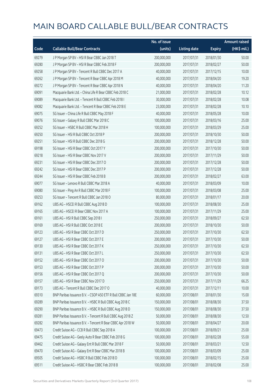|       |                                                              | No. of issue |                     |               | <b>Amount raised</b> |
|-------|--------------------------------------------------------------|--------------|---------------------|---------------|----------------------|
| Code  | <b>Callable Bull/Bear Contracts</b>                          | (units)      | <b>Listing date</b> | <b>Expiry</b> | (HK\$ mil.)          |
| 69279 | J P Morgan SP BV - HSI R Bear CBBC Jan 2018 T                | 200,000,000  | 2017/07/31          | 2018/01/30    | 50.00                |
| 69280 | J P Morgan SP BV - HSI R Bear CBBC Feb 2018 F                | 200,000,000  | 2017/07/31          | 2018/02/27    | 50.00                |
| 69258 | J P Morgan SP BV - Tencent R Bull CBBC Dec 2017 A            | 40,000,000   | 2017/07/31          | 2017/12/15    | 10.00                |
| 69262 | J P Morgan SP BV - Tencent R Bear CBBC Apr 2018 M            | 40,000,000   | 2017/07/31          | 2018/04/20    | 19.20                |
| 69272 | J P Morgan SP BV - Tencent R Bear CBBC Apr 2018 N            | 40,000,000   | 2017/07/31          | 2018/04/20    | 11.20                |
| 69091 | Macquarie Bank Ltd. - China Life R Bear CBBC Feb 2018 C      | 21,000,000   | 2017/07/31          | 2018/02/28    | 10.12                |
| 69089 | Macquarie Bank Ltd. - Tencent R Bull CBBC Feb 2018 I         | 30,000,000   | 2017/07/31          | 2018/02/28    | 10.08                |
| 69082 | Macquarie Bank Ltd. - Tencent R Bear CBBC Feb 2018 E         | 23,000,000   | 2017/07/31          | 2018/02/28    | 10.10                |
| 69075 | SG Issuer - China Life R Bull CBBC May 2018 F                | 40,000,000   | 2017/07/31          | 2018/05/28    | 10.00                |
| 69076 | SG Issuer - Galaxy R Bull CBBC Mar 2018 C                    | 100,000,000  | 2017/07/31          | 2018/03/16    | 25.00                |
| 69252 | SG Issuer - HSBC R Bull CBBC Mar 2018 H                      | 100,000,000  | 2017/07/31          | 2018/03/29    | 25.00                |
| 69250 | SG Issuer - HSI R Bull CBBC Oct 2018 P                       | 200,000,000  | 2017/07/31          | 2018/10/30    | 50.00                |
| 69251 | SG Issuer - HSI R Bull CBBC Dec 2018 G                       | 200,000,000  | 2017/07/31          | 2018/12/28    | 50.00                |
| 69198 | SG Issuer - HSI R Bear CBBC Oct 2017 Y                       | 200,000,000  | 2017/07/31          | 2017/10/30    | 50.00                |
| 69218 | SG Issuer - HSI R Bear CBBC Nov 2017 V                       | 200,000,000  | 2017/07/31          | 2017/11/29    | 50.00                |
| 69231 | SG Issuer - HSI R Bear CBBC Dec 2017 O                       | 200,000,000  | 2017/07/31          | 2017/12/28    | 50.00                |
| 69242 | SG Issuer - HSI R Bear CBBC Dec 2017 P                       | 200,000,000  | 2017/07/31          | 2017/12/28    | 50.00                |
| 69244 | SG Issuer - HSI R Bear CBBC Feb 2018 B                       | 200,000,000  | 2017/07/31          | 2018/02/27    | 63.00                |
| 69077 | SG Issuer - Lenovo R Bull CBBC Mar 2018 A                    | 40,000,000   | 2017/07/31          | 2018/03/09    | 10.00                |
| 69080 | SG Issuer - Ping An R Bull CBBC Mar 2018 F                   | 100,000,000  | 2017/07/31          | 2018/03/08    | 25.00                |
| 69253 | SG Issuer - Tencent R Bull CBBC Jan 2018 O                   | 80,000,000   | 2017/07/31          | 2018/01/17    | 20.00                |
| 69162 | UBS AG - HSCEI R Bull CBBC Aug 2018 D                        | 100,000,000  | 2017/07/31          | 2018/08/30    | 25.00                |
| 69165 | UBS AG - HSCEI R Bear CBBC Nov 2017 A                        | 100,000,000  | 2017/07/31          | 2017/11/29    | 25.00                |
| 69161 | UBS AG - HSI R Bull CBBC Sep 2018 I                          | 250,000,000  | 2017/07/31          | 2018/09/27    | 62.50                |
| 69169 | UBS AG - HSI R Bull CBBC Oct 2018 E                          | 200,000,000  | 2017/07/31          | 2018/10/30    | 50.00                |
| 69123 | UBS AG - HSI R Bear CBBC Oct 2017 D                          | 250,000,000  | 2017/07/31          | 2017/10/30    | 62.50                |
| 69127 | UBS AG - HSI R Bear CBBC Oct 2017 E                          | 200,000,000  | 2017/07/31          | 2017/10/30    | 50.00                |
| 69130 | UBS AG - HSI R Bear CBBC Oct 2017 K                          | 250,000,000  | 2017/07/31          | 2017/10/30    | 62.50                |
| 69131 | UBS AG - HSI R Bear CBBC Oct 2017 L                          | 250,000,000  | 2017/07/31          | 2017/10/30    | 62.50                |
| 69152 | UBS AG - HSI R Bear CBBC Oct 2017 O                          | 200,000,000  | 2017/07/31          | 2017/10/30    | 50.00                |
| 69153 | UBS AG - HSI R Bear CBBC Oct 2017 P                          | 200,000,000  | 2017/07/31          | 2017/10/30    | 50.00                |
| 69156 | UBS AG - HSI R Bear CBBC Oct 2017 Q                          | 200,000,000  | 2017/07/31          | 2017/10/30    | 50.00                |
| 69157 | UBS AG - HSI R Bear CBBC Nov 2017 D                          | 250,000,000  | 2017/07/31          | 2017/11/29    | 66.25                |
| 69173 | UBS AG - Tencent R Bull CBBC Dec 2017 O                      | 40,000,000   | 2017/07/31          | 2017/12/11    | 10.00                |
| 69310 | BNP Paribas Issuance B.V. - CSOP A50 ETF R Bull CBBC Jan 18E | 60,000,000   | 2017/08/01          | 2018/01/30    | 15.00                |
| 69289 | BNP Paribas Issuance B.V. - HSBC R Bull CBBC Aug 2018 C      | 150,000,000  | 2017/08/01          | 2018/08/30    | 37.50                |
| 69290 | BNP Paribas Issuance B.V. - HSBC R Bull CBBC Aug 2018 D      | 150,000,000  | 2017/08/01          | 2018/08/30    | 37.50                |
| 69281 | BNP Paribas Issuance B.V. - Tencent R Bull CBBC Aug 2018 Z   | 50,000,000   | 2017/08/01          | 2018/08/30    | 12.50                |
| 69282 | BNP Paribas Issuance B.V. - Tencent R Bear CBBC Apr 2018 W   | 50,000,000   | 2017/08/01          | 2018/04/27    | 20.00                |
| 69473 | Credit Suisse AG - CCB R Bull CBBC Sep 2018 A                | 100,000,000  | 2017/08/01          | 2018/09/21    | 25.00                |
| 69475 | Credit Suisse AG - Geely Auto R Bear CBBC Feb 2018 G         | 100,000,000  | 2017/08/01          | 2018/02/28    | 55.00                |
| 69462 | Credit Suisse AG - Galaxy Ent R Bull CBBC Mar 2018 F         | 50,000,000   | 2017/08/01          | 2018/03/21    | 12.50                |
| 69470 | Credit Suisse AG - Galaxy Ent R Bear CBBC Mar 2018 B         | 100,000,000  | 2017/08/01          | 2018/03/09    | 25.00                |
| 69505 | Credit Suisse AG - HSBC R Bull CBBC Feb 2018 D               | 100,000,000  | 2017/08/01          | 2018/02/15    | 25.00                |
| 69511 | Credit Suisse AG - HSBC R Bear CBBC Feb 2018 B               | 100,000,000  | 2017/08/01          | 2018/02/08    | 25.00                |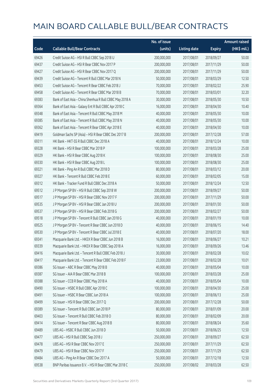|       |                                                          | No. of issue |                     |               | <b>Amount raised</b> |
|-------|----------------------------------------------------------|--------------|---------------------|---------------|----------------------|
| Code  | <b>Callable Bull/Bear Contracts</b>                      | (units)      | <b>Listing date</b> | <b>Expiry</b> | (HK\$ mil.)          |
| 69426 | Credit Suisse AG - HSI R Bull CBBC Sep 2018 U            | 200,000,000  | 2017/08/01          | 2018/09/27    | 50.00                |
| 69437 | Credit Suisse AG - HSI R Bear CBBC Nov 2017 P            | 200,000,000  | 2017/08/01          | 2017/11/29    | 50.00                |
| 69427 | Credit Suisse AG - HSI R Bear CBBC Nov 2017 Q            | 200,000,000  | 2017/08/01          | 2017/11/29    | 50.00                |
| 69439 | Credit Suisse AG - Tencent R Bull CBBC Mar 2018 N        | 50,000,000   | 2017/08/01          | 2018/03/29    | 12.50                |
| 69453 | Credit Suisse AG - Tencent R Bear CBBC Feb 2018 J        | 70,000,000   | 2017/08/01          | 2018/02/22    | 25.90                |
| 69458 | Credit Suisse AG - Tencent R Bear CBBC Mar 2018 B        | 70,000,000   | 2017/08/01          | 2018/03/01    | 32.20                |
| 69383 | Bank of East Asia - China Shenhua R Bull CBBC May 2018 A | 30,000,000   | 2017/08/01          | 2018/05/30    | 10.50                |
| 69364 | Bank of East Asia - Galaxy Ent R Bull CBBC Apr 2018 C    | 16,000,000   | 2017/08/01          | 2018/04/30    | 10.40                |
| 69348 | Bank of East Asia - Tencent R Bull CBBC May 2018 M       | 40,000,000   | 2017/08/01          | 2018/05/30    | 10.00                |
| 69385 | Bank of East Asia - Tencent R Bull CBBC May 2018 N       | 40,000,000   | 2017/08/01          | 2018/05/30    | 10.00                |
| 69362 | Bank of East Asia - Tencent R Bear CBBC Apr 2018 E       | 40,000,000   | 2017/08/01          | 2018/04/30    | 10.00                |
| 69419 | Goldman Sachs SP (Asia) - HSI R Bear CBBC Dec 2017 B     | 200,000,000  | 2017/08/01          | 2017/12/28    | 57.00                |
| 69311 | HK Bank - HKT-SS R Bull CBBC Dec 2018 A                  | 40,000,000   | 2017/08/01          | 2018/12/24    | 10.00                |
| 69328 | HK Bank - HSI R Bear CBBC Mar 2018 P                     | 100,000,000  | 2017/08/01          | 2018/03/28    | 25.00                |
| 69329 | HK Bank - HSI R Bear CBBC Aug 2018 K                     | 100,000,000  | 2017/08/01          | 2018/08/30    | 25.00                |
| 69330 | HK Bank - HSI R Bear CBBC Aug 2018 L                     | 100,000,000  | 2017/08/01          | 2018/08/30    | 25.00                |
| 69321 | HK Bank - Ping An R Bull CBBC Mar 2018 D                 | 80,000,000   | 2017/08/01          | 2018/03/12    | 20.00                |
| 69327 | HK Bank - Tencent R Bull CBBC Feb 2018 E                 | 60,000,000   | 2017/08/01          | 2018/02/05    | 15.00                |
| 69312 | HK Bank - Tracker Fund R Bull CBBC Dec 2018 A            | 50,000,000   | 2017/08/01          | 2018/12/24    | 12.50                |
| 69512 | J P Morgan SP BV - HSI R Bull CBBC Sep 2018 W            | 200,000,000  | 2017/08/01          | 2018/09/27    | 50.00                |
| 69517 | J P Morgan SP BV - HSI R Bear CBBC Nov 2017 F            | 200,000,000  | 2017/08/01          | 2017/11/29    | 50.00                |
| 69535 | J P Morgan SP BV - HSI R Bear CBBC Jan 2018 U            | 200,000,000  | 2017/08/01          | 2018/01/30    | 50.00                |
| 69537 | J P Morgan SP BV - HSI R Bear CBBC Feb 2018 G            | 200,000,000  | 2017/08/01          | 2018/02/27    | 50.00                |
| 69518 | J P Morgan SP BV - Tencent R Bull CBBC Jan 2018 G        | 40,000,000   | 2017/08/01          | 2018/01/19    | 10.00                |
| 69525 | J P Morgan SP BV - Tencent R Bear CBBC Jun 2018 D        | 40,000,000   | 2017/08/01          | 2018/06/15    | 14.40                |
| 69530 | J P Morgan SP BV - Tencent R Bear CBBC Jul 2018 E        | 40,000,000   | 2017/08/01          | 2018/07/20    | 18.00                |
| 69341 | Macquarie Bank Ltd. - HKEX R Bear CBBC Jun 2018 B        | 16,000,000   | 2017/08/01          | 2018/06/27    | 10.21                |
| 69339 | Macquarie Bank Ltd. - HKEX R Bear CBBC Sep 2018 A        | 16,000,000   | 2017/08/01          | 2018/09/26    | 13.46                |
| 69416 | Macquarie Bank Ltd. - Tencent R Bull CBBC Feb 2018 J     | 30,000,000   | 2017/08/01          | 2018/02/28    | 10.02                |
| 69417 | Macquarie Bank Ltd. - Tencent R Bear CBBC Feb 2018 F     | 23,000,000   | 2017/08/01          | 2018/02/28    | 10.01                |
| 69386 | SG Issuer - ABC R Bear CBBC May 2018 B                   | 40,000,000   | 2017/08/01          | 2018/05/04    | 10.00                |
| 69387 | SG Issuer - AIA R Bear CBBC Mar 2018 B                   | 100,000,000  | 2017/08/01          | 2018/03/28    | 25.00                |
| 69388 | SG Issuer - CCB R Bear CBBC May 2018 A                   | 40,000,000   | 2017/08/01          | 2018/05/04    | 10.00                |
| 69490 | SG Issuer - HSBC R Bull CBBC Apr 2018 C                  | 100,000,000  | 2017/08/01          | 2018/04/30    | 25.00                |
| 69491 | SG Issuer - HSBC R Bear CBBC Jun 2018 A                  | 100,000,000  | 2017/08/01          | 2018/06/13    | 25.00                |
| 69499 | SG Issuer - HSI R Bear CBBC Dec 2017 Q                   | 200,000,000  | 2017/08/01          | 2017/12/28    | 50.00                |
| 69389 | SG Issuer - Tencent R Bull CBBC Jan 2018 P               | 80,000,000   | 2017/08/01          | 2018/01/09    | 20.00                |
| 69403 | SG Issuer - Tencent R Bull CBBC Feb 2018 O               | 80,000,000   | 2017/08/01          | 2018/02/09    | 20.00                |
| 69414 | SG Issuer - Tencent R Bear CBBC Aug 2018 B               | 80,000,000   | 2017/08/01          | 2018/08/24    | 35.60                |
| 69489 | UBS AG - HSBC R Bull CBBC Jun 2018 D                     | 50,000,000   | 2017/08/01          | 2018/06/25    | 12.50                |
| 69477 | UBS AG - HSI R Bull CBBC Sep 2018 J                      | 250,000,000  | 2017/08/01          | 2018/09/27    | 62.50                |
| 69478 | UBS AG - HSI R Bear CBBC Nov 2017 E                      | 250,000,000  | 2017/08/01          | 2017/11/29    | 62.50                |
| 69479 | UBS AG - HSI R Bear CBBC Nov 2017 F                      | 250,000,000  | 2017/08/01          | 2017/11/29    | 62.50                |
| 69484 | UBS AG - Ping An R Bear CBBC Dec 2017 A                  | 50,000,000   | 2017/08/01          | 2017/12/18    | 12.50                |
| 69538 | BNP Paribas Issuance B.V. - HSI R Bear CBBC Mar 2018 C   | 250,000,000  | 2017/08/02          | 2018/03/28    | 62.50                |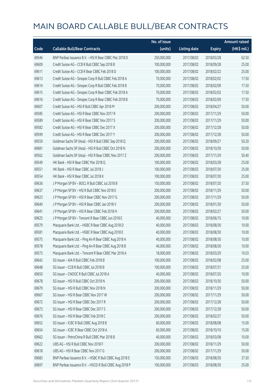|       |                                                          | No. of issue |                     |               | <b>Amount raised</b> |
|-------|----------------------------------------------------------|--------------|---------------------|---------------|----------------------|
| Code  | <b>Callable Bull/Bear Contracts</b>                      | (units)      | <b>Listing date</b> | <b>Expiry</b> | (HK\$ mil.)          |
| 69546 | BNP Paribas Issuance B.V. - HSI R Bear CBBC Mar 2018 D   | 250,000,000  | 2017/08/02          | 2018/03/28    | 62.50                |
| 69609 | Credit Suisse AG - CCB R Bull CBBC Sep 2018 B            | 100,000,000  | 2017/08/02          | 2018/09/28    | 25.00                |
| 69611 | Credit Suisse AG - CCB R Bear CBBC Feb 2018 D            | 100,000,000  | 2017/08/02          | 2018/02/22    | 25.00                |
| 69613 | Credit Suisse AG - Sinopec Corp R Bull CBBC Feb 2018 A   | 70,000,000   | 2017/08/02          | 2018/02/02    | 17.50                |
| 69614 | Credit Suisse AG - Sinopec Corp R Bull CBBC Feb 2018 B   | 70,000,000   | 2017/08/02          | 2018/02/09    | 17.50                |
| 69615 | Credit Suisse AG - Sinopec Corp R Bear CBBC Feb 2018 A   | 70,000,000   | 2017/08/02          | 2018/02/02    | 17.50                |
| 69616 | Credit Suisse AG - Sinopec Corp R Bear CBBC Feb 2018 B   | 70,000,000   | 2017/08/02          | 2018/02/09    | 17.50                |
| 69607 | Credit Suisse AG - HSI R Bull CBBC Apr 2018 M            | 200,000,000  | 2017/08/02          | 2018/04/27    | 50.00                |
| 69585 | Credit Suisse AG - HSI R Bear CBBC Nov 2017 R            | 200,000,000  | 2017/08/02          | 2017/11/29    | 50.00                |
| 69589 | Credit Suisse AG - HSI R Bear CBBC Nov 2017 S            | 200,000,000  | 2017/08/02          | 2017/11/29    | 50.00                |
| 69582 | Credit Suisse AG - HSI R Bear CBBC Dec 2017 X            | 200,000,000  | 2017/08/02          | 2017/12/28    | 50.00                |
| 69599 | Credit Suisse AG - HSI R Bear CBBC Dec 2017 Y            | 200,000,000  | 2017/08/02          | 2017/12/28    | 50.00                |
| 69559 | Goldman Sachs SP (Asia) - HSI R Bull CBBC Sep 2018 Q     | 200,000,000  | 2017/08/02          | 2018/09/27    | 50.20                |
| 69681 | Goldman Sachs SP (Asia) - HSI R Bull CBBC Oct 2018 N     | 200,000,000  | 2017/08/02          | 2018/10/30    | 50.00                |
| 69562 | Goldman Sachs SP (Asia) - HSI R Bear CBBC Nov 2017 Z     | 200,000,000  | 2017/08/02          | 2017/11/29    | 50.40                |
| 69549 | HK Bank - HSI R Bear CBBC Mar 2018 Q                     | 100,000,000  | 2017/08/02          | 2018/03/28    | 25.00                |
| 69551 | HK Bank - HSI R Bear CBBC Jul 2018 J                     | 100,000,000  | 2017/08/02          | 2018/07/30    | 25.00                |
| 69554 | HK Bank - HSI R Bear CBBC Jul 2018 K                     | 100,000,000  | 2017/08/02          | 2018/07/30    | 25.00                |
| 69636 | J P Morgan SP BV - BOCL R Bull CBBC Jul 2018 B           | 150,000,000  | 2017/08/02          | 2018/07/20    | 37.50                |
| 69637 | J P Morgan SP BV - HSI R Bull CBBC Nov 2018 E            | 200,000,000  | 2017/08/02          | 2018/11/29    | 50.00                |
| 69623 | J P Morgan SP BV - HSI R Bear CBBC Nov 2017 G            | 200,000,000  | 2017/08/02          | 2017/11/29    | 50.00                |
| 69640 | J P Morgan SP BV - HSI R Bear CBBC Jan 2018 V            | 200,000,000  | 2017/08/02          | 2018/01/30    | 50.00                |
| 69641 | J P Morgan SP BV - HSI R Bear CBBC Feb 2018 H            | 200,000,000  | 2017/08/02          | 2018/02/27    | 50.00                |
| 69625 | J P Morgan SP BV - Tencent R Bear CBBC Jun 2018 E        | 40,000,000   | 2017/08/02          | 2018/06/15    | 10.00                |
| 69579 | Macquarie Bank Ltd. - HSBC R Bear CBBC Aug 2018 D        | 40,000,000   | 2017/08/02          | 2018/08/30    | 10.00                |
| 69581 | Macquarie Bank Ltd. - HSBC R Bear CBBC Aug 2018 E        | 40,000,000   | 2017/08/02          | 2018/08/30    | 10.00                |
| 69575 | Macquarie Bank Ltd. - Ping An R Bear CBBC Aug 2018 A     | 40,000,000   | 2017/08/02          | 2018/08/30    | 10.00                |
| 69578 | Macquarie Bank Ltd. - Ping An R Bear CBBC Aug 2018 B     | 40,000,000   | 2017/08/02          | 2018/08/30    | 10.00                |
| 69573 | Macquarie Bank Ltd. - Tencent R Bear CBBC Mar 2018 A     | 18,000,000   | 2017/08/02          | 2018/03/29    | 10.03                |
| 69642 | SG Issuer - AIA R Bull CBBC Feb 2018 B                   | 100,000,000  | 2017/08/02          | 2018/02/08    | 25.00                |
| 69648 | SG Issuer - CCB R Bull CBBC Jul 2018 B                   | 100,000,000  | 2017/08/02          | 2018/07/31    | 25.00                |
| 69650 | SG Issuer - CNOOC R Bull CBBC Jul 2018 A                 | 40,000,000   | 2017/08/02          | 2018/07/20    | 10.00                |
| 69678 | SG Issuer - HSI R Bull CBBC Oct 2018 N                   | 200,000,000  | 2017/08/02          | 2018/10/30    | 50.00                |
| 69679 | SG Issuer - HSI R Bull CBBC Nov 2018 N                   | 200,000,000  | 2017/08/02          | 2018/11/29    | 50.00                |
| 69667 | SG Issuer - HSI R Bear CBBC Nov 2017 W                   | 200,000,000  | 2017/08/02          | 2017/11/29    | 50.00                |
| 69672 | SG Issuer - HSI R Bear CBBC Dec 2017 R                   | 200,000,000  | 2017/08/02          | 2017/12/28    | 50.00                |
| 69673 | SG Issuer - HSI R Bear CBBC Dec 2017 S                   | 200,000,000  | 2017/08/02          | 2017/12/28    | 50.00                |
| 69676 | SG Issuer - HSI R Bear CBBC Feb 2018 C                   | 200,000,000  | 2017/08/02          | 2018/02/27    | 50.00                |
| 69652 | SG Issuer - ICBC R Bull CBBC Aug 2018 B                  | 60,000,000   | 2017/08/02          | 2018/08/08    | 15.00                |
| 69654 | SG Issuer - ICBC R Bear CBBC Oct 2018 A                  | 60,000,000   | 2017/08/02          | 2018/10/10    | 15.00                |
| 69662 | SG Issuer - PetroChina R Bull CBBC Mar 2018 B            | 40,000,000   | 2017/08/02          | 2018/03/08    | 10.00                |
| 69622 | UBS AG - HSI R Bull CBBC Nov 2018 F                      | 200,000,000  | 2017/08/02          | 2018/11/29    | 50.00                |
| 69618 | UBS AG - HSI R Bear CBBC Nov 2017 G                      | 200,000,000  | 2017/08/02          | 2017/11/29    | 50.00                |
| 69683 | BNP Paribas Issuance B.V. - HSBC R Bull CBBC Aug 2018 E  | 150,000,000  | 2017/08/03          | 2018/08/30    | 37.50                |
| 69697 | BNP Paribas Issuance B.V. - HSCEI R Bull CBBC Aug 2018 P | 100,000,000  | 2017/08/03          | 2018/08/30    | 25.00                |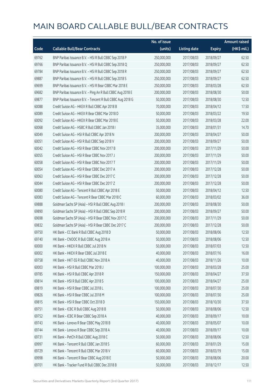|       |                                                            | No. of issue |                     |               | <b>Amount raised</b> |
|-------|------------------------------------------------------------|--------------|---------------------|---------------|----------------------|
| Code  | <b>Callable Bull/Bear Contracts</b>                        | (units)      | <b>Listing date</b> | <b>Expiry</b> | (HK\$ mil.)          |
| 69762 | BNP Paribas Issuance B.V. - HSI R Bull CBBC Sep 2018 P     | 250,000,000  | 2017/08/03          | 2018/09/27    | 62.50                |
| 69766 | BNP Paribas Issuance B.V. - HSI R Bull CBBC Sep 2018 Q     | 250,000,000  | 2017/08/03          | 2018/09/27    | 62.50                |
| 69784 | BNP Paribas Issuance B.V. - HSI R Bull CBBC Sep 2018 R     | 250,000,000  | 2017/08/03          | 2018/09/27    | 62.50                |
| 69887 | BNP Paribas Issuance B.V. - HSI R Bull CBBC Sep 2018 S     | 250,000,000  | 2017/08/03          | 2018/09/27    | 62.50                |
| 69699 | BNP Paribas Issuance B.V. - HSI R Bear CBBC Mar 2018 E     | 250,000,000  | 2017/08/03          | 2018/03/28    | 62.50                |
| 69682 | BNP Paribas Issuance B.V. - Ping An R Bull CBBC Aug 2018 E | 200,000,000  | 2017/08/03          | 2018/08/30    | 50.00                |
| 69877 | BNP Paribas Issuance B.V. - Tencent R Bull CBBC Aug 2018 G | 50,000,000   | 2017/08/03          | 2018/08/30    | 12.50                |
| 60088 | Credit Suisse AG - HKEX R Bull CBBC Apr 2018 B             | 70,000,000   | 2017/08/03          | 2018/04/12    | 17.50                |
| 60089 | Credit Suisse AG - HKEX R Bear CBBC Mar 2018 D             | 50,000,000   | 2017/08/03          | 2018/03/22    | 19.50                |
| 60092 | Credit Suisse AG - HKEX R Bear CBBC Mar 2018 E             | 50,000,000   | 2017/08/03          | 2018/03/28    | 22.00                |
| 60068 | Credit Suisse AG - HSBC R Bull CBBC Jan 2018 I             | 35,000,000   | 2017/08/03          | 2018/01/31    | 14.70                |
| 60049 | Credit Suisse AG - HSI R Bull CBBC Apr 2018 N              | 200,000,000  | 2017/08/03          | 2018/04/27    | 50.00                |
| 60051 | Credit Suisse AG - HSI R Bull CBBC Sep 2018 V              | 200,000,000  | 2017/08/03          | 2018/09/27    | 50.00                |
| 60042 | Credit Suisse AG - HSI R Bear CBBC Nov 2017 B              | 200,000,000  | 2017/08/03          | 2017/11/29    | 50.00                |
| 60055 | Credit Suisse AG - HSI R Bear CBBC Nov 2017 J              | 200,000,000  | 2017/08/03          | 2017/11/29    | 50.00                |
| 60058 | Credit Suisse AG - HSI R Bear CBBC Nov 2017 T              | 200,000,000  | 2017/08/03          | 2017/11/29    | 50.00                |
| 60054 | Credit Suisse AG - HSI R Bear CBBC Dec 2017 A              | 200,000,000  | 2017/08/03          | 2017/12/28    | 50.00                |
| 60063 | Credit Suisse AG - HSI R Bear CBBC Dec 2017 C              | 200,000,000  | 2017/08/03          | 2017/12/28    | 50.00                |
| 60044 | Credit Suisse AG - HSI R Bear CBBC Dec 2017 Z              | 200,000,000  | 2017/08/03          | 2017/12/28    | 50.00                |
| 60080 | Credit Suisse AG - Tencent R Bull CBBC Apr 2018 E          | 50,000,000   | 2017/08/03          | 2018/04/12    | 12.50                |
| 60083 | Credit Suisse AG - Tencent R Bear CBBC Mar 2018 C          | 60,000,000   | 2017/08/03          | 2018/03/02    | 36.00                |
| 69888 | Goldman Sachs SP (Asia) - HSI R Bull CBBC Aug 2018 I       | 200,000,000  | 2017/08/03          | 2018/08/30    | 50.00                |
| 69890 | Goldman Sachs SP (Asia) - HSI R Bull CBBC Sep 2018 R       | 200,000,000  | 2017/08/03          | 2018/09/27    | 50.00                |
| 69698 | Goldman Sachs SP (Asia) - HSI R Bear CBBC Nov 2017 C       | 200,000,000  | 2017/08/03          | 2017/11/29    | 50.00                |
| 69832 | Goldman Sachs SP (Asia) - HSI R Bear CBBC Dec 2017 C       | 200,000,000  | 2017/08/03          | 2017/12/28    | 50.00                |
| 69750 | HK Bank - CC Bank R Bull CBBC Aug 2018 D                   | 50,000,000   | 2017/08/03          | 2018/08/06    | 12.50                |
| 69740 | HK Bank - CNOOC R Bull CBBC Aug 2018 A                     | 50,000,000   | 2017/08/03          | 2018/08/06    | 12.50                |
| 60000 | HK Bank - HKEX R Bull CBBC Jul 2018 N                      | 50,000,000   | 2017/08/03          | 2018/07/03    | 12.50                |
| 60002 | HK Bank - HKEX R Bear CBBC Jul 2018 E                      | 40,000,000   | 2017/08/03          | 2018/07/16    | 16.00                |
| 69758 | HK Bank - HKT-SS R Bull CBBC Nov 2018 A                    | 40,000,000   | 2017/08/03          | 2018/11/26    | 10.00                |
| 60003 | HK Bank - HSI R Bull CBBC Mar 2018 J                       | 100,000,000  | 2017/08/03          | 2018/03/28    | 25.00                |
| 69785 | HK Bank - HSI R Bull CBBC Apr 2018 R                       | 150,000,000  | 2017/08/03          | 2018/04/27    | 37.50                |
| 69814 | HK Bank - HSI R Bull CBBC Apr 2018 S                       | 100,000,000  | 2017/08/03          | 2018/04/27    | 25.00                |
| 69819 | HK Bank - HSI R Bear CBBC Jul 2018 L                       | 100,000,000  | 2017/08/03          | 2018/07/30    | 25.00                |
| 69826 | HK Bank - HSI R Bear CBBC Jul 2018 M                       | 100,000,000  | 2017/08/03          | 2018/07/30    | 25.00                |
| 69815 | HK Bank - HSI R Bear CBBC Oct 2018 D                       | 150,000,000  | 2017/08/03          | 2018/10/30    | 37.50                |
| 69751 | HK Bank - ICBC R Bull CBBC Aug 2018 B                      | 50,000,000   | 2017/08/03          | 2018/08/06    | 12.50                |
| 69752 | HK Bank - ICBC R Bear CBBC Sep 2018 A                      | 40,000,000   | 2017/08/03          | 2018/09/17    | 10.00                |
| 69743 | HK Bank - Lenovo R Bear CBBC May 2018 B                    | 40,000,000   | 2017/08/03          | 2018/05/07    | 10.00                |
| 69744 | HK Bank - Lenovo R Bear CBBC Sep 2018 A                    | 40,000,000   | 2017/08/03          | 2018/09/17    | 10.00                |
| 69731 | HK Bank - PetCh R Bull CBBC Aug 2018 C                     | 50,000,000   | 2017/08/03          | 2018/08/06    | 12.50                |
| 69997 | HK Bank - Tencent R Bull CBBC Jan 2018 S                   | 60,000,000   | 2017/08/03          | 2018/01/29    | 15.00                |
| 69729 | HK Bank - Tencent R Bull CBBC Mar 2018 V                   | 60,000,000   | 2017/08/03          | 2018/03/19    | 15.00                |
| 69998 | HK Bank - Tencent R Bear CBBC Aug 2018 E                   | 50,000,000   | 2017/08/03          | 2018/08/06    | 20.00                |
| 69701 | HK Bank - Tracker Fund R Bull CBBC Dec 2018 B              | 50,000,000   | 2017/08/03          | 2018/12/17    | 12.50                |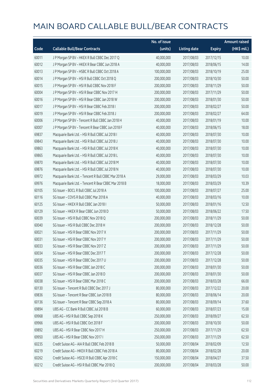|       |                                                      | No. of issue |                     |               | <b>Amount raised</b> |
|-------|------------------------------------------------------|--------------|---------------------|---------------|----------------------|
| Code  | <b>Callable Bull/Bear Contracts</b>                  | (units)      | <b>Listing date</b> | <b>Expiry</b> | (HK\$ mil.)          |
| 60011 | J P Morgan SP BV - HKEX R Bull CBBC Dec 2017 Q       | 40,000,000   | 2017/08/03          | 2017/12/15    | 10.00                |
| 60012 | J P Morgan SP BV - HKEX R Bear CBBC Jun 2018 A       | 40,000,000   | 2017/08/03          | 2018/06/15    | 14.00                |
| 60013 | J P Morgan SP BV - HSBC R Bull CBBC Oct 2018 A       | 100,000,000  | 2017/08/03          | 2018/10/19    | 25.00                |
| 60014 | J P Morgan SP BV - HSI R Bull CBBC Oct 2018 Q        | 200,000,000  | 2017/08/03          | 2018/10/30    | 50.00                |
| 60015 | J P Morgan SP BV - HSI R Bull CBBC Nov 2018 F        | 200,000,000  | 2017/08/03          | 2018/11/29    | 50.00                |
| 60004 | J P Morgan SP BV - HSI R Bear CBBC Nov 2017 H        | 200,000,000  | 2017/08/03          | 2017/11/29    | 50.00                |
| 60016 | J P Morgan SP BV - HSI R Bear CBBC Jan 2018 W        | 200,000,000  | 2017/08/03          | 2018/01/30    | 50.00                |
| 60017 | JP Morgan SP BV - HSIR Bear CBBC Feb 2018 I          | 200,000,000  | 2017/08/03          | 2018/02/27    | 50.00                |
| 60019 | J P Morgan SP BV - HSI R Bear CBBC Feb 2018 J        | 200,000,000  | 2017/08/03          | 2018/02/27    | 64.00                |
| 60006 | JP Morgan SP BV - Tencent R Bull CBBC Jan 2018 H     | 40,000,000   | 2017/08/03          | 2018/01/19    | 10.00                |
| 60007 | J P Morgan SP BV - Tencent R Bear CBBC Jun 2018 F    | 40,000,000   | 2017/08/03          | 2018/06/15    | 18.00                |
| 69837 | Macquarie Bank Ltd. - HSI R Bull CBBC Jul 2018 I     | 40,000,000   | 2017/08/03          | 2018/07/30    | 10.00                |
| 69843 | Macquarie Bank Ltd. - HSI R Bull CBBC Jul 2018 J     | 40,000,000   | 2017/08/03          | 2018/07/30    | 10.00                |
| 69863 | Macquarie Bank Ltd. - HSI R Bull CBBC Jul 2018 K     | 40,000,000   | 2017/08/03          | 2018/07/30    | 10.00                |
| 69865 | Macquarie Bank Ltd. - HSI R Bull CBBC Jul 2018 L     | 40,000,000   | 2017/08/03          | 2018/07/30    | 10.00                |
| 69870 | Macquarie Bank Ltd. - HSI R Bull CBBC Jul 2018 M     | 40,000,000   | 2017/08/03          | 2018/07/30    | 10.00                |
| 69876 | Macquarie Bank Ltd. - HSI R Bull CBBC Jul 2018 N     | 40,000,000   | 2017/08/03          | 2018/07/30    | 10.00                |
| 69972 | Macquarie Bank Ltd. - Tencent R Bull CBBC Mar 2018 A | 29,000,000   | 2017/08/03          | 2018/03/29    | 10.03                |
| 69976 | Macquarie Bank Ltd. - Tencent R Bear CBBC Mar 2018 B | 18,000,000   | 2017/08/03          | 2018/03/29    | 10.39                |
| 60105 | SG Issuer - BOCL R Bull CBBC Jul 2018 A              | 100,000,000  | 2017/08/03          | 2018/07/27    | 25.00                |
| 60116 | SG Issuer - COVS R Bull CBBC Mar 2018 A              | 40,000,000   | 2017/08/03          | 2018/03/16    | 10.00                |
| 60125 | SG Issuer - HKEX R Bull CBBC Jan 2018 I              | 50,000,000   | 2017/08/03          | 2018/01/16    | 12.50                |
| 60129 | SG Issuer - HKEX R Bear CBBC Jun 2018 D              | 50,000,000   | 2017/08/03          | 2018/06/22    | 17.50                |
| 60039 | SG Issuer - HSI R Bull CBBC Nov 2018 Q               | 200,000,000  | 2017/08/03          | 2018/11/29    | 50.00                |
| 60040 | SG Issuer - HSI R Bull CBBC Dec 2018 H               | 200,000,000  | 2017/08/03          | 2018/12/28    | 50.00                |
| 60021 | SG Issuer - HSI R Bear CBBC Nov 2017 X               | 200,000,000  | 2017/08/03          | 2017/11/29    | 50.00                |
| 60031 | SG Issuer - HSI R Bear CBBC Nov 2017 Y               | 200,000,000  | 2017/08/03          | 2017/11/29    | 50.00                |
| 60033 | SG Issuer - HSI R Bear CBBC Nov 2017 Z               | 200,000,000  | 2017/08/03          | 2017/11/29    | 50.00                |
| 60034 | SG Issuer - HSI R Bear CBBC Dec 2017 T               | 200,000,000  | 2017/08/03          | 2017/12/28    | 50.00                |
| 60035 | SG Issuer - HSI R Bear CBBC Dec 2017 U               | 200,000,000  | 2017/08/03          | 2017/12/28    | 50.00                |
| 60036 | SG Issuer - HSI R Bear CBBC Jan 2018 C               | 200,000,000  | 2017/08/03          | 2018/01/30    | 50.00                |
| 60037 | SG Issuer - HSI R Bear CBBC Jan 2018 D               | 200,000,000  | 2017/08/03          | 2018/01/30    | 50.00                |
| 60038 | SG Issuer - HSI R Bear CBBC Mar 2018 C               | 200,000,000  | 2017/08/03          | 2018/03/28    | 66.00                |
| 60130 | SG Issuer - Tencent R Bull CBBC Dec 2017 J           | 80,000,000   | 2017/08/03          | 2017/12/22    | 20.00                |
| 69836 | SG Issuer - Tencent R Bear CBBC Jun 2018 B           | 80,000,000   | 2017/08/03          | 2018/06/14    | 20.00                |
| 60136 | SG Issuer - Tencent R Bear CBBC Sep 2018 A           | 80,000,000   | 2017/08/03          | 2018/09/14    | 37.60                |
| 69894 | UBS AG - CC Bank R Bull CBBC Jul 2018 B              | 60,000,000   | 2017/08/03          | 2018/07/23    | 15.00                |
| 69968 | UBS AG - HSI R Bull CBBC Sep 2018 K                  | 250,000,000  | 2017/08/03          | 2018/09/27    | 62.50                |
| 69966 | UBS AG - HSI R Bull CBBC Oct 2018 F                  | 200,000,000  | 2017/08/03          | 2018/10/30    | 50.00                |
| 69892 | UBS AG - HSI R Bear CBBC Nov 2017 H                  | 250,000,000  | 2017/08/03          | 2017/11/29    | 62.50                |
| 69950 | UBS AG - HSI R Bear CBBC Nov 2017 I                  | 250,000,000  | 2017/08/03          | 2017/11/29    | 62.50                |
| 60235 | Credit Suisse AG - AIA R Bull CBBC Feb 2018 B        | 50,000,000   | 2017/08/04          | 2018/02/09    | 12.50                |
| 60219 | Credit Suisse AG - HKEX R Bull CBBC Feb 2018 A       | 80,000,000   | 2017/08/04          | 2018/02/28    | 20.00                |
| 60262 | Credit Suisse AG - HSCEI R Bull CBBC Apr 2018 C      | 150,000,000  | 2017/08/04          | 2018/04/27    | 37.50                |
| 60212 | Credit Suisse AG - HSI R Bull CBBC Mar 2018 Q        | 200,000,000  | 2017/08/04          | 2018/03/28    | 50.00                |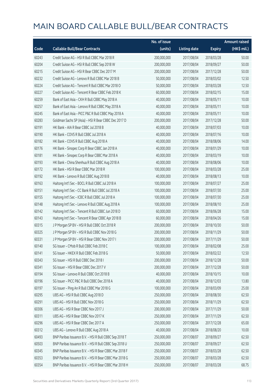|       |                                                        | No. of issue |                     |               | <b>Amount raised</b> |
|-------|--------------------------------------------------------|--------------|---------------------|---------------|----------------------|
| Code  | <b>Callable Bull/Bear Contracts</b>                    | (units)      | <b>Listing date</b> | <b>Expiry</b> | (HK\$ mil.)          |
| 60243 | Credit Suisse AG - HSI R Bull CBBC Mar 2018 R          | 200,000,000  | 2017/08/04          | 2018/03/28    | 50.00                |
| 60204 | Credit Suisse AG - HSI R Bull CBBC Sep 2018 W          | 200,000,000  | 2017/08/04          | 2018/09/27    | 50.00                |
| 60215 | Credit Suisse AG - HSI R Bear CBBC Dec 2017 M          | 200,000,000  | 2017/08/04          | 2017/12/28    | 50.00                |
| 60232 | Credit Suisse AG - Lenovo R Bull CBBC Mar 2018 B       | 50,000,000   | 2017/08/04          | 2018/03/02    | 12.50                |
| 60224 | Credit Suisse AG - Tencent R Bull CBBC Mar 2018 O      | 50,000,000   | 2017/08/04          | 2018/03/28    | 12.50                |
| 60227 | Credit Suisse AG - Tencent R Bear CBBC Feb 2018 K      | 60,000,000   | 2017/08/04          | 2018/02/15    | 15.00                |
| 60259 | Bank of East Asia - CKH R Bull CBBC May 2018 A         | 40,000,000   | 2017/08/04          | 2018/05/11    | 10.00                |
| 60257 | Bank of East Asia - Lenovo R Bull CBBC May 2018 A      | 40,000,000   | 2017/08/04          | 2018/05/11    | 10.00                |
| 60245 | Bank of East Asia - PICC P&C R Bull CBBC May 2018 A    | 40,000,000   | 2017/08/04          | 2018/05/11    | 10.00                |
| 60283 | Goldman Sachs SP (Asia) - HSI R Bear CBBC Dec 2017 D   | 200,000,000  | 2017/08/04          | 2017/12/28    | 50.00                |
| 60191 | HK Bank - AIA R Bear CBBC Jul 2018 B                   | 40,000,000   | 2017/08/04          | 2018/07/03    | 10.00                |
| 60190 | HK Bank - COVS R Bull CBBC Jul 2018 A                  | 40,000,000   | 2017/08/04          | 2018/07/16    | 10.00                |
| 60182 | HK Bank - COVS R Bull CBBC Aug 2018 A                  | 40,000,000   | 2017/08/04          | 2018/08/06    | 14.00                |
| 60176 | HK Bank - Sinopec Corp R Bear CBBC Jan 2018 A          | 40,000,000   | 2017/08/04          | 2018/01/29    | 10.00                |
| 60181 | HK Bank - Sinopec Corp R Bear CBBC Mar 2018 A          | 40,000,000   | 2017/08/04          | 2018/03/19    | 10.00                |
| 60193 | HK Bank - China Shenhua R Bull CBBC Aug 2018 A         | 40,000,000   | 2017/08/04          | 2018/08/06    | 10.00                |
| 60172 | HK Bank - HSI R Bear CBBC Mar 2018 R                   | 100,000,000  | 2017/08/04          | 2018/03/28    | 25.00                |
| 60192 | HK Bank - Lenovo R Bull CBBC Aug 2018 B                | 40,000,000   | 2017/08/04          | 2018/08/13    | 10.00                |
| 60163 | Haitong Int'l Sec - BOCL R Bull CBBC Jul 2018 A        | 100,000,000  | 2017/08/04          | 2018/07/27    | 25.00                |
| 60151 | Haitong Int'l Sec - CC Bank R Bull CBBC Jul 2018 A     | 100,000,000  | 2017/08/04          | 2018/07/30    | 25.00                |
| 60155 | Haitong Int'l Sec - ICBC R Bull CBBC Jul 2018 A        | 100,000,000  | 2017/08/04          | 2018/07/30    | 25.00                |
| 60148 | Haitong Int'l Sec - Lenovo R Bull CBBC Aug 2018 A      | 100,000,000  | 2017/08/04          | 2018/08/10    | 25.00                |
| 60142 | Haitong Int'l Sec - Tencent R Bull CBBC Jun 2018 D     | 60,000,000   | 2017/08/04          | 2018/06/28    | 15.00                |
| 60143 | Haitong Int'l Sec - Tencent R Bear CBBC Apr 2018 B     | 60,000,000   | 2017/08/04          | 2018/04/26    | 15.00                |
| 60315 | J P Morgan SP BV - HSI R Bull CBBC Oct 2018 R          | 200,000,000  | 2017/08/04          | 2018/10/30    | 50.00                |
| 60325 | J P Morgan SP BV - HSI R Bull CBBC Nov 2018 G          | 200,000,000  | 2017/08/04          | 2018/11/29    | 50.00                |
| 60331 | J P Morgan SP BV - HSI R Bear CBBC Nov 2017 I          | 200,000,000  | 2017/08/04          | 2017/11/29    | 50.00                |
| 60140 | SG Issuer - CMob R Bull CBBC Feb 2018 C                | 100,000,000  | 2017/08/04          | 2018/02/08    | 25.00                |
| 60141 | SG Issuer - HKEX R Bull CBBC Feb 2018 G                | 50,000,000   | 2017/08/04          | 2018/02/22    | 12.50                |
| 60343 | SG Issuer - HSI R Bull CBBC Dec 2018 I                 | 200,000,000  | 2017/08/04          | 2018/12/28    | 50.00                |
| 60341 | SG Issuer - HSI R Bear CBBC Dec 2017 V                 | 200,000,000  | 2017/08/04          | 2017/12/28    | 50.00                |
| 60194 | SG Issuer - Lenovo R Bull CBBC Oct 2018 B              | 40,000,000   | 2017/08/04          | 2018/10/15    | 10.00                |
| 60196 | SG Issuer - PICC P&C R Bull CBBC Dec 2018 A            | 40,000,000   | 2017/08/04          | 2018/12/03    | 13.80                |
| 60197 | SG Issuer - Ping An R Bull CBBC Mar 2018 G             | 100,000,000  | 2017/08/04          | 2018/03/09    | 25.00                |
| 60295 | UBS AG - HSI R Bull CBBC Aug 2018 D                    | 250,000,000  | 2017/08/04          | 2018/08/30    | 62.50                |
| 60291 | UBS AG - HSI R Bull CBBC Nov 2018 G                    | 250,000,000  | 2017/08/04          | 2018/11/29    | 62.50                |
| 60306 | UBS AG - HSI R Bear CBBC Nov 2017 J                    | 200,000,000  | 2017/08/04          | 2017/11/29    | 50.00                |
| 60311 | UBS AG - HSI R Bear CBBC Nov 2017 K                    | 250,000,000  | 2017/08/04          | 2017/11/29    | 62.50                |
| 60296 | UBS AG - HSI R Bear CBBC Dec 2017 A                    | 250,000,000  | 2017/08/04          | 2017/12/28    | 65.00                |
| 60312 | UBS AG - Lenovo R Bull CBBC Aug 2018 A                 | 40,000,000   | 2017/08/04          | 2018/08/20    | 10.00                |
| 60493 | BNP Paribas Issuance B.V. - HSI R Bull CBBC Sep 2018 T | 250,000,000  | 2017/08/07          | 2018/09/27    | 62.50                |
| 60503 | BNP Paribas Issuance B.V. - HSI R Bull CBBC Sep 2018 U | 250,000,000  | 2017/08/07          | 2018/09/27    | 62.50                |
| 60345 | BNP Paribas Issuance B.V. - HSI R Bear CBBC Mar 2018 F | 250,000,000  | 2017/08/07          | 2018/03/28    | 62.50                |
| 60353 | BNP Paribas Issuance B.V. - HSI R Bear CBBC Mar 2018 G | 250,000,000  | 2017/08/07          | 2018/03/28    | 62.50                |
| 60354 | BNP Paribas Issuance B.V. - HSI R Bear CBBC Mar 2018 H | 250,000,000  | 2017/08/07          | 2018/03/28    | 68.75                |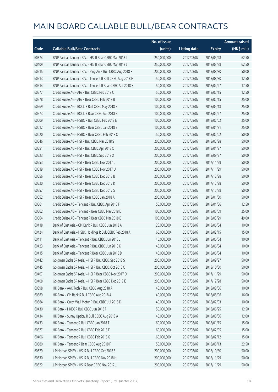|       |                                                            | No. of issue |                     |               | <b>Amount raised</b>  |
|-------|------------------------------------------------------------|--------------|---------------------|---------------|-----------------------|
| Code  | <b>Callable Bull/Bear Contracts</b>                        | (units)      | <b>Listing date</b> | <b>Expiry</b> | $(HK\frac{1}{2}mil.)$ |
| 60374 | BNP Paribas Issuance B.V. - HSI R Bear CBBC Mar 2018 I     | 250,000,000  | 2017/08/07          | 2018/03/28    | 62.50                 |
| 60409 | BNP Paribas Issuance B.V. - HSI R Bear CBBC Mar 2018 J     | 250,000,000  | 2017/08/07          | 2018/03/28    | 62.50                 |
| 60515 | BNP Paribas Issuance B.V. - Ping An R Bull CBBC Aug 2018 F | 200,000,000  | 2017/08/07          | 2018/08/30    | 50.00                 |
| 60513 | BNP Paribas Issuance B.V. - Tencent R Bull CBBC Aug 2018 H | 50,000,000   | 2017/08/07          | 2018/08/30    | 12.50                 |
| 60514 | BNP Paribas Issuance B.V. - Tencent R Bear CBBC Apr 2018 X | 50,000,000   | 2017/08/07          | 2018/04/27    | 17.50                 |
| 60577 | Credit Suisse AG - AIA R Bull CBBC Feb 2018 C              | 50,000,000   | 2017/08/07          | 2018/02/15    | 12.50                 |
| 60578 | Credit Suisse AG - AIA R Bear CBBC Feb 2018 B              | 100,000,000  | 2017/08/07          | 2018/02/15    | 25.00                 |
| 60569 | Credit Suisse AG - BOCL R Bull CBBC May 2018 B             | 100,000,000  | 2017/08/07          | 2018/05/18    | 25.00                 |
| 60573 | Credit Suisse AG - BOCL R Bear CBBC Apr 2018 B             | 100,000,000  | 2017/08/07          | 2018/04/27    | 25.00                 |
| 60609 | Credit Suisse AG - HSBC R Bull CBBC Feb 2018 E             | 100,000,000  | 2017/08/07          | 2018/02/02    | 25.00                 |
| 60612 | Credit Suisse AG - HSBC R Bear CBBC Jan 2018 E             | 100,000,000  | 2017/08/07          | 2018/01/31    | 25.00                 |
| 60620 | Credit Suisse AG - HSBC R Bear CBBC Feb 2018 C             | 50,000,000   | 2017/08/07          | 2018/02/02    | 50.00                 |
| 60546 | Credit Suisse AG - HSI R Bull CBBC Mar 2018 S              | 200,000,000  | 2017/08/07          | 2018/03/28    | 50.00                 |
| 60551 | Credit Suisse AG - HSI R Bull CBBC Apr 2018 O              | 200,000,000  | 2017/08/07          | 2018/04/27    | 50.00                 |
| 60523 | Credit Suisse AG - HSI R Bull CBBC Sep 2018 X              | 200,000,000  | 2017/08/07          | 2018/09/27    | 50.00                 |
| 60553 | Credit Suisse AG - HSI R Bear CBBC Nov 2017 L              | 200,000,000  | 2017/08/07          | 2017/11/29    | 50.00                 |
| 60519 | Credit Suisse AG - HSI R Bear CBBC Nov 2017 U              | 200,000,000  | 2017/08/07          | 2017/11/29    | 50.00                 |
| 60556 | Credit Suisse AG - HSI R Bear CBBC Dec 2017 B              | 200,000,000  | 2017/08/07          | 2017/12/28    | 50.00                 |
| 60520 | Credit Suisse AG - HSI R Bear CBBC Dec 2017 K              | 200,000,000  | 2017/08/07          | 2017/12/28    | 50.00                 |
| 60557 | Credit Suisse AG - HSI R Bear CBBC Dec 2017 S              | 200,000,000  | 2017/08/07          | 2017/12/28    | 50.00                 |
| 60552 | Credit Suisse AG - HSI R Bear CBBC Jan 2018 A              | 200,000,000  | 2017/08/07          | 2018/01/30    | 50.00                 |
| 60561 | Credit Suisse AG - Tencent R Bull CBBC Apr 2018 F          | 50,000,000   | 2017/08/07          | 2018/04/06    | 12.50                 |
| 60562 | Credit Suisse AG - Tencent R Bear CBBC Mar 2018 D          | 100,000,000  | 2017/08/07          | 2018/03/09    | 25.00                 |
| 60564 | Credit Suisse AG - Tencent R Bear CBBC Mar 2018 E          | 100,000,000  | 2017/08/07          | 2018/03/29    | 49.00                 |
| 60418 | Bank of East Asia - CM Bank R Bull CBBC Jun 2018 A         | 25,000,000   | 2017/08/07          | 2018/06/04    | 10.00                 |
| 60424 | Bank of East Asia - HSBC Holdings R Bull CBBC Feb 2018 A   | 60,000,000   | 2017/08/07          | 2018/02/15    | 15.00                 |
| 60411 | Bank of East Asia - Tencent R Bull CBBC Jun 2018 J         | 40,000,000   | 2017/08/07          | 2018/06/04    | 10.00                 |
| 60423 | Bank of East Asia - Tencent R Bull CBBC Jun 2018 K         | 40,000,000   | 2017/08/07          | 2018/06/04    | 10.00                 |
| 60415 | Bank of East Asia - Tencent R Bear CBBC Jun 2018 D         | 40,000,000   | 2017/08/07          | 2018/06/04    | 10.00                 |
| 60442 | Goldman Sachs SP (Asia) - HSI R Bull CBBC Sep 2018 S       | 200,000,000  | 2017/08/07          | 2018/09/27    | 50.00                 |
| 60445 | Goldman Sachs SP (Asia) - HSI R Bull CBBC Oct 2018 O       | 200,000,000  | 2017/08/07          | 2018/10/30    | 50.00                 |
| 60407 | Goldman Sachs SP (Asia) - HSI R Bear CBBC Nov 2017 D       | 200,000,000  | 2017/08/07          | 2017/11/29    | 50.00                 |
| 60408 | Goldman Sachs SP (Asia) - HSI R Bear CBBC Dec 2017 E       | 200,000,000  | 2017/08/07          | 2017/12/28    | 50.00                 |
| 60398 | HK Bank - AAC Tech R Bull CBBC Aug 2018 A                  | 40,000,000   | 2017/08/07          | 2018/08/06    | 10.00                 |
| 60389 | HK Bank - CM Bank R Bull CBBC Aug 2018 A                   | 40,000,000   | 2017/08/07          | 2018/08/06    | 16.00                 |
| 60384 | HK Bank - Great Wall Motor R Bull CBBC Jul 2018 D          | 40,000,000   | 2017/08/07          | 2018/07/03    | 10.00                 |
| 60430 | HK Bank - HKEX R Bull CBBC Jun 2018 F                      | 50,000,000   | 2017/08/07          | 2018/06/25    | 12.50                 |
| 60434 | HK Bank - Sunny Optical R Bull CBBC Aug 2018 A             | 40,000,000   | 2017/08/07          | 2018/08/06    | 12.00                 |
| 60433 | HK Bank - Tencent R Bull CBBC Jan 2018 T                   | 60,000,000   | 2017/08/07          | 2018/01/15    | 15.00                 |
| 60377 | HK Bank - Tencent R Bull CBBC Feb 2018 F                   | 60,000,000   | 2017/08/07          | 2018/02/05    | 15.00                 |
| 60406 | HK Bank - Tencent R Bull CBBC Feb 2018 G                   | 60,000,000   | 2017/08/07          | 2018/02/12    | 15.00                 |
| 60380 | HK Bank - Tencent R Bear CBBC Aug 2018 F                   | 50,000,000   | 2017/08/07          | 2018/08/13    | 22.50                 |
| 60629 | JP Morgan SP BV - HSIR Bull CBBC Oct 2018 S                | 200,000,000  | 2017/08/07          | 2018/10/30    | 50.00                 |
| 60630 | J P Morgan SP BV - HSI R Bull CBBC Nov 2018 H              | 200,000,000  | 2017/08/07          | 2018/11/29    | 50.00                 |
| 60622 | J P Morgan SP BV - HSI R Bear CBBC Nov 2017 J              | 200,000,000  | 2017/08/07          | 2017/11/29    | 50.00                 |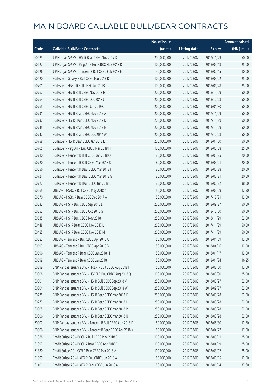|       |                                                            | No. of issue |                     |               | <b>Amount raised</b>  |
|-------|------------------------------------------------------------|--------------|---------------------|---------------|-----------------------|
| Code  | <b>Callable Bull/Bear Contracts</b>                        | (units)      | <b>Listing date</b> | <b>Expiry</b> | $(HK\frac{1}{2}mil.)$ |
| 60625 | J P Morgan SP BV - HSI R Bear CBBC Nov 2017 K              | 200,000,000  | 2017/08/07          | 2017/11/29    | 50.00                 |
| 60627 | J P Morgan SP BV - Ping An R Bull CBBC May 2018 D          | 100,000,000  | 2017/08/07          | 2018/05/18    | 25.00                 |
| 60626 | J P Morgan SP BV - Tencent R Bull CBBC Feb 2018 E          | 40,000,000   | 2017/08/07          | 2018/02/15    | 10.00                 |
| 60420 | SG Issuer - Galaxy R Bull CBBC Mar 2018 D                  | 100,000,000  | 2017/08/07          | 2018/03/22    | 25.00                 |
| 60701 | SG Issuer - HSBC R Bull CBBC Jun 2018 D                    | 100,000,000  | 2017/08/07          | 2018/06/28    | 25.00                 |
| 60762 | SG Issuer - HSI R Bull CBBC Nov 2018 R                     | 200,000,000  | 2017/08/07          | 2018/11/29    | 50.00                 |
| 60764 | SG Issuer - HSI R Bull CBBC Dec 2018 J                     | 200,000,000  | 2017/08/07          | 2018/12/28    | 50.00                 |
| 60765 | SG Issuer - HSI R Bull CBBC Jan 2019 C                     | 200,000,000  | 2017/08/07          | 2019/01/30    | 50.00                 |
| 60731 | SG Issuer - HSI R Bear CBBC Nov 2017 A                     | 200,000,000  | 2017/08/07          | 2017/11/29    | 50.00                 |
| 60732 | SG Issuer - HSI R Bear CBBC Nov 2017 D                     | 200,000,000  | 2017/08/07          | 2017/11/29    | 50.00                 |
| 60745 | SG Issuer - HSI R Bear CBBC Nov 2017 E                     | 200,000,000  | 2017/08/07          | 2017/11/29    | 50.00                 |
| 60747 | SG Issuer - HSI R Bear CBBC Dec 2017 W                     | 200,000,000  | 2017/08/07          | 2017/12/28    | 50.00                 |
| 60758 | SG Issuer - HSI R Bear CBBC Jan 2018 E                     | 200,000,000  | 2017/08/07          | 2018/01/30    | 50.00                 |
| 60705 | SG Issuer - Ping An R Bull CBBC Mar 2018 H                 | 100,000,000  | 2017/08/07          | 2018/03/08    | 25.00                 |
| 60710 | SG Issuer - Tencent R Bull CBBC Jan 2018 Q                 | 80,000,000   | 2017/08/07          | 2018/01/25    | 20.00                 |
| 60720 | SG Issuer - Tencent R Bull CBBC Mar 2018 O                 | 80,000,000   | 2017/08/07          | 2018/03/21    | 20.00                 |
| 60356 | SG Issuer - Tencent R Bear CBBC Mar 2018 F                 | 80,000,000   | 2017/08/07          | 2018/03/28    | 20.00                 |
| 60724 | SG Issuer - Tencent R Bear CBBC Mar 2018 G                 | 80,000,000   | 2017/08/07          | 2018/03/21    | 20.00                 |
| 60727 | SG Issuer - Tencent R Bear CBBC Jun 2018 C                 | 80,000,000   | 2017/08/07          | 2018/06/22    | 38.00                 |
| 60665 | UBS AG - HSBC R Bull CBBC May 2018 A                       | 50,000,000   | 2017/08/07          | 2018/05/29    | 12.50                 |
| 60670 | UBS AG - HSBC R Bear CBBC Dec 2017 A                       | 50,000,000   | 2017/08/07          | 2017/12/21    | 12.50                 |
| 60632 | UBS AG - HSI R Bull CBBC Sep 2018 L                        | 200,000,000  | 2017/08/07          | 2018/09/27    | 50.00                 |
| 60652 | UBS AG - HSI R Bull CBBC Oct 2018 G                        | 200,000,000  | 2017/08/07          | 2018/10/30    | 50.00                 |
| 60635 | UBS AG - HSI R Bull CBBC Nov 2018 H                        | 250,000,000  | 2017/08/07          | 2018/11/29    | 62.50                 |
| 60448 | UBS AG - HSI R Bear CBBC Nov 2017 L                        | 200,000,000  | 2017/08/07          | 2017/11/29    | 50.00                 |
| 60485 | UBS AG - HSI R Bear CBBC Nov 2017 M                        | 200,000,000  | 2017/08/07          | 2017/11/29    | 50.00                 |
| 60682 | UBS AG - Tencent R Bull CBBC Apr 2018 A                    | 50,000,000   | 2017/08/07          | 2018/04/09    | 12.50                 |
| 60693 | UBS AG - Tencent R Bull CBBC Apr 2018 B                    | 50,000,000   | 2017/08/07          | 2018/04/16    | 12.50                 |
| 60696 | UBS AG - Tencent R Bear CBBC Jan 2018 H                    | 50,000,000   | 2017/08/07          | 2018/01/17    | 12.50                 |
| 60699 | UBS AG - Tencent R Bear CBBC Jan 2018 I                    | 50,000,000   | 2017/08/07          | 2018/01/24    | 16.25                 |
| 60899 | BNP Paribas Issuance B.V. - HKEX R Bull CBBC Aug 2018 H    | 50,000,000   | 2017/08/08          | 2018/08/30    | 12.50                 |
| 60908 | BNP Paribas Issuance B.V. - HSCEI R Bull CBBC Aug 2018 Q   | 100,000,000  | 2017/08/08          | 2018/08/30    | 25.00                 |
| 60801 | BNP Paribas Issuance B.V. - HSI R Bull CBBC Sep 2018 V     | 250,000,000  | 2017/08/08          | 2018/09/27    | 62.50                 |
| 60804 | BNP Paribas Issuance B.V. - HSI R Bull CBBC Sep 2018 W     | 250,000,000  | 2017/08/08          | 2018/09/27    | 62.50                 |
| 60775 | BNP Paribas Issuance B.V. - HSI R Bear CBBC Mar 2018 K     | 250,000,000  | 2017/08/08          | 2018/03/28    | 62.50                 |
| 60777 | BNP Paribas Issuance B.V. - HSI R Bear CBBC Mar 2018 L     | 250,000,000  | 2017/08/08          | 2018/03/28    | 62.50                 |
| 60805 | BNP Paribas Issuance B.V. - HSI R Bear CBBC Mar 2018 M     | 250,000,000  | 2017/08/08          | 2018/03/28    | 62.50                 |
| 60806 | BNP Paribas Issuance B.V. - HSI R Bear CBBC Mar 2018 N     | 250,000,000  | 2017/08/08          | 2018/03/28    | 62.50                 |
| 60902 | BNP Paribas Issuance B.V. - Tencent R Bull CBBC Aug 2018 F | 50,000,000   | 2017/08/08          | 2018/08/30    | 12.50                 |
| 60906 | BNP Paribas Issuance B.V. - Tencent R Bear CBBC Apr 2018 Y | 50,000,000   | 2017/08/08          | 2018/04/27    | 17.50                 |
| 61388 | Credit Suisse AG - BOCL R Bull CBBC May 2018 C             | 100,000,000  | 2017/08/08          | 2018/05/11    | 25.00                 |
| 61397 | Credit Suisse AG - BOCL R Bear CBBC Apr 2018 C             | 100,000,000  | 2017/08/08          | 2018/04/19    | 25.00                 |
| 61380 | Credit Suisse AG - CCB R Bear CBBC Mar 2018 A              | 100,000,000  | 2017/08/08          | 2018/03/02    | 25.00                 |
| 61399 | Credit Suisse AG - HKEX R Bull CBBC Jun 2018 A             | 50,000,000   | 2017/08/08          | 2018/06/15    | 12.50                 |
| 61401 | Credit Suisse AG - HKEX R Bear CBBC Jun 2018 A             | 80,000,000   | 2017/08/08          | 2018/06/14    | 37.60                 |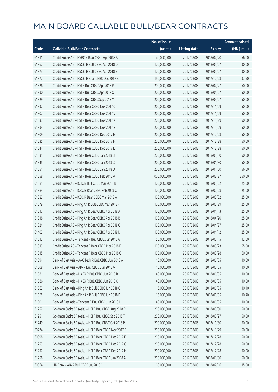|       |                                                      | No. of issue  |                     |               | <b>Amount raised</b> |
|-------|------------------------------------------------------|---------------|---------------------|---------------|----------------------|
| Code  | <b>Callable Bull/Bear Contracts</b>                  | (units)       | <b>Listing date</b> | <b>Expiry</b> | (HK\$ mil.)          |
| 61311 | Credit Suisse AG - HSBC R Bear CBBC Apr 2018 A       | 40,000,000    | 2017/08/08          | 2018/04/20    | 56.00                |
| 61367 | Credit Suisse AG - HSCEI R Bull CBBC Apr 2018 D      | 120,000,000   | 2017/08/08          | 2018/04/27    | 30.00                |
| 61373 | Credit Suisse AG - HSCEI R Bull CBBC Apr 2018 E      | 120,000,000   | 2017/08/08          | 2018/04/27    | 30.00                |
| 61377 | Credit Suisse AG - HSCEI R Bear CBBC Dec 2017 B      | 150,000,000   | 2017/08/08          | 2017/12/28    | 37.50                |
| 61326 | Credit Suisse AG - HSI R Bull CBBC Apr 2018 P        | 200,000,000   | 2017/08/08          | 2018/04/27    | 50.00                |
| 61330 | Credit Suisse AG - HSI R Bull CBBC Apr 2018 Q        | 200,000,000   | 2017/08/08          | 2018/04/27    | 50.00                |
| 61329 | Credit Suisse AG - HSI R Bull CBBC Sep 2018 Y        | 200,000,000   | 2017/08/08          | 2018/09/27    | 50.00                |
| 61332 | Credit Suisse AG - HSI R Bear CBBC Nov 2017 C        | 200,000,000   | 2017/08/08          | 2017/11/29    | 50.00                |
| 61307 | Credit Suisse AG - HSI R Bear CBBC Nov 2017 V        | 200,000,000   | 2017/08/08          | 2017/11/29    | 50.00                |
| 61333 | Credit Suisse AG - HSI R Bear CBBC Nov 2017 X        | 200,000,000   | 2017/08/08          | 2017/11/29    | 50.00                |
| 61334 | Credit Suisse AG - HSI R Bear CBBC Nov 2017 Z        | 200,000,000   | 2017/08/08          | 2017/11/29    | 50.00                |
| 61309 | Credit Suisse AG - HSI R Bear CBBC Dec 2017 E        | 200,000,000   | 2017/08/08          | 2017/12/28    | 50.00                |
| 61335 | Credit Suisse AG - HSI R Bear CBBC Dec 2017 F        | 200,000,000   | 2017/08/08          | 2017/12/28    | 50.00                |
| 61344 | Credit Suisse AG - HSI R Bear CBBC Dec 2017 L        | 200,000,000   | 2017/08/08          | 2017/12/28    | 50.00                |
| 61331 | Credit Suisse AG - HSI R Bear CBBC Jan 2018 B        | 200,000,000   | 2017/08/08          | 2018/01/30    | 50.00                |
| 61345 | Credit Suisse AG - HSI R Bear CBBC Jan 2018 C        | 200,000,000   | 2017/08/08          | 2018/01/30    | 50.00                |
| 61351 | Credit Suisse AG - HSI R Bear CBBC Jan 2018 D        | 200,000,000   | 2017/08/08          | 2018/01/30    | 56.00                |
| 61358 | Credit Suisse AG - HSI R Bear CBBC Feb 2018 A        | 1,000,000,000 | 2017/08/08          | 2018/02/27    | 250.00               |
| 61381 | Credit Suisse AG - ICBC R Bull CBBC Mar 2018 B       | 100,000,000   | 2017/08/08          | 2018/03/02    | 25.00                |
| 61384 | Credit Suisse AG - ICBC R Bear CBBC Feb 2018 C       | 100,000,000   | 2017/08/08          | 2018/02/28    | 25.00                |
| 61382 | Credit Suisse AG - ICBC R Bear CBBC Mar 2018 A       | 100,000,000   | 2017/08/08          | 2018/03/02    | 25.00                |
| 61379 | Credit Suisse AG - Ping An R Bull CBBC Mar 2018 F    | 100,000,000   | 2017/08/08          | 2018/03/29    | 25.00                |
| 61317 | Credit Suisse AG - Ping An R Bear CBBC Apr 2018 A    | 100,000,000   | 2017/08/08          | 2018/04/13    | 25.00                |
| 61318 | Credit Suisse AG - Ping An R Bear CBBC Apr 2018 B    | 100,000,000   | 2017/08/08          | 2018/04/20    | 25.00                |
| 61324 | Credit Suisse AG - Ping An R Bear CBBC Apr 2018 C    | 100,000,000   | 2017/08/08          | 2018/04/27    | 25.00                |
| 61402 | Credit Suisse AG - Ping An R Bear CBBC Apr 2018 D    | 100,000,000   | 2017/08/08          | 2018/04/12    | 25.00                |
| 61312 | Credit Suisse AG - Tencent R Bull CBBC Jun 2018 A    | 50,000,000    | 2017/08/08          | 2018/06/15    | 12.50                |
| 61313 | Credit Suisse AG - Tencent R Bear CBBC Mar 2018 F    | 100,000,000   | 2017/08/08          | 2018/03/23    | 55.00                |
| 61315 | Credit Suisse AG - Tencent R Bear CBBC Mar 2018 G    | 100,000,000   | 2017/08/08          | 2018/03/28    | 60.00                |
| 61094 | Bank of East Asia - AAC Tech R Bull CBBC Jun 2018 A  | 40,000,000    | 2017/08/08          | 2018/06/05    | 10.00                |
| 61008 | Bank of East Asia - AIA R Bull CBBC Jun 2018 A       | 40,000,000    | 2017/08/08          | 2018/06/05    | 10.00                |
| 61081 | Bank of East Asia - HKEX R Bull CBBC Jun 2018 B      | 40,000,000    | 2017/08/08          | 2018/06/05    | 10.00                |
| 61086 | Bank of East Asia - HKEX R Bull CBBC Jun 2018 C      | 40,000,000    | 2017/08/08          | 2018/06/05    | 10.00                |
| 61062 | Bank of East Asia - Ping An R Bull CBBC Jun 2018 C   | 16,000,000    | 2017/08/08          | 2018/06/05    | 10.40                |
| 61065 | Bank of East Asia - Ping An R Bull CBBC Jun 2018 D   | 16,000,000    | 2017/08/08          | 2018/06/05    | 10.40                |
| 61001 | Bank of East Asia - Tencent R Bull CBBC Jun 2018 L   | 40,000,000    | 2017/08/08          | 2018/06/05    | 10.00                |
| 61252 | Goldman Sachs SP (Asia) - HSI R Bull CBBC Aug 2018 P | 200,000,000   | 2017/08/08          | 2018/08/30    | 50.00                |
| 61251 | Goldman Sachs SP (Asia) - HSI R Bull CBBC Sep 2018 T | 200,000,000   | 2017/08/08          | 2018/09/27    | 50.00                |
| 61249 | Goldman Sachs SP (Asia) - HSI R Bull CBBC Oct 2018 P | 200,000,000   | 2017/08/08          | 2018/10/30    | 50.00                |
| 60774 | Goldman Sachs SP (Asia) - HSI R Bear CBBC Nov 2017 E | 200,000,000   | 2017/08/08          | 2017/11/29    | 50.00                |
| 60898 | Goldman Sachs SP (Asia) - HSI R Bear CBBC Dec 2017 F | 200,000,000   | 2017/08/08          | 2017/12/28    | 50.20                |
| 61253 | Goldman Sachs SP (Asia) - HSI R Bear CBBC Dec 2017 G | 200,000,000   | 2017/08/08          | 2017/12/28    | 50.00                |
| 61257 | Goldman Sachs SP (Asia) - HSI R Bear CBBC Dec 2017 H | 200,000,000   | 2017/08/08          | 2017/12/28    | 50.00                |
| 61258 | Goldman Sachs SP (Asia) - HSI R Bear CBBC Jan 2018 A | 200,000,000   | 2017/08/08          | 2018/01/30    | 50.00                |
| 60864 | HK Bank - AIA R Bull CBBC Jul 2018 C                 | 60,000,000    | 2017/08/08          | 2018/07/16    | 15.00                |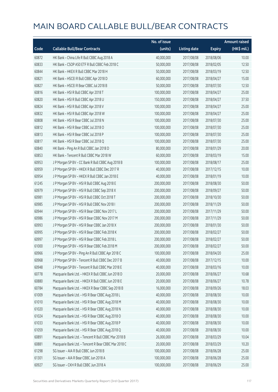|       |                                                      | No. of issue |                     |               | <b>Amount raised</b>  |
|-------|------------------------------------------------------|--------------|---------------------|---------------|-----------------------|
| Code  | <b>Callable Bull/Bear Contracts</b>                  | (units)      | <b>Listing date</b> | <b>Expiry</b> | $(HK\frac{1}{2}mil.)$ |
| 60872 | HK Bank - China Life R Bull CBBC Aug 2018 A          | 40,000,000   | 2017/08/08          | 2018/08/06    | 10.00                 |
| 60833 | HK Bank - CSOP A50 ETF R Bull CBBC Feb 2018 C        | 50,000,000   | 2017/08/08          | 2018/02/05    | 12.50                 |
| 60844 | HK Bank - HKEX R Bull CBBC Mar 2018 H                | 50,000,000   | 2017/08/08          | 2018/03/19    | 12.50                 |
| 60821 | HK Bank - HSCEI R Bull CBBC Apr 2018 D               | 60,000,000   | 2017/08/08          | 2018/04/27    | 15.00                 |
| 60827 | HK Bank - HSCEI R Bear CBBC Jul 2018 B               | 50,000,000   | 2017/08/08          | 2018/07/30    | 12.50                 |
| 60816 | HK Bank - HSI R Bull CBBC Apr 2018 T                 | 100,000,000  | 2017/08/08          | 2018/04/27    | 25.00                 |
| 60820 | HK Bank - HSI R Bull CBBC Apr 2018 U                 | 150,000,000  | 2017/08/08          | 2018/04/27    | 37.50                 |
| 60824 | HK Bank - HSI R Bull CBBC Apr 2018 V                 | 100,000,000  | 2017/08/08          | 2018/04/27    | 25.00                 |
| 60832 | HK Bank - HSI R Bull CBBC Apr 2018 W                 | 100,000,000  | 2017/08/08          | 2018/04/27    | 25.00                 |
| 60808 | HK Bank - HSI R Bear CBBC Jul 2018 N                 | 100,000,000  | 2017/08/08          | 2018/07/30    | 25.00                 |
| 60812 | HK Bank - HSI R Bear CBBC Jul 2018 O                 | 100,000,000  | 2017/08/08          | 2018/07/30    | 25.00                 |
| 60813 | HK Bank - HSI R Bear CBBC Jul 2018 P                 | 100,000,000  | 2017/08/08          | 2018/07/30    | 25.00                 |
| 60817 | HK Bank - HSI R Bear CBBC Jul 2018 Q                 | 100,000,000  | 2017/08/08          | 2018/07/30    | 25.00                 |
| 60840 | HK Bank - Ping An R Bull CBBC Jan 2018 D             | 80,000,000   | 2017/08/08          | 2018/01/29    | 20.00                 |
| 60853 | HK Bank - Tencent R Bull CBBC Mar 2018 W             | 60,000,000   | 2017/08/08          | 2018/03/19    | 15.00                 |
| 60953 | J P Morgan SP BV - CC Bank R Bull CBBC Aug 2018 B    | 100,000,000  | 2017/08/08          | 2018/08/17    | 25.00                 |
| 60959 | J P Morgan SP BV - HKEX R Bull CBBC Dec 2017 R       | 40,000,000   | 2017/08/08          | 2017/12/15    | 10.00                 |
| 60954 | J P Morgan SP BV - HKEX R Bull CBBC Jan 2018 E       | 40,000,000   | 2017/08/08          | 2018/01/19    | 10.00                 |
| 61245 | J P Morgan SP BV - HSI R Bull CBBC Aug 2018 E        | 200,000,000  | 2017/08/08          | 2018/08/30    | 50.00                 |
| 60979 | J P Morgan SP BV - HSI R Bull CBBC Sep 2018 X        | 200,000,000  | 2017/08/08          | 2018/09/27    | 50.00                 |
| 60981 | JP Morgan SP BV - HSIR Bull CBBC Oct 2018 T          | 200,000,000  | 2017/08/08          | 2018/10/30    | 50.00                 |
| 60985 | J P Morgan SP BV - HSI R Bull CBBC Nov 2018 I        | 200,000,000  | 2017/08/08          | 2018/11/29    | 50.00                 |
| 60944 | J P Morgan SP BV - HSI R Bear CBBC Nov 2017 L        | 200,000,000  | 2017/08/08          | 2017/11/29    | 50.00                 |
| 60986 | J P Morgan SP BV - HSI R Bear CBBC Nov 2017 M        | 200,000,000  | 2017/08/08          | 2017/11/29    | 50.00                 |
| 60993 | J P Morgan SP BV - HSI R Bear CBBC Jan 2018 X        | 200,000,000  | 2017/08/08          | 2018/01/30    | 50.00                 |
| 60995 | J P Morgan SP BV - HSI R Bear CBBC Feb 2018 K        | 200,000,000  | 2017/08/08          | 2018/02/27    | 50.00                 |
| 60997 | J P Morgan SP BV - HSI R Bear CBBC Feb 2018 L        | 200,000,000  | 2017/08/08          | 2018/02/27    | 50.00                 |
| 61000 | J P Morgan SP BV - HSI R Bear CBBC Feb 2018 M        | 200,000,000  | 2017/08/08          | 2018/02/27    | 50.00                 |
| 60966 | J P Morgan SP BV - Ping An R Bull CBBC Apr 2018 C    | 100,000,000  | 2017/08/08          | 2018/04/20    | 25.00                 |
| 60968 | J P Morgan SP BV - Tencent R Bull CBBC Dec 2017 B    | 40,000,000   | 2017/08/08          | 2017/12/15    | 10.00                 |
| 60948 | J P Morgan SP BV - Tencent R Bull CBBC Mar 2018 E    | 40,000,000   | 2017/08/08          | 2018/03/16    | 10.00                 |
| 60778 | Macquarie Bank Ltd. - HKEX R Bull CBBC Jun 2018 D    | 20,000,000   | 2017/08/08          | 2018/06/27    | 10.68                 |
| 60880 | Macquarie Bank Ltd. - HKEX R Bull CBBC Jun 2018 E    | 20,000,000   | 2017/08/08          | 2018/06/27    | 10.78                 |
| 60784 | Macquarie Bank Ltd. - HKEX R Bear CBBC Sep 2018 B    | 16,000,000   | 2017/08/08          | 2018/09/26    | 18.03                 |
| 61009 | Macquarie Bank Ltd. - HSI R Bear CBBC Aug 2018 L     | 40,000,000   | 2017/08/08          | 2018/08/30    | 10.00                 |
| 61010 | Macquarie Bank Ltd. - HSI R Bear CBBC Aug 2018 M     | 40,000,000   | 2017/08/08          | 2018/08/30    | 10.00                 |
| 61020 | Macquarie Bank Ltd. - HSI R Bear CBBC Aug 2018 N     | 40,000,000   | 2017/08/08          | 2018/08/30    | 10.00                 |
| 61024 | Macquarie Bank Ltd. - HSI R Bear CBBC Aug 2018 O     | 40,000,000   | 2017/08/08          | 2018/08/30    | 10.00                 |
| 61033 | Macquarie Bank Ltd. - HSI R Bear CBBC Aug 2018 P     | 40,000,000   | 2017/08/08          | 2018/08/30    | 10.00                 |
| 61059 | Macquarie Bank Ltd. - HSI R Bear CBBC Aug 2018 Q     | 40,000,000   | 2017/08/08          | 2018/08/30    | 10.00                 |
| 60891 | Macquarie Bank Ltd. - Tencent R Bull CBBC Mar 2018 B | 26,000,000   | 2017/08/08          | 2018/03/29    | 10.04                 |
| 60881 | Macquarie Bank Ltd. - Tencent R Bear CBBC Mar 2018 C | 20,000,000   | 2017/08/08          | 2018/03/29    | 10.20                 |
| 61298 | SG Issuer - AIA R Bull CBBC Jun 2018 B               | 100,000,000  | 2017/08/08          | 2018/06/28    | 25.00                 |
| 61301 | SG Issuer - AIA R Bear CBBC Jun 2018 A               | 100,000,000  | 2017/08/08          | 2018/06/28    | 25.00                 |
| 60927 | SG Issuer - CKH R Bull CBBC Jun 2018 A               | 100,000,000  | 2017/08/08          | 2018/06/29    | 25.00                 |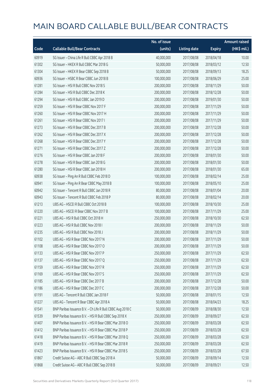|       |                                                            | No. of issue |                     |               | <b>Amount raised</b> |
|-------|------------------------------------------------------------|--------------|---------------------|---------------|----------------------|
| Code  | <b>Callable Bull/Bear Contracts</b>                        | (units)      | <b>Listing date</b> | <b>Expiry</b> | (HK\$ mil.)          |
| 60919 | SG Issuer - China Life R Bull CBBC Apr 2018 B              | 40,000,000   | 2017/08/08          | 2018/04/18    | 10.00                |
| 61302 | SG Issuer - HKEX R Bull CBBC Mar 2018 G                    | 50,000,000   | 2017/08/08          | 2018/03/12    | 12.50                |
| 61304 | SG Issuer - HKEX R Bear CBBC Sep 2018 B                    | 50,000,000   | 2017/08/08          | 2018/09/13    | 18.25                |
| 60936 | SG Issuer - HSBC R Bear CBBC Jun 2018 B                    | 100,000,000  | 2017/08/08          | 2018/06/29    | 25.00                |
| 61281 | SG Issuer - HSI R Bull CBBC Nov 2018 S                     | 200,000,000  | 2017/08/08          | 2018/11/29    | 50.00                |
| 61284 | SG Issuer - HSI R Bull CBBC Dec 2018 K                     | 200,000,000  | 2017/08/08          | 2018/12/28    | 50.00                |
| 61294 | SG Issuer - HSI R Bull CBBC Jan 2019 D                     | 200,000,000  | 2017/08/08          | 2019/01/30    | 50.00                |
| 61259 | SG Issuer - HSI R Bear CBBC Nov 2017 F                     | 200,000,000  | 2017/08/08          | 2017/11/29    | 50.00                |
| 61260 | SG Issuer - HSI R Bear CBBC Nov 2017 H                     | 200,000,000  | 2017/08/08          | 2017/11/29    | 50.00                |
| 61261 | SG Issuer - HSI R Bear CBBC Nov 2017 I                     | 200,000,000  | 2017/08/08          | 2017/11/29    | 50.00                |
| 61273 | SG Issuer - HSI R Bear CBBC Dec 2017 B                     | 200,000,000  | 2017/08/08          | 2017/12/28    | 50.00                |
| 61262 | SG Issuer - HSI R Bear CBBC Dec 2017 X                     | 200,000,000  | 2017/08/08          | 2017/12/28    | 50.00                |
| 61268 | SG Issuer - HSI R Bear CBBC Dec 2017 Y                     | 200,000,000  | 2017/08/08          | 2017/12/28    | 50.00                |
| 61271 | SG Issuer - HSI R Bear CBBC Dec 2017 Z                     | 200,000,000  | 2017/08/08          | 2017/12/28    | 50.00                |
| 61276 | SG Issuer - HSI R Bear CBBC Jan 2018 F                     | 200,000,000  | 2017/08/08          | 2018/01/30    | 50.00                |
| 61278 | SG Issuer - HSI R Bear CBBC Jan 2018 G                     | 200,000,000  | 2017/08/08          | 2018/01/30    | 50.00                |
| 61280 | SG Issuer - HSI R Bear CBBC Jan 2018 H                     | 200,000,000  | 2017/08/08          | 2018/01/30    | 65.00                |
| 60938 | SG Issuer - Ping An R Bull CBBC Feb 2018 D                 | 100,000,000  | 2017/08/08          | 2018/02/14    | 25.00                |
| 60941 | SG Issuer - Ping An R Bear CBBC May 2018 B                 | 100,000,000  | 2017/08/08          | 2018/05/10    | 25.00                |
| 60942 | SG Issuer - Tencent R Bull CBBC Jan 2018 R                 | 80,000,000   | 2017/08/08          | 2018/01/04    | 20.00                |
| 60943 | SG Issuer - Tencent R Bull CBBC Feb 2018 P                 | 80,000,000   | 2017/08/08          | 2018/02/14    | 20.00                |
| 61213 | UBS AG - HSCEI R Bull CBBC Oct 2018 B                      | 100,000,000  | 2017/08/08          | 2018/10/30    | 25.00                |
| 61220 | UBS AG - HSCEI R Bear CBBC Nov 2017 B                      | 100,000,000  | 2017/08/08          | 2017/11/29    | 25.00                |
| 61221 | UBS AG - HSI R Bull CBBC Oct 2018 H                        | 250,000,000  | 2017/08/08          | 2018/10/30    | 62.50                |
| 61223 | UBS AG - HSI R Bull CBBC Nov 2018 I                        | 200,000,000  | 2017/08/08          | 2018/11/29    | 50.00                |
| 61235 | UBS AG - HSI R Bull CBBC Nov 2018 J                        | 200,000,000  | 2017/08/08          | 2018/11/29    | 50.00                |
| 61102 | UBS AG - HSI R Bear CBBC Nov 2017 N                        | 200,000,000  | 2017/08/08          | 2017/11/29    | 50.00                |
| 61108 | UBS AG - HSI R Bear CBBC Nov 2017 O                        | 200,000,000  | 2017/08/08          | 2017/11/29    | 50.00                |
| 61133 | UBS AG - HSI R Bear CBBC Nov 2017 P                        | 250,000,000  | 2017/08/08          | 2017/11/29    | 62.50                |
| 61137 | UBS AG - HSI R Bear CBBC Nov 2017 Q                        | 250,000,000  | 2017/08/08          | 2017/11/29    | 62.50                |
| 61159 | UBS AG - HSI R Bear CBBC Nov 2017 R                        | 250,000,000  | 2017/08/08          | 2017/11/29    | 62.50                |
| 61169 | UBS AG - HSI R Bear CBBC Nov 2017 S                        | 250,000,000  | 2017/08/08          | 2017/11/29    | 62.50                |
| 61185 | UBS AG - HSI R Bear CBBC Dec 2017 B                        | 200,000,000  | 2017/08/08          | 2017/12/28    | 50.00                |
| 61186 | UBS AG - HSI R Bear CBBC Dec 2017 C                        | 200,000,000  | 2017/08/08          | 2017/12/28    | 50.00                |
| 61191 | UBS AG - Tencent R Bull CBBC Jan 2018 F                    | 50,000,000   | 2017/08/08          | 2018/01/15    | 12.50                |
| 61227 | UBS AG - Tencent R Bear CBBC Apr 2018 A                    | 50,000,000   | 2017/08/08          | 2018/04/23    | 18.25                |
| 61541 | BNP Paribas Issuance B.V. - Ch Life R Bull CBBC Aug 2018 C | 50,000,000   | 2017/08/09          | 2018/08/30    | 12.50                |
| 61539 | BNP Paribas Issuance B.V. - HSI R Bull CBBC Sep 2018 X     | 250,000,000  | 2017/08/09          | 2018/09/27    | 62.50                |
| 61407 | BNP Paribas Issuance B.V. - HSI R Bear CBBC Mar 2018 O     | 250,000,000  | 2017/08/09          | 2018/03/28    | 62.50                |
| 61412 | BNP Paribas Issuance B.V. - HSI R Bear CBBC Mar 2018 P     | 250,000,000  | 2017/08/09          | 2018/03/28    | 62.50                |
| 61418 | BNP Paribas Issuance B.V. - HSI R Bear CBBC Mar 2018 Q     | 250,000,000  | 2017/08/09          | 2018/03/28    | 62.50                |
| 61419 | BNP Paribas Issuance B.V. - HSI R Bear CBBC Mar 2018 R     | 250,000,000  | 2017/08/09          | 2018/03/28    | 62.50                |
| 61423 | BNP Paribas Issuance B.V. - HSI R Bear CBBC Mar 2018 S     | 250,000,000  | 2017/08/09          | 2018/03/28    | 67.50                |
| 61867 | Credit Suisse AG - ABC R Bull CBBC Sep 2018 A              | 50,000,000   | 2017/08/09          | 2018/09/14    | 12.50                |
| 61868 | Credit Suisse AG - ABC R Bull CBBC Sep 2018 B              | 50,000,000   | 2017/08/09          | 2018/09/21    | 12.50                |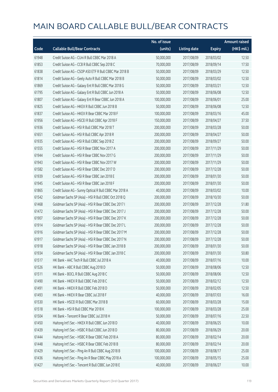|       |                                                         | No. of issue |                     |               | <b>Amount raised</b>  |
|-------|---------------------------------------------------------|--------------|---------------------|---------------|-----------------------|
| Code  | <b>Callable Bull/Bear Contracts</b>                     | (units)      | <b>Listing date</b> | <b>Expiry</b> | $(HK\frac{1}{2}mil.)$ |
| 61948 | Credit Suisse AG - CUni R Bull CBBC Mar 2018 A          | 50,000,000   | 2017/08/09          | 2018/03/02    | 12.50                 |
| 61853 | Credit Suisse AG - CCB R Bull CBBC Sep 2018 C           | 70,000,000   | 2017/08/09          | 2018/09/14    | 17.50                 |
| 61838 | Credit Suisse AG - CSOP A50 ETF R Bull CBBC Mar 2018 B  | 50,000,000   | 2017/08/09          | 2018/03/29    | 12.50                 |
| 61814 | Credit Suisse AG - Geely Auto R Bull CBBC Mar 2018 B    | 50,000,000   | 2017/08/09          | 2018/03/02    | 12.50                 |
| 61869 | Credit Suisse AG - Galaxy Ent R Bull CBBC Mar 2018 G    | 50,000,000   | 2017/08/09          | 2018/03/21    | 12.50                 |
| 61795 | Credit Suisse AG - Galaxy Ent R Bull CBBC Jun 2018 A    | 50,000,000   | 2017/08/09          | 2018/06/08    | 12.50                 |
| 61807 | Credit Suisse AG - Galaxy Ent R Bear CBBC Jun 2018 A    | 100,000,000  | 2017/08/09          | 2018/06/01    | 25.00                 |
| 61825 | Credit Suisse AG - HKEX R Bull CBBC Jun 2018 B          | 50,000,000   | 2017/08/09          | 2018/06/08    | 12.50                 |
| 61837 | Credit Suisse AG - HKEX R Bear CBBC Mar 2018 F          | 100,000,000  | 2017/08/09          | 2018/03/16    | 45.00                 |
| 61956 | Credit Suisse AG - HSCEI R Bull CBBC Apr 2018 F         | 150,000,000  | 2017/08/09          | 2018/04/27    | 37.50                 |
| 61936 | Credit Suisse AG - HSI R Bull CBBC Mar 2018 T           | 200,000,000  | 2017/08/09          | 2018/03/28    | 50.00                 |
| 61651 | Credit Suisse AG - HSI R Bull CBBC Apr 2018 R           | 200,000,000  | 2017/08/09          | 2018/04/27    | 50.00                 |
| 61935 | Credit Suisse AG - HSI R Bull CBBC Sep 2018 Z           | 200,000,000  | 2017/08/09          | 2018/09/27    | 50.00                 |
| 61555 | Credit Suisse AG - HSI R Bear CBBC Nov 2017 A           | 200,000,000  | 2017/08/09          | 2017/11/29    | 50.00                 |
| 61944 | Credit Suisse AG - HSI R Bear CBBC Nov 2017 G           | 200,000,000  | 2017/08/09          | 2017/11/29    | 50.00                 |
| 61943 | Credit Suisse AG - HSI R Bear CBBC Nov 2017 W           | 200,000,000  | 2017/08/09          | 2017/11/29    | 50.00                 |
| 61582 | Credit Suisse AG - HSI R Bear CBBC Dec 2017 D           | 200,000,000  | 2017/08/09          | 2017/12/28    | 50.00                 |
| 61939 | Credit Suisse AG - HSI R Bear CBBC Jan 2018 E           | 200,000,000  | 2017/08/09          | 2018/01/30    | 50.00                 |
| 61945 | Credit Suisse AG - HSI R Bear CBBC Jan 2018 F           | 200,000,000  | 2017/08/09          | 2018/01/30    | 50.00                 |
| 61865 | Credit Suisse AG - Sunny Optical R Bull CBBC Mar 2018 A | 40,000,000   | 2017/08/09          | 2018/03/02    | 10.00                 |
| 61542 | Goldman Sachs SP (Asia) - HSI R Bull CBBC Oct 2018 Q    | 200,000,000  | 2017/08/09          | 2018/10/30    | 50.00                 |
| 61468 | Goldman Sachs SP (Asia) - HSI R Bear CBBC Dec 2017 I    | 200,000,000  | 2017/08/09          | 2017/12/28    | 51.80                 |
| 61472 | Goldman Sachs SP (Asia) - HSI R Bear CBBC Dec 2017 J    | 200,000,000  | 2017/08/09          | 2017/12/28    | 50.00                 |
| 61907 | Goldman Sachs SP (Asia) - HSI R Bear CBBC Dec 2017 K    | 200,000,000  | 2017/08/09          | 2017/12/28    | 50.00                 |
| 61914 | Goldman Sachs SP (Asia) - HSI R Bear CBBC Dec 2017 L    | 200,000,000  | 2017/08/09          | 2017/12/28    | 50.00                 |
| 61916 | Goldman Sachs SP (Asia) - HSI R Bear CBBC Dec 2017 M    | 200,000,000  | 2017/08/09          | 2017/12/28    | 50.00                 |
| 61917 | Goldman Sachs SP (Asia) - HSI R Bear CBBC Dec 2017 N    | 200,000,000  | 2017/08/09          | 2017/12/28    | 50.00                 |
| 61918 | Goldman Sachs SP (Asia) - HSI R Bear CBBC Jan 2018 B    | 200,000,000  | 2017/08/09          | 2018/01/30    | 50.00                 |
| 61934 | Goldman Sachs SP (Asia) - HSI R Bear CBBC Jan 2018 C    | 200,000,000  | 2017/08/09          | 2018/01/30    | 50.80                 |
| 61517 | HK Bank - AAC Tech R Bull CBBC Jul 2018 A               | 40,000,000   | 2017/08/09          | 2018/07/16    | 10.00                 |
| 61526 | HK Bank - ABC R Bull CBBC Aug 2018 D                    | 50,000,000   | 2017/08/09          | 2018/08/06    | 12.50                 |
| 61511 | HK Bank - BOCL R Bull CBBC Aug 2018 C                   | 50,000,000   | 2017/08/09          | 2018/08/06    | 12.50                 |
| 61490 | HK Bank - HKEX R Bull CBBC Feb 2018 C                   | 50,000,000   | 2017/08/09          | 2018/02/12    | 12.50                 |
| 61491 | HK Bank - HKEX R Bull CBBC Feb 2018 D                   | 50,000,000   | 2017/08/09          | 2018/02/05    | 12.50                 |
| 61493 | HK Bank - HKEX R Bear CBBC Jul 2018 F                   | 40,000,000   | 2017/08/09          | 2018/07/03    | 16.00                 |
| 61530 | HK Bank - HSCEI R Bull CBBC Mar 2018 B                  | 60,000,000   | 2017/08/09          | 2018/03/28    | 15.00                 |
| 61518 | HK Bank - HSI R Bull CBBC Mar 2018 K                    | 100,000,000  | 2017/08/09          | 2018/03/28    | 25.00                 |
| 61504 | HK Bank - Tencent R Bear CBBC Jul 2018 H                | 50,000,000   | 2017/08/09          | 2018/07/16    | 22.50                 |
| 61450 | Haitong Int'l Sec - HKEX R Bull CBBC Jun 2018 D         | 40,000,000   | 2017/08/09          | 2018/06/25    | 10.00                 |
| 61439 | Haitong Int'l Sec - HSBC R Bull CBBC Jun 2018 D         | 80,000,000   | 2017/08/09          | 2018/06/29    | 20.00                 |
| 61444 | Haitong Int'l Sec - HSBC R Bear CBBC Feb 2018 A         | 80,000,000   | 2017/08/09          | 2018/02/14    | 20.00                 |
| 61448 | Haitong Int'l Sec - HSBC R Bear CBBC Feb 2018 B         | 80,000,000   | 2017/08/09          | 2018/02/14    | 20.00                 |
| 61429 | Haitong Int'l Sec - Ping An R Bull CBBC Aug 2018 B      | 100,000,000  | 2017/08/09          | 2018/08/17    | 25.00                 |
| 61436 | Haitong Int'l Sec - Ping An R Bear CBBC May 2018 A      | 100,000,000  | 2017/08/09          | 2018/05/15    | 25.00                 |
| 61427 | Haitong Int'l Sec - Tencent R Bull CBBC Jun 2018 E      | 40,000,000   | 2017/08/09          | 2018/06/27    | 10.00                 |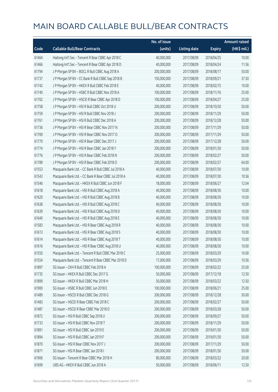|       |                                                      | No. of issue |                     |               | <b>Amount raised</b> |
|-------|------------------------------------------------------|--------------|---------------------|---------------|----------------------|
| Code  | <b>Callable Bull/Bear Contracts</b>                  | (units)      | <b>Listing date</b> | <b>Expiry</b> | (HK\$ mil.)          |
| 61464 | Haitong Int'l Sec - Tencent R Bear CBBC Apr 2018 C   | 40,000,000   | 2017/08/09          | 2018/04/25    | 10.00                |
| 61466 | Haitong Int'l Sec - Tencent R Bear CBBC Apr 2018 D   | 40,000,000   | 2017/08/09          | 2018/04/24    | 11.56                |
| 61794 | J P Morgan SP BV - BOCL R Bull CBBC Aug 2018 A       | 200,000,000  | 2017/08/09          | 2018/08/17    | 50.00                |
| 61737 | J P Morgan SP BV - CC Bank R Bull CBBC Sep 2018 B    | 150,000,000  | 2017/08/09          | 2018/09/21    | 37.50                |
| 61742 | J P Morgan SP BV - HKEX R Bull CBBC Feb 2018 E       | 40,000,000   | 2017/08/09          | 2018/02/15    | 10.00                |
| 61740 | J P Morgan SP BV - HSBC R Bull CBBC Nov 2018 A       | 100,000,000  | 2017/08/09          | 2018/11/16    | 25.00                |
| 61762 | J P Morgan SP BV - HSCEI R Bear CBBC Apr 2018 D      | 100,000,000  | 2017/08/09          | 2018/04/27    | 25.00                |
| 61758 | J P Morgan SP BV - HSI R Bull CBBC Oct 2018 U        | 200,000,000  | 2017/08/09          | 2018/10/30    | 50.00                |
| 61759 | J P Morgan SP BV - HSI R Bull CBBC Nov 2018 J        | 200,000,000  | 2017/08/09          | 2018/11/29    | 50.00                |
| 61761 | J P Morgan SP BV - HSI R Bull CBBC Dec 2018 A        | 200,000,000  | 2017/08/09          | 2018/12/28    | 50.00                |
| 61736 | J P Morgan SP BV - HSI R Bear CBBC Nov 2017 N        | 200,000,000  | 2017/08/09          | 2017/11/29    | 50.00                |
| 61769 | J P Morgan SP BV - HSI R Bear CBBC Nov 2017 O        | 200,000,000  | 2017/08/09          | 2017/11/29    | 50.00                |
| 61770 | J P Morgan SP BV - HSI R Bear CBBC Dec 2017 J        | 200,000,000  | 2017/08/09          | 2017/12/28    | 50.00                |
| 61774 | J P Morgan SP BV - HSI R Bear CBBC Jan 2018 Y        | 200,000,000  | 2017/08/09          | 2018/01/30    | 50.00                |
| 61776 | J P Morgan SP BV - HSI R Bear CBBC Feb 2018 N        | 200,000,000  | 2017/08/09          | 2018/02/27    | 50.00                |
| 61789 | J P Morgan SP BV - HSI R Bear CBBC Feb 2018 O        | 200,000,000  | 2017/08/09          | 2018/02/27    | 64.00                |
| 61553 | Macquarie Bank Ltd. - CC Bank R Bull CBBC Jul 2018 A | 40,000,000   | 2017/08/09          | 2018/07/30    | 10.00                |
| 61543 | Macquarie Bank Ltd. - CC Bank R Bear CBBC Jul 2018 A | 40,000,000   | 2017/08/09          | 2018/07/30    | 10.56                |
| 61546 | Macquarie Bank Ltd. - HKEX R Bull CBBC Jun 2018 F    | 18,000,000   | 2017/08/09          | 2018/06/27    | 12.04                |
| 61618 | Macquarie Bank Ltd. - HSI R Bull CBBC Aug 2018 A     | 40,000,000   | 2017/08/09          | 2018/08/30    | 10.00                |
| 61620 | Macquarie Bank Ltd. - HSI R Bull CBBC Aug 2018 B     | 40,000,000   | 2017/08/09          | 2018/08/30    | 10.00                |
| 61638 | Macquarie Bank Ltd. - HSI R Bull CBBC Aug 2018 C     | 40,000,000   | 2017/08/09          | 2018/08/30    | 10.00                |
| 61639 | Macquarie Bank Ltd. - HSI R Bull CBBC Aug 2018 D     | 40,000,000   | 2017/08/09          | 2018/08/30    | 10.00                |
| 61640 | Macquarie Bank Ltd. - HSI R Bull CBBC Aug 2018 E     | 40,000,000   | 2017/08/09          | 2018/08/30    | 10.00                |
| 61583 | Macquarie Bank Ltd. - HSI R Bear CBBC Aug 2018 R     | 40,000,000   | 2017/08/09          | 2018/08/30    | 10.00                |
| 61613 | Macquarie Bank Ltd. - HSI R Bear CBBC Aug 2018 S     | 40,000,000   | 2017/08/09          | 2018/08/30    | 10.00                |
| 61614 | Macquarie Bank Ltd. - HSI R Bear CBBC Aug 2018 T     | 40,000,000   | 2017/08/09          | 2018/08/30    | 10.00                |
| 61616 | Macquarie Bank Ltd. - HSI R Bear CBBC Aug 2018 U     | 40,000,000   | 2017/08/09          | 2018/08/30    | 10.00                |
| 61550 | Macquarie Bank Ltd. - Tencent R Bull CBBC Mar 2018 C | 25,000,000   | 2017/08/09          | 2018/03/29    | 10.00                |
| 61554 | Macquarie Bank Ltd. - Tencent R Bear CBBC Mar 2018 D | 17,000,000   | 2017/08/09          | 2018/03/29    | 10.56                |
| 61897 | SG Issuer - CKH R Bull CBBC Feb 2018 A               | 100,000,000  | 2017/08/09          | 2018/02/22    | 25.00                |
| 61735 | SG Issuer - HKEX R Bull CBBC Dec 2017 G              | 50,000,000   | 2017/08/09          | 2017/12/18    | 12.50                |
| 61899 | SG Issuer - HKEX R Bull CBBC Mar 2018 H              | 50,000,000   | 2017/08/09          | 2018/03/22    | 12.50                |
| 61900 | SG Issuer - HSBC R Bull CBBC Jun 2018 E              | 100,000,000  | 2017/08/09          | 2018/06/21    | 25.00                |
| 61489 | SG Issuer - HSCEI R Bull CBBC Dec 2018 G             | 200,000,000  | 2017/08/09          | 2018/12/28    | 50.00                |
| 61483 | SG Issuer - HSCEI R Bear CBBC Feb 2018 C             | 200,000,000  | 2017/08/09          | 2018/02/27    | 50.00                |
| 61487 | SG Issuer - HSCEI R Bear CBBC Mar 2018 D             | 200,000,000  | 2017/08/09          | 2018/03/28    | 50.00                |
| 61872 | SG Issuer - HSI R Bull CBBC Sep 2018 U               | 200,000,000  | 2017/08/09          | 2018/09/27    | 50.00                |
| 61733 | SG Issuer - HSI R Bull CBBC Nov 2018 T               | 200,000,000  | 2017/08/09          | 2018/11/29    | 50.00                |
| 61891 | SG Issuer - HSI R Bull CBBC Jan 2019 E               | 200,000,000  | 2017/08/09          | 2019/01/30    | 50.00                |
| 61894 | SG Issuer - HSI R Bull CBBC Jan 2019 F               | 200,000,000  | 2017/08/09          | 2019/01/30    | 50.00                |
| 61870 | SG Issuer - HSI R Bear CBBC Nov 2017 J               | 200,000,000  | 2017/08/09          | 2017/11/29    | 50.00                |
| 61871 | SG Issuer - HSI R Bear CBBC Jan 2018 I               | 200,000,000  | 2017/08/09          | 2018/01/30    | 50.00                |
| 61906 | SG Issuer - Tencent R Bear CBBC Mar 2018 H           | 80,000,000   | 2017/08/09          | 2018/03/22    | 20.00                |
| 61699 | UBS AG - HKEX R Bull CBBC Jun 2018 A                 | 50,000,000   | 2017/08/09          | 2018/06/11    | 12.50                |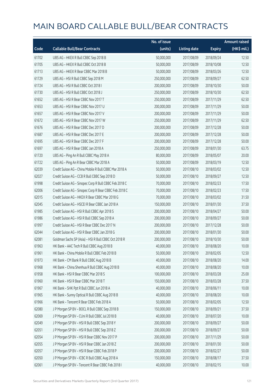|       |                                                        | No. of issue |                     |               | <b>Amount raised</b> |
|-------|--------------------------------------------------------|--------------|---------------------|---------------|----------------------|
| Code  | <b>Callable Bull/Bear Contracts</b>                    | (units)      | <b>Listing date</b> | <b>Expiry</b> | (HK\$ mil.)          |
| 61702 | UBS AG - HKEX R Bull CBBC Sep 2018 B                   | 50,000,000   | 2017/08/09          | 2018/09/24    | 12.50                |
| 61705 | UBS AG - HKEX R Bull CBBC Oct 2018 B                   | 50,000,000   | 2017/08/09          | 2018/10/08    | 12.50                |
| 61713 | UBS AG - HKEX R Bear CBBC Mar 2018 B                   | 50,000,000   | 2017/08/09          | 2018/03/26    | 12.50                |
| 61729 | UBS AG - HSI R Bull CBBC Sep 2018 M                    | 250,000,000  | 2017/08/09          | 2018/09/27    | 62.50                |
| 61724 | UBS AG - HSI R Bull CBBC Oct 2018 I                    | 200,000,000  | 2017/08/09          | 2018/10/30    | 50.00                |
| 61730 | UBS AG - HSI R Bull CBBC Oct 2018 J                    | 250,000,000  | 2017/08/09          | 2018/10/30    | 62.50                |
| 61652 | UBS AG - HSI R Bear CBBC Nov 2017 T                    | 250,000,000  | 2017/08/09          | 2017/11/29    | 62.50                |
| 61653 | UBS AG - HSI R Bear CBBC Nov 2017 U                    | 200,000,000  | 2017/08/09          | 2017/11/29    | 50.00                |
| 61657 | UBS AG - HSI R Bear CBBC Nov 2017 V                    | 200,000,000  | 2017/08/09          | 2017/11/29    | 50.00                |
| 61672 | UBS AG - HSI R Bear CBBC Nov 2017 W                    | 250,000,000  | 2017/08/09          | 2017/11/29    | 62.50                |
| 61676 | UBS AG - HSI R Bear CBBC Dec 2017 D                    | 200,000,000  | 2017/08/09          | 2017/12/28    | 50.00                |
| 61687 | UBS AG - HSI R Bear CBBC Dec 2017 E                    | 200,000,000  | 2017/08/09          | 2017/12/28    | 50.00                |
| 61695 | UBS AG - HSI R Bear CBBC Dec 2017 F                    | 200,000,000  | 2017/08/09          | 2017/12/28    | 50.00                |
| 61697 | UBS AG - HSI R Bear CBBC Jan 2018 A                    | 250,000,000  | 2017/08/09          | 2018/01/30    | 63.75                |
| 61720 | UBS AG - Ping An R Bull CBBC May 2018 A                | 80,000,000   | 2017/08/09          | 2018/05/07    | 20.00                |
| 61722 | UBS AG - Ping An R Bear CBBC Mar 2018 A                | 50,000,000   | 2017/08/09          | 2018/03/19    | 12.50                |
| 62039 | Credit Suisse AG - China Mobile R Bull CBBC Mar 2018 A | 50,000,000   | 2017/08/10          | 2018/03/02    | 12.50                |
| 62027 | Credit Suisse AG - CCB R Bull CBBC Sep 2018 D          | 50,000,000   | 2017/08/10          | 2018/09/27    | 12.50                |
| 61998 | Credit Suisse AG - Sinopec Corp R Bull CBBC Feb 2018 C | 70,000,000   | 2017/08/10          | 2018/02/23    | 17.50                |
| 62006 | Credit Suisse AG - Sinopec Corp R Bear CBBC Feb 2018 C | 70,000,000   | 2017/08/10          | 2018/02/23    | 17.50                |
| 62015 | Credit Suisse AG - HKEX R Bear CBBC Mar 2018 G         | 70,000,000   | 2017/08/10          | 2018/03/02    | 31.50                |
| 62045 | Credit Suisse AG - HSCEI R Bear CBBC Jan 2018 A        | 150,000,000  | 2017/08/10          | 2018/01/30    | 37.50                |
| 61985 | Credit Suisse AG - HSI R Bull CBBC Apr 2018 S          | 200,000,000  | 2017/08/10          | 2018/04/27    | 50.00                |
| 61986 | Credit Suisse AG - HSI R Bull CBBC Sep 2018 A          | 200,000,000  | 2017/08/10          | 2018/09/27    | 50.00                |
| 61997 | Credit Suisse AG - HSI R Bear CBBC Dec 2017 N          | 200,000,000  | 2017/08/10          | 2017/12/28    | 50.00                |
| 62044 | Credit Suisse AG - HSI R Bear CBBC Jan 2018 G          | 200,000,000  | 2017/08/10          | 2018/01/30    | 50.00                |
| 62081 | Goldman Sachs SP (Asia) - HSI R Bull CBBC Oct 2018 R   | 200,000,000  | 2017/08/10          | 2018/10/30    | 50.00                |
| 61963 | HK Bank - AAC Tech R Bull CBBC Aug 2018 B              | 40,000,000   | 2017/08/10          | 2018/08/20    | 10.00                |
| 61961 | HK Bank - China Mobile R Bull CBBC Feb 2018 B          | 50,000,000   | 2017/08/10          | 2018/02/05    | 12.50                |
| 61973 | HK Bank - CM Bank R Bull CBBC Aug 2018 B               | 40,000,000   | 2017/08/10          | 2018/08/20    | 14.00                |
| 61968 | HK Bank - China Shenhua R Bull CBBC Aug 2018 B         | 40,000,000   | 2017/08/10          | 2018/08/20    | 10.00                |
| 61958 | HK Bank - HSI R Bear CBBC Mar 2018 S                   | 100,000,000  | 2017/08/10          | 2018/03/28    | 25.00                |
| 61960 | HK Bank - HSI R Bear CBBC Mar 2018 T                   | 150,000,000  | 2017/08/10          | 2018/03/28    | 37.50                |
| 61967 | HK Bank - SHK Ppt R Bull CBBC Jun 2018 A               | 40,000,000   | 2017/08/10          | 2018/06/11    | 10.00                |
| 61965 | HK Bank - Sunny Optical R Bull CBBC Aug 2018 B         | 40,000,000   | 2017/08/10          | 2018/08/20    | 10.00                |
| 61966 | HK Bank - Tencent R Bear CBBC Feb 2018 A               | 50,000,000   | 2017/08/10          | 2018/02/05    | 12.50                |
| 62080 | J P Morgan SP BV - BOCL R Bull CBBC Sep 2018 B         | 150,000,000  | 2017/08/10          | 2018/09/21    | 37.50                |
| 62069 | J P Morgan SP BV - CUni R Bull CBBC Jul 2018 B         | 40,000,000   | 2017/08/10          | 2018/07/20    | 10.00                |
| 62049 | J P Morgan SP BV - HSI R Bull CBBC Sep 2018 Y          | 200,000,000  | 2017/08/10          | 2018/09/27    | 50.00                |
| 62051 | JP Morgan SP BV - HSIR Bull CBBC Sep 2018 Z            | 200,000,000  | 2017/08/10          | 2018/09/27    | 50.00                |
| 62054 | J P Morgan SP BV - HSI R Bear CBBC Nov 2017 P          | 200,000,000  | 2017/08/10          | 2017/11/29    | 50.00                |
| 62055 | J P Morgan SP BV - HSI R Bear CBBC Jan 2018 Z          | 200,000,000  | 2017/08/10          | 2018/01/30    | 50.00                |
| 62057 | J P Morgan SP BV - HSI R Bear CBBC Feb 2018 P          | 200,000,000  | 2017/08/10          | 2018/02/27    | 50.00                |
| 62050 | J P Morgan SP BV - ICBC R Bull CBBC Aug 2018 A         | 150,000,000  | 2017/08/10          | 2018/08/17    | 37.50                |
| 62061 | J P Morgan SP BV - Tencent R Bear CBBC Feb 2018 I      | 40,000,000   | 2017/08/10          | 2018/02/15    | 10.00                |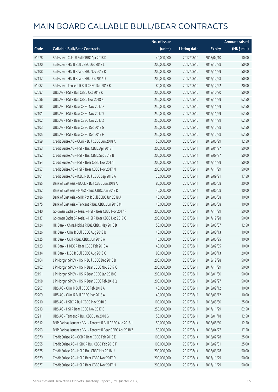|       |                                                            | No. of issue |                     |               | <b>Amount raised</b> |
|-------|------------------------------------------------------------|--------------|---------------------|---------------|----------------------|
| Code  | <b>Callable Bull/Bear Contracts</b>                        | (units)      | <b>Listing date</b> | <b>Expiry</b> | (HK\$ mil.)          |
| 61978 | SG Issuer - CUni R Bull CBBC Apr 2018 D                    | 40,000,000   | 2017/08/10          | 2018/04/10    | 10.00                |
| 62120 | SG Issuer - HSI R Bull CBBC Dec 2018 L                     | 200,000,000  | 2017/08/10          | 2018/12/28    | 50.00                |
| 62108 | SG Issuer - HSI R Bear CBBC Nov 2017 K                     | 200,000,000  | 2017/08/10          | 2017/11/29    | 50.00                |
| 62112 | SG Issuer - HSI R Bear CBBC Dec 2017 D                     | 200,000,000  | 2017/08/10          | 2017/12/28    | 50.00                |
| 61982 | SG Issuer - Tencent R Bull CBBC Dec 2017 K                 | 80,000,000   | 2017/08/10          | 2017/12/22    | 20.00                |
| 62097 | UBS AG - HSI R Bull CBBC Oct 2018 K                        | 200,000,000  | 2017/08/10          | 2018/10/30    | 50.00                |
| 62086 | UBS AG - HSI R Bull CBBC Nov 2018 K                        | 250,000,000  | 2017/08/10          | 2018/11/29    | 62.50                |
| 62098 | UBS AG - HSI R Bear CBBC Nov 2017 X                        | 250,000,000  | 2017/08/10          | 2017/11/29    | 62.50                |
| 62101 | UBS AG - HSI R Bear CBBC Nov 2017 Y                        | 250,000,000  | 2017/08/10          | 2017/11/29    | 62.50                |
| 62102 | UBS AG - HSI R Bear CBBC Nov 2017 Z                        | 250,000,000  | 2017/08/10          | 2017/11/29    | 62.50                |
| 62103 | UBS AG - HSI R Bear CBBC Dec 2017 G                        | 250,000,000  | 2017/08/10          | 2017/12/28    | 62.50                |
| 62105 | UBS AG - HSI R Bear CBBC Dec 2017 H                        | 250,000,000  | 2017/08/10          | 2017/12/28    | 62.50                |
| 62159 | Credit Suisse AG - CUni R Bull CBBC Jun 2018 A             | 50,000,000   | 2017/08/11          | 2018/06/29    | 12.50                |
| 62153 | Credit Suisse AG - HSI R Bull CBBC Apr 2018 T              | 200,000,000  | 2017/08/11          | 2018/04/27    | 50.00                |
| 62152 | Credit Suisse AG - HSI R Bull CBBC Sep 2018 B              | 200,000,000  | 2017/08/11          | 2018/09/27    | 50.00                |
| 62154 | Credit Suisse AG - HSI R Bear CBBC Nov 2017 I              | 200,000,000  | 2017/08/11          | 2017/11/29    | 50.00                |
| 62157 | Credit Suisse AG - HSI R Bear CBBC Nov 2017 N              | 200,000,000  | 2017/08/11          | 2017/11/29    | 50.00                |
| 62161 | Credit Suisse AG - ICBC R Bull CBBC Sep 2018 A             | 70,000,000   | 2017/08/11          | 2018/09/21    | 17.50                |
| 62185 | Bank of East Asia - BOCL R Bull CBBC Jun 2018 A            | 80,000,000   | 2017/08/11          | 2018/06/08    | 20.00                |
| 62182 | Bank of East Asia - HKEX R Bull CBBC Jun 2018 D            | 40,000,000   | 2017/08/11          | 2018/06/08    | 10.00                |
| 62186 | Bank of East Asia - SHK Ppt R Bull CBBC Jun 2018 A         | 40,000,000   | 2017/08/11          | 2018/06/08    | 10.00                |
| 62175 | Bank of East Asia - Tencent R Bull CBBC Jun 2018 M         | 40,000,000   | 2017/08/11          | 2018/06/08    | 10.00                |
| 62140 | Goldman Sachs SP (Asia) - HSI R Bear CBBC Nov 2017 F       | 200,000,000  | 2017/08/11          | 2017/11/29    | 50.00                |
| 62137 | Goldman Sachs SP (Asia) - HSI R Bear CBBC Dec 2017 O       | 200,000,000  | 2017/08/11          | 2017/12/28    | 50.00                |
| 62124 | HK Bank - China Mobile R Bull CBBC May 2018 B              | 50,000,000   | 2017/08/11          | 2018/05/07    | 12.50                |
| 62126 | HK Bank - CUni R Bull CBBC Aug 2018 B                      | 40,000,000   | 2017/08/11          | 2018/08/13    | 10.00                |
| 62125 | HK Bank - CKH R Bull CBBC Jun 2018 A                       | 40,000,000   | 2017/08/11          | 2018/06/25    | 10.00                |
| 62123 | HK Bank - HKEX R Bear CBBC Feb 2018 A                      | 40,000,000   | 2017/08/11          | 2018/02/05    | 10.00                |
| 62134 | HK Bank - ICBC R Bull CBBC Aug 2018 C                      | 80,000,000   | 2017/08/11          | 2018/08/13    | 20.00                |
| 62164 | J P Morgan SP BV - HSI R Bull CBBC Dec 2018 B              | 200,000,000  | 2017/08/11          | 2018/12/28    | 50.00                |
| 62162 | J P Morgan SP BV - HSI R Bear CBBC Nov 2017 Q              | 200,000,000  | 2017/08/11          | 2017/11/29    | 50.00                |
| 62191 | J P Morgan SP BV - HSI R Bear CBBC Jan 2018 C              | 200,000,000  | 2017/08/11          | 2018/01/30    | 50.00                |
| 62198 | J P Morgan SP BV - HSI R Bear CBBC Feb 2018 Q              | 200,000,000  | 2017/08/11          | 2018/02/27    | 50.00                |
| 62207 | UBS AG - CUni R Bull CBBC Feb 2018 A                       | 40,000,000   | 2017/08/11          | 2018/02/12    | 10.00                |
| 62209 | UBS AG - CUni R Bull CBBC Mar 2018 A                       | 40,000,000   | 2017/08/11          | 2018/03/12    | 10.00                |
| 62210 | UBS AG - HSBC R Bull CBBC May 2018 B                       | 100,000,000  | 2017/08/11          | 2018/05/30    | 25.00                |
| 62213 | UBS AG - HSI R Bear CBBC Nov 2017 E                        | 250,000,000  | 2017/08/11          | 2017/11/29    | 62.50                |
| 62211 | UBS AG - Tencent R Bull CBBC Jan 2018 G                    | 50,000,000   | 2017/08/11          | 2018/01/18    | 12.50                |
| 62312 | BNP Paribas Issuance B.V. - Tencent R Bull CBBC Aug 2018 J | 50,000,000   | 2017/08/14          | 2018/08/30    | 12.50                |
| 62293 | BNP Paribas Issuance B.V. - Tencent R Bear CBBC Apr 2018 Z | 50,000,000   | 2017/08/14          | 2018/04/27    | 17.50                |
| 62370 | Credit Suisse AG - CCB R Bear CBBC Feb 2018 E              | 100,000,000  | 2017/08/14          | 2018/02/28    | 25.00                |
| 62355 | Credit Suisse AG - HSBC R Bull CBBC Feb 2018 F             | 100,000,000  | 2017/08/14          | 2018/02/01    | 25.00                |
| 62375 | Credit Suisse AG - HSI R Bull CBBC Mar 2018 U              | 200,000,000  | 2017/08/14          | 2018/03/28    | 50.00                |
| 62379 | Credit Suisse AG - HSI R Bear CBBC Nov 2017 D              | 200,000,000  | 2017/08/14          | 2017/11/29    | 50.00                |
| 62377 | Credit Suisse AG - HSI R Bear CBBC Nov 2017 H              | 200,000,000  | 2017/08/14          | 2017/11/29    | 50.00                |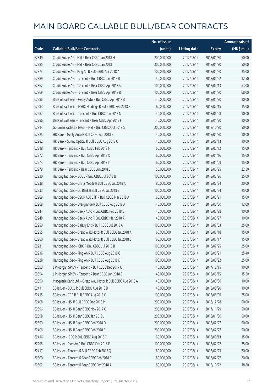|       |                                                               | No. of issue |                     |               | <b>Amount raised</b> |
|-------|---------------------------------------------------------------|--------------|---------------------|---------------|----------------------|
| Code  | <b>Callable Bull/Bear Contracts</b>                           | (units)      | <b>Listing date</b> | <b>Expiry</b> | (HK\$ mil.)          |
| 62349 | Credit Suisse AG - HSI R Bear CBBC Jan 2018 H                 | 200,000,000  | 2017/08/14          | 2018/01/30    | 50.00                |
| 62385 | Credit Suisse AG - HSI R Bear CBBC Jan 2018 I                 | 200,000,000  | 2017/08/14          | 2018/01/30    | 50.00                |
| 62374 | Credit Suisse AG - Ping An R Bull CBBC Apr 2018 A             | 100,000,000  | 2017/08/14          | 2018/04/20    | 25.00                |
| 62389 | Credit Suisse AG - Tencent R Bull CBBC Jun 2018 B             | 50,000,000   | 2017/08/14          | 2018/06/22    | 12.50                |
| 62362 | Credit Suisse AG - Tencent R Bear CBBC Apr 2018 A             | 100,000,000  | 2017/08/14          | 2018/04/13    | 63.00                |
| 62369 | Credit Suisse AG - Tencent R Bear CBBC Apr 2018 B             | 100,000,000  | 2017/08/14          | 2018/04/20    | 68.00                |
| 62285 | Bank of East Asia - Geely Auto R Bull CBBC Apr 2018 B         | 40,000,000   | 2017/08/14          | 2018/04/30    | 10.00                |
| 62283 | Bank of East Asia - HSBC Holdings R Bull CBBC Feb 2018 B      | 60,000,000   | 2017/08/14          | 2018/02/15    | 15.00                |
| 62287 | Bank of East Asia - Tencent R Bull CBBC Jun 2018 N            | 40,000,000   | 2017/08/14          | 2018/06/08    | 10.00                |
| 62286 | Bank of East Asia - Tencent R Bear CBBC Apr 2018 F            | 40,000,000   | 2017/08/14          | 2018/04/30    | 10.00                |
| 62314 | Goldman Sachs SP (Asia) - HSI R Bull CBBC Oct 2018 S          | 200,000,000  | 2017/08/14          | 2018/10/30    | 50.00                |
| 62325 | HK Bank - Geely Auto R Bull CBBC Apr 2018 E                   | 40,000,000   | 2017/08/14          | 2018/04/30    | 10.00                |
| 62282 | HK Bank - Sunny Optical R Bull CBBC Aug 2018 C                | 40,000,000   | 2017/08/14          | 2018/08/13    | 10.00                |
| 62318 | HK Bank - Tencent R Bull CBBC Feb 2018 H                      | 60,000,000   | 2017/08/14          | 2018/02/12    | 15.00                |
| 62272 | HK Bank - Tencent R Bull CBBC Apr 2018 X                      | 60,000,000   | 2017/08/14          | 2018/04/16    | 15.00                |
| 62274 | HK Bank - Tencent R Bull CBBC Apr 2018 Y                      | 60,000,000   | 2017/08/14          | 2018/04/09    | 15.00                |
| 62279 | HK Bank - Tencent R Bear CBBC Jun 2018 B                      | 50,000,000   | 2017/08/14          | 2018/06/25    | 22.50                |
| 62230 | Haitong Int'l Sec - BOCL R Bull CBBC Jul 2018 B               | 100,000,000  | 2017/08/14          | 2018/07/26    | 25.00                |
| 62238 | Haitong Int'l Sec - China Mobile R Bull CBBC Jul 2018 A       | 80,000,000   | 2017/08/14          | 2018/07/24    | 20.00                |
| 62233 | Haitong Int'l Sec - CC Bank R Bull CBBC Jul 2018 B            | 100,000,000  | 2017/08/14          | 2018/07/24    | 25.00                |
| 62269 | Haitong Int'l Sec - CSOP A50 ETF R Bull CBBC Mar 2018 A       | 60,000,000   | 2017/08/14          | 2018/03/21    | 15.00                |
| 62268 | Haitong Int'l Sec - Evergrande R Bull CBBC Aug 2018 A         | 40,000,000   | 2017/08/14          | 2018/08/30    | 12.00                |
| 62244 | Haitong Int'l Sec - Geely Auto R Bull CBBC Feb 2018 B         | 40,000,000   | 2017/08/14          | 2018/02/28    | 10.00                |
| 62248 | Haitong Int'l Sec - Geely Auto R Bull CBBC Mar 2018 A         | 40,000,000   | 2017/08/14          | 2018/03/27    | 10.00                |
| 62250 | Haitong Int'l Sec - Galaxy Ent R Bull CBBC Jul 2018 A         | 100,000,000  | 2017/08/14          | 2018/07/03    | 25.00                |
| 62255 | Haitong Int'l Sec - Great Wall Motor R Bull CBBC Jul 2018 A   | 60,000,000   | 2017/08/14          | 2018/07/18    | 15.00                |
| 62260 | Haitong Int'l Sec - Great Wall Motor R Bull CBBC Jul 2018 B   | 60,000,000   | 2017/08/14          | 2018/07/17    | 15.00                |
| 62231 | Haitong Int'l Sec - ICBC R Bull CBBC Jul 2018 B               | 100,000,000  | 2017/08/14          | 2018/07/25    | 25.00                |
| 62216 | Haitong Int'l Sec - Ping An R Bull CBBC Aug 2018 C            | 100,000,000  | 2017/08/14          | 2018/08/21    | 25.40                |
| 62228 | Haitong Int'l Sec - Ping An R Bull CBBC Aug 2018 D            | 100,000,000  | 2017/08/14          | 2018/08/22    | 25.00                |
| 62393 | J P Morgan SP BV - Tencent R Bull CBBC Dec 2017 C             | 40,000,000   | 2017/08/14          | 2017/12/15    | 10.00                |
| 62394 | J P Morgan SP BV - Tencent R Bear CBBC Jun 2018 G             | 40,000,000   | 2017/08/14          | 2018/06/15    | 15.20                |
| 62390 | Macquarie Bank Ltd. - Great Wall Motor R Bull CBBC Aug 2018 A | 40,000,000   | 2017/08/14          | 2018/08/30    | 10.00                |
| 62411 | SG Issuer - BOCL R Bull CBBC Aug 2018 B                       | 40,000,000   | 2017/08/14          | 2018/08/20    | 10.00                |
| 62415 | SG Issuer - CCB R Bull CBBC Aug 2018 C                        | 100,000,000  | 2017/08/14          | 2018/08/09    | 25.00                |
| 62408 | SG Issuer - HSI R Bull CBBC Dec 2018 M                        | 200,000,000  | 2017/08/14          | 2018/12/28    | 50.00                |
| 62396 | SG Issuer - HSI R Bear CBBC Nov 2017 G                        | 200,000,000  | 2017/08/14          | 2017/11/29    | 50.00                |
| 62398 | SG Issuer - HSI R Bear CBBC Jan 2018 J                        | 200,000,000  | 2017/08/14          | 2018/01/30    | 50.00                |
| 62399 | SG Issuer - HSI R Bear CBBC Feb 2018 D                        | 200,000,000  | 2017/08/14          | 2018/02/27    | 50.00                |
| 62406 | SG Issuer - HSI R Bear CBBC Feb 2018 E                        | 200,000,000  | 2017/08/14          | 2018/02/27    | 50.00                |
| 62416 | SG Issuer - ICBC R Bull CBBC Aug 2018 C                       | 60,000,000   | 2017/08/14          | 2018/08/13    | 15.00                |
| 62298 | SG Issuer - Ping An R Bull CBBC Feb 2018 E                    | 100,000,000  | 2017/08/14          | 2018/02/22    | 25.00                |
| 62417 | SG Issuer - Tencent R Bull CBBC Feb 2018 Q                    | 80,000,000   | 2017/08/14          | 2018/02/23    | 20.00                |
| 62300 | SG Issuer - Tencent R Bear CBBC Feb 2018 E                    | 80,000,000   | 2017/08/14          | 2018/02/27    | 20.00                |
| 62302 | SG Issuer - Tencent R Bear CBBC Oct 2018 A                    | 80,000,000   | 2017/08/14          | 2018/10/22    | 38.80                |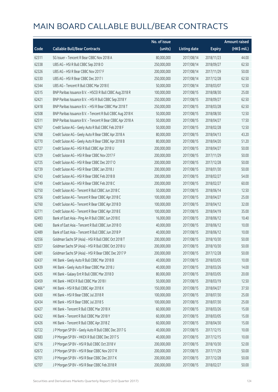|         |                                                            | No. of issue |                     |               | <b>Amount raised</b> |
|---------|------------------------------------------------------------|--------------|---------------------|---------------|----------------------|
| Code    | <b>Callable Bull/Bear Contracts</b>                        | (units)      | <b>Listing date</b> | <b>Expiry</b> | (HK\$ mil.)          |
| 62311   | SG Issuer - Tencent R Bear CBBC Nov 2018 A                 | 80,000,000   | 2017/08/14          | 2018/11/23    | 44.00                |
| 62338   | UBS AG - HSI R Bull CBBC Sep 2018 O                        | 250,000,000  | 2017/08/14          | 2018/09/27    | 62.50                |
| 62326   | UBS AG - HSI R Bear CBBC Nov 2017 F                        | 200,000,000  | 2017/08/14          | 2017/11/29    | 50.00                |
| 62330   | UBS AG - HSI R Bear CBBC Dec 2017 I                        | 250,000,000  | 2017/08/14          | 2017/12/28    | 62.50                |
| 62344   | UBS AG - Tencent R Bull CBBC Mar 2018 E                    | 50,000,000   | 2017/08/14          | 2018/03/07    | 12.50                |
| 62515   | BNP Paribas Issuance B.V. - HSCEI R Bull CBBC Aug 2018 R   | 100,000,000  | 2017/08/15          | 2018/08/30    | 25.00                |
| 62421   | BNP Paribas Issuance B.V. - HSI R Bull CBBC Sep 2018 Y     | 250,000,000  | 2017/08/15          | 2018/09/27    | 62.50                |
| 62418   | BNP Paribas Issuance B.V. - HSI R Bear CBBC Mar 2018 T     | 250,000,000  | 2017/08/15          | 2018/03/28    | 62.50                |
| 62508   | BNP Paribas Issuance B.V. - Tencent R Bull CBBC Aug 2018 K | 50,000,000   | 2017/08/15          | 2018/08/30    | 12.50                |
| 62511   | BNP Paribas Issuance B.V. - Tencent R Bear CBBC Apr 2018 A | 50,000,000   | 2017/08/15          | 2018/04/27    | 17.50                |
| 62767   | Credit Suisse AG - Geely Auto R Bull CBBC Feb 2018 F       | 50,000,000   | 2017/08/15          | 2018/02/28    | 12.50                |
| 62768   | Credit Suisse AG - Geely Auto R Bear CBBC Apr 2018 A       | 80,000,000   | 2017/08/15          | 2018/04/13    | 43.20                |
| 62770   | Credit Suisse AG - Geely Auto R Bear CBBC Apr 2018 B       | 80,000,000   | 2017/08/15          | 2018/04/20    | 51.20                |
| 62727   | Credit Suisse AG - HSI R Bull CBBC Apr 2018 U              | 200,000,000  | 2017/08/15          | 2018/04/27    | 50.00                |
| 62729   | Credit Suisse AG - HSI R Bear CBBC Nov 2017 F              | 200,000,000  | 2017/08/15          | 2017/11/29    | 50.00                |
| 62725   | Credit Suisse AG - HSI R Bear CBBC Dec 2017 O              | 200,000,000  | 2017/08/15          | 2017/12/28    | 50.00                |
| 62739   | Credit Suisse AG - HSI R Bear CBBC Jan 2018 J              | 200,000,000  | 2017/08/15          | 2018/01/30    | 50.00                |
| 62743   | Credit Suisse AG - HSI R Bear CBBC Feb 2018 B              | 200,000,000  | 2017/08/15          | 2018/02/27    | 54.00                |
| 62749   | Credit Suisse AG - HSI R Bear CBBC Feb 2018 C              | 200,000,000  | 2017/08/15          | 2018/02/27    | 60.00                |
| 62750   | Credit Suisse AG - Tencent R Bull CBBC Jun 2018 C          | 50,000,000   | 2017/08/15          | 2018/06/14    | 12.50                |
| 62756   | Credit Suisse AG - Tencent R Bear CBBC Apr 2018 C          | 100,000,000  | 2017/08/15          | 2018/04/27    | 25.00                |
| 62760   | Credit Suisse AG - Tencent R Bear CBBC Apr 2018 D          | 100,000,000  | 2017/08/15          | 2018/04/12    | 32.00                |
| 62771   | Credit Suisse AG - Tencent R Bear CBBC Apr 2018 E          | 100,000,000  | 2017/08/15          | 2018/04/19    | 35.00                |
| 62493   | Bank of East Asia - Ping An R Bull CBBC Jun 2018 E         | 16,000,000   | 2017/08/15          | 2018/06/12    | 10.40                |
| 62483   | Bank of East Asia - Tencent R Bull CBBC Jun 2018 O         | 40,000,000   | 2017/08/15          | 2018/06/12    | 10.00                |
| 62489   | Bank of East Asia - Tencent R Bull CBBC Jun 2018 P         | 40,000,000   | 2017/08/15          | 2018/06/12    | 10.00                |
| 62556   | Goldman Sachs SP (Asia) - HSI R Bull CBBC Oct 2018 T       | 200,000,000  | 2017/08/15          | 2018/10/30    | 50.00                |
| 62557   | Goldman Sachs SP (Asia) - HSI R Bull CBBC Oct 2018 U       | 200,000,000  | 2017/08/15          | 2018/10/30    | 50.00                |
| 62481   | Goldman Sachs SP (Asia) - HSI R Bear CBBC Dec 2017 P       | 200,000,000  | 2017/08/15          | 2017/12/28    | 50.00                |
| 62437   | HK Bank - Geely Auto R Bull CBBC Mar 2018 B                | 40,000,000   | 2017/08/15          | 2018/03/05    | 10.00                |
| 62439   | HK Bank - Geely Auto R Bear CBBC Mar 2018 J                | 40,000,000   | 2017/08/15          | 2018/03/26    | 14.00                |
| 62435   | HK Bank - Galaxy Ent R Bull CBBC Mar 2018 D                | 80,000,000   | 2017/08/15          | 2018/03/05    | 20.00                |
| 62459   | HK Bank - HKEX R Bull CBBC Mar 2018 I                      | 50,000,000   | 2017/08/15          | 2018/03/19    | 12.50                |
| 62466 # | HK Bank - HSI R Bull CBBC Apr 2018 X                       | 150,000,000  | 2017/08/15          | 2018/04/27    | 37.50                |
| 62430   | HK Bank - HSI R Bear CBBC Jul 2018 R                       | 100,000,000  | 2017/08/15          | 2018/07/30    | 25.00                |
| 62434   | HK Bank - HSI R Bear CBBC Jul 2018 S                       | 100,000,000  | 2017/08/15          | 2018/07/30    | 25.00                |
| 62427   | HK Bank - Tencent R Bull CBBC Mar 2018 X                   | 60,000,000   | 2017/08/15          | 2018/03/26    | 15.00                |
| 62432   | HK Bank - Tencent R Bull CBBC Mar 2018 Y                   | 60,000,000   | 2017/08/15          | 2018/03/05    | 15.00                |
| 62426   | HK Bank - Tencent R Bull CBBC Apr 2018 Z                   | 60,000,000   | 2017/08/15          | 2018/04/30    | 15.00                |
| 62722   | J P Morgan SP BV - Geely Auto R Bull CBBC Dec 2017 G       | 40,000,000   | 2017/08/15          | 2017/12/15    | 10.00                |
| 62683   | J P Morgan SP BV - HKEX R Bull CBBC Dec 2017 S             | 40,000,000   | 2017/08/15          | 2017/12/15    | 10.00                |
| 62716   | J P Morgan SP BV - HSI R Bull CBBC Oct 2018 V              | 200,000,000  | 2017/08/15          | 2018/10/30    | 52.00                |
| 62672   | J P Morgan SP BV - HSI R Bear CBBC Nov 2017 R              | 200,000,000  | 2017/08/15          | 2017/11/29    | 50.00                |
| 62701   | J P Morgan SP BV - HSI R Bear CBBC Dec 2017 K              | 200,000,000  | 2017/08/15          | 2017/12/28    | 50.00                |
| 62707   | J P Morgan SP BV - HSI R Bear CBBC Feb 2018 R              | 200,000,000  | 2017/08/15          | 2018/02/27    | 50.00                |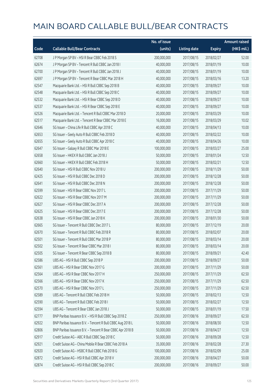|       |                                                            | No. of issue |                     |               | <b>Amount raised</b> |
|-------|------------------------------------------------------------|--------------|---------------------|---------------|----------------------|
| Code  | <b>Callable Bull/Bear Contracts</b>                        | (units)      | <b>Listing date</b> | <b>Expiry</b> | (HK\$ mil.)          |
| 62708 | JP Morgan SP BV - HSIR Bear CBBC Feb 2018 S                | 200,000,000  | 2017/08/15          | 2018/02/27    | 52.00                |
| 62674 | J P Morgan SP BV - Tencent R Bull CBBC Jan 2018 I          | 40,000,000   | 2017/08/15          | 2018/01/19    | 10.00                |
| 62700 | J P Morgan SP BV - Tencent R Bull CBBC Jan 2018 J          | 40,000,000   | 2017/08/15          | 2018/01/19    | 10.00                |
| 62697 | J P Morgan SP BV - Tencent R Bear CBBC Mar 2018 H          | 40,000,000   | 2017/08/15          | 2018/03/16    | 13.20                |
| 62547 | Macquarie Bank Ltd. - HSI R Bull CBBC Sep 2018 B           | 40,000,000   | 2017/08/15          | 2018/09/27    | 10.00                |
| 62548 | Macquarie Bank Ltd. - HSI R Bull CBBC Sep 2018 C           | 40,000,000   | 2017/08/15          | 2018/09/27    | 10.00                |
| 62532 | Macquarie Bank Ltd. - HSI R Bear CBBC Sep 2018 D           | 40,000,000   | 2017/08/15          | 2018/09/27    | 10.00                |
| 62537 | Macquarie Bank Ltd. - HSI R Bear CBBC Sep 2018 E           | 40,000,000   | 2017/08/15          | 2018/09/27    | 10.00                |
| 62526 | Macquarie Bank Ltd. - Tencent R Bull CBBC Mar 2018 D       | 20,000,000   | 2017/08/15          | 2018/03/29    | 10.00                |
| 62517 | Macquarie Bank Ltd. - Tencent R Bear CBBC Mar 2018 E       | 16,000,000   | 2017/08/15          | 2018/03/29    | 10.02                |
| 62646 | SG Issuer - China Life R Bull CBBC Apr 2018 C              | 40,000,000   | 2017/08/15          | 2018/04/13    | 10.00                |
| 62653 | SG Issuer - Geely Auto R Bull CBBC Feb 2018 D              | 40,000,000   | 2017/08/15          | 2018/02/22    | 10.00                |
| 62655 | SG Issuer - Geely Auto R Bull CBBC Apr 2018 C              | 40,000,000   | 2017/08/15          | 2018/04/26    | 10.00                |
| 62647 | SG Issuer - Galaxy R Bull CBBC Mar 2018 E                  | 100,000,000  | 2017/08/15          | 2018/03/27    | 25.00                |
| 62658 | SG Issuer - HKEX R Bull CBBC Jan 2018 J                    | 50,000,000   | 2017/08/15          | 2018/01/24    | 12.50                |
| 62660 | SG Issuer - HKEX R Bull CBBC Feb 2018 H                    | 50,000,000   | 2017/08/15          | 2018/02/21    | 12.50                |
| 62640 | SG Issuer - HSI R Bull CBBC Nov 2018 U                     | 200,000,000  | 2017/08/15          | 2018/11/29    | 50.00                |
| 62425 | SG Issuer - HSI R Bull CBBC Dec 2018 D                     | 200,000,000  | 2017/08/15          | 2018/12/28    | 50.00                |
| 62641 | SG Issuer - HSI R Bull CBBC Dec 2018 N                     | 200,000,000  | 2017/08/15          | 2018/12/28    | 50.00                |
| 62599 | SG Issuer - HSI R Bear CBBC Nov 2017 L                     | 200,000,000  | 2017/08/15          | 2017/11/29    | 50.00                |
| 62622 | SG Issuer - HSI R Bear CBBC Nov 2017 M                     | 200,000,000  | 2017/08/15          | 2017/11/29    | 50.00                |
| 62627 | SG Issuer - HSI R Bear CBBC Dec 2017 A                     | 200,000,000  | 2017/08/15          | 2017/12/28    | 50.00                |
| 62625 | SG Issuer - HSI R Bear CBBC Dec 2017 E                     | 200,000,000  | 2017/08/15          | 2017/12/28    | 50.00                |
| 62638 | SG Issuer - HSI R Bear CBBC Jan 2018 K                     | 200,000,000  | 2017/08/15          | 2018/01/30    | 50.00                |
| 62665 | SG Issuer - Tencent R Bull CBBC Dec 2017 L                 | 80,000,000   | 2017/08/15          | 2017/12/19    | 20.00                |
| 62670 | SG Issuer - Tencent R Bull CBBC Feb 2018 R                 | 80,000,000   | 2017/08/15          | 2018/02/07    | 20.00                |
| 62501 | SG Issuer - Tencent R Bull CBBC Mar 2018 P                 | 80,000,000   | 2017/08/15          | 2018/03/14    | 20.00                |
| 62502 | SG Issuer - Tencent R Bear CBBC Mar 2018 I                 | 80,000,000   | 2017/08/15          | 2018/03/14    | 20.00                |
| 62505 | SG Issuer - Tencent R Bear CBBC Sep 2018 B                 | 80,000,000   | 2017/08/15          | 2018/09/21    | 42.40                |
| 62586 | UBS AG - HSI R Bull CBBC Sep 2018 P                        | 200,000,000  | 2017/08/15          | 2018/09/27    | 50.00                |
| 62561 | UBS AG - HSI R Bear CBBC Nov 2017 G                        | 200,000,000  | 2017/08/15          | 2017/11/29    | 50.00                |
| 62564 | UBS AG - HSI R Bear CBBC Nov 2017 H                        | 250,000,000  | 2017/08/15          | 2017/11/29    | 62.50                |
| 62566 | UBS AG - HSI R Bear CBBC Nov 2017 K                        | 250,000,000  | 2017/08/15          | 2017/11/29    | 62.50                |
| 62570 | UBS AG - HSI R Bear CBBC Nov 2017 L                        | 250,000,000  | 2017/08/15          | 2017/11/29    | 62.50                |
| 62589 | UBS AG - Tencent R Bull CBBC Feb 2018 H                    | 50,000,000   | 2017/08/15          | 2018/02/13    | 12.50                |
| 62590 | UBS AG - Tencent R Bull CBBC Feb 2018 I                    | 50,000,000   | 2017/08/15          | 2018/02/27    | 12.50                |
| 62594 | UBS AG - Tencent R Bear CBBC Jan 2018 J                    | 50,000,000   | 2017/08/15          | 2018/01/19    | 17.50                |
| 62777 | BNP Paribas Issuance B.V. - HSI R Bull CBBC Sep 2018 Z     | 250,000,000  | 2017/08/16          | 2018/09/27    | 62.50                |
| 62922 | BNP Paribas Issuance B.V. - Tencent R Bull CBBC Aug 2018 L | 50,000,000   | 2017/08/16          | 2018/08/30    | 12.50                |
| 62806 | BNP Paribas Issuance B.V. - Tencent R Bear CBBC Apr 2018 B | 50,000,000   | 2017/08/16          | 2018/04/27    | 12.50                |
| 62917 | Credit Suisse AG - ABC R Bull CBBC Sep 2018 C              | 50,000,000   | 2017/08/16          | 2018/09/28    | 12.50                |
| 62921 | Credit Suisse AG - China Mobile R Bear CBBC Feb 2018 A     | 35,000,000   | 2017/08/16          | 2018/02/28    | 27.30                |
| 62920 | Credit Suisse AG - HSBC R Bull CBBC Feb 2018 G             | 100,000,000  | 2017/08/16          | 2018/02/09    | 25.00                |
| 62872 | Credit Suisse AG - HSI R Bull CBBC Apr 2018 V              | 200,000,000  | 2017/08/16          | 2018/04/27    | 50.00                |
| 62874 | Credit Suisse AG - HSI R Bull CBBC Sep 2018 C              | 200,000,000  | 2017/08/16          | 2018/09/27    | 50.00                |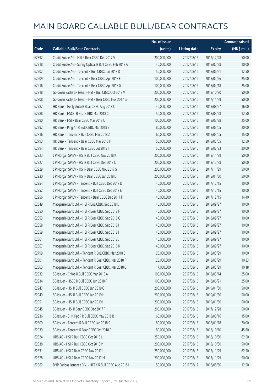|       |                                                         | No. of issue |                     |               | <b>Amount raised</b> |
|-------|---------------------------------------------------------|--------------|---------------------|---------------|----------------------|
| Code  | <b>Callable Bull/Bear Contracts</b>                     | (units)      | <b>Listing date</b> | <b>Expiry</b> | (HK\$ mil.)          |
| 62892 | Credit Suisse AG - HSI R Bear CBBC Dec 2017 V           | 200,000,000  | 2017/08/16          | 2017/12/28    | 50.00                |
| 62918 | Credit Suisse AG - Sunny Optical R Bull CBBC Feb 2018 A | 40,000,000   | 2017/08/16          | 2018/02/28    | 10.00                |
| 62902 | Credit Suisse AG - Tencent R Bull CBBC Jun 2018 D       | 50,000,000   | 2017/08/16          | 2018/06/21    | 12.50                |
| 62909 | Credit Suisse AG - Tencent R Bear CBBC Apr 2018 F       | 100,000,000  | 2017/08/16          | 2018/04/26    | 25.00                |
| 62916 | Credit Suisse AG - Tencent R Bear CBBC Apr 2018 G       | 100,000,000  | 2017/08/16          | 2018/04/18    | 25.00                |
| 62818 | Goldman Sachs SP (Asia) - HSI R Bull CBBC Oct 2018 V    | 200,000,000  | 2017/08/16          | 2018/10/30    | 50.00                |
| 62808 | Goldman Sachs SP (Asia) - HSI R Bear CBBC Nov 2017 G    | 200,000,000  | 2017/08/16          | 2017/11/29    | 50.00                |
| 62782 | HK Bank - Geely Auto R Bear CBBC Aug 2018 C             | 40,000,000   | 2017/08/16          | 2018/08/27    | 16.00                |
| 62788 | HK Bank - HSCEI R Bear CBBC Mar 2018 C                  | 50,000,000   | 2017/08/16          | 2018/03/28    | 12.50                |
| 62790 | HK Bank - HSI R Bear CBBC Mar 2018 U                    | 100,000,000  | 2017/08/16          | 2018/03/28    | 25.00                |
| 62792 | HK Bank - Ping An R Bull CBBC Mar 2018 E                | 80,000,000   | 2017/08/16          | 2018/03/05    | 20.00                |
| 62816 | HK Bank - Tencent R Bull CBBC Mar 2018 Z                | 60,000,000   | 2017/08/16          | 2018/03/05    | 15.00                |
| 62793 | HK Bank - Tencent R Bear CBBC Mar 2018 F                | 50,000,000   | 2017/08/16          | 2018/03/05    | 12.50                |
| 62794 | HK Bank - Tencent R Bear CBBC Jul 2018 I                | 50,000,000   | 2017/08/16          | 2018/07/23    | 20.00                |
| 62923 | J P Morgan SP BV - HSI R Bull CBBC Nov 2018 K           | 200,000,000  | 2017/08/16          | 2018/11/29    | 50.00                |
| 62927 | J P Morgan SP BV - HSI R Bull CBBC Dec 2018 C           | 200,000,000  | 2017/08/16          | 2018/12/28    | 50.00                |
| 62929 | J P Morgan SP BV - HSI R Bear CBBC Nov 2017 S           | 200,000,000  | 2017/08/16          | 2017/11/29    | 50.00                |
| 62930 | J P Morgan SP BV - HSI R Bear CBBC Jan 2018 D           | 200,000,000  | 2017/08/16          | 2018/01/30    | 50.00                |
| 62954 | J P Morgan SP BV - Tencent R Bull CBBC Dec 2017 D       | 40,000,000   | 2017/08/16          | 2017/12/15    | 10.00                |
| 62952 | J P Morgan SP BV - Tencent R Bull CBBC Dec 2017 E       | 40,000,000   | 2017/08/16          | 2017/12/15    | 10.00                |
| 62956 | J P Morgan SP BV - Tencent R Bear CBBC Dec 2017 F       | 40,000,000   | 2017/08/16          | 2017/12/15    | 14.40                |
| 62849 | Macquarie Bank Ltd. - HSI R Bull CBBC Sep 2018 D        | 40,000,000   | 2017/08/16          | 2018/09/27    | 10.00                |
| 62850 | Macquarie Bank Ltd. - HSI R Bear CBBC Sep 2018 F        | 40,000,000   | 2017/08/16          | 2018/09/27    | 10.00                |
| 62853 | Macquarie Bank Ltd. - HSI R Bear CBBC Sep 2018 G        | 40,000,000   | 2017/08/16          | 2018/09/27    | 10.00                |
| 62858 | Macquarie Bank Ltd. - HSI R Bear CBBC Sep 2018 H        | 40,000,000   | 2017/08/16          | 2018/09/27    | 10.00                |
| 62859 | Macquarie Bank Ltd. - HSI R Bear CBBC Sep 2018 I        | 40,000,000   | 2017/08/16          | 2018/09/27    | 10.00                |
| 62861 | Macquarie Bank Ltd. - HSI R Bear CBBC Sep 2018 J        | 40,000,000   | 2017/08/16          | 2018/09/27    | 10.00                |
| 62867 | Macquarie Bank Ltd. - HSI R Bear CBBC Sep 2018 K        | 40,000,000   | 2017/08/16          | 2018/09/27    | 10.00                |
| 62799 | Macquarie Bank Ltd. - Tencent R Bull CBBC Mar 2018 E    | 25,000,000   | 2017/08/16          | 2018/03/29    | 10.00                |
| 62801 | Macquarie Bank Ltd. - Tencent R Bear CBBC Mar 2018 F    | 25,000,000   | 2017/08/16          | 2018/03/29    | 10.33                |
| 62803 | Macquarie Bank Ltd. - Tencent R Bear CBBC Mar 2018 G    | 17,000,000   | 2017/08/16          | 2018/03/29    | 10.18                |
| 62932 | SG Issuer - CMob R Bull CBBC Mar 2018 A                 | 100,000,000  | 2017/08/16          | 2018/03/14    | 25.00                |
| 62934 | SG Issuer - HSBC R Bull CBBC Jun 2018 F                 | 100,000,000  | 2017/08/16          | 2018/06/21    | 25.00                |
| 62947 | SG Issuer - HSI R Bull CBBC Jan 2019 G                  | 200,000,000  | 2017/08/16          | 2019/01/30    | 50.00                |
| 62949 | SG Issuer - HSI R Bull CBBC Jan 2019 H                  | 200,000,000  | 2017/08/16          | 2019/01/30    | 50.00                |
| 62951 | SG Issuer - HSI R Bull CBBC Jan 2019 I                  | 200,000,000  | 2017/08/16          | 2019/01/30    | 50.00                |
| 62945 | SG Issuer - HSI R Bear CBBC Dec 2017 F                  | 200,000,000  | 2017/08/16          | 2017/12/28    | 50.00                |
| 62936 | SG Issuer - SHK Ppt P R Bull CBBC May 2018 B            | 60,000,000   | 2017/08/16          | 2018/05/16    | 15.00                |
| 62809 | SG Issuer - Tencent R Bull CBBC Jan 2018 S              | 80,000,000   | 2017/08/16          | 2018/01/18    | 20.00                |
| 62939 | SG Issuer - Tencent R Bear CBBC Oct 2018 B              | 80,000,000   | 2017/08/16          | 2018/10/10    | 45.60                |
| 62824 | UBS AG - HSI R Bull CBBC Oct 2018 L                     | 250,000,000  | 2017/08/16          | 2018/10/30    | 62.50                |
| 62838 | UBS AG - HSI R Bull CBBC Oct 2018 M                     | 200,000,000  | 2017/08/16          | 2018/10/30    | 50.00                |
| 62831 | UBS AG - HSI R Bear CBBC Nov 2017 I                     | 250,000,000  | 2017/08/16          | 2017/11/29    | 62.50                |
| 62828 | UBS AG - HSI R Bear CBBC Nov 2017 M                     | 200,000,000  | 2017/08/16          | 2017/11/29    | 50.00                |
| 62962 | BNP Paribas Issuance B.V. - HKEX R Bull CBBC Aug 2018 I | 50,000,000   | 2017/08/17          | 2018/08/30    | 12.50                |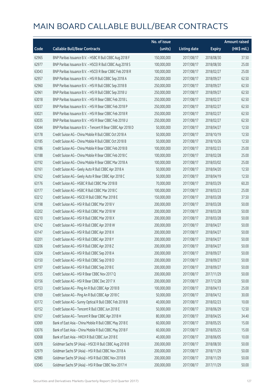|       |                                                            | No. of issue |                     |               | <b>Amount raised</b> |
|-------|------------------------------------------------------------|--------------|---------------------|---------------|----------------------|
| Code  | <b>Callable Bull/Bear Contracts</b>                        | (units)      | <b>Listing date</b> | <b>Expiry</b> | $(HK$$ mil.)         |
| 62965 | BNP Paribas Issuance B.V. - HSBC R Bull CBBC Aug 2018 F    | 150,000,000  | 2017/08/17          | 2018/08/30    | 37.50                |
| 62977 | BNP Paribas Issuance B.V. - HSCEI R Bull CBBC Aug 2018 S   | 100,000,000  | 2017/08/17          | 2018/08/30    | 25.00                |
| 63043 | BNP Paribas Issuance B.V. - HSCEI R Bear CBBC Feb 2018 R   | 100,000,000  | 2017/08/17          | 2018/02/27    | 25.00                |
| 62957 | BNP Paribas Issuance B.V. - HSI R Bull CBBC Sep 2018 A     | 250,000,000  | 2017/08/17          | 2018/09/27    | 62.50                |
| 62960 | BNP Paribas Issuance B.V. - HSI R Bull CBBC Sep 2018 B     | 250,000,000  | 2017/08/17          | 2018/09/27    | 62.50                |
| 62961 | BNP Paribas Issuance B.V. - HSI R Bull CBBC Sep 2018 U     | 250,000,000  | 2017/08/17          | 2018/09/27    | 62.50                |
| 63018 | BNP Paribas Issuance B.V. - HSI R Bear CBBC Feb 2018 L     | 250,000,000  | 2017/08/17          | 2018/02/27    | 62.50                |
| 63037 | BNP Paribas Issuance B.V. - HSI R Bear CBBC Feb 2018 P     | 250,000,000  | 2017/08/17          | 2018/02/27    | 62.50                |
| 63021 | BNP Paribas Issuance B.V. - HSI R Bear CBBC Feb 2018 R     | 250,000,000  | 2017/08/17          | 2018/02/27    | 62.50                |
| 63035 | BNP Paribas Issuance B.V. - HSI R Bear CBBC Feb 2018 U     | 250,000,000  | 2017/08/17          | 2018/02/27    | 62.50                |
| 63044 | BNP Paribas Issuance B.V. - Tencent R Bear CBBC Apr 2018 D | 50,000,000   | 2017/08/17          | 2018/04/27    | 12.50                |
| 63178 | Credit Suisse AG - China Mobile R Bull CBBC Oct 2018 A     | 50,000,000   | 2017/08/17          | 2018/10/19    | 12.50                |
| 63185 | Credit Suisse AG - China Mobile R Bull CBBC Oct 2018 B     | 50,000,000   | 2017/08/17          | 2018/10/26    | 12.50                |
| 63186 | Credit Suisse AG - China Mobile R Bear CBBC Feb 2018 B     | 100,000,000  | 2017/08/17          | 2018/02/23    | 25.00                |
| 63188 | Credit Suisse AG - China Mobile R Bear CBBC Feb 2018 C     | 100,000,000  | 2017/08/17          | 2018/02/28    | 25.00                |
| 63192 | Credit Suisse AG - China Mobile R Bear CBBC Mar 2018 A     | 100,000,000  | 2017/08/17          | 2018/03/02    | 25.00                |
| 63161 | Credit Suisse AG - Geely Auto R Bull CBBC Apr 2018 A       | 50,000,000   | 2017/08/17          | 2018/04/20    | 12.50                |
| 63162 | Credit Suisse AG - Geely Auto R Bear CBBC Apr 2018 C       | 50,000,000   | 2017/08/17          | 2018/04/19    | 12.50                |
| 63176 | Credit Suisse AG - HSBC R Bull CBBC Mar 2018 B             | 70,000,000   | 2017/08/17          | 2018/03/29    | 60.20                |
| 63177 | Credit Suisse AG - HSBC R Bull CBBC Mar 2018 C             | 100,000,000  | 2017/08/17          | 2018/03/23    | 25.00                |
| 63212 | Credit Suisse AG - HSCEI R Bull CBBC Mar 2018 E            | 150,000,000  | 2017/08/17          | 2018/03/28    | 37.50                |
| 63198 | Credit Suisse AG - HSI R Bull CBBC Mar 2018 V              | 200,000,000  | 2017/08/17          | 2018/03/28    | 50.00                |
| 63202 | Credit Suisse AG - HSI R Bull CBBC Mar 2018 W              | 200,000,000  | 2017/08/17          | 2018/03/28    | 50.00                |
| 63210 | Credit Suisse AG - HSI R Bull CBBC Mar 2018 X              | 200,000,000  | 2017/08/17          | 2018/03/28    | 50.00                |
| 63142 | Credit Suisse AG - HSI R Bull CBBC Apr 2018 W              | 200,000,000  | 2017/08/17          | 2018/04/27    | 50.00                |
| 63147 | Credit Suisse AG - HSI R Bull CBBC Apr 2018 X              | 200,000,000  | 2017/08/17          | 2018/04/27    | 50.00                |
| 63201 | Credit Suisse AG - HSI R Bull CBBC Apr 2018 Y              | 200,000,000  | 2017/08/17          | 2018/04/27    | 50.00                |
| 63206 | Credit Suisse AG - HSI R Bull CBBC Apr 2018 Z              | 200,000,000  | 2017/08/17          | 2018/04/27    | 50.00                |
| 63204 | Credit Suisse AG - HSI R Bull CBBC Sep 2018 A              | 200,000,000  | 2017/08/17          | 2018/09/27    | 50.00                |
| 63150 | Credit Suisse AG - HSI R Bull CBBC Sep 2018 D              | 200,000,000  | 2017/08/17          | 2018/09/27    | 50.00                |
| 63197 | Credit Suisse AG - HSI R Bull CBBC Sep 2018 E              | 200,000,000  | 2017/08/17          | 2018/09/27    | 50.00                |
| 63155 | Credit Suisse AG - HSI R Bear CBBC Nov 2017 Q              | 200,000,000  | 2017/08/17          | 2017/11/29    | 50.00                |
| 63156 | Credit Suisse AG - HSI R Bear CBBC Dec 2017 X              | 200,000,000  | 2017/08/17          | 2017/12/28    | 50.00                |
| 63153 | Credit Suisse AG - Ping An R Bull CBBC Apr 2018 B          | 100,000,000  | 2017/08/17          | 2018/04/13    | 25.00                |
| 63169 | Credit Suisse AG - Ping An R Bull CBBC Apr 2018 C          | 50,000,000   | 2017/08/17          | 2018/04/12    | 30.00                |
| 63172 | Credit Suisse AG - Sunny Optical R Bull CBBC Feb 2018 B    | 40,000,000   | 2017/08/17          | 2018/02/23    | 10.00                |
| 63152 | Credit Suisse AG - Tencent R Bull CBBC Jun 2018 E          | 50,000,000   | 2017/08/17          | 2018/06/29    | 12.50                |
| 63167 | Credit Suisse AG - Tencent R Bear CBBC Apr 2018 H          | 80,000,000   | 2017/08/17          | 2018/04/25    | 34.40                |
| 63069 | Bank of East Asia - China Mobile R Bull CBBC May 2018 E    | 60,000,000   | 2017/08/17          | 2018/05/25    | 15.00                |
| 63076 | Bank of East Asia - China Mobile R Bull CBBC May 2018 F    | 60,000,000   | 2017/08/17          | 2018/05/25    | 15.00                |
| 63068 | Bank of East Asia - HKEX R Bull CBBC Jun 2018 E            | 40,000,000   | 2017/08/17          | 2018/06/05    | 10.00                |
| 63078 | Goldman Sachs SP (Asia) - HSCEI R Bull CBBC Aug 2018 B     | 200,000,000  | 2017/08/17          | 2018/08/30    | 50.00                |
| 62979 | Goldman Sachs SP (Asia) - HSI R Bull CBBC Nov 2018 A       | 200,000,000  | 2017/08/17          | 2018/11/29    | 50.00                |
| 62980 | Goldman Sachs SP (Asia) - HSI R Bull CBBC Nov 2018 B       | 200,000,000  | 2017/08/17          | 2018/11/29    | 50.00                |
| 63045 | Goldman Sachs SP (Asia) - HSI R Bear CBBC Nov 2017 H       | 200,000,000  | 2017/08/17          | 2017/11/29    | 50.00                |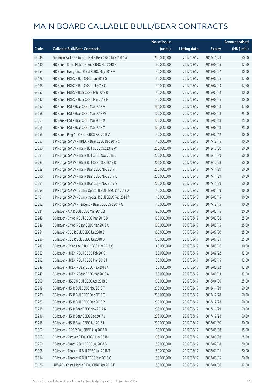|       |                                                         | No. of issue |                     |               | Amount raised |
|-------|---------------------------------------------------------|--------------|---------------------|---------------|---------------|
| Code  | <b>Callable Bull/Bear Contracts</b>                     | (units)      | <b>Listing date</b> | <b>Expiry</b> | (HK\$ mil.)   |
| 63049 | Goldman Sachs SP (Asia) - HSI R Bear CBBC Nov 2017 W    | 200,000,000  | 2017/08/17          | 2017/11/29    | 50.00         |
| 63130 | HK Bank - China Mobile R Bull CBBC Mar 2018 B           | 50,000,000   | 2017/08/17          | 2018/03/05    | 12.50         |
| 63054 | HK Bank - Evergrande R Bull CBBC May 2018 A             | 40,000,000   | 2017/08/17          | 2018/05/07    | 10.00         |
| 63128 | HK Bank - HKEX R Bull CBBC Jun 2018 G                   | 50,000,000   | 2017/08/17          | 2018/06/25    | 12.50         |
| 63138 | HK Bank - HKEX R Bull CBBC Jul 2018 O                   | 50,000,000   | 2017/08/17          | 2018/07/03    | 12.50         |
| 63052 | HK Bank - HKEX R Bear CBBC Feb 2018 B                   | 40,000,000   | 2017/08/17          | 2018/02/12    | 10.00         |
| 63137 | HK Bank - HKEX R Bear CBBC Mar 2018 F                   | 40,000,000   | 2017/08/17          | 2018/03/05    | 10.00         |
| 63057 | HK Bank - HSI R Bear CBBC Mar 2018 V                    | 150,000,000  | 2017/08/17          | 2018/03/28    | 37.50         |
| 63058 | HK Bank - HSI R Bear CBBC Mar 2018 W                    | 100,000,000  | 2017/08/17          | 2018/03/28    | 25.00         |
| 63064 | HK Bank - HSI R Bear CBBC Mar 2018 X                    | 100,000,000  | 2017/08/17          | 2018/03/28    | 25.00         |
| 63065 | HK Bank - HSI R Bear CBBC Mar 2018 Y                    | 100,000,000  | 2017/08/17          | 2018/03/28    | 25.00         |
| 63055 | HK Bank - Ping An R Bear CBBC Feb 2018 A                | 40,000,000   | 2017/08/17          | 2018/02/12    | 10.00         |
| 63097 | J P Morgan SP BV - HKEX R Bear CBBC Dec 2017 C          | 40,000,000   | 2017/08/17          | 2017/12/15    | 10.00         |
| 63080 | JP Morgan SP BV - HSIR Bull CBBC Oct 2018 W             | 200,000,000  | 2017/08/17          | 2018/10/30    | 50.00         |
| 63081 | J P Morgan SP BV - HSI R Bull CBBC Nov 2018 L           | 200,000,000  | 2017/08/17          | 2018/11/29    | 50.00         |
| 63083 | JP Morgan SP BV - HSIR Bull CBBC Dec 2018 D             | 200,000,000  | 2017/08/17          | 2018/12/28    | 50.00         |
| 63089 | J P Morgan SP BV - HSI R Bear CBBC Nov 2017 T           | 200,000,000  | 2017/08/17          | 2017/11/29    | 50.00         |
| 63090 | J P Morgan SP BV - HSI R Bear CBBC Nov 2017 U           | 200,000,000  | 2017/08/17          | 2017/11/29    | 50.00         |
| 63091 | J P Morgan SP BV - HSI R Bear CBBC Nov 2017 V           | 200,000,000  | 2017/08/17          | 2017/11/29    | 50.00         |
| 63099 | J P Morgan SP BV - Sunny Optical R Bull CBBC Jan 2018 A | 40,000,000   | 2017/08/17          | 2018/01/19    | 10.00         |
| 63101 | J P Morgan SP BV - Sunny Optical R Bull CBBC Feb 2018 A | 40,000,000   | 2017/08/17          | 2018/02/15    | 10.00         |
| 63092 | J P Morgan SP BV - Tencent R Bear CBBC Dec 2017 G       | 40,000,000   | 2017/08/17          | 2017/12/15    | 10.00         |
| 63231 | SG Issuer - AIA R Bull CBBC Mar 2018 B                  | 80,000,000   | 2017/08/17          | 2018/03/15    | 20.00         |
| 63242 | SG Issuer - CMob R Bull CBBC Mar 2018 B                 | 100,000,000  | 2017/08/17          | 2018/03/08    | 25.00         |
| 63246 | SG Issuer - CMob R Bear CBBC Mar 2018 A                 | 100,000,000  | 2017/08/17          | 2018/03/15    | 25.00         |
| 62981 | SG Issuer - CCB R Bull CBBC Jul 2018 C                  | 100,000,000  | 2017/08/17          | 2018/07/30    | 25.00         |
| 62986 | SG Issuer - CCB R Bull CBBC Jul 2018 D                  | 100,000,000  | 2017/08/17          | 2018/07/31    | 25.00         |
| 63232 | SG Issuer - China Life R Bull CBBC Mar 2018 C           | 40,000,000   | 2017/08/17          | 2018/03/16    | 10.00         |
| 62989 | SG Issuer - HKEX R Bull CBBC Feb 2018 I                 | 50,000,000   | 2017/08/17          | 2018/02/22    | 12.50         |
| 62992 | SG Issuer - HKEX R Bull CBBC Mar 2018 I                 | 50,000,000   | 2017/08/17          | 2018/03/15    | 12.50         |
| 63248 | SG Issuer - HKEX R Bear CBBC Feb 2018 A                 | 50,000,000   | 2017/08/17          | 2018/02/22    | 12.50         |
| 63249 | SG Issuer - HKEX R Bear CBBC Mar 2018 A                 | 50,000,000   | 2017/08/17          | 2018/03/13    | 12.50         |
| 62999 | SG Issuer - HSBC R Bull CBBC Apr 2018 D                 | 100,000,000  | 2017/08/17          | 2018/04/30    | 25.00         |
| 63219 | SG Issuer - HSI R Bull CBBC Nov 2018 T                  | 200,000,000  | 2017/08/17          | 2018/11/29    | 50.00         |
| 63220 | SG Issuer - HSI R Bull CBBC Dec 2018 O                  | 200,000,000  | 2017/08/17          | 2018/12/28    | 50.00         |
| 63227 | SG Issuer - HSI R Bull CBBC Dec 2018 P                  | 200,000,000  | 2017/08/17          | 2018/12/28    | 50.00         |
| 63215 | SG Issuer - HSI R Bear CBBC Nov 2017 N                  | 200,000,000  | 2017/08/17          | 2017/11/29    | 50.00         |
| 63216 | SG Issuer - HSI R Bear CBBC Dec 2017 J                  | 200,000,000  | 2017/08/17          | 2017/12/28    | 50.00         |
| 63218 | SG Issuer - HSI R Bear CBBC Jan 2018 L                  | 200,000,000  | 2017/08/17          | 2018/01/30    | 50.00         |
| 63002 | SG Issuer - ICBC R Bull CBBC Aug 2018 D                 | 60,000,000   | 2017/08/17          | 2018/08/08    | 15.00         |
| 63003 | SG Issuer - Ping An R Bull CBBC Mar 2018 I              | 100,000,000  | 2017/08/17          | 2018/03/08    | 25.00         |
| 63250 | SG Issuer - Sands R Bull CBBC Jul 2018 B                | 80,000,000   | 2017/08/17          | 2018/07/18    | 20.00         |
| 63008 | SG Issuer - Tencent R Bull CBBC Jan 2018 T              | 80,000,000   | 2017/08/17          | 2018/01/11    | 20.00         |
| 63014 | SG Issuer - Tencent R Bull CBBC Mar 2018 Q              | 80,000,000   | 2017/08/17          | 2018/03/15    | 20.00         |
| 63126 | UBS AG - China Mobile R Bull CBBC Apr 2018 B            | 50,000,000   | 2017/08/17          | 2018/04/06    | 12.50         |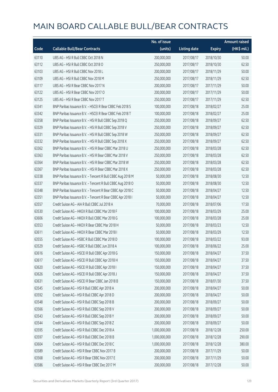|       |                                                            | No. of issue  |                     |               | <b>Amount raised</b> |
|-------|------------------------------------------------------------|---------------|---------------------|---------------|----------------------|
| Code  | <b>Callable Bull/Bear Contracts</b>                        | (units)       | <b>Listing date</b> | <b>Expiry</b> | (HK\$ mil.)          |
| 63110 | UBS AG - HSI R Bull CBBC Oct 2018 N                        | 200,000,000   | 2017/08/17          | 2018/10/30    | 50.00                |
| 63112 | UBS AG - HSI R Bull CBBC Oct 2018 O                        | 250,000,000   | 2017/08/17          | 2018/10/30    | 62.50                |
| 63103 | UBS AG - HSI R Bull CBBC Nov 2018 L                        | 200,000,000   | 2017/08/17          | 2018/11/29    | 50.00                |
| 63109 | UBS AG - HSI R Bull CBBC Nov 2018 M                        | 250,000,000   | 2017/08/17          | 2018/11/29    | 62.50                |
| 63117 | UBS AG - HSI R Bear CBBC Nov 2017 N                        | 200,000,000   | 2017/08/17          | 2017/11/29    | 50.00                |
| 63122 | UBS AG - HSI R Bear CBBC Nov 2017 O                        | 200,000,000   | 2017/08/17          | 2017/11/29    | 50.00                |
| 63125 | UBS AG - HSI R Bear CBBC Nov 2017 T                        | 250,000,000   | 2017/08/17          | 2017/11/29    | 62.50                |
| 63341 | BNP Paribas Issuance B.V. - HSCEI R Bear CBBC Feb 2018 S   | 100,000,000   | 2017/08/18          | 2018/02/27    | 25.00                |
| 63342 | BNP Paribas Issuance B.V. - HSCEI R Bear CBBC Feb 2018 T   | 100,000,000   | 2017/08/18          | 2018/02/27    | 25.00                |
| 63358 | BNP Paribas Issuance B.V. - HSI R Bull CBBC Sep 2018 Q     | 250,000,000   | 2017/08/18          | 2018/09/27    | 62.50                |
| 63329 | BNP Paribas Issuance B.V. - HSI R Bull CBBC Sep 2018 V     | 250,000,000   | 2017/08/18          | 2018/09/27    | 62.50                |
| 63331 | BNP Paribas Issuance B.V. - HSI R Bull CBBC Sep 2018 W     | 250,000,000   | 2017/08/18          | 2018/09/27    | 62.50                |
| 63332 | BNP Paribas Issuance B.V. - HSI R Bull CBBC Sep 2018 X     | 250,000,000   | 2017/08/18          | 2018/09/27    | 62.50                |
| 63362 | BNP Paribas Issuance B.V. - HSI R Bear CBBC Mar 2018 U     | 250,000,000   | 2017/08/18          | 2018/03/28    | 62.50                |
| 63363 | BNP Paribas Issuance B.V. - HSI R Bear CBBC Mar 2018 V     | 250,000,000   | 2017/08/18          | 2018/03/28    | 62.50                |
| 63364 | BNP Paribas Issuance B.V. - HSI R Bear CBBC Mar 2018 W     | 250,000,000   | 2017/08/18          | 2018/03/28    | 62.50                |
| 63367 | BNP Paribas Issuance B.V. - HSI R Bear CBBC Mar 2018 X     | 250,000,000   | 2017/08/18          | 2018/03/28    | 62.50                |
| 63338 | BNP Paribas Issuance B.V. - Tencent R Bull CBBC Aug 2018 M | 50,000,000    | 2017/08/18          | 2018/08/30    | 12.50                |
| 63337 | BNP Paribas Issuance B.V. - Tencent R Bull CBBC Aug 2018 O | 50,000,000    | 2017/08/18          | 2018/08/30    | 12.50                |
| 63348 | BNP Paribas Issuance B.V. - Tencent R Bear CBBC Apr 2018 C | 50,000,000    | 2017/08/18          | 2018/04/27    | 12.50                |
| 63351 | BNP Paribas Issuance B.V. - Tencent R Bear CBBC Apr 2018 I | 50,000,000    | 2017/08/18          | 2018/04/27    | 12.50                |
| 63557 | Credit Suisse AG - AIA R Bull CBBC Jul 2018 A              | 70,000,000    | 2017/08/18          | 2018/07/06    | 17.50                |
| 63530 | Credit Suisse AG - HKEX R Bull CBBC Mar 2018 F             | 100,000,000   | 2017/08/18          | 2018/03/29    | 25.00                |
| 63606 | Credit Suisse AG - HKEX R Bull CBBC Mar 2018 G             | 100,000,000   | 2017/08/18          | 2018/03/28    | 25.00                |
| 63553 | Credit Suisse AG - HKEX R Bear CBBC Mar 2018 H             | 50,000,000    | 2017/08/18          | 2018/03/23    | 12.50                |
| 63611 | Credit Suisse AG - HKEX R Bear CBBC Mar 2018 I             | 50,000,000    | 2017/08/18          | 2018/03/29    | 12.50                |
| 63555 | Credit Suisse AG - HSBC R Bull CBBC Mar 2018 D             | 100,000,000   | 2017/08/18          | 2018/03/22    | 93.00                |
| 63529 | Credit Suisse AG - HSBC R Bull CBBC Jun 2018 A             | 100,000,000   | 2017/08/18          | 2018/06/22    | 25.00                |
| 63616 | Credit Suisse AG - HSCEI R Bull CBBC Apr 2018 G            | 150,000,000   | 2017/08/18          | 2018/04/27    | 37.50                |
| 63617 | Credit Suisse AG - HSCEI R Bull CBBC Apr 2018 H            | 150,000,000   | 2017/08/18          | 2018/04/27    | 37.50                |
| 63620 | Credit Suisse AG - HSCEI R Bull CBBC Apr 2018 I            | 150,000,000   | 2017/08/18          | 2018/04/27    | 37.50                |
| 63626 | Credit Suisse AG - HSCEI R Bull CBBC Apr 2018 J            | 150,000,000   | 2017/08/18          | 2018/04/27    | 37.50                |
| 63631 | Credit Suisse AG - HSCEI R Bear CBBC Jan 2018 B            | 150,000,000   | 2017/08/18          | 2018/01/30    | 37.50                |
| 63545 | Credit Suisse AG - HSI R Bull CBBC Apr 2018 A              | 200,000,000   | 2017/08/18          | 2018/04/27    | 50.00                |
| 63592 | Credit Suisse AG - HSI R Bull CBBC Apr 2018 D              | 200,000,000   | 2017/08/18          | 2018/04/27    | 50.00                |
| 63548 | Credit Suisse AG - HSI R Bull CBBC Sep 2018 B              | 200,000,000   | 2017/08/18          | 2018/09/27    | 50.00                |
| 63566 | Credit Suisse AG - HSI R Bull CBBC Sep 2018 V              | 200,000,000   | 2017/08/18          | 2018/09/27    | 50.00                |
| 63543 | Credit Suisse AG - HSI R Bull CBBC Sep 2018 Y              | 200,000,000   | 2017/08/18          | 2018/09/27    | 50.00                |
| 63544 | Credit Suisse AG - HSI R Bull CBBC Sep 2018 Z              | 200,000,000   | 2017/08/18          | 2018/09/27    | 50.00                |
| 63595 | Credit Suisse AG - HSI R Bull CBBC Dec 2018 A              | 1,000,000,000 | 2017/08/18          | 2018/12/28    | 250.00               |
| 63597 | Credit Suisse AG - HSI R Bull CBBC Dec 2018 B              | 1,000,000,000 | 2017/08/18          | 2018/12/28    | 290.00               |
| 63604 | Credit Suisse AG - HSI R Bull CBBC Dec 2018 C              | 1,000,000,000 | 2017/08/18          | 2018/12/28    | 380.00               |
| 63589 | Credit Suisse AG - HSI R Bear CBBC Nov 2017 B              | 200,000,000   | 2017/08/18          | 2017/11/29    | 50.00                |
| 63568 | Credit Suisse AG - HSI R Bear CBBC Nov 2017 E              | 200,000,000   | 2017/08/18          | 2017/11/29    | 50.00                |
| 63586 | Credit Suisse AG - HSI R Bear CBBC Dec 2017 M              | 200,000,000   | 2017/08/18          | 2017/12/28    | 50.00                |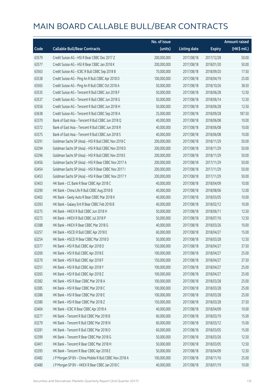|       |                                                        | No. of issue |                     |               | <b>Amount raised</b>  |
|-------|--------------------------------------------------------|--------------|---------------------|---------------|-----------------------|
| Code  | <b>Callable Bull/Bear Contracts</b>                    | (units)      | <b>Listing date</b> | <b>Expiry</b> | $(HK\frac{1}{2}mil.)$ |
| 63579 | Credit Suisse AG - HSI R Bear CBBC Dec 2017 Z          | 200,000,000  | 2017/08/18          | 2017/12/28    | 50.00                 |
| 63577 | Credit Suisse AG - HSI R Bear CBBC Jan 2018 K          | 200,000,000  | 2017/08/18          | 2018/01/30    | 50.00                 |
| 63563 | Credit Suisse AG - ICBC R Bull CBBC Sep 2018 B         | 70,000,000   | 2017/08/18          | 2018/09/20    | 17.50                 |
| 63538 | Credit Suisse AG - Ping An R Bull CBBC Apr 2018 D      | 100,000,000  | 2017/08/18          | 2018/04/19    | 25.00                 |
| 63565 | Credit Suisse AG - Ping An R Bull CBBC Oct 2018 A      | 50,000,000   | 2017/08/18          | 2018/10/26    | 38.50                 |
| 63535 | Credit Suisse AG - Tencent R Bull CBBC Jun 2018 F      | 50,000,000   | 2017/08/18          | 2018/06/28    | 12.50                 |
| 63537 | Credit Suisse AG - Tencent R Bull CBBC Jun 2018 G      | 50,000,000   | 2017/08/18          | 2018/06/14    | 12.50                 |
| 63556 | Credit Suisse AG - Tencent R Bull CBBC Jun 2018 H      | 50,000,000   | 2017/08/18          | 2018/06/28    | 12.50                 |
| 63638 | Credit Suisse AG - Tencent R Bull CBBC Sep 2018 A      | 25,000,000   | 2017/08/18          | 2018/09/28    | 187.50                |
| 63370 | Bank of East Asia - Tencent R Bull CBBC Jun 2018 Q     | 40,000,000   | 2017/08/18          | 2018/06/08    | 10.00                 |
| 63372 | Bank of East Asia - Tencent R Bull CBBC Jun 2018 R     | 40,000,000   | 2017/08/18          | 2018/06/08    | 10.00                 |
| 63375 | Bank of East Asia - Tencent R Bull CBBC Jun 2018 S     | 40,000,000   | 2017/08/18          | 2018/06/08    | 10.00                 |
| 63291 | Goldman Sachs SP (Asia) - HSI R Bull CBBC Nov 2018 C   | 200,000,000  | 2017/08/18          | 2018/11/29    | 50.00                 |
| 63294 | Goldman Sachs SP (Asia) - HSI R Bull CBBC Nov 2018 D   | 200,000,000  | 2017/08/18          | 2018/11/29    | 50.00                 |
| 63296 | Goldman Sachs SP (Asia) - HSI R Bull CBBC Nov 2018 E   | 200,000,000  | 2017/08/18          | 2018/11/29    | 50.00                 |
| 63456 | Goldman Sachs SP (Asia) - HSI R Bear CBBC Nov 2017 A   | 200,000,000  | 2017/08/18          | 2017/11/29    | 50.00                 |
| 63454 | Goldman Sachs SP (Asia) - HSI R Bear CBBC Nov 2017 I   | 200,000,000  | 2017/08/18          | 2017/11/29    | 50.00                 |
| 63453 | Goldman Sachs SP (Asia) - HSI R Bear CBBC Nov 2017 Y   | 200,000,000  | 2017/08/18          | 2017/11/29    | 50.00                 |
| 63403 | HK Bank - CC Bank R Bear CBBC Apr 2018 C               | 40,000,000   | 2017/08/18          | 2018/04/09    | 10.00                 |
| 63290 | HK Bank - China Life R Bull CBBC Aug 2018 B            | 40,000,000   | 2017/08/18          | 2018/08/06    | 12.00                 |
| 63402 | HK Bank - Geely Auto R Bear CBBC Mar 2018 K            | 40,000,000   | 2017/08/18          | 2018/03/05    | 10.00                 |
| 63393 | HK Bank - Galaxy Ent R Bear CBBC Feb 2018 B            | 40,000,000   | 2017/08/18          | 2018/02/12    | 10.00                 |
| 63275 | HK Bank - HKEX R Bull CBBC Jun 2018 H                  | 50,000,000   | 2017/08/18          | 2018/06/11    | 12.50                 |
| 63272 | HK Bank - HKEX R Bull CBBC Jul 2018 P                  | 50,000,000   | 2017/08/18          | 2018/07/16    | 12.50                 |
| 63388 | HK Bank - HKEX R Bear CBBC Mar 2018 G                  | 40,000,000   | 2017/08/18          | 2018/03/26    | 10.00                 |
| 63257 | HK Bank - HSCEI R Bull CBBC Apr 2018 E                 | 60,000,000   | 2017/08/18          | 2018/04/27    | 15.00                 |
| 63254 | HK Bank - HSCEI R Bear CBBC Mar 2018 D                 | 50,000,000   | 2017/08/18          | 2018/03/28    | 12.50                 |
| 63377 | HK Bank - HSI R Bull CBBC Apr 2018 D                   | 150,000,000  | 2017/08/18          | 2018/04/27    | 37.50                 |
| 63269 | HK Bank - HSI R Bull CBBC Apr 2018 E                   | 100,000,000  | 2017/08/18          | 2018/04/27    | 25.00                 |
| 63270 | HK Bank - HSI R Bull CBBC Apr 2018 F                   | 150,000,000  | 2017/08/18          | 2018/04/27    | 37.50                 |
| 63251 | HK Bank - HSI R Bull CBBC Apr 2018 Y                   | 100,000,000  | 2017/08/18          | 2018/04/27    | 25.00                 |
| 63265 | HK Bank - HSI R Bull CBBC Apr 2018 Z                   | 100,000,000  | 2017/08/18          | 2018/04/27    | 25.00                 |
| 63382 | HK Bank - HSI R Bear CBBC Mar 2018 A                   | 100,000,000  | 2017/08/18          | 2018/03/28    | 25.00                 |
| 63385 | HK Bank - HSI R Bear CBBC Mar 2018 C                   | 100,000,000  | 2017/08/18          | 2018/03/28    | 25.00                 |
| 63386 | HK Bank - HSI R Bear CBBC Mar 2018 E                   | 100,000,000  | 2017/08/18          | 2018/03/28    | 25.00                 |
| 63380 | HK Bank - HSI R Bear CBBC Mar 2018 Z                   | 150,000,000  | 2017/08/18          | 2018/03/28    | 37.50                 |
| 63404 | HK Bank - ICBC R Bear CBBC Apr 2018 A                  | 40,000,000   | 2017/08/18          | 2018/04/09    | 10.00                 |
| 63277 | HK Bank - Tencent R Bull CBBC Mar 2018 B               | 60,000,000   | 2017/08/18          | 2018/03/19    | 15.00                 |
| 63279 | HK Bank - Tencent R Bull CBBC Mar 2018 N               | 60,000,000   | 2017/08/18          | 2018/03/12    | 15.00                 |
| 63281 | HK Bank - Tencent R Bull CBBC Mar 2018 O               | 60,000,000   | 2017/08/18          | 2018/03/05    | 15.00                 |
| 63399 | HK Bank - Tencent R Bear CBBC Mar 2018 G               | 50,000,000   | 2017/08/18          | 2018/03/26    | 12.50                 |
| 63401 | HK Bank - Tencent R Bear CBBC Mar 2018 H               | 50,000,000   | 2017/08/18          | 2018/03/05    | 12.50                 |
| 63395 | HK Bank - Tencent R Bear CBBC Apr 2018 E               | 50,000,000   | 2017/08/18          | 2018/04/09    | 12.50                 |
| 63482 | J P Morgan SP BV - China Mobile R Bull CBBC Nov 2018 A | 100,000,000  | 2017/08/18          | 2018/11/16    | 25.00                 |
| 63480 | J P Morgan SP BV - HKEX R Bear CBBC Jan 2018 C         | 40,000,000   | 2017/08/18          | 2018/01/19    | 10.00                 |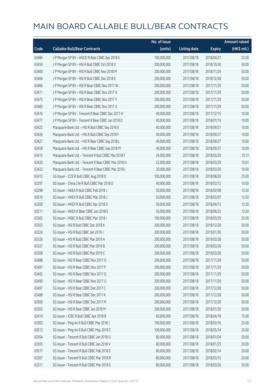|       |                                                      | No. of issue |                     |               | <b>Amount raised</b> |
|-------|------------------------------------------------------|--------------|---------------------|---------------|----------------------|
| Code  | <b>Callable Bull/Bear Contracts</b>                  | (units)      | <b>Listing date</b> | <b>Expiry</b> | (HK\$ mil.)          |
| 63484 | J P Morgan SP BV - HSCEI R Bear CBBC Apr 2018 E      | 100,000,000  | 2017/08/18          | 2018/04/27    | 25.00                |
| 63459 | J P Morgan SP BV - HSI R Bull CBBC Oct 2018 X        | 200,000,000  | 2017/08/18          | 2018/10/30    | 50.00                |
| 63460 | J P Morgan SP BV - HSI R Bull CBBC Nov 2018 M        | 200,000,000  | 2017/08/18          | 2018/11/29    | 50.00                |
| 63464 | J P Morgan SP BV - HSI R Bull CBBC Dec 2018 E        | 200,000,000  | 2017/08/18          | 2018/12/28    | 50.00                |
| 63466 | J P Morgan SP BV - HSI R Bear CBBC Nov 2017 W        | 200,000,000  | 2017/08/18          | 2017/11/29    | 50.00                |
| 63471 | J P Morgan SP BV - HSI R Bear CBBC Nov 2017 X        | 200,000,000  | 2017/08/18          | 2017/11/29    | 50.00                |
| 63475 | J P Morgan SP BV - HSI R Bear CBBC Nov 2017 Y        | 200,000,000  | 2017/08/18          | 2017/11/29    | 50.00                |
| 63483 | J P Morgan SP BV - HSI R Bear CBBC Nov 2017 Z        | 200,000,000  | 2017/08/18          | 2017/11/29    | 50.00                |
| 63476 | J P Morgan SP BV - Tencent R Bear CBBC Dec 2017 H    | 40,000,000   | 2017/08/18          | 2017/12/15    | 10.00                |
| 63477 | J P Morgan SP BV - Tencent R Bear CBBC Jan 2018 D    | 40,000,000   | 2017/08/18          | 2018/01/19    | 10.00                |
| 63425 | Macquarie Bank Ltd. - HSI R Bull CBBC Sep 2018 E     | 40,000,000   | 2017/08/18          | 2018/09/27    | 10.00                |
| 63426 | Macquarie Bank Ltd. - HSI R Bull CBBC Sep 2018 F     | 40,000,000   | 2017/08/18          | 2018/09/27    | 10.00                |
| 63427 | Macquarie Bank Ltd. - HSI R Bear CBBC Sep 2018 L     | 40,000,000   | 2017/08/18          | 2018/09/27    | 10.00                |
| 63428 | Macquarie Bank Ltd. - HSI R Bear CBBC Sep 2018 M     | 40,000,000   | 2017/08/18          | 2018/09/27    | 10.00                |
| 63415 | Macquarie Bank Ltd. - Tencent R Bull CBBC Mar 2018 F | 24,000,000   | 2017/08/18          | 2018/03/29    | 10.13                |
| 63420 | Macquarie Bank Ltd. - Tencent R Bear CBBC Mar 2018 H | 22,000,000   | 2017/08/18          | 2018/03/29    | 10.01                |
| 63422 | Macquarie Bank Ltd. - Tencent R Bear CBBC Mar 2018 I | 20,000,000   | 2017/08/18          | 2018/03/29    | 10.00                |
| 63412 | SG Issuer - CCB R Bull CBBC Aug 2018 D               | 100,000,000  | 2017/08/18          | 2018/08/20    | 25.00                |
| 63297 | SG Issuer - China Life R Bull CBBC Mar 2018 D        | 40,000,000   | 2017/08/18          | 2018/03/12    | 10.00                |
| 63298 | SG Issuer - HKEX R Bull CBBC Feb 2018 J              | 50,000,000   | 2017/08/18          | 2018/02/08    | 12.50                |
| 63510 | SG Issuer - HKEX R Bull CBBC Mar 2018 J              | 50,000,000   | 2017/08/18          | 2018/03/07    | 12.50                |
| 63300 | SG Issuer - HKEX R Bull CBBC Apr 2018 D              | 50,000,000   | 2017/08/18          | 2018/04/13    | 12.50                |
| 63511 | SG Issuer - HKEX R Bear CBBC Jun 2018 E              | 50,000,000   | 2017/08/18          | 2018/06/22    | 12.50                |
| 63302 | SG Issuer - HSBC R Bull CBBC Mar 2018 I              | 100,000,000  | 2017/08/18          | 2018/03/29    | 25.00                |
| 63503 | SG Issuer - HSI R Bull CBBC Dec 2018 K               | 200,000,000  | 2017/08/18          | 2018/12/28    | 50.00                |
| 63324 | SG Issuer - HSI R Bull CBBC Jan 2019 J               | 200,000,000  | 2017/08/18          | 2019/01/30    | 50.00                |
| 63326 | SG Issuer - HSI R Bull CBBC Mar 2019 A               | 200,000,000  | 2017/08/18          | 2019/03/28    | 50.00                |
| 63327 | SG Issuer – HSI R Bull CBBC Mar 2019 B               | 200,000,000  | 2017/08/18          | 2019/03/28    | 50.00                |
| 63508 | SG Issuer - HSI R Bull CBBC Mar 2019 C               | 200,000,000  | 2017/08/18          | 2019/03/28    | 50.00                |
| 63488 | SG Issuer - HSI R Bear CBBC Nov 2017 O               | 200,000,000  | 2017/08/18          | 2017/11/29    | 50.00                |
| 63491 | SG Issuer - HSI R Bear CBBC Nov 2017 P               | 200,000,000  | 2017/08/18          | 2017/11/29    | 50.00                |
| 63492 | SG Issuer - HSI R Bear CBBC Nov 2017 Q               | 200,000,000  | 2017/08/18          | 2017/11/29    | 50.00                |
| 63490 | SG Issuer - HSI R Bear CBBC Nov 2017 U               | 200,000,000  | 2017/08/18          | 2017/11/29    | 50.00                |
| 63497 | SG Issuer - HSI R Bear CBBC Dec 2017 C               | 200,000,000  | 2017/08/18          | 2017/12/28    | 50.00                |
| 63498 | SG Issuer - HSI R Bear CBBC Dec 2017 K               | 200,000,000  | 2017/08/18          | 2017/12/28    | 50.00                |
| 63500 | SG Issuer - HSI R Bear CBBC Dec 2017 M               | 200,000,000  | 2017/08/18          | 2017/12/28    | 50.00                |
| 63502 | SG Issuer - HSI R Bear CBBC Jan 2018 M               | 200,000,000  | 2017/08/18          | 2018/01/30    | 50.00                |
| 63414 | SG Issuer - ICBC R Bull CBBC Apr 2018 B              | 60,000,000   | 2017/08/18          | 2018/04/18    | 15.00                |
| 63303 | SG Issuer - Ping An R Bull CBBC Mar 2018 J           | 100,000,000  | 2017/08/18          | 2018/03/16    | 25.00                |
| 63513 | SG Issuer - Ping An R Bull CBBC May 2018 C           | 100,000,000  | 2017/08/18          | 2018/05/14    | 25.00                |
| 63304 | SG Issuer - Tencent R Bull CBBC Jan 2018 U           | 80,000,000   | 2017/08/18          | 2018/01/04    | 20.00                |
| 63305 | SG Issuer - Tencent R Bull CBBC Jan 2018 V           | 80,000,000   | 2017/08/18          | 2018/01/25    | 20.00                |
| 63517 | SG Issuer - Tencent R Bull CBBC Feb 2018 S           | 80,000,000   | 2017/08/18          | 2018/02/14    | 20.00                |
| 63307 | SG Issuer - Tencent R Bull CBBC Mar 2018 R           | 80,000,000   | 2017/08/18          | 2018/03/15    | 20.00                |
| 63311 | SG Issuer - Tencent R Bull CBBC Mar 2018 S           | 80,000,000   | 2017/08/18          | 2018/03/26    | 20.00                |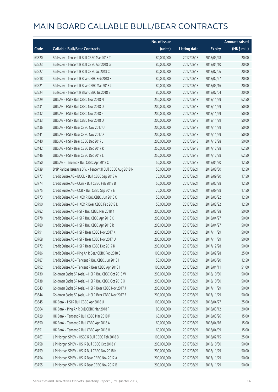|       |                                                            | No. of issue |                     |               | <b>Amount raised</b> |
|-------|------------------------------------------------------------|--------------|---------------------|---------------|----------------------|
| Code  | <b>Callable Bull/Bear Contracts</b>                        | (units)      | <b>Listing date</b> | <b>Expiry</b> | (HK\$ mil.)          |
| 63320 | SG Issuer - Tencent R Bull CBBC Mar 2018 T                 | 80,000,000   | 2017/08/18          | 2018/03/28    | 20.00                |
| 63523 | SG Issuer - Tencent R Bull CBBC Apr 2018 G                 | 80,000,000   | 2017/08/18          | 2018/04/10    | 20.00                |
| 63527 | SG Issuer - Tencent R Bull CBBC Jul 2018 C                 | 80,000,000   | 2017/08/18          | 2018/07/06    | 20.00                |
| 63518 | SG Issuer - Tencent R Bear CBBC Feb 2018 F                 | 80,000,000   | 2017/08/18          | 2018/02/27    | 20.00                |
| 63521 | SG Issuer - Tencent R Bear CBBC Mar 2018 J                 | 80,000,000   | 2017/08/18          | 2018/03/16    | 20.00                |
| 63524 | SG Issuer - Tencent R Bear CBBC Jul 2018 B                 | 80,000,000   | 2017/08/18          | 2018/07/04    | 20.00                |
| 63429 | UBS AG - HSI R Bull CBBC Nov 2018 N                        | 250,000,000  | 2017/08/18          | 2018/11/29    | 62.50                |
| 63431 | UBS AG - HSI R Bull CBBC Nov 2018 O                        | 200,000,000  | 2017/08/18          | 2018/11/29    | 50.00                |
| 63432 | UBS AG - HSI R Bull CBBC Nov 2018 P                        | 200,000,000  | 2017/08/18          | 2018/11/29    | 50.00                |
| 63433 | UBS AG - HSI R Bull CBBC Nov 2018 Q                        | 200,000,000  | 2017/08/18          | 2018/11/29    | 50.00                |
| 63436 | UBS AG - HSI R Bear CBBC Nov 2017 U                        | 200,000,000  | 2017/08/18          | 2017/11/29    | 50.00                |
| 63441 | UBS AG - HSI R Bear CBBC Nov 2017 X                        | 200,000,000  | 2017/08/18          | 2017/11/29    | 50.00                |
| 63440 | UBS AG - HSI R Bear CBBC Dec 2017 J                        | 200,000,000  | 2017/08/18          | 2017/12/28    | 50.00                |
| 63442 | UBS AG - HSI R Bear CBBC Dec 2017 K                        | 250,000,000  | 2017/08/18          | 2017/12/28    | 62.50                |
| 63446 | UBS AG - HSI R Bear CBBC Dec 2017 L                        | 250,000,000  | 2017/08/18          | 2017/12/28    | 62.50                |
| 63450 | UBS AG - Tencent R Bull CBBC Apr 2018 C                    | 50,000,000   | 2017/08/18          | 2018/04/20    | 12.50                |
| 63739 | BNP Paribas Issuance B.V. - Tencent R Bull CBBC Aug 2018 N | 50,000,000   | 2017/08/21          | 2018/08/30    | 12.50                |
| 63777 | Credit Suisse AG - BOCL R Bull CBBC Sep 2018 A             | 70,000,000   | 2017/08/21          | 2018/09/20    | 17.50                |
| 63774 | Credit Suisse AG - CUni R Bull CBBC Feb 2018 B             | 50,000,000   | 2017/08/21          | 2018/02/28    | 12.50                |
| 63775 | Credit Suisse AG - CCB R Bull CBBC Sep 2018 E              | 70,000,000   | 2017/08/21          | 2018/09/28    | 17.50                |
| 63773 | Credit Suisse AG - HKEX R Bull CBBC Jun 2018 C             | 50,000,000   | 2017/08/21          | 2018/06/22    | 12.50                |
| 63790 | Credit Suisse AG - HKEX R Bear CBBC Feb 2018 D             | 50,000,000   | 2017/08/21          | 2018/02/22    | 12.50                |
| 63782 | Credit Suisse AG - HSI R Bull CBBC Mar 2018 Y              | 200,000,000  | 2017/08/21          | 2018/03/28    | 50.00                |
| 63778 | Credit Suisse AG - HSI R Bull CBBC Apr 2018 C              | 200,000,000  | 2017/08/21          | 2018/04/27    | 50.00                |
| 63780 | Credit Suisse AG - HSI R Bull CBBC Apr 2018 R              | 200,000,000  | 2017/08/21          | 2018/04/27    | 50.00                |
| 63791 | Credit Suisse AG - HSI R Bear CBBC Nov 2017 K              | 200,000,000  | 2017/08/21          | 2017/11/29    | 50.00                |
| 63768 | Credit Suisse AG - HSI R Bear CBBC Nov 2017 U              | 200,000,000  | 2017/08/21          | 2017/11/29    | 50.00                |
| 63772 | Credit Suisse AG - HSI R Bear CBBC Dec 2017 K              | 200,000,000  | 2017/08/21          | 2017/12/28    | 50.00                |
| 63786 | Credit Suisse AG - Ping An R Bear CBBC Feb 2018 C          | 100,000,000  | 2017/08/21          | 2018/02/28    | 25.00                |
| 63787 | Credit Suisse AG - Tencent R Bull CBBC Jun 2018 I          | 50,000,000   | 2017/08/21          | 2018/06/20    | 12.50                |
| 63792 | Credit Suisse AG - Tencent R Bear CBBC Apr 2018 I          | 100,000,000  | 2017/08/21          | 2018/04/11    | 51.00                |
| 63730 | Goldman Sachs SP (Asia) - HSI R Bull CBBC Oct 2018 W       | 200,000,000  | 2017/08/21          | 2018/10/30    | 50.00                |
| 63738 | Goldman Sachs SP (Asia) - HSI R Bull CBBC Oct 2018 X       | 200,000,000  | 2017/08/21          | 2018/10/30    | 50.00                |
| 63643 | Goldman Sachs SP (Asia) - HSI R Bear CBBC Nov 2017 J       | 200,000,000  | 2017/08/21          | 2017/11/29    | 50.00                |
| 63644 | Goldman Sachs SP (Asia) - HSI R Bear CBBC Nov 2017 Z       | 200,000,000  | 2017/08/21          | 2017/11/29    | 50.00                |
| 63645 | HK Bank - HSI R Bull CBBC Apr 2018 U                       | 100,000,000  | 2017/08/21          | 2018/04/27    | 25.00                |
| 63664 | HK Bank - Ping An R Bull CBBC Mar 2018 F                   | 80,000,000   | 2017/08/21          | 2018/03/12    | 20.00                |
| 63729 | HK Bank - Tencent R Bull CBBC Mar 2018 P                   | 60,000,000   | 2017/08/21          | 2018/03/26    | 15.00                |
| 63650 | HK Bank - Tencent R Bull CBBC Apr 2018 A                   | 60,000,000   | 2017/08/21          | 2018/04/16    | 15.00                |
| 63651 | HK Bank - Tencent R Bull CBBC Apr 2018 H                   | 60,000,000   | 2017/08/21          | 2018/04/09    | 15.00                |
| 63767 | J P Morgan SP BV - HSBC R Bull CBBC Feb 2018 B             | 100,000,000  | 2017/08/21          | 2018/02/15    | 25.00                |
| 63758 | J P Morgan SP BV - HSI R Bull CBBC Oct 2018 Y              | 200,000,000  | 2017/08/21          | 2018/10/30    | 50.00                |
| 63759 | J P Morgan SP BV - HSI R Bull CBBC Nov 2018 N              | 200,000,000  | 2017/08/21          | 2018/11/29    | 50.00                |
| 63754 | J P Morgan SP BV - HSI R Bear CBBC Nov 2017 A              | 200,000,000  | 2017/08/21          | 2017/11/29    | 50.00                |
| 63755 | J P Morgan SP BV - HSI R Bear CBBC Nov 2017 B              | 200,000,000  | 2017/08/21          | 2017/11/29    | 50.00                |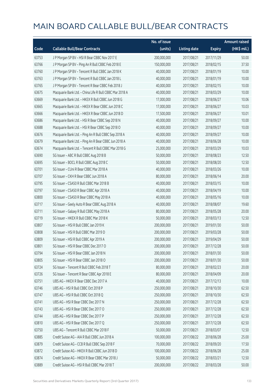|       |                                                         | No. of issue |                     |               | <b>Amount raised</b> |
|-------|---------------------------------------------------------|--------------|---------------------|---------------|----------------------|
| Code  | <b>Callable Bull/Bear Contracts</b>                     | (units)      | <b>Listing date</b> | <b>Expiry</b> | (HK\$ mil.)          |
| 63753 | J P Morgan SP BV - HSI R Bear CBBC Nov 2017 E           | 200,000,000  | 2017/08/21          | 2017/11/29    | 50.00                |
| 63766 | J P Morgan SP BV - Ping An R Bull CBBC Feb 2018 E       | 150,000,000  | 2017/08/21          | 2018/02/15    | 37.50                |
| 63760 | J P Morgan SP BV - Tencent R Bull CBBC Jan 2018 K       | 40,000,000   | 2017/08/21          | 2018/01/19    | 10.00                |
| 63763 | J P Morgan SP BV - Tencent R Bull CBBC Jan 2018 L       | 40,000,000   | 2017/08/21          | 2018/01/19    | 10.00                |
| 63765 | JP Morgan SP BV - Tencent R Bear CBBC Feb 2018 J        | 40,000,000   | 2017/08/21          | 2018/02/15    | 10.00                |
| 63675 | Macquarie Bank Ltd. - China Life R Bull CBBC Mar 2018 A | 40,000,000   | 2017/08/21          | 2018/03/29    | 10.00                |
| 63669 | Macquarie Bank Ltd. - HKEX R Bull CBBC Jun 2018 G       | 17,000,000   | 2017/08/21          | 2018/06/27    | 10.06                |
| 63665 | Macquarie Bank Ltd. - HKEX R Bear CBBC Jun 2018 C       | 17,000,000   | 2017/08/21          | 2018/06/27    | 10.03                |
| 63666 | Macquarie Bank Ltd. - HKEX R Bear CBBC Jun 2018 D       | 17,500,000   | 2017/08/21          | 2018/06/27    | 10.01                |
| 63686 | Macquarie Bank Ltd. - HSI R Bear CBBC Sep 2018 N        | 40,000,000   | 2017/08/21          | 2018/09/27    | 10.00                |
| 63688 | Macquarie Bank Ltd. - HSI R Bear CBBC Sep 2018 O        | 40,000,000   | 2017/08/21          | 2018/09/27    | 10.00                |
| 63676 | Macquarie Bank Ltd. - Ping An R Bull CBBC Sep 2018 A    | 40,000,000   | 2017/08/21          | 2018/09/27    | 10.00                |
| 63679 | Macquarie Bank Ltd. - Ping An R Bear CBBC Jun 2018 A    | 40,000,000   | 2017/08/21          | 2018/06/28    | 10.00                |
| 63674 | Macquarie Bank Ltd. - Tencent R Bull CBBC Mar 2018 G    | 25,000,000   | 2017/08/21          | 2018/03/29    | 10.03                |
| 63690 | SG Issuer - ABC R Bull CBBC Aug 2018 B                  | 50,000,000   | 2017/08/21          | 2018/08/23    | 12.50                |
| 63695 | SG Issuer - BOCL R Bull CBBC Aug 2018 C                 | 50,000,000   | 2017/08/21          | 2018/08/20    | 12.50                |
| 63701 | SG Issuer - CUni R Bear CBBC Mar 2018 A                 | 40,000,000   | 2017/08/21          | 2018/03/26    | 10.00                |
| 63707 | SG Issuer - CKH R Bear CBBC Jun 2018 A                  | 80,000,000   | 2017/08/21          | 2018/06/14    | 20.00                |
| 63795 | SG Issuer - CSA50 R Bull CBBC Mar 2018 B                | 40,000,000   | 2017/08/21          | 2018/03/15    | 10.00                |
| 63797 | SG Issuer - CSA50 R Bear CBBC Apr 2018 A                | 40,000,000   | 2017/08/21          | 2018/04/19    | 10.00                |
| 63800 | SG Issuer - CSA50 R Bear CBBC May 2018 A                | 40,000,000   | 2017/08/21          | 2018/05/16    | 10.00                |
| 63717 | SG Issuer - Geely Auto R Bear CBBC Aug 2018 A           | 40,000,000   | 2017/08/21          | 2018/08/07    | 19.60                |
| 63711 | SG Issuer - Galaxy R Bull CBBC May 2018 A               | 80,000,000   | 2017/08/21          | 2018/05/28    | 20.00                |
| 63719 | SG Issuer - HKEX R Bull CBBC Mar 2018 K                 | 50,000,000   | 2017/08/21          | 2018/03/13    | 12.50                |
| 63807 | SG Issuer - HSI R Bull CBBC Jan 2019 K                  | 200,000,000  | 2017/08/21          | 2019/01/30    | 50.00                |
| 63808 | SG Issuer - HSI R Bull CBBC Mar 2019 D                  | 200,000,000  | 2017/08/21          | 2019/03/28    | 50.00                |
| 63809 | SG Issuer - HSI R Bull CBBC Apr 2019 A                  | 200,000,000  | 2017/08/21          | 2019/04/29    | 50.00                |
| 63801 | SG Issuer - HSI R Bear CBBC Dec 2017 O                  | 200,000,000  | 2017/08/21          | 2017/12/28    | 50.00                |
| 63794 | SG Issuer - HSI R Bear CBBC Jan 2018 N                  | 200,000,000  | 2017/08/21          | 2018/01/30    | 50.00                |
| 63805 | SG Issuer - HSI R Bear CBBC Jan 2018 O                  | 200,000,000  | 2017/08/21          | 2018/01/30    | 50.00                |
| 63724 | SG Issuer - Tencent R Bull CBBC Feb 2018 T              | 80,000,000   | 2017/08/21          | 2018/02/23    | 20.00                |
| 63726 | SG Issuer - Tencent R Bear CBBC Apr 2018 E              | 80,000,000   | 2017/08/21          | 2018/04/09    | 20.00                |
| 63751 | UBS AG - HKEX R Bear CBBC Dec 2017 A                    | 40,000,000   | 2017/08/21          | 2017/12/13    | 10.00                |
| 63746 | UBS AG - HSI R Bull CBBC Oct 2018 P                     | 250,000,000  | 2017/08/21          | 2018/10/30    | 62.50                |
| 63747 | UBS AG - HSI R Bull CBBC Oct 2018 Q                     | 250,000,000  | 2017/08/21          | 2018/10/30    | 62.50                |
| 63741 | UBS AG - HSI R Bear CBBC Dec 2017 N                     | 250,000,000  | 2017/08/21          | 2017/12/28    | 62.50                |
| 63743 | UBS AG - HSI R Bear CBBC Dec 2017 O                     | 250,000,000  | 2017/08/21          | 2017/12/28    | 62.50                |
| 63744 | UBS AG - HSI R Bear CBBC Dec 2017 P                     | 250,000,000  | 2017/08/21          | 2017/12/28    | 62.50                |
| 63810 | UBS AG - HSI R Bear CBBC Dec 2017 Q                     | 250,000,000  | 2017/08/21          | 2017/12/28    | 62.50                |
| 63750 | UBS AG - Tencent R Bull CBBC Mar 2018 F                 | 50,000,000   | 2017/08/21          | 2018/03/07    | 12.50                |
| 63885 | Credit Suisse AG - AIA R Bull CBBC Jun 2018 A           | 100,000,000  | 2017/08/22          | 2018/06/28    | 25.00                |
| 63879 | Credit Suisse AG - CCB R Bull CBBC Sep 2018 F           | 70,000,000   | 2017/08/22          | 2018/09/20    | 17.50                |
| 63872 | Credit Suisse AG - HKEX R Bull CBBC Jun 2018 D          | 100,000,000  | 2017/08/22          | 2018/06/28    | 25.00                |
| 63874 | Credit Suisse AG - HKEX R Bear CBBC Mar 2018 J          | 50,000,000   | 2017/08/22          | 2018/03/21    | 12.50                |
| 63889 | Credit Suisse AG - HSI R Bull CBBC Mar 2018 T           | 200,000,000  | 2017/08/22          | 2018/03/28    | 50.00                |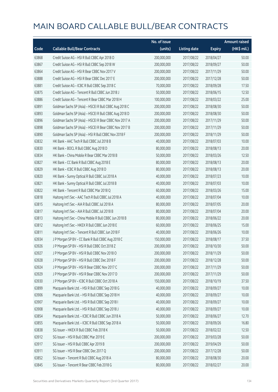|       |                                                         | No. of issue |                     |               | <b>Amount raised</b> |
|-------|---------------------------------------------------------|--------------|---------------------|---------------|----------------------|
| Code  | <b>Callable Bull/Bear Contracts</b>                     | (units)      | <b>Listing date</b> | <b>Expiry</b> | (HK\$ mil.)          |
| 63868 | Credit Suisse AG - HSI R Bull CBBC Apr 2018 O           | 200,000,000  | 2017/08/22          | 2018/04/27    | 50.00                |
| 63867 | Credit Suisse AG - HSI R Bull CBBC Sep 2018 W           | 200,000,000  | 2017/08/22          | 2018/09/27    | 50.00                |
| 63864 | Credit Suisse AG - HSI R Bear CBBC Nov 2017 V           | 200,000,000  | 2017/08/22          | 2017/11/29    | 50.00                |
| 63888 | Credit Suisse AG - HSI R Bear CBBC Dec 2017 E           | 200,000,000  | 2017/08/22          | 2017/12/28    | 50.00                |
| 63881 | Credit Suisse AG - ICBC R Bull CBBC Sep 2018 C          | 70,000,000   | 2017/08/22          | 2018/09/28    | 17.50                |
| 63875 | Credit Suisse AG - Tencent R Bull CBBC Jun 2018 J       | 50,000,000   | 2017/08/22          | 2018/06/15    | 12.50                |
| 63886 | Credit Suisse AG - Tencent R Bear CBBC Mar 2018 H       | 100,000,000  | 2017/08/22          | 2018/03/22    | 25.00                |
| 63891 | Goldman Sachs SP (Asia) - HSCEI R Bull CBBC Aug 2018 C  | 200,000,000  | 2017/08/22          | 2018/08/30    | 50.00                |
| 63893 | Goldman Sachs SP (Asia) - HSCEI R Bull CBBC Aug 2018 D  | 200,000,000  | 2017/08/22          | 2018/08/30    | 50.00                |
| 63896 | Goldman Sachs SP (Asia) - HSCEI R Bear CBBC Nov 2017 A  | 200,000,000  | 2017/08/22          | 2017/11/29    | 50.00                |
| 63898 | Goldman Sachs SP (Asia) - HSCEI R Bear CBBC Nov 2017 B  | 200,000,000  | 2017/08/22          | 2017/11/29    | 50.00                |
| 63890 | Goldman Sachs SP (Asia) - HSI R Bull CBBC Nov 2018 F    | 200,000,000  | 2017/08/22          | 2018/11/29    | 50.00                |
| 63832 | HK Bank - AAC Tech R Bull CBBC Jul 2018 B               | 40,000,000   | 2017/08/22          | 2018/07/03    | 10.00                |
| 63830 | HK Bank - BOCL R Bull CBBC Aug 2018 D                   | 80,000,000   | 2017/08/22          | 2018/08/13    | 20.00                |
| 63834 | HK Bank - China Mobile R Bear CBBC Mar 2018 B           | 50,000,000   | 2017/08/22          | 2018/03/26    | 12.50                |
| 63827 | HK Bank - CC Bank R Bull CBBC Aug 2018 E                | 80,000,000   | 2017/08/22          | 2018/08/13    | 20.00                |
| 63829 | HK Bank - ICBC R Bull CBBC Aug 2018 D                   | 80,000,000   | 2017/08/22          | 2018/08/13    | 20.00                |
| 63820 | HK Bank - Sunny Optical R Bull CBBC Jul 2018 A          | 40,000,000   | 2017/08/22          | 2018/07/23    | 10.00                |
| 63821 | HK Bank - Sunny Optical R Bull CBBC Jul 2018 B          | 40,000,000   | 2017/08/22          | 2018/07/03    | 10.00                |
| 63822 | HK Bank - Tencent R Bull CBBC Mar 2018 Q                | 60,000,000   | 2017/08/22          | 2018/03/26    | 15.00                |
| 63818 | Haitong Int'l Sec - AAC Tech R Bull CBBC Jul 2018 A     | 40,000,000   | 2017/08/22          | 2018/07/04    | 10.00                |
| 63815 | Haitong Int'l Sec - AIA R Bull CBBC Jul 2018 A          | 80,000,000   | 2017/08/22          | 2018/07/05    | 20.00                |
| 63817 | Haitong Int'l Sec - AIA R Bull CBBC Jul 2018 B          | 80,000,000   | 2017/08/22          | 2018/07/04    | 20.00                |
| 63813 | Haitong Int'l Sec - China Mobile R Bull CBBC Jun 2018 B | 80,000,000   | 2017/08/22          | 2018/06/22    | 20.00                |
| 63812 | Haitong Int'l Sec - HKEX R Bull CBBC Jun 2018 E         | 60,000,000   | 2017/08/22          | 2018/06/25    | 15.00                |
| 63811 | Haitong Int'l Sec - Tencent R Bull CBBC Jun 2018 F      | 40,000,000   | 2017/08/22          | 2018/06/26    | 10.00                |
| 63934 | J P Morgan SP BV - CC Bank R Bull CBBC Aug 2018 C       | 150,000,000  | 2017/08/22          | 2018/08/17    | 37.50                |
| 63926 | J P Morgan SP BV - HSI R Bull CBBC Oct 2018 Z           | 200,000,000  | 2017/08/22          | 2018/10/30    | 50.00                |
| 63927 | J P Morgan SP BV - HSI R Bull CBBC Nov 2018 O           | 200,000,000  | 2017/08/22          | 2018/11/29    | 50.00                |
| 63928 | J P Morgan SP BV - HSI R Bull CBBC Dec 2018 F           | 200,000,000  | 2017/08/22          | 2018/12/28    | 50.00                |
| 63924 | J P Morgan SP BV - HSI R Bear CBBC Nov 2017 C           | 200,000,000  | 2017/08/22          | 2017/11/29    | 50.00                |
| 63929 | J P Morgan SP BV - HSI R Bear CBBC Nov 2017 D           | 200,000,000  | 2017/08/22          | 2017/11/29    | 50.00                |
| 63930 | J P Morgan SP BV - ICBC R Bull CBBC Oct 2018 A          | 150,000,000  | 2017/08/22          | 2018/10/19    | 37.50                |
| 63899 | Macquarie Bank Ltd. - HSI R Bull CBBC Sep 2018 G        | 40,000,000   | 2017/08/22          | 2018/09/27    | 10.00                |
| 63906 | Macquarie Bank Ltd. - HSI R Bull CBBC Sep 2018 H        | 40,000,000   | 2017/08/22          | 2018/09/27    | 10.00                |
| 63907 | Macquarie Bank Ltd. - HSI R Bull CBBC Sep 2018 I        | 40,000,000   | 2017/08/22          | 2018/09/27    | 10.00                |
| 63908 | Macquarie Bank Ltd. - HSI R Bull CBBC Sep 2018 J        | 40,000,000   | 2017/08/22          | 2018/09/27    | 10.00                |
| 63854 | Macquarie Bank Ltd. - ICBC R Bull CBBC Jun 2018 A       | 50,000,000   | 2017/08/22          | 2018/06/27    | 12.70                |
| 63855 | Macquarie Bank Ltd. - ICBC R Bull CBBC Sep 2018 A       | 50,000,000   | 2017/08/22          | 2018/09/26    | 16.80                |
| 63838 | SG Issuer - HKEX R Bull CBBC Feb 2018 K                 | 50,000,000   | 2017/08/22          | 2018/02/22    | 12.50                |
| 63912 | SG Issuer - HSI R Bull CBBC Mar 2019 E                  | 200,000,000  | 2017/08/22          | 2019/03/28    | 50.00                |
| 63917 | SG Issuer - HSI R Bull CBBC Apr 2019 B                  | 200,000,000  | 2017/08/22          | 2019/04/29    | 50.00                |
| 63911 | SG Issuer - HSI R Bear CBBC Dec 2017 Q                  | 200,000,000  | 2017/08/22          | 2017/12/28    | 50.00                |
| 63852 | SG Issuer - Tencent R Bull CBBC Aug 2018 A              | 80,000,000   | 2017/08/22          | 2018/08/30    | 20.00                |
| 63845 | SG Issuer - Tencent R Bear CBBC Feb 2018 G              | 80,000,000   | 2017/08/22          | 2018/02/27    | 20.00                |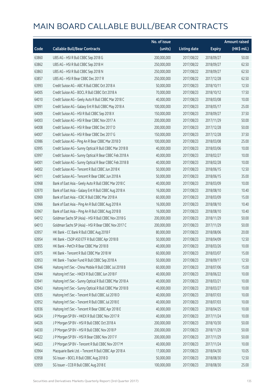|       |                                                          | No. of issue |                     |               | <b>Amount raised</b> |
|-------|----------------------------------------------------------|--------------|---------------------|---------------|----------------------|
| Code  | <b>Callable Bull/Bear Contracts</b>                      | (units)      | <b>Listing date</b> | <b>Expiry</b> | (HK\$ mil.)          |
| 63860 | UBS AG - HSI R Bull CBBC Sep 2018 G                      | 200,000,000  | 2017/08/22          | 2018/09/27    | 50.00                |
| 63862 | UBS AG - HSI R Bull CBBC Sep 2018 H                      | 250,000,000  | 2017/08/22          | 2018/09/27    | 62.50                |
| 63863 | UBS AG - HSI R Bull CBBC Sep 2018 N                      | 250,000,000  | 2017/08/22          | 2018/09/27    | 62.50                |
| 63857 | UBS AG - HSI R Bear CBBC Dec 2017 R                      | 250,000,000  | 2017/08/22          | 2017/12/28    | 62.50                |
| 63993 | Credit Suisse AG - ABC R Bull CBBC Oct 2018 A            | 50,000,000   | 2017/08/23          | 2018/10/11    | 12.50                |
| 64005 | Credit Suisse AG - BOCL R Bull CBBC Oct 2018 A           | 70,000,000   | 2017/08/23          | 2018/10/12    | 17.50                |
| 64010 | Credit Suisse AG - Geely Auto R Bull CBBC Mar 2018 C     | 40,000,000   | 2017/08/23          | 2018/03/08    | 10.00                |
| 63991 | Credit Suisse AG - Galaxy Ent R Bull CBBC May 2018 A     | 100,000,000  | 2017/08/23          | 2018/05/17    | 25.00                |
| 64009 | Credit Suisse AG - HSI R Bull CBBC Sep 2018 X            | 150,000,000  | 2017/08/23          | 2018/09/27    | 37.50                |
| 64003 | Credit Suisse AG - HSI R Bear CBBC Nov 2017 A            | 200,000,000  | 2017/08/23          | 2017/11/29    | 50.00                |
| 64008 | Credit Suisse AG - HSI R Bear CBBC Dec 2017 D            | 200,000,000  | 2017/08/23          | 2017/12/28    | 50.00                |
| 64007 | Credit Suisse AG - HSI R Bear CBBC Dec 2017 G            | 150,000,000  | 2017/08/23          | 2017/12/28    | 37.50                |
| 63986 | Credit Suisse AG - Ping An R Bear CBBC Mar 2018 D        | 100,000,000  | 2017/08/23          | 2018/03/08    | 25.00                |
| 63995 | Credit Suisse AG - Sunny Optical R Bull CBBC Mar 2018 B  | 40,000,000   | 2017/08/23          | 2018/03/06    | 10.00                |
| 63997 | Credit Suisse AG - Sunny Optical R Bear CBBC Feb 2018 A  | 40,000,000   | 2017/08/23          | 2018/02/27    | 10.00                |
| 64001 | Credit Suisse AG - Sunny Optical R Bear CBBC Feb 2018 B  | 40,000,000   | 2017/08/23          | 2018/02/28    | 10.00                |
| 64002 | Credit Suisse AG - Tencent R Bull CBBC Jun 2018 K        | 50,000,000   | 2017/08/23          | 2018/06/15    | 12.50                |
| 64011 | Credit Suisse AG - Tencent R Bear CBBC Jun 2018 A        | 50,000,000   | 2017/08/23          | 2018/06/15    | 35.00                |
| 63968 | Bank of East Asia - Geely Auto R Bull CBBC Mar 2018 C    | 40,000,000   | 2017/08/23          | 2018/03/09    | 10.00                |
| 63970 | Bank of East Asia - Galaxy Ent R Bull CBBC Aug 2018 A    | 16,000,000   | 2017/08/23          | 2018/08/10    | 10.40                |
| 63969 | Bank of East Asia - ICBC R Bull CBBC Mar 2018 A          | 60,000,000   | 2017/08/23          | 2018/03/09    | 15.00                |
| 63966 | Bank of East Asia - Ping An R Bull CBBC Aug 2018 A       | 16,000,000   | 2017/08/23          | 2018/08/10    | 10.40                |
| 63967 | Bank of East Asia - Ping An R Bull CBBC Aug 2018 B       | 16,000,000   | 2017/08/23          | 2018/08/10    | 10.40                |
| 64012 | Goldman Sachs SP (Asia) - HSI R Bull CBBC Nov 2018 G     | 200,000,000  | 2017/08/23          | 2018/11/29    | 50.00                |
| 64013 | Goldman Sachs SP (Asia) - HSI R Bear CBBC Nov 2017 C     | 200,000,000  | 2017/08/23          | 2017/11/29    | 50.00                |
| 63957 | HK Bank - CC Bank R Bull CBBC Aug 2018 F                 | 80,000,000   | 2017/08/23          | 2018/08/06    | 20.00                |
| 63954 | HK Bank - CSOP A50 ETF R Bull CBBC Apr 2018 B            | 50,000,000   | 2017/08/23          | 2018/04/09    | 12.50                |
| 63955 | HK Bank - PetCh R Bear CBBC Mar 2018 B                   | 40,000,000   | 2017/08/23          | 2018/03/26    | 10.00                |
| 63975 | HK Bank - Tencent R Bull CBBC Mar 2018 W                 | 60,000,000   | 2017/08/23          | 2018/03/07    | 15.00                |
| 63953 | HK Bank - Tracker Fund R Bull CBBC Sep 2018 A            | 50,000,000   | 2017/08/23          | 2018/09/17    | 12.50                |
| 63946 | Haitong Int'l Sec - China Mobile R Bull CBBC Jul 2018 B  | 60,000,000   | 2017/08/23          | 2018/07/06    | 15.00                |
| 63944 | Haitong Int'l Sec - HKEX R Bull CBBC Jun 2018 F          | 40,000,000   | 2017/08/23          | 2018/06/22    | 10.00                |
| 63941 | Haitong Int'l Sec - Sunny Optical R Bull CBBC Mar 2018 A | 40,000,000   | 2017/08/23          | 2018/03/21    | 10.00                |
| 63943 | Haitong Int'l Sec - Sunny Optical R Bull CBBC Mar 2018 B | 40,000,000   | 2017/08/23          | 2018/03/27    | 10.00                |
| 63935 | Haitong Int'l Sec - Tencent R Bull CBBC Jul 2018 D       | 40,000,000   | 2017/08/23          | 2018/07/03    | 10.00                |
| 63952 | Haitong Int'l Sec - Tencent R Bull CBBC Jul 2018 E       | 40,000,000   | 2017/08/23          | 2018/07/03    | 10.00                |
| 63936 | Haitong Int'l Sec - Tencent R Bear CBBC Apr 2018 E       | 40,000,000   | 2017/08/23          | 2018/04/25    | 10.00                |
| 64024 | J P Morgan SP BV - HKEX R Bull CBBC Nov 2017 R           | 40,000,000   | 2017/08/23          | 2017/11/24    | 10.00                |
| 64026 | J P Morgan SP BV - HSI R Bull CBBC Oct 2018 A            | 200,000,000  | 2017/08/23          | 2018/10/30    | 50.00                |
| 64030 | J P Morgan SP BV - HSI R Bull CBBC Nov 2018 P            | 200,000,000  | 2017/08/23          | 2018/11/29    | 50.00                |
| 64022 | J P Morgan SP BV - HSI R Bear CBBC Nov 2017 F            | 200,000,000  | 2017/08/23          | 2017/11/29    | 50.00                |
| 64023 | J P Morgan SP BV - Tencent R Bull CBBC Nov 2017 M        | 40,000,000   | 2017/08/23          | 2017/11/24    | 10.00                |
| 63964 | Macquarie Bank Ltd. - Tencent R Bull CBBC Apr 2018 A     | 17,000,000   | 2017/08/23          | 2018/04/30    | 10.05                |
| 63958 | SG Issuer - BOCL R Bull CBBC Aug 2018 D                  | 50,000,000   | 2017/08/23          | 2018/08/30    | 12.50                |
| 63959 | SG Issuer - CCB R Bull CBBC Aug 2018 E                   | 100,000,000  | 2017/08/23          | 2018/08/30    | 25.00                |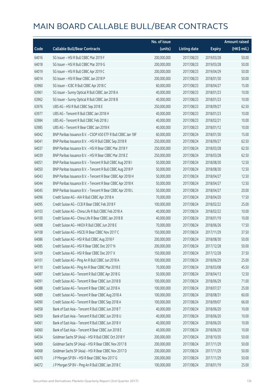|       |                                                              | No. of issue |                     |               | <b>Amount raised</b> |
|-------|--------------------------------------------------------------|--------------|---------------------|---------------|----------------------|
| Code  | <b>Callable Bull/Bear Contracts</b>                          | (units)      | <b>Listing date</b> | <b>Expiry</b> | (HK\$ mil.)          |
| 64016 | SG Issuer - HSI R Bull CBBC Mar 2019 F                       | 200,000,000  | 2017/08/23          | 2019/03/28    | 50.00                |
| 64018 | SG Issuer - HSI R Bull CBBC Mar 2019 G                       | 200,000,000  | 2017/08/23          | 2019/03/28    | 50.00                |
| 64019 | SG Issuer - HSI R Bull CBBC Apr 2019 C                       | 200,000,000  | 2017/08/23          | 2019/04/29    | 50.00                |
| 64014 | SG Issuer - HSI R Bear CBBC Jan 2018 P                       | 200,000,000  | 2017/08/23          | 2018/01/30    | 50.00                |
| 63960 | SG Issuer - ICBC R Bull CBBC Apr 2018 C                      | 60,000,000   | 2017/08/23          | 2018/04/27    | 15.00                |
| 63961 | SG Issuer - Sunny Optical R Bull CBBC Jan 2018 A             | 40,000,000   | 2017/08/23          | 2018/01/23    | 10.00                |
| 63962 | SG Issuer - Sunny Optical R Bull CBBC Jan 2018 B             | 40,000,000   | 2017/08/23          | 2018/01/23    | 10.00                |
| 63976 | UBS AG - HSI R Bull CBBC Sep 2018 E                          | 250,000,000  | 2017/08/23          | 2018/09/27    | 62.50                |
| 63977 | UBS AG - Tencent R Bull CBBC Jan 2018 H                      | 40,000,000   | 2017/08/23          | 2018/01/23    | 10.00                |
| 63984 | UBS AG - Tencent R Bull CBBC Feb 2018 J                      | 40,000,000   | 2017/08/23          | 2018/02/21    | 10.00                |
| 63985 | UBS AG - Tencent R Bear CBBC Jan 2018 K                      | 40,000,000   | 2017/08/23          | 2018/01/12    | 10.00                |
| 64042 | BNP Paribas Issuance B.V. - CSOP A50 ETF R Bull CBBC Jan 18F | 60,000,000   | 2017/08/24          | 2018/01/30    | 15.00                |
| 64041 | BNP Paribas Issuance B.V. - HSI R Bull CBBC Sep 2018 R       | 250,000,000  | 2017/08/24          | 2018/09/27    | 62.50                |
| 64037 | BNP Paribas Issuance B.V. - HSI R Bear CBBC Mar 2018 Y       | 250,000,000  | 2017/08/24          | 2018/03/28    | 62.50                |
| 64039 | BNP Paribas Issuance B.V. - HSI R Bear CBBC Mar 2018 Z       | 250,000,000  | 2017/08/24          | 2018/03/28    | 62.50                |
| 64051 | BNP Paribas Issuance B.V. - Tencent R Bull CBBC Aug 2018 I   | 50,000,000   | 2017/08/24          | 2018/08/30    | 12.50                |
| 64050 | BNP Paribas Issuance B.V. - Tencent R Bull CBBC Aug 2018 P   | 50,000,000   | 2017/08/24          | 2018/08/30    | 12.50                |
| 64043 | BNP Paribas Issuance B.V. - Tencent R Bear CBBC Apr 2018 H   | 50,000,000   | 2017/08/24          | 2018/04/27    | 12.50                |
| 64044 | BNP Paribas Issuance B.V. - Tencent R Bear CBBC Apr 2018 K   | 50,000,000   | 2017/08/24          | 2018/04/27    | 12.50                |
| 64045 | BNP Paribas Issuance B.V. - Tencent R Bear CBBC Apr 2018 L   | 50,000,000   | 2017/08/24          | 2018/04/27    | 20.00                |
| 64096 | Credit Suisse AG - AIA R Bull CBBC Apr 2018 A                | 70,000,000   | 2017/08/24          | 2018/04/20    | 17.50                |
| 64095 | Credit Suisse AG - CCB R Bear CBBC Feb 2018 F                | 100,000,000  | 2017/08/24          | 2018/02/22    | 25.00                |
| 64103 | Credit Suisse AG - China Life R Bull CBBC Feb 2018 A         | 40,000,000   | 2017/08/24          | 2018/02/22    | 10.00                |
| 64100 | Credit Suisse AG - China Life R Bear CBBC Jan 2018 B         | 40,000,000   | 2017/08/24          | 2018/01/19    | 10.00                |
| 64098 | Credit Suisse AG - HKEX R Bull CBBC Jun 2018 E               | 70,000,000   | 2017/08/24          | 2018/06/26    | 17.50                |
| 64108 | Credit Suisse AG - HSCEI R Bear CBBC Nov 2017 C              | 150,000,000  | 2017/08/24          | 2017/11/29    | 37.50                |
| 64086 | Credit Suisse AG - HSI R Bull CBBC Aug 2018 F                | 200,000,000  | 2017/08/24          | 2018/08/30    | 50.00                |
| 64085 | Credit Suisse AG - HSI R Bear CBBC Dec 2017 N                | 200,000,000  | 2017/08/24          | 2017/12/28    | 50.00                |
| 64109 | Credit Suisse AG - HSI R Bear CBBC Dec 2017 X                | 150,000,000  | 2017/08/24          | 2017/12/28    | 37.50                |
| 64101 | Credit Suisse AG - Ping An R Bull CBBC Jun 2018 A            | 100,000,000  | 2017/08/24          | 2018/06/29    | 25.00                |
| 64110 | Credit Suisse AG - Ping An R Bear CBBC Mar 2018 E            | 70,000,000   | 2017/08/24          | 2018/03/08    | 45.50                |
| 64087 | Credit Suisse AG - Tencent R Bull CBBC Apr 2018 G            | 50,000,000   | 2017/08/24          | 2018/04/13    | 12.50                |
| 64091 | Credit Suisse AG - Tencent R Bear CBBC Jun 2018 B            | 100,000,000  | 2017/08/24          | 2018/06/29    | 71.00                |
| 64088 | Credit Suisse AG - Tencent R Bear CBBC Jul 2018 A            | 100,000,000  | 2017/08/24          | 2018/07/27    | 25.00                |
| 64089 | Credit Suisse AG - Tencent R Bear CBBC Aug 2018 A            | 100,000,000  | 2017/08/24          | 2018/08/31    | 60.00                |
| 64090 | Credit Suisse AG - Tencent R Bear CBBC Sep 2018 A            | 100,000,000  | 2017/08/24          | 2018/09/07    | 66.00                |
| 64058 | Bank of East Asia - Tencent R Bull CBBC Jun 2018 T           | 40,000,000   | 2017/08/24          | 2018/06/20    | 10.00                |
| 64059 | Bank of East Asia - Tencent R Bull CBBC Jun 2018 U           | 40,000,000   | 2017/08/24          | 2018/06/20    | 10.00                |
| 64061 | Bank of East Asia - Tencent R Bull CBBC Jun 2018 V           | 40,000,000   | 2017/08/24          | 2018/06/20    | 10.00                |
| 64060 | Bank of East Asia - Tencent R Bear CBBC Jun 2018 E           | 40,000,000   | 2017/08/24          | 2018/06/20    | 10.00                |
| 64034 | Goldman Sachs SP (Asia) - HSI R Bull CBBC Oct 2018 Y         | 200,000,000  | 2017/08/24          | 2018/10/30    | 50.00                |
| 64069 | Goldman Sachs SP (Asia) - HSI R Bear CBBC Nov 2017 B         | 200,000,000  | 2017/08/24          | 2017/11/29    | 50.00                |
| 64068 | Goldman Sachs SP (Asia) - HSI R Bear CBBC Nov 2017 D         | 200,000,000  | 2017/08/24          | 2017/11/29    | 50.00                |
| 64070 | J P Morgan SP BV - HSI R Bear CBBC Nov 2017 G                | 200,000,000  | 2017/08/24          | 2017/11/29    | 50.00                |
| 64072 | J P Morgan SP BV - Ping An R Bull CBBC Jan 2018 C            | 100,000,000  | 2017/08/24          | 2018/01/19    | 25.00                |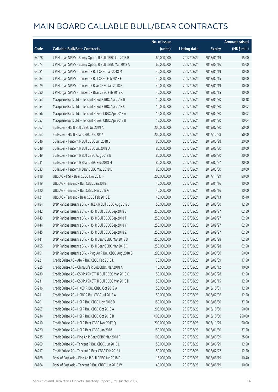|       |                                                            | No. of issue  |                     |               | <b>Amount raised</b> |
|-------|------------------------------------------------------------|---------------|---------------------|---------------|----------------------|
| Code  | <b>Callable Bull/Bear Contracts</b>                        | (units)       | <b>Listing date</b> | <b>Expiry</b> | $(HK$$ mil.)         |
| 64078 | J P Morgan SP BV - Sunny Optical R Bull CBBC Jan 2018 B    | 60,000,000    | 2017/08/24          | 2018/01/19    | 15.00                |
| 64074 | J P Morgan SP BV - Sunny Optical R Bull CBBC Mar 2018 A    | 60,000,000    | 2017/08/24          | 2018/03/16    | 15.00                |
| 64081 | J P Morgan SP BV - Tencent R Bull CBBC Jan 2018 M          | 40,000,000    | 2017/08/24          | 2018/01/19    | 10.00                |
| 64084 | J P Morgan SP BV - Tencent R Bull CBBC Feb 2018 F          | 40,000,000    | 2017/08/24          | 2018/02/15    | 10.00                |
| 64079 | J P Morgan SP BV - Tencent R Bear CBBC Jan 2018 E          | 40,000,000    | 2017/08/24          | 2018/01/19    | 10.00                |
| 64080 | J P Morgan SP BV - Tencent R Bear CBBC Feb 2018 K          | 40,000,000    | 2017/08/24          | 2018/02/15    | 10.00                |
| 64053 | Macquarie Bank Ltd. - Tencent R Bull CBBC Apr 2018 B       | 16,000,000    | 2017/08/24          | 2018/04/30    | 10.48                |
| 64054 | Macquarie Bank Ltd. - Tencent R Bull CBBC Apr 2018 C       | 16,000,000    | 2017/08/24          | 2018/04/30    | 10.02                |
| 64056 | Macquarie Bank Ltd. - Tencent R Bear CBBC Apr 2018 A       | 16,000,000    | 2017/08/24          | 2018/04/30    | 10.02                |
| 64057 | Macquarie Bank Ltd. - Tencent R Bear CBBC Apr 2018 B       | 15,000,000    | 2017/08/24          | 2018/04/30    | 10.04                |
| 64067 | SG Issuer - HSI R Bull CBBC Jul 2019 A                     | 200,000,000   | 2017/08/24          | 2019/07/30    | 50.00                |
| 64063 | SG Issuer - HSI R Bear CBBC Dec 2017 I                     | 200,000,000   | 2017/08/24          | 2017/12/28    | 50.00                |
| 64046 | SG Issuer - Tencent R Bull CBBC Jun 2018 E                 | 80,000,000    | 2017/08/24          | 2018/06/28    | 20.00                |
| 64048 | SG Issuer - Tencent R Bull CBBC Jul 2018 D                 | 80,000,000    | 2017/08/24          | 2018/07/30    | 20.00                |
| 64049 | SG Issuer - Tencent R Bull CBBC Aug 2018 B                 | 80,000,000    | 2017/08/24          | 2018/08/30    | 20.00                |
| 64031 | SG Issuer - Tencent R Bear CBBC Feb 2018 H                 | 80,000,000    | 2017/08/24          | 2018/02/27    | 20.00                |
| 64033 | SG Issuer - Tencent R Bear CBBC May 2018 B                 | 80,000,000    | 2017/08/24          | 2018/05/30    | 20.00                |
| 64118 | UBS AG - HSI R Bear CBBC Nov 2017 F                        | 200,000,000   | 2017/08/24          | 2017/11/29    | 50.00                |
| 64119 | UBS AG - Tencent R Bull CBBC Jan 2018 I                    | 40,000,000    | 2017/08/24          | 2018/01/16    | 10.00                |
| 64120 | UBS AG - Tencent R Bull CBBC Mar 2018 G                    | 40,000,000    | 2017/08/24          | 2018/03/16    | 10.00                |
| 64121 | UBS AG - Tencent R Bear CBBC Feb 2018 E                    | 40,000,000    | 2017/08/24          | 2018/02/13    | 15.40                |
| 64154 | BNP Paribas Issuance B.V. - HKEX R Bull CBBC Aug 2018 J    | 50,000,000    | 2017/08/25          | 2018/08/30    | 12.50                |
| 64142 | BNP Paribas Issuance B.V. - HSI R Bull CBBC Sep 2018 S     | 250,000,000   | 2017/08/25          | 2018/09/27    | 62.50                |
| 64143 | BNP Paribas Issuance B.V. - HSI R Bull CBBC Sep 2018 T     | 250,000,000   | 2017/08/25          | 2018/09/27    | 62.50                |
| 64144 | BNP Paribas Issuance B.V. - HSI R Bull CBBC Sep 2018 Y     | 250,000,000   | 2017/08/25          | 2018/09/27    | 62.50                |
| 64145 | BNP Paribas Issuance B.V. - HSI R Bull CBBC Sep 2018 Z     | 250,000,000   | 2017/08/25          | 2018/09/27    | 62.50                |
| 64141 | BNP Paribas Issuance B.V. - HSI R Bear CBBC Mar 2018 B     | 250,000,000   | 2017/08/25          | 2018/03/28    | 62.50                |
| 64155 | BNP Paribas Issuance B.V. - HSI R Bear CBBC Mar 2018 C     | 250,000,000   | 2017/08/25          | 2018/03/28    | 62.50                |
| 64151 | BNP Paribas Issuance B.V. - Ping An R Bull CBBC Aug 2018 G | 200,000,000   | 2017/08/25          | 2018/08/30    | 50.00                |
| 64221 | Credit Suisse AG - AIA R Bull CBBC Feb 2018 D              | 70,000,000    | 2017/08/25          | 2018/02/09    | 17.50                |
| 64225 | Credit Suisse AG - China Life R Bull CBBC Mar 2018 A       | 40,000,000    | 2017/08/25          | 2018/03/12    | 10.00                |
| 64230 | Credit Suisse AG - CSOP A50 ETF R Bull CBBC Mar 2018 C     | 50,000,000    | 2017/08/25          | 2018/03/28    | 12.50                |
| 64231 | Credit Suisse AG - CSOP A50 ETF R Bull CBBC Mar 2018 D     | 50,000,000    | 2017/08/25          | 2018/03/15    | 12.50                |
| 64216 | Credit Suisse AG - HKEX R Bull CBBC Oct 2018 A             | 50,000,000    | 2017/08/25          | 2018/10/31    | 12.50                |
| 64211 | Credit Suisse AG - HSBC R Bull CBBC Jul 2018 A             | 50,000,000    | 2017/08/25          | 2018/07/06    | 12.50                |
| 64201 | Credit Suisse AG - HSI R Bull CBBC May 2018 D              | 150,000,000   | 2017/08/25          | 2018/05/30    | 37.50                |
| 64207 | Credit Suisse AG - HSI R Bull CBBC Oct 2018 A              | 200,000,000   | 2017/08/25          | 2018/10/30    | 50.00                |
| 64234 | Credit Suisse AG - HSI R Bull CBBC Oct 2018 B              | 1,000,000,000 | 2017/08/25          | 2018/10/30    | 250.00               |
| 64210 | Credit Suisse AG - HSI R Bear CBBC Nov 2017 Q              | 200,000,000   | 2017/08/25          | 2017/11/29    | 50.00                |
| 64220 | Credit Suisse AG - HSI R Bear CBBC Jan 2018 L              | 150,000,000   | 2017/08/25          | 2018/01/30    | 37.50                |
| 64235 | Credit Suisse AG - Ping An R Bear CBBC Mar 2018 F          | 100,000,000   | 2017/08/25          | 2018/03/09    | 25.00                |
| 64209 | Credit Suisse AG - Tencent R Bull CBBC Jun 2018 L          | 50,000,000    | 2017/08/25          | 2018/06/29    | 12.50                |
| 64217 | Credit Suisse AG - Tencent R Bear CBBC Feb 2018 L          | 50,000,000    | 2017/08/25          | 2018/02/22    | 12.50                |
| 64168 | Bank of East Asia - Ping An R Bull CBBC Jun 2018 F         | 16,000,000    | 2017/08/25          | 2018/06/19    | 10.40                |
| 64164 | Bank of East Asia - Tencent R Bull CBBC Jun 2018 W         | 40,000,000    | 2017/08/25          | 2018/06/19    | 10.00                |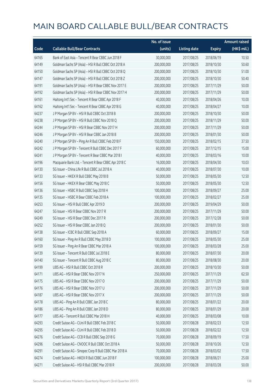|       |                                                        | No. of issue |                     |               | <b>Amount raised</b> |
|-------|--------------------------------------------------------|--------------|---------------------|---------------|----------------------|
| Code  | <b>Callable Bull/Bear Contracts</b>                    | (units)      | <b>Listing date</b> | <b>Expiry</b> | (HK\$ mil.)          |
| 64165 | Bank of East Asia - Tencent R Bear CBBC Jun 2018 F     | 30,000,000   | 2017/08/25          | 2018/06/19    | 10.50                |
| 64149 | Goldman Sachs SP (Asia) - HSI R Bull CBBC Oct 2018 A   | 200,000,000  | 2017/08/25          | 2018/10/30    | 50.60                |
| 64150 | Goldman Sachs SP (Asia) - HSI R Bull CBBC Oct 2018 Q   | 200,000,000  | 2017/08/25          | 2018/10/30    | 51.00                |
| 64147 | Goldman Sachs SP (Asia) - HSI R Bull CBBC Oct 2018 Z   | 200,000,000  | 2017/08/25          | 2018/10/30    | 50.40                |
| 64191 | Goldman Sachs SP (Asia) - HSI R Bear CBBC Nov 2017 E   | 200,000,000  | 2017/08/25          | 2017/11/29    | 50.00                |
| 64192 | Goldman Sachs SP (Asia) - HSI R Bear CBBC Nov 2017 H   | 200,000,000  | 2017/08/25          | 2017/11/29    | 50.00                |
| 64161 | Haitong Int'l Sec - Tencent R Bear CBBC Apr 2018 F     | 40,000,000   | 2017/08/25          | 2018/04/26    | 10.00                |
| 64162 | Haitong Int'l Sec - Tencent R Bear CBBC Apr 2018 G     | 40,000,000   | 2017/08/25          | 2018/04/27    | 10.00                |
| 64237 | J P Morgan SP BV - HSI R Bull CBBC Oct 2018 B          | 200,000,000  | 2017/08/25          | 2018/10/30    | 50.00                |
| 64238 | J P Morgan SP BV - HSI R Bull CBBC Nov 2018 Q          | 200,000,000  | 2017/08/25          | 2018/11/29    | 50.00                |
| 64244 | J P Morgan SP BV - HSI R Bear CBBC Nov 2017 H          | 200,000,000  | 2017/08/25          | 2017/11/29    | 50.00                |
| 64246 | J P Morgan SP BV - HSI R Bear CBBC Jan 2018 B          | 200,000,000  | 2017/08/25          | 2018/01/30    | 50.00                |
| 64240 | J P Morgan SP BV - Ping An R Bull CBBC Feb 2018 F      | 150,000,000  | 2017/08/25          | 2018/02/15    | 37.50                |
| 64242 | J P Morgan SP BV - Tencent R Bull CBBC Dec 2017 F      | 60,000,000   | 2017/08/25          | 2017/12/15    | 15.00                |
| 64241 | JP Morgan SP BV - Tencent R Bear CBBC Mar 2018 I       | 40,000,000   | 2017/08/25          | 2018/03/16    | 10.00                |
| 64196 | Macquarie Bank Ltd. - Tencent R Bear CBBC Apr 2018 C   | 16,000,000   | 2017/08/25          | 2018/04/30    | 10.03                |
| 64130 | SG Issuer - China Life R Bull CBBC Jul 2018 A          | 40,000,000   | 2017/08/25          | 2018/07/30    | 10.00                |
| 64133 | SG Issuer - HKEX R Bull CBBC May 2018 B                | 50,000,000   | 2017/08/25          | 2018/05/30    | 12.50                |
| 64156 | SG Issuer - HKEX R Bear CBBC May 2018 C                | 50,000,000   | 2017/08/25          | 2018/05/30    | 12.50                |
| 64136 | SG Issuer - HSBC R Bull CBBC Sep 2018 H                | 100,000,000  | 2017/08/25          | 2018/09/27    | 25.00                |
| 64135 | SG Issuer - HSBC R Bear CBBC Feb 2018 A                | 100,000,000  | 2017/08/25          | 2018/02/27    | 25.00                |
| 64253 | SG Issuer - HSI R Bull CBBC Apr 2019 D                 | 200,000,000  | 2017/08/25          | 2019/04/29    | 50.00                |
| 64247 | SG Issuer - HSI R Bear CBBC Nov 2017 R                 | 200,000,000  | 2017/08/25          | 2017/11/29    | 50.00                |
| 64249 | SG Issuer - HSI R Bear CBBC Dec 2017 R                 | 200,000,000  | 2017/08/25          | 2017/12/28    | 50.00                |
| 64252 | SG Issuer - HSI R Bear CBBC Jan 2018 Q                 | 200,000,000  | 2017/08/25          | 2018/01/30    | 50.00                |
| 64138 | SG Issuer - ICBC R Bull CBBC Sep 2018 A                | 60,000,000   | 2017/08/25          | 2018/09/27    | 15.00                |
| 64160 | SG Issuer - Ping An R Bull CBBC May 2018 D             | 100,000,000  | 2017/08/25          | 2018/05/30    | 25.00                |
| 64159 | SG Issuer - Ping An R Bear CBBC Mar 2018 A             | 100,000,000  | 2017/08/25          | 2018/03/28    | 25.00                |
| 64139 | SG Issuer - Tencent R Bull CBBC Jul 2018 E             | 80,000,000   | 2017/08/25          | 2018/07/30    | 20.00                |
| 64140 | SG Issuer - Tencent R Bull CBBC Aug 2018 C             | 80,000,000   | 2017/08/25          | 2018/08/30    | 20.00                |
| 64199 | UBS AG - HSI R Bull CBBC Oct 2018 R                    | 200,000,000  | 2017/08/25          | 2018/10/30    | 50.00                |
| 64171 | UBS AG - HSI R Bear CBBC Nov 2017 N                    | 250,000,000  | 2017/08/25          | 2017/11/29    | 62.50                |
| 64175 | UBS AG - HSI R Bear CBBC Nov 2017 O                    | 200,000,000  | 2017/08/25          | 2017/11/29    | 50.00                |
| 64176 | UBS AG - HSI R Bear CBBC Nov 2017 U                    | 200,000,000  | 2017/08/25          | 2017/11/29    | 50.00                |
| 64187 | UBS AG - HSI R Bear CBBC Nov 2017 X                    | 200,000,000  | 2017/08/25          | 2017/11/29    | 50.00                |
| 64178 | UBS AG - Ping An R Bull CBBC Jan 2018 C                | 80,000,000   | 2017/08/25          | 2018/01/22    | 20.00                |
| 64186 | UBS AG - Ping An R Bull CBBC Jan 2018 D                | 80,000,000   | 2017/08/25          | 2018/01/29    | 20.00                |
| 64177 | UBS AG - Tencent R Bull CBBC Mar 2018 H                | 40,000,000   | 2017/08/25          | 2018/03/08    | 10.00                |
| 64293 | Credit Suisse AG - CUni R Bull CBBC Feb 2018 C         | 50,000,000   | 2017/08/28          | 2018/02/23    | 12.50                |
| 64295 | Credit Suisse AG - CUni R Bull CBBC Feb 2018 D         | 50,000,000   | 2017/08/28          | 2018/02/22    | 12.50                |
| 64276 | Credit Suisse AG - CCB R Bull CBBC Sep 2018 G          | 70,000,000   | 2017/08/28          | 2018/09/19    | 17.50                |
| 64296 | Credit Suisse AG - CNOOC R Bull CBBC Oct 2018 A        | 50,000,000   | 2017/08/28          | 2018/10/26    | 12.50                |
| 64291 | Credit Suisse AG - Sinopec Corp R Bull CBBC Mar 2018 A | 70,000,000   | 2017/08/28          | 2018/03/02    | 17.50                |
| 64274 | Credit Suisse AG - HKEX R Bull CBBC Jun 2018 F         | 100,000,000  | 2017/08/28          | 2018/06/21    | 25.00                |
| 64271 | Credit Suisse AG - HSI R Bull CBBC Mar 2018 R          | 200,000,000  | 2017/08/28          | 2018/03/28    | 50.00                |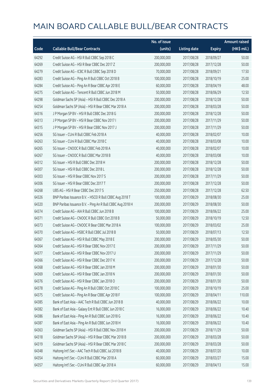|       |                                                            | No. of issue |                     |               | <b>Amount raised</b> |
|-------|------------------------------------------------------------|--------------|---------------------|---------------|----------------------|
| Code  | <b>Callable Bull/Bear Contracts</b>                        | (units)      | <b>Listing date</b> | <b>Expiry</b> | (HK\$ mil.)          |
| 64292 | Credit Suisse AG - HSI R Bull CBBC Sep 2018 C              | 200,000,000  | 2017/08/28          | 2018/09/27    | 50.00                |
| 64269 | Credit Suisse AG - HSI R Bear CBBC Dec 2017 Z              | 200,000,000  | 2017/08/28          | 2017/12/28    | 50.00                |
| 64279 | Credit Suisse AG - ICBC R Bull CBBC Sep 2018 D             | 70,000,000   | 2017/08/28          | 2018/09/21    | 17.50                |
| 64283 | Credit Suisse AG - Ping An R Bull CBBC Oct 2018 B          | 100,000,000  | 2017/08/28          | 2018/10/19    | 25.00                |
| 64284 | Credit Suisse AG - Ping An R Bear CBBC Apr 2018 E          | 60,000,000   | 2017/08/28          | 2018/04/19    | 48.00                |
| 64275 | Credit Suisse AG - Tencent R Bull CBBC Jun 2018 M          | 50,000,000   | 2017/08/28          | 2018/06/29    | 12.50                |
| 64298 | Goldman Sachs SP (Asia) - HSI R Bull CBBC Dec 2018 A       | 200,000,000  | 2017/08/28          | 2018/12/28    | 50.00                |
| 64254 | Goldman Sachs SP (Asia) - HSI R Bear CBBC Mar 2018 A       | 200,000,000  | 2017/08/28          | 2018/03/28    | 50.00                |
| 64316 | J P Morgan SP BV - HSI R Bull CBBC Dec 2018 G              | 200,000,000  | 2017/08/28          | 2018/12/28    | 50.00                |
| 64313 | JP Morgan SP BV - HSIR Bear CBBC Nov 2017 I                | 200,000,000  | 2017/08/28          | 2017/11/29    | 50.00                |
| 64315 | J P Morgan SP BV - HSI R Bear CBBC Nov 2017 J              | 200,000,000  | 2017/08/28          | 2017/11/29    | 50.00                |
| 64256 | SG Issuer - CUni R Bull CBBC Feb 2018 A                    | 40,000,000   | 2017/08/28          | 2018/02/07    | 10.00                |
| 64263 | SG Issuer - CUni R Bull CBBC Mar 2018 C                    | 40,000,000   | 2017/08/28          | 2018/03/08    | 10.00                |
| 64265 | SG Issuer - CNOOC R Bull CBBC Feb 2018 A                   | 40,000,000   | 2017/08/28          | 2018/02/07    | 10.00                |
| 64267 | SG Issuer - CNOOC R Bull CBBC Mar 2018 B                   | 40,000,000   | 2017/08/28          | 2018/03/08    | 10.00                |
| 64312 | SG Issuer - HSI R Bull CBBC Dec 2018 H                     | 200,000,000  | 2017/08/28          | 2018/12/28    | 50.00                |
| 64307 | SG Issuer - HSI R Bull CBBC Dec 2018 L                     | 200,000,000  | 2017/08/28          | 2018/12/28    | 50.00                |
| 64303 | SG Issuer - HSI R Bear CBBC Nov 2017 S                     | 200,000,000  | 2017/08/28          | 2017/11/29    | 50.00                |
| 64306 | SG Issuer - HSI R Bear CBBC Dec 2017 T                     | 200,000,000  | 2017/08/28          | 2017/12/28    | 50.00                |
| 64268 | UBS AG - HSI R Bear CBBC Dec 2017 S                        | 250,000,000  | 2017/08/28          | 2017/12/28    | 62.50                |
| 64326 | BNP Paribas Issuance B.V. - HSCEI R Bull CBBC Aug 2018 T   | 100,000,000  | 2017/08/29          | 2018/08/30    | 25.00                |
| 64320 | BNP Paribas Issuance B.V. - Ping An R Bull CBBC Aug 2018 H | 200,000,000  | 2017/08/29          | 2018/08/30    | 50.00                |
| 64374 | Credit Suisse AG - AIA R Bull CBBC Jun 2018 B              | 100,000,000  | 2017/08/29          | 2018/06/22    | 25.00                |
| 64371 | Credit Suisse AG - CNOOC R Bull CBBC Oct 2018 B            | 50,000,000   | 2017/08/29          | 2018/10/19    | 12.50                |
| 64373 | Credit Suisse AG - CNOOC R Bear CBBC Mar 2018 A            | 100,000,000  | 2017/08/29          | 2018/03/02    | 25.00                |
| 64370 | Credit Suisse AG - HSBC R Bull CBBC Jul 2018 B             | 50,000,000   | 2017/08/29          | 2018/07/13    | 12.50                |
| 64367 | Credit Suisse AG - HSI R Bull CBBC May 2018 E              | 200,000,000  | 2017/08/29          | 2018/05/30    | 50.00                |
| 64364 | Credit Suisse AG - HSLR Bear CBBC Nov 2017 F               | 200,000,000  | 2017/08/29          | 2017/11/29    | 50.00                |
| 64377 | Credit Suisse AG - HSI R Bear CBBC Nov 2017 U              | 200,000,000  | 2017/08/29          | 2017/11/29    | 50.00                |
| 64366 | Credit Suisse AG - HSI R Bear CBBC Dec 2017 K              | 200,000,000  | 2017/08/29          | 2017/12/28    | 50.00                |
| 64368 | Credit Suisse AG - HSI R Bear CBBC Jan 2018 M              | 200,000,000  | 2017/08/29          | 2018/01/30    | 50.00                |
| 64369 | Credit Suisse AG - HSI R Bear CBBC Jan 2018 N              | 200,000,000  | 2017/08/29          | 2018/01/30    | 50.00                |
| 64376 | Credit Suisse AG - HSI R Bear CBBC Jan 2018 O              | 200,000,000  | 2017/08/29          | 2018/01/30    | 50.00                |
| 64378 | Credit Suisse AG - Ping An R Bull CBBC Oct 2018 C          | 100,000,000  | 2017/08/29          | 2018/10/19    | 25.00                |
| 64375 | Credit Suisse AG - Ping An R Bear CBBC Apr 2018 F          | 100,000,000  | 2017/08/29          | 2018/04/11    | 110.00               |
| 64385 | Bank of East Asia - AAC Tech R Bull CBBC Jun 2018 B        | 40,000,000   | 2017/08/29          | 2018/06/22    | 10.00                |
| 64382 | Bank of East Asia - Galaxy Ent R Bull CBBC Jun 2018 C      | 16,000,000   | 2017/08/29          | 2018/06/22    | 10.40                |
| 64386 | Bank of East Asia - Ping An R Bull CBBC Jun 2018 G         | 16,000,000   | 2017/08/29          | 2018/06/22    | 10.40                |
| 64387 | Bank of East Asia - Ping An R Bull CBBC Jun 2018 H         | 16,000,000   | 2017/08/29          | 2018/06/22    | 10.40                |
| 64363 | Goldman Sachs SP (Asia) - HSI R Bull CBBC Nov 2018 H       | 200,000,000  | 2017/08/29          | 2018/11/29    | 50.00                |
| 64318 | Goldman Sachs SP (Asia) - HSI R Bear CBBC Mar 2018 B       | 200,000,000  | 2017/08/29          | 2018/03/28    | 50.00                |
| 64319 | Goldman Sachs SP (Asia) - HSI R Bear CBBC Mar 2018 C       | 200,000,000  | 2017/08/29          | 2018/03/28    | 50.00                |
| 64348 | Haitong Int'l Sec - AAC Tech R Bull CBBC Jul 2018 B        | 40,000,000   | 2017/08/29          | 2018/07/20    | 10.00                |
| 64354 | Haitong Int'l Sec - CUni R Bull CBBC Mar 2018 A            | 60,000,000   | 2017/08/29          | 2018/03/27    | 15.00                |
| 64357 | Haitong Int'l Sec - CUni R Bull CBBC Apr 2018 A            | 60,000,000   | 2017/08/29          | 2018/04/13    | 15.00                |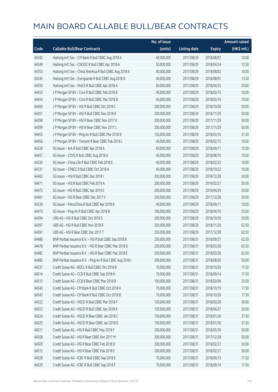|       |                                                            | No. of issue |                     |               | <b>Amount raised</b> |
|-------|------------------------------------------------------------|--------------|---------------------|---------------|----------------------|
| Code  | <b>Callable Bull/Bear Contracts</b>                        | (units)      | <b>Listing date</b> | <b>Expiry</b> | (HK\$ mil.)          |
| 64342 | Haitong Int'l Sec - CM Bank R Bull CBBC Aug 2018 A         | 40,000,000   | 2017/08/29          | 2018/08/07    | 10.00                |
| 64349 | Haitong Int'l Sec - CNOOC R Bull CBBC Apr 2018 A           | 50,000,000   | 2017/08/29          | 2018/04/24    | 12.50                |
| 64353 | Haitong Int'l Sec - China Shenhua R Bull CBBC Aug 2018 A   | 40,000,000   | 2017/08/29          | 2018/08/02    | 10.00                |
| 64345 | Haitong Int'l Sec - Evergrande R Bull CBBC Aug 2018 B      | 40,000,000   | 2017/08/29          | 2018/08/01    | 13.20                |
| 64350 | Haitong Int'l Sec - PetCh R Bull CBBC Apr 2018 A           | 80,000,000   | 2017/08/29          | 2018/04/25    | 20.00                |
| 64453 | J P Morgan SP BV - CUni R Bull CBBC Feb 2018 B             | 40,000,000   | 2017/08/29          | 2018/02/15    | 10.00                |
| 64454 | J P Morgan SP BV - CUni R Bull CBBC Mar 2018 B             | 40,000,000   | 2017/08/29          | 2018/03/16    | 10.00                |
| 64400 | JP Morgan SP BV - HSIR Bull CBBC Oct 2018 C                | 200,000,000  | 2017/08/29          | 2018/10/30    | 50.00                |
| 64451 | J P Morgan SP BV - HSI R Bull CBBC Nov 2018 R              | 200,000,000  | 2017/08/29          | 2018/11/29    | 50.00                |
| 64398 | J P Morgan SP BV - HSI R Bear CBBC Nov 2017 K              | 200,000,000  | 2017/08/29          | 2017/11/29    | 50.00                |
| 64399 | J P Morgan SP BV - HSI R Bear CBBC Nov 2017 L              | 200,000,000  | 2017/08/29          | 2017/11/29    | 50.00                |
| 64455 | J P Morgan SP BV - Ping An R Bull CBBC Mar 2018 B          | 150,000,000  | 2017/08/29          | 2018/03/16    | 37.50                |
| 64456 | J P Morgan SP BV - Tencent R Bear CBBC Feb 2018 L          | 40,000,000   | 2017/08/29          | 2018/02/15    | 10.00                |
| 64328 | SG Issuer - AIA R Bull CBBC Apr 2018 A                     | 60,000,000   | 2017/08/29          | 2018/04/11    | 15.00                |
| 64457 | SG Issuer - COVS R Bull CBBC Aug 2018 A                    | 40,000,000   | 2017/08/29          | 2018/08/10    | 10.00                |
| 64330 | SG Issuer - China Life R Bull CBBC Feb 2018 E              | 40,000,000   | 2017/08/29          | 2018/02/22    | 10.00                |
| 64331 | SG Issuer - CP&CC R Bull CBBC Oct 2018 A                   | 40,000,000   | 2017/08/29          | 2018/10/22    | 10.00                |
| 64463 | SG Issuer - HSI R Bull CBBC Dec 2018 I                     | 200,000,000  | 2017/08/29          | 2018/12/28    | 50.00                |
| 64471 | SG Issuer - HSI R Bull CBBC Feb 2019 A                     | 200,000,000  | 2017/08/29          | 2019/02/27    | 50.00                |
| 64472 | SG Issuer - HSI R Bull CBBC Apr 2019 E                     | 200,000,000  | 2017/08/29          | 2019/04/29    | 50.00                |
| 64461 | SG Issuer - HSI R Bear CBBC Dec 2017 V                     | 200,000,000  | 2017/08/29          | 2017/12/28    | 50.00                |
| 64339 | SG Issuer - PetroChina R Bull CBBC Apr 2018 B              | 40,000,000   | 2017/08/29          | 2018/04/11    | 10.00                |
| 64473 | SG Issuer - Ping An R Bull CBBC Apr 2018 B                 | 100,000,000  | 2017/08/29          | 2018/04/10    | 25.00                |
| 64394 | UBS AG - HSI R Bull CBBC Oct 2018 S                        | 200,000,000  | 2017/08/29          | 2018/10/30    | 50.00                |
| 64397 | UBS AG - HSI R Bull CBBC Nov 2018 R                        | 250,000,000  | 2017/08/29          | 2018/11/29    | 62.50                |
| 64391 | UBS AG - HSI R Bear CBBC Dec 2017 T                        | 250,000,000  | 2017/08/29          | 2017/12/28    | 62.50                |
| 64486 | BNP Paribas Issuance B.V. - HSI R Bull CBBC Sep 2018 B     | 250,000,000  | 2017/08/31          | 2018/09/27    | 62.50                |
| 64478 | BNP Paribas Issuance B.V. - HSI R Bear CBBC Mar 2018 D     | 250,000,000  | 2017/08/31          | 2018/03/28    | 62.50                |
| 64482 | BNP Paribas Issuance B.V. - HSI R Bear CBBC Mar 2018 E     | 250,000,000  | 2017/08/31          | 2018/03/28    | 62.50                |
| 64485 | BNP Paribas Issuance B.V. - Ping An R Bull CBBC Aug 2018 I | 200,000,000  | 2017/08/31          | 2018/08/30    | 50.00                |
| 64531 | Credit Suisse AG - BOCL R Bull CBBC Oct 2018 B             | 70,000,000   | 2017/08/31          | 2018/10/26    | 17.50                |
| 64514 | Credit Suisse AG - CCB R Bull CBBC Sep 2018 H              | 70,000,000   | 2017/08/31          | 2018/09/14    | 17.50                |
| 64515 | Credit Suisse AG - CCB R Bear CBBC Mar 2018 B              | 100,000,000  | 2017/08/31          | 2018/03/09    | 25.00                |
| 64540 | Credit Suisse AG - CM Bank R Bull CBBC Oct 2018 A          | 70,000,000   | 2017/08/31          | 2018/10/19    | 17.50                |
| 64543 | Credit Suisse AG - CM Bank R Bull CBBC Oct 2018 B          | 70,000,000   | 2017/08/31          | 2018/10/26    | 17.50                |
| 64522 | Credit Suisse AG - HSCEI R Bull CBBC Mar 2018 F            | 120,000,000  | 2017/08/31          | 2018/03/28    | 30.00                |
| 64523 | Credit Suisse AG - HSCEI R Bull CBBC Apr 2018 K            | 120,000,000  | 2017/08/31          | 2018/04/27    | 30.00                |
| 64524 | Credit Suisse AG - HSCEI R Bear CBBC Jan 2018 C            | 150,000,000  | 2017/08/31          | 2018/01/30    | 37.50                |
| 64525 | Credit Suisse AG - HSCEI R Bear CBBC Jan 2018 D            | 150,000,000  | 2017/08/31          | 2018/01/30    | 37.50                |
| 64511 | Credit Suisse AG - HSI R Bull CBBC May 2018 F              | 200,000,000  | 2017/08/31          | 2018/05/30    | 50.00                |
| 64508 | Credit Suisse AG - HSI R Bear CBBC Dec 2017 M              | 200,000,000  | 2017/08/31          | 2017/12/28    | 50.00                |
| 64509 | Credit Suisse AG - HSI R Bear CBBC Feb 2018 D              | 200,000,000  | 2017/08/31          | 2018/02/27    | 50.00                |
| 64512 | Credit Suisse AG - HSI R Bear CBBC Feb 2018 E              | 200,000,000  | 2017/08/31          | 2018/02/27    | 50.00                |
| 64528 | Credit Suisse AG - ICBC R Bull CBBC Sep 2018 E             | 70,000,000   | 2017/08/31          | 2018/09/13    | 17.50                |
| 64529 | Credit Suisse AG - ICBC R Bull CBBC Sep 2018 F             | 70,000,000   | 2017/08/31          | 2018/09/14    | 17.50                |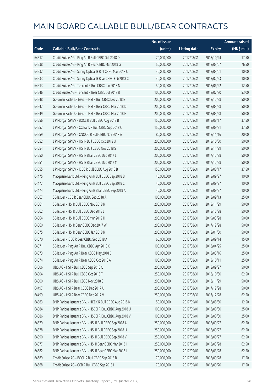|       |                                                          | No. of issue |                     |               | <b>Amount raised</b> |
|-------|----------------------------------------------------------|--------------|---------------------|---------------|----------------------|
| Code  | <b>Callable Bull/Bear Contracts</b>                      | (units)      | <b>Listing date</b> | <b>Expiry</b> | (HK\$ mil.)          |
| 64517 | Credit Suisse AG - Ping An R Bull CBBC Oct 2018 D        | 70,000,000   | 2017/08/31          | 2018/10/24    | 17.50                |
| 64538 | Credit Suisse AG - Ping An R Bear CBBC Mar 2018 G        | 50,000,000   | 2017/08/31          | 2018/03/07    | 76.50                |
| 64532 | Credit Suisse AG - Sunny Optical R Bull CBBC Mar 2018 C  | 40,000,000   | 2017/08/31          | 2018/03/01    | 10.00                |
| 64533 | Credit Suisse AG - Sunny Optical R Bear CBBC Feb 2018 C  | 40,000,000   | 2017/08/31          | 2018/02/23    | 10.00                |
| 64513 | Credit Suisse AG - Tencent R Bull CBBC Jun 2018 N        | 50,000,000   | 2017/08/31          | 2018/06/22    | 12.50                |
| 64546 | Credit Suisse AG - Tencent R Bear CBBC Jul 2018 B        | 100,000,000  | 2017/08/31          | 2018/07/20    | 53.00                |
| 64548 | Goldman Sachs SP (Asia) - HSI R Bull CBBC Dec 2018 B     | 200,000,000  | 2017/08/31          | 2018/12/28    | 50.00                |
| 64547 | Goldman Sachs SP (Asia) - HSI R Bear CBBC Mar 2018 D     | 200,000,000  | 2017/08/31          | 2018/03/28    | 50.00                |
| 64549 | Goldman Sachs SP (Asia) - HSI R Bear CBBC Mar 2018 E     | 200,000,000  | 2017/08/31          | 2018/03/28    | 50.00                |
| 64556 | J P Morgan SP BV - BOCL R Bull CBBC Aug 2018 B           | 150,000,000  | 2017/08/31          | 2018/08/17    | 37.50                |
| 64557 | J P Morgan SP BV - CC Bank R Bull CBBC Sep 2018 C        | 150,000,000  | 2017/08/31          | 2018/09/21    | 37.50                |
| 64559 | J P Morgan SP BV - CNOOC R Bull CBBC Nov 2018 A          | 80,000,000   | 2017/08/31          | 2018/11/16    | 20.00                |
| 64552 | J P Morgan SP BV - HSI R Bull CBBC Oct 2018 U            | 200,000,000  | 2017/08/31          | 2018/10/30    | 50.00                |
| 64554 | J P Morgan SP BV - HSI R Bull CBBC Nov 2018 S            | 200,000,000  | 2017/08/31          | 2018/11/29    | 50.00                |
| 64550 | J P Morgan SP BV - HSI R Bear CBBC Dec 2017 L            | 200,000,000  | 2017/08/31          | 2017/12/28    | 50.00                |
| 64551 | J P Morgan SP BV - HSI R Bear CBBC Dec 2017 M            | 200,000,000  | 2017/08/31          | 2017/12/28    | 50.00                |
| 64555 | J P Morgan SP BV - ICBC R Bull CBBC Aug 2018 B           | 150,000,000  | 2017/08/31          | 2018/08/17    | 37.50                |
| 64475 | Macquarie Bank Ltd. - Ping An R Bull CBBC Sep 2018 B     | 40,000,000   | 2017/08/31          | 2018/09/27    | 10.00                |
| 64477 | Macquarie Bank Ltd. - Ping An R Bull CBBC Sep 2018 C     | 40,000,000   | 2017/08/31          | 2018/09/27    | 10.00                |
| 64474 | Macquarie Bank Ltd. - Ping An R Bear CBBC Sep 2018 A     | 40,000,000   | 2017/08/31          | 2018/09/27    | 10.00                |
| 64567 | SG Issuer - CCB R Bear CBBC Sep 2018 A                   | 100,000,000  | 2017/08/31          | 2018/09/13    | 25.00                |
| 64561 | SG Issuer - HSI R Bull CBBC Nov 2018 R                   | 200,000,000  | 2017/08/31          | 2018/11/29    | 50.00                |
| 64562 | SG Issuer - HSI R Bull CBBC Dec 2018 J                   | 200,000,000  | 2017/08/31          | 2018/12/28    | 50.00                |
| 64564 | SG Issuer - HSI R Bull CBBC Mar 2019 H                   | 200,000,000  | 2017/08/31          | 2019/03/28    | 50.00                |
| 64560 | SG Issuer - HSI R Bear CBBC Dec 2017 W                   | 200,000,000  | 2017/08/31          | 2017/12/28    | 50.00                |
| 64575 | SG Issuer - HSI R Bear CBBC Jan 2018 R                   | 200,000,000  | 2017/08/31          | 2018/01/30    | 50.00                |
| 64570 | SG Issuer - ICBC R Bear CBBC Sep 2018 A                  | 60,000,000   | 2017/08/31          | 2018/09/14    | 15.00                |
| 64571 | SG Issuer - Ping An R Bull CBBC Apr 2018 C               | 100,000,000  | 2017/08/31          | 2018/04/25    | 25.00                |
| 64573 | SG Issuer - Ping An R Bear CBBC May 2018 C               | 100,000,000  | 2017/08/31          | 2018/05/16    | 25.00                |
| 64574 | SG Issuer - Ping An R Bear CBBC Oct 2018 A               | 100,000,000  | 2017/08/31          | 2018/10/11    | 25.00                |
| 64506 | UBS AG - HSI R Bull CBBC Sep 2018 Q                      | 200,000,000  | 2017/08/31          | 2018/09/27    | 50.00                |
| 64504 | UBS AG - HSI R Bull CBBC Oct 2018 T                      | 250,000,000  | 2017/08/31          | 2018/10/30    | 62.50                |
| 64500 | UBS AG - HSI R Bull CBBC Nov 2018 S                      | 200,000,000  | 2017/08/31          | 2018/11/29    | 50.00                |
| 64497 | UBS AG - HSI R Bear CBBC Dec 2017 U                      | 200,000,000  | 2017/08/31          | 2017/12/28    | 50.00                |
| 64499 | UBS AG - HSI R Bear CBBC Dec 2017 V                      | 250,000,000  | 2017/08/31          | 2017/12/28    | 62.50                |
| 64583 | BNP Paribas Issuance B.V. - HKEX R Bull CBBC Aug 2018 K  | 50,000,000   | 2017/09/01          | 2018/08/30    | 12.50                |
| 64584 | BNP Paribas Issuance B.V. - HSCEI R Bull CBBC Aug 2018 U | 100,000,000  | 2017/09/01          | 2018/08/30    | 25.00                |
| 64586 | BNP Paribas Issuance B.V. - HSCEI R Bull CBBC Aug 2018 V | 100,000,000  | 2017/09/01          | 2018/08/30    | 25.00                |
| 64579 | BNP Paribas Issuance B.V. - HSI R Bull CBBC Sep 2018 A   | 250,000,000  | 2017/09/01          | 2018/09/27    | 62.50                |
| 64578 | BNP Paribas Issuance B.V. - HSI R Bull CBBC Sep 2018 U   | 250,000,000  | 2017/09/01          | 2018/09/27    | 62.50                |
| 64590 | BNP Paribas Issuance B.V. - HSI R Bull CBBC Sep 2018 V   | 250,000,000  | 2017/09/01          | 2018/09/27    | 62.50                |
| 64577 | BNP Paribas Issuance B.V. - HSI R Bear CBBC Mar 2018 I   | 250,000,000  | 2017/09/01          | 2018/03/28    | 62.50                |
| 64582 | BNP Paribas Issuance B.V. - HSI R Bear CBBC Mar 2018 J   | 250,000,000  | 2017/09/01          | 2018/03/28    | 62.50                |
| 64689 | Credit Suisse AG - BOCL R Bull CBBC Sep 2018 B           | 70,000,000   | 2017/09/01          | 2018/09/28    | 17.50                |
| 64668 | Credit Suisse AG - CCB R Bull CBBC Sep 2018 I            | 70,000,000   | 2017/09/01          | 2018/09/20    | 17.50                |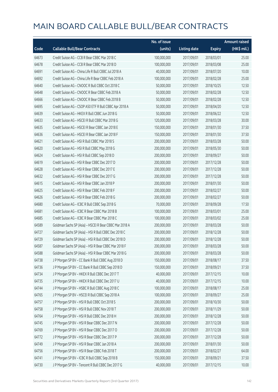|       |                                                        | No. of issue |                     |               | <b>Amount raised</b> |
|-------|--------------------------------------------------------|--------------|---------------------|---------------|----------------------|
| Code  | <b>Callable Bull/Bear Contracts</b>                    | (units)      | <b>Listing date</b> | <b>Expiry</b> | (HK\$ mil.)          |
| 64673 | Credit Suisse AG - CCB R Bear CBBC Mar 2018 C          | 100,000,000  | 2017/09/01          | 2018/03/01    | 25.00                |
| 64678 | Credit Suisse AG - CCB R Bear CBBC Mar 2018 D          | 100,000,000  | 2017/09/01          | 2018/03/08    | 25.00                |
| 64691 | Credit Suisse AG - China Life R Bull CBBC Jul 2018 A   | 40,000,000   | 2017/09/01          | 2018/07/20    | 10.00                |
| 64692 | Credit Suisse AG - China Life R Bear CBBC Feb 2018 A   | 100,000,000  | 2017/09/01          | 2018/02/28    | 25.00                |
| 64640 | Credit Suisse AG - CNOOC R Bull CBBC Oct 2018 C        | 50,000,000   | 2017/09/01          | 2018/10/25    | 12.50                |
| 64648 | Credit Suisse AG - CNOOC R Bear CBBC Feb 2018 A        | 50,000,000   | 2017/09/01          | 2018/02/28    | 12.50                |
| 64666 | Credit Suisse AG - CNOOC R Bear CBBC Feb 2018 B        | 50,000,000   | 2017/09/01          | 2018/02/28    | 12.50                |
| 64695 | Credit Suisse AG - CSOP A50 ETF R Bull CBBC Apr 2018 A | 50,000,000   | 2017/09/01          | 2018/04/20    | 12.50                |
| 64639 | Credit Suisse AG - HKEX R Bull CBBC Jun 2018 G         | 50,000,000   | 2017/09/01          | 2018/06/22    | 12.50                |
| 64633 | Credit Suisse AG - HSCEI R Bull CBBC Mar 2018 G        | 120,000,000  | 2017/09/01          | 2018/03/28    | 30.00                |
| 64635 | Credit Suisse AG - HSCEI R Bear CBBC Jan 2018 E        | 150,000,000  | 2017/09/01          | 2018/01/30    | 37.50                |
| 64636 | Credit Suisse AG - HSCEI R Bear CBBC Jan 2018 F        | 150,000,000  | 2017/09/01          | 2018/01/30    | 37.50                |
| 64621 | Credit Suisse AG - HSI R Bull CBBC Mar 2018 S          | 200,000,000  | 2017/09/01          | 2018/03/28    | 50.00                |
| 64620 | Credit Suisse AG - HSI R Bull CBBC May 2018 G          | 200,000,000  | 2017/09/01          | 2018/05/30    | 50.00                |
| 64624 | Credit Suisse AG - HSI R Bull CBBC Sep 2018 D          | 200,000,000  | 2017/09/01          | 2018/09/27    | 50.00                |
| 64619 | Credit Suisse AG - HSI R Bear CBBC Dec 2017 D          | 200,000,000  | 2017/09/01          | 2017/12/28    | 50.00                |
| 64628 | Credit Suisse AG - HSI R Bear CBBC Dec 2017 E          | 200,000,000  | 2017/09/01          | 2017/12/28    | 50.00                |
| 64632 | Credit Suisse AG - HSI R Bear CBBC Dec 2017 G          | 200,000,000  | 2017/09/01          | 2017/12/28    | 50.00                |
| 64615 | Credit Suisse AG - HSI R Bear CBBC Jan 2018 P          | 200,000,000  | 2017/09/01          | 2018/01/30    | 50.00                |
| 64625 | Credit Suisse AG - HSI R Bear CBBC Feb 2018 F          | 200,000,000  | 2017/09/01          | 2018/02/27    | 50.00                |
| 64626 | Credit Suisse AG - HSI R Bear CBBC Feb 2018 G          | 200,000,000  | 2017/09/01          | 2018/02/27    | 50.00                |
| 64680 | Credit Suisse AG - ICBC R Bull CBBC Sep 2018 G         | 70,000,000   | 2017/09/01          | 2018/09/28    | 17.50                |
| 64681 | Credit Suisse AG - ICBC R Bear CBBC Mar 2018 B         | 100,000,000  | 2017/09/01          | 2018/03/01    | 25.00                |
| 64685 | Credit Suisse AG - ICBC R Bear CBBC Mar 2018 C         | 100,000,000  | 2017/09/01          | 2018/03/02    | 25.00                |
| 64589 | Goldman Sachs SP (Asia) - HSCEI R Bear CBBC Mar 2018 A | 200,000,000  | 2017/09/01          | 2018/03/28    | 50.00                |
| 64727 | Goldman Sachs SP (Asia) - HSI R Bull CBBC Dec 2018 C   | 200,000,000  | 2017/09/01          | 2018/12/28    | 50.00                |
| 64729 | Goldman Sachs SP (Asia) - HSI R Bull CBBC Dec 2018 D   | 200,000,000  | 2017/09/01          | 2018/12/28    | 50.00                |
| 64587 | Goldman Sachs SP (Asia) - HSI R Bear CBBC Mar 2018 F   | 200,000,000  | 2017/09/01          | 2018/03/28    | 50.00                |
| 64588 | Goldman Sachs SP (Asia) - HSI R Bear CBBC Mar 2018 G   | 200,000,000  | 2017/09/01          | 2018/03/28    | 50.00                |
| 64738 | J P Morgan SP BV - CC Bank R Bull CBBC Aug 2018 D      | 150,000,000  | 2017/09/01          | 2018/08/17    | 37.50                |
| 64736 | J P Morgan SP BV - CC Bank R Bull CBBC Sep 2018 D      | 150,000,000  | 2017/09/01          | 2018/09/21    | 37.50                |
| 64734 | J P Morgan SP BV - HKEX R Bull CBBC Dec 2017 T         | 40,000,000   | 2017/09/01          | 2017/12/15    | 10.00                |
| 64735 | J P Morgan SP BV - HKEX R Bull CBBC Dec 2017 U         | 40,000,000   | 2017/09/01          | 2017/12/15    | 10.00                |
| 64744 | J P Morgan SP BV - HSBC R Bull CBBC Aug 2018 C         | 100,000,000  | 2017/09/01          | 2018/08/17    | 25.00                |
| 64765 | J P Morgan SP BV - HSCEI R Bull CBBC Sep 2018 A        | 100,000,000  | 2017/09/01          | 2018/09/27    | 25.00                |
| 64757 | JP Morgan SP BV - HSIR Bull CBBC Oct 2018 S            | 200,000,000  | 2017/09/01          | 2018/10/30    | 50.00                |
| 64758 | J P Morgan SP BV - HSI R Bull CBBC Nov 2018 T          | 200,000,000  | 2017/09/01          | 2018/11/29    | 50.00                |
| 64764 | J P Morgan SP BV - HSI R Bull CBBC Dec 2018 H          | 200,000,000  | 2017/09/01          | 2018/12/28    | 50.00                |
| 64745 | J P Morgan SP BV - HSI R Bear CBBC Dec 2017 N          | 200,000,000  | 2017/09/01          | 2017/12/28    | 50.00                |
| 64769 | J P Morgan SP BV - HSI R Bear CBBC Dec 2017 O          | 200,000,000  | 2017/09/01          | 2017/12/28    | 50.00                |
| 64772 | J P Morgan SP BV - HSI R Bear CBBC Dec 2017 P          | 200,000,000  | 2017/09/01          | 2017/12/28    | 50.00                |
| 64749 | J P Morgan SP BV - HSI R Bear CBBC Jan 2018 A          | 200,000,000  | 2017/09/01          | 2018/01/30    | 50.00                |
| 64756 | J P Morgan SP BV - HSI R Bear CBBC Feb 2018 T          | 200,000,000  | 2017/09/01          | 2018/02/27    | 64.00                |
| 64741 | J P Morgan SP BV - ICBC R Bull CBBC Sep 2018 B         | 150,000,000  | 2017/09/01          | 2018/09/21    | 37.50                |
| 64730 | J P Morgan SP BV - Tencent R Bull CBBC Dec 2017 G      | 40,000,000   | 2017/09/01          | 2017/12/15    | 10.00                |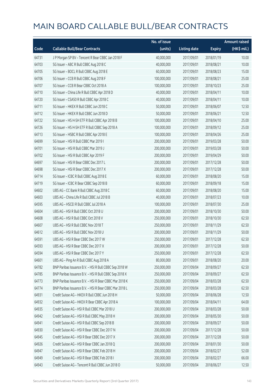|       |                                                        | No. of issue |                     |               | <b>Amount raised</b>  |
|-------|--------------------------------------------------------|--------------|---------------------|---------------|-----------------------|
| Code  | <b>Callable Bull/Bear Contracts</b>                    | (units)      | <b>Listing date</b> | <b>Expiry</b> | $(HK\frac{1}{2}mil.)$ |
| 64731 | J P Morgan SP BV - Tencent R Bear CBBC Jan 2018 F      | 40,000,000   | 2017/09/01          | 2018/01/19    | 10.00                 |
| 64703 | SG Issuer - ABC R Bull CBBC Aug 2018 C                 | 40,000,000   | 2017/09/01          | 2018/08/21    | 10.00                 |
| 64705 | SG Issuer - BOCL R Bull CBBC Aug 2018 E                | 60,000,000   | 2017/09/01          | 2018/08/23    | 15.00                 |
| 64706 | SG Issuer - CCB R Bull CBBC Aug 2018 F                 | 100,000,000  | 2017/09/01          | 2018/08/21    | 25.00                 |
| 64707 | SG Issuer - CCB R Bear CBBC Oct 2018 A                 | 100,000,000  | 2017/09/01          | 2018/10/23    | 25.00                 |
| 64710 | SG Issuer - China Life R Bull CBBC Apr 2018 D          | 40,000,000   | 2017/09/01          | 2018/04/11    | 10.00                 |
| 64720 | SG Issuer - CSA50 R Bull CBBC Apr 2018 C               | 40,000,000   | 2017/09/01          | 2018/04/11    | 10.00                 |
| 64711 | SG Issuer - HKEX R Bull CBBC Jun 2018 C                | 50,000,000   | 2017/09/01          | 2018/06/07    | 12.50                 |
| 64712 | SG Issuer - HKEX R Bull CBBC Jun 2018 D                | 50,000,000   | 2017/09/01          | 2018/06/21    | 12.50                 |
| 64722 | SG Issuer - HS H-SH ETF R Bull CBBC Apr 2018 B         | 100,000,000  | 2017/09/01          | 2018/04/10    | 25.00                 |
| 64726 | SG Issuer - HS H-SH ETF R Bull CBBC Sep 2018 A         | 100,000,000  | 2017/09/01          | 2018/09/12    | 25.00                 |
| 64713 | SG Issuer - HSBC R Bull CBBC Apr 2018 E                | 100,000,000  | 2017/09/01          | 2018/04/26    | 25.00                 |
| 64699 | SG Issuer - HSI R Bull CBBC Mar 2019 I                 | 200,000,000  | 2017/09/01          | 2019/03/28    | 50.00                 |
| 64701 | SG Issuer - HSI R Bull CBBC Mar 2019 J                 | 200,000,000  | 2017/09/01          | 2019/03/28    | 50.00                 |
| 64702 | SG Issuer - HSI R Bull CBBC Apr 2019 F                 | 200,000,000  | 2017/09/01          | 2019/04/29    | 50.00                 |
| 64697 | SG Issuer - HSI R Bear CBBC Dec 2017 L                 | 200,000,000  | 2017/09/01          | 2017/12/28    | 50.00                 |
| 64698 | SG Issuer - HSI R Bear CBBC Dec 2017 X                 | 200,000,000  | 2017/09/01          | 2017/12/28    | 50.00                 |
| 64714 | SG Issuer - ICBC R Bull CBBC Aug 2018 E                | 60,000,000   | 2017/09/01          | 2018/08/20    | 15.00                 |
| 64719 | SG Issuer - ICBC R Bear CBBC Sep 2018 B                | 60,000,000   | 2017/09/01          | 2018/09/18    | 15.00                 |
| 64602 | UBS AG - CC Bank R Bull CBBC Aug 2018 C                | 60,000,000   | 2017/09/01          | 2018/08/20    | 15.00                 |
| 64603 | UBS AG - China Life R Bull CBBC Jul 2018 B             | 40,000,000   | 2017/09/01          | 2018/07/23    | 10.00                 |
| 64595 | UBS AG - HSCEI R Bull CBBC Jul 2018 A                  | 100,000,000  | 2017/09/01          | 2018/07/30    | 25.00                 |
| 64604 | UBS AG - HSI R Bull CBBC Oct 2018 U                    | 200,000,000  | 2017/09/01          | 2018/10/30    | 50.00                 |
| 64608 | UBS AG - HSI R Bull CBBC Oct 2018 V                    | 250,000,000  | 2017/09/01          | 2018/10/30    | 62.50                 |
| 64607 | UBS AG - HSI R Bull CBBC Nov 2018 T                    | 250,000,000  | 2017/09/01          | 2018/11/29    | 62.50                 |
| 64612 | UBS AG - HSI R Bull CBBC Nov 2018 U                    | 200,000,000  | 2017/09/01          | 2018/11/29    | 50.00                 |
| 64591 | UBS AG - HSI R Bear CBBC Dec 2017 W                    | 250,000,000  | 2017/09/01          | 2017/12/28    | 62.50                 |
| 64593 | UBS AG - HSI R Bear CBBC Dec 2017 X                    | 200,000,000  | 2017/09/01          | 2017/12/28    | 50.00                 |
| 64594 | UBS AG - HSI R Bear CBBC Dec 2017 Y                    | 250,000,000  | 2017/09/01          | 2017/12/28    | 62.50                 |
| 64601 | UBS AG - Ping An R Bull CBBC Aug 2018 A                | 80,000,000   | 2017/09/01          | 2018/08/20    | 20.00                 |
| 64782 | BNP Paribas Issuance B.V. - HSI R Bull CBBC Sep 2018 W | 250,000,000  | 2017/09/04          | 2018/09/27    | 62.50                 |
| 64785 | BNP Paribas Issuance B.V. - HSI R Bull CBBC Sep 2018 X | 250,000,000  | 2017/09/04          | 2018/09/27    | 62.50                 |
| 64773 | BNP Paribas Issuance B.V. - HSI R Bear CBBC Mar 2018 K | 250,000,000  | 2017/09/04          | 2018/03/28    | 62.50                 |
| 64774 | BNP Paribas Issuance B.V. - HSI R Bear CBBC Mar 2018 L | 250,000,000  | 2017/09/04          | 2018/03/28    | 62.50                 |
| 64931 | Credit Suisse AG - HKEX R Bull CBBC Jun 2018 H         | 50,000,000   | 2017/09/04          | 2018/06/28    | 12.50                 |
| 64932 | Credit Suisse AG - HKEX R Bear CBBC Apr 2018 A         | 100,000,000  | 2017/09/04          | 2018/04/11    | 64.00                 |
| 64935 | Credit Suisse AG - HSI R Bull CBBC Mar 2018 U          | 200,000,000  | 2017/09/04          | 2018/03/28    | 50.00                 |
| 64942 | Credit Suisse AG - HSI R Bull CBBC May 2018 H          | 200,000,000  | 2017/09/04          | 2018/05/30    | 50.00                 |
| 64941 | Credit Suisse AG - HSI R Bull CBBC Sep 2018 B          | 200,000,000  | 2017/09/04          | 2018/09/27    | 50.00                 |
| 64930 | Credit Suisse AG - HSI R Bear CBBC Dec 2017 N          | 200,000,000  | 2017/09/04          | 2017/12/28    | 50.00                 |
| 64945 | Credit Suisse AG - HSI R Bear CBBC Dec 2017 X          | 200,000,000  | 2017/09/04          | 2017/12/28    | 50.00                 |
| 64926 | Credit Suisse AG - HSI R Bear CBBC Jan 2018 Q          | 200,000,000  | 2017/09/04          | 2018/01/30    | 50.00                 |
| 64947 | Credit Suisse AG - HSI R Bear CBBC Feb 2018 H          | 200,000,000  | 2017/09/04          | 2018/02/27    | 52.00                 |
| 64949 | Credit Suisse AG - HSI R Bear CBBC Feb 2018 I          | 200,000,000  | 2017/09/04          | 2018/02/27    | 66.00                 |
| 64943 | Credit Suisse AG - Tencent R Bull CBBC Jun 2018 O      | 50,000,000   | 2017/09/04          | 2018/06/27    | 12.50                 |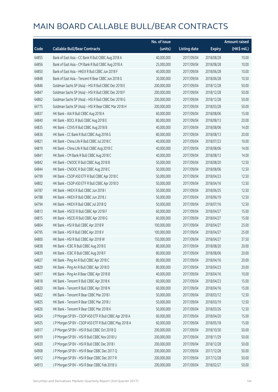|       |                                                        | No. of issue |                     |               | <b>Amount raised</b> |
|-------|--------------------------------------------------------|--------------|---------------------|---------------|----------------------|
| Code  | <b>Callable Bull/Bear Contracts</b>                    | (units)      | <b>Listing date</b> | <b>Expiry</b> | $(HK\$ mil.)         |
| 64855 | Bank of East Asia - CC Bank R Bull CBBC Aug 2018 A     | 40,000,000   | 2017/09/04          | 2018/08/28    | 10.00                |
| 64856 | Bank of East Asia - CM Bank R Bull CBBC Aug 2018 A     | 25,000,000   | 2017/09/04          | 2018/08/28    | 10.00                |
| 64850 | Bank of East Asia - HKEX R Bull CBBC Jun 2018 F        | 40,000,000   | 2017/09/04          | 2018/06/28    | 10.00                |
| 64848 | Bank of East Asia - Tencent R Bear CBBC Jun 2018 G     | 30,000,000   | 2017/09/04          | 2018/06/28    | 10.50                |
| 64846 | Goldman Sachs SP (Asia) - HSI R Bull CBBC Dec 2018 E   | 200,000,000  | 2017/09/04          | 2018/12/28    | 50.00                |
| 64847 | Goldman Sachs SP (Asia) - HSI R Bull CBBC Dec 2018 F   | 200,000,000  | 2017/09/04          | 2018/12/28    | 50.00                |
| 64862 | Goldman Sachs SP (Asia) - HSI R Bull CBBC Dec 2018 G   | 200,000,000  | 2017/09/04          | 2018/12/28    | 50.00                |
| 64775 | Goldman Sachs SP (Asia) - HSI R Bear CBBC Mar 2018 H   | 200,000,000  | 2017/09/04          | 2018/03/28    | 50.00                |
| 64837 | HK Bank - AIA R Bull CBBC Aug 2018 A                   | 60,000,000   | 2017/09/04          | 2018/08/06    | 15.00                |
| 64840 | HK Bank - BOCL R Bull CBBC Aug 2018 E                  | 80,000,000   | 2017/09/04          | 2018/08/13    | 20.00                |
| 64835 | HK Bank - COVS R Bull CBBC Aug 2018 B                  | 40,000,000   | 2017/09/04          | 2018/08/06    | 14.00                |
| 64836 | HK Bank - CC Bank R Bull CBBC Aug 2018 G               | 80,000,000   | 2017/09/04          | 2018/08/13    | 20.00                |
| 64821 | HK Bank - China Life R Bull CBBC Jul 2018 C            | 40,000,000   | 2017/09/04          | 2018/07/23    | 10.00                |
| 64819 | HK Bank - China Life R Bull CBBC Aug 2018 C            | 40,000,000   | 2017/09/04          | 2018/08/06    | 14.00                |
| 64841 | HK Bank - CM Bank R Bull CBBC Aug 2018 C               | 40,000,000   | 2017/09/04          | 2018/08/13    | 14.00                |
| 64842 | HK Bank - CNOOC R Bull CBBC Aug 2018 B                 | 50,000,000   | 2017/09/04          | 2018/08/20    | 12.50                |
| 64844 | HK Bank - CNOOC R Bull CBBC Aug 2018 C                 | 50,000,000   | 2017/09/04          | 2018/08/06    | 12.50                |
| 64799 | HK Bank - CSOP A50 ETF R Bull CBBC Apr 2018 C          | 50,000,000   | 2017/09/04          | 2018/04/23    | 12.50                |
| 64802 | HK Bank - CSOP A50 ETF R Bull CBBC Apr 2018 D          | 50,000,000   | 2017/09/04          | 2018/04/16    | 12.50                |
| 64787 | HK Bank - HKEX R Bull CBBC Jun 2018 I                  | 50,000,000   | 2017/09/04          | 2018/06/25    | 12.50                |
| 64788 | HK Bank - HKEX R Bull CBBC Jun 2018 J                  | 50,000,000   | 2017/09/04          | 2018/06/19    | 12.50                |
| 64794 | HK Bank - HKEX R Bull CBBC Jul 2018 Q                  | 50,000,000   | 2017/09/04          | 2018/07/16    | 12.50                |
| 64813 | HK Bank - HSCEI R Bull CBBC Apr 2018 F                 | 60,000,000   | 2017/09/04          | 2018/04/27    | 15.00                |
| 64815 | HK Bank - HSCEI R Bull CBBC Apr 2018 G                 | 60,000,000   | 2017/09/04          | 2018/04/27    | 15.00                |
| 64804 | HK Bank - HSI R Bull CBBC Apr 2018 R                   | 100,000,000  | 2017/09/04          | 2018/04/27    | 25.00                |
| 64795 | HK Bank - HSI R Bull CBBC Apr 2018 V                   | 100,000,000  | 2017/09/04          | 2018/04/27    | 25.00                |
| 64800 | HK Bank - HSI R Bull CBBC Apr 2018 W                   | 150,000,000  | 2017/09/04          | 2018/04/27    | 37.50                |
| 64838 | HK Bank - ICBC R Bull CBBC Aug 2018 E                  | 80,000,000   | 2017/09/04          | 2018/08/20    | 20.00                |
| 64839 | HK Bank - ICBC R Bull CBBC Aug 2018 F                  | 80,000,000   | 2017/09/04          | 2018/08/06    | 20.00                |
| 64827 | HK Bank - Ping An R Bull CBBC Apr 2018 C               | 80,000,000   | 2017/09/04          | 2018/04/16    | 20.00                |
| 64829 | HK Bank - Ping An R Bull CBBC Apr 2018 D               | 80,000,000   | 2017/09/04          | 2018/04/23    | 20.00                |
| 64817 | HK Bank - Ping An R Bear CBBC Apr 2018 B               | 40,000,000   | 2017/09/04          | 2018/04/16    | 10.00                |
| 64818 | HK Bank - Tencent R Bull CBBC Apr 2018 K               | 60,000,000   | 2017/09/04          | 2018/04/23    | 15.00                |
| 64820 | HK Bank - Tencent R Bull CBBC Apr 2018 N               | 60,000,000   | 2017/09/04          | 2018/04/16    | 15.00                |
| 64822 | HK Bank - Tencent R Bear CBBC Mar 2018 I               | 50,000,000   | 2017/09/04          | 2018/03/12    | 12.50                |
| 64825 | HK Bank - Tencent R Bear CBBC Mar 2018 J               | 50,000,000   | 2017/09/04          | 2018/03/19    | 12.50                |
| 64826 | HK Bank - Tencent R Bear CBBC Mar 2018 K               | 50,000,000   | 2017/09/04          | 2018/03/26    | 12.50                |
| 64924 | J P Morgan SP BV - CSOP A50 ETF R Bull CBBC Apr 2018 A | 60,000,000   | 2017/09/04          | 2018/04/20    | 15.00                |
| 64925 | J P Morgan SP BV - CSOP A50 ETF R Bull CBBC May 2018 A | 60,000,000   | 2017/09/04          | 2018/05/18    | 15.00                |
| 64917 | J P Morgan SP BV - HSI R Bull CBBC Oct 2018 Q          | 200,000,000  | 2017/09/04          | 2018/10/30    | 50.00                |
| 64919 | J P Morgan SP BV - HSI R Bull CBBC Nov 2018 U          | 200,000,000  | 2017/09/04          | 2018/11/29    | 50.00                |
| 64920 | J P Morgan SP BV - HSI R Bull CBBC Dec 2018 I          | 200,000,000  | 2017/09/04          | 2018/12/28    | 50.00                |
| 64908 | J P Morgan SP BV - HSI R Bear CBBC Dec 2017 Q          | 200,000,000  | 2017/09/04          | 2017/12/28    | 50.00                |
| 64912 | J P Morgan SP BV - HSI R Bear CBBC Dec 2017 R          | 200,000,000  | 2017/09/04          | 2017/12/28    | 50.00                |
| 64913 | J P Morgan SP BV - HSI R Bear CBBC Feb 2018 U          | 200,000,000  | 2017/09/04          | 2018/02/27    | 50.00                |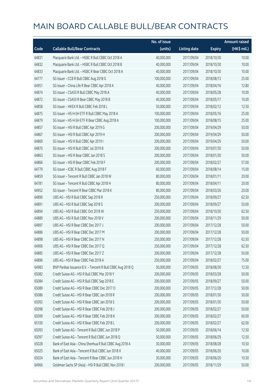|       |                                                            | No. of issue |                     |               | <b>Amount raised</b> |
|-------|------------------------------------------------------------|--------------|---------------------|---------------|----------------------|
| Code  | <b>Callable Bull/Bear Contracts</b>                        | (units)      | <b>Listing date</b> | <b>Expiry</b> | (HK\$ mil.)          |
| 64831 | Macquarie Bank Ltd. - HSBC R Bull CBBC Oct 2018 A          | 40,000,000   | 2017/09/04          | 2018/10/30    | 10.00                |
| 64832 | Macquarie Bank Ltd. - HSBC R Bull CBBC Oct 2018 B          | 40,000,000   | 2017/09/04          | 2018/10/30    | 10.00                |
| 64833 | Macquarie Bank Ltd. - HSBC R Bear CBBC Oct 2018 A          | 40,000,000   | 2017/09/04          | 2018/10/30    | 10.00                |
| 64777 | SG Issuer - CCB R Bull CBBC Aug 2018 G                     | 100,000,000  | 2017/09/04          | 2018/08/13    | 25.00                |
| 64951 | SG Issuer - China Life R Bear CBBC Apr 2018 A              | 40,000,000   | 2017/09/04          | 2018/04/16    | 12.80                |
| 64874 | SG Issuer - CSA50 R Bull CBBC May 2018 A                   | 40,000,000   | 2017/09/04          | 2018/05/28    | 10.00                |
| 64872 | SG Issuer - CSA50 R Bear CBBC May 2018 B                   | 40,000,000   | 2017/09/04          | 2018/05/17    | 10.00                |
| 64858 | SG Issuer - HKEX R Bull CBBC Feb 2018 L                    | 50,000,000   | 2017/09/04          | 2018/02/12    | 12.50                |
| 64875 | SG Issuer - HS H-SH ETF R Bull CBBC May 2018 A             | 100,000,000  | 2017/09/04          | 2018/05/16    | 25.00                |
| 64879 | SG Issuer - HS H-SH ETF R Bear CBBC Aug 2018 A             | 100,000,000  | 2017/09/04          | 2018/08/15    | 25.00                |
| 64857 | SG Issuer - HSI R Bull CBBC Apr 2019 G                     | 200,000,000  | 2017/09/04          | 2019/04/29    | 50.00                |
| 64867 | SG Issuer - HSI R Bull CBBC Apr 2019 H                     | 200,000,000  | 2017/09/04          | 2019/04/29    | 50.00                |
| 64869 | SG Issuer - HSI R Bull CBBC Apr 2019 I                     | 200,000,000  | 2017/09/04          | 2019/04/29    | 50.00                |
| 64870 | SG Issuer - HSI R Bull CBBC Jul 2019 B                     | 200,000,000  | 2017/09/04          | 2019/07/30    | 50.00                |
| 64863 | SG Issuer - HSI R Bear CBBC Jan 2018 S                     | 200,000,000  | 2017/09/04          | 2018/01/30    | 50.00                |
| 64866 | SG Issuer - HSI R Bear CBBC Feb 2018 F                     | 200,000,000  | 2017/09/04          | 2018/02/27    | 57.00                |
| 64779 | SG Issuer - ICBC R Bull CBBC Aug 2018 F                    | 60,000,000   | 2017/09/04          | 2018/08/14    | 15.00                |
| 64859 | SG Issuer - Tencent R Bull CBBC Jan 2018 W                 | 80,000,000   | 2017/09/04          | 2018/01/11    | 20.00                |
| 64781 | SG Issuer - Tencent R Bull CBBC Apr 2018 H                 | 80,000,000   | 2017/09/04          | 2018/04/11    | 20.00                |
| 64952 | SG Issuer - Tencent R Bear CBBC Mar 2018 K                 | 80,000,000   | 2017/09/04          | 2018/03/26    | 20.00                |
| 64890 | UBS AG - HSI R Bull CBBC Sep 2018 R                        | 250,000,000  | 2017/09/04          | 2018/09/27    | 62.50                |
| 64891 | UBS AG - HSI R Bull CBBC Sep 2018 S                        | 200,000,000  | 2017/09/04          | 2018/09/27    | 50.00                |
| 64894 | UBS AG - HSI R Bull CBBC Oct 2018 W                        | 250,000,000  | 2017/09/04          | 2018/10/30    | 62.50                |
| 64889 | UBS AG - HSI R Bull CBBC Nov 2018 V                        | 200,000,000  | 2017/09/04          | 2018/11/29    | 50.00                |
| 64897 | UBS AG - HSI R Bear CBBC Dec 2017 J                        | 200,000,000  | 2017/09/04          | 2017/12/28    | 50.00                |
| 64886 | UBS AG - HSI R Bear CBBC Dec 2017 M                        | 200,000,000  | 2017/09/04          | 2017/12/28    | 50.00                |
| 64898 | UBS AG - HSI R Bear CBBC Dec 2017 N                        | 250,000,000  | 2017/09/04          | 2017/12/28    | 62.50                |
| 64906 | UBS AG - HSI R Bear CBBC Dec 2017 O                        | 250,000,000  | 2017/09/04          | 2017/12/28    | 62.50                |
| 64885 | UBS AG - HSI R Bear CBBC Dec 2017 Z                        | 200,000,000  | 2017/09/04          | 2017/12/28    | 50.00                |
| 64896 | UBS AG - HSI R Bear CBBC Feb 2018 A                        | 250,000,000  | 2017/09/04          | 2018/02/27    | 75.00                |
| 64983 | BNP Paribas Issuance B.V. - Tencent R Bull CBBC Aug 2018 Q | 50,000,000   | 2017/09/05          | 2018/08/30    | 12.50                |
| 65082 | Credit Suisse AG - HSI R Bull CBBC Mar 2018 Y              | 200,000,000  | 2017/09/05          | 2018/03/28    | 50.00                |
| 65084 | Credit Suisse AG - HSI R Bull CBBC Sep 2018 E              | 200,000,000  | 2017/09/05          | 2018/09/27    | 50.00                |
| 65089 | Credit Suisse AG - HSI R Bear CBBC Dec 2017 O              | 200,000,000  | 2017/09/05          | 2017/12/28    | 50.00                |
| 65086 | Credit Suisse AG - HSI R Bear CBBC Jan 2018 R              | 200,000,000  | 2017/09/05          | 2018/01/30    | 50.00                |
| 65092 | Credit Suisse AG - HSI R Bear CBBC Jan 2018 S              | 200,000,000  | 2017/09/05          | 2018/01/30    | 50.00                |
| 65098 | Credit Suisse AG - HSI R Bear CBBC Feb 2018 J              | 200,000,000  | 2017/09/05          | 2018/02/27    | 50.00                |
| 65099 | Credit Suisse AG - HSI R Bear CBBC Feb 2018 K              | 200,000,000  | 2017/09/05          | 2018/02/27    | 60.00                |
| 65100 | Credit Suisse AG - HSI R Bear CBBC Feb 2018 L              | 200,000,000  | 2017/09/05          | 2018/02/27    | 62.00                |
| 65093 | Credit Suisse AG - Tencent R Bull CBBC Jun 2018 P          | 50,000,000   | 2017/09/05          | 2018/06/14    | 12.50                |
| 65097 | Credit Suisse AG - Tencent R Bull CBBC Jun 2018 Q          | 50,000,000   | 2017/09/05          | 2018/06/29    | 12.50                |
| 65028 | Bank of East Asia - China Shenhua R Bull CBBC Aug 2018 A   | 30,000,000   | 2017/09/05          | 2018/08/28    | 10.50                |
| 65025 | Bank of East Asia - Tencent R Bull CBBC Jun 2018 X         | 40,000,000   | 2017/09/05          | 2018/06/20    | 10.00                |
| 65024 | Bank of East Asia - Tencent R Bear CBBC Jun 2018 H         | 30,000,000   | 2017/09/05          | 2018/06/20    | 10.50                |
| 64966 | Goldman Sachs SP (Asia) - HSI R Bull CBBC Nov 2018 I       | 200,000,000  | 2017/09/05          | 2018/11/29    | 50.00                |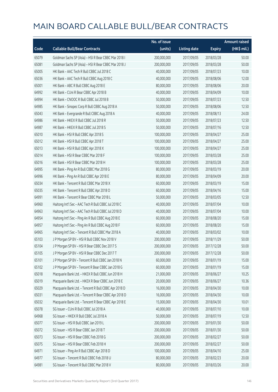|       |                                                      | No. of issue |                     |               | <b>Amount raised</b> |
|-------|------------------------------------------------------|--------------|---------------------|---------------|----------------------|
| Code  | <b>Callable Bull/Bear Contracts</b>                  | (units)      | <b>Listing date</b> | <b>Expiry</b> | $(HK\$ mil.)         |
| 65079 | Goldman Sachs SP (Asia) - HSI R Bear CBBC Mar 2018 I | 200,000,000  | 2017/09/05          | 2018/03/28    | 50.00                |
| 65081 | Goldman Sachs SP (Asia) - HSI R Bear CBBC Mar 2018 J | 200,000,000  | 2017/09/05          | 2018/03/28    | 50.00                |
| 65005 | HK Bank - AAC Tech R Bull CBBC Jul 2018 C            | 40,000,000   | 2017/09/05          | 2018/07/23    | 10.00                |
| 65036 | HK Bank - AAC Tech R Bull CBBC Aug 2018 C            | 40,000,000   | 2017/09/05          | 2018/08/06    | 12.00                |
| 65001 | HK Bank - ABC R Bull CBBC Aug 2018 E                 | 80,000,000   | 2017/09/05          | 2018/08/06    | 20.00                |
| 64992 | HK Bank - CUni R Bear CBBC Apr 2018 B                | 40,000,000   | 2017/09/05          | 2018/04/09    | 10.00                |
| 64994 | HK Bank - CNOOC R Bull CBBC Jul 2018 B               | 50,000,000   | 2017/09/05          | 2018/07/23    | 12.50                |
| 64985 | HK Bank - Sinopec Corp R Bull CBBC Aug 2018 A        | 50,000,000   | 2017/09/05          | 2018/08/06    | 12.50                |
| 65043 | HK Bank - Evergrande R Bull CBBC Aug 2018 A          | 40,000,000   | 2017/09/05          | 2018/08/13    | 24.00                |
| 64986 | HK Bank - HKEX R Bull CBBC Jul 2018 R                | 50,000,000   | 2017/09/05          | 2018/07/23    | 12.50                |
| 64987 | HK Bank - HKEX R Bull CBBC Jul 2018 S                | 50,000,000   | 2017/09/05          | 2018/07/16    | 12.50                |
| 65010 | HK Bank - HSI R Bull CBBC Apr 2018 S                 | 100,000,000  | 2017/09/05          | 2018/04/27    | 25.00                |
| 65012 | HK Bank - HSI R Bull CBBC Apr 2018 T                 | 100,000,000  | 2017/09/05          | 2018/04/27    | 25.00                |
| 65013 | HK Bank - HSI R Bull CBBC Apr 2018 X                 | 100,000,000  | 2017/09/05          | 2018/04/27    | 25.00                |
| 65014 | HK Bank - HSI R Bear CBBC Mar 2018 F                 | 100,000,000  | 2017/09/05          | 2018/03/28    | 25.00                |
| 65016 | HK Bank - HSI R Bear CBBC Mar 2018 H                 | 100,000,000  | 2017/09/05          | 2018/03/28    | 25.00                |
| 64995 | HK Bank - Ping An R Bull CBBC Mar 2018 G             | 80,000,000   | 2017/09/05          | 2018/03/19    | 20.00                |
| 64996 | HK Bank - Ping An R Bull CBBC Apr 2018 E             | 80,000,000   | 2017/09/05          | 2018/04/09    | 20.00                |
| 65034 | HK Bank - Tencent R Bull CBBC Mar 2018 X             | 60,000,000   | 2017/09/05          | 2018/03/19    | 15.00                |
| 65035 | HK Bank - Tencent R Bull CBBC Apr 2018 O             | 60,000,000   | 2017/09/05          | 2018/04/16    | 15.00                |
| 64991 | HK Bank - Tencent R Bear CBBC Mar 2018 L             | 50,000,000   | 2017/09/05          | 2018/03/05    | 12.50                |
| 64960 | Haitong Int'l Sec - AAC Tech R Bull CBBC Jul 2018 C  | 40,000,000   | 2017/09/05          | 2018/07/04    | 10.00                |
| 64963 | Haitong Int'l Sec - AAC Tech R Bull CBBC Jul 2018 D  | 40,000,000   | 2017/09/05          | 2018/07/04    | 10.00                |
| 64954 | Haitong Int'l Sec - Ping An R Bull CBBC Aug 2018 E   | 60,000,000   | 2017/09/05          | 2018/08/20    | 15.00                |
| 64957 | Haitong Int'l Sec - Ping An R Bull CBBC Aug 2018 F   | 60,000,000   | 2017/09/05          | 2018/08/20    | 15.00                |
| 64965 | Haitong Int'l Sec - Tencent R Bull CBBC Mar 2018 A   | 40,000,000   | 2017/09/05          | 2018/03/02    | 10.00                |
| 65103 | J P Morgan SP BV - HSI R Bull CBBC Nov 2018 V        | 200,000,000  | 2017/09/05          | 2018/11/29    | 50.00                |
| 65104 | J P Morgan SP BV - HSI R Bear CBBC Dec 2017 S        | 200,000,000  | 2017/09/05          | 2017/12/28    | 50.00                |
| 65105 | J P Morgan SP BV - HSI R Bear CBBC Dec 2017 T        | 200,000,000  | 2017/09/05          | 2017/12/28    | 50.00                |
| 65101 | J P Morgan SP BV - Tencent R Bull CBBC Jan 2018 N    | 60,000,000   | 2017/09/05          | 2018/01/19    | 15.00                |
| 65102 | J P Morgan SP BV - Tencent R Bear CBBC Jan 2018 G    | 60,000,000   | 2017/09/05          | 2018/01/19    | 15.00                |
| 65018 | Macquarie Bank Ltd. - HKEX R Bull CBBC Jun 2018 H    | 21,000,000   | 2017/09/05          | 2018/06/27    | 10.25                |
| 65019 | Macquarie Bank Ltd. - HKEX R Bear CBBC Jun 2018 E    | 20,000,000   | 2017/09/05          | 2018/06/27    | 10.36                |
| 65029 | Macquarie Bank Ltd. - Tencent R Bull CBBC Apr 2018 D | 16,000,000   | 2017/09/05          | 2018/04/30    | 10.00                |
| 65031 | Macquarie Bank Ltd. - Tencent R Bear CBBC Apr 2018 D | 16,000,000   | 2017/09/05          | 2018/04/30    | 10.00                |
| 65032 | Macquarie Bank Ltd. - Tencent R Bear CBBC Apr 2018 E | 15,000,000   | 2017/09/05          | 2018/04/30    | 10.01                |
| 65078 | SG Issuer - CUni R Bull CBBC Jul 2018 A              | 40,000,000   | 2017/09/05          | 2018/07/10    | 10.00                |
| 64968 | SG Issuer - HKEX R Bull CBBC Jul 2018 A              | 50,000,000   | 2017/09/05          | 2018/07/19    | 12.50                |
| 65077 | SG Issuer - HSI R Bull CBBC Jan 2019 L               | 200,000,000  | 2017/09/05          | 2019/01/30    | 50.00                |
| 65072 | SG Issuer - HSI R Bear CBBC Jan 2018 T               | 200,000,000  | 2017/09/05          | 2018/01/30    | 50.00                |
| 65073 | SG Issuer - HSI R Bear CBBC Feb 2018 G               | 200,000,000  | 2017/09/05          | 2018/02/27    | 50.00                |
| 65075 | SG Issuer - HSI R Bear CBBC Feb 2018 H               | 200,000,000  | 2017/09/05          | 2018/02/27    | 50.00                |
| 64971 | SG Issuer - Ping An R Bull CBBC Apr 2018 D           | 100,000,000  | 2017/09/05          | 2018/04/10    | 25.00                |
| 64977 | SG Issuer - Tencent R Bull CBBC Feb 2018 U           | 80,000,000   | 2017/09/05          | 2018/02/23    | 20.00                |
| 64981 | SG Issuer - Tencent R Bull CBBC Mar 2018 V           | 80,000,000   | 2017/09/05          | 2018/03/26    | 20.00                |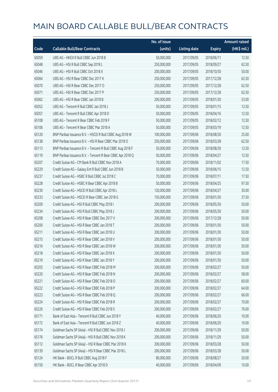|       |                                                            | No. of issue |                     |               | <b>Amount raised</b> |
|-------|------------------------------------------------------------|--------------|---------------------|---------------|----------------------|
| Code  | <b>Callable Bull/Bear Contracts</b>                        | (units)      | <b>Listing date</b> | <b>Expiry</b> | (HK\$ mil.)          |
| 65059 | UBS AG - HKEX R Bull CBBC Jun 2018 B                       | 50,000,000   | 2017/09/05          | 2018/06/11    | 12.50                |
| 65048 | UBS AG - HSI R Bull CBBC Sep 2018 L                        | 250,000,000  | 2017/09/05          | 2018/09/27    | 62.50                |
| 65046 | UBS AG - HSI R Bull CBBC Oct 2018 X                        | 200,000,000  | 2017/09/05          | 2018/10/30    | 50.00                |
| 65064 | UBS AG - HSI R Bear CBBC Dec 2017 K                        | 250,000,000  | 2017/09/05          | 2017/12/28    | 62.50                |
| 65070 | UBS AG - HSI R Bear CBBC Dec 2017 O                        | 250,000,000  | 2017/09/05          | 2017/12/28    | 62.50                |
| 65071 | UBS AG - HSI R Bear CBBC Dec 2017 P                        | 250,000,000  | 2017/09/05          | 2017/12/28    | 62.50                |
| 65062 | UBS AG - HSI R Bear CBBC Jan 2018 B                        | 200,000,000  | 2017/09/05          | 2018/01/30    | 53.00                |
| 65052 | UBS AG - Tencent R Bull CBBC Jan 2018 J                    | 50,000,000   | 2017/09/05          | 2018/01/15    | 12.50                |
| 65057 | UBS AG - Tencent R Bull CBBC Apr 2018 D                    | 50,000,000   | 2017/09/05          | 2018/04/16    | 12.50                |
| 65108 | UBS AG - Tencent R Bear CBBC Feb 2018 F                    | 50,000,000   | 2017/09/05          | 2018/02/12    | 12.50                |
| 65106 | UBS AG - Tencent R Bear CBBC Mar 2018 A                    | 50,000,000   | 2017/09/05          | 2018/03/19    | 12.50                |
| 65120 | BNP Paribas Issuance B.V. - HSCEI R Bull CBBC Aug 2018 W   | 100,000,000  | 2017/09/06          | 2018/08/30    | 25.00                |
| 65138 | BNP Paribas Issuance B.V. - HSI R Bear CBBC Mar 2018 O     | 250,000,000  | 2017/09/06          | 2018/03/28    | 62.50                |
| 65113 | BNP Paribas Issuance B.V. - Tencent R Bull CBBC Aug 2018 F | 50,000,000   | 2017/09/06          | 2018/08/30    | 12.50                |
| 65119 | BNP Paribas Issuance B.V. - Tencent R Bear CBBC Apr 2018 Q | 50,000,000   | 2017/09/06          | 2018/04/27    | 12.50                |
| 65207 | Credit Suisse AG - CM Bank R Bull CBBC Nov 2018 A          | 70,000,000   | 2017/09/06          | 2018/11/02    | 17.50                |
| 65229 | Credit Suisse AG - Galaxy Ent R Bull CBBC Jun 2018 B       | 50,000,000   | 2017/09/06          | 2018/06/15    | 12.50                |
| 65237 | Credit Suisse AG - HSBC R Bull CBBC Jul 2018 C             | 70,000,000   | 2017/09/06          | 2018/07/11    | 17.50                |
| 65228 | Credit Suisse AG - HSBC R Bear CBBC Apr 2018 B             | 50,000,000   | 2017/09/06          | 2018/04/25    | 97.50                |
| 65230 | Credit Suisse AG - HSCEI R Bull CBBC Apr 2018 L            | 120,000,000  | 2017/09/06          | 2018/04/27    | 30.00                |
| 65233 | Credit Suisse AG - HSCEI R Bear CBBC Jan 2018 G            | 150,000,000  | 2017/09/06          | 2018/01/30    | 37.50                |
| 65209 | Credit Suisse AG - HSI R Bull CBBC May 2018 I              | 200,000,000  | 2017/09/06          | 2018/05/30    | 50.00                |
| 65234 | Credit Suisse AG - HSI R Bull CBBC May 2018 J              | 200,000,000  | 2017/09/06          | 2018/05/30    | 50.00                |
| 65208 | Credit Suisse AG - HSI R Bear CBBC Dec 2017 V              | 200,000,000  | 2017/09/06          | 2017/12/28    | 50.00                |
| 65200 | Credit Suisse AG - HSI R Bear CBBC Jan 2018 T              | 200,000,000  | 2017/09/06          | 2018/01/30    | 50.00                |
| 65211 | Credit Suisse AG - HSI R Bear CBBC Jan 2018 U              | 200,000,000  | 2017/09/06          | 2018/01/30    | 50.00                |
| 65215 | Credit Suisse AG - HSI R Bear CBBC Jan 2018 V              | 200,000,000  | 2017/09/06          | 2018/01/30    | 50.00                |
| 65216 | Credit Suisse AG - HSI R Bear CBBC Jan 2018 W              | 200,000,000  | 2017/09/06          | 2018/01/30    | 50.00                |
| 65218 | Credit Suisse AG - HSI R Bear CBBC Jan 2018 X              | 200,000,000  | 2017/09/06          | 2018/01/30    | 50.00                |
| 65219 | Credit Suisse AG - HSI R Bear CBBC Jan 2018 Y              | 200,000,000  | 2017/09/06          | 2018/01/30    | 50.00                |
| 65203 | Credit Suisse AG - HSI R Bear CBBC Feb 2018 M              | 200,000,000  | 2017/09/06          | 2018/02/27    | 50.00                |
| 65220 | Credit Suisse AG - HSI R Bear CBBC Feb 2018 N              | 200,000,000  | 2017/09/06          | 2018/02/27    | 58.00                |
| 65221 | Credit Suisse AG - HSI R Bear CBBC Feb 2018 O              | 200,000,000  | 2017/09/06          | 2018/02/27    | 60.00                |
| 65222 | Credit Suisse AG - HSI R Bear CBBC Feb 2018 P              | 200,000,000  | 2017/09/06          | 2018/02/27    | 64.00                |
| 65223 | Credit Suisse AG - HSI R Bear CBBC Feb 2018 Q              | 200,000,000  | 2017/09/06          | 2018/02/27    | 66.00                |
| 65224 | Credit Suisse AG - HSI R Bear CBBC Feb 2018 R              | 200,000,000  | 2017/09/06          | 2018/02/27    | 70.00                |
| 65226 | Credit Suisse AG - HSI R Bear CBBC Feb 2018 S              | 200,000,000  | 2017/09/06          | 2018/02/27    | 76.00                |
| 65171 | Bank of East Asia - Tencent R Bull CBBC Jun 2018 Y         | 40,000,000   | 2017/09/06          | 2018/06/20    | 10.00                |
| 65172 | Bank of East Asia - Tencent R Bull CBBC Jun 2018 Z         | 40,000,000   | 2017/09/06          | 2018/06/20    | 10.00                |
| 65174 | Goldman Sachs SP (Asia) - HSI R Bull CBBC Nov 2018 J       | 200,000,000  | 2017/09/06          | 2018/11/29    | 50.00                |
| 65176 | Goldman Sachs SP (Asia) - HSI R Bull CBBC Nov 2018 K       | 200,000,000  | 2017/09/06          | 2018/11/29    | 50.00                |
| 65112 | Goldman Sachs SP (Asia) - HSI R Bear CBBC Mar 2018 K       | 200,000,000  | 2017/09/06          | 2018/03/28    | 50.00                |
| 65139 | Goldman Sachs SP (Asia) - HSI R Bear CBBC Mar 2018 L       | 200,000,000  | 2017/09/06          | 2018/03/28    | 50.00                |
| 65124 | HK Bank - BOCL R Bull CBBC Aug 2018 F                      | 80,000,000   | 2017/09/06          | 2018/08/27    | 20.00                |
| 65150 | HK Bank - BOCL R Bear CBBC Apr 2018 D                      | 40,000,000   | 2017/09/06          | 2018/04/09    | 10.00                |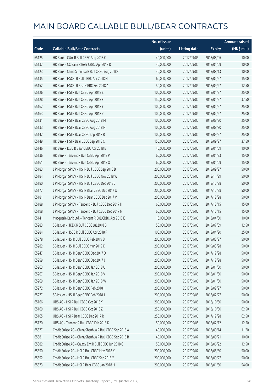|       |                                                         | No. of issue |                     |               | <b>Amount raised</b> |
|-------|---------------------------------------------------------|--------------|---------------------|---------------|----------------------|
| Code  | <b>Callable Bull/Bear Contracts</b>                     | (units)      | <b>Listing date</b> | <b>Expiry</b> | (HK\$ mil.)          |
| 65125 | HK Bank - CUni R Bull CBBC Aug 2018 C                   | 40,000,000   | 2017/09/06          | 2018/08/06    | 10.00                |
| 65137 | HK Bank - CC Bank R Bear CBBC Apr 2018 D                | 40,000,000   | 2017/09/06          | 2018/04/09    | 10.00                |
| 65123 | HK Bank - China Shenhua R Bull CBBC Aug 2018 C          | 40,000,000   | 2017/09/06          | 2018/08/13    | 10.00                |
| 65135 | HK Bank - HSCEI R Bull CBBC Apr 2018 H                  | 60,000,000   | 2017/09/06          | 2018/04/27    | 15.00                |
| 65152 | HK Bank - HSCEI R Bear CBBC Sep 2018 A                  | 50,000,000   | 2017/09/06          | 2018/09/27    | 12.50                |
| 65126 | HK Bank - HSI R Bull CBBC Apr 2018 E                    | 100,000,000  | 2017/09/06          | 2018/04/27    | 25.00                |
| 65128 | HK Bank - HSI R Bull CBBC Apr 2018 F                    | 150,000,000  | 2017/09/06          | 2018/04/27    | 37.50                |
| 65162 | HK Bank - HSI R Bull CBBC Apr 2018 Y                    | 100,000,000  | 2017/09/06          | 2018/04/27    | 25.00                |
| 65163 | HK Bank - HSI R Bull CBBC Apr 2018 Z                    | 100,000,000  | 2017/09/06          | 2018/04/27    | 25.00                |
| 65131 | HK Bank - HSI R Bear CBBC Aug 2018 M                    | 100,000,000  | 2017/09/06          | 2018/08/30    | 25.00                |
| 65133 | HK Bank - HSI R Bear CBBC Aug 2018 N                    | 100,000,000  | 2017/09/06          | 2018/08/30    | 25.00                |
| 65142 | HK Bank - HSI R Bear CBBC Sep 2018 B                    | 100,000,000  | 2017/09/06          | 2018/09/27    | 25.00                |
| 65149 | HK Bank - HSI R Bear CBBC Sep 2018 C                    | 150,000,000  | 2017/09/06          | 2018/09/27    | 37.50                |
| 65146 | HK Bank - ICBC R Bear CBBC Apr 2018 B                   | 40,000,000   | 2017/09/06          | 2018/04/09    | 10.00                |
| 65136 | HK Bank - Tencent R Bull CBBC Apr 2018 P                | 60,000,000   | 2017/09/06          | 2018/04/23    | 15.00                |
| 65161 | HK Bank - Tencent R Bull CBBC Apr 2018 Q                | 60,000,000   | 2017/09/06          | 2018/04/09    | 15.00                |
| 65183 | J P Morgan SP BV - HSI R Bull CBBC Sep 2018 B           | 200,000,000  | 2017/09/06          | 2018/09/27    | 50.00                |
| 65184 | J P Morgan SP BV - HSI R Bull CBBC Nov 2018 W           | 200,000,000  | 2017/09/06          | 2018/11/29    | 50.00                |
| 65180 | J P Morgan SP BV - HSI R Bull CBBC Dec 2018 J           | 200,000,000  | 2017/09/06          | 2018/12/28    | 50.00                |
| 65177 | J P Morgan SP BV - HSI R Bear CBBC Dec 2017 U           | 200,000,000  | 2017/09/06          | 2017/12/28    | 50.00                |
| 65181 | J P Morgan SP BV - HSI R Bear CBBC Dec 2017 V           | 200,000,000  | 2017/09/06          | 2017/12/28    | 50.00                |
| 65188 | J P Morgan SP BV - Tencent R Bull CBBC Dec 2017 H       | 60,000,000   | 2017/09/06          | 2017/12/15    | 15.00                |
| 65198 | J P Morgan SP BV - Tencent R Bull CBBC Dec 2017 N       | 60,000,000   | 2017/09/06          | 2017/12/15    | 15.00                |
| 65141 | Macquarie Bank Ltd. - Tencent R Bull CBBC Apr 2018 E    | 16,000,000   | 2017/09/06          | 2018/04/30    | 10.00                |
| 65283 | SG Issuer - HKEX R Bull CBBC Jul 2018 B                 | 50,000,000   | 2017/09/06          | 2018/07/09    | 12.50                |
| 65284 | SG Issuer - HSBC R Bull CBBC Apr 2018 F                 | 100,000,000  | 2017/09/06          | 2018/04/20    | 25.00                |
| 65278 | SG Issuer - HSI R Bull CBBC Feb 2019 B                  | 200,000,000  | 2017/09/06          | 2019/02/27    | 50.00                |
| 65282 | SG Issuer – HSI R Bull CBBC Mar 2019 K                  | 200,000,000  | 2017/09/06          | 2019/03/28    | 50.00                |
| 65247 | SG Issuer - HSI R Bear CBBC Dec 2017 D                  | 200,000,000  | 2017/09/06          | 2017/12/28    | 50.00                |
| 65259 | SG Issuer - HSI R Bear CBBC Dec 2017 J                  | 200,000,000  | 2017/09/06          | 2017/12/28    | 50.00                |
| 65263 | SG Issuer - HSI R Bear CBBC Jan 2018 U                  | 200,000,000  | 2017/09/06          | 2018/01/30    | 50.00                |
| 65267 | SG Issuer - HSI R Bear CBBC Jan 2018 V                  | 200,000,000  | 2017/09/06          | 2018/01/30    | 50.00                |
| 65269 | SG Issuer - HSI R Bear CBBC Jan 2018 W                  | 200,000,000  | 2017/09/06          | 2018/01/30    | 50.00                |
| 65272 | SG Issuer - HSI R Bear CBBC Feb 2018 I                  | 200,000,000  | 2017/09/06          | 2018/02/27    | 50.00                |
| 65277 | SG Issuer - HSI R Bear CBBC Feb 2018 J                  | 200,000,000  | 2017/09/06          | 2018/02/27    | 50.00                |
| 65166 | UBS AG - HSI R Bull CBBC Oct 2018 Y                     | 200,000,000  | 2017/09/06          | 2018/10/30    | 50.00                |
| 65169 | UBS AG - HSI R Bull CBBC Oct 2018 Z                     | 250,000,000  | 2017/09/06          | 2018/10/30    | 62.50                |
| 65165 | UBS AG - HSI R Bear CBBC Dec 2017 R                     | 250,000,000  | 2017/09/06          | 2017/12/28    | 62.50                |
| 65170 | UBS AG - Tencent R Bull CBBC Feb 2018 K                 | 50,000,000   | 2017/09/06          | 2018/02/12    | 12.50                |
| 65377 | Credit Suisse AG - China Shenhua R Bull CBBC Sep 2018 A | 40,000,000   | 2017/09/07          | 2018/09/14    | 11.20                |
| 65381 | Credit Suisse AG - China Shenhua R Bull CBBC Sep 2018 B | 40,000,000   | 2017/09/07          | 2018/09/21    | 10.00                |
| 65382 | Credit Suisse AG - Galaxy Ent R Bull CBBC Jun 2018 C    | 50,000,000   | 2017/09/07          | 2018/06/22    | 12.50                |
| 65350 | Credit Suisse AG - HSI R Bull CBBC May 2018 K           | 200,000,000  | 2017/09/07          | 2018/05/30    | 50.00                |
| 65352 | Credit Suisse AG - HSI R Bull CBBC Sep 2018 Y           | 200,000,000  | 2017/09/07          | 2018/09/27    | 50.00                |
| 65373 | Credit Suisse AG - HSI R Bear CBBC Jan 2018 H           | 200,000,000  | 2017/09/07          | 2018/01/30    | 54.00                |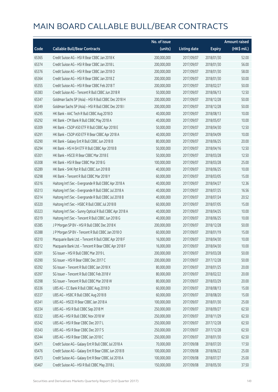|       |                                                          | No. of issue |                     |               | <b>Amount raised</b> |
|-------|----------------------------------------------------------|--------------|---------------------|---------------|----------------------|
| Code  | <b>Callable Bull/Bear Contracts</b>                      | (units)      | <b>Listing date</b> | <b>Expiry</b> | (HK\$ mil.)          |
| 65365 | Credit Suisse AG - HSI R Bear CBBC Jan 2018 K            | 200,000,000  | 2017/09/07          | 2018/01/30    | 52.00                |
| 65374 | Credit Suisse AG - HSI R Bear CBBC Jan 2018 L            | 200,000,000  | 2017/09/07          | 2018/01/30    | 56.00                |
| 65376 | Credit Suisse AG - HSI R Bear CBBC Jan 2018 O            | 200,000,000  | 2017/09/07          | 2018/01/30    | 58.00                |
| 65364 | Credit Suisse AG - HSI R Bear CBBC Jan 2018 Z            | 200,000,000  | 2017/09/07          | 2018/01/30    | 50.00                |
| 65355 | Credit Suisse AG - HSI R Bear CBBC Feb 2018 T            | 200,000,000  | 2017/09/07          | 2018/02/27    | 50.00                |
| 65383 | Credit Suisse AG - Tencent R Bull CBBC Jun 2018 R        | 50,000,000   | 2017/09/07          | 2018/06/13    | 12.50                |
| 65347 | Goldman Sachs SP (Asia) - HSI R Bull CBBC Dec 2018 H     | 200,000,000  | 2017/09/07          | 2018/12/28    | 50.00                |
| 65349 | Goldman Sachs SP (Asia) - HSI R Bull CBBC Dec 2018 I     | 200,000,000  | 2017/09/07          | 2018/12/28    | 50.00                |
| 65295 | HK Bank - AAC Tech R Bull CBBC Aug 2018 D                | 40,000,000   | 2017/09/07          | 2018/08/13    | 10.00                |
| 65292 | HK Bank - CM Bank R Bull CBBC May 2018 A                 | 40,000,000   | 2017/09/07          | 2018/05/07    | 10.00                |
| 65309 | HK Bank - CSOP A50 ETF R Bull CBBC Apr 2018 E            | 50,000,000   | 2017/09/07          | 2018/04/30    | 12.50                |
| 65291 | HK Bank - CSOP A50 ETF R Bear CBBC Apr 2018 A            | 40,000,000   | 2017/09/07          | 2018/04/09    | 10.00                |
| 65290 | HK Bank - Galaxy Ent R Bull CBBC Jun 2018 B              | 80,000,000   | 2017/09/07          | 2018/06/25    | 20.00                |
| 65294 | HK Bank - HS H-SH ETF R Bull CBBC Apr 2018 B             | 50,000,000   | 2017/09/07          | 2018/04/16    | 12.50                |
| 65301 | HK Bank - HSCEI R Bear CBBC Mar 2018 E                   | 50,000,000   | 2017/09/07          | 2018/03/28    | 12.50                |
| 65308 | HK Bank - HSI R Bear CBBC Mar 2018 G                     | 100,000,000  | 2017/09/07          | 2018/03/28    | 25.00                |
| 65289 | HK Bank - SHK Ppt R Bull CBBC Jun 2018 B                 | 40,000,000   | 2017/09/07          | 2018/06/25    | 10.00                |
| 65298 | HK Bank - Tencent R Bull CBBC Mar 2018 Y                 | 60,000,000   | 2017/09/07          | 2018/03/05    | 15.00                |
| 65316 | Haitong Int'l Sec - Evergrande R Bull CBBC Apr 2018 A    | 40,000,000   | 2017/09/07          | 2018/04/27    | 12.36                |
| 65313 | Haitong Int'l Sec - Evergrande R Bull CBBC Jul 2018 A    | 40,000,000   | 2017/09/07          | 2018/07/25    | 16.56                |
| 65314 | Haitong Int'l Sec - Evergrande R Bull CBBC Jul 2018 B    | 40,000,000   | 2017/09/07          | 2018/07/24    | 20.52                |
| 65320 | Haitong Int'l Sec - HSBC R Bull CBBC Jul 2018 B          | 60,000,000   | 2017/09/07          | 2018/07/05    | 15.00                |
| 65323 | Haitong Int'l Sec - Sunny Optical R Bull CBBC Apr 2018 A | 40,000,000   | 2017/09/07          | 2018/04/25    | 10.00                |
| 65319 | Haitong Int'l Sec - Tencent R Bull CBBC Jun 2018 G       | 40,000,000   | 2017/09/07          | 2018/06/25    | 10.00                |
| 65385 | J P Morgan SP BV - HSI R Bull CBBC Dec 2018 K            | 200,000,000  | 2017/09/07          | 2018/12/28    | 50.00                |
| 65388 | J P Morgan SP BV - Tencent R Bull CBBC Jan 2018 O        | 60,000,000   | 2017/09/07          | 2018/01/19    | 15.00                |
| 65310 | Macquarie Bank Ltd. - Tencent R Bull CBBC Apr 2018 F     | 16,000,000   | 2017/09/07          | 2018/04/30    | 10.00                |
| 65312 | Macquarie Bank Ltd. - Tencent R Bear CBBC Apr 2018 F     | 16,000,000   | 2017/09/07          | 2018/04/30    | 10.00                |
| 65391 | SG Issuer - HSI R Bull CBBC Mar 2019 L                   | 200,000,000  | 2017/09/07          | 2019/03/28    | 50.00                |
| 65390 | SG Issuer - HSI R Bear CBBC Dec 2017 C                   | 200,000,000  | 2017/09/07          | 2017/12/28    | 50.00                |
| 65392 | SG Issuer - Tencent R Bull CBBC Jan 2018 X               | 80,000,000   | 2017/09/07          | 2018/01/25    | 20.00                |
| 65397 | SG Issuer - Tencent R Bull CBBC Feb 2018 V               | 80,000,000   | 2017/09/07          | 2018/02/22    | 20.00                |
| 65398 | SG Issuer - Tencent R Bull CBBC Mar 2018 W               | 80,000,000   | 2017/09/07          | 2018/03/29    | 20.00                |
| 65336 | UBS AG - CC Bank R Bull CBBC Aug 2018 D                  | 60,000,000   | 2017/09/07          | 2018/08/13    | 15.00                |
| 65337 | UBS AG - HSBC R Bull CBBC Aug 2018 B                     | 60,000,000   | 2017/09/07          | 2018/08/20    | 15.00                |
| 65341 | UBS AG - HSCEI R Bear CBBC Jan 2018 A                    | 100,000,000  | 2017/09/07          | 2018/01/30    | 25.00                |
| 65334 | UBS AG - HSI R Bull CBBC Sep 2018 M                      | 250,000,000  | 2017/09/07          | 2018/09/27    | 62.50                |
| 65332 | UBS AG - HSI R Bull CBBC Nov 2018 W                      | 250,000,000  | 2017/09/07          | 2018/11/29    | 62.50                |
| 65342 | UBS AG - HSI R Bear CBBC Dec 2017 L                      | 250,000,000  | 2017/09/07          | 2017/12/28    | 62.50                |
| 65343 | UBS AG - HSI R Bear CBBC Dec 2017 S                      | 250,000,000  | 2017/09/07          | 2017/12/28    | 62.50                |
| 65344 | UBS AG - HSI R Bear CBBC Jan 2018 C                      | 250,000,000  | 2017/09/07          | 2018/01/30    | 62.50                |
| 65471 | Credit Suisse AG - Galaxy Ent R Bull CBBC Jul 2018 A     | 70,000,000   | 2017/09/08          | 2018/07/20    | 17.50                |
| 65476 | Credit Suisse AG - Galaxy Ent R Bear CBBC Jun 2018 B     | 100,000,000  | 2017/09/08          | 2018/06/22    | 25.00                |
| 65473 | Credit Suisse AG - Galaxy Ent R Bear CBBC Jul 2018 A     | 100,000,000  | 2017/09/08          | 2018/07/27    | 25.00                |
| 65467 | Credit Suisse AG - HSI R Bull CBBC May 2018 L            | 150,000,000  | 2017/09/08          | 2018/05/30    | 37.50                |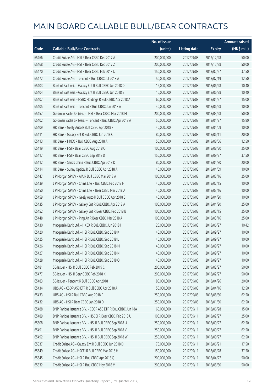|       |                                                              | No. of issue |                     |               | <b>Amount raised</b> |
|-------|--------------------------------------------------------------|--------------|---------------------|---------------|----------------------|
| Code  | <b>Callable Bull/Bear Contracts</b>                          | (units)      | <b>Listing date</b> | <b>Expiry</b> | (HK\$ mil.)          |
| 65466 | Credit Suisse AG - HSI R Bear CBBC Dec 2017 A                | 200,000,000  | 2017/09/08          | 2017/12/28    | 50.00                |
| 65468 | Credit Suisse AG - HSI R Bear CBBC Dec 2017 Z                | 200,000,000  | 2017/09/08          | 2017/12/28    | 50.00                |
| 65470 | Credit Suisse AG - HSI R Bear CBBC Feb 2018 U                | 150,000,000  | 2017/09/08          | 2018/02/27    | 37.50                |
| 65472 | Credit Suisse AG - Tencent R Bull CBBC Jul 2018 A            | 50,000,000   | 2017/09/08          | 2018/07/19    | 12.50                |
| 65403 | Bank of East Asia - Galaxy Ent R Bull CBBC Jun 2018 D        | 16,000,000   | 2017/09/08          | 2018/06/28    | 10.40                |
| 65404 | Bank of East Asia - Galaxy Ent R Bull CBBC Jun 2018 E        | 16,000,000   | 2017/09/08          | 2018/06/28    | 10.40                |
| 65407 | Bank of East Asia - HSBC Holdings R Bull CBBC Apr 2018 A     | 60,000,000   | 2017/09/08          | 2018/04/27    | 15.00                |
| 65405 | Bank of East Asia - Tencent R Bull CBBC Jun 2018 A           | 40,000,000   | 2017/09/08          | 2018/06/28    | 10.00                |
| 65457 | Goldman Sachs SP (Asia) - HSI R Bear CBBC Mar 2018 M         | 200,000,000  | 2017/09/08          | 2018/03/28    | 50.00                |
| 65402 | Goldman Sachs SP (Asia) - Tencent R Bull CBBC Apr 2018 A     | 50,000,000   | 2017/09/08          | 2018/04/27    | 15.80                |
| 65409 | HK Bank - Geely Auto R Bull CBBC Apr 2018 F                  | 40,000,000   | 2017/09/08          | 2018/04/09    | 10.00                |
| 65411 | HK Bank - Galaxy Ent R Bull CBBC Jun 2018 C                  | 80,000,000   | 2017/09/08          | 2018/06/11    | 20.00                |
| 65413 | HK Bank - HKEX R Bull CBBC Aug 2018 A                        | 50,000,000   | 2017/09/08          | 2018/08/06    | 12.50                |
| 65419 | HK Bank - HSI R Bear CBBC Aug 2018 O                         | 100,000,000  | 2017/09/08          | 2018/08/30    | 25.00                |
| 65417 | HK Bank - HSI R Bear CBBC Sep 2018 D                         | 150,000,000  | 2017/09/08          | 2018/09/27    | 37.50                |
| 65412 | HK Bank - Sands China R Bull CBBC Apr 2018 D                 | 80,000,000   | 2017/09/08          | 2018/04/30    | 20.00                |
| 65414 | HK Bank - Sunny Optical R Bull CBBC Apr 2018 A               | 40,000,000   | 2017/09/08          | 2018/04/09    | 10.00                |
| 65447 | J P Morgan SP BV - AIA R Bull CBBC Mar 2018 A                | 100,000,000  | 2017/09/08          | 2018/03/16    | 25.00                |
| 65439 | J P Morgan SP BV - China Life R Bull CBBC Feb 2018 F         | 40,000,000   | 2017/09/08          | 2018/02/15    | 10.00                |
| 65450 | J P Morgan SP BV - China Life R Bear CBBC Mar 2018 A         | 40,000,000   | 2017/09/08          | 2018/03/16    | 10.00                |
| 65459 | J P Morgan SP BV - Geely Auto R Bull CBBC Apr 2018 B         | 40,000,000   | 2017/09/08          | 2018/04/20    | 10.00                |
| 65435 | J P Morgan SP BV - Galaxy Ent R Bull CBBC Apr 2018 A         | 100,000,000  | 2017/09/08          | 2018/04/20    | 25.00                |
| 65452 | J P Morgan SP BV - Galaxy Ent R Bear CBBC Feb 2018 B         | 100,000,000  | 2017/09/08          | 2018/02/15    | 25.00                |
| 65448 | J P Morgan SP BV - Ping An R Bear CBBC Mar 2018 A            | 100,000,000  | 2017/09/08          | 2018/03/16    | 25.00                |
| 65430 | Macquarie Bank Ltd. - HKEX R Bull CBBC Jun 2018 I            | 20,000,000   | 2017/09/08          | 2018/06/27    | 10.42                |
| 65420 | Macquarie Bank Ltd. - HSI R Bull CBBC Sep 2018 K             | 40,000,000   | 2017/09/08          | 2018/09/27    | 10.00                |
| 65425 | Macquarie Bank Ltd. - HSI R Bull CBBC Sep 2018 L             | 40,000,000   | 2017/09/08          | 2018/09/27    | 10.00                |
| 65426 | Macquarie Bank Ltd. - HSI R Bull CBBC Sep 2018 M             | 40,000,000   | 2017/09/08          | 2018/09/27    | 10.00                |
| 65427 | Macquarie Bank Ltd. - HSI R Bull CBBC Sep 2018 N             | 40,000,000   | 2017/09/08          | 2018/09/27    | 10.00                |
| 65428 | Macquarie Bank Ltd. - HSI R Bull CBBC Sep 2018 O             | 40,000,000   | 2017/09/08          | 2018/09/27    | 10.00                |
| 65481 | SG Issuer - HSI R Bull CBBC Feb 2019 C                       | 200,000,000  | 2017/09/08          | 2019/02/27    | 50.00                |
| 65477 | SG Issuer - HSI R Bear CBBC Feb 2018 K                       | 200,000,000  | 2017/09/08          | 2018/02/27    | 50.00                |
| 65483 | SG Issuer - Tencent R Bull CBBC Apr 2018 I                   | 80,000,000   | 2017/09/08          | 2018/04/26    | 20.00                |
| 65434 | UBS AG - CSOP A50 ETF R Bull CBBC Apr 2018 A                 | 50,000,000   | 2017/09/08          | 2018/04/16    | 12.50                |
| 65433 | UBS AG - HSI R Bull CBBC Aug 2018 F                          | 250,000,000  | 2017/09/08          | 2018/08/30    | 62.50                |
| 65432 | UBS AG - HSI R Bear CBBC Jan 2018 D                          | 250,000,000  | 2017/09/08          | 2018/01/30    | 62.50                |
| 65488 | BNP Paribas Issuance B.V. - CSOP A50 ETF R Bull CBBC Jun 18A | 60,000,000   | 2017/09/11          | 2018/06/28    | 15.00                |
| 65489 | BNP Paribas Issuance B.V. - HSCEI R Bear CBBC Feb 2018 U     | 100,000,000  | 2017/09/11          | 2018/02/27    | 25.00                |
| 65508 | BNP Paribas Issuance B.V. - HSI R Bull CBBC Sep 2018 U       | 250,000,000  | 2017/09/11          | 2018/09/27    | 62.50                |
| 65491 | BNP Paribas Issuance B.V. - HSI R Bull CBBC Sep 2018 V       | 250,000,000  | 2017/09/11          | 2018/09/27    | 62.50                |
| 65492 | BNP Paribas Issuance B.V. - HSI R Bull CBBC Sep 2018 W       | 250,000,000  | 2017/09/11          | 2018/09/27    | 62.50                |
| 65537 | Credit Suisse AG - Galaxy Ent R Bull CBBC Jun 2018 D         | 70,000,000   | 2017/09/11          | 2018/06/21    | 17.50                |
| 65549 | Credit Suisse AG - HSCEI R Bull CBBC Mar 2018 H              | 150,000,000  | 2017/09/11          | 2018/03/28    | 37.50                |
| 65545 | Credit Suisse AG - HSI R Bull CBBC Apr 2018 Q                | 200,000,000  | 2017/09/11          | 2018/04/27    | 50.00                |
| 65532 | Credit Suisse AG - HSI R Bull CBBC May 2018 M                | 200,000,000  | 2017/09/11          | 2018/05/30    | 50.00                |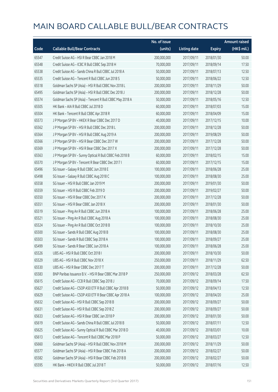|       |                                                          | No. of issue |                     |               | <b>Amount raised</b> |
|-------|----------------------------------------------------------|--------------|---------------------|---------------|----------------------|
| Code  | <b>Callable Bull/Bear Contracts</b>                      | (units)      | <b>Listing date</b> | <b>Expiry</b> | (HK\$ mil.)          |
| 65547 | Credit Suisse AG - HSI R Bear CBBC Jan 2018 M            | 200,000,000  | 2017/09/11          | 2018/01/30    | 50.00                |
| 65548 | Credit Suisse AG - ICBC R Bull CBBC Sep 2018 H           | 70,000,000   | 2017/09/11          | 2018/09/14    | 17.50                |
| 65538 | Credit Suisse AG - Sands China R Bull CBBC Jul 2018 A    | 50,000,000   | 2017/09/11          | 2018/07/13    | 12.50                |
| 65535 | Credit Suisse AG - Tencent R Bull CBBC Jun 2018 S        | 50,000,000   | 2017/09/11          | 2018/06/22    | 12.50                |
| 65518 | Goldman Sachs SP (Asia) - HSI R Bull CBBC Nov 2018 L     | 200,000,000  | 2017/09/11          | 2018/11/29    | 50.00                |
| 65495 | Goldman Sachs SP (Asia) - HSI R Bull CBBC Dec 2018 J     | 200,000,000  | 2017/09/11          | 2018/12/28    | 50.00                |
| 65574 | Goldman Sachs SP (Asia) - Tencent R Bull CBBC May 2018 A | 50,000,000   | 2017/09/11          | 2018/05/16    | 12.50                |
| 65505 | HK Bank - AIA R Bull CBBC Jul 2018 D                     | 60,000,000   | 2017/09/11          | 2018/07/03    | 15.00                |
| 65504 | HK Bank - Tencent R Bull CBBC Apr 2018 R                 | 60,000,000   | 2017/09/11          | 2018/04/09    | 15.00                |
| 65573 | J P Morgan SP BV - HKEX R Bear CBBC Dec 2017 D           | 40,000,000   | 2017/09/11          | 2017/12/15    | 10.00                |
| 65562 | J P Morgan SP BV - HSI R Bull CBBC Dec 2018 L            | 200,000,000  | 2017/09/11          | 2018/12/28    | 50.00                |
| 65564 | J P Morgan SP BV - HSI R Bull CBBC Aug 2019 A            | 200,000,000  | 2017/09/11          | 2019/08/29    | 50.00                |
| 65566 | J P Morgan SP BV - HSI R Bear CBBC Dec 2017 W            | 200,000,000  | 2017/09/11          | 2017/12/28    | 50.00                |
| 65569 | J P Morgan SP BV - HSI R Bear CBBC Dec 2017 X            | 200,000,000  | 2017/09/11          | 2017/12/28    | 50.00                |
| 65563 | J P Morgan SP BV - Sunny Optical R Bull CBBC Feb 2018 B  | 60,000,000   | 2017/09/11          | 2018/02/15    | 15.00                |
| 65570 | J P Morgan SP BV - Tencent R Bear CBBC Dec 2017 I        | 60,000,000   | 2017/09/11          | 2017/12/15    | 15.00                |
| 65496 | SG Issuer - Galaxy R Bull CBBC Jun 2018 E                | 100,000,000  | 2017/09/11          | 2018/06/28    | 25.00                |
| 65498 | SG Issuer - Galaxy R Bull CBBC Aug 2018 C                | 100,000,000  | 2017/09/11          | 2018/08/30    | 25.00                |
| 65558 | SG Issuer - HSI R Bull CBBC Jan 2019 M                   | 200,000,000  | 2017/09/11          | 2019/01/30    | 50.00                |
| 65559 | SG Issuer - HSI R Bull CBBC Feb 2019 D                   | 200,000,000  | 2017/09/11          | 2019/02/27    | 50.00                |
| 65550 | SG Issuer - HSI R Bear CBBC Dec 2017 K                   | 200,000,000  | 2017/09/11          | 2017/12/28    | 50.00                |
| 65551 | SG Issuer - HSI R Bear CBBC Jan 2018 X                   | 200,000,000  | 2017/09/11          | 2018/01/30    | 50.00                |
| 65519 | SG Issuer - Ping An R Bull CBBC Jun 2018 A               | 100,000,000  | 2017/09/11          | 2018/06/28    | 25.00                |
| 65521 | SG Issuer - Ping An R Bull CBBC Aug 2018 A               | 100,000,000  | 2017/09/11          | 2018/08/30    | 25.00                |
| 65524 | SG Issuer - Ping An R Bull CBBC Oct 2018 B               | 100,000,000  | 2017/09/11          | 2018/10/30    | 25.00                |
| 65500 | SG Issuer - Sands R Bull CBBC Aug 2018 B                 | 100,000,000  | 2017/09/11          | 2018/08/30    | 25.00                |
| 65503 | SG Issuer - Sands R Bull CBBC Sep 2018 A                 | 100,000,000  | 2017/09/11          | 2018/09/27    | 25.00                |
| 65499 | SG Issuer - Sands R Bear CBBC Jun 2018 A                 | 100,000,000  | 2017/09/11          | 2018/06/28    | 25.00                |
| 65526 | UBS AG - HSI R Bull CBBC Oct 2018 I                      | 200,000,000  | 2017/09/11          | 2018/10/30    | 50.00                |
| 65529 | UBS AG - HSI R Bull CBBC Nov 2018 X                      | 250,000,000  | 2017/09/11          | 2018/11/29    | 62.50                |
| 65530 | UBS AG - HSI R Bear CBBC Dec 2017 T                      | 200,000,000  | 2017/09/11          | 2017/12/28    | 50.00                |
| 65583 | BNP Paribas Issuance B.V. - HSI R Bear CBBC Mar 2018 P   | 250,000,000  | 2017/09/12          | 2018/03/28    | 62.50                |
| 65615 | Credit Suisse AG - CCB R Bull CBBC Sep 2018 J            | 70,000,000   | 2017/09/12          | 2018/09/14    | 17.50                |
| 65627 | Credit Suisse AG - CSOP A50 ETF R Bull CBBC Apr 2018 B   | 50,000,000   | 2017/09/12          | 2018/04/13    | 12.50                |
| 65629 | Credit Suisse AG - CSOP A50 ETF R Bear CBBC Apr 2018 A   | 100,000,000  | 2017/09/12          | 2018/04/20    | 25.00                |
| 65632 | Credit Suisse AG - HSI R Bull CBBC Sep 2018 B            | 200,000,000  | 2017/09/12          | 2018/09/27    | 50.00                |
| 65631 | Credit Suisse AG - HSI R Bull CBBC Sep 2018 Z            | 200,000,000  | 2017/09/12          | 2018/09/27    | 50.00                |
| 65633 | Credit Suisse AG - HSI R Bear CBBC Jan 2018 P            | 200,000,000  | 2017/09/12          | 2018/01/30    | 50.00                |
| 65619 | Credit Suisse AG - Sands China R Bull CBBC Jul 2018 B    | 50,000,000   | 2017/09/12          | 2018/07/11    | 12.50                |
| 65625 | Credit Suisse AG - Sunny Optical R Bull CBBC Mar 2018 D  | 40,000,000   | 2017/09/12          | 2018/03/01    | 10.00                |
| 65613 | Credit Suisse AG - Tencent R Bull CBBC Mar 2018 P        | 50,000,000   | 2017/09/12          | 2018/03/27    | 12.50                |
| 65660 | Goldman Sachs SP (Asia) - HSI R Bull CBBC Nov 2018 M     | 200,000,000  | 2017/09/12          | 2018/11/29    | 50.00                |
| 65577 | Goldman Sachs SP (Asia) - HSI R Bear CBBC Feb 2018 A     | 200,000,000  | 2017/09/12          | 2018/02/27    | 50.00                |
| 65582 | Goldman Sachs SP (Asia) - HSI R Bear CBBC Feb 2018 B     | 200,000,000  | 2017/09/12          | 2018/02/27    | 50.00                |
| 65595 | HK Bank - HKEX R Bull CBBC Jul 2018 T                    | 50,000,000   | 2017/09/12          | 2018/07/16    | 12.50                |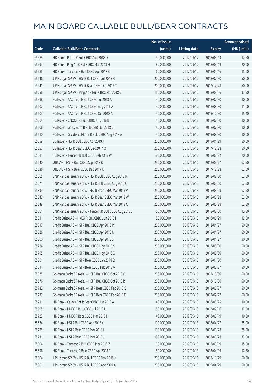|       |                                                            | No. of issue |                     |               | <b>Amount raised</b> |
|-------|------------------------------------------------------------|--------------|---------------------|---------------|----------------------|
| Code  | <b>Callable Bull/Bear Contracts</b>                        | (units)      | <b>Listing date</b> | <b>Expiry</b> | (HK\$ mil.)          |
| 65589 | HK Bank - PetCh R Bull CBBC Aug 2018 D                     | 50,000,000   | 2017/09/12          | 2018/08/13    | 12.50                |
| 65593 | HK Bank - Ping An R Bull CBBC Mar 2018 H                   | 80,000,000   | 2017/09/12          | 2018/03/19    | 20.00                |
| 65585 | HK Bank - Tencent R Bull CBBC Apr 2018 S                   | 60,000,000   | 2017/09/12          | 2018/04/16    | 15.00                |
| 65646 | J P Morgan SP BV - HSI R Bull CBBC Jul 2018 B              | 200,000,000  | 2017/09/12          | 2018/07/30    | 50.00                |
| 65641 | J P Morgan SP BV - HSI R Bear CBBC Dec 2017 Y              | 200,000,000  | 2017/09/12          | 2017/12/28    | 50.00                |
| 65656 | J P Morgan SP BV - Ping An R Bull CBBC Mar 2018 C          | 150,000,000  | 2017/09/12          | 2018/03/16    | 37.50                |
| 65598 | SG Issuer - AAC Tech R Bull CBBC Jul 2018 A                | 40,000,000   | 2017/09/12          | 2018/07/30    | 10.00                |
| 65602 | SG Issuer - AAC Tech R Bull CBBC Aug 2018 A                | 40,000,000   | 2017/09/12          | 2018/08/30    | 11.00                |
| 65603 | SG Issuer - AAC Tech R Bull CBBC Oct 2018 A                | 40,000,000   | 2017/09/12          | 2018/10/30    | 15.40                |
| 65604 | SG Issuer - CNOOC R Bull CBBC Jul 2018 B                   | 40,000,000   | 2017/09/12          | 2018/07/30    | 10.00                |
| 65606 | SG Issuer - Geely Auto R Bull CBBC Jul 2018 D              | 40,000,000   | 2017/09/12          | 2018/07/30    | 10.00                |
| 65610 | SG Issuer - Greatwall Motor R Bull CBBC Aug 2018 A         | 40,000,000   | 2017/09/12          | 2018/08/30    | 10.00                |
| 65659 | SG Issuer - HSI R Bull CBBC Apr 2019 J                     | 200,000,000  | 2017/09/12          | 2019/04/29    | 50.00                |
| 65657 | SG Issuer - HSI R Bear CBBC Dec 2017 Q                     | 200,000,000  | 2017/09/12          | 2017/12/28    | 50.00                |
| 65611 | SG Issuer - Tencent R Bull CBBC Feb 2018 W                 | 80,000,000   | 2017/09/12          | 2018/02/22    | 20.00                |
| 65640 | UBS AG - HSI R Bull CBBC Sep 2018 K                        | 250,000,000  | 2017/09/12          | 2018/09/27    | 62.50                |
| 65636 | UBS AG - HSI R Bear CBBC Dec 2017 U                        | 250,000,000  | 2017/09/12          | 2017/12/28    | 62.50                |
| 65665 | BNP Paribas Issuance B.V. - HSI R Bull CBBC Aug 2018 P     | 250,000,000  | 2017/09/13          | 2018/08/30    | 62.50                |
| 65671 | BNP Paribas Issuance B.V. - HSI R Bull CBBC Aug 2018 Q     | 250,000,000  | 2017/09/13          | 2018/08/30    | 62.50                |
| 65833 | BNP Paribas Issuance B.V. - HSI R Bear CBBC Mar 2018 V     | 250,000,000  | 2017/09/13          | 2018/03/28    | 62.50                |
| 65842 | BNP Paribas Issuance B.V. - HSI R Bear CBBC Mar 2018 W     | 250,000,000  | 2017/09/13          | 2018/03/28    | 62.50                |
| 65849 | BNP Paribas Issuance B.V. - HSI R Bear CBBC Mar 2018 X     | 250,000,000  | 2017/09/13          | 2018/03/28    | 62.50                |
| 65861 | BNP Paribas Issuance B.V. - Tencent R Bull CBBC Aug 2018 J | 50,000,000   | 2017/09/13          | 2018/08/30    | 12.50                |
| 65811 | Credit Suisse AG - HKEX R Bull CBBC Jun 2018 I             | 50,000,000   | 2017/09/13          | 2018/06/29    | 12.50                |
| 65817 | Credit Suisse AG - HSI R Bull CBBC Apr 2018 M              | 200,000,000  | 2017/09/13          | 2018/04/27    | 50.00                |
| 65826 | Credit Suisse AG - HSI R Bull CBBC Apr 2018 N              | 200,000,000  | 2017/09/13          | 2018/04/27    | 50.00                |
| 65800 | Credit Suisse AG - HSI R Bull CBBC Apr 2018 S              | 200,000,000  | 2017/09/13          | 2018/04/27    | 50.00                |
| 65784 | Credit Suisse AG - HSI R Bull CBBC May 2018 N              | 200,000,000  | 2017/09/13          | 2018/05/30    | 50.00                |
| 65795 | Credit Suisse AG - HSI R Bull CBBC May 2018 O              | 200,000,000  | 2017/09/13          | 2018/05/30    | 50.00                |
| 65801 | Credit Suisse AG - HSI R Bear CBBC Jan 2018 Q              | 200,000,000  | 2017/09/13          | 2018/01/30    | 50.00                |
| 65814 | Credit Suisse AG - HSI R Bear CBBC Feb 2018 V              | 200,000,000  | 2017/09/13          | 2018/02/27    | 50.00                |
| 65675 | Goldman Sachs SP (Asia) - HSI R Bull CBBC Oct 2018 O       | 200,000,000  | 2017/09/13          | 2018/10/30    | 50.00                |
| 65676 | Goldman Sachs SP (Asia) - HSI R Bull CBBC Oct 2018 R       | 200,000,000  | 2017/09/13          | 2018/10/30    | 50.00                |
| 65732 | Goldman Sachs SP (Asia) - HSI R Bear CBBC Feb 2018 C       | 200,000,000  | 2017/09/13          | 2018/02/27    | 50.00                |
| 65737 | Goldman Sachs SP (Asia) - HSI R Bear CBBC Feb 2018 D       | 200,000,000  | 2017/09/13          | 2018/02/27    | 50.00                |
| 65711 | HK Bank - Galaxy Ent R Bear CBBC Jun 2018 A                | 40,000,000   | 2017/09/13          | 2018/06/25    | 10.00                |
| 65695 | HK Bank - HKEX R Bull CBBC Jul 2018 U                      | 50,000,000   | 2017/09/13          | 2018/07/16    | 12.50                |
| 65723 | HK Bank - HKEX R Bear CBBC Mar 2018 H                      | 40,000,000   | 2017/09/13          | 2018/03/19    | 10.00                |
| 65684 | HK Bank - HSI R Bull CBBC Apr 2018 X                       | 100,000,000  | 2017/09/13          | 2018/04/27    | 25.00                |
| 65725 | HK Bank - HSI R Bear CBBC Mar 2018 I                       | 100,000,000  | 2017/09/13          | 2018/03/28    | 25.00                |
| 65731 | HK Bank - HSI R Bear CBBC Mar 2018 J                       | 150,000,000  | 2017/09/13          | 2018/03/28    | 37.50                |
| 65694 | HK Bank - Tencent R Bull CBBC Mar 2018 Z                   | 60,000,000   | 2017/09/13          | 2018/03/19    | 15.00                |
| 65696 | HK Bank - Tencent R Bear CBBC Apr 2018 F                   | 50,000,000   | 2017/09/13          | 2018/04/09    | 12.50                |
| 65904 | J P Morgan SP BV - HSI R Bull CBBC Nov 2018 X              | 200,000,000  | 2017/09/13          | 2018/11/29    | 50.00                |
| 65901 | J P Morgan SP BV - HSI R Bull CBBC Apr 2019 A              | 200,000,000  | 2017/09/13          | 2019/04/29    | 50.00                |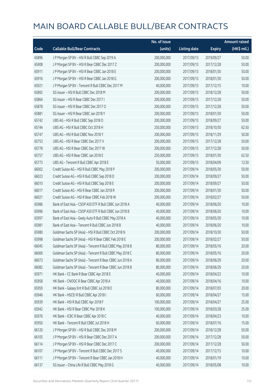|       |                                                          | No. of issue |                     |               | <b>Amount raised</b> |
|-------|----------------------------------------------------------|--------------|---------------------|---------------|----------------------|
| Code  | <b>Callable Bull/Bear Contracts</b>                      | (units)      | <b>Listing date</b> | <b>Expiry</b> | (HK\$ mil.)          |
| 65896 | J P Morgan SP BV - HSI R Bull CBBC Sep 2019 A            | 200,000,000  | 2017/09/13          | 2019/09/27    | 50.00                |
| 65908 | JP Morgan SP BV - HSIR Bear CBBC Dec 2017 Z              | 200,000,000  | 2017/09/13          | 2017/12/28    | 50.00                |
| 65911 | J P Morgan SP BV - HSI R Bear CBBC Jan 2018 E            | 200,000,000  | 2017/09/13          | 2018/01/30    | 50.00                |
| 65916 | J P Morgan SP BV - HSI R Bear CBBC Jan 2018 G            | 200,000,000  | 2017/09/13          | 2018/01/30    | 50.00                |
| 65921 | J P Morgan SP BV - Tencent R Bull CBBC Dec 2017 M        | 40,000,000   | 2017/09/13          | 2017/12/15    | 10.00                |
| 65892 | SG Issuer - HSI R Bull CBBC Dec 2018 M                   | 200,000,000  | 2017/09/13          | 2018/12/28    | 50.00                |
| 65864 | SG Issuer - HSI R Bear CBBC Dec 2017 I                   | 200,000,000  | 2017/09/13          | 2017/12/28    | 50.00                |
| 65878 | SG Issuer - HSI R Bear CBBC Dec 2017 O                   | 200,000,000  | 2017/09/13          | 2017/12/28    | 50.00                |
| 65881 | SG Issuer - HSI R Bear CBBC Jan 2018 Y                   | 200,000,000  | 2017/09/13          | 2018/01/30    | 50.00                |
| 65742 | UBS AG - HSI R Bull CBBC Sep 2018 O                      | 200,000,000  | 2017/09/13          | 2018/09/27    | 50.00                |
| 65744 | UBS AG - HSI R Bull CBBC Oct 2018 H                      | 250,000,000  | 2017/09/13          | 2018/10/30    | 62.50                |
| 65747 | UBS AG - HSI R Bull CBBC Nov 2018 Y                      | 200,000,000  | 2017/09/13          | 2018/11/29    | 50.00                |
| 65753 | UBS AG - HSI R Bear CBBC Dec 2017 V                      | 200,000,000  | 2017/09/13          | 2017/12/28    | 50.00                |
| 65778 | UBS AG - HSI R Bear CBBC Dec 2017 W                      | 200,000,000  | 2017/09/13          | 2017/12/28    | 50.00                |
| 65757 | UBS AG - HSI R Bear CBBC Jan 2018 E                      | 250,000,000  | 2017/09/13          | 2018/01/30    | 62.50                |
| 65773 | UBS AG - Tencent R Bull CBBC Apr 2018 E                  | 50,000,000   | 2017/09/13          | 2018/04/09    | 12.50                |
| 66002 | Credit Suisse AG - HSI R Bull CBBC May 2018 P            | 200,000,000  | 2017/09/14          | 2018/05/30    | 50.00                |
| 66023 | Credit Suisse AG - HSI R Bull CBBC Sep 2018 D            | 200,000,000  | 2017/09/14          | 2018/09/27    | 50.00                |
| 66010 | Credit Suisse AG - HSI R Bull CBBC Sep 2018 E            | 200,000,000  | 2017/09/14          | 2018/09/27    | 50.00                |
| 66017 | Credit Suisse AG - HSI R Bear CBBC Jan 2018 R            | 200,000,000  | 2017/09/14          | 2018/01/30    | 50.00                |
| 66021 | Credit Suisse AG - HSI R Bear CBBC Feb 2018 W            | 200,000,000  | 2017/09/14          | 2018/02/27    | 50.00                |
| 65986 | Bank of East Asia - CSOP A50 ETF R Bull CBBC Jun 2018 A  | 40,000,000   | 2017/09/14          | 2018/06/20    | 10.00                |
| 65996 | Bank of East Asia - CSOP A50 ETF R Bull CBBC Jun 2018 B  | 40,000,000   | 2017/09/14          | 2018/06/20    | 10.00                |
| 65997 | Bank of East Asia - Geely Auto R Bull CBBC May 2018 A    | 40,000,000   | 2017/09/14          | 2018/05/30    | 10.00                |
| 65981 | Bank of East Asia - Tencent R Bull CBBC Jun 2018 B       | 40,000,000   | 2017/09/14          | 2018/06/20    | 10.00                |
| 65980 | Goldman Sachs SP (Asia) - HSI R Bull CBBC Oct 2018 N     | 200,000,000  | 2017/09/14          | 2018/10/30    | 50.00                |
| 65998 | Goldman Sachs SP (Asia) - HSI R Bear CBBC Feb 2018 E     | 200,000,000  | 2017/09/14          | 2018/02/27    | 50.00                |
| 66045 | Goldman Sachs SP (Asia) - Tencent R Bull CBBC May 2018 B | 80,000,000   | 2017/09/14          | 2018/05/16    | 20.00                |
| 66069 | Goldman Sachs SP (Asia) - Tencent R Bull CBBC May 2018 C | 80,000,000   | 2017/09/14          | 2018/05/16    | 20.00                |
| 66073 | Goldman Sachs SP (Asia) - Tencent R Bear CBBC Jun 2018 A | 80,000,000   | 2017/09/14          | 2018/06/29    | 20.00                |
| 66082 | Goldman Sachs SP (Asia) - Tencent R Bear CBBC Jun 2018 B | 80,000,000   | 2017/09/14          | 2018/06/29    | 20.00                |
| 65971 | HK Bank - CC Bank R Bear CBBC Apr 2018 E                 | 40,000,000   | 2017/09/14          | 2018/04/23    | 10.00                |
| 65958 | HK Bank - CNOOC R Bear CBBC Apr 2018 A                   | 40,000,000   | 2017/09/14          | 2018/04/16    | 10.00                |
| 65959 | HK Bank - Galaxy Ent R Bull CBBC Jul 2018 E              | 80,000,000   | 2017/09/14          | 2018/07/03    | 20.00                |
| 65946 | HK Bank - HSCEI R Bull CBBC Apr 2018 I                   | 60,000,000   | 2017/09/14          | 2018/04/27    | 15.00                |
| 65939 | HK Bank - HSI R Bull CBBC Apr 2018 F                     | 100,000,000  | 2017/09/14          | 2018/04/27    | 25.00                |
| 65942 | HK Bank - HSI R Bear CBBC Mar 2018 K                     | 100,000,000  | 2017/09/14          | 2018/03/28    | 25.00                |
| 65976 | HK Bank - ICBC R Bear CBBC Apr 2018 C                    | 40,000,000   | 2017/09/14          | 2018/04/23    | 10.00                |
| 65950 | HK Bank - Tencent R Bull CBBC Jul 2018 H                 | 60,000,000   | 2017/09/14          | 2018/07/16    | 15.00                |
| 66120 | J P Morgan SP BV - HSI R Bull CBBC Dec 2018 M            | 200,000,000  | 2017/09/14          | 2018/12/28    | 50.00                |
| 66105 | J P Morgan SP BV - HSI R Bear CBBC Dec 2017 A            | 200,000,000  | 2017/09/14          | 2017/12/28    | 50.00                |
| 66114 | J P Morgan SP BV - HSI R Bear CBBC Dec 2017 C            | 200,000,000  | 2017/09/14          | 2017/12/28    | 50.00                |
| 66107 | J P Morgan SP BV - Tencent R Bull CBBC Dec 2017 S        | 40,000,000   | 2017/09/14          | 2017/12/15    | 10.00                |
| 66111 | J P Morgan SP BV - Tencent R Bear CBBC Jan 2018 H        | 40,000,000   | 2017/09/14          | 2018/01/19    | 10.00                |
| 66137 | SG Issuer - China Life R Bull CBBC May 2018 G            | 40,000,000   | 2017/09/14          | 2018/05/08    | 10.00                |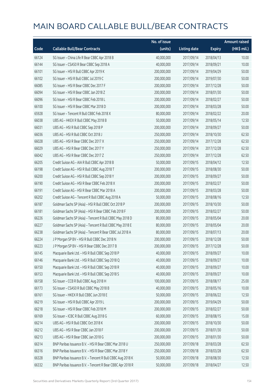|       |                                                            | No. of issue |                     |               | <b>Amount raised</b> |
|-------|------------------------------------------------------------|--------------|---------------------|---------------|----------------------|
| Code  | <b>Callable Bull/Bear Contracts</b>                        | (units)      | <b>Listing date</b> | <b>Expiry</b> | (HK\$ mil.)          |
| 66124 | SG Issuer - China Life R Bear CBBC Apr 2018 B              | 40,000,000   | 2017/09/14          | 2018/04/13    | 10.00                |
| 66144 | SG Issuer - CSA50 R Bear CBBC Sep 2018 A                   | 40,000,000   | 2017/09/14          | 2018/09/21    | 10.00                |
| 66101 | SG Issuer - HSI R Bull CBBC Apr 2019 K                     | 200,000,000  | 2017/09/14          | 2019/04/29    | 50.00                |
| 66102 | SG Issuer - HSI R Bull CBBC Jul 2019 C                     | 200,000,000  | 2017/09/14          | 2019/07/30    | 50.00                |
| 66085 | SG Issuer - HSI R Bear CBBC Dec 2017 F                     | 200,000,000  | 2017/09/14          | 2017/12/28    | 50.00                |
| 66094 | SG Issuer - HSI R Bear CBBC Jan 2018 Z                     | 200,000,000  | 2017/09/14          | 2018/01/30    | 50.00                |
| 66096 | SG Issuer - HSI R Bear CBBC Feb 2018 L                     | 200,000,000  | 2017/09/14          | 2018/02/27    | 50.00                |
| 66100 | SG Issuer - HSI R Bear CBBC Mar 2018 D                     | 200,000,000  | 2017/09/14          | 2018/03/28    | 50.00                |
| 65928 | SG Issuer - Tencent R Bull CBBC Feb 2018 X                 | 80,000,000   | 2017/09/14          | 2018/02/22    | 20.00                |
| 66038 | UBS AG - HKEX R Bull CBBC May 2018 B                       | 50,000,000   | 2017/09/14          | 2018/05/14    | 12.50                |
| 66031 | UBS AG - HSI R Bull CBBC Sep 2018 P                        | 200,000,000  | 2017/09/14          | 2018/09/27    | 50.00                |
| 66036 | UBS AG - HSI R Bull CBBC Oct 2018 J                        | 250,000,000  | 2017/09/14          | 2018/10/30    | 62.50                |
| 66028 | UBS AG - HSI R Bear CBBC Dec 2017 X                        | 250,000,000  | 2017/09/14          | 2017/12/28    | 62.50                |
| 66029 | UBS AG - HSI R Bear CBBC Dec 2017 Y                        | 250,000,000  | 2017/09/14          | 2017/12/28    | 62.50                |
| 66042 | UBS AG - HSI R Bear CBBC Dec 2017 Z                        | 250,000,000  | 2017/09/14          | 2017/12/28    | 62.50                |
| 66205 | Credit Suisse AG - AIA R Bull CBBC Apr 2018 B              | 50,000,000   | 2017/09/15          | 2018/04/12    | 12.50                |
| 66198 | Credit Suisse AG - HSI R Bull CBBC Aug 2018 T              | 200,000,000  | 2017/09/15          | 2018/08/30    | 50.00                |
| 66200 | Credit Suisse AG - HSI R Bull CBBC Sep 2018 Y              | 200,000,000  | 2017/09/15          | 2018/09/27    | 50.00                |
| 66190 | Credit Suisse AG - HSI R Bear CBBC Feb 2018 X              | 200,000,000  | 2017/09/15          | 2018/02/27    | 50.00                |
| 66191 | Credit Suisse AG - HSI R Bear CBBC Mar 2018 A              | 200,000,000  | 2017/09/15          | 2018/03/28    | 50.00                |
| 66202 | Credit Suisse AG - Tencent R Bull CBBC Aug 2018 A          | 50,000,000   | 2017/09/15          | 2018/08/16    | 12.50                |
| 66187 | Goldman Sachs SP (Asia) - HSI R Bull CBBC Oct 2018 P       | 200,000,000  | 2017/09/15          | 2018/10/30    | 50.00                |
| 66181 | Goldman Sachs SP (Asia) - HSI R Bear CBBC Feb 2018 F       | 200,000,000  | 2017/09/15          | 2018/02/27    | 50.00                |
| 66226 | Goldman Sachs SP (Asia) - Tencent R Bull CBBC May 2018 D   | 80,000,000   | 2017/09/15          | 2018/05/04    | 20.00                |
| 66227 | Goldman Sachs SP (Asia) - Tencent R Bull CBBC May 2018 E   | 80,000,000   | 2017/09/15          | 2018/05/04    | 20.00                |
| 66238 | Goldman Sachs SP (Asia) - Tencent R Bear CBBC Jul 2018 A   | 80,000,000   | 2017/09/15          | 2018/07/13    | 20.00                |
| 66224 | J P Morgan SP BV - HSI R Bull CBBC Dec 2018 N              | 200,000,000  | 2017/09/15          | 2018/12/28    | 50.00                |
| 66223 | J P Morgan SP BV - HSI R Bear CBBC Dec 2017 B              | 200,000,000  | 2017/09/15          | 2017/12/28    | 50.00                |
| 66145 | Macquarie Bank Ltd. - HSI R Bull CBBC Sep 2018 P           | 40,000,000   | 2017/09/15          | 2018/09/27    | 10.00                |
| 66146 | Macquarie Bank Ltd. - HSI R Bull CBBC Sep 2018 Q           | 40,000,000   | 2017/09/15          | 2018/09/27    | 10.00                |
| 66150 | Macquarie Bank Ltd. - HSI R Bull CBBC Sep 2018 R           | 40,000,000   | 2017/09/15          | 2018/09/27    | 10.00                |
| 66153 | Macquarie Bank Ltd. - HSI R Bull CBBC Sep 2018 S           | 40,000,000   | 2017/09/15          | 2018/09/27    | 10.00                |
| 66158 | SG Issuer - CCB R Bull CBBC Aug 2018 H                     | 100,000,000  | 2017/09/15          | 2018/08/17    | 25.00                |
| 66173 | SG Issuer - CSA50 R Bull CBBC May 2018 B                   | 40,000,000   | 2017/09/15          | 2018/05/16    | 10.00                |
| 66161 | SG Issuer - HKEX R Bull CBBC Jun 2018 E                    | 50,000,000   | 2017/09/15          | 2018/06/22    | 12.50                |
| 66219 | SG Issuer - HSI R Bull CBBC Apr 2019 L                     | 200,000,000  | 2017/09/15          | 2019/04/29    | 50.00                |
| 66218 | SG Issuer - HSI R Bear CBBC Feb 2018 M                     | 200,000,000  | 2017/09/15          | 2018/02/27    | 50.00                |
| 66169 | SG Issuer - ICBC R Bull CBBC Aug 2018 G                    | 60,000,000   | 2017/09/15          | 2018/08/15    | 15.00                |
| 66214 | UBS AG - HSI R Bull CBBC Oct 2018 K                        | 200,000,000  | 2017/09/15          | 2018/10/30    | 50.00                |
| 66212 | UBS AG - HSI R Bear CBBC Jan 2018 F                        | 200,000,000  | 2017/09/15          | 2018/01/30    | 50.00                |
| 66213 | UBS AG - HSI R Bear CBBC Jan 2018 G                        | 200,000,000  | 2017/09/15          | 2018/01/30    | 50.00                |
| 66314 | BNP Paribas Issuance B.V. - HSI R Bear CBBC Mar 2018 U     | 250,000,000  | 2017/09/18          | 2018/03/28    | 62.50                |
| 66316 | BNP Paribas Issuance B.V. - HSI R Bear CBBC Mar 2018 Y     | 250,000,000  | 2017/09/18          | 2018/03/28    | 62.50                |
| 66328 | BNP Paribas Issuance B.V. - Tencent R Bull CBBC Aug 2018 K | 50,000,000   | 2017/09/18          | 2018/08/30    | 12.50                |
| 66332 | BNP Paribas Issuance B.V. - Tencent R Bear CBBC Apr 2018 R | 50,000,000   | 2017/09/18          | 2018/04/27    | 12.50                |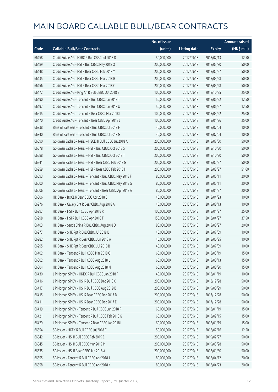|       |                                                          | No. of issue |                     |               | <b>Amount raised</b> |
|-------|----------------------------------------------------------|--------------|---------------------|---------------|----------------------|
| Code  | <b>Callable Bull/Bear Contracts</b>                      | (units)      | <b>Listing date</b> | <b>Expiry</b> | (HK\$ mil.)          |
| 66458 | Credit Suisse AG - HSBC R Bull CBBC Jul 2018 D           | 50,000,000   | 2017/09/18          | 2018/07/13    | 12.50                |
| 66489 | Credit Suisse AG - HSI R Bull CBBC May 2018 Q            | 200,000,000  | 2017/09/18          | 2018/05/30    | 50.00                |
| 66448 | Credit Suisse AG - HSI R Bear CBBC Feb 2018 Y            | 200,000,000  | 2017/09/18          | 2018/02/27    | 50.00                |
| 66435 | Credit Suisse AG - HSI R Bear CBBC Mar 2018 B            | 200,000,000  | 2017/09/18          | 2018/03/28    | 50.00                |
| 66456 | Credit Suisse AG - HSI R Bear CBBC Mar 2018 C            | 200,000,000  | 2017/09/18          | 2018/03/28    | 50.00                |
| 66472 | Credit Suisse AG - Ping An R Bull CBBC Oct 2018 E        | 100,000,000  | 2017/09/18          | 2018/10/25    | 25.00                |
| 66490 | Credit Suisse AG - Tencent R Bull CBBC Jun 2018 T        | 50,000,000   | 2017/09/18          | 2018/06/22    | 12.50                |
| 66497 | Credit Suisse AG - Tencent R Bull CBBC Jun 2018 U        | 50,000,000   | 2017/09/18          | 2018/06/27    | 12.50                |
| 66515 | Credit Suisse AG - Tencent R Bear CBBC Mar 2018 I        | 100,000,000  | 2017/09/18          | 2018/03/22    | 25.00                |
| 66470 | Credit Suisse AG - Tencent R Bear CBBC Apr 2018 J        | 100,000,000  | 2017/09/18          | 2018/04/26    | 25.00                |
| 66338 | Bank of East Asia - Tencent R Bull CBBC Jul 2018 F       | 40,000,000   | 2017/09/18          | 2018/07/04    | 10.00                |
| 66340 | Bank of East Asia - Tencent R Bull CBBC Jul 2018 G       | 40,000,000   | 2017/09/18          | 2018/07/04    | 10.00                |
| 66590 | Goldman Sachs SP (Asia) - HSCEI R Bull CBBC Jul 2018 A   | 200,000,000  | 2017/09/18          | 2018/07/30    | 50.00                |
| 66578 | Goldman Sachs SP (Asia) - HSI R Bull CBBC Oct 2018 S     | 200,000,000  | 2017/09/18          | 2018/10/30    | 50.00                |
| 66588 | Goldman Sachs SP (Asia) - HSI R Bull CBBC Oct 2018 T     | 200,000,000  | 2017/09/18          | 2018/10/30    | 50.00                |
| 66241 | Goldman Sachs SP (Asia) - HSI R Bear CBBC Feb 2018 G     | 200,000,000  | 2017/09/18          | 2018/02/27    | 50.00                |
| 66259 | Goldman Sachs SP (Asia) - HSI R Bear CBBC Feb 2018 H     | 200,000,000  | 2017/09/18          | 2018/02/27    | 51.60                |
| 66593 | Goldman Sachs SP (Asia) - Tencent R Bull CBBC May 2018 F | 80,000,000   | 2017/09/18          | 2018/05/11    | 20.00                |
| 66600 | Goldman Sachs SP (Asia) - Tencent R Bull CBBC May 2018 G | 80,000,000   | 2017/09/18          | 2018/05/11    | 20.00                |
| 66606 | Goldman Sachs SP (Asia) - Tencent R Bear CBBC Apr 2018 A | 80,000,000   | 2017/09/18          | 2018/04/27    | 20.00                |
| 66306 | HK Bank - BOCL R Bear CBBC Apr 2018 E                    | 40,000,000   | 2017/09/18          | 2018/04/23    | 10.00                |
| 66276 | HK Bank - Galaxy Ent R Bear CBBC Aug 2018 A              | 40,000,000   | 2017/09/18          | 2018/08/13    | 10.00                |
| 66297 | HK Bank - HSI R Bull CBBC Apr 2018 R                     | 100,000,000  | 2017/09/18          | 2018/04/27    | 25.00                |
| 66298 | HK Bank - HSI R Bull CBBC Apr 2018 T                     | 150,000,000  | 2017/09/18          | 2018/04/27    | 37.50                |
| 66403 | HK Bank - Sands China R Bull CBBC Aug 2018 D             | 80,000,000   | 2017/09/18          | 2018/08/27    | 20.00                |
| 66277 | HK Bank - SHK Ppt R Bull CBBC Jul 2018 B                 | 40,000,000   | 2017/09/18          | 2018/07/09    | 10.00                |
| 66282 | HK Bank - SHK Ppt R Bear CBBC Jun 2018 A                 | 40,000,000   | 2017/09/18          | 2018/06/25    | 10.00                |
| 66295 | HK Bank - SHK Ppt R Bear CBBC Jul 2018 B                 | 40,000,000   | 2017/09/18          | 2018/07/09    | 10.00                |
| 66402 | HK Bank - Tencent R Bull CBBC Mar 2018 Q                 | 60,000,000   | 2017/09/18          | 2018/03/19    | 15.00                |
| 66302 | HK Bank - Tencent R Bull CBBC Aug 2018 L                 | 60,000,000   | 2017/09/18          | 2018/08/13    | 15.00                |
| 66304 | HK Bank - Tencent R Bull CBBC Aug 2018 M                 | 60,000,000   | 2017/09/18          | 2018/08/20    | 15.00                |
| 66430 | J P Morgan SP BV - HKEX R Bull CBBC Jan 2018 F           | 40,000,000   | 2017/09/18          | 2018/01/19    | 10.00                |
| 66416 | J P Morgan SP BV - HSI R Bull CBBC Dec 2018 O            | 200,000,000  | 2017/09/18          | 2018/12/28    | 50.00                |
| 66417 | J P Morgan SP BV - HSI R Bull CBBC Aug 2019 B            | 200,000,000  | 2017/09/18          | 2019/08/29    | 50.00                |
| 66415 | J P Morgan SP BV - HSI R Bear CBBC Dec 2017 D            | 200,000,000  | 2017/09/18          | 2017/12/28    | 50.00                |
| 66411 | J P Morgan SP BV - HSI R Bear CBBC Dec 2017 E            | 200,000,000  | 2017/09/18          | 2017/12/28    | 50.00                |
| 66419 | J P Morgan SP BV - Tencent R Bull CBBC Jan 2018 P        | 60,000,000   | 2017/09/18          | 2018/01/19    | 15.00                |
| 66421 | J P Morgan SP BV - Tencent R Bull CBBC Feb 2018 G        | 60,000,000   | 2017/09/18          | 2018/02/15    | 15.00                |
| 66429 | JP Morgan SP BV - Tencent R Bear CBBC Jan 2018 I         | 60,000,000   | 2017/09/18          | 2018/01/19    | 15.00                |
| 66554 | SG Issuer - HKEX R Bull CBBC Jul 2018 C                  | 50,000,000   | 2017/09/18          | 2018/07/16    | 12.50                |
| 66542 | SG Issuer - HSI R Bull CBBC Feb 2019 E                   | 200,000,000  | 2017/09/18          | 2019/02/27    | 50.00                |
| 66545 | SG Issuer - HSI R Bull CBBC Mar 2019 M                   | 200,000,000  | 2017/09/18          | 2019/03/28    | 50.00                |
| 66535 | SG Issuer - HSI R Bear CBBC Jan 2018 A                   | 200,000,000  | 2017/09/18          | 2018/01/30    | 50.00                |
| 66555 | SG Issuer - Tencent R Bull CBBC Apr 2018 J               | 80,000,000   | 2017/09/18          | 2018/04/12    | 20.00                |
| 66558 | SG Issuer - Tencent R Bull CBBC Apr 2018 K               | 80,000,000   | 2017/09/18          | 2018/04/23    | 20.00                |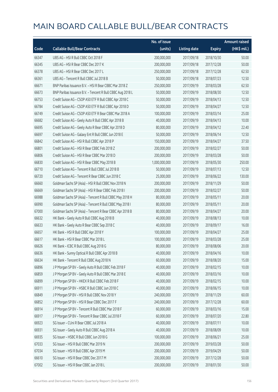|       |                                                            | No. of issue  |                     |               | <b>Amount raised</b> |
|-------|------------------------------------------------------------|---------------|---------------------|---------------|----------------------|
| Code  | <b>Callable Bull/Bear Contracts</b>                        | (units)       | <b>Listing date</b> | <b>Expiry</b> | (HK\$ mil.)          |
| 66347 | UBS AG - HSI R Bull CBBC Oct 2018 F                        | 200,000,000   | 2017/09/18          | 2018/10/30    | 50.00                |
| 66345 | UBS AG - HSI R Bear CBBC Dec 2017 K                        | 200,000,000   | 2017/09/18          | 2017/12/28    | 50.00                |
| 66378 | UBS AG - HSI R Bear CBBC Dec 2017 L                        | 250,000,000   | 2017/09/18          | 2017/12/28    | 62.50                |
| 66361 | UBS AG - Tencent R Bull CBBC Jul 2018 B                    | 50,000,000    | 2017/09/18          | 2018/07/23    | 12.50                |
| 66671 | BNP Paribas Issuance B.V. - HSI R Bear CBBC Mar 2018 Z     | 250,000,000   | 2017/09/19          | 2018/03/28    | 62.50                |
| 66673 | BNP Paribas Issuance B.V. - Tencent R Bull CBBC Aug 2018 L | 50,000,000    | 2017/09/19          | 2018/08/30    | 12.50                |
| 66753 | Credit Suisse AG - CSOP A50 ETF R Bull CBBC Apr 2018 C     | 50,000,000    | 2017/09/19          | 2018/04/13    | 12.50                |
| 66784 | Credit Suisse AG - CSOP A50 ETF R Bull CBBC Apr 2018 D     | 50,000,000    | 2017/09/19          | 2018/04/27    | 12.50                |
| 66749 | Credit Suisse AG - CSOP A50 ETF R Bear CBBC Mar 2018 A     | 100,000,000   | 2017/09/19          | 2018/03/14    | 25.00                |
| 66682 | Credit Suisse AG - Geely Auto R Bull CBBC Apr 2018 B       | 40,000,000    | 2017/09/19          | 2018/04/13    | 10.00                |
| 66695 | Credit Suisse AG - Geely Auto R Bear CBBC Apr 2018 D       | 80,000,000    | 2017/09/19          | 2018/04/12    | 22.40                |
| 66697 | Credit Suisse AG - Galaxy Ent R Bull CBBC Jun 2018 E       | 50,000,000    | 2017/09/19          | 2018/06/14    | 12.50                |
| 66842 | Credit Suisse AG - HSI R Bull CBBC Apr 2018 P              | 150,000,000   | 2017/09/19          | 2018/04/27    | 37.50                |
| 66801 | Credit Suisse AG - HSI R Bear CBBC Feb 2018 Z              | 200,000,000   | 2017/09/19          | 2018/02/27    | 50.00                |
| 66806 | Credit Suisse AG - HSI R Bear CBBC Mar 2018 D              | 200,000,000   | 2017/09/19          | 2018/03/28    | 50.00                |
| 66830 | Credit Suisse AG - HSI R Bear CBBC May 2018 B              | 1,000,000,000 | 2017/09/19          | 2018/05/30    | 250.00               |
| 66710 | Credit Suisse AG - Tencent R Bull CBBC Jul 2018 B          | 50,000,000    | 2017/09/19          | 2018/07/13    | 12.50                |
| 66720 | Credit Suisse AG - Tencent R Bear CBBC Jun 2018 C          | 25,000,000    | 2017/09/19          | 2018/06/22    | 130.00               |
| 66660 | Goldman Sachs SP (Asia) - HSI R Bull CBBC Nov 2018 N       | 200,000,000   | 2017/09/19          | 2018/11/29    | 50.00                |
| 66669 | Goldman Sachs SP (Asia) - HSI R Bear CBBC Feb 2018 I       | 200,000,000   | 2017/09/19          | 2018/02/27    | 50.00                |
| 66988 | Goldman Sachs SP (Asia) - Tencent R Bull CBBC May 2018 H   | 80,000,000    | 2017/09/19          | 2018/05/11    | 20.00                |
| 66990 | Goldman Sachs SP (Asia) - Tencent R Bull CBBC May 2018 I   | 80,000,000    | 2017/09/19          | 2018/05/11    | 20.00                |
| 67000 | Goldman Sachs SP (Asia) - Tencent R Bear CBBC Apr 2018 B   | 80,000,000    | 2017/09/19          | 2018/04/27    | 20.00                |
| 66632 | HK Bank - Geely Auto R Bull CBBC Aug 2018 B                | 40,000,000    | 2017/09/19          | 2018/08/13    | 10.00                |
| 66633 | HK Bank - Geely Auto R Bear CBBC Sep 2018 C                | 40,000,000    | 2017/09/19          | 2018/09/17    | 16.00                |
| 66657 | HK Bank - HSI R Bull CBBC Apr 2018 Y                       | 100,000,000   | 2017/09/19          | 2018/04/27    | 25.00                |
| 66617 | HK Bank - HSI R Bear CBBC Mar 2018 L                       | 100,000,000   | 2017/09/19          | 2018/03/28    | 25.00                |
| 66626 | HK Bank - ICBC R Bull CBBC Aug 2018 G                      | 80,000,000    | 2017/09/19          | 2018/08/06    | 20.00                |
| 66636 | HK Bank - Sunny Optical R Bull CBBC Apr 2018 B             | 40,000,000    | 2017/09/19          | 2018/04/16    | 10.00                |
| 66634 | HK Bank - Tencent R Bull CBBC Aug 2018 N                   | 60,000,000    | 2017/09/19          | 2018/08/20    | 15.00                |
| 66896 | J P Morgan SP BV - Geely Auto R Bull CBBC Feb 2018 F       | 40,000,000    | 2017/09/19          | 2018/02/15    | 10.00                |
| 66859 | J P Morgan SP BV - Geely Auto R Bull CBBC Mar 2018 E       | 40,000,000    | 2017/09/19          | 2018/03/16    | 10.00                |
| 66899 | J P Morgan SP BV - HKEX R Bull CBBC Feb 2018 F             | 40,000,000    | 2017/09/19          | 2018/02/15    | 10.00                |
| 66911 | J P Morgan SP BV - HSBC R Bull CBBC Jun 2018 C             | 40,000,000    | 2017/09/19          | 2018/06/15    | 10.00                |
| 66849 | J P Morgan SP BV - HSI R Bull CBBC Nov 2018 Y              | 240,000,000   | 2017/09/19          | 2018/11/29    | 60.00                |
| 66852 | J P Morgan SP BV - HSI R Bear CBBC Dec 2017 F              | 240,000,000   | 2017/09/19          | 2017/12/28    | 60.00                |
| 66914 | J P Morgan SP BV - Tencent R Bull CBBC Mar 2018 F          | 60,000,000    | 2017/09/19          | 2018/03/16    | 15.00                |
| 66917 | J P Morgan SP BV - Tencent R Bear CBBC Jul 2018 F          | 60,000,000    | 2017/09/19          | 2018/07/20    | 22.80                |
| 66923 | SG Issuer - CUni R Bear CBBC Jul 2018 A                    | 40,000,000    | 2017/09/19          | 2018/07/11    | 10.00                |
| 66931 | SG Issuer - Geely Auto R Bull CBBC Aug 2018 A              | 40,000,000    | 2017/09/19          | 2018/08/09    | 10.00                |
| 66935 | SG Issuer - HSBC R Bull CBBC Jun 2018 G                    | 100,000,000   | 2017/09/19          | 2018/06/21    | 25.00                |
| 67033 | SG Issuer - HSI R Bull CBBC Mar 2019 N                     | 200,000,000   | 2017/09/19          | 2019/03/28    | 50.00                |
| 67034 | SG Issuer - HSI R Bull CBBC Apr 2019 M                     | 200,000,000   | 2017/09/19          | 2019/04/29    | 50.00                |
| 66610 | SG Issuer - HSI R Bear CBBC Dec 2017 M                     | 200,000,000   | 2017/09/19          | 2017/12/28    | 50.00                |
| 67002 | SG Issuer - HSI R Bear CBBC Jan 2018 L                     | 200,000,000   | 2017/09/19          | 2018/01/30    | 50.00                |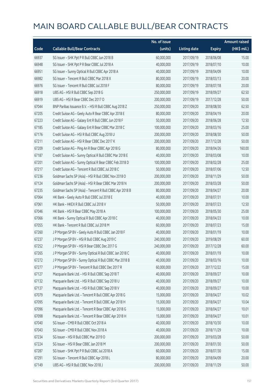|       |                                                          | No. of issue |                     |               | <b>Amount raised</b>  |
|-------|----------------------------------------------------------|--------------|---------------------|---------------|-----------------------|
| Code  | <b>Callable Bull/Bear Contracts</b>                      | (units)      | <b>Listing date</b> | <b>Expiry</b> | $(HK\frac{1}{2}mil.)$ |
| 66937 | SG Issuer - SHK Ppt P R Bull CBBC Jun 2018 B             | 60,000,000   | 2017/09/19          | 2018/06/08    | 15.00                 |
| 66948 | SG Issuer - SHK Ppt P R Bear CBBC Jul 2018 A             | 40,000,000   | 2017/09/19          | 2018/07/10    | 10.00                 |
| 66951 | SG Issuer - Sunny Optical R Bull CBBC Apr 2018 A         | 40,000,000   | 2017/09/19          | 2018/04/09    | 10.00                 |
| 66982 | SG Issuer - Tencent R Bull CBBC Mar 2018 X               | 80,000,000   | 2017/09/19          | 2018/03/13    | 20.00                 |
| 66976 | SG Issuer - Tencent R Bull CBBC Jul 2018 F               | 80,000,000   | 2017/09/19          | 2018/07/18    | 20.00                 |
| 66918 | UBS AG - HSI R Bull CBBC Sep 2018 G                      | 250,000,000  | 2017/09/19          | 2018/09/27    | 62.50                 |
| 66919 | UBS AG - HSI R Bear CBBC Dec 2017 O                      | 200,000,000  | 2017/09/19          | 2017/12/28    | 50.00                 |
| 67044 | BNP Paribas Issuance B.V. - HSI R Bull CBBC Aug 2018 Z   | 250,000,000  | 2017/09/20          | 2018/08/30    | 62.50                 |
| 67205 | Credit Suisse AG - Geely Auto R Bear CBBC Apr 2018 E     | 80,000,000   | 2017/09/20          | 2018/04/19    | 20.00                 |
| 67223 | Credit Suisse AG - Galaxy Ent R Bull CBBC Jun 2018 F     | 50,000,000   | 2017/09/20          | 2018/06/28    | 12.50                 |
| 67185 | Credit Suisse AG - Galaxy Ent R Bear CBBC Mar 2018 C     | 100,000,000  | 2017/09/20          | 2018/03/16    | 25.00                 |
| 67176 | Credit Suisse AG - HSI R Bull CBBC Aug 2018 U            | 200,000,000  | 2017/09/20          | 2018/08/30    | 50.00                 |
| 67211 | Credit Suisse AG - HSI R Bear CBBC Dec 2017 K            | 200,000,000  | 2017/09/20          | 2017/12/28    | 50.00                 |
| 67209 | Credit Suisse AG - Ping An R Bear CBBC Apr 2018 G        | 80,000,000   | 2017/09/20          | 2018/04/26    | 160.00                |
| 67187 | Credit Suisse AG - Sunny Optical R Bull CBBC Mar 2018 E  | 40,000,000   | 2017/09/20          | 2018/03/08    | 10.00                 |
| 67201 | Credit Suisse AG - Sunny Optical R Bear CBBC Feb 2018 D  | 100,000,000  | 2017/09/20          | 2018/02/28    | 25.00                 |
| 67217 | Credit Suisse AG - Tencent R Bull CBBC Jul 2018 C        | 50,000,000   | 2017/09/20          | 2018/07/06    | 12.50                 |
| 67236 | Goldman Sachs SP (Asia) - HSI R Bull CBBC Nov 2018 O     | 200,000,000  | 2017/09/20          | 2018/11/29    | 50.00                 |
| 67124 | Goldman Sachs SP (Asia) - HSI R Bear CBBC Mar 2018 N     | 200,000,000  | 2017/09/20          | 2018/03/28    | 50.00                 |
| 67235 | Goldman Sachs SP (Asia) - Tencent R Bull CBBC Apr 2018 B | 80,000,000   | 2017/09/20          | 2018/04/27    | 20.00                 |
| 67064 | HK Bank - Geely Auto R Bull CBBC Jul 2018 E              | 40,000,000   | 2017/09/20          | 2018/07/31    | 10.00                 |
| 67061 | HK Bank - HKEX R Bull CBBC Jul 2018 V                    | 50,000,000   | 2017/09/20          | 2018/07/23    | 12.50                 |
| 67046 | HK Bank - HSI R Bear CBBC May 2018 A                     | 100,000,000  | 2017/09/20          | 2018/05/30    | 25.00                 |
| 67066 | HK Bank - Sunny Optical R Bull CBBC Apr 2018 C           | 40,000,000   | 2017/09/20          | 2018/04/23    | 10.00                 |
| 67055 | HK Bank - Tencent R Bull CBBC Jul 2018 M                 | 60,000,000   | 2017/09/20          | 2018/07/23    | 15.00                 |
| 67260 | J P Morgan SP BV - Geely Auto R Bull CBBC Jan 2018 F     | 40,000,000   | 2017/09/20          | 2018/01/19    | 10.00                 |
| 67237 | J P Morgan SP BV - HSI R Bull CBBC Aug 2019 C            | 240,000,000  | 2017/09/20          | 2019/08/29    | 60.00                 |
| 67252 | J P Morgan SP BV - HSI R Bear CBBC Dec 2017 G            | 240,000,000  | 2017/09/20          | 2017/12/28    | 60.00                 |
| 67265 | J P Morgan SP BV - Sunny Optical R Bull CBBC Jan 2018 C  | 40,000,000   | 2017/09/20          | 2018/01/19    | 10.00                 |
| 67272 | J P Morgan SP BV - Sunny Optical R Bull CBBC Mar 2018 B  | 40,000,000   | 2017/09/20          | 2018/03/16    | 10.00                 |
| 67277 | J P Morgan SP BV - Tencent R Bull CBBC Dec 2017 R        | 60,000,000   | 2017/09/20          | 2017/12/22    | 15.00                 |
| 67127 | Macquarie Bank Ltd. - HSI R Bull CBBC Sep 2018 T         | 40,000,000   | 2017/09/20          | 2018/09/27    | 10.00                 |
| 67132 | Macquarie Bank Ltd. - HSI R Bull CBBC Sep 2018 U         | 40,000,000   | 2017/09/20          | 2018/09/27    | 10.00                 |
| 67137 | Macquarie Bank Ltd. - HSI R Bull CBBC Sep 2018 V         | 40,000,000   | 2017/09/20          | 2018/09/27    | 10.00                 |
| 67079 | Macquarie Bank Ltd. - Tencent R Bull CBBC Apr 2018 G     | 15,000,000   | 2017/09/20          | 2018/04/27    | 10.02                 |
| 67095 | Macquarie Bank Ltd. - Tencent R Bull CBBC Apr 2018 H     | 15,000,000   | 2017/09/20          | 2018/04/27    | 10.04                 |
| 67096 | Macquarie Bank Ltd. - Tencent R Bear CBBC Apr 2018 G     | 15,000,000   | 2017/09/20          | 2018/04/27    | 10.01                 |
| 67098 | Macquarie Bank Ltd. - Tencent R Bear CBBC Apr 2018 H     | 15,000,000   | 2017/09/20          | 2018/04/27    | 10.01                 |
| 67040 | SG Issuer - CMB R Bull CBBC Oct 2018 A                   | 40,000,000   | 2017/09/20          | 2018/10/30    | 10.00                 |
| 67043 | SG Issuer - CMB R Bull CBBC Nov 2018 A                   | 40,000,000   | 2017/09/20          | 2018/11/29    | 10.00                 |
| 67234 | SG Issuer - HSI R Bull CBBC Mar 2019 O                   | 200,000,000  | 2017/09/20          | 2019/03/28    | 50.00                 |
| 67224 | SG Issuer - HSI R Bear CBBC Jan 2018 M                   | 200,000,000  | 2017/09/20          | 2018/01/30    | 50.00                 |
| 67287 | SG Issuer - SHK Ppt P R Bull CBBC Jul 2018 A             | 60,000,000   | 2017/09/20          | 2018/07/30    | 15.00                 |
| 67291 | SG Issuer - Tencent R Bull CBBC Apr 2018 L               | 80,000,000   | 2017/09/20          | 2018/04/09    | 20.00                 |
| 67149 | UBS AG - HSI R Bull CBBC Nov 2018 J                      | 200,000,000  | 2017/09/20          | 2018/11/29    | 50.00                 |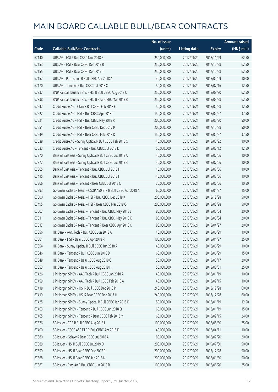|       |                                                               | No. of issue |                     |               | <b>Amount raised</b> |
|-------|---------------------------------------------------------------|--------------|---------------------|---------------|----------------------|
| Code  | <b>Callable Bull/Bear Contracts</b>                           | (units)      | <b>Listing date</b> | <b>Expiry</b> | (HK\$ mil.)          |
| 67140 | UBS AG - HSI R Bull CBBC Nov 2018 Z                           | 250,000,000  | 2017/09/20          | 2018/11/29    | 62.50                |
| 67153 | UBS AG - HSI R Bear CBBC Dec 2017 R                           | 250,000,000  | 2017/09/20          | 2017/12/28    | 62.50                |
| 67155 | UBS AG - HSI R Bear CBBC Dec 2017 T                           | 250,000,000  | 2017/09/20          | 2017/12/28    | 62.50                |
| 67157 | UBS AG - Petrochina R Bull CBBC Apr 2018 A                    | 40,000,000   | 2017/09/20          | 2018/04/09    | 10.00                |
| 67170 | UBS AG - Tencent R Bull CBBC Jul 2018 C                       | 50,000,000   | 2017/09/20          | 2018/07/16    | 12.50                |
| 67337 | BNP Paribas Issuance B.V. - HSI R Bull CBBC Aug 2018 O        | 250,000,000  | 2017/09/21          | 2018/08/30    | 62.50                |
| 67338 | BNP Paribas Issuance B.V. - HSI R Bear CBBC Mar 2018 B        | 250,000,000  | 2017/09/21          | 2018/03/28    | 62.50                |
| 67547 | Credit Suisse AG - CUni R Bull CBBC Feb 2018 E                | 50,000,000   | 2017/09/21          | 2018/02/28    | 12.50                |
| 67522 | Credit Suisse AG - HSI R Bull CBBC Apr 2018 T                 | 150,000,000  | 2017/09/21          | 2018/04/27    | 37.50                |
| 67521 | Credit Suisse AG - HSI R Bull CBBC May 2018 R                 | 200,000,000  | 2017/09/21          | 2018/05/30    | 50.00                |
| 67551 | Credit Suisse AG - HSI R Bear CBBC Dec 2017 P                 | 200,000,000  | 2017/09/21          | 2017/12/28    | 50.00                |
| 67549 | Credit Suisse AG - HSI R Bear CBBC Feb 2018 D                 | 150,000,000  | 2017/09/21          | 2018/02/27    | 37.50                |
| 67538 | Credit Suisse AG - Sunny Optical R Bull CBBC Feb 2018 C       | 40,000,000   | 2017/09/21          | 2018/02/22    | 10.00                |
| 67533 | Credit Suisse AG - Tencent R Bull CBBC Jul 2018 D             | 50,000,000   | 2017/09/21          | 2018/07/12    | 12.50                |
| 67370 | Bank of East Asia - Sunny Optical R Bull CBBC Jul 2018 A      | 40,000,000   | 2017/09/21          | 2018/07/06    | 10.00                |
| 67372 | Bank of East Asia - Sunny Optical R Bull CBBC Jul 2018 B      | 40,000,000   | 2017/09/21          | 2018/07/06    | 10.00                |
| 67365 | Bank of East Asia - Tencent R Bull CBBC Jul 2018 H            | 40,000,000   | 2017/09/21          | 2018/07/06    | 10.00                |
| 67415 | Bank of East Asia - Tencent R Bull CBBC Jul 2018 I            | 40,000,000   | 2017/09/21          | 2018/07/06    | 10.00                |
| 67366 | Bank of East Asia - Tencent R Bear CBBC Jul 2018 C            | 30,000,000   | 2017/09/21          | 2018/07/06    | 10.50                |
| 67293 | Goldman Sachs SP (Asia) - CSOP A50 ETF R Bull CBBC Apr 2018 A | 60,000,000   | 2017/09/21          | 2018/04/27    | 15.00                |
| 67500 | Goldman Sachs SP (Asia) - HSI R Bull CBBC Dec 2018 K          | 200,000,000  | 2017/09/21          | 2018/12/28    | 50.00                |
| 67495 | Goldman Sachs SP (Asia) - HSI R Bear CBBC Mar 2018 O          | 200,000,000  | 2017/09/21          | 2018/03/28    | 50.00                |
| 67507 | Goldman Sachs SP (Asia) - Tencent R Bull CBBC May 2018 J      | 80,000,000   | 2017/09/21          | 2018/05/04    | 20.00                |
| 67511 | Goldman Sachs SP (Asia) - Tencent R Bull CBBC May 2018 K      | 80,000,000   | 2017/09/21          | 2018/05/04    | 20.00                |
| 67517 | Goldman Sachs SP (Asia) - Tencent R Bear CBBC Apr 2018 C      | 80,000,000   | 2017/09/21          | 2018/04/27    | 20.00                |
| 67356 | HK Bank - AAC Tech R Bull CBBC Jun 2018 A                     | 40,000,000   | 2017/09/21          | 2018/06/29    | 10.00                |
| 67361 | HK Bank - HSI R Bear CBBC Apr 2018 R                          | 100,000,000  | 2017/09/21          | 2018/04/27    | 25.00                |
| 67354 | HK Bank - Sunny Optical R Bull CBBC Jun 2018 A                | 40,000,000   | 2017/09/21          | 2018/06/29    | 10.00                |
| 67346 | HK Bank - Tencent R Bull CBBC Jun 2018 D                      | 60,000,000   | 2017/09/21          | 2018/06/29    | 15.00                |
| 67348 | HK Bank - Tencent R Bear CBBC Aug 2018 G                      | 50,000,000   | 2017/09/21          | 2018/08/17    | 20.00                |
| 67353 | HK Bank - Tencent R Bear CBBC Aug 2018 H                      | 50,000,000   | 2017/09/21          | 2018/08/31    | 25.00                |
| 67426 | J P Morgan SP BV - AAC Tech R Bull CBBC Jan 2018 A            | 40,000,000   | 2017/09/21          | 2018/01/19    | 10.00                |
| 67459 | J P Morgan SP BV - AAC Tech R Bull CBBC Feb 2018 A            | 40,000,000   | 2017/09/21          | 2018/02/15    | 10.00                |
| 67418 | J P Morgan SP BV - HSI R Bull CBBC Dec 2018 P                 | 240,000,000  | 2017/09/21          | 2018/12/28    | 60.00                |
| 67419 | J P Morgan SP BV - HSI R Bear CBBC Dec 2017 H                 | 240,000,000  | 2017/09/21          | 2017/12/28    | 60.00                |
| 67425 | J P Morgan SP BV - Sunny Optical R Bull CBBC Jan 2018 D       | 50,000,000   | 2017/09/21          | 2018/01/19    | 12.50                |
| 67463 | J P Morgan SP BV - Tencent R Bull CBBC Jan 2018 Q             | 60,000,000   | 2017/09/21          | 2018/01/19    | 15.00                |
| 67465 | J P Morgan SP BV - Tencent R Bear CBBC Feb 2018 M             | 60,000,000   | 2017/09/21          | 2018/02/15    | 24.00                |
| 67376 | SG Issuer - CCB R Bull CBBC Aug 2018 I                        | 100,000,000  | 2017/09/21          | 2018/08/30    | 25.00                |
| 67400 | SG Issuer - CSOP A50 ETF R Bull CBBC Apr 2018 D               | 40,000,000   | 2017/09/21          | 2018/04/11    | 10.00                |
| 67380 | SG Issuer - Galaxy R Bear CBBC Jul 2018 A                     | 80,000,000   | 2017/09/21          | 2018/07/20    | 20.00                |
| 67589 | SG Issuer - HSI R Bull CBBC Jul 2019 D                        | 200,000,000  | 2017/09/21          | 2019/07/30    | 50.00                |
| 67559 | SG Issuer - HSI R Bear CBBC Dec 2017 R                        | 200,000,000  | 2017/09/21          | 2017/12/28    | 50.00                |
| 67568 | SG Issuer - HSI R Bear CBBC Jan 2018 N                        | 200,000,000  | 2017/09/21          | 2018/01/30    | 50.00                |
| 67387 | SG Issuer - Ping An R Bull CBBC Jun 2018 B                    | 100,000,000  | 2017/09/21          | 2018/06/20    | 25.00                |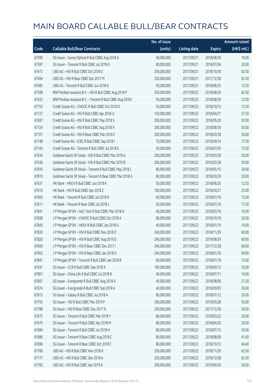|       |                                                            | No. of issue |                     |               | <b>Amount raised</b> |
|-------|------------------------------------------------------------|--------------|---------------------|---------------|----------------------|
| Code  | <b>Callable Bull/Bear Contracts</b>                        | (units)      | <b>Listing date</b> | <b>Expiry</b> | (HK\$ mil.)          |
| 67399 | SG Issuer - Sunny Optical R Bull CBBC Aug 2018 A           | 40,000,000   | 2017/09/21          | 2018/08/30    | 10.00                |
| 67597 | SG Issuer - Tencent R Bull CBBC Jul 2018 G                 | 80,000,000   | 2017/09/21          | 2018/07/04    | 20.00                |
| 67473 | UBS AG - HSI R Bull CBBC Oct 2018 G                        | 250,000,000  | 2017/09/21          | 2018/10/30    | 62.50                |
| 67494 | UBS AG - HSI R Bear CBBC Dec 2017 M                        | 250,000,000  | 2017/09/21          | 2017/12/28    | 62.50                |
| 67485 | UBS AG - Tencent R Bull CBBC Jun 2018 A                    | 50,000,000   | 2017/09/21          | 2018/06/25    | 12.50                |
| 67598 | BNP Paribas Issuance B.V. - HSI R Bull CBBC Aug 2018 P     | 250,000,000  | 2017/09/22          | 2018/08/30    | 62.50                |
| 67633 | BNP Paribas Issuance B.V. - Tencent R Bull CBBC Aug 2018 I | 50,000,000   | 2017/09/22          | 2018/08/30    | 12.50                |
| 67753 | Credit Suisse AG - CNOOC R Bull CBBC Oct 2018 D            | 50,000,000   | 2017/09/22          | 2018/10/12    | 12.50                |
| 67727 | Credit Suisse AG - HSI R Bull CBBC Apr 2018 U              | 150,000,000  | 2017/09/22          | 2018/04/27    | 37.50                |
| 67697 | Credit Suisse AG - HSI R Bull CBBC May 2018 S              | 200,000,000  | 2017/09/22          | 2018/05/30    | 50.00                |
| 67724 | Credit Suisse AG - HSI R Bull CBBC Aug 2018 X              | 200,000,000  | 2017/09/22          | 2018/08/30    | 50.00                |
| 67707 | Credit Suisse AG - HSI R Bear CBBC Mar 2018 E              | 200,000,000  | 2017/09/22          | 2018/03/28    | 50.00                |
| 67748 | Credit Suisse AG - ICBC R Bull CBBC Sep 2018 I             | 70,000,000   | 2017/09/22          | 2018/09/14    | 17.50                |
| 67745 | Credit Suisse AG - Tencent R Bull CBBC Jul 2018 E          | 50,000,000   | 2017/09/22          | 2018/07/05    | 12.50                |
| 67634 | Goldman Sachs SP (Asia) - HSI R Bull CBBC Mar 2019 A       | 200,000,000  | 2017/09/22          | 2019/03/28    | 50.00                |
| 67636 | Goldman Sachs SP (Asia) - HSI R Bull CBBC Mar 2019 B       | 200,000,000  | 2017/09/22          | 2019/03/28    | 50.00                |
| 67816 | Goldman Sachs SP (Asia) - Tencent R Bull CBBC May 2018 L   | 80,000,000   | 2017/09/22          | 2018/05/15    | 20.00                |
| 67819 | Goldman Sachs SP (Asia) - Tencent R Bear CBBC Mar 2018 A   | 80,000,000   | 2017/09/22          | 2018/03/29    | 20.00                |
| 67631 | HK Bank - HKEX R Bull CBBC Jun 2018 K                      | 50,000,000   | 2017/09/22          | 2018/06/25    | 12.50                |
| 67616 | HK Bank - HSI R Bull CBBC Apr 2018 Z                       | 100,000,000  | 2017/09/22          | 2018/04/27    | 25.00                |
| 67605 | HK Bank - Tencent R Bull CBBC Jul 2018 N                   | 60,000,000   | 2017/09/22          | 2018/07/16    | 15.00                |
| 67611 | HK Bank - Tencent R Bear CBBC Jul 2018 J                   | 50,000,000   | 2017/09/22          | 2018/07/16    | 17.50                |
| 67841 | J P Morgan SP BV - AAC Tech R Bull CBBC Mar 2018 A         | 40,000,000   | 2017/09/22          | 2018/03/16    | 10.00                |
| 67838 | J P Morgan SP BV - CNOOC R Bull CBBC Oct 2018 A            | 80,000,000   | 2017/09/22          | 2018/10/19    | 20.00                |
| 67845 | J P Morgan SP BV - HKEX R Bull CBBC Jan 2018 G             | 40,000,000   | 2017/09/22          | 2018/01/19    | 10.00                |
| 67830 | J P Morgan SP BV - HSI R Bull CBBC Nov 2018 Z              | 240,000,000  | 2017/09/22          | 2018/11/29    | 60.00                |
| 67820 | J P Morgan SP BV - HSI R Bull CBBC Aug 2019 D              | 240,000,000  | 2017/09/22          | 2019/08/29    | 60.00                |
| 67849 | J P Morgan SP BV - HSI R Bear CBBC Dec 2017 I              | 240,000,000  | 2017/09/22          | 2017/12/28    | 60.00                |
| 67855 | J P Morgan SP BV - HSI R Bear CBBC Jan 2018 H              | 240,000,000  | 2017/09/22          | 2018/01/30    | 60.00                |
| 67847 | J P Morgan SP BV - Tencent R Bull CBBC Jan 2018 R          | 60,000,000   | 2017/09/22          | 2018/01/19    | 15.00                |
| 67637 | SG Issuer - CCB R Bull CBBC Sep 2018 A                     | 100,000,000  | 2017/09/22          | 2018/09/12    | 25.00                |
| 67801 | SG Issuer - China Life R Bull CBBC Jul 2018 B              | 40,000,000   | 2017/09/22          | 2018/07/11    | 10.00                |
| 67667 | SG Issuer - Evergrande R Bull CBBC Aug 2018 A              | 40,000,000   | 2017/09/22          | 2018/08/06    | 21.20                |
| 67674 | SG Issuer - Evergrande R Bull CBBC Sep 2018 A              | 40,000,000   | 2017/09/22          | 2018/09/05    | 26.00                |
| 67813 | SG Issuer - Galaxy R Bull CBBC Jul 2018 A                  | 80,000,000   | 2017/09/22          | 2018/07/12    | 20.00                |
| 67792 | SG Issuer - HSI R Bull CBBC Mar 2019 P                     | 200,000,000  | 2017/09/22          | 2019/03/28    | 50.00                |
| 67788 | SG Issuer - HSI R Bear CBBC Dec 2017 N                     | 200,000,000  | 2017/09/22          | 2017/12/28    | 50.00                |
| 67675 | SG Issuer - Tencent R Bull CBBC Mar 2018 Y                 | 80,000,000   | 2017/09/22          | 2018/03/22    | 20.00                |
| 67679 | SG Issuer - Tencent R Bull CBBC Apr 2018 M                 | 80,000,000   | 2017/09/22          | 2018/04/20    | 20.00                |
| 67684 | SG Issuer - Tencent R Bull CBBC Jul 2018 H                 | 80,000,000   | 2017/09/22          | 2018/07/12    | 20.00                |
| 67686 | SG Issuer - Tencent R Bear CBBC Aug 2018 C                 | 80,000,000   | 2017/09/22          | 2018/08/09    | 41.60                |
| 67696 | SG Issuer - Tencent R Bear CBBC Oct 2018 C                 | 80,000,000   | 2017/09/22          | 2018/10/12    | 46.40                |
| 67768 | UBS AG - HSI R Bull CBBC Nov 2018 K                        | 250,000,000  | 2017/09/22          | 2018/11/29    | 62.50                |
| 67777 | UBS AG - HSI R Bull CBBC Dec 2018 A                        | 250,000,000  | 2017/09/22          | 2018/12/28    | 62.50                |
| 67765 | UBS AG - HSI R Bull CBBC Apr 2019 A                        | 200,000,000  | 2017/09/22          | 2019/04/29    | 50.00                |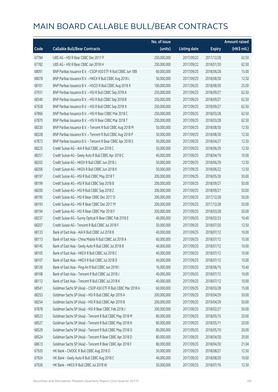|       |                                                               | No. of issue |                     |               | <b>Amount raised</b> |
|-------|---------------------------------------------------------------|--------------|---------------------|---------------|----------------------|
| Code  | <b>Callable Bull/Bear Contracts</b>                           | (units)      | <b>Listing date</b> | <b>Expiry</b> | (HK\$ mil.)          |
| 67784 | UBS AG - HSI R Bear CBBC Dec 2017 P                           | 250,000,000  | 2017/09/22          | 2017/12/28    | 62.50                |
| 67782 | UBS AG - HSI R Bear CBBC Jan 2018 H                           | 250,000,000  | 2017/09/22          | 2018/01/30    | 62.50                |
| 68091 | BNP Paribas Issuance B.V. - CSOP A50 ETF R Bull CBBC Jun 18B  | 60,000,000   | 2017/09/25          | 2018/06/28    | 15.00                |
| 68078 | BNP Paribas Issuance B.V. - HKEX R Bull CBBC Aug 2018 L       | 50,000,000   | 2017/09/25          | 2018/08/30    | 12.50                |
| 68101 | BNP Paribas Issuance B.V. - HSCEI R Bull CBBC Aug 2018 X      | 100,000,000  | 2017/09/25          | 2018/08/30    | 25.00                |
| 67931 | BNP Paribas Issuance B.V. - HSI R Bull CBBC Sep 2018 A        | 250,000,000  | 2017/09/25          | 2018/09/27    | 62.50                |
| 68340 | BNP Paribas Issuance B.V. - HSI R Bull CBBC Sep 2018 B        | 250,000,000  | 2017/09/25          | 2018/09/27    | 62.50                |
| 67928 | BNP Paribas Issuance B.V. - HSI R Bull CBBC Sep 2018 X        | 250,000,000  | 2017/09/25          | 2018/09/27    | 62.50                |
| 67866 | BNP Paribas Issuance B.V. - HSI R Bear CBBC Mar 2018 C        | 250,000,000  | 2017/09/25          | 2018/03/28    | 62.50                |
| 67870 | BNP Paribas Issuance B.V. - HSI R Bear CBBC Mar 2018 T        | 250,000,000  | 2017/09/25          | 2018/03/28    | 62.50                |
| 68330 | BNP Paribas Issuance B.V. - Tencent R Bull CBBC Aug 2018 M    | 50,000,000   | 2017/09/25          | 2018/08/30    | 12.50                |
| 68328 | BNP Paribas Issuance B.V. - Tencent R Bull CBBC Aug 2018 P    | 50,000,000   | 2017/09/25          | 2018/08/30    | 12.50                |
| 67873 | BNP Paribas Issuance B.V. - Tencent R Bear CBBC Apr 2018 S    | 50,000,000   | 2017/09/25          | 2018/04/27    | 12.50                |
| 68225 | Credit Suisse AG - AIA R Bull CBBC Jun 2018 C                 | 50,000,000   | 2017/09/25          | 2018/06/29    | 12.50                |
| 68251 | Credit Suisse AG - Geely Auto R Bull CBBC Apr 2018 C          | 40,000,000   | 2017/09/25          | 2018/04/19    | 10.00                |
| 68202 | Credit Suisse AG - HKEX R Bull CBBC Jun 2018 J                | 50,000,000   | 2017/09/25          | 2018/06/29    | 12.50                |
| 68206 | Credit Suisse AG - HKEX R Bull CBBC Jun 2018 K                | 50,000,000   | 2017/09/25          | 2018/06/22    | 12.50                |
| 68197 | Credit Suisse AG - HSI R Bull CBBC May 2018 T                 | 200,000,000  | 2017/09/25          | 2018/05/30    | 50.00                |
| 68199 | Credit Suisse AG - HSI R Bull CBBC Sep 2018 B                 | 200,000,000  | 2017/09/25          | 2018/09/27    | 50.00                |
| 68200 | Credit Suisse AG - HSI R Bull CBBC Sep 2018 Z                 | 200,000,000  | 2017/09/25          | 2018/09/27    | 50.00                |
| 68195 | Credit Suisse AG - HSI R Bear CBBC Dec 2017 D                 | 200,000,000  | 2017/09/25          | 2017/12/28    | 50.00                |
| 68193 | Credit Suisse AG - HSI R Bear CBBC Dec 2017 M                 | 200,000,000  | 2017/09/25          | 2017/12/28    | 50.00                |
| 68194 | Credit Suisse AG - HSI R Bear CBBC Mar 2018 F                 | 200,000,000  | 2017/09/25          | 2018/03/28    | 50.00                |
| 68237 | Credit Suisse AG - Sunny Optical R Bear CBBC Feb 2018 E       | 40,000,000   | 2017/09/25          | 2018/02/23    | 10.40                |
| 68207 | Credit Suisse AG - Tencent R Bull CBBC Jul 2018 F             | 50,000,000   | 2017/09/25          | 2018/07/20    | 12.50                |
| 68133 | Bank of East Asia - AIA R Bull CBBC Jul 2018 B                | 40,000,000   | 2017/09/25          | 2018/07/12    | 10.00                |
| 68113 | Bank of East Asia - China Mobile R Bull CBBC Jul 2018 A       | 60,000,000   | 2017/09/25          | 2018/07/12    | 15.00                |
| 68145 | Bank of East Asia - Geely Auto R Bull CBBC Jul 2018 B         | 40,000,000   | 2017/09/25          | 2018/07/12    | 10.00                |
| 68105 | Bank of East Asia - HKEX R Bull CBBC Jul 2018 C               | 40,000,000   | 2017/09/25          | 2018/07/12    | 10.00                |
| 68107 | Bank of East Asia - HKEX R Bull CBBC Jul 2018 D               | 40,000,000   | 2017/09/25          | 2018/07/12    | 10.00                |
| 68126 | Bank of East Asia - Ping An R Bull CBBC Jun 2018 I            | 16,000,000   | 2017/09/25          | 2018/06/15    | 10.40                |
| 68108 | Bank of East Asia - Tencent R Bull CBBC Jul 2018 J            | 40,000,000   | 2017/09/25          | 2018/07/12    | 10.00                |
| 68112 | Bank of East Asia - Tencent R Bull CBBC Jul 2018 K            | 40,000,000   | 2017/09/25          | 2018/07/12    | 10.00                |
| 68541 | Goldman Sachs SP (Asia) - CSOP A50 ETF R Bull CBBC Mar 2018 A | 60,000,000   | 2017/09/25          | 2018/03/28    | 15.00                |
| 68253 | Goldman Sachs SP (Asia) - HSI R Bull CBBC Apr 2019 A          | 200,000,000  | 2017/09/25          | 2019/04/29    | 50.00                |
| 68254 | Goldman Sachs SP (Asia) - HSI R Bull CBBC Apr 2019 B          | 200,000,000  | 2017/09/25          | 2019/04/29    | 50.00                |
| 67878 | Goldman Sachs SP (Asia) - HSI R Bear CBBC Feb 2018 J          | 200,000,000  | 2017/09/25          | 2018/02/27    | 50.00                |
| 68523 | Goldman Sachs SP (Asia) - Tencent R Bull CBBC May 2018 M      | 80,000,000   | 2017/09/25          | 2018/05/15    | 20.00                |
| 68527 | Goldman Sachs SP (Asia) - Tencent R Bull CBBC May 2018 N      | 80,000,000   | 2017/09/25          | 2018/05/11    | 20.00                |
| 68529 | Goldman Sachs SP (Asia) - Tencent R Bull CBBC May 2018 O      | 80,000,000   | 2017/09/25          | 2018/05/10    | 20.00                |
| 68524 | Goldman Sachs SP (Asia) - Tencent R Bear CBBC Apr 2018 D      | 80,000,000   | 2017/09/25          | 2018/04/30    | 20.00                |
| 68613 | Goldman Sachs SP (Asia) - Tencent R Bear CBBC Apr 2018 F      | 80,000,000   | 2017/09/25          | 2018/04/30    | 21.04                |
| 67920 | HK Bank - CNOOC R Bull CBBC Aug 2018 D                        | 50,000,000   | 2017/09/25          | 2018/08/27    | 12.50                |
| 67924 | HK Bank - Geely Auto R Bull CBBC Aug 2018 C                   | 40,000,000   | 2017/09/25          | 2018/08/20    | 10.00                |
| 67926 | HK Bank - HKEX R Bull CBBC Jul 2018 W                         | 50,000,000   | 2017/09/25          | 2018/07/16    | 12.50                |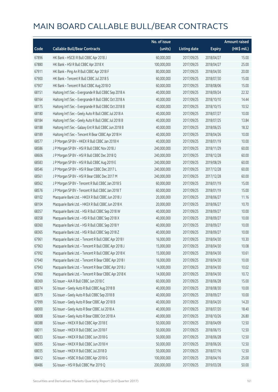|       |                                                       | No. of issue |                     |               | <b>Amount raised</b> |
|-------|-------------------------------------------------------|--------------|---------------------|---------------|----------------------|
| Code  | <b>Callable Bull/Bear Contracts</b>                   | (units)      | <b>Listing date</b> | <b>Expiry</b> | (HK\$ mil.)          |
| 67896 | HK Bank - HSCEI R Bull CBBC Apr 2018 J                | 60,000,000   | 2017/09/25          | 2018/04/27    | 15.00                |
| 67880 | HK Bank - HSI R Bull CBBC Apr 2018 X                  | 100,000,000  | 2017/09/25          | 2018/04/27    | 25.00                |
| 67911 | HK Bank - Ping An R Bull CBBC Apr 2018 F              | 80,000,000   | 2017/09/25          | 2018/04/30    | 20.00                |
| 67900 | HK Bank - Tencent R Bull CBBC Jul 2018 S              | 60,000,000   | 2017/09/25          | 2018/07/30    | 15.00                |
| 67907 | HK Bank - Tencent R Bull CBBC Aug 2018 O              | 60,000,000   | 2017/09/25          | 2018/08/06    | 15.00                |
| 68151 | Haitong Int'l Sec - Evergrande R Bull CBBC Sep 2018 A | 40,000,000   | 2017/09/25          | 2018/09/24    | 22.32                |
| 68164 | Haitong Int'l Sec - Evergrande R Bull CBBC Oct 2018 A | 40,000,000   | 2017/09/25          | 2018/10/10    | 14.44                |
| 68175 | Haitong Int'l Sec - Evergrande R Bull CBBC Oct 2018 B | 40,000,000   | 2017/09/25          | 2018/10/15    | 10.52                |
| 68180 | Haitong Int'l Sec - Geely Auto R Bull CBBC Jul 2018 A | 40,000,000   | 2017/09/25          | 2018/07/27    | 10.00                |
| 68184 | Haitong Int'l Sec - Geely Auto R Bull CBBC Jul 2018 B | 40,000,000   | 2017/09/25          | 2018/07/25    | 13.84                |
| 68188 | Haitong Int'l Sec - Galaxy Ent R Bull CBBC Jun 2018 B | 40,000,000   | 2017/09/25          | 2018/06/25    | 18.32                |
| 68189 | Haitong Int'l Sec - Tencent R Bear CBBC Apr 2018 H    | 40,000,000   | 2017/09/25          | 2018/04/26    | 10.00                |
| 68577 | J P Morgan SP BV - HKEX R Bull CBBC Jan 2018 H        | 40,000,000   | 2017/09/25          | 2018/01/19    | 10.00                |
| 68586 | J P Morgan SP BV - HSI R Bull CBBC Nov 2018 J         | 240,000,000  | 2017/09/25          | 2018/11/29    | 60.00                |
| 68606 | J P Morgan SP BV - HSI R Bull CBBC Dec 2018 Q         | 240,000,000  | 2017/09/25          | 2018/12/28    | 60.00                |
| 68583 | J P Morgan SP BV - HSI R Bull CBBC Aug 2019 E         | 240,000,000  | 2017/09/25          | 2019/08/29    | 60.00                |
| 68546 | J P Morgan SP BV - HSI R Bear CBBC Dec 2017 L         | 240,000,000  | 2017/09/25          | 2017/12/28    | 60.00                |
| 68561 | J P Morgan SP BV - HSI R Bear CBBC Dec 2017 M         | 240,000,000  | 2017/09/25          | 2017/12/28    | 60.00                |
| 68562 | J P Morgan SP BV - Tencent R Bull CBBC Jan 2018 S     | 60,000,000   | 2017/09/25          | 2018/01/19    | 15.00                |
| 68576 | J P Morgan SP BV - Tencent R Bull CBBC Jan 2018 T     | 60,000,000   | 2017/09/25          | 2018/01/19    | 15.00                |
| 68102 | Macquarie Bank Ltd. - HKEX R Bull CBBC Jun 2018 J     | 20,000,000   | 2017/09/25          | 2018/06/27    | 11.16                |
| 68104 | Macquarie Bank Ltd. - HKEX R Bull CBBC Jun 2018 K     | 20,000,000   | 2017/09/25          | 2018/06/27    | 10.70                |
| 68357 | Macquarie Bank Ltd. - HSI R Bull CBBC Sep 2018 W      | 40,000,000   | 2017/09/25          | 2018/09/27    | 10.00                |
| 68358 | Macquarie Bank Ltd. - HSI R Bull CBBC Sep 2018 X      | 40,000,000   | 2017/09/25          | 2018/09/27    | 10.00                |
| 68360 | Macquarie Bank Ltd. - HSI R Bull CBBC Sep 2018 Y      | 40,000,000   | 2017/09/25          | 2018/09/27    | 10.00                |
| 68365 | Macquarie Bank Ltd. - HSI R Bull CBBC Sep 2018 Z      | 40,000,000   | 2017/09/25          | 2018/09/27    | 10.00                |
| 67961 | Macquarie Bank Ltd. - Tencent R Bull CBBC Apr 2018 I  | 16,000,000   | 2017/09/25          | 2018/04/30    | 10.30                |
| 67963 | Macquarie Bank Ltd. - Tencent R Bull CBBC Apr 2018 J  | 15,000,000   | 2017/09/25          | 2018/04/30    | 10.08                |
| 67992 | Macquarie Bank Ltd. - Tencent R Bull CBBC Apr 2018 K  | 15,000,000   | 2017/09/25          | 2018/04/30    | 10.61                |
| 67940 | Macquarie Bank Ltd. - Tencent R Bear CBBC Apr 2018 I  | 16,000,000   | 2017/09/25          | 2018/04/30    | 10.00                |
| 67943 | Macquarie Bank Ltd. - Tencent R Bear CBBC Apr 2018 J  | 14,000,000   | 2017/09/25          | 2018/04/30    | 10.02                |
| 67960 | Macquarie Bank Ltd. - Tencent R Bear CBBC Apr 2018 K  | 14,000,000   | 2017/09/25          | 2018/04/30    | 10.72                |
| 68369 | SG Issuer - AIA R Bull CBBC Jun 2018 C                | 60,000,000   | 2017/09/25          | 2018/06/28    | 15.00                |
| 68374 | SG Issuer - Geely Auto R Bull CBBC Aug 2018 B         | 40,000,000   | 2017/09/25          | 2018/08/30    | 10.00                |
| 68379 | SG Issuer - Geely Auto R Bull CBBC Sep 2018 B         | 40,000,000   | 2017/09/25          | 2018/09/27    | 10.00                |
| 67999 | SG Issuer - Geely Auto R Bear CBBC Apr 2018 B         | 40,000,000   | 2017/09/25          | 2018/04/20    | 14.20                |
| 68000 | SG Issuer - Geely Auto R Bear CBBC Jul 2018 A         | 40,000,000   | 2017/09/25          | 2018/07/20    | 18.40                |
| 68008 | SG Issuer - Geely Auto R Bear CBBC Oct 2018 A         | 40,000,000   | 2017/09/25          | 2018/10/26    | 26.80                |
| 68388 | SG Issuer - HKEX R Bull CBBC Apr 2018 E               | 50,000,000   | 2017/09/25          | 2018/04/09    | 12.50                |
| 68011 | SG Issuer - HKEX R Bull CBBC Jun 2018 F               | 50,000,000   | 2017/09/25          | 2018/06/15    | 12.50                |
| 68033 | SG Issuer - HKEX R Bull CBBC Jun 2018 G               | 50,000,000   | 2017/09/25          | 2018/06/28    | 12.50                |
| 68395 | SG Issuer - HKEX R Bull CBBC Jun 2018 H               | 50,000,000   | 2017/09/25          | 2018/06/26    | 12.50                |
| 68035 | SG Issuer - HKEX R Bull CBBC Jul 2018 D               | 50,000,000   | 2017/09/25          | 2018/07/16    | 12.50                |
| 68412 | SG Issuer - HSBC R Bull CBBC Apr 2018 G               | 100,000,000  | 2017/09/25          | 2018/04/16    | 25.00                |
| 68486 | SG Issuer - HSI R Bull CBBC Mar 2019 Q                | 200,000,000  | 2017/09/25          | 2019/03/28    | 50.00                |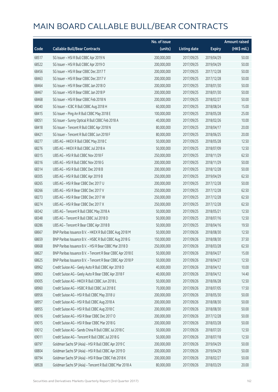|       |                                                            | No. of issue |                     |               | <b>Amount raised</b> |
|-------|------------------------------------------------------------|--------------|---------------------|---------------|----------------------|
| Code  | <b>Callable Bull/Bear Contracts</b>                        | (units)      | <b>Listing date</b> | <b>Expiry</b> | (HK\$ mil.)          |
| 68517 | SG Issuer - HSI R Bull CBBC Apr 2019 N                     | 200,000,000  | 2017/09/25          | 2019/04/29    | 50.00                |
| 68522 | SG Issuer - HSI R Bull CBBC Apr 2019 O                     | 200,000,000  | 2017/09/25          | 2019/04/29    | 50.00                |
| 68456 | SG Issuer - HSI R Bear CBBC Dec 2017 T                     | 200,000,000  | 2017/09/25          | 2017/12/28    | 50.00                |
| 68463 | SG Issuer - HSI R Bear CBBC Dec 2017 V                     | 200,000,000  | 2017/09/25          | 2017/12/28    | 50.00                |
| 68464 | SG Issuer - HSI R Bear CBBC Jan 2018 O                     | 200,000,000  | 2017/09/25          | 2018/01/30    | 50.00                |
| 68467 | SG Issuer - HSI R Bear CBBC Jan 2018 P                     | 200,000,000  | 2017/09/25          | 2018/01/30    | 50.00                |
| 68468 | SG Issuer - HSI R Bear CBBC Feb 2018 N                     | 200,000,000  | 2017/09/25          | 2018/02/27    | 50.00                |
| 68040 | SG Issuer - ICBC R Bull CBBC Aug 2018 H                    | 60,000,000   | 2017/09/25          | 2018/08/24    | 15.00                |
| 68415 | SG Issuer - Ping An R Bull CBBC May 2018 E                 | 100,000,000  | 2017/09/25          | 2018/05/28    | 25.00                |
| 68051 | SG Issuer - Sunny Optical R Bull CBBC Feb 2018 A           | 40,000,000   | 2017/09/25          | 2018/02/26    | 10.00                |
| 68418 | SG Issuer - Tencent R Bull CBBC Apr 2018 N                 | 80,000,000   | 2017/09/25          | 2018/04/17    | 20.00                |
| 68421 | SG Issuer - Tencent R Bull CBBC Jun 2018 F                 | 80,000,000   | 2017/09/25          | 2018/06/25    | 20.00                |
| 68277 | UBS AG - HKEX R Bull CBBC May 2018 C                       | 50,000,000   | 2017/09/25          | 2018/05/28    | 12.50                |
| 68276 | UBS AG - HKEX R Bull CBBC Jul 2018 A                       | 50,000,000   | 2017/09/25          | 2018/07/09    | 12.50                |
| 68315 | UBS AG - HSI R Bull CBBC Nov 2018 F                        | 250,000,000  | 2017/09/25          | 2018/11/29    | 62.50                |
| 68316 | UBS AG - HSI R Bull CBBC Nov 2018 G                        | 200,000,000  | 2017/09/25          | 2018/11/29    | 50.00                |
| 68314 | UBS AG - HSI R Bull CBBC Dec 2018 B                        | 200,000,000  | 2017/09/25          | 2018/12/28    | 50.00                |
| 68305 | UBS AG - HSI R Bull CBBC Apr 2019 B                        | 250,000,000  | 2017/09/25          | 2019/04/29    | 62.50                |
| 68265 | UBS AG - HSI R Bear CBBC Dec 2017 U                        | 200,000,000  | 2017/09/25          | 2017/12/28    | 50.00                |
| 68266 | UBS AG - HSI R Bear CBBC Dec 2017 V                        | 250,000,000  | 2017/09/25          | 2017/12/28    | 62.50                |
| 68273 | UBS AG - HSI R Bear CBBC Dec 2017 W                        | 250,000,000  | 2017/09/25          | 2017/12/28    | 62.50                |
| 68274 | UBS AG - HSI R Bear CBBC Dec 2017 X                        | 250,000,000  | 2017/09/25          | 2017/12/28    | 62.50                |
| 68342 | UBS AG - Tencent R Bull CBBC May 2018 A                    | 50,000,000   | 2017/09/25          | 2018/05/21    | 12.50                |
| 68348 | UBS AG - Tencent R Bull CBBC Jul 2018 D                    | 50,000,000   | 2017/09/25          | 2018/07/16    | 12.50                |
| 68286 | UBS AG - Tencent R Bear CBBC Apr 2018 B                    | 50,000,000   | 2017/09/25          | 2018/04/16    | 19.50                |
| 68667 | BNP Paribas Issuance B.V. - HKEX R Bull CBBC Aug 2018 M    | 50,000,000   | 2017/09/26          | 2018/08/30    | 12.50                |
| 68659 | BNP Paribas Issuance B.V. - HSBC R Bull CBBC Aug 2018 G    | 150,000,000  | 2017/09/26          | 2018/08/30    | 37.50                |
| 68668 | BNP Paribas Issuance B.V. - HSI R Bear CBBC Mar 2018 D     | 250,000,000  | 2017/09/26          | 2018/03/28    | 62.50                |
| 68627 | BNP Paribas Issuance B.V. - Tencent R Bear CBBC Apr 2018 E | 50,000,000   | 2017/09/26          | 2018/04/27    | 15.00                |
| 68625 | BNP Paribas Issuance B.V. - Tencent R Bear CBBC Apr 2018 P | 50,000,000   | 2017/09/26          | 2018/04/27    | 12.50                |
| 68962 | Credit Suisse AG - Geely Auto R Bull CBBC Apr 2018 D       | 40,000,000   | 2017/09/26          | 2018/04/12    | 10.00                |
| 68963 | Credit Suisse AG - Geely Auto R Bear CBBC Apr 2018 F       | 40,000,000   | 2017/09/26          | 2018/04/12    | 14.40                |
| 69005 | Credit Suisse AG - HKEX R Bull CBBC Jun 2018 L             | 50,000,000   | 2017/09/26          | 2018/06/28    | 12.50                |
| 68960 | Credit Suisse AG - HSBC R Bull CBBC Jul 2018 E             | 70,000,000   | 2017/09/26          | 2018/07/05    | 17.50                |
| 68956 | Credit Suisse AG - HSI R Bull CBBC May 2018 U              | 200,000,000  | 2017/09/26          | 2018/05/30    | 50.00                |
| 68957 | Credit Suisse AG - HSI R Bull CBBC Aug 2018 A              | 200,000,000  | 2017/09/26          | 2018/08/30    | 50.00                |
| 68955 | Credit Suisse AG - HSI R Bull CBBC Aug 2018 C              | 200,000,000  | 2017/09/26          | 2018/08/30    | 50.00                |
| 69016 | Credit Suisse AG - HSI R Bear CBBC Dec 2017 O              | 200,000,000  | 2017/09/26          | 2017/12/28    | 50.00                |
| 69015 | Credit Suisse AG - HSI R Bear CBBC Mar 2018 G              | 200,000,000  | 2017/09/26          | 2018/03/28    | 50.00                |
| 69012 | Credit Suisse AG - Sands China R Bull CBBC Jul 2018 C      | 50,000,000   | 2017/09/26          | 2018/07/20    | 12.50                |
| 69011 | Credit Suisse AG - Tencent R Bull CBBC Jul 2018 G          | 50,000,000   | 2017/09/26          | 2018/07/18    | 12.50                |
| 68797 | Goldman Sachs SP (Asia) - HSI R Bull CBBC Apr 2019 C       | 200,000,000  | 2017/09/26          | 2019/04/29    | 50.00                |
| 68804 | Goldman Sachs SP (Asia) - HSI R Bull CBBC Apr 2019 D       | 200,000,000  | 2017/09/26          | 2019/04/29    | 50.00                |
| 68794 | Goldman Sachs SP (Asia) - HSI R Bear CBBC Feb 2018 K       | 200,000,000  | 2017/09/26          | 2018/02/27    | 50.00                |
| 68928 | Goldman Sachs SP (Asia) - Tencent R Bull CBBC Mar 2018 A   | 80,000,000   | 2017/09/26          | 2018/03/29    | 20.00                |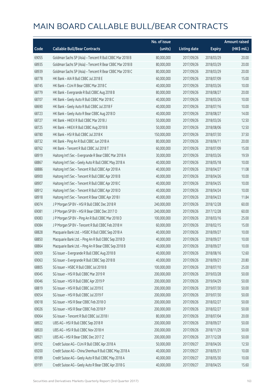|       |                                                          | No. of issue |                     |               | <b>Amount raised</b> |
|-------|----------------------------------------------------------|--------------|---------------------|---------------|----------------------|
| Code  | <b>Callable Bull/Bear Contracts</b>                      | (units)      | <b>Listing date</b> | <b>Expiry</b> | (HK\$ mil.)          |
| 69055 | Goldman Sachs SP (Asia) - Tencent R Bull CBBC Mar 2018 B | 80,000,000   | 2017/09/26          | 2018/03/29    | 20.00                |
| 68935 | Goldman Sachs SP (Asia) - Tencent R Bear CBBC Mar 2018 B | 80,000,000   | 2017/09/26          | 2018/03/29    | 20.00                |
| 68939 | Goldman Sachs SP (Asia) - Tencent R Bear CBBC Mar 2018 C | 80,000,000   | 2017/09/26          | 2018/03/29    | 20.00                |
| 68778 | HK Bank - AIA R Bull CBBC Jul 2018 E                     | 60,000,000   | 2017/09/26          | 2018/07/09    | 15.00                |
| 68745 | HK Bank - CUni R Bear CBBC Mar 2018 C                    | 40,000,000   | 2017/09/26          | 2018/03/26    | 10.00                |
| 68779 | HK Bank - Evergrande R Bull CBBC Aug 2018 B              | 80,000,000   | 2017/09/26          | 2018/08/27    | 20.00                |
| 68707 | HK Bank - Geely Auto R Bull CBBC Mar 2018 C              | 40,000,000   | 2017/09/26          | 2018/03/26    | 10.00                |
| 68690 | HK Bank - Geely Auto R Bull CBBC Jul 2018 F              | 40,000,000   | 2017/09/26          | 2018/07/16    | 10.00                |
| 68723 | HK Bank - Geely Auto R Bear CBBC Aug 2018 D              | 40,000,000   | 2017/09/26          | 2018/08/27    | 14.00                |
| 68727 | HK Bank - HKEX R Bull CBBC Mar 2018 J                    | 50,000,000   | 2017/09/26          | 2018/03/26    | 12.50                |
| 68725 | HK Bank - HKEX R Bull CBBC Aug 2018 B                    | 50,000,000   | 2017/09/26          | 2018/08/06    | 12.50                |
| 68780 | HK Bank - HSI R Bull CBBC Jul 2018 K                     | 150,000,000  | 2017/09/26          | 2018/07/30    | 37.50                |
| 68732 | HK Bank - Ping An R Bull CBBC Jun 2018 A                 | 80,000,000   | 2017/09/26          | 2018/06/11    | 20.00                |
| 68762 | HK Bank - Tencent R Bull CBBC Jul 2018 T                 | 60,000,000   | 2017/09/26          | 2018/07/09    | 15.00                |
| 68919 | Haitong Int'l Sec - Evergrande R Bear CBBC Mar 2018 A    | 30,000,000   | 2017/09/26          | 2018/03/26    | 19.59                |
| 68867 | Haitong Int'l Sec - Geely Auto R Bull CBBC May 2018 A    | 40,000,000   | 2017/09/26          | 2018/05/18    | 10.00                |
| 68886 | Haitong Int'l Sec - Tencent R Bull CBBC Apr 2018 A       | 40,000,000   | 2017/09/26          | 2018/04/27    | 11.08                |
| 68900 | Haitong Int'l Sec - Tencent R Bull CBBC Apr 2018 B       | 40,000,000   | 2017/09/26          | 2018/04/26    | 10.00                |
| 68907 | Haitong Int'l Sec - Tencent R Bull CBBC Apr 2018 C       | 40,000,000   | 2017/09/26          | 2018/04/25    | 10.00                |
| 68912 | Haitong Int'l Sec - Tencent R Bull CBBC Apr 2018 D       | 40,000,000   | 2017/09/26          | 2018/04/24    | 10.00                |
| 68918 | Haitong Int'l Sec - Tencent R Bear CBBC Apr 2018 I       | 40,000,000   | 2017/09/26          | 2018/04/23    | 11.84                |
| 69074 | J P Morgan SP BV - HSI R Bull CBBC Dec 2018 R            | 240,000,000  | 2017/09/26          | 2018/12/28    | 60.00                |
| 69081 | J P Morgan SP BV - HSI R Bear CBBC Dec 2017 O            | 240,000,000  | 2017/09/26          | 2017/12/28    | 60.00                |
| 69083 | J P Morgan SP BV - Ping An R Bull CBBC Mar 2018 D        | 100,000,000  | 2017/09/26          | 2018/03/16    | 25.00                |
| 69084 | J P Morgan SP BV - Tencent R Bull CBBC Feb 2018 H        | 60,000,000   | 2017/09/26          | 2018/02/15    | 15.00                |
| 68828 | Macquarie Bank Ltd. - HSBC R Bull CBBC Sep 2018 A        | 40,000,000   | 2017/09/26          | 2018/09/27    | 10.00                |
| 68850 | Macquarie Bank Ltd. - Ping An R Bull CBBC Sep 2018 D     | 40,000,000   | 2017/09/26          | 2018/09/27    | 10.00                |
| 68864 | Macquarie Bank Ltd. - Ping An R Bear CBBC Sep 2018 B     | 40,000,000   | 2017/09/26          | 2018/09/27    | 10.00                |
| 69059 | SG Issuer - Evergrande R Bull CBBC Aug 2018 B            | 40,000,000   | 2017/09/26          | 2018/08/16    | 12.60                |
| 69063 | SG Issuer - Evergrande R Bull CBBC Sep 2018 B            | 40,000,000   | 2017/09/26          | 2018/09/21    | 20.80                |
| 68805 | SG Issuer - HSBC R Bull CBBC Jul 2018 B                  | 100,000,000  | 2017/09/26          | 2018/07/10    | 25.00                |
| 69045 | SG Issuer - HSI R Bull CBBC Mar 2019 R                   | 200,000,000  | 2017/09/26          | 2019/03/28    | 50.00                |
| 69046 | SG Issuer - HSI R Bull CBBC Apr 2019 P                   | 200,000,000  | 2017/09/26          | 2019/04/29    | 50.00                |
| 68819 | SG Issuer - HSI R Bull CBBC Jul 2019 E                   | 200,000,000  | 2017/09/26          | 2019/07/30    | 50.00                |
| 69054 | SG Issuer - HSI R Bull CBBC Jul 2019 F                   | 200,000,000  | 2017/09/26          | 2019/07/30    | 50.00                |
| 69018 | SG Issuer - HSI R Bear CBBC Feb 2018 O                   | 200,000,000  | 2017/09/26          | 2018/02/27    | 50.00                |
| 69026 | SG Issuer - HSI R Bear CBBC Feb 2018 P                   | 200,000,000  | 2017/09/26          | 2018/02/27    | 50.00                |
| 69064 | SG Issuer - Tencent R Bull CBBC Jul 2018 I               | 80,000,000   | 2017/09/26          | 2018/07/04    | 20.00                |
| 68922 | UBS AG - HSI R Bull CBBC Sep 2018 R                      | 200,000,000  | 2017/09/26          | 2018/09/27    | 50.00                |
| 68920 | UBS AG - HSI R Bull CBBC Nov 2018 H                      | 200,000,000  | 2017/09/26          | 2018/11/29    | 50.00                |
| 68921 | UBS AG - HSI R Bear CBBC Dec 2017 Z                      | 200,000,000  | 2017/09/26          | 2017/12/28    | 50.00                |
| 69192 | Credit Suisse AG - CUni R Bull CBBC Apr 2018 A           | 50,000,000   | 2017/09/27          | 2018/04/26    | 12.50                |
| 69200 | Credit Suisse AG - China Shenhua R Bull CBBC May 2018 A  | 40,000,000   | 2017/09/27          | 2018/05/31    | 10.00                |
| 69189 | Credit Suisse AG - Geely Auto R Bull CBBC May 2018 A     | 40,000,000   | 2017/09/27          | 2018/05/30    | 10.00                |
| 69191 | Credit Suisse AG - Geely Auto R Bear CBBC Apr 2018 G     | 40,000,000   | 2017/09/27          | 2018/04/25    | 15.60                |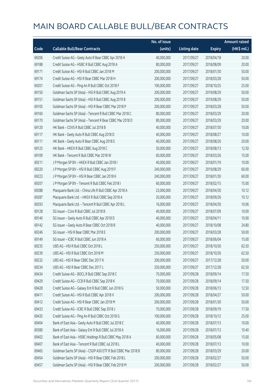|       |                                                               | No. of issue |                     |               | <b>Amount raised</b> |
|-------|---------------------------------------------------------------|--------------|---------------------|---------------|----------------------|
| Code  | <b>Callable Bull/Bear Contracts</b>                           | (units)      | <b>Listing date</b> | <b>Expiry</b> | (HK\$ mil.)          |
| 69206 | Credit Suisse AG - Geely Auto R Bear CBBC Apr 2018 H          | 40,000,000   | 2017/09/27          | 2018/04/18    | 20.00                |
| 69188 | Credit Suisse AG - HSBC R Bull CBBC Aug 2018 A                | 80,000,000   | 2017/09/27          | 2018/08/09    | 20.00                |
| 69171 | Credit Suisse AG - HSI R Bull CBBC Jan 2018 M                 | 200,000,000  | 2017/09/27          | 2018/01/30    | 50.00                |
| 69174 | Credit Suisse AG - HSI R Bear CBBC Mar 2018 H                 | 200,000,000  | 2017/09/27          | 2018/03/28    | 50.00                |
| 69201 | Credit Suisse AG - Ping An R Bull CBBC Oct 2018 F             | 100,000,000  | 2017/09/27          | 2018/10/25    | 25.00                |
| 69150 | Goldman Sachs SP (Asia) - HSI R Bull CBBC Aug 2019 A          | 200,000,000  | 2017/09/27          | 2019/08/29    | 50.00                |
| 69151 | Goldman Sachs SP (Asia) - HSI R Bull CBBC Aug 2019 B          | 200,000,000  | 2017/09/27          | 2019/08/29    | 50.00                |
| 69105 | Goldman Sachs SP (Asia) - HSI R Bear CBBC Mar 2018 P          | 200,000,000  | 2017/09/27          | 2018/03/28    | 50.00                |
| 69160 | Goldman Sachs SP (Asia) - Tencent R Bull CBBC Mar 2018 C      | 80,000,000   | 2017/09/27          | 2018/03/29    | 20.00                |
| 69170 | Goldman Sachs SP (Asia) - Tencent R Bear CBBC Mar 2018 D      | 80,000,000   | 2017/09/27          | 2018/03/29    | 20.00                |
| 69120 | HK Bank - COVS R Bull CBBC Jul 2018 B                         | 40,000,000   | 2017/09/27          | 2018/07/30    | 10.00                |
| 69117 | HK Bank - Geely Auto R Bull CBBC Aug 2018 D                   | 40,000,000   | 2017/09/27          | 2018/08/27    | 10.00                |
| 69111 | HK Bank - Geely Auto R Bear CBBC Aug 2018 E                   | 40,000,000   | 2017/09/27          | 2018/08/20    | 20.00                |
| 69125 | HK Bank - HKEX R Bull CBBC Aug 2018 C                         | 50,000,000   | 2017/09/27          | 2018/08/13    | 12.50                |
| 69109 | HK Bank - Tencent R Bull CBBC Mar 2018 W                      | 60,000,000   | 2017/09/27          | 2018/03/26    | 15.00                |
| 69211 | J P Morgan SP BV - HKEX R Bull CBBC Jan 2018 I                | 40,000,000   | 2017/09/27          | 2018/01/19    | 10.00                |
| 69220 | J P Morgan SP BV - HSI R Bull CBBC Aug 2019 F                 | 240,000,000  | 2017/09/27          | 2019/08/29    | 60.00                |
| 69223 | J P Morgan SP BV - HSI R Bear CBBC Jan 2018 K                 | 240,000,000  | 2017/09/27          | 2018/01/30    | 60.00                |
| 69207 | J P Morgan SP BV - Tencent R Bull CBBC Feb 2018 I             | 60,000,000   | 2017/09/27          | 2018/02/15    | 15.00                |
| 69288 | Macquarie Bank Ltd. - China Life R Bull CBBC Apr 2018 A       | 23,000,000   | 2017/09/27          | 2018/04/30    | 10.12                |
| 69287 | Macquarie Bank Ltd. - HKEX R Bull CBBC Sep 2018 A             | 20,000,000   | 2017/09/27          | 2018/09/26    | 10.12                |
| 69293 | Macquarie Bank Ltd. - Tencent R Bull CBBC Apr 2018 L          | 16,000,000   | 2017/09/27          | 2018/04/30    | 10.06                |
| 69128 | SG Issuer - CUni R Bull CBBC Jul 2018 B                       | 40,000,000   | 2017/09/27          | 2018/07/09    | 10.00                |
| 69140 | SG Issuer - Geely Auto R Bull CBBC Apr 2018 D                 | 40,000,000   | 2017/09/27          | 2018/04/11    | 10.00                |
| 69142 | SG Issuer - Geely Auto R Bear CBBC Oct 2018 B                 | 40,000,000   | 2017/09/27          | 2018/10/08    | 24.80                |
| 69246 | SG Issuer - HSI R Bear CBBC Mar 2018 E                        | 200,000,000  | 2017/09/27          | 2018/03/28    | 50.00                |
| 69149 | SG Issuer - ICBC R Bull CBBC Jun 2018 A                       | 60,000,000   | 2017/09/27          | 2018/06/04    | 15.00                |
| 69235 | UBS AG - HSI R Bull CBBC Oct 2018 L                           | 250,000,000  | 2017/09/27          | 2018/10/30    | 62.50                |
| 69239 | UBS AG - HSI R Bull CBBC Oct 2018 M                           | 250,000,000  | 2017/09/27          | 2018/10/30    | 62.50                |
| 69232 | UBS AG - HSI R Bear CBBC Dec 2017 K                           | 200,000,000  | 2017/09/27          | 2017/12/28    | 50.00                |
| 69234 | UBS AG - HSI R Bear CBBC Dec 2017 L                           | 250,000,000  | 2017/09/27          | 2017/12/28    | 62.50                |
| 69434 | Credit Suisse AG - BOCL R Bull CBBC Sep 2018 C                | 70,000,000   | 2017/09/28          | 2018/09/14    | 17.50                |
| 69429 | Credit Suisse AG - CCB R Bull CBBC Sep 2018 K                 | 70,000,000   | 2017/09/28          | 2018/09/14    | 17.50                |
| 69428 | Credit Suisse AG - Galaxy Ent R Bull CBBC Jun 2018 G          | 50,000,000   | 2017/09/28          | 2018/06/13    | 12.50                |
| 69411 | Credit Suisse AG - HSI R Bull CBBC Apr 2018 V                 | 200,000,000  | 2017/09/28          | 2018/04/27    | 50.00                |
| 69412 | Credit Suisse AG - HSI R Bear CBBC Jan 2018 M                 | 200,000,000  | 2017/09/28          | 2018/01/30    | 50.00                |
| 69433 | Credit Suisse AG - ICBC R Bull CBBC Sep 2018 J                | 70,000,000   | 2017/09/28          | 2018/09/19    | 17.50                |
| 69435 | Credit Suisse AG - Ping An R Bull CBBC Oct 2018 G             | 100,000,000  | 2017/09/28          | 2018/10/12    | 25.00                |
| 69404 | Bank of East Asia - Geely Auto R Bull CBBC Jul 2018 C         | 40,000,000   | 2017/09/28          | 2018/07/13    | 10.00                |
| 69380 | Bank of East Asia - Galaxy Ent R Bull CBBC Jul 2018 A         | 16,000,000   | 2017/09/28          | 2018/07/13    | 10.40                |
| 69402 | Bank of East Asia - HSBC Holdings R Bull CBBC May 2018 A      | 60,000,000   | 2017/09/28          | 2018/05/08    | 15.00                |
| 69407 | Bank of East Asia - Tencent R Bull CBBC Jul 2018 L            | 40,000,000   | 2017/09/28          | 2018/07/13    | 10.00                |
| 69465 | Goldman Sachs SP (Asia) - CSOP A50 ETF R Bull CBBC Mar 2018 B | 80,000,000   | 2017/09/28          | 2018/03/29    | 20.00                |
| 69454 | Goldman Sachs SP (Asia) - HSI R Bear CBBC Feb 2018 L          | 200,000,000  | 2017/09/28          | 2018/02/27    | 50.00                |
| 69457 | Goldman Sachs SP (Asia) - HSI R Bear CBBC Feb 2018 M          | 200,000,000  | 2017/09/28          | 2018/02/27    | 50.00                |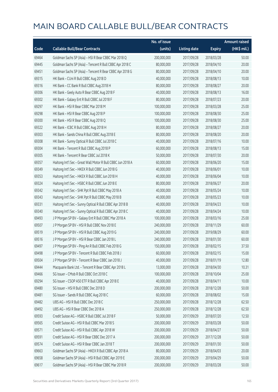|       |                                                             | No. of issue |                     |               | <b>Amount raised</b> |
|-------|-------------------------------------------------------------|--------------|---------------------|---------------|----------------------|
| Code  | <b>Callable Bull/Bear Contracts</b>                         | (units)      | <b>Listing date</b> | <b>Expiry</b> | (HK\$ mil.)          |
| 69464 | Goldman Sachs SP (Asia) - HSI R Bear CBBC Mar 2018 Q        | 200,000,000  | 2017/09/28          | 2018/03/28    | 50.00                |
| 69445 | Goldman Sachs SP (Asia) - Tencent R Bull CBBC Apr 2018 C    | 80,000,000   | 2017/09/28          | 2018/04/10    | 20.00                |
| 69451 | Goldman Sachs SP (Asia) - Tencent R Bear CBBC Apr 2018 G    | 80,000,000   | 2017/09/28          | 2018/04/10    | 20.00                |
| 69315 | HK Bank - CUni R Bull CBBC Aug 2018 D                       | 40,000,000   | 2017/09/28          | 2018/08/13    | 10.00                |
| 69316 | HK Bank - CC Bank R Bull CBBC Aug 2018 H                    | 80,000,000   | 2017/09/28          | 2018/08/27    | 20.00                |
| 69306 | HK Bank - Geely Auto R Bear CBBC Aug 2018 F                 | 40,000,000   | 2017/09/28          | 2018/08/13    | 16.00                |
| 69302 | HK Bank - Galaxy Ent R Bull CBBC Jul 2018 F                 | 80,000,000   | 2017/09/28          | 2018/07/23    | 20.00                |
| 69297 | HK Bank - HSI R Bear CBBC Mar 2018 M                        | 100,000,000  | 2017/09/28          | 2018/03/28    | 25.00                |
| 69298 | HK Bank - HSI R Bear CBBC Aug 2018 P                        | 100,000,000  | 2017/09/28          | 2018/08/30    | 25.00                |
| 69300 | HK Bank - HSI R Bear CBBC Aug 2018 Q                        | 100,000,000  | 2017/09/28          | 2018/08/30    | 25.00                |
| 69322 | HK Bank - ICBC R Bull CBBC Aug 2018 H                       | 80,000,000   | 2017/09/28          | 2018/08/27    | 20.00                |
| 69303 | HK Bank - Sands China R Bull CBBC Aug 2018 E                | 80,000,000   | 2017/09/28          | 2018/08/20    | 20.00                |
| 69308 | HK Bank - Sunny Optical R Bull CBBC Jul 2018 C              | 40,000,000   | 2017/09/28          | 2018/07/16    | 10.00                |
| 69304 | HK Bank - Tencent R Bull CBBC Aug 2018 P                    | 60,000,000   | 2017/09/28          | 2018/08/13    | 15.00                |
| 69305 | HK Bank - Tencent R Bear CBBC Jul 2018 K                    | 50,000,000   | 2017/09/28          | 2018/07/30    | 20.00                |
| 69357 | Haitong Int'l Sec - Great Wall Motor R Bull CBBC Jun 2018 A | 60,000,000   | 2017/09/28          | 2018/06/20    | 15.00                |
| 69349 | Haitong Int'l Sec - HKEX R Bull CBBC Jun 2018 G             | 40,000,000   | 2017/09/28          | 2018/06/01    | 10.00                |
| 69353 | Haitong Int'l Sec - HKEX R Bull CBBC Jun 2018 H             | 40,000,000   | 2017/09/28          | 2018/06/04    | 10.00                |
| 69324 | Haitong Int'l Sec - HSBC R Bull CBBC Jun 2018 E             | 80,000,000   | 2017/09/28          | 2018/06/27    | 20.00                |
| 69342 | Haitong Int'l Sec - SHK Ppt R Bull CBBC May 2018 A          | 40,000,000   | 2017/09/28          | 2018/05/24    | 10.00                |
| 69343 | Haitong Int'l Sec - SHK Ppt R Bull CBBC May 2018 B          | 40,000,000   | 2017/09/28          | 2018/05/23    | 10.00                |
| 69331 | Haitong Int'l Sec - Sunny Optical R Bull CBBC Apr 2018 B    | 40,000,000   | 2017/09/28          | 2018/04/23    | 10.00                |
| 69340 | Haitong Int'l Sec - Sunny Optical R Bull CBBC Apr 2018 C    | 40,000,000   | 2017/09/28          | 2018/04/24    | 10.00                |
| 69493 | J P Morgan SP BV - Galaxy Ent R Bull CBBC Mar 2018 A        | 100,000,000  | 2017/09/28          | 2018/03/16    | 25.00                |
| 69507 | J P Morgan SP BV - HSI R Bull CBBC Nov 2018 E               | 240,000,000  | 2017/09/28          | 2018/11/29    | 60.00                |
| 69519 | J P Morgan SP BV - HSI R Bull CBBC Aug 2019 G               | 240,000,000  | 2017/09/28          | 2019/08/29    | 60.00                |
| 69516 | J P Morgan SP BV - HSI R Bear CBBC Jan 2018 L               | 240,000,000  | 2017/09/28          | 2018/01/30    | 60.00                |
| 69497 | J P Morgan SP BV - Ping An R Bull CBBC Feb 2018 G           | 150,000,000  | 2017/09/28          | 2018/02/15    | 37.50                |
| 69498 | J P Morgan SP BV - Tencent R Bull CBBC Feb 2018 J           | 60,000,000   | 2017/09/28          | 2018/02/15    | 15.00                |
| 69504 | J P Morgan SP BV - Tencent R Bear CBBC Jan 2018 J           | 40,000,000   | 2017/09/28          | 2018/01/19    | 12.80                |
| 69444 | Macquarie Bank Ltd. - Tencent R Bear CBBC Apr 2018 L        | 13,000,000   | 2017/09/28          | 2018/04/30    | 10.31                |
| 69466 | SG Issuer - CMob R Bull CBBC Oct 2018 C                     | 100,000,000  | 2017/09/28          | 2018/10/04    | 25.00                |
| 69294 | SG Issuer - CSOP A50 ETF R Bull CBBC Apr 2018 E             | 40,000,000   | 2017/09/28          | 2018/04/11    | 10.00                |
| 69480 | SG Issuer - HSI R Bull CBBC Dec 2018 D                      | 200,000,000  | 2017/09/28          | 2018/12/28    | 50.00                |
| 69481 | SG Issuer - Sands R Bull CBBC Aug 2018 C                    | 60,000,000   | 2017/09/28          | 2018/08/02    | 15.00                |
| 69482 | UBS AG - HSI R Bull CBBC Dec 2018 C                         | 250,000,000  | 2017/09/28          | 2018/12/28    | 62.50                |
| 69492 | UBS AG - HSI R Bear CBBC Dec 2018 A                         | 250,000,000  | 2017/09/28          | 2018/12/28    | 62.50                |
| 69593 | Credit Suisse AG - HSBC R Bull CBBC Jul 2018 F              | 50,000,000   | 2017/09/29          | 2018/07/20    | 12.50                |
| 69565 | Credit Suisse AG - HSI R Bull CBBC Mar 2018 S               | 200,000,000  | 2017/09/29          | 2018/03/28    | 50.00                |
| 69571 | Credit Suisse AG - HSI R Bull CBBC Apr 2018 W               | 200,000,000  | 2017/09/29          | 2018/04/27    | 50.00                |
| 69591 | Credit Suisse AG - HSI R Bear CBBC Dec 2017 A               | 200,000,000  | 2017/09/29          | 2017/12/28    | 50.00                |
| 69574 | Credit Suisse AG - HSI R Bear CBBC Jan 2018 T               | 200,000,000  | 2017/09/29          | 2018/01/30    | 50.00                |
| 69663 | Goldman Sachs SP (Asia) - HKEX R Bull CBBC Apr 2018 A       | 80,000,000   | 2017/09/29          | 2018/04/03    | 20.00                |
| 69658 | Goldman Sachs SP (Asia) - HSI R Bull CBBC Apr 2019 E        | 200,000,000  | 2017/09/29          | 2019/04/29    | 50.00                |
| 69617 | Goldman Sachs SP (Asia) - HSI R Bear CBBC Mar 2018 R        | 200,000,000  | 2017/09/29          | 2018/03/28    | 50.00                |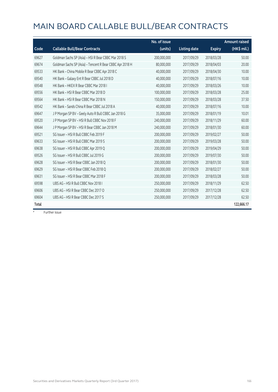|       |                                                          | No. of issue |                     |               | <b>Amount raised</b> |
|-------|----------------------------------------------------------|--------------|---------------------|---------------|----------------------|
| Code  | <b>Callable Bull/Bear Contracts</b>                      | (units)      | <b>Listing date</b> | <b>Expiry</b> | (HK\$ mil.)          |
| 69627 | Goldman Sachs SP (Asia) - HSI R Bear CBBC Mar 2018 S     | 200,000,000  | 2017/09/29          | 2018/03/28    | 50.00                |
| 69674 | Goldman Sachs SP (Asia) - Tencent R Bear CBBC Apr 2018 H | 80,000,000   | 2017/09/29          | 2018/04/03    | 20.00                |
| 69533 | HK Bank - China Mobile R Bear CBBC Apr 2018 C            | 40,000,000   | 2017/09/29          | 2018/04/30    | 10.00                |
| 69540 | HK Bank - Galaxy Ent R Bear CBBC Jul 2018 D              | 40,000,000   | 2017/09/29          | 2018/07/16    | 10.00                |
| 69548 | HK Bank - HKEX R Bear CBBC Mar 2018 I                    | 40,000,000   | 2017/09/29          | 2018/03/26    | 10.00                |
| 69556 | HK Bank - HSI R Bear CBBC Mar 2018 D                     | 100,000,000  | 2017/09/29          | 2018/03/28    | 25.00                |
| 69564 | HK Bank - HSI R Bear CBBC Mar 2018 N                     | 150,000,000  | 2017/09/29          | 2018/03/28    | 37.50                |
| 69542 | HK Bank - Sands China R Bear CBBC Jul 2018 A             | 40,000,000   | 2017/09/29          | 2018/07/16    | 10.00                |
| 69647 | J P Morgan SP BV - Geely Auto R Bull CBBC Jan 2018 G     | 35,000,000   | 2017/09/29          | 2018/01/19    | 10.01                |
| 69520 | J P Morgan SP BV - HSI R Bull CBBC Nov 2018 F            | 240,000,000  | 2017/09/29          | 2018/11/29    | 60.00                |
| 69644 | J P Morgan SP BV - HSI R Bear CBBC Jan 2018 M            | 240,000,000  | 2017/09/29          | 2018/01/30    | 60.00                |
| 69521 | SG Issuer - HSI R Bull CBBC Feb 2019 F                   | 200,000,000  | 2017/09/29          | 2019/02/27    | 50.00                |
| 69633 | SG Issuer - HSI R Bull CBBC Mar 2019 S                   | 200,000,000  | 2017/09/29          | 2019/03/28    | 50.00                |
| 69638 | SG Issuer - HSI R Bull CBBC Apr 2019 Q                   | 200,000,000  | 2017/09/29          | 2019/04/29    | 50.00                |
| 69526 | SG Issuer - HSI R Bull CBBC Jul 2019 G                   | 200,000,000  | 2017/09/29          | 2019/07/30    | 50.00                |
| 69628 | SG Issuer - HSI R Bear CBBC Jan 2018 Q                   | 200,000,000  | 2017/09/29          | 2018/01/30    | 50.00                |
| 69629 | SG Issuer - HSI R Bear CBBC Feb 2018 Q                   | 200,000,000  | 2017/09/29          | 2018/02/27    | 50.00                |
| 69631 | SG Issuer - HSI R Bear CBBC Mar 2018 F                   | 200,000,000  | 2017/09/29          | 2018/03/28    | 50.00                |
| 69598 | UBS AG - HSI R Bull CBBC Nov 2018 I                      | 250,000,000  | 2017/09/29          | 2018/11/29    | 62.50                |
| 69606 | UBS AG - HSI R Bear CBBC Dec 2017 O                      | 250,000,000  | 2017/09/29          | 2017/12/28    | 62.50                |
| 69604 | UBS AG - HSI R Bear CBBC Dec 2017 S                      | 250,000,000  | 2017/09/29          | 2017/12/28    | 62.50                |
| Total |                                                          |              |                     |               | 122,666.17           |

# Further issue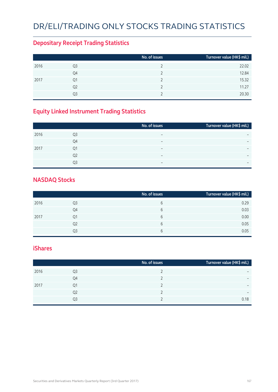### DR/ELI/TRADING ONLY STOCKS TRADING STATISTICS

#### **Depositary Receipt Trading Statistics**

|      |                | No. of issues | Turnover value (HK\$ mil.) |
|------|----------------|---------------|----------------------------|
| 2016 | Q3             |               | 22.02                      |
|      | Q4             |               | 12.84                      |
| 2017 | Q1             |               | 15.32                      |
|      | Q <sub>2</sub> |               | 11.27                      |
|      | Q <sub>3</sub> |               | 20.30                      |

#### **Equity Linked Instrument Trading Statistics**

|                | No. of issues            | Turnover value (HK\$ mil.) |
|----------------|--------------------------|----------------------------|
| Q3             | $\overline{\phantom{0}}$ |                            |
| Q4             | -                        | $\overline{\phantom{0}}$   |
| Q1             | $\overline{\phantom{0}}$ | $\overline{\phantom{0}}$   |
| Q <sub>2</sub> | $\overline{\phantom{0}}$ |                            |
| O3             | $\overline{\phantom{0}}$ | $\overline{\phantom{0}}$   |
|                |                          |                            |

#### **NASDAQ Stocks**

|      |                | No. of issues | Turnover value (HK\$ mil.) |
|------|----------------|---------------|----------------------------|
| 2016 | Q3             | b             | 0.29                       |
|      | Q4             | b             | 0.03                       |
| 2017 | Q1             | b             | 0.00                       |
|      | Q <sub>2</sub> | b             | 0.05                       |
|      | O3             | b             | 0.05                       |

#### **iShares**

|      |    | No. of issues | Turnover value (HK\$ mil.) |
|------|----|---------------|----------------------------|
| 2016 | Q3 |               | -                          |
|      | Q4 |               | $\overline{\phantom{0}}$   |
| 2017 | Q1 |               | $\overline{\phantom{0}}$   |
|      | Q2 |               | $\qquad \qquad$            |
|      | Q3 |               | 0.18                       |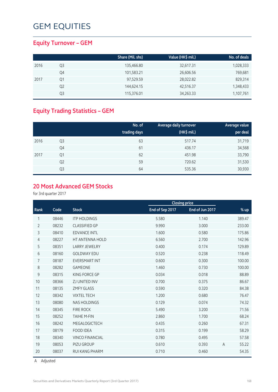#### **Equity Turnover – GEM**

|      |    | Share (Mil. shs) | Value (HK\$ mil.) | No. of deals |
|------|----|------------------|-------------------|--------------|
| 2016 | Q3 | 135,466.80       | 32,617.31         | 1,028,333    |
|      | Q4 | 101,583.21       | 26,606.56         | 769,681      |
| 2017 | Q1 | 97,529.59        | 28,022.82         | 829,314      |
|      | Q2 | 144,624.15       | 42,516.37         | 1,348,433    |
|      | Q3 | 115,376.01       | 34,263.33         | 1,107,761    |

#### **Equity Trading Statistics – GEM**

|      |                | No. of<br>trading days | Average daily turnover<br>(HK\$ mil.) | Average value<br>per deal |
|------|----------------|------------------------|---------------------------------------|---------------------------|
| 2016 | Q <sub>3</sub> | 63                     | 517.74                                | 31,719                    |
|      | Q4             | 61                     | 436.17                                | 34,568                    |
| 2017 | Q <sub>1</sub> | 62                     | 451.98                                | 33,790                    |
|      | Q <sub>2</sub> | 59                     | 720.62                                | 31,530                    |
|      | Q3             | 64                     | 535.36                                | 30,930                    |

#### **20 Most Advanced GEM Stocks**

for 3rd quarter 2017

|                |       |                        |                 | <b>Closing price</b> |                |        |
|----------------|-------|------------------------|-----------------|----------------------|----------------|--------|
| Rank           | Code  | <b>Stock</b>           | End of Sep 2017 | End of Jun 2017      |                | % up   |
| 1              | 08446 | <b>ITP HOLDINGS</b>    | 5.580           | 1.140                |                | 389.47 |
| $\overline{2}$ | 08232 | <b>CLASSIFIED GP</b>   | 9.990           | 3.000                |                | 233.00 |
| 3              | 08410 | <b>EDVANCE INTL</b>    | 1.600           | 0.580                |                | 175.86 |
| $\overline{4}$ | 08227 | HT ANTENNA HOLD        | 6.560           | 2.700                |                | 142.96 |
| 5              | 08351 | <b>LARRY JEWELRY</b>   | 0.400           | 0.174                |                | 129.89 |
| 6              | 08160 | <b>GOLDWAY EDU</b>     | 0.520           | 0.238                |                | 118.49 |
| $\overline{7}$ | 08187 | <b>EVERSMART INT</b>   | 0.600           | 0.300                |                | 100.00 |
| 8              | 08282 | <b>GAMEONE</b>         | 1.460           | 0.730                |                | 100.00 |
| 9              | 08315 | <b>KING FORCE GP</b>   | 0.034           | 0.018                |                | 88.89  |
| 10             | 08366 | ZJ UNITED INV          | 0.700           | 0.375                |                | 86.67  |
| 11             | 08135 | <b>ZMFY GLASS</b>      | 0.590           | 0.320                |                | 84.38  |
| 12             | 08342 | <b>VIXTEL TECH</b>     | 1.200           | 0.680                |                | 76.47  |
| 13             | 08080 | <b>NAS HOLDINGS</b>    | 0.129           | 0.074                |                | 74.32  |
| 14             | 08345 | <b>FIRE ROCK</b>       | 5.490           | 3.200                |                | 71.56  |
| 15             | 08252 | <b>TAIHE M-FIN</b>     | 2.860           | 1.700                |                | 68.24  |
| 16             | 08242 | MEGALOGICTECH          | 0.435           | 0.260                |                | 67.31  |
| 17             | 08179 | <b>FOOD IDEA</b>       | 0.315           | 0.199                |                | 58.29  |
| 18             | 08340 | <b>VINCO FINANCIAL</b> | 0.780           | 0.495                |                | 57.58  |
| 19             | 08053 | PIZU GROUP             | 0.610           | 0.393                | $\overline{A}$ | 55.22  |
| 20             | 08037 | <b>RUI KANG PHARM</b>  | 0.710           | 0.460                |                | 54.35  |

A Adjusted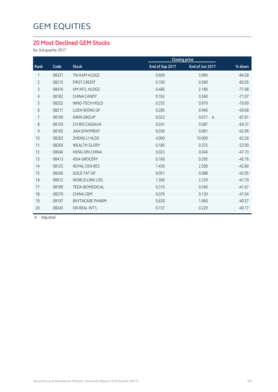#### **20 Most Declined GEM Stocks**

for 3rd quarter 2017

|                |       |                        |                 | <b>Closing price</b>    |          |
|----------------|-------|------------------------|-----------------|-------------------------|----------|
| Rank           | Code  | <b>Stock</b>           | End of Sep 2017 | End of Jun 2017         | % down   |
| 1              | 08321 | TAI KAM HLDGS          | 0.600           | 3.890                   | $-84.58$ |
| $\overline{2}$ | 08215 | <b>FIRST CREDIT</b>    | 0.100           | 0.590                   | $-83.05$ |
| 3              | 08416 | <b>HM INTL HLDGS</b>   | 0.480           | 2.180                   | $-77.98$ |
| 4              | 08182 | <b>CHINA CANDY</b>     | 0.162           | 0.560                   | $-71.07$ |
| 5              | 08202 | <b>INNO-TECH HOLD</b>  | 0.255           | 0.870                   | $-70.69$ |
| 6              | 08217 | <b>LUEN WONG GP</b>    | 0.285           | 0.940                   | $-69.68$ |
| $\overline{7}$ | 08109 | <b>KIRIN GROUP</b>     | 0.023           | 0.071<br>$\overline{A}$ | $-67.61$ |
| 8              | 08129 | CH BIO CASSAVA         | 0.031           | 0.087                   | $-64.37$ |
| 9              | 08165 | <b>JIAN EPAYMENT</b>   | 0.030           | 0.081                   | $-62.96$ |
| 10             | 08283 | ZHENG LI HLDG          | 4.000           | 10.600                  | $-62.26$ |
| 11             | 08269 | <b>WEALTH GLORY</b>    | 0.180           | 0.375                   | $-52.00$ |
| 12             | 08046 | <b>HENG XIN CHINA</b>  | 0.023           | 0.044                   | $-47.73$ |
| 13             | 08413 | <b>ASIA GROCERY</b>    | 0.160           | 0.295                   | $-45.76$ |
| 14             | 08125 | <b>ROYAL CEN RES</b>   | 1.430           | 2.500                   | $-42.80$ |
| 15             | 08266 | <b>GOLD TAT GP</b>     | 0.051           | 0.088                   | $-42.05$ |
| 16             | 08012 | <b>WORLD-LINK LOG</b>  | 1.300           | 2.230                   | $-41.70$ |
| 17             | 08189 | <b>TEDA BIOMEDICAL</b> | 0.315           | 0.540                   | $-41.67$ |
| 18             | 08270 | <b>CHINA CBM</b>       | 0.076           | 0.130                   | $-41.54$ |
| 19             | 08197 | <b>BAYTACARE PHARM</b> | 0.630           | 1.060                   | $-40.57$ |
| 20             | 08245 | ON REAL INT'L          | 0.137           | 0.229                   | $-40.17$ |
|                |       |                        |                 |                         |          |

A Adjusted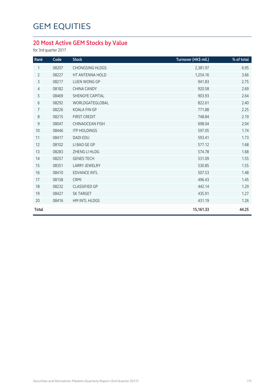#### **20 Most Active GEM Stocks by Value**

for 3rd quarter 2017

| Rank           | Code  | <b>Stock</b>           | Turnover (HK\$ mil.) | % of total |
|----------------|-------|------------------------|----------------------|------------|
| 1              | 08207 | <b>CHONGSING HLDGS</b> | 2,381.97             | 6.95       |
| $\overline{2}$ | 08227 | HT ANTENNA HOLD        | 1,254.16             | 3.66       |
| 3              | 08217 | LUEN WONG GP           | 941.83               | 2.75       |
| $\overline{4}$ | 08182 | <b>CHINA CANDY</b>     | 920.58               | 2.69       |
| 5              | 08469 | SHENGYE CAPITAL        | 903.93               | 2.64       |
| 6              | 08292 | WORLDGATEGLOBAL        | 822.61               | 2.40       |
| $\overline{7}$ | 08226 | <b>KOALA FIN GP</b>    | 771.88               | 2.25       |
| 8              | 08215 | <b>FIRST CREDIT</b>    | 748.84               | 2.19       |
| $\mathsf 9$    | 08047 | <b>CHINAOCEAN FISH</b> | 698.04               | 2.04       |
| 10             | 08446 | <b>ITP HOLDINGS</b>    | 597.05               | 1.74       |
| 11             | 08417 | <b>DADI EDU</b>        | 593.41               | 1.73       |
| 12             | 08102 | LI BAO GE GP           | 577.12               | 1.68       |
| 13             | 08283 | ZHENG LI HLDG          | 574.78               | 1.68       |
| 14             | 08257 | <b>GENES TECH</b>      | 531.09               | 1.55       |
| 15             | 08351 | <b>LARRY JEWELRY</b>   | 530.85               | 1.55       |
| 16             | 08410 | <b>EDVANCE INTL</b>    | 507.53               | 1.48       |
| 17             | 08158 | CRMI                   | 496.43               | 1.45       |
| 18             | 08232 | <b>CLASSIFIED GP</b>   | 442.14               | 1.29       |
| 19             | 08427 | <b>SK TARGET</b>       | 435.91               | 1.27       |
| 20             | 08416 | HM INTL HLDGS          | 431.19               | 1.26       |
| Total          |       |                        | 15,161.33            | 44.25      |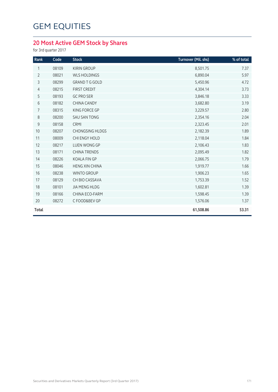#### **20 Most Active GEM Stock by Shares**

for 3rd quarter 2017

| Rank           | Code  | <b>Stock</b>           | Turnover (Mil. shs) | % of total |
|----------------|-------|------------------------|---------------------|------------|
| 1              | 08109 | <b>KIRIN GROUP</b>     | 8,501.75            | 7.37       |
| $\overline{2}$ | 08021 | <b>WLS HOLDINGS</b>    | 6,890.04            | 5.97       |
| 3              | 08299 | <b>GRAND T G GOLD</b>  | 5,450.96            | 4.72       |
| $\overline{4}$ | 08215 | <b>FIRST CREDIT</b>    | 4,304.14            | 3.73       |
| 5              | 08193 | <b>GC PRO SER</b>      | 3,846.18            | 3.33       |
| 6              | 08182 | <b>CHINA CANDY</b>     | 3,682.80            | 3.19       |
| $\overline{7}$ | 08315 | KING FORCE GP          | 3,229.57            | 2.80       |
| $8\,$          | 08200 | <b>SAU SAN TONG</b>    | 2,354.16            | 2.04       |
| $\mathsf 9$    | 08158 | CRMI                   | 2,323.45            | 2.01       |
| 10             | 08207 | <b>CHONGSING HLDGS</b> | 2,182.39            | 1.89       |
| 11             | 08009 | CHI ENGY HOLD          | 2,118.04            | 1.84       |
| 12             | 08217 | <b>LUEN WONG GP</b>    | 2,106.43            | 1.83       |
| 13             | 08171 | <b>CHINA TRENDS</b>    | 2,095.49            | 1.82       |
| 14             | 08226 | <b>KOALA FIN GP</b>    | 2,066.75            | 1.79       |
| 15             | 08046 | <b>HENG XIN CHINA</b>  | 1,919.77            | 1.66       |
| 16             | 08238 | <b>WINTO GROUP</b>     | 1,906.23            | 1.65       |
| 17             | 08129 | CH BIO CASSAVA         | 1,753.39            | 1.52       |
| 18             | 08101 | <b>JIA MENG HLDG</b>   | 1,602.81            | 1.39       |
| 19             | 08166 | CHINA ECO-FARM         | 1,598.45            | 1.39       |
| 20             | 08272 | C FOOD&BEV GP          | 1,576.06            | 1.37       |
| <b>Total</b>   |       |                        | 61,508.86           | 53.31      |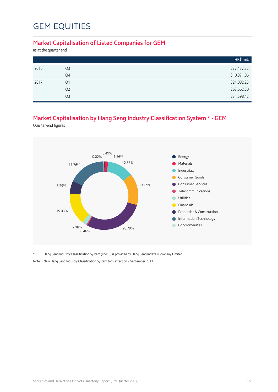#### **Market Capitalisation of Listed Companies for GEM**

as at the quarter end

|      |                | HK\$ mil.  |
|------|----------------|------------|
| 2016 | Q <sub>3</sub> | 277,457.32 |
|      | Q4             | 310,871.86 |
| 2017 | Q1             | 324,082.25 |
|      | Q <sub>2</sub> | 267,662.50 |
|      | Q <sub>3</sub> | 271,598.42 |

#### **Market Capitalisation by Hang Seng Industry Classification System \* - GEM**

Quarter-end figures



\* Hang Seng Industry Classification System (HSICS) is provided by Hang Seng Indexes Company Limited.

Note: New Hang Seng Industry Classification System took effect on 9 September 2013.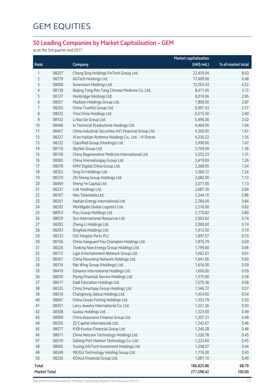#### **50 Leading Companies by Market Capitalisation – GEM**

as at the 3rd quarter end 2017

|                     | <b>Market capitalisation</b> |                                                        |              |                   |
|---------------------|------------------------------|--------------------------------------------------------|--------------|-------------------|
| Rank                |                              | Company                                                | $(HK$$ mil.) | % of market total |
| 1                   | 08207                        | Chong Sing Holdings FinTech Group Ltd.                 | 23,439.94    | 8.63              |
| 2                   | 08279                        | AGTech Holdings Ltd.                                   | 17,609.90    | 6.48              |
| 3                   | 08008                        | Sunevision Holdings Ltd.                               | 12,263.43    | 4.52              |
| 4                   | 08138                        | Beijing Tong Ren Tang Chinese Medicine Co. Ltd.        | 8,471.45     | 3.12              |
| 5                   | 08137                        | Honbridge Holdings Ltd.                                | 8,019.06     | 2.95              |
| 6                   | 08057                        | Madison Holdings Group Ltd.                            | 7,800.00     | 2.87              |
| 7                   | 08265                        | China Trustful Group Ltd.                              | 6,991.43     | 2.57              |
| 8                   | 08032                        | Viva China Holdings Ltd.                               | 6,515.50     | 2.40              |
| $\mathsf 9$         | 08102                        | Li Bao Ge Group Ltd.                                   | 5,496.00     | 2.02              |
| $10$                | 08446                        | In Technical Productions Holdings Ltd.                 | 4,464.00     | 1.64              |
| 11                  | 08407                        | China Industrial Securities Int'l Financial Group Ltd. | 4,360.00     | 1.61              |
| 12                  | 08227                        | Xi'an Haitian Antenna Holdings Co., Ltd. - H Shares    | 4,236.22     | 1.56              |
| 13                  | 08232                        | Classified Group (Holdings) Ltd.                       | 3,996.00     | 1.47              |
| 14                  | 08176                        | SkyNet Group Ltd.                                      | 3,704.99     | 1.36              |
| 15                  | 08158                        | China Regenerative Medicine International Ltd.         | 3,552.33     | 1.31              |
| 16                  | 08083                        | China Innovationpay Group Ltd.                         | 3,419.69     | 1.26              |
| 17                  | 08078                        | HMV Digital China Group Ltd.                           | 3,368.95     | 1.24              |
| 18                  | 08352                        | Sing On Holdings Ltd.                                  | 3,366.72     | 1.24              |
| 19                  | 08370                        | Zhi Sheng Group Holdings Ltd.                          | 3,082.00     | 1.13              |
| 20                  | 08469                        | Sheng Ye Capital Ltd.                                  | 3,071.00     | 1.13              |
| 21                  | 08237                        | Link Holdings Ltd.                                     | 2,687.30     | 0.99              |
| 22                  | 08167                        | Neo Telemedia Ltd.                                     | 2,344.10     | 0.86              |
| 23                  | 08261                        | Haitian Energy International Ltd.                      | 2,284.00     | 0.84              |
| 24                  | 08292                        | Worldgate Global Logistics Ltd.                        | 2,216.00     | 0.82              |
| 25                  | 08053                        | Pizu Group Holdings Ltd.                               | 2,170.82     | 0.80              |
| 26                  | 08029                        | Sun International Resources Ltd.                       | 2,003.62     | 0.74              |
| 27                  | 08283                        | Zheng Li Holdings Ltd.                                 | 2,000.00     | 0.74              |
| 28                  | 08293                        | SingAsia Holdings Ltd.                                 | 1,912.50     | 0.70              |
| 29                  | 08233                        | CIG Yangtze Ports PLC                                  | 1,897.57     | 0.70              |
| 30                  | 08156                        | China Vanguard You Champion Holdings Ltd.              | 1,875.79     | 0.69              |
| 31                  | 08326                        | Tonking New Energy Group Holdings Ltd.                 | 1,799.60     | 0.66              |
| 32                  | 08172                        | Lajin Entertainment Network Group Ltd.                 | 1,662.61     | 0.61              |
| 33                  | 08361                        | China Parenting Network Holdings Ltd.                  | 1,641.06     | 0.60              |
| 34                  | 08316                        | Pak Wing Group (Holdings) Ltd.                         | 1,616.00     | 0.59              |
| 35                  | 08410                        | Edvance International Holdings Ltd.                    | 1,600.00     | 0.59              |
| 36                  | 08030                        | Flying Financial Service Holdings Ltd.                 | 1,575.60     | 0.58              |
| 37                  | 08417                        | Dadi Education Holdings Ltd.                           | 1,575.36     | 0.58              |
| 38                  | 08325                        | China Smartpay Group Holdings Ltd.                     | 1,546.72     | 0.57              |
| 39                  | 08016                        | Changhong Jiahua Holdings Ltd.                         | 1,454.65     | 0.54              |
| 40                  | 08047                        | China Ocean Fishing Holdings Ltd.                      | 1,353.79     | 0.50              |
| 41                  | 08351                        | Larry Jewelry International Co. Ltd.                   | 1,351.36     | 0.50              |
| 42                  | 08308                        | Gudou Holdings Ltd.                                    | 1,323.00     | 0.49              |
| 43                  | 08090                        | China Assurance Finance Group Ltd.                     | 1,307.31     | 0.48              |
| 44                  | 08295                        | ZZ Capital International Ltd.                          | 1,242.67     | 0.46              |
| 45                  | 08077                        | KVB Kunlun Financial Group Ltd.                        | 1,240.28     | 0.46              |
| 46                  | 08071                        | China Netcom Technology Holdings Ltd.                  | 1,226.78     | 0.45              |
| 47                  | 08310                        | Dafeng Port Heshun Technology Co. Ltd.                 | 1,223.60     | 0.45              |
| 48                  | 08005                        | Yuxing InfoTech Investment Holdings Ltd.               | 1,208.07     | 0.44              |
| 49                  | 08349                        | MEIGU Technology Holding Group Ltd.                    | 1,176.00     | 0.43              |
| 50                  | 08226                        | KOALA Financial Group Ltd.                             | 1,081.10     | 0.40              |
| Total               |                              |                                                        | 186,825.86   | 68.79             |
| <b>Market Total</b> |                              |                                                        | 271,598.42   | 100.00            |

Securities and Derivatives Markets Quarterly Report (3rd Quarter 2017) 173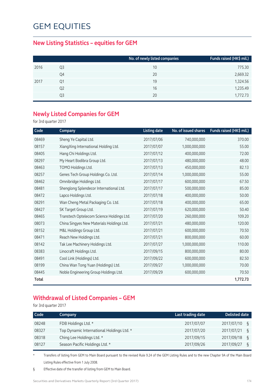#### **New Listing Statistics – equities for GEM**

|      |    | No. of newly listed companies | Funds raised (HK\$ mil.) |
|------|----|-------------------------------|--------------------------|
| 2016 | Q3 | 10                            | 775.30                   |
|      | Q4 | 20                            | 2,669.32                 |
| 2017 | Ο1 | 19                            | 1,324.56                 |
|      | Q2 | 16                            | 1,235.49                 |
|      | Q3 | 20                            | 1,772.73                 |

#### **Newly Listed Companies for GEM**

for 3rd quarter 2017

| Code         | Company                                   | <b>Listing date</b> | No. of issued shares | Funds raised (HK\$ mil.) |
|--------------|-------------------------------------------|---------------------|----------------------|--------------------------|
| 08469        | Sheng Ye Capital Ltd.                     | 2017/07/06          | 740,000,000          | 370.00                   |
| 08157        | XiangXing International Holding Ltd.      | 2017/07/07          | 1,000,000,000        | 55.00                    |
| 08405        | Hang Chi Holdings Ltd.                    | 2017/07/12          | 400,000,000          | 72.00                    |
| 08297        | My Heart Bodibra Group Ltd.               | 2017/07/13          | 480,000,000          | 48.00                    |
| 08463        | TOMO Holdings Ltd.                        | 2017/07/13          | 450,000,000          | 82.13                    |
| 08257        | Genes Tech Group Holdings Co. Ltd.        | 2017/07/14          | 1,000,000,000        | 55.00                    |
| 08462        | Omnibridge Holdings Ltd.                  | 2017/07/17          | 600,000,000          | 67.50                    |
| 08481        | Shenglong Splendecor International Ltd.   | 2017/07/17          | 500,000,000          | 85.00                    |
| 08472        | Lapco Holdings Ltd.                       | 2017/07/18          | 400,000,000          | 50.00                    |
| 08291        | Wan Cheng Metal Packaging Co. Ltd.        | 2017/07/18          | 400,000,000          | 65.00                    |
| 08427        | SK Target Group Ltd.                      | 2017/07/19          | 620,000,000          | 50.40                    |
| 08465        | Transtech Optelecom Science Holdings Ltd. | 2017/07/20          | 260,000,000          | 109.20                   |
| 08073        | China Singyes New Materials Holdings Ltd. | 2017/07/21          | 480,000,000          | 120.00                   |
| 08152        | M&L Holdings Group Ltd.                   | 2017/07/21          | 600,000,000          | 70.50                    |
| 08471        | Reach New Holdings Ltd.                   | 2017/07/21          | 800,000,000          | 60.00                    |
| 08142        | Tak Lee Machinery Holdings Ltd.           | 2017/07/27          | 1,000,000,000        | 110.00                   |
| 08383        | Linocraft Holdings Ltd.                   | 2017/09/15          | 800,000,000          | 80.00                    |
| 08491        | Cool Link (Holdings) Ltd.                 | 2017/09/22          | 600,000,000          | 82.50                    |
| 08199        | China Wan Tong Yuan (Holdings) Ltd.       | 2017/09/27          | 1,000,000,000        | 70.00                    |
| 08445        | Noble Engineering Group Holdings Ltd.     | 2017/09/29          | 600,000,000          | 70.50                    |
| <b>Total</b> |                                           |                     |                      | 1,772.73                 |

#### **Withdrawal of Listed Companies – GEM**

for 3rd quarter 2017

| Code  | Company                                   | Last trading date | <b>Delisted date</b> |
|-------|-------------------------------------------|-------------------|----------------------|
| 08248 | FDB Holdings Ltd. *                       | 2017/07/07        | 2017/07/10<br>ξ      |
| 08327 | Top Dynamic International Holdings Ltd. * | 2017/07/20        | 2017/07/21<br>ξ      |
| 08318 | Ching Lee Holdings Ltd. *                 | 2017/09/15        | 2017/09/18<br>ιş     |
| 08127 | Season Pacific Holdings Ltd. *            | 2017/09/26        | 2017/09/27<br>ξ      |

\* Transfers of listing from GEM to Main Board pursuant to the revised Rule 9.24 of the GEM Listing Rules and to the new Chapter 9A of the Main Board Listing Rules effective from 1 July 2008.

§ Effective date of the transfer of listing from GEM to Main Board.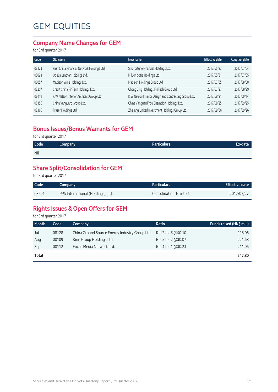#### **Company Name Changes for GEM**

for 3rd quarter 2017

| Old name                                    | New name                                              | <b>Effective date</b> | <b>Adoption date</b> |
|---------------------------------------------|-------------------------------------------------------|-----------------------|----------------------|
| First China Financial Network Holdings Ltd. | Sinofortune Financial Holdings Ltd.                   | 2017/05/23            | 2017/07/04           |
| Odella Leather Holdings Ltd.                | Million Stars Holdings Ltd.                           | 2017/05/31            | 2017/07/05           |
| Madison Wine Holdings Ltd.                  | Madison Holdings Group Ltd.                           | 2017/07/05            | 2017/08/08           |
| Credit China FinTech Holdings Ltd.          | Chong Sing Holdings FinTech Group Ltd.                | 2017/07/27            | 2017/08/29           |
| K W Nelson Interior Architect Group Ltd.    | K W Nelson Interior Design and Contracting Group Ltd. | 2017/08/21            | 2017/09/14           |
| China Vanguard Group Ltd.                   | China Vanguard You Champion Holdings Ltd.             | 2017/08/25            | 2017/09/25           |
| Fraser Holdings Ltd.                        | Zhejiang United Investment Holdings Group Ltd.        | 2017/09/06            | 2017/09/26           |
|                                             |                                                       |                       |                      |

#### **Bonus Issues/Bonus Warrants for GEM**

for 3rd quarter 2017

| <b>Nil</b> | Code <sup>1</sup> | Company | Particulars | Ex-date |
|------------|-------------------|---------|-------------|---------|
|            |                   |         |             |         |

#### **Share Split/Consolidation for GEM**

for 3rd quarter 2017

| Code  | Company                           | <b>Particulars</b>      | <b>Effective date</b> |
|-------|-----------------------------------|-------------------------|-----------------------|
| 08201 | PPS International (Holdings) Ltd. | Consolidation 10 into 1 | 2017/07/27            |

#### **Rights Issues & Open Offers for GEM**

for 3rd quarter 2017

| <b>Month</b> | Code  | Company                                        | Ratio               | Funds raised (HK\$ mil.) |
|--------------|-------|------------------------------------------------|---------------------|--------------------------|
| Jul          | 08128 | China Ground Source Energy Industry Group Ltd. | Rts 2 for 5 @\$0.10 | 115.06                   |
| Aug          | 08109 | Kirin Group Holdings Ltd.                      | Rts 5 for 2 @\$0.07 | 221.68                   |
| Sep          | 08112 | Focus Media Network Ltd.                       | Rts 4 for 1 @\$0.23 | 211.06                   |
| Total        |       |                                                |                     | 547.80                   |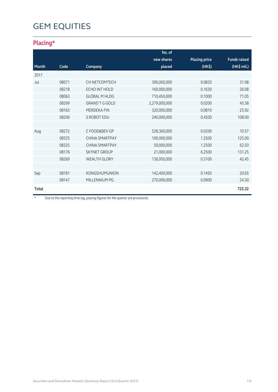#### **Placing\***

|       |       |                       | No. of        |                      |                     |
|-------|-------|-----------------------|---------------|----------------------|---------------------|
|       |       |                       | new shares    | <b>Placing price</b> | <b>Funds raised</b> |
| Month | Code  | Company               | placed        | (HK\$)               | (HK\$ mil.)         |
| 2017  |       |                       |               |                      |                     |
| Jul   | 08071 | CH NETCOMTECH         | 390,000,000   | 0.0820               | 31.98               |
|       | 08218 | ECHO INT HOLD         | 160,000,000   | 0.1630               | 26.08               |
|       | 08063 | <b>GLOBAL M HLDG</b>  | 710,450,000   | 0.1000               | 71.05               |
|       | 08299 | <b>GRAND T G GOLD</b> | 2,279,000,000 | 0.0200               | 45.58               |
|       | 08163 | <b>MERDEKA FIN</b>    | 320,000,000   | 0.0810               | 25.92               |
|       | 08206 | S ROBOT EDU           | 240,000,000   | 0.4500               | 108.00              |
|       |       |                       |               |                      |                     |
| Aug   | 08272 | C FOOD&BEV GP         | 528,360,000   | 0.0200               | 10.57               |
|       | 08325 | <b>CHINA SMARTPAY</b> | 100,000,000   | 1.2500               | 125.00              |
|       | 08325 | <b>CHINA SMARTPAY</b> | 50,000,000    | 1.2500               | 62.50               |
|       | 08176 | <b>SKYNET GROUP</b>   | 21,000,000    | 6.2500               | 131.25              |
|       | 08269 | <b>WEALTH GLORY</b>   | 136,950,000   | 0.3100               | 42.45               |
|       |       |                       |               |                      |                     |
| Sep   | 08181 | <b>KONGSHUMUNION</b>  | 142,400,000   | 0.1450               | 20.65               |
|       | 08147 | MILLENNIUM PG         | 270,000,000   | 0.0900               | 24.30               |
| Total |       |                       |               |                      | 725.32              |

\* Due to the reporting time-lag, placing figures for the quarter are provisional.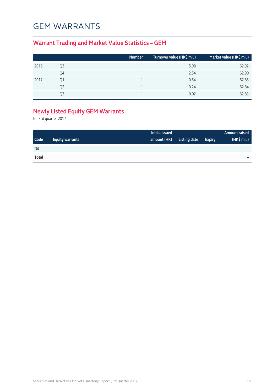#### GEM WARRANTS

#### **Warrant Trading and Market Value Statistics – GEM**

|      |    | <b>Number</b> | Turnover value (HK\$ mil.) | Market value (HK\$ mil.) |
|------|----|---------------|----------------------------|--------------------------|
| 2016 | Q3 |               | 5.98                       | 62.92                    |
|      | Q4 |               | 2.54                       | 62.90                    |
| 2017 | Q1 |               | 0.54                       | 62.85                    |
|      | Q2 |               | 0.24                       | 62.84                    |
|      | O3 |               | 0.02                       | 62.83                    |

#### **Newly Listed Equity GEM Warrants**

for 3rd quarter 2017

|             |                        | Initial issued |              |               | <b>Amount raised</b> |
|-------------|------------------------|----------------|--------------|---------------|----------------------|
| <b>Code</b> | <b>Equity warrants</b> | amount (HK)    | Listing date | <b>Expiry</b> | (HK\$ mil.)          |
| Nil         |                        |                |              |               |                      |
| Total       |                        |                |              |               | -                    |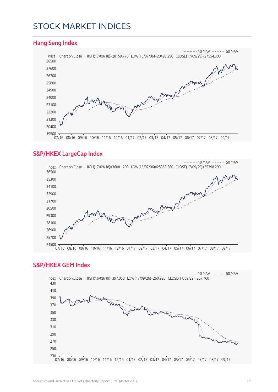#### STOCK MARKET INDICES

#### **Hang Seng Index** Price Chart on Close HIGH(17/09/18)=28159.770 LOW(16/07/06)=20495.290 CLOSE(17/09/29)=27554.300  $-$  - 10 MAV  $-$  50 MAV 07/16 08/16 09/16 10/16 11/16 12/16 01/17 02/17 03/17 04/17 05/17 06/17 07/17 08/17 09/17

#### **S&P/HKEX LargeCap Index**



#### **S&P/HKEX GEM Index**

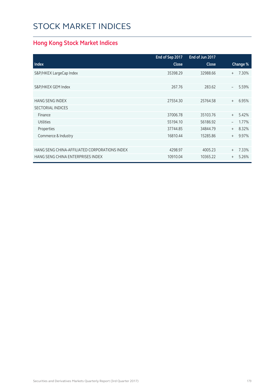### STOCK MARKET INDICES

#### **Hong Kong Stock Market Indices**

|                                               | End of Sep 2017 | End of Jun 2017 |                          |          |
|-----------------------------------------------|-----------------|-----------------|--------------------------|----------|
| <b>Index</b>                                  | <b>Close</b>    | <b>Close</b>    |                          | Change % |
| S&P/HKEX LargeCap Index                       | 35398.29        | 32988.66        | $^{+}$                   | 7.30%    |
|                                               |                 |                 |                          |          |
| S&P/HKEX GEM Index                            | 267.76          | 283.62          | $\qquad \qquad -$        | 5.59%    |
|                                               |                 |                 |                          |          |
| <b>HANG SENG INDEX</b>                        | 27554.30        | 25764.58        | $+$                      | 6.95%    |
| <b>SECTORIAL INDICES</b>                      |                 |                 |                          |          |
| Finance                                       | 37006.78        | 35103.76        | $+$                      | 5.42%    |
| <b>Utilities</b>                              | 55194.10        | 56186.92        | $\overline{\phantom{0}}$ | 1.77%    |
| Properties                                    | 37744.85        | 34844.79        | $+$                      | 8.32%    |
| Commerce & Industry                           | 16810.44        | 15285.86        | $+$                      | 9.97%    |
|                                               |                 |                 |                          |          |
| HANG SENG CHINA-AFFILIATED CORPORATIONS INDEX | 4298.97         | 4005.23         | $+$                      | 7.33%    |
| HANG SENG CHINA ENTERPRISES INDEX             | 10910.04        | 10365.22        | $^{+}$                   | 5.26%    |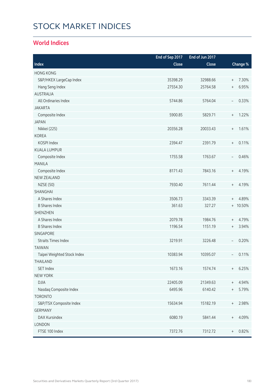# STOCK MARKET INDICES

### **World Indices**

|                             | End of Sep 2017 | End of Jun 2017 |                                  |          |
|-----------------------------|-----------------|-----------------|----------------------------------|----------|
| Index                       | Close           | Close           |                                  | Change % |
| <b>HONG KONG</b>            |                 |                 |                                  |          |
| S&P/HKEX LargeCap Index     | 35398.29        | 32988.66        | $\begin{array}{c} + \end{array}$ | 7.30%    |
| Hang Seng Index             | 27554.30        | 25764.58        | $\begin{array}{c} + \end{array}$ | 6.95%    |
| <b>AUSTRALIA</b>            |                 |                 |                                  |          |
| All Ordinaries Index        | 5744.86         | 5764.04         | $\overline{\phantom{a}}$         | 0.33%    |
| <b>JAKARTA</b>              |                 |                 |                                  |          |
| Composite Index             | 5900.85         | 5829.71         | $\begin{array}{c} + \end{array}$ | 1.22%    |
| <b>JAPAN</b>                |                 |                 |                                  |          |
| Nikkei (225)                | 20356.28        | 20033.43        | $\, +$                           | 1.61%    |
| <b>KOREA</b>                |                 |                 |                                  |          |
| KOSPI Index                 | 2394.47         | 2391.79         | $\begin{array}{c} + \end{array}$ | 0.11%    |
| <b>KUALA LUMPUR</b>         |                 |                 |                                  |          |
| Composite Index             | 1755.58         | 1763.67         | $\overline{\phantom{a}}$         | 0.46%    |
| <b>MANILA</b>               |                 |                 |                                  |          |
| Composite Index             | 8171.43         | 7843.16         | $\begin{array}{c} + \end{array}$ | 4.19%    |
| <b>NEW ZEALAND</b>          |                 |                 |                                  |          |
| <b>NZSE (50)</b>            | 7930.40         | 7611.44         | $\begin{array}{c} + \end{array}$ | 4.19%    |
| SHANGHAI                    |                 |                 |                                  |          |
| A Shares Index              | 3506.73         | 3343.39         | $\begin{array}{c} + \end{array}$ | 4.89%    |
| <b>B Shares Index</b>       | 361.63          | 327.27          |                                  | + 10.50% |
| <b>SHENZHEN</b>             |                 |                 |                                  |          |
| A Shares Index              | 2079.78         | 1984.76         | $+$                              | 4.79%    |
| <b>B Shares Index</b>       | 1196.54         | 1151.19         | $\begin{array}{c} + \end{array}$ | 3.94%    |
| SINGAPORE                   |                 |                 |                                  |          |
| <b>Straits Times Index</b>  | 3219.91         | 3226.48         | $\overline{\phantom{a}}$         | 0.20%    |
| <b>TAIWAN</b>               |                 |                 |                                  |          |
| Taipei Weighted Stock Index | 10383.94        | 10395.07        |                                  | 0.11%    |
| THAILAND                    |                 |                 |                                  |          |
| SET Index                   | 1673.16         | 1574.74         | $^{+}$                           | 6.25%    |
| <b>NEW YORK</b>             |                 |                 |                                  |          |
| <b>DJIA</b>                 | 22405.09        | 21349.63        | $\begin{array}{c} + \end{array}$ | 4.94%    |
| Nasdaq Composite Index      | 6495.96         | 6140.42         | $\begin{array}{c} + \end{array}$ | 5.79%    |
| <b>TORONTO</b>              |                 |                 |                                  |          |
| S&P/TSX Composite Index     | 15634.94        | 15182.19        | $^{+}$                           | 2.98%    |
| <b>GERMANY</b>              |                 |                 |                                  |          |
| DAX Kursindex               | 6080.19         | 5841.44         | $^{+}$                           | 4.09%    |
| LONDON                      |                 |                 |                                  |          |
| FTSE 100 Index              | 7372.76         | 7312.72         | $\, +$                           | 0.82%    |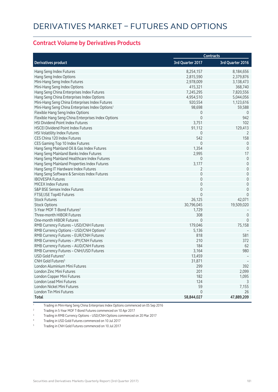#### **Contract Volume by Derivatives Products**

|                                                             |                  | <b>Contracts</b>    |
|-------------------------------------------------------------|------------------|---------------------|
| <b>Derivatives product</b>                                  | 3rd Quarter 2017 | 3rd Quarter 2016    |
| Hang Seng Index Futures                                     | 8,254,157        | 8,184,656           |
| Hang Seng Index Options                                     | 2,815,590        | 2,379,876           |
| Mini-Hang Seng Index Futures                                | 2,978,009        | 3,138,473           |
| Mini-Hang Seng Index Options                                | 415,321          | 368,740             |
| Hang Seng China Enterprises Index Futures                   | 7,245,295        | 7,820,556           |
| Hang Seng China Enterprises Index Options                   | 4,954,510        | 5,044,056           |
| Mini-Hang Seng China Enterprises Index Futures              | 920,554          | 1,123,616           |
| Mini-Hang Seng China Enterprises Index Options <sup>1</sup> | 98,698           | 59,588              |
| Flexible Hang Seng Index Options                            | 0                | 0                   |
| Flexible Hang Seng China Enterprises Index Options          | $\mathbf 0$      | 942                 |
| <b>HSI Dividend Point Index Futures</b>                     | 3,751            | 102                 |
| <b>HSCEI Dividend Point Index Futures</b>                   | 91,112           | 129,413             |
| HSI Volatility Index Futures                                | 0                | 2                   |
| CES China 120 Index Futures                                 | 542              | 158                 |
| CES Gaming Top 10 Index Futures                             | $\mathbf 0$      | $\overline{0}$      |
| Hang Seng Mainland Oil & Gas Index Futures                  | 1,354            | $\mathbf{0}$        |
| Hang Seng Mainland Banks Index Futures                      | 2,995            | 17                  |
| Hang Seng Mainland Healthcare Index Futures                 | $\mathbf 0$      | $\theta$            |
| Hang Seng Mainland Properties Index Futures                 | 3,177            | $\mathbf 0$         |
| Hang Seng IT Hardware Index Futures                         | 2                | $\mathbf 0$         |
| Hang Seng Software & Services Index Futures                 | $\overline{0}$   | $\mathsf{O}\xspace$ |
| <b>IBOVESPA Futures</b>                                     | 0                | $\mathsf{O}\xspace$ |
| <b>MICEX Index Futures</b>                                  | 0                | $\mathbf 0$         |
| S&P BSE Sensex Index Futures                                | 0                | $\mathbf 0$         |
| FTSE/JSE Top40 Futures                                      | $\Omega$         | $\overline{0}$      |
| <b>Stock Futures</b>                                        | 26,125           | 42,071              |
| <b>Stock Options</b>                                        | 30,796,045       | 19,509,020          |
| 5-Year MOF T-Bond Futures <sup>2</sup>                      | 1,729            |                     |
| Three-month HIBOR Futures                                   | 308              | $\theta$            |
| One-month HIBOR Futures                                     | 0                | $\mathbf{0}$        |
| RMB Currency Futures - USD/CNH Futures                      | 179,046          | 75,158              |
| RMB Currency Options - USD/CNH Options <sup>3</sup>         | 5,136            |                     |
| RMB Currency Futures - EUR/CNH Futures                      | 818              | 581                 |
| RMB Currency Futures - JPY/CNH Futures                      | 210              | 372                 |
| RMB Currency Futures - AUD/CNH Futures                      | 184              | 62                  |
| RMB Currency Futures - CNH/USD Futures                      | 3,164            | 980                 |
| USD Gold Futures <sup>4</sup>                               | 13,459           |                     |
| CNH Gold Futures <sup>5</sup>                               | 31,871           |                     |
| London Aluminium Mini Futures                               | 299              | 392                 |
| London Zinc Mini Futures                                    | 201              | 2,099               |
| London Copper Mini Futures                                  | 182              | 1,095               |
| London Lead Mini Futures                                    | 124              |                     |
| London Nickel Mini Futures                                  | 59               | 7,155               |
| London Tin Mini Futures                                     | $\mathbf 0$      | 26                  |
| Total                                                       | 58,844,027       | 47,889,209          |

1 Trading in Mini-Hang Seng China Enterprises Index Options commenced on 05 Sep 2016

2 Trading in 5-Year MOF T-Bond Futures commenced on 10 Apr 2017

3 Trading in RMB Currency Options – USD/CNH Options commenced on 20 Mar 2017

4 Trading in USD Gold Futures commenced on 10 Jul 2017

5 Trading in CNH Gold Futures commenced on 10 Jul 2017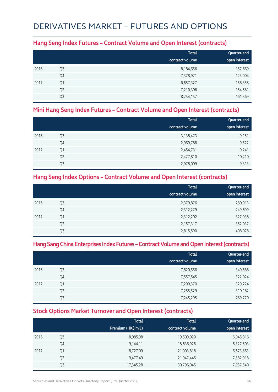## DERIVATIVES MARKET – FUTURES AND OPTIONS

#### **Hang Seng Index Futures – Contract Volume and Open Interest (contracts)**

|      |                | <b>Total</b>    | Quarter-end   |
|------|----------------|-----------------|---------------|
|      |                | contract volume | open interest |
| 2016 | Q <sub>3</sub> | 8,184,656       | 157,669       |
|      | Q4             | 7,378,971       | 123,004       |
| 2017 | Q1             | 6,657,327       | 158,358       |
|      | Q <sub>2</sub> | 7,210,306       | 154,581       |
|      | Q3             | 8,254,157       | 161,569       |

### **Mini Hang Seng Index Futures – Contract Volume and Open Interest (contracts)**

|      |                | <b>Total</b><br>contract volume | Quarter-end<br>open interest |
|------|----------------|---------------------------------|------------------------------|
| 2016 | Q <sub>3</sub> | 3,138,473                       | 9,151                        |
|      | Q4             | 2,969,788                       | 9,572                        |
| 2017 | Q1             | 2,454,731                       | 9,241                        |
|      | Q <sub>2</sub> | 2,477,810                       | 10,210                       |
|      | Q3             | 2,978,009                       | 9,313                        |

### **Hang Seng Index Options – Contract Volume and Open Interest (contracts)**

|      |                | <b>Total</b>    | Quarter-end   |
|------|----------------|-----------------|---------------|
|      |                | contract volume | open interest |
| 2016 | Q3             | 2,379,876       | 280,913       |
|      | Q4             | 2,312,279       | 249,699       |
| 2017 | Q <sub>1</sub> | 2,312,202       | 327,038       |
|      | Q <sub>2</sub> | 2,157,317       | 352,037       |
|      | Q <sub>3</sub> | 2,815,590       | 408,078       |

### **Hang Sang China Enterprises Index Futures – Contract Volume and Open Interest (contracts)**

|      |                | <b>Total</b><br>contract volume | Quarter-end<br>open interest |
|------|----------------|---------------------------------|------------------------------|
| 2016 | Q <sub>3</sub> | 7,820,556                       | 349,588                      |
|      | Q4             | 7,557,545                       | 322,024                      |
| 2017 | Q1             | 7,299,370                       | 329,224                      |
|      | Q <sub>2</sub> | 7,255,529                       | 310,182                      |
|      | Q3             | 7,245,295                       | 289,770                      |

### **Stock Options Market Turnover and Open Interest (contracts)**

|      |                | <b>Total</b><br>Premium (HK\$ mil.) | <b>Total</b><br>contract volume | Quarter-end<br>open interest |
|------|----------------|-------------------------------------|---------------------------------|------------------------------|
| 2016 | Q3             | 8,985.98                            | 19,509,020                      | 6,045,816                    |
|      | Q4             | 9,144.11                            | 18,636,926                      | 6,327,503                    |
| 2017 | Q1             | 8,727.09                            | 21,003,818                      | 6,673,563                    |
|      | Q <sub>2</sub> | 9,477.49                            | 21,947,446                      | 7,582,918                    |
|      | Q3             | 17,345.28                           | 30,796,045                      | 7,937,540                    |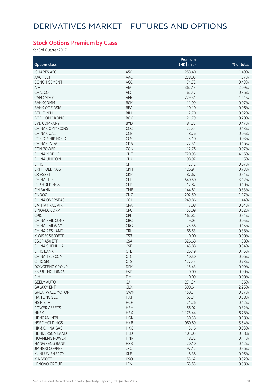## **Stock Options Premium by Class**

for 3rd Quarter 2017

|                           |            | Premium     |            |
|---------------------------|------------|-------------|------------|
| <b>Options class</b>      |            | (HK\$ mil.) | % of total |
| <b>ISHARES A50</b>        | A50        | 258.40      | 1.49%      |
| AAC TECH                  | AAC        | 238.05      | 1.37%      |
|                           |            |             | 0.43%      |
| <b>CONCH CEMENT</b>       | ACC        | 74.72       |            |
| AIA                       | AIA        | 362.13      | 2.09%      |
| CHALCO                    | ALC        | 62.47       | 0.36%      |
| CAM CSI300                | AMC        | 279.31      | 1.61%      |
| <b>BANKCOMM</b>           | <b>BCM</b> | 11.99       | 0.07%      |
| <b>BANK OF E ASIA</b>     | <b>BEA</b> | 10.10       | 0.06%      |
| <b>BELLE INT'L</b>        | <b>BIH</b> | 2.70        | 0.02%      |
| <b>BOC HONG KONG</b>      | <b>BOC</b> | 121.79      | 0.70%      |
| <b>BYD COMPANY</b>        | <b>BYD</b> | 81.33       | 0.47%      |
| <b>CHINA COMM CONS</b>    | CCC        | 22.34       | 0.13%      |
| CHINA COAL                | CCE        | 8.76        | 0.05%      |
| <b>COSCO SHIP HOLD</b>    | CCS        | 5.10        | 0.03%      |
| CHINA CINDA               | CDA        | 27.51       | 0.16%      |
| <b>CGN POWER</b>          | CGN        | 12.76       | 0.07%      |
| <b>CHINA MOBILE</b>       | CHT        | 720.95      | 4.16%      |
| <b>CHINA UNICOM</b>       | <b>CHU</b> | 198.97      | 1.15%      |
|                           |            |             |            |
| <b>CITIC</b>              | <b>CIT</b> | 12.12       | 0.07%      |
| <b>CKH HOLDINGS</b>       | <b>CKH</b> | 126.91      | 0.73%      |
| <b>CK ASSET</b>           | <b>CKP</b> | 87.67       | 0.51%      |
| <b>CHINA LIFE</b>         | <b>CLI</b> | 540.50      | 3.12%      |
| <b>CLP HOLDINGS</b>       | <b>CLP</b> | 17.82       | 0.10%      |
| <b>CM BANK</b>            | CMB        | 144.81      | 0.83%      |
| <b>CNOOC</b>              | <b>CNC</b> | 202.50      | 1.17%      |
| <b>CHINA OVERSEAS</b>     | <b>COL</b> | 249.86      | 1.44%      |
| <b>CATHAY PAC AIR</b>     | <b>CPA</b> | 7.08        | 0.04%      |
| SINOPEC CORP              | CPC        | 55.09       | 0.32%      |
| <b>CPIC</b>               | <b>CPI</b> | 162.82      | 0.94%      |
| <b>CHINA RAIL CONS</b>    | CRC        | 9.05        | 0.05%      |
| <b>CHINA RAILWAY</b>      | CRG        | 25.56       | 0.15%      |
| <b>CHINA RES LAND</b>     | <b>CRL</b> | 66.53       | 0.38%      |
| X WISECSI300ETF           | CS3        |             | 0.00%      |
| CSOP A50 ETF              |            | 0.00        |            |
|                           | <b>CSA</b> | 326.68      | 1.88%      |
| CHINA SHENHUA             | CSE        | 145.88      | 0.84%      |
| <b>CITIC BANK</b>         | <b>CTB</b> | 26.49       | 0.15%      |
| CHINA TELECOM             | CTC        | 10.50       | 0.06%      |
| <b>CITIC SEC</b>          | <b>CTS</b> | 127.45      | 0.73%      |
| DONGFENG GROUP            | DFM.       | 15.43       | $0.09\%$   |
| <b>ESPRIT HOLDINGS</b>    | <b>ESP</b> | 0.00        | 0.00%      |
| <b>FIH</b>                | <b>FIH</b> | 0.09        | 0.00%      |
| <b>GEELY AUTO</b>         | GAH        | 271.34      | 1.56%      |
| <b>GALAXY ENT</b>         | GLX        | 390.61      | 2.25%      |
| <b>GREATWALL MOTOR</b>    | <b>GWM</b> | 150.71      | 0.87%      |
| <b>HAITONG SEC</b>        | HAI        | 65.31       | 0.38%      |
| HS H ETF                  | <b>HCF</b> | 21.26       | 0.12%      |
| POWER ASSETS              | <b>HEH</b> | 56.02       | 0.32%      |
| <b>HKEX</b>               | <b>HEX</b> | 1,175.44    | 6.78%      |
| <b>HENGAN INT'L</b>       | <b>HGN</b> | 30.38       | 0.18%      |
| <b>HSBC HOLDINGS</b>      | <b>HKB</b> | 960.89      | 5.54%      |
|                           |            |             |            |
| <b>HK &amp; CHINA GAS</b> | <b>HKG</b> | 5.16        | 0.03%      |
| <b>HENDERSON LAND</b>     | <b>HLD</b> | 101.05      | 0.58%      |
| <b>HUANENG POWER</b>      | <b>HNP</b> | 18.32       | 0.11%      |
| <b>HANG SENG BANK</b>     | <b>HSB</b> | 20.10       | 0.12%      |
| <b>JIANGXI COPPER</b>     | <b>JXC</b> | 97.12       | 0.56%      |
| <b>KUNLUN ENERGY</b>      | <b>KLE</b> | 8.38        | 0.05%      |
| <b>KINGSOFT</b>           | <b>KSO</b> | 55.62       | 0.32%      |
| LENOVO GROUP              | LEN        | 65.55       | 0.38%      |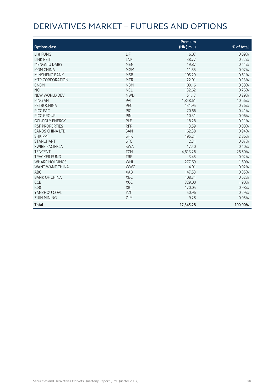# DERIVATIVES MARKET – FUTURES AND OPTIONS

| <b>Options class</b>      |            | Premium<br>(HK\$ mil.) | % of total |
|---------------------------|------------|------------------------|------------|
| LI & FUNG                 | LIF        | 16.07                  | 0.09%      |
| <b>LINK REIT</b>          | <b>LNK</b> | 38.77                  | 0.22%      |
| <b>MENGNIU DAIRY</b>      | <b>MEN</b> | 19.87                  | 0.11%      |
| <b>MGM CHINA</b>          | <b>MGM</b> | 11.55                  | 0.07%      |
| MINSHENG BANK             | <b>MSB</b> | 105.29                 | 0.61%      |
| MTR CORPORATION           | <b>MTR</b> | 22.01                  | 0.13%      |
| <b>CNBM</b>               | <b>NBM</b> | 100.16                 | 0.58%      |
| <b>NCI</b>                | <b>NCL</b> | 132.62                 | 0.76%      |
| NEW WORLD DEV             | <b>NWD</b> | 51.17                  | 0.29%      |
| PING AN                   | PAI        | 1,848.61               | 10.66%     |
| PETROCHINA                | PEC        | 131.95                 | 0.76%      |
| PICC P&C                  | PIC        | 70.66                  | 0.41%      |
| PICC GROUP                | PIN        | 10.31                  | 0.06%      |
| <b>GCL-POLY ENERGY</b>    | PLE        | 18.28                  | 0.11%      |
| <b>R&amp;F PROPERTIES</b> | <b>RFP</b> | 13.59                  | 0.08%      |
| <b>SANDS CHINA LTD</b>    | SAN        | 162.38                 | 0.94%      |
| <b>SHK PPT</b>            | <b>SHK</b> | 495.21                 | 2.86%      |
| <b>STANCHART</b>          | <b>STC</b> | 12.31                  | 0.07%      |
| SWIRE PACIFIC A           | <b>SWA</b> | 17.40                  | 0.10%      |
| <b>TENCENT</b>            | <b>TCH</b> | 4,613.26               | 26.60%     |
| <b>TRACKER FUND</b>       | <b>TRF</b> | 3.45                   | 0.02%      |
| <b>WHARF HOLDINGS</b>     | WHL        | 277.69                 | 1.60%      |
| WANT WANT CHINA           | <b>WWC</b> | 4.01                   | 0.02%      |
| <b>ABC</b>                | <b>XAB</b> | 147.53                 | 0.85%      |
| <b>BANK OF CHINA</b>      | XBC        | 108.31                 | 0.62%      |
| <b>CCB</b>                | <b>XCC</b> | 329.00                 | 1.90%      |
| <b>ICBC</b>               | <b>XIC</b> | 170.05                 | 0.98%      |
| YANZHOU COAL              | YZC        | 50.96                  | 0.29%      |
| <b>ZIJIN MINING</b>       | <b>ZJM</b> | 9.28                   | 0.05%      |
| <b>Total</b>              |            | 17,345.28              | 100.00%    |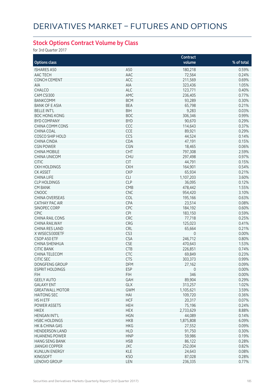## **Stock Options Contract Volume by Class**

for 3rd Quarter 2017

|                        |            | Contract    |            |
|------------------------|------------|-------------|------------|
| <b>Options class</b>   |            | volume      | % of total |
| <b>ISHARES A50</b>     | A50        | 180,218     | 0.59%      |
| AAC TECH               | AAC        | 72,564      | 0.24%      |
|                        |            |             |            |
| <b>CONCH CEMENT</b>    | ACC        | 211,569     | 0.69%      |
| AIA                    | AIA        | 323,436     | 1.05%      |
| CHALCO                 | <b>ALC</b> | 123,771     | 0.40%      |
| CAM CSI300             | AMC        | 236,405     | 0.77%      |
| <b>BANKCOMM</b>        | <b>BCM</b> | 93,289      | 0.30%      |
| <b>BANK OF E ASIA</b>  | <b>BEA</b> | 65,798      | 0.21%      |
| <b>BELLE INT'L</b>     | <b>BIH</b> | 9,283       | 0.03%      |
| <b>BOC HONG KONG</b>   | <b>BOC</b> | 306,346     | 0.99%      |
| <b>BYD COMPANY</b>     | <b>BYD</b> | 90,670      | 0.29%      |
| CHINA COMM CONS        | CCC        | 114,643     | 0.37%      |
| <b>CHINA COAL</b>      | CCE        | 89,921      | 0.29%      |
| <b>COSCO SHIP HOLD</b> | CCS        | 44,524      | 0.14%      |
| <b>CHINA CINDA</b>     | CDA        | 47,191      | 0.15%      |
| <b>CGN POWER</b>       | CGN        | 18,465      | 0.06%      |
| <b>CHINA MOBILE</b>    | <b>CHT</b> | 797,308     | 2.59%      |
| <b>CHINA UNICOM</b>    | <b>CHU</b> | 297,498     | 0.97%      |
| <b>CITIC</b>           | <b>CIT</b> | 44,791      | 0.15%      |
| <b>CKH HOLDINGS</b>    | <b>CKH</b> | 164,901     | 0.54%      |
| <b>CK ASSET</b>        | <b>CKP</b> | 65,934      | 0.21%      |
| <b>CHINA LIFE</b>      | <b>CLI</b> | 1,107,203   | 3.60%      |
|                        | <b>CLP</b> |             |            |
| <b>CLP HOLDINGS</b>    |            | 36,095      | 0.12%      |
| <b>CM BANK</b>         | CMB        | 478,442     | 1.55%      |
| <b>CNOOC</b>           | <b>CNC</b> | 954,420     | 3.10%      |
| <b>CHINA OVERSEAS</b>  | COL        | 195,166     | 0.63%      |
| <b>CATHAY PAC AIR</b>  | CPA        | 23,514      | 0.08%      |
| SINOPEC CORP           | CPC        | 184,192     | 0.60%      |
| CPIC                   | CPI        | 183,150     | 0.59%      |
| <b>CHINA RAIL CONS</b> | CRC        | 77,718      | 0.25%      |
| <b>CHINA RAILWAY</b>   | CRG        | 125,023     | 0.41%      |
| CHINA RES LAND         | CRL        | 65,664      | 0.21%      |
| X WISECSI300ETF        | CS3        | $\mathbf 0$ | 0.00%      |
| CSOP A50 ETF           | <b>CSA</b> | 246,712     | 0.80%      |
| CHINA SHENHUA          | <b>CSE</b> | 470,643     | 1.53%      |
| <b>CITIC BANK</b>      | <b>CTB</b> | 226,851     | 0.74%      |
| <b>CHINA TELECOM</b>   | CTC        | 69,849      | 0.23%      |
| <b>CITIC SEC</b>       | <b>CTS</b> | 303,373     | 0.99%      |
| DONGFENG GROUP         | DFM        | 27,162      | 0.09%      |
| <b>ESPRIT HOLDINGS</b> | <b>ESP</b> | $\mathbf 0$ | 0.00%      |
| <b>FIH</b>             | <b>FIH</b> | 346         | 0.00%      |
| <b>GEELY AUTO</b>      | GAH        | 89,904      | 0.29%      |
|                        |            |             |            |
| <b>GALAXY ENT</b>      | GLX        | 313,257     | 1.02%      |
| <b>GREATWALL MOTOR</b> | <b>GWM</b> | 1,105,621   | 3.59%      |
| <b>HAITONG SEC</b>     | HAI        | 109,720     | 0.36%      |
| HS H ETF               | <b>HCF</b> | 20,317      | 0.07%      |
| <b>POWER ASSETS</b>    | <b>HEH</b> | 75,196      | 0.24%      |
| <b>HKEX</b>            | <b>HEX</b> | 2,733,629   | 8.88%      |
| <b>HENGAN INT'L</b>    | <b>HGN</b> | 44,089      | 0.14%      |
| <b>HSBC HOLDINGS</b>   | <b>HKB</b> | 1,875,808   | 6.09%      |
| HK & CHINA GAS         | <b>HKG</b> | 27,552      | 0.09%      |
| <b>HENDERSON LAND</b>  | <b>HLD</b> | 91,750      | 0.30%      |
| <b>HUANENG POWER</b>   | <b>HNP</b> | 59,986      | 0.19%      |
| <b>HANG SENG BANK</b>  | <b>HSB</b> | 86,122      | 0.28%      |
| <b>JIANGXI COPPER</b>  | <b>JXC</b> | 252,004     | 0.82%      |
| <b>KUNLUN ENERGY</b>   | <b>KLE</b> | 24,643      | 0.08%      |
| <b>KINGSOFT</b>        | <b>KSO</b> | 87,028      | 0.28%      |
| LENOVO GROUP           | LEN        | 236,335     | 0.77%      |
|                        |            |             |            |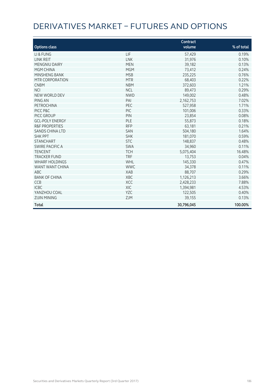# DERIVATIVES MARKET – FUTURES AND OPTIONS

| <b>Options class</b>      |            | Contract<br>volume | % of total |
|---------------------------|------------|--------------------|------------|
|                           |            |                    |            |
| LI & FUNG                 | <b>LIF</b> | 57,429             | 0.19%      |
| <b>LINK REIT</b>          | <b>LNK</b> | 31,976             | 0.10%      |
| <b>MENGNIU DAIRY</b>      | <b>MEN</b> | 39,182             | 0.13%      |
| <b>MGM CHINA</b>          | <b>MGM</b> | 73,412             | 0.24%      |
| MINSHENG BANK             | <b>MSB</b> | 235,225            | 0.76%      |
| MTR CORPORATION           | <b>MTR</b> | 68,403             | 0.22%      |
| <b>CNBM</b>               | <b>NBM</b> | 372,603            | 1.21%      |
| <b>NCI</b>                | <b>NCL</b> | 89,473             | 0.29%      |
| NEW WORLD DEV             | <b>NWD</b> | 149,002            | 0.48%      |
| PING AN                   | PAI        | 2,162,753          | 7.02%      |
| PETROCHINA                | PEC        | 527,958            | 1.71%      |
| PICC P&C                  | <b>PIC</b> | 101,006            | 0.33%      |
| PICC GROUP                | PIN        | 23,854             | 0.08%      |
| <b>GCL-POLY ENERGY</b>    | PLE        | 55,873             | 0.18%      |
| <b>R&amp;F PROPERTIES</b> | <b>RFP</b> | 63,181             | 0.21%      |
| <b>SANDS CHINA LTD</b>    | <b>SAN</b> | 504,180            | 1.64%      |
| <b>SHK PPT</b>            | <b>SHK</b> | 181,070            | 0.59%      |
| <b>STANCHART</b>          | <b>STC</b> | 148,837            | 0.48%      |
| <b>SWIRE PACIFIC A</b>    | <b>SWA</b> | 34,960             | 0.11%      |
| <b>TENCENT</b>            | <b>TCH</b> | 5,075,404          | 16.48%     |
| <b>TRACKER FUND</b>       | <b>TRF</b> | 13,753             | 0.04%      |
| <b>WHARF HOLDINGS</b>     | WHL        | 145,330            | 0.47%      |
| WANT WANT CHINA           | <b>WWC</b> | 34,378             | 0.11%      |
| <b>ABC</b>                | XAB        | 88,707             | 0.29%      |
| <b>BANK OF CHINA</b>      | <b>XBC</b> | 1,126,213          | 3.66%      |
| <b>CCB</b>                | <b>XCC</b> | 2,428,233          | 7.88%      |
| <b>ICBC</b>               | XIC        | 1,394,981          | 4.53%      |
| YANZHOU COAL              | <b>YZC</b> | 122,505            | 0.40%      |
| <b>ZIJIN MINING</b>       | <b>ZJM</b> | 39,155             | 0.13%      |
| <b>Total</b>              |            | 30,796,045         | 100.00%    |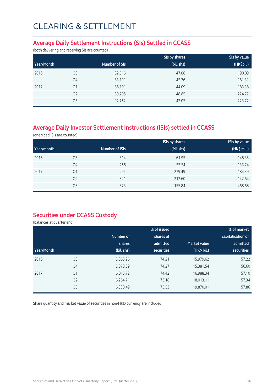### **Average Daily Settlement Instructions (SIs) Settled in CCASS**

(both delivering and receiving SIs are counted)

|            |                |               | SIs by shares | Sis by value |
|------------|----------------|---------------|---------------|--------------|
| Year/Month |                | Number of SIs | (bil. shs)    | (HK\$bil.)   |
| 2016       | Q <sub>3</sub> | 82,516        | 47.08         | 190.09       |
|            | Q4             | 83,191        | 45.76         | 181.31       |
| 2017       | Q <sub>1</sub> | 86,101        | 44.09         | 183.38       |
|            | Q <sub>2</sub> | 89,205        | 48.85         | 224.77       |
|            | Q3             | 92,762        | 47.05         | 223.72       |

## **Average Daily Investor Settlement Instructions (ISIs) settled in CCASS**

(one sided ISIs are counted)

|            |                |                | <b>ISIs by shares</b> | <b>ISIs by value</b> |
|------------|----------------|----------------|-----------------------|----------------------|
| Year/month |                | Number of ISIs | (Mil shs)             | (HK\$ mil.)          |
| 2016       | Q <sub>3</sub> | 314            | 61.95                 | 148.35               |
|            | Q4             | 266            | 55.54                 | 133.74               |
| 2017       | Q <sub>1</sub> | 294            | 279.49                | 184.39               |
|            | Q <sub>2</sub> | 321            | 212.60                | 147.64               |
|            | Q3             | 373            | 155.84                | 468.68               |

### **Securities under CCASS Custody**

(balances at quarter end)

|            |                |            | % of issued       |                     | % of market       |
|------------|----------------|------------|-------------------|---------------------|-------------------|
|            |                | Number of  | shares of         |                     | capitalisation of |
|            |                | shares     | admitted          | <b>Market value</b> | admitted          |
| Year/Month |                | (bil. shs) | <b>securities</b> | (HK\$ bil.)         | securities        |
| 2016       | Q <sub>3</sub> | 5,865.26   | 74.21             | 15,979.62           | 57.22             |
|            | Q4             | 5,878.89   | 74.27             | 15,381.54           | 56.60             |
| 2017       | Q1             | 6,015.72   | 74.42             | 16,988.34           | 57.10             |
|            | Q <sub>2</sub> | 6,264.71   | 75.18             | 18,013.11           | 57.34             |
|            | Q <sub>3</sub> | 6,338.49   | 75.53             | 19,870.01           | 57.86             |

Share quantity and market value of securities in non-HKD currency are included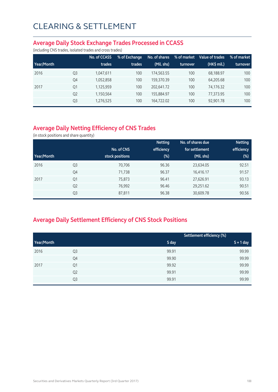#### **Average Daily Stock Exchange Trades Processed in CCASS**

(including CNS trades, isolated trades and cross trades)

|            |                | No. of CCASS | % of Exchange | No. of shares | % of market | Value of trades | % of market |
|------------|----------------|--------------|---------------|---------------|-------------|-----------------|-------------|
| Year/Month |                | trades       | trades        | (Mil. shs)    | turnover    | (HK\$ mil.)     | turnover    |
| 2016       | Q <sub>3</sub> | 1,047,611    | 100           | 174.563.55    | 100         | 68.188.97       | 100         |
|            | Q4             | 1,052,858    | 100           | 159.370.39    | 100         | 64.205.68       | 100         |
| 2017       | Q1             | 1,125,959    | 100           | 202.641.72    | 100         | 74,176.32       | 100         |
|            | Q <sub>2</sub> | 1,150,564    | 100           | 155,884.97    | 100         | 77.373.95       | 100         |
|            | Q <sub>3</sub> | 1,276,525    | 100           | 164,722.02    | 100         | 92,901.78       | 100         |

## **Average Daily Netting Efficiency of CNS Trades**

(in stock positions and share quantity)

|            |                |                 | <b>Netting</b> | No. of shares due | <b>Netting</b> |
|------------|----------------|-----------------|----------------|-------------------|----------------|
|            |                | No. of CNS      | efficiency     | for settlement    | efficiency     |
| Year/Month |                | stock positions | $(\%)$         | (Mil. shs)        | (%)            |
| 2016       | Q <sub>3</sub> | 70,706          | 96.36          | 23,634.05         | 92.51          |
|            | Q4             | 71,738          | 96.37          | 16,416.17         | 91.57          |
| 2017       | Q1             | 75,873          | 96.41          | 27,626.91         | 93.13          |
|            | Q <sub>2</sub> | 76,992          | 96.46          | 29,251.62         | 90.51          |
|            | Q <sub>3</sub> | 87,811          | 96.38          | 30,609.78         | 90.56          |

## **Average Daily Settlement Efficiency of CNS Stock Positions**

|            |                | Settlement efficiency (%) |             |
|------------|----------------|---------------------------|-------------|
| Year/Month |                | S day                     | $S + 1$ day |
| 2016       | Q3             | 99.91                     | 99.99       |
|            | Q4             | 99.90                     | 99.99       |
| 2017       | Q1             | 99.92                     | 99.99       |
|            | Q <sub>2</sub> | 99.91                     | 99.99       |
|            | Q3             | 99.91                     | 99.99       |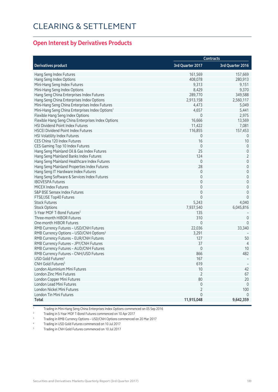### **Open Interest by Derivatives Products**

|                                                             | <b>Contracts</b> |                  |  |
|-------------------------------------------------------------|------------------|------------------|--|
| <b>Derivatives product</b>                                  | 3rd Quarter 2017 | 3rd Quarter 2016 |  |
| Hang Seng Index Futures                                     | 161,569          | 157,669          |  |
| Hang Seng Index Options                                     | 408,078          | 280,913          |  |
| Mini-Hang Seng Index Futures                                | 9,313            | 9,151            |  |
| Mini-Hang Seng Index Options                                | 8,429            | 9,370            |  |
| Hang Seng China Enterprises Index Futures                   | 289,770          | 349,588          |  |
| Hang Seng China Enterprises Index Options                   | 2,913,158        | 2,560,117        |  |
| Mini-Hang Seng China Enterprises Index Futures              | 4,473            | 5,049            |  |
| Mini-Hang Seng China Enterprises Index Options <sup>1</sup> | 4,657            | 5,441            |  |
| Flexible Hang Seng Index Options                            | $\mathbf 0$      | 2,975            |  |
| Flexible Hang Seng China Enterprises Index Options          | 16,666           | 13,569           |  |
| HSI Dividend Point Index Futures                            | 11,422           | 7,081            |  |
| <b>HSCEI Dividend Point Index Futures</b>                   | 116,855          | 157,453          |  |
| HSI Volatility Index Futures                                | 0                | $\overline{0}$   |  |
| CES China 120 Index Futures                                 | 16               | 10               |  |
| CES Gaming Top 10 Index Futures                             | $\mathbf 0$      | $\mathbf 0$      |  |
| Hang Seng Mainland Oil & Gas Index Futures                  | 25               | $\mathbf 0$      |  |
| Hang Seng Mainland Banks Index Futures                      | 124              | $\overline{2}$   |  |
| Hang Seng Mainland Healthcare Index Futures                 | $\mathbf 0$      | $\mathbf 0$      |  |
| Hang Seng Mainland Properties Index Futures                 | 28               | $\mathbf 0$      |  |
| Hang Seng IT Hardware Index Futures                         | $\mathbf 0$      | $\mathbf 0$      |  |
| Hang Seng Software & Services Index Futures                 | $\mathbf 0$      | $\mathbf 0$      |  |
| <b>IBOVESPA Futures</b>                                     | $\mathbf 0$      | $\mathbf 0$      |  |
| MICEX Index Futures                                         | $\mathbf 0$      | $\mathbf 0$      |  |
| S&P BSE Sensex Index Futures                                | $\mathbf 0$      | $\overline{0}$   |  |
| FTSE/JSE Top40 Futures                                      | $\mathbf 0$      | $\mathbf{0}$     |  |
| <b>Stock Futures</b>                                        | 5,243            | 4,040            |  |
| <b>Stock Options</b>                                        | 7,937,540        | 6,045,816        |  |
| 5-Year MOF T-Bond Futures <sup>2</sup>                      | 135              |                  |  |
| Three-month HIBOR Futures                                   | 310              | $\overline{0}$   |  |
| One-month HIBOR Futures                                     | $\mathbf{0}$     | $\overline{0}$   |  |
| RMB Currency Futures - USD/CNH Futures                      | 22,036           | 33,340           |  |
| RMB Currency Options - USD/CNH Options <sup>3</sup>         | 3,291            |                  |  |
| RMB Currency Futures - EUR/CNH Futures                      | 127              | 50               |  |
| RMB Currency Futures - JPY/CNH Futures                      | 37               | $\overline{4}$   |  |
| RMB Currency Futures - AUD/CNH Futures                      | $\mathbf 0$      | 10               |  |
| RMB Currency Futures - CNH/USD Futures                      | 866              | 482              |  |
| USD Gold Futures <sup>4</sup>                               | 167              |                  |  |
| CNH Gold Futures <sup>5</sup>                               | 619              |                  |  |
| London Aluminium Mini Futures                               | $10$             | 42               |  |
| London Zinc Mini Futures                                    | $\overline{2}$   | 67               |  |
| London Copper Mini Futures                                  | 80               | 20               |  |
| London Lead Mini Futures                                    | $\mathbf 0$      | $\overline{0}$   |  |
| London Nickel Mini Futures                                  | $\overline{2}$   | 100              |  |
| London Tin Mini Futures                                     | $\mathbf{0}$     | $\Omega$         |  |
| Total                                                       | 11,915,048       | 9,642,359        |  |

1 Trading in Mini-Hang Seng China Enterprises Index Options commenced on 05 Sep 2016

2 Trading in 5-Year MOF T-Bond Futures commenced on 10 Apr 2017

<sup>3</sup> Trading in RMB Currency Options – USD/CNH Options commenced on 20 Mar 2017

4 Trading in USD Gold Futures commenced on 10 Jul 2017

5 Trading in CNH Gold Futures commenced on 10 Jul 2017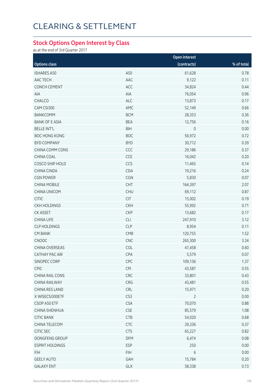#### **Stock Options Open Interest by Class**

as at the end of 3rd Quarter 2017

|                        |                       | Open interest  |            |  |
|------------------------|-----------------------|----------------|------------|--|
| <b>Options class</b>   |                       | (contracts)    | % of total |  |
| <b>ISHARES A50</b>     | A50                   | 61,628         | 0.78       |  |
| AAC TECH               | AAC                   | 9,122          | 0.11       |  |
| CONCH CEMENT           | ACC                   | 34,824         | 0.44       |  |
| AIA                    | AIA                   | 76,054         | 0.96       |  |
| CHALCO                 | ALC                   | 13,873         | 0.17       |  |
| CAM CSI300             | AMC                   | 52,149         | 0.66       |  |
| <b>BANKCOMM</b>        | <b>BCM</b>            | 28,353         | 0.36       |  |
| <b>BANK OF E ASIA</b>  | <b>BEA</b>            | 12,756         | 0.16       |  |
| <b>BELLE INT'L</b>     | <b>BIH</b>            | $\mathbb O$    | 0.00       |  |
| <b>BOC HONG KONG</b>   | <b>BOC</b>            | 56,972         | 0.72       |  |
| <b>BYD COMPANY</b>     | <b>BYD</b>            | 30,712         | 0.39       |  |
| CHINA COMM CONS        | CCC                   | 29,186         | 0.37       |  |
| CHINA COAL             | CCE                   | 16,042         | 0.20       |  |
| COSCO SHIP HOLD        | CCS                   | 11,465         | 0.14       |  |
| CHINA CINDA            | CDA                   | 19,216         | 0.24       |  |
| <b>CGN POWER</b>       | CGN                   | 5,830          | 0.07       |  |
| <b>CHINA MOBILE</b>    | CHT                   | 164,397        | 2.07       |  |
| CHINA UNICOM           | <b>CHU</b>            | 69,112         | 0.87       |  |
| <b>CITIC</b>           | CIT                   | 15,002         | 0.19       |  |
| <b>CKH HOLDINGS</b>    | <b>CKH</b>            | 55,992         | 0.71       |  |
| CK ASSET               | <b>CKP</b>            | 13,682         | 0.17       |  |
| <b>CHINA LIFE</b>      | CLI                   | 247,910        | 3.12       |  |
| <b>CLP HOLDINGS</b>    | <b>CLP</b>            | 8,954          | 0.11       |  |
| <b>CM BANK</b>         | CMB                   | 120,755        | 1.52       |  |
| CNOOC                  | CNC                   | 265,300        | 3.34       |  |
| CHINA OVERSEAS         | COL                   | 47,458         | 0.60       |  |
| CATHAY PAC AIR         | CPA                   | 5,579          | 0.07       |  |
| SINOPEC CORP           | <b>CPC</b>            | 109,136        | 1.37       |  |
| CPIC                   | CPI                   | 43,587         | 0.55       |  |
| CHINA RAIL CONS        | CRC                   | 33,801         | 0.43       |  |
| CHINA RAILWAY          | CRG                   | 43,481         | 0.55       |  |
| CHINA RES LAND         | <b>CRL</b>            | 15,971         | 0.20       |  |
| X WISECSI300ETF        | CS3                   | $\overline{2}$ | 0.00       |  |
| CSOP A50 ETF           | <b>CSA</b>            | 70,070         | 0.88       |  |
| CHINA SHENHUA          | $\mathsf{CSE}\xspace$ | 85,579         | 1.08       |  |
| <b>CITIC BANK</b>      | CTB                   | 54,020         | 0.68       |  |
| CHINA TELECOM          | CTC                   | 29,336         | 0.37       |  |
| CITIC SEC              | <b>CTS</b>            | 65,227         | 0.82       |  |
| DONGFENG GROUP         | DFM                   | 6,474          | 0.08       |  |
| <b>ESPRIT HOLDINGS</b> | <b>ESP</b>            | 250            | 0.00       |  |
| <b>FIH</b>             | <b>FIH</b>            | $\,$ 6 $\,$    | 0.00       |  |
| <b>GEELY AUTO</b>      | GAH                   | 15,784         | 0.20       |  |
| <b>GALAXY ENT</b>      | GLX                   | 58,338         | 0.73       |  |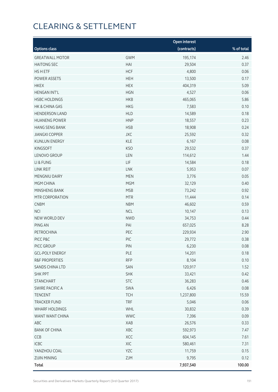|                        |            | <b>Open interest</b> |            |
|------------------------|------------|----------------------|------------|
| <b>Options class</b>   |            | (contracts)          | % of total |
| <b>GREATWALL MOTOR</b> | <b>GWM</b> | 195,174              | 2.46       |
| <b>HAITONG SEC</b>     | HAI        | 29,504               | 0.37       |
| HS H ETF               | <b>HCF</b> | 4,800                | 0.06       |
| POWER ASSETS           | <b>HEH</b> | 13,500               | 0.17       |
| <b>HKEX</b>            | <b>HEX</b> | 404,319              | 5.09       |
| <b>HENGAN INT'L</b>    | <b>HGN</b> | 4,527                | 0.06       |
| <b>HSBC HOLDINGS</b>   | <b>HKB</b> | 465,065              | 5.86       |
| HK & CHINA GAS         | <b>HKG</b> | 7,583                | 0.10       |
| <b>HENDERSON LAND</b>  | <b>HLD</b> | 14,589               | 0.18       |
| <b>HUANENG POWER</b>   | <b>HNP</b> | 18,557               | 0.23       |
| <b>HANG SENG BANK</b>  | <b>HSB</b> | 18,908               | 0.24       |
| <b>JIANGXI COPPER</b>  | <b>JXC</b> | 25,592               | 0.32       |
| <b>KUNLUN ENERGY</b>   | <b>KLE</b> | 6,167                | 0.08       |
| <b>KINGSOFT</b>        | <b>KSO</b> | 29,532               | 0.37       |
| LENOVO GROUP           | LEN        | 114,612              | 1.44       |
| LI & FUNG              | LIF        | 14,584               | 0.18       |
| LINK REIT              | LNK        | 5,953                | 0.07       |
| MENGNIU DAIRY          | <b>MEN</b> | 3,776                | 0.05       |
| MGM CHINA              | <b>MGM</b> | 32,129               | 0.40       |
| MINSHENG BANK          | <b>MSB</b> | 73,242               | 0.92       |
| MTR CORPORATION        | <b>MTR</b> | 11,444               | 0.14       |
| <b>CNBM</b>            | <b>NBM</b> | 46,602               | 0.59       |
| <b>NCI</b>             | <b>NCL</b> | 10,147               | 0.13       |
| NEW WORLD DEV          | <b>NWD</b> | 34,753               | 0.44       |
| PING AN                | PAI        | 657,025              | 8.28       |
| PETROCHINA             | PEC        | 229,934              | 2.90       |
| PICC P&C               | PIC        | 29,772               | 0.38       |
| PICC GROUP             | PIN        | 6,230                | 0.08       |
| <b>GCL-POLY ENERGY</b> | <b>PLE</b> | 14,201               | 0.18       |
| R&F PROPERTIES         | <b>RFP</b> | 8,104                | 0.10       |
| <b>SANDS CHINA LTD</b> | SAN        | 120,917              | 1.52       |
| <b>SHK PPT</b>         | <b>SHK</b> | 33,421               | 0.42       |
| <b>STANCHART</b>       | <b>STC</b> | 36,283               | 0.46       |
| SWIRE PACIFIC A        | SWA        | 6,426                | 0.08       |
| <b>TENCENT</b>         | <b>TCH</b> | 1,237,800            | 15.59      |
| <b>TRACKER FUND</b>    | <b>TRF</b> | 5,046                | 0.06       |
| <b>WHARF HOLDINGS</b>  | WHL        | 30,832               | 0.39       |
| WANT WANT CHINA        | <b>WWC</b> | 7,396                | 0.09       |
| ABC                    | XAB        | 26,576               | 0.33       |
| <b>BANK OF CHINA</b>   | XBC        | 592,973              | 7.47       |
| CCB                    | XCC        | 604,145              | 7.61       |
| ICBC                   | XIC        | 580,461              | 7.31       |
| YANZHOU COAL           | YZC        | 11,759               | 0.15       |
| <b>ZIJIN MINING</b>    | ZJM        | 9,795                | 0.12       |
| <b>Total</b>           |            | 7,937,540            | 100.00     |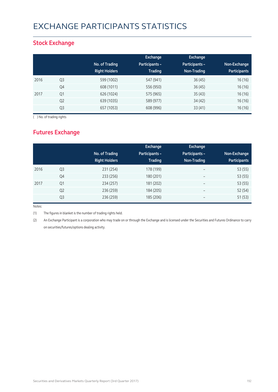# EXCHANGE PARTICIPANTS STATISTICS

### **Stock Exchange**

|      |                | No. of Trading<br><b>Right Holders</b> | Exchange<br><b>Participants -</b><br><b>Trading</b> | <b>Exchange</b><br><b>Participants -</b><br>Non-Trading | Non-Exchange<br><b>Participants</b> |
|------|----------------|----------------------------------------|-----------------------------------------------------|---------------------------------------------------------|-------------------------------------|
| 2016 | Q <sub>3</sub> | 599 (1002)                             | 547 (941)                                           | 36(45)                                                  | 16 (16)                             |
|      | Q4             | 608 (1011)                             | 556 (950)                                           | 36(45)                                                  | 16(16)                              |
| 2017 | Q <sub>1</sub> | 626 (1024)                             | 575 (965)                                           | 35(43)                                                  | 16(16)                              |
|      | Q <sub>2</sub> | 639 (1035)                             | 589 (977)                                           | 34 (42)                                                 | 16(16)                              |
|      | Q <sub>3</sub> | 657 (1053)                             | 608 (996)                                           | 33(41)                                                  | 16(16)                              |

( ) No. of trading rights

## **Futures Exchange**

|      |                | No. of Trading<br><b>Right Holders</b> | Exchange<br><b>Participants -</b><br><b>Trading</b> | <b>Exchange</b><br>Participants -<br>Non-Trading | Non-Exchange<br><b>Participants</b> |
|------|----------------|----------------------------------------|-----------------------------------------------------|--------------------------------------------------|-------------------------------------|
| 2016 | Q <sub>3</sub> | 231 (254)                              | 178 (199)                                           | $\overline{\phantom{a}}$                         | 53 (55)                             |
|      | Q4             | 233 (256)                              | 180 (201)                                           | $\overline{\phantom{0}}$                         | 53 (55)                             |
| 2017 | Q <sub>1</sub> | 234 (257)                              | 181 (202)                                           | $\overline{\phantom{m}}$                         | 53 (55)                             |
|      | Q <sub>2</sub> | 236 (259)                              | 184 (205)                                           | $\overline{\phantom{m}}$                         | 52 (54)                             |
|      | Q <sub>3</sub> | 236 (259)                              | 185 (206)                                           | $\overline{\phantom{m}}$                         | 51(53)                              |

Notes:

(1) The figures in blanket is the number of trading rights held.

(2) An Exchange Participant is a corporation who may trade on or through the Exchange and is licensed under the Securities and Futures Ordinance to carry on securities/futures/options dealing activity.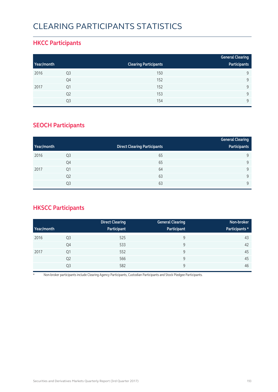# CLEARING PARTICIPANTS STATISTICS

### **HKCC Participants**

|            |                |                              | <b>General Clearing</b> |
|------------|----------------|------------------------------|-------------------------|
| Year/month |                | <b>Clearing Participants</b> | Participants            |
| 2016       | Q <sub>3</sub> | 150                          | 9                       |
|            | Q4             | 152                          | Q                       |
| 2017       | Q1             | 152                          | Q                       |
|            | Q <sub>2</sub> | 153                          | $\mathsf{Q}$            |
|            | Q3             | 154                          | $\mathsf{Q}$            |

### **SEOCH Participants**

|            |                |                                     | <b>General Clearing</b> |
|------------|----------------|-------------------------------------|-------------------------|
| Year/month |                | <b>Direct Clearing Participants</b> | Participants            |
| 2016       | Q3             | 65                                  | 9                       |
|            | Q4             | 65                                  | 9                       |
| 2017       | Q <sub>1</sub> | 64                                  | 9                       |
|            | Q <sub>2</sub> | 63                                  | 9                       |
|            | Q <sub>3</sub> | 63                                  | 9                       |

## **HKSCC Participants**

|            |                | <b>Direct Clearing</b> | <b>General Clearing</b> | Non-broker     |
|------------|----------------|------------------------|-------------------------|----------------|
| Year/month |                | Participant            | Participant             | Participants * |
| 2016       | Q <sub>3</sub> | 525                    | 9                       | 43             |
|            | Q4             | 533                    | 9                       | 42             |
| 2017       | Q <sub>1</sub> | 552                    | 9                       | 45             |
|            | Q <sub>2</sub> | 566                    | 9                       | 45             |
|            | Q3             | 582                    | 9                       | 46             |

\* Non-broker participants include Clearing Agency Participants, Custodian Participants and Stock Pledgee Participants.